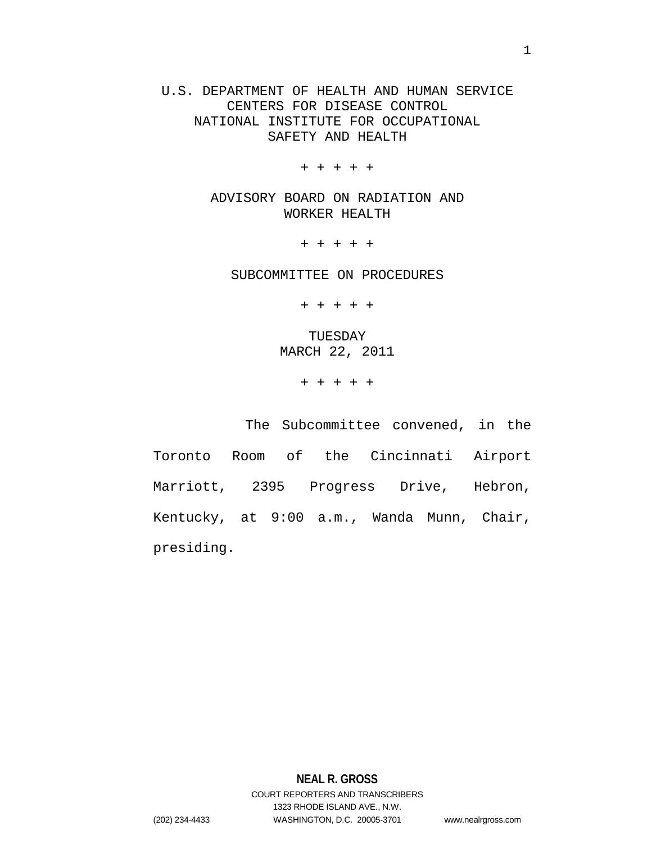U.S. DEPARTMENT OF HEALTH AND HUMAN SERVICE CENTERS FOR DISEASE CONTROL NATIONAL INSTITUTE FOR OCCUPATIONAL SAFETY AND HEALTH

+ + + + +

ADVISORY BOARD ON RADIATION AND WORKER HEALTH

+ + + + +

SUBCOMMITTEE ON PROCEDURES

+ + + + +

TUESDAY MARCH 22, 2011

+ + + + +

The Subcommittee convened, in the Toronto Room of the Cincinnati Airport Marriott, 2395 Progress Drive, Hebron, Kentucky, at 9:00 a.m., Wanda Munn, Chair, presiding.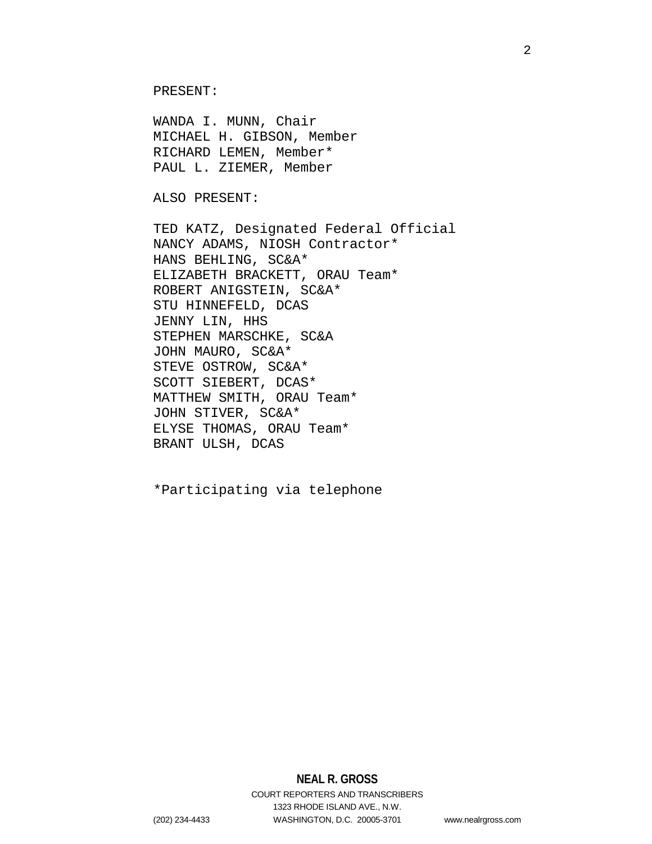PRESENT:

WANDA I. MUNN, Chair MICHAEL H. GIBSON, Member RICHARD LEMEN, Member\* PAUL L. ZIEMER, Member

ALSO PRESENT:

TED KATZ, Designated Federal Official NANCY ADAMS, NIOSH Contractor\* HANS BEHLING, SC&A\* ELIZABETH BRACKETT, ORAU Team\* ROBERT ANIGSTEIN, SC&A\* STU HINNEFELD, DCAS JENNY LIN, HHS STEPHEN MARSCHKE, SC&A JOHN MAURO, SC&A\* STEVE OSTROW, SC&A\* SCOTT SIEBERT, DCAS\* MATTHEW SMITH, ORAU Team\* JOHN STIVER, SC&A\* ELYSE THOMAS, ORAU Team\* BRANT ULSH, DCAS

\*Participating via telephone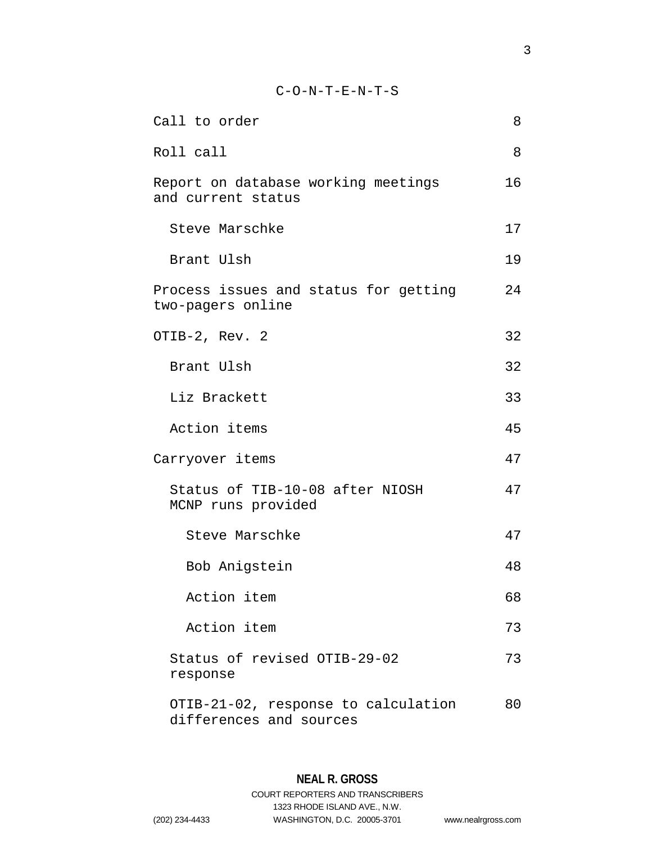# C-O-N-T-E-N-T-S

| Call to order                                                  | 8  |
|----------------------------------------------------------------|----|
| Roll call                                                      | 8  |
| Report on database working meetings<br>and current status      | 16 |
| Steve Marschke                                                 | 17 |
| Brant Ulsh                                                     | 19 |
| Process issues and status for getting<br>two-pagers online     | 24 |
| OTIB-2, Rev. 2                                                 | 32 |
| Brant Ulsh                                                     | 32 |
| Liz Brackett                                                   | 33 |
| Action items                                                   | 45 |
| Carryover items                                                | 47 |
| Status of TIB-10-08 after NIOSH<br>MCNP runs provided          | 47 |
| Steve Marschke                                                 | 47 |
| Bob Anigstein                                                  | 48 |
| Action item                                                    | 68 |
| Action item                                                    | 73 |
| Status of revised OTIB-29-02<br>response                       | 73 |
| OTIB-21-02, response to calculation<br>differences and sources | 80 |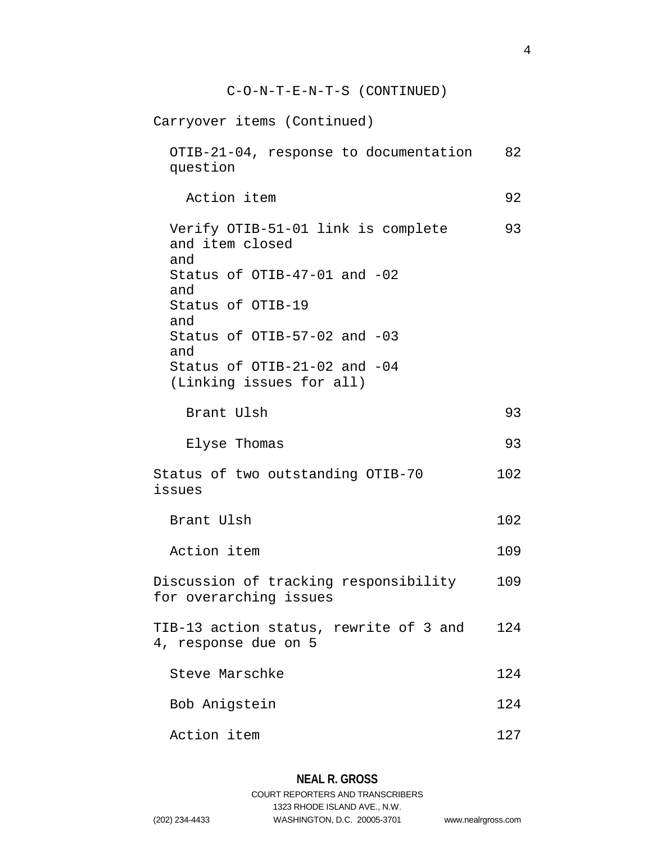Carryover items (Continued) OTIB-21-04, response to documentation 82 question Action item 92 Verify OTIB-51-01 link is complete 93 and item closed and Status of OTIB-47-01 and -02 and Status of OTIB-19 and Status of OTIB-57-02 and -03 and Status of OTIB-21-02 and -04 (Linking issues for all) Brant Ulsh 93 Elyse Thomas 93 Status of two outstanding OTIB-70 102 issues Brant Ulsh 102 Action item 109 Discussion of tracking responsibility 109 for overarching issues TIB-13 action status, rewrite of 3 and 124 4, response due on 5 Steve Marschke 124 Bob Anigstein 124 Action item 127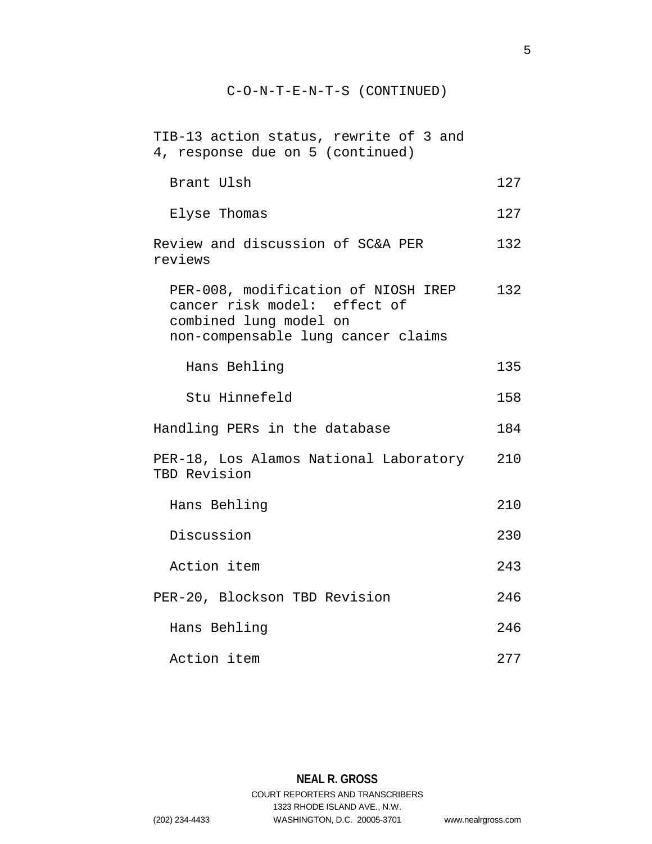| TIB-13 action status, rewrite of 3 and<br>4, response due on 5 (continued)                                                          |     |
|-------------------------------------------------------------------------------------------------------------------------------------|-----|
| Brant Ulsh                                                                                                                          | 127 |
| Elyse Thomas                                                                                                                        | 127 |
| Review and discussion of SC&A PER<br>reviews                                                                                        | 132 |
| PER-008, modification of NIOSH IREP<br>cancer risk model: effect of<br>combined lung model on<br>non-compensable lung cancer claims | 132 |
| Hans Behling                                                                                                                        | 135 |
| Stu Hinnefeld                                                                                                                       | 158 |
| Handling PERs in the database                                                                                                       | 184 |
| PER-18, Los Alamos National Laboratory<br>TBD Revision                                                                              | 210 |
| Hans Behling                                                                                                                        | 210 |
| Discussion                                                                                                                          | 230 |
| Action item                                                                                                                         | 243 |
| PER-20, Blockson TBD Revision                                                                                                       | 246 |
| Hans Behling                                                                                                                        | 246 |
| Action item                                                                                                                         | 277 |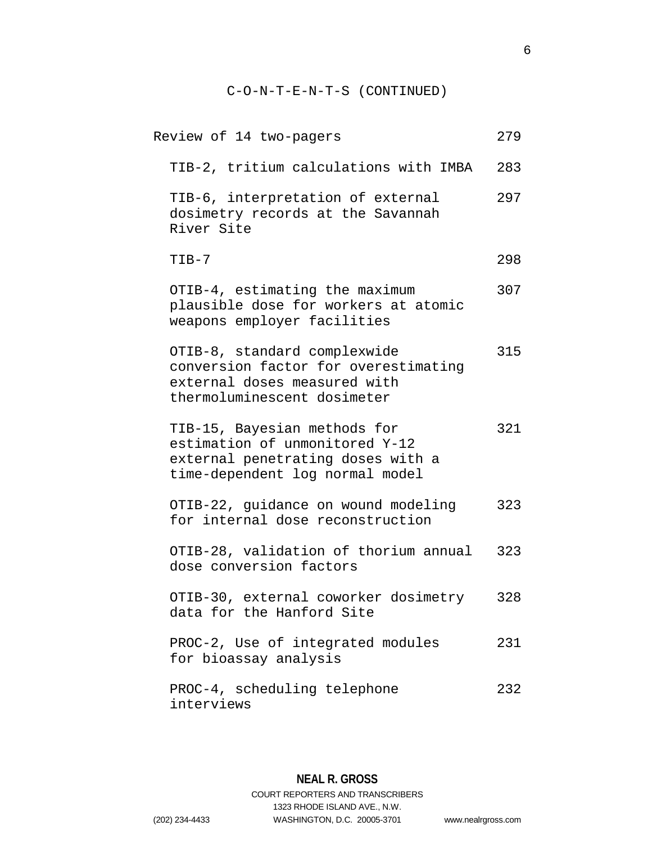| Review of 14 two-pagers                                                                                                                | 279 |
|----------------------------------------------------------------------------------------------------------------------------------------|-----|
| TIB-2, tritium calculations with IMBA                                                                                                  | 283 |
| TIB-6, interpretation of external<br>dosimetry records at the Savannah<br>River Site                                                   | 297 |
| $TIB-7$                                                                                                                                | 298 |
| OTIB-4, estimating the maximum<br>plausible dose for workers at atomic<br>weapons employer facilities                                  | 307 |
| OTIB-8, standard complexwide<br>conversion factor for overestimating<br>external doses measured with<br>thermoluminescent dosimeter    | 315 |
| TIB-15, Bayesian methods for<br>estimation of unmonitored Y-12<br>external penetrating doses with a<br>time-dependent log normal model | 321 |
| OTIB-22, guidance on wound modeling<br>for internal dose reconstruction                                                                | 323 |
| OTIB-28, validation of thorium annual<br>dose conversion factors                                                                       | 323 |
| OTIB-30, external coworker dosimetry<br>data for the Hanford Site                                                                      | 328 |
| PROC-2, Use of integrated modules<br>for bioassay analysis                                                                             | 231 |
| PROC-4, scheduling telephone<br>interviews                                                                                             | 232 |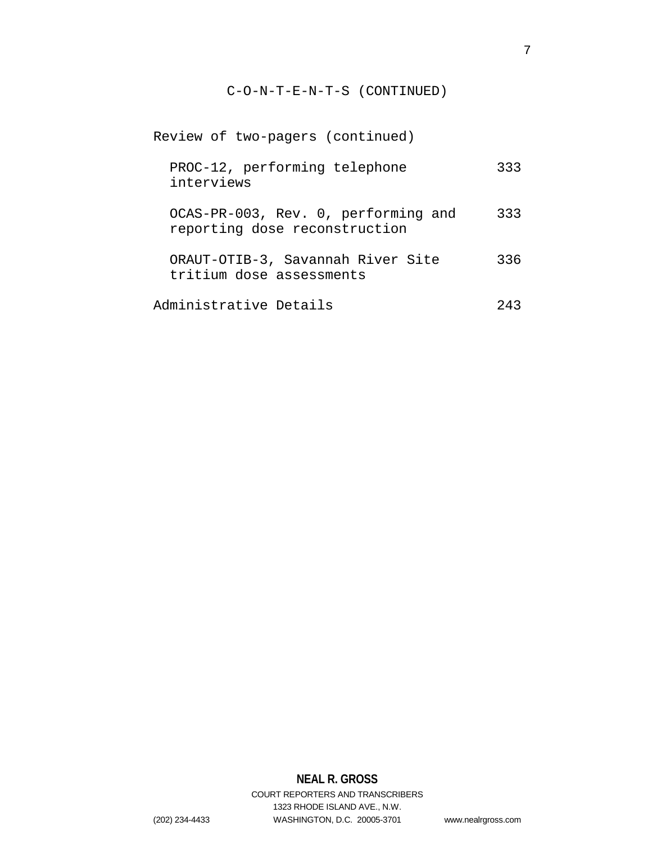| Review of two-pagers (continued)                                     |     |
|----------------------------------------------------------------------|-----|
| PROC-12, performing telephone<br>interviews                          | 333 |
| OCAS-PR-003, Rev. 0, performing and<br>reporting dose reconstruction | 333 |
| ORAUT-OTIB-3, Savannah River Site<br>tritium dose assessments        | 336 |
| Administrative Details                                               | クイス |

# **NEAL R. GROSS**

COURT REPORTERS AND TRANSCRIBERS 1323 RHODE ISLAND AVE., N.W. (202) 234-4433 WASHINGTON, D.C. 20005-3701 www.nealrgross.com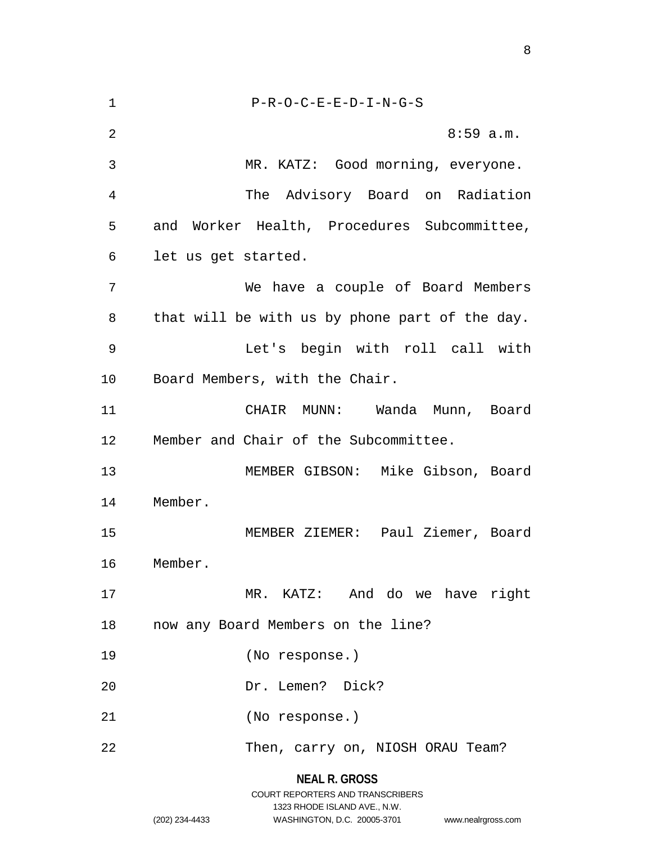P-R-O-C-E-E-D-I-N-G-S 2 8:59 a.m. MR. KATZ: Good morning, everyone. The Advisory Board on Radiation and Worker Health, Procedures Subcommittee, let us get started. We have a couple of Board Members that will be with us by phone part of the day. Let's begin with roll call with Board Members, with the Chair. CHAIR MUNN: Wanda Munn, Board Member and Chair of the Subcommittee. MEMBER GIBSON: Mike Gibson, Board Member. MEMBER ZIEMER: Paul Ziemer, Board Member. MR. KATZ: And do we have right now any Board Members on the line? (No response.) Dr. Lemen? Dick? (No response.) 22 Then, carry on, NIOSH ORAU Team?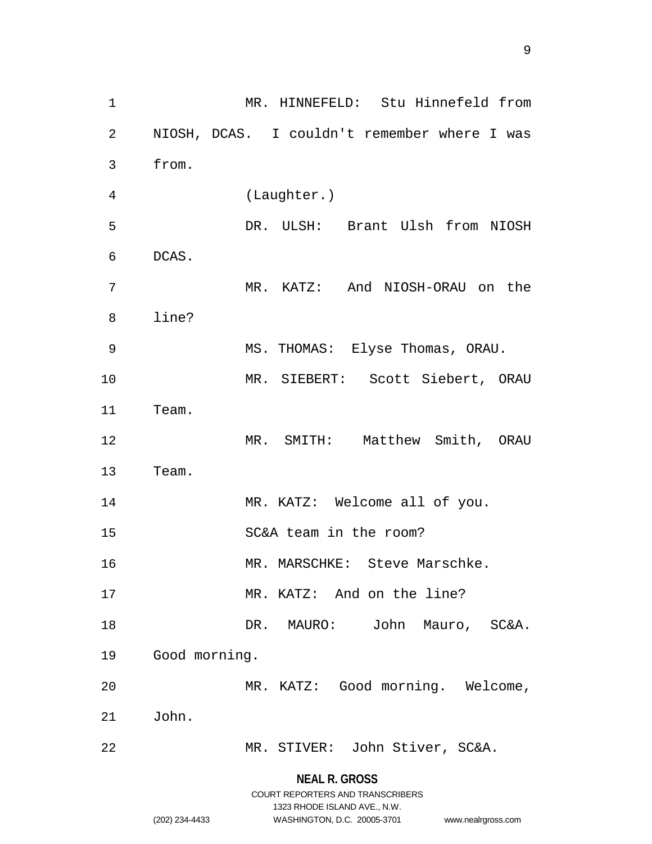**NEAL R. GROSS** MR. HINNEFELD: Stu Hinnefeld from NIOSH, DCAS. I couldn't remember where I was from. (Laughter.) DR. ULSH: Brant Ulsh from NIOSH DCAS. MR. KATZ: And NIOSH-ORAU on the line? MS. THOMAS: Elyse Thomas, ORAU. MR. SIEBERT: Scott Siebert, ORAU Team. MR. SMITH: Matthew Smith, ORAU Team. 14 MR. KATZ: Welcome all of you. SC&A team in the room? 16 MR. MARSCHKE: Steve Marschke. 17 MR. KATZ: And on the line? DR. MAURO: John Mauro, SC&A. Good morning. MR. KATZ: Good morning. Welcome, John. MR. STIVER: John Stiver, SC&A.

> COURT REPORTERS AND TRANSCRIBERS 1323 RHODE ISLAND AVE., N.W.

(202) 234-4433 WASHINGTON, D.C. 20005-3701 www.nealrgross.com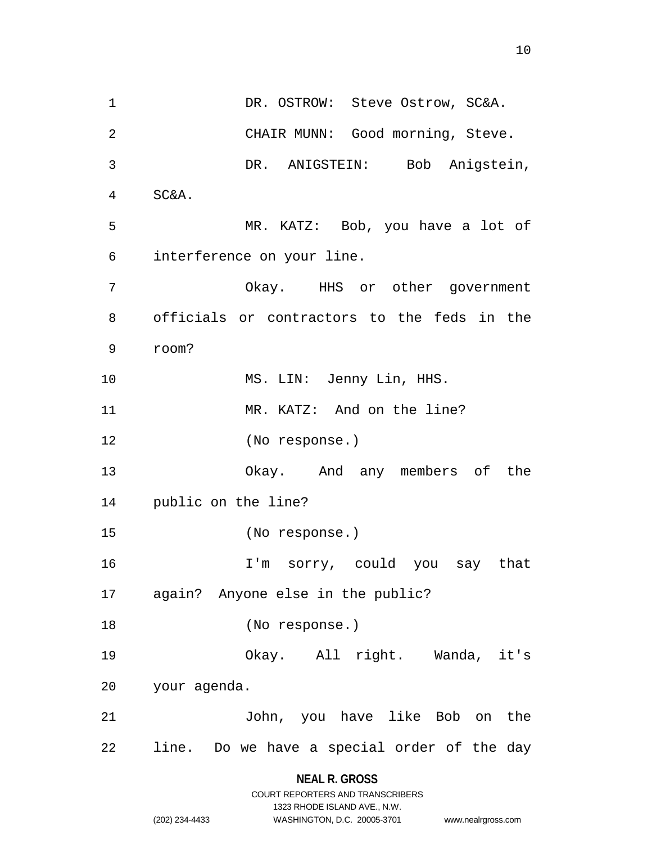1 DR. OSTROW: Steve Ostrow, SC&A. CHAIR MUNN: Good morning, Steve. DR. ANIGSTEIN: Bob Anigstein, SC&A. MR. KATZ: Bob, you have a lot of interference on your line. Okay. HHS or other government officials or contractors to the feds in the room? 10 MS. LIN: Jenny Lin, HHS. 11 MR. KATZ: And on the line? (No response.) Okay. And any members of the public on the line? (No response.) I'm sorry, could you say that again? Anyone else in the public? (No response.) Okay. All right. Wanda, it's your agenda. John, you have like Bob on the line. Do we have a special order of the day

# **NEAL R. GROSS**

|                | COURT REPORTERS AND TRANSCRIBERS |                    |
|----------------|----------------------------------|--------------------|
|                | 1323 RHODE ISLAND AVE N.W.       |                    |
| (202) 234-4433 | WASHINGTON, D.C. 20005-3701      | www.nealrgross.com |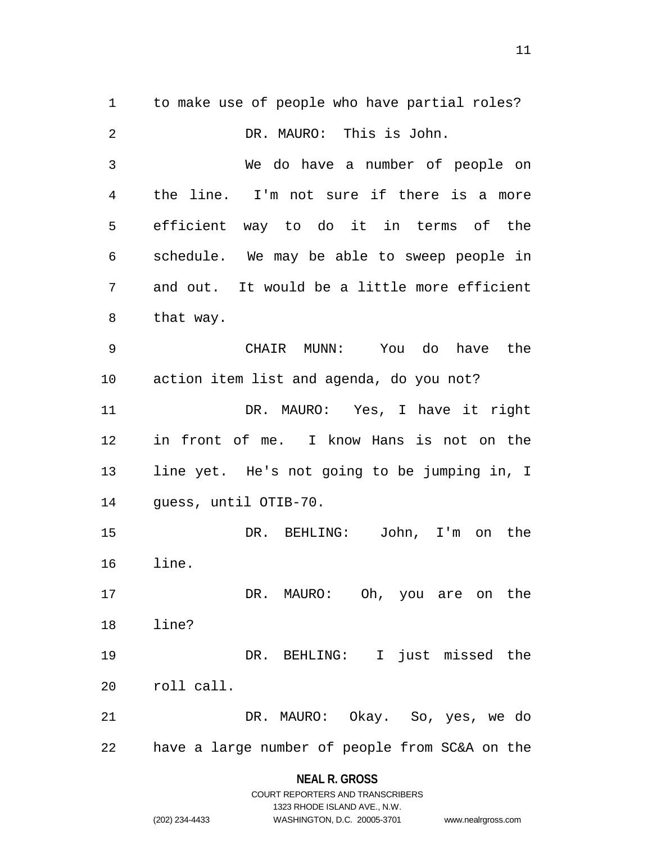to make use of people who have partial roles? DR. MAURO: This is John. We do have a number of people on the line. I'm not sure if there is a more efficient way to do it in terms of the schedule. We may be able to sweep people in and out. It would be a little more efficient that way. CHAIR MUNN: You do have the action item list and agenda, do you not? DR. MAURO: Yes, I have it right in front of me. I know Hans is not on the line yet. He's not going to be jumping in, I guess, until OTIB-70. DR. BEHLING: John, I'm on the line. 17 DR. MAURO: Oh, you are on the line? DR. BEHLING: I just missed the roll call. DR. MAURO: Okay. So, yes, we do have a large number of people from SC&A on the

#### **NEAL R. GROSS**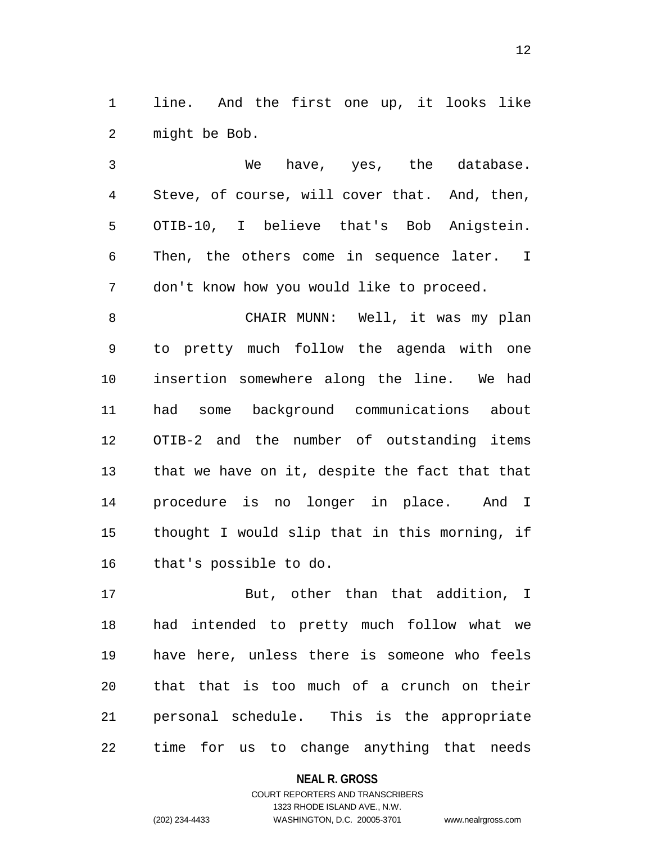line. And the first one up, it looks like might be Bob.

 We have, yes, the database. Steve, of course, will cover that. And, then, OTIB-10, I believe that's Bob Anigstein. Then, the others come in sequence later. I don't know how you would like to proceed.

 CHAIR MUNN: Well, it was my plan to pretty much follow the agenda with one insertion somewhere along the line. We had had some background communications about OTIB-2 and the number of outstanding items that we have on it, despite the fact that that procedure is no longer in place. And I thought I would slip that in this morning, if that's possible to do.

 But, other than that addition, I had intended to pretty much follow what we have here, unless there is someone who feels that that is too much of a crunch on their personal schedule. This is the appropriate time for us to change anything that needs

> **NEAL R. GROSS** COURT REPORTERS AND TRANSCRIBERS 1323 RHODE ISLAND AVE., N.W. (202) 234-4433 WASHINGTON, D.C. 20005-3701 www.nealrgross.com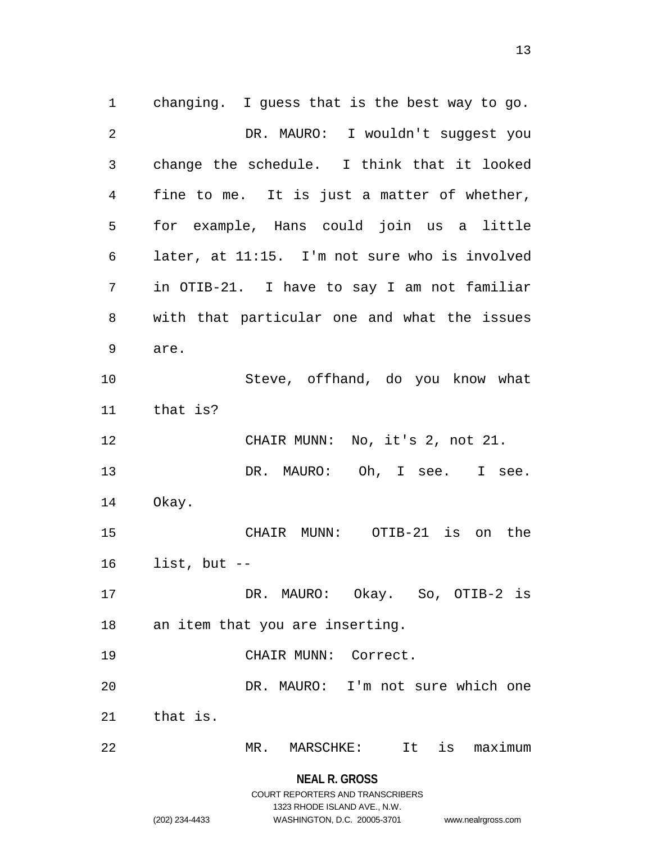**NEAL R. GROSS** changing. I guess that is the best way to go. DR. MAURO: I wouldn't suggest you change the schedule. I think that it looked fine to me. It is just a matter of whether, for example, Hans could join us a little later, at 11:15. I'm not sure who is involved in OTIB-21. I have to say I am not familiar with that particular one and what the issues are. Steve, offhand, do you know what that is? CHAIR MUNN: No, it's 2, not 21. 13 DR. MAURO: Oh, I see. I see. Okay. CHAIR MUNN: OTIB-21 is on the list, but -- DR. MAURO: Okay. So, OTIB-2 is an item that you are inserting. CHAIR MUNN: Correct. DR. MAURO: I'm not sure which one that is. MR. MARSCHKE: It is maximum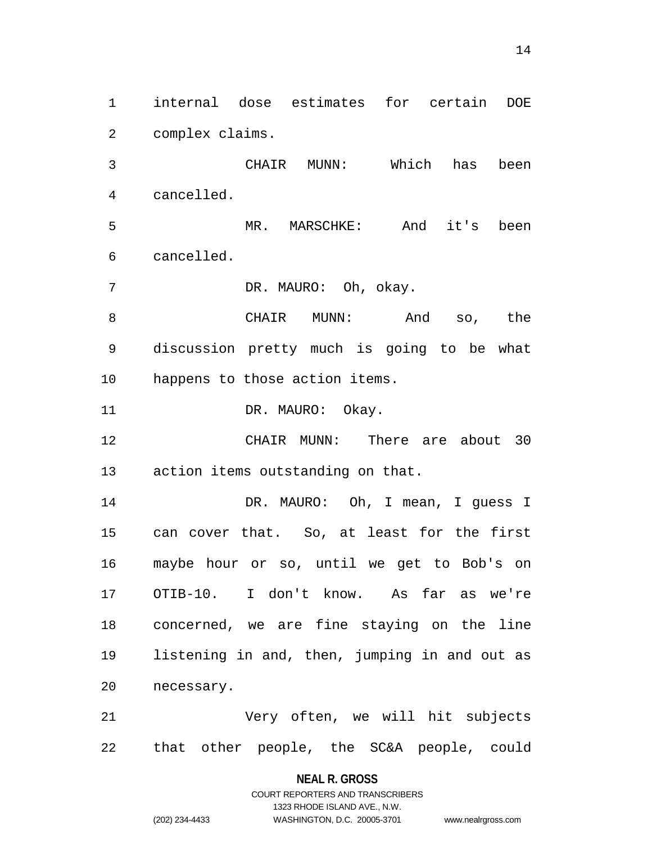internal dose estimates for certain DOE complex claims.

 CHAIR MUNN: Which has been cancelled.

 MR. MARSCHKE: And it's been cancelled.

DR. MAURO: Oh, okay.

 CHAIR MUNN: And so, the discussion pretty much is going to be what happens to those action items.

11 DR. MAURO: Okay.

 CHAIR MUNN: There are about 30 action items outstanding on that.

14 DR. MAURO: Oh, I mean, I guess I can cover that. So, at least for the first maybe hour or so, until we get to Bob's on OTIB-10. I don't know. As far as we're concerned, we are fine staying on the line listening in and, then, jumping in and out as necessary.

 Very often, we will hit subjects that other people, the SC&A people, could

# **NEAL R. GROSS** COURT REPORTERS AND TRANSCRIBERS

1323 RHODE ISLAND AVE., N.W.

(202) 234-4433 WASHINGTON, D.C. 20005-3701 www.nealrgross.com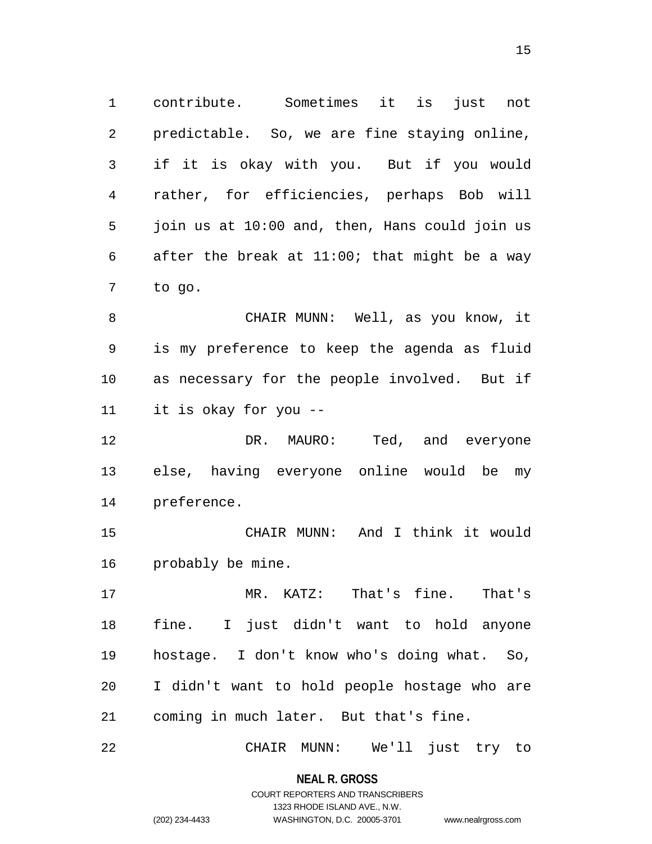contribute. Sometimes it is just not predictable. So, we are fine staying online, if it is okay with you. But if you would rather, for efficiencies, perhaps Bob will join us at 10:00 and, then, Hans could join us after the break at 11:00; that might be a way to go.

 CHAIR MUNN: Well, as you know, it is my preference to keep the agenda as fluid as necessary for the people involved. But if it is okay for you --

 DR. MAURO: Ted, and everyone else, having everyone online would be my preference.

 CHAIR MUNN: And I think it would probably be mine.

 MR. KATZ: That's fine. That's fine. I just didn't want to hold anyone hostage. I don't know who's doing what. So, I didn't want to hold people hostage who are coming in much later. But that's fine.

CHAIR MUNN: We'll just try to

**NEAL R. GROSS** COURT REPORTERS AND TRANSCRIBERS

1323 RHODE ISLAND AVE., N.W.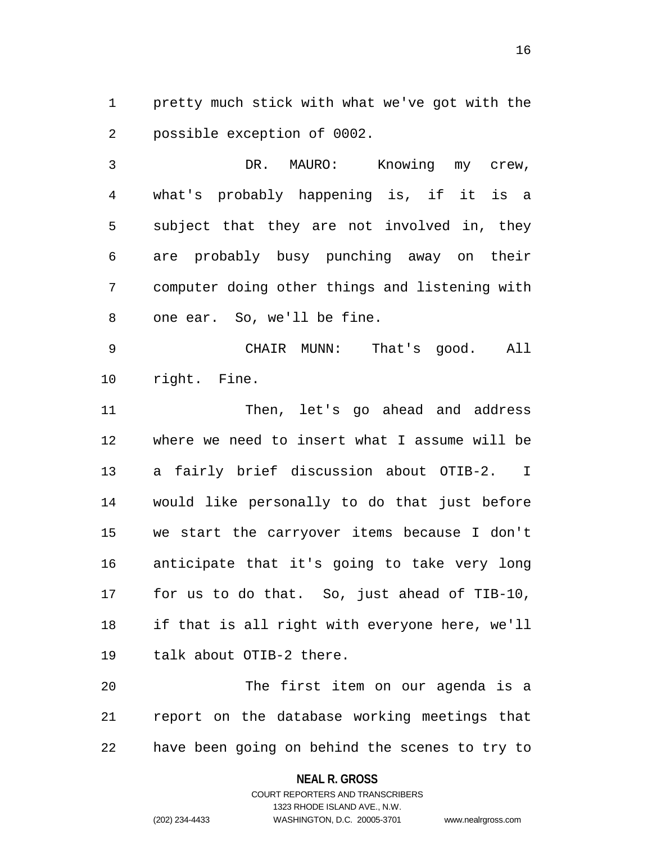pretty much stick with what we've got with the possible exception of 0002.

 DR. MAURO: Knowing my crew, what's probably happening is, if it is a subject that they are not involved in, they are probably busy punching away on their computer doing other things and listening with one ear. So, we'll be fine.

 CHAIR MUNN: That's good. All right. Fine.

 Then, let's go ahead and address where we need to insert what I assume will be a fairly brief discussion about OTIB-2. I would like personally to do that just before we start the carryover items because I don't anticipate that it's going to take very long for us to do that. So, just ahead of TIB-10, if that is all right with everyone here, we'll talk about OTIB-2 there.

 The first item on our agenda is a report on the database working meetings that have been going on behind the scenes to try to

**NEAL R. GROSS**

COURT REPORTERS AND TRANSCRIBERS 1323 RHODE ISLAND AVE., N.W. (202) 234-4433 WASHINGTON, D.C. 20005-3701 www.nealrgross.com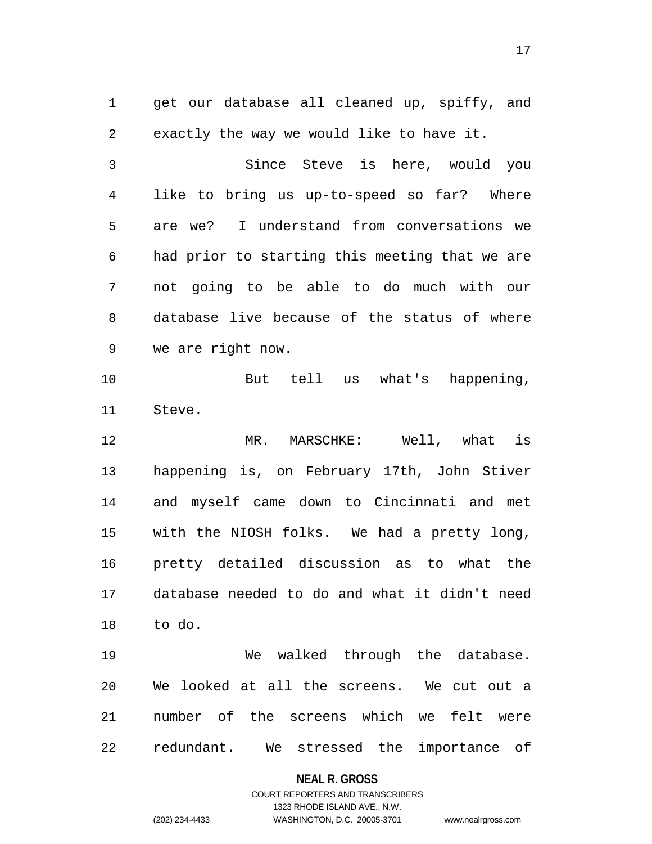get our database all cleaned up, spiffy, and exactly the way we would like to have it.

 Since Steve is here, would you like to bring us up-to-speed so far? Where are we? I understand from conversations we had prior to starting this meeting that we are not going to be able to do much with our database live because of the status of where we are right now.

 But tell us what's happening, Steve.

 MR. MARSCHKE: Well, what is happening is, on February 17th, John Stiver and myself came down to Cincinnati and met with the NIOSH folks. We had a pretty long, pretty detailed discussion as to what the database needed to do and what it didn't need to do.

 We walked through the database. We looked at all the screens. We cut out a number of the screens which we felt were redundant. We stressed the importance of

#### **NEAL R. GROSS**

## COURT REPORTERS AND TRANSCRIBERS 1323 RHODE ISLAND AVE., N.W. (202) 234-4433 WASHINGTON, D.C. 20005-3701 www.nealrgross.com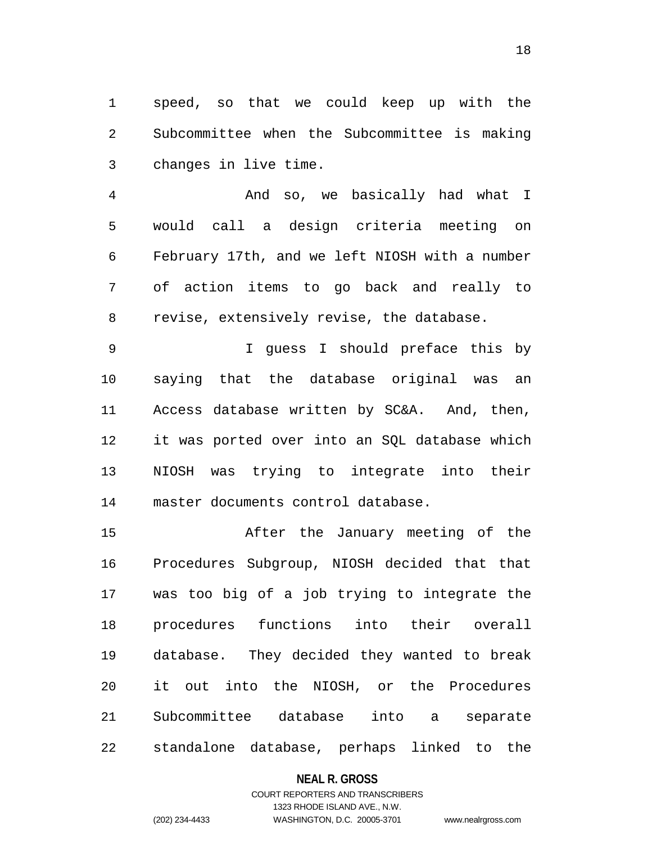speed, so that we could keep up with the Subcommittee when the Subcommittee is making changes in live time.

 And so, we basically had what I would call a design criteria meeting on February 17th, and we left NIOSH with a number of action items to go back and really to revise, extensively revise, the database.

 I guess I should preface this by saying that the database original was an Access database written by SC&A. And, then, it was ported over into an SQL database which NIOSH was trying to integrate into their master documents control database.

 After the January meeting of the Procedures Subgroup, NIOSH decided that that was too big of a job trying to integrate the procedures functions into their overall database. They decided they wanted to break it out into the NIOSH, or the Procedures Subcommittee database into a separate standalone database, perhaps linked to the

#### **NEAL R. GROSS**

# COURT REPORTERS AND TRANSCRIBERS 1323 RHODE ISLAND AVE., N.W. (202) 234-4433 WASHINGTON, D.C. 20005-3701 www.nealrgross.com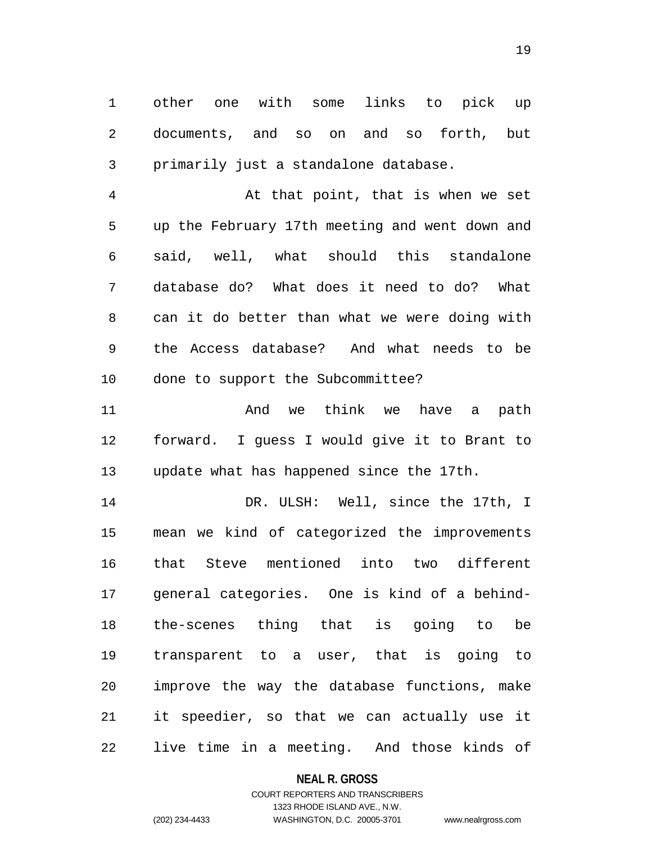other one with some links to pick up documents, and so on and so forth, but primarily just a standalone database.

 At that point, that is when we set up the February 17th meeting and went down and said, well, what should this standalone database do? What does it need to do? What can it do better than what we were doing with the Access database? And what needs to be done to support the Subcommittee?

 And we think we have a path forward. I guess I would give it to Brant to update what has happened since the 17th.

 DR. ULSH: Well, since the 17th, I mean we kind of categorized the improvements that Steve mentioned into two different general categories. One is kind of a behind- the-scenes thing that is going to be transparent to a user, that is going to improve the way the database functions, make it speedier, so that we can actually use it live time in a meeting. And those kinds of

#### **NEAL R. GROSS**

# COURT REPORTERS AND TRANSCRIBERS 1323 RHODE ISLAND AVE., N.W. (202) 234-4433 WASHINGTON, D.C. 20005-3701 www.nealrgross.com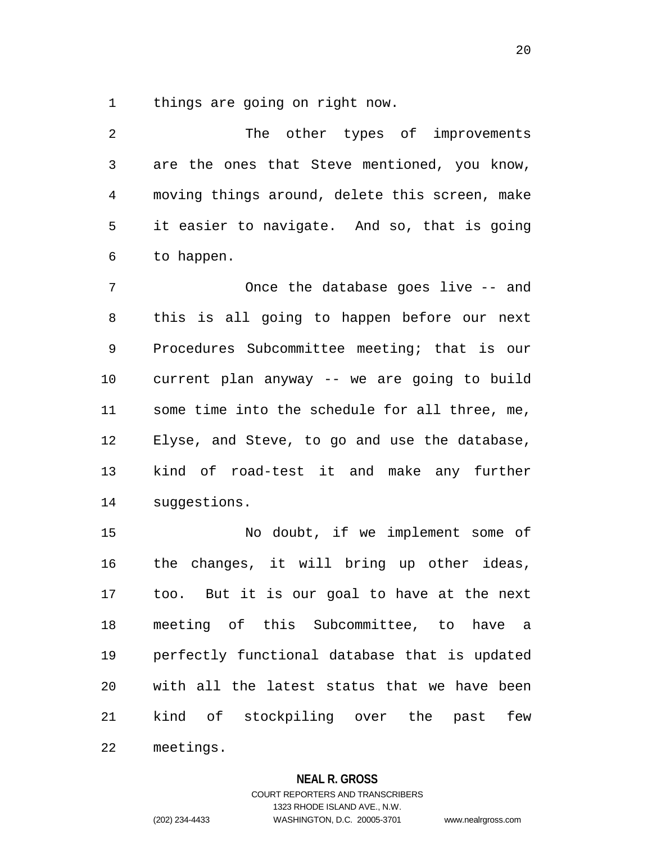things are going on right now.

 The other types of improvements are the ones that Steve mentioned, you know, moving things around, delete this screen, make it easier to navigate. And so, that is going to happen.

 Once the database goes live -- and this is all going to happen before our next Procedures Subcommittee meeting; that is our current plan anyway -- we are going to build some time into the schedule for all three, me, Elyse, and Steve, to go and use the database, kind of road-test it and make any further suggestions.

 No doubt, if we implement some of the changes, it will bring up other ideas, too. But it is our goal to have at the next meeting of this Subcommittee, to have a perfectly functional database that is updated with all the latest status that we have been kind of stockpiling over the past few meetings.

#### **NEAL R. GROSS**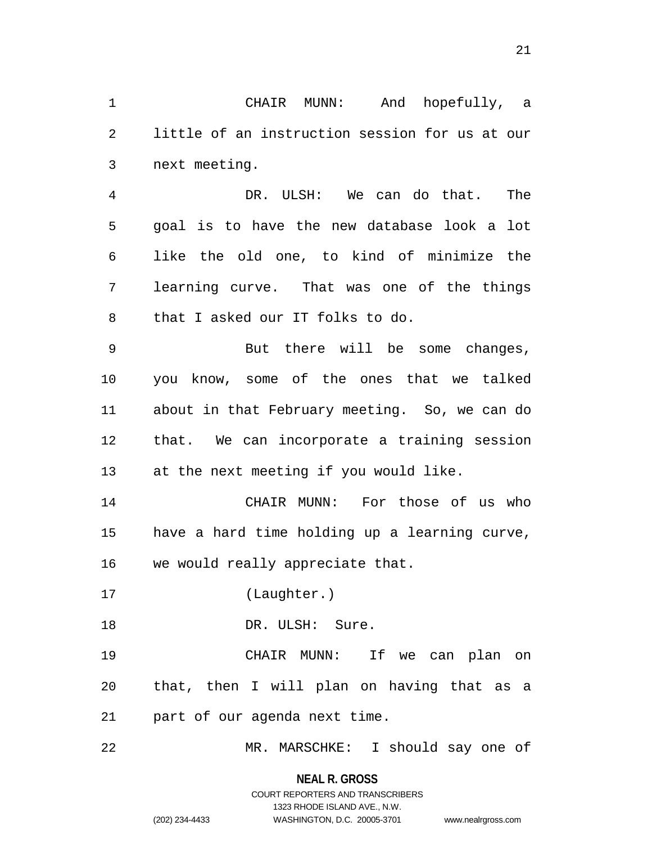CHAIR MUNN: And hopefully, a little of an instruction session for us at our next meeting.

 DR. ULSH: We can do that. The goal is to have the new database look a lot like the old one, to kind of minimize the learning curve. That was one of the things that I asked our IT folks to do.

 But there will be some changes, you know, some of the ones that we talked about in that February meeting. So, we can do that. We can incorporate a training session at the next meeting if you would like.

 CHAIR MUNN: For those of us who have a hard time holding up a learning curve, we would really appreciate that.

(Laughter.)

18 DR. ULSH: Sure.

 CHAIR MUNN: If we can plan on that, then I will plan on having that as a part of our agenda next time.

MR. MARSCHKE: I should say one of

**NEAL R. GROSS**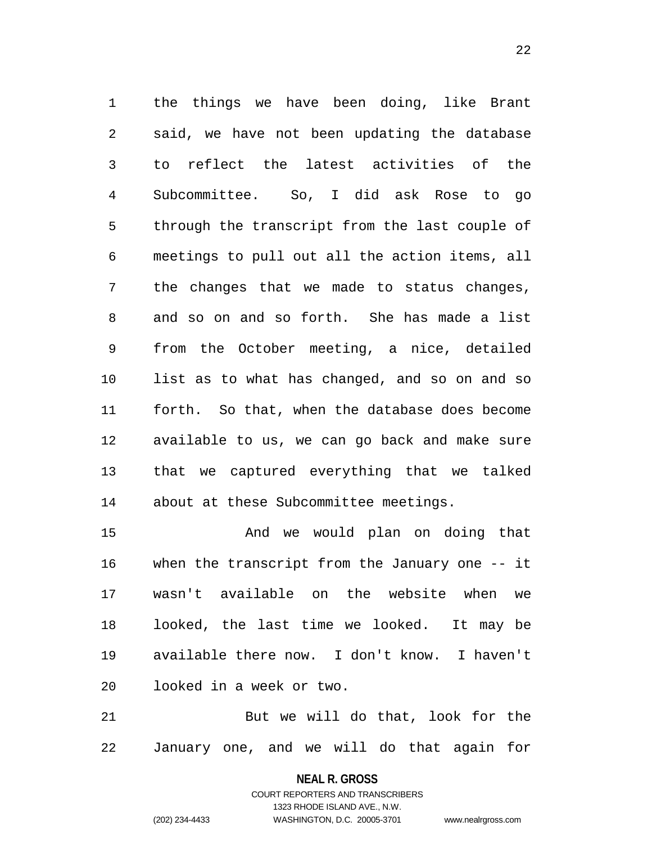the things we have been doing, like Brant said, we have not been updating the database to reflect the latest activities of the Subcommittee. So, I did ask Rose to go through the transcript from the last couple of meetings to pull out all the action items, all the changes that we made to status changes, and so on and so forth. She has made a list from the October meeting, a nice, detailed list as to what has changed, and so on and so forth. So that, when the database does become available to us, we can go back and make sure that we captured everything that we talked about at these Subcommittee meetings.

 And we would plan on doing that when the transcript from the January one -- it wasn't available on the website when we looked, the last time we looked. It may be available there now. I don't know. I haven't looked in a week or two.

 But we will do that, look for the January one, and we will do that again for

> **NEAL R. GROSS** COURT REPORTERS AND TRANSCRIBERS

> > 1323 RHODE ISLAND AVE., N.W.

(202) 234-4433 WASHINGTON, D.C. 20005-3701 www.nealrgross.com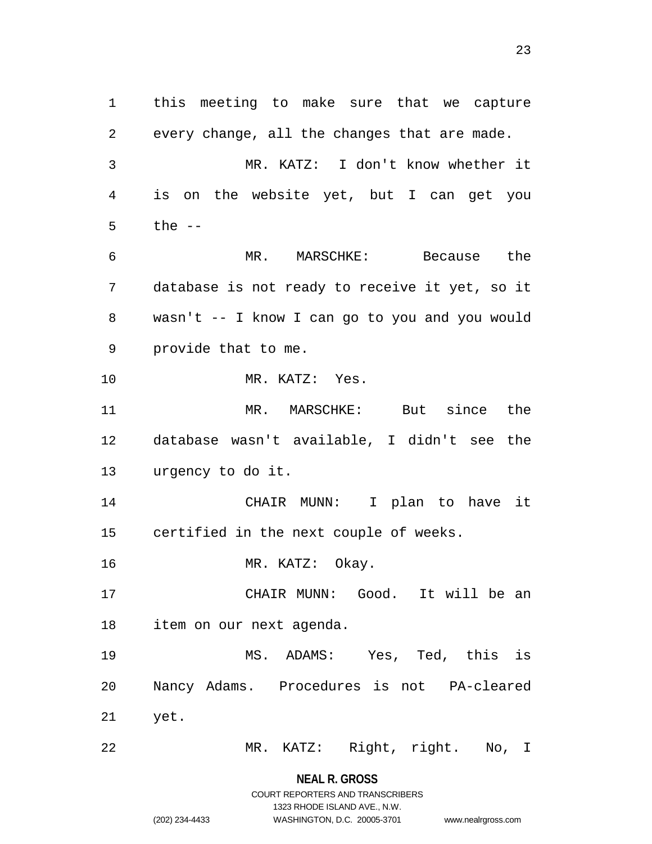this meeting to make sure that we capture every change, all the changes that are made. MR. KATZ: I don't know whether it is on the website yet, but I can get you the -- MR. MARSCHKE: Because the database is not ready to receive it yet, so it wasn't -- I know I can go to you and you would provide that to me. MR. KATZ: Yes. MR. MARSCHKE: But since the database wasn't available, I didn't see the urgency to do it. CHAIR MUNN: I plan to have it certified in the next couple of weeks. 16 MR. KATZ: Okay. CHAIR MUNN: Good. It will be an item on our next agenda. MS. ADAMS: Yes, Ted, this is Nancy Adams. Procedures is not PA-cleared yet. MR. KATZ: Right, right. No, I

> **NEAL R. GROSS** COURT REPORTERS AND TRANSCRIBERS

> > 1323 RHODE ISLAND AVE., N.W.

(202) 234-4433 WASHINGTON, D.C. 20005-3701 www.nealrgross.com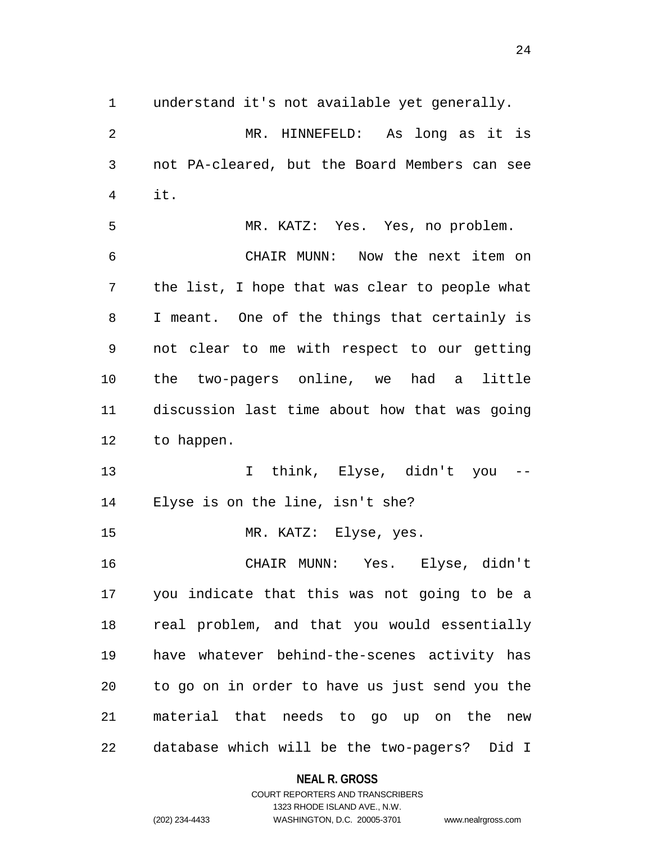understand it's not available yet generally.

 MR. HINNEFELD: As long as it is not PA-cleared, but the Board Members can see it. MR. KATZ: Yes. Yes, no problem. CHAIR MUNN: Now the next item on the list, I hope that was clear to people what I meant. One of the things that certainly is not clear to me with respect to our getting the two-pagers online, we had a little discussion last time about how that was going to happen. 13 T think, Elyse, didn't you Elyse is on the line, isn't she? 15 MR. KATZ: Elyse, yes. CHAIR MUNN: Yes. Elyse, didn't you indicate that this was not going to be a real problem, and that you would essentially have whatever behind-the-scenes activity has to go on in order to have us just send you the material that needs to go up on the new database which will be the two-pagers? Did I

#### **NEAL R. GROSS**

## COURT REPORTERS AND TRANSCRIBERS 1323 RHODE ISLAND AVE., N.W. (202) 234-4433 WASHINGTON, D.C. 20005-3701 www.nealrgross.com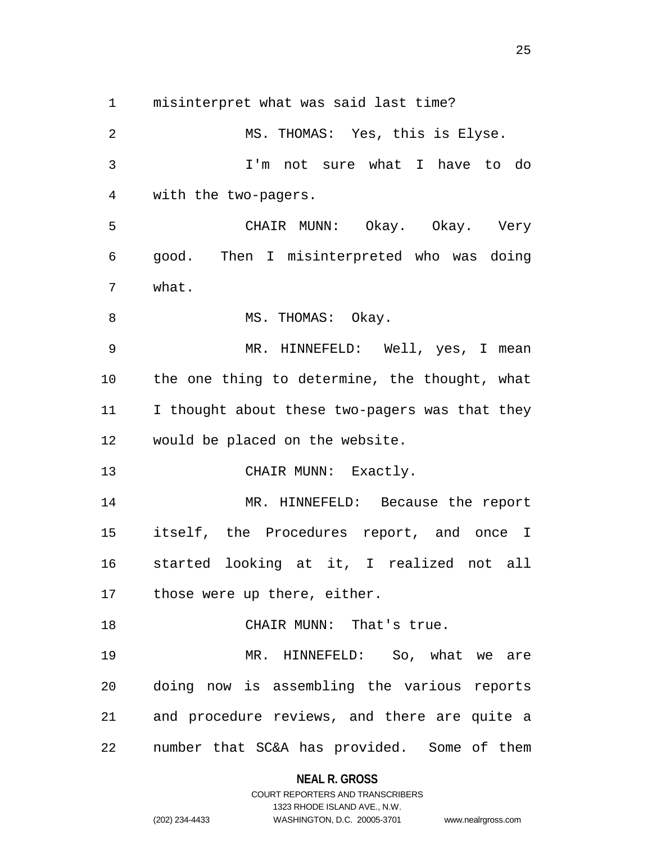misinterpret what was said last time?

 MS. THOMAS: Yes, this is Elyse. I'm not sure what I have to do with the two-pagers. CHAIR MUNN: Okay. Okay. Very good. Then I misinterpreted who was doing what. 8 MS. THOMAS: Okay. MR. HINNEFELD: Well, yes, I mean the one thing to determine, the thought, what 11 I thought about these two-pagers was that they would be placed on the website. 13 CHAIR MUNN: Exactly. MR. HINNEFELD: Because the report itself, the Procedures report, and once I started looking at it, I realized not all 17 those were up there, either. 18 CHAIR MUNN: That's true. MR. HINNEFELD: So, what we are doing now is assembling the various reports and procedure reviews, and there are quite a number that SC&A has provided. Some of them

#### **NEAL R. GROSS**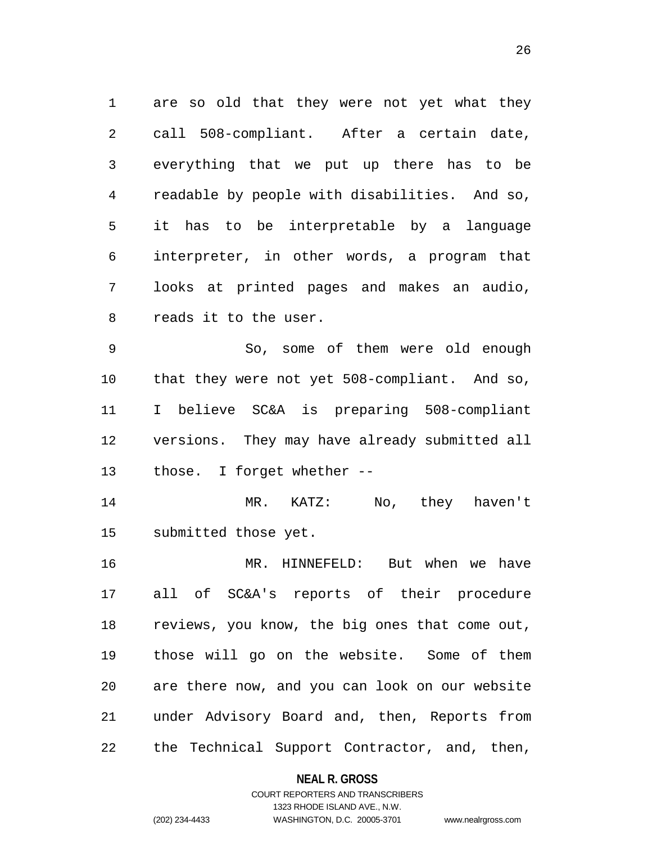are so old that they were not yet what they call 508-compliant. After a certain date, everything that we put up there has to be readable by people with disabilities. And so, it has to be interpretable by a language interpreter, in other words, a program that looks at printed pages and makes an audio, reads it to the user.

 So, some of them were old enough that they were not yet 508-compliant. And so, I believe SC&A is preparing 508-compliant versions. They may have already submitted all those. I forget whether --

 MR. KATZ: No, they haven't submitted those yet.

 MR. HINNEFELD: But when we have all of SC&A's reports of their procedure reviews, you know, the big ones that come out, those will go on the website. Some of them are there now, and you can look on our website under Advisory Board and, then, Reports from the Technical Support Contractor, and, then,

#### **NEAL R. GROSS**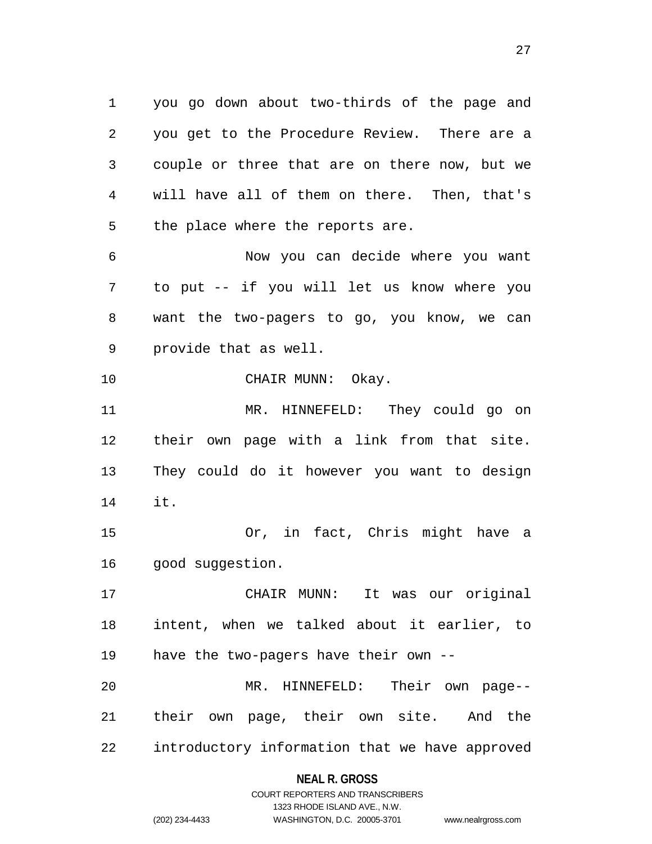you go down about two-thirds of the page and you get to the Procedure Review. There are a couple or three that are on there now, but we will have all of them on there. Then, that's the place where the reports are.

 Now you can decide where you want to put -- if you will let us know where you want the two-pagers to go, you know, we can provide that as well.

10 CHAIR MUNN: Okay.

 MR. HINNEFELD: They could go on their own page with a link from that site. They could do it however you want to design it.

 Or, in fact, Chris might have a 16 good suggestion.

 CHAIR MUNN: It was our original intent, when we talked about it earlier, to have the two-pagers have their own -- MR. HINNEFELD: Their own page-- their own page, their own site. And the

introductory information that we have approved

#### **NEAL R. GROSS**

COURT REPORTERS AND TRANSCRIBERS 1323 RHODE ISLAND AVE., N.W. (202) 234-4433 WASHINGTON, D.C. 20005-3701 www.nealrgross.com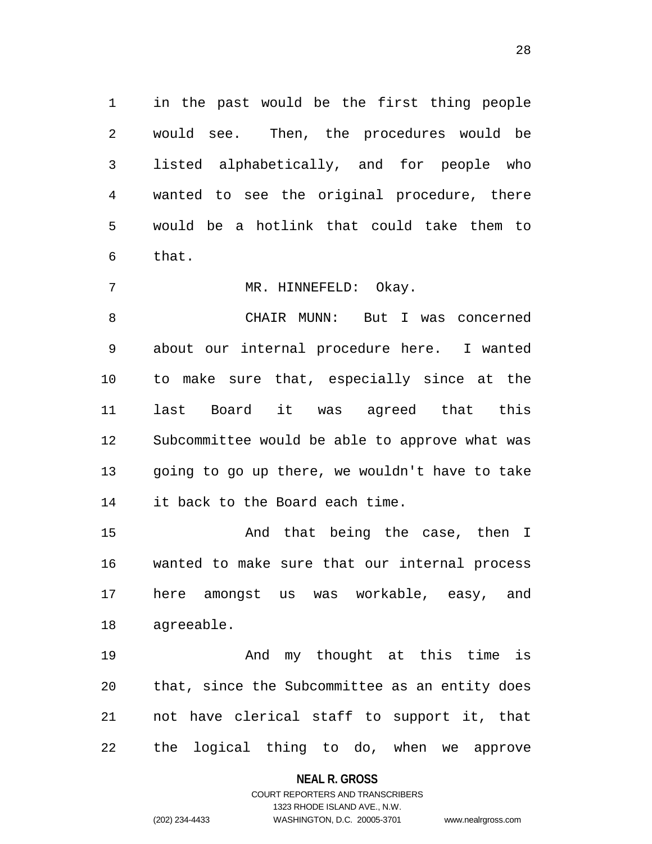in the past would be the first thing people would see. Then, the procedures would be listed alphabetically, and for people who wanted to see the original procedure, there would be a hotlink that could take them to that.

7 MR. HINNEFELD: Okay.

 CHAIR MUNN: But I was concerned about our internal procedure here. I wanted to make sure that, especially since at the last Board it was agreed that this Subcommittee would be able to approve what was going to go up there, we wouldn't have to take it back to the Board each time.

15 And that being the case, then I wanted to make sure that our internal process here amongst us was workable, easy, and agreeable.

**And my thought at this time is**  that, since the Subcommittee as an entity does not have clerical staff to support it, that the logical thing to do, when we approve

#### **NEAL R. GROSS**

# COURT REPORTERS AND TRANSCRIBERS 1323 RHODE ISLAND AVE., N.W. (202) 234-4433 WASHINGTON, D.C. 20005-3701 www.nealrgross.com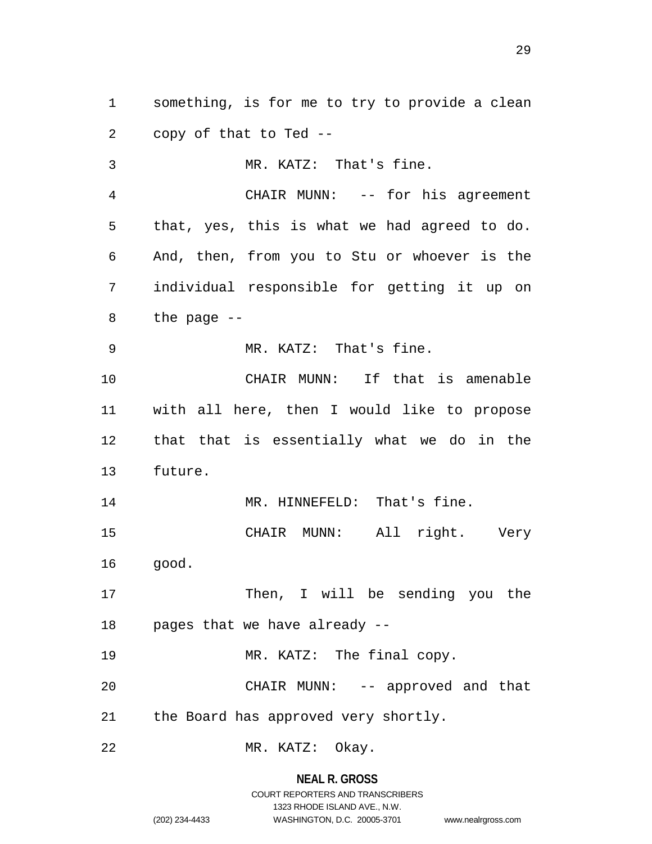something, is for me to try to provide a clean copy of that to Ted --

 MR. KATZ: That's fine. CHAIR MUNN: -- for his agreement that, yes, this is what we had agreed to do. And, then, from you to Stu or whoever is the individual responsible for getting it up on the page -- MR. KATZ: That's fine. CHAIR MUNN: If that is amenable with all here, then I would like to propose that that is essentially what we do in the future. 14 MR. HINNEFELD: That's fine. CHAIR MUNN: All right. Very good. 17 Then, I will be sending you the pages that we have already -- 19 MR. KATZ: The final copy. CHAIR MUNN: -- approved and that the Board has approved very shortly. MR. KATZ: Okay.

**NEAL R. GROSS**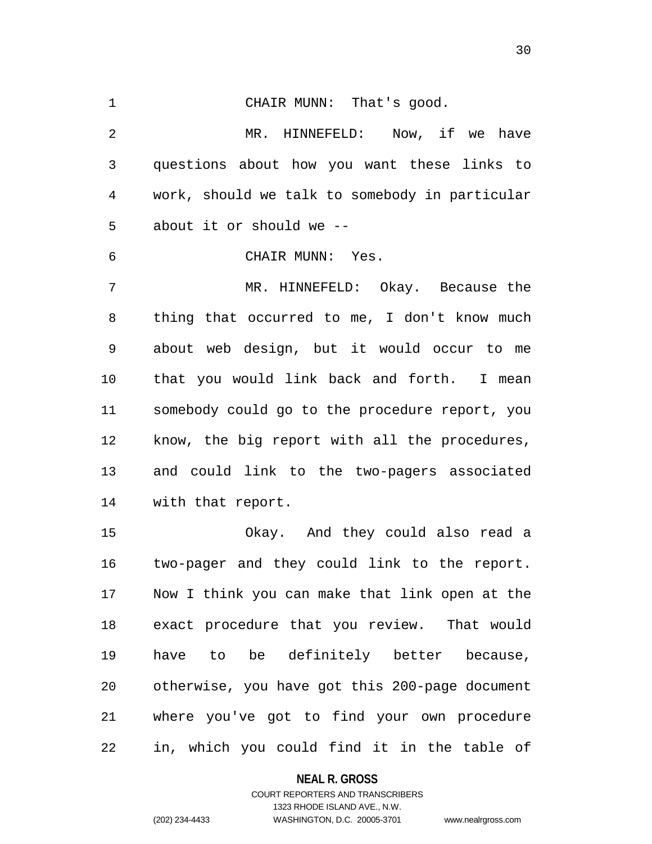CHAIR MUNN: That's good. MR. HINNEFELD: Now, if we have questions about how you want these links to work, should we talk to somebody in particular about it or should we -- CHAIR MUNN: Yes. MR. HINNEFELD: Okay. Because the thing that occurred to me, I don't know much about web design, but it would occur to me that you would link back and forth. I mean somebody could go to the procedure report, you know, the big report with all the procedures, and could link to the two-pagers associated with that report. Okay. And they could also read a

 two-pager and they could link to the report. Now I think you can make that link open at the exact procedure that you review. That would have to be definitely better because, otherwise, you have got this 200-page document where you've got to find your own procedure in, which you could find it in the table of

#### **NEAL R. GROSS**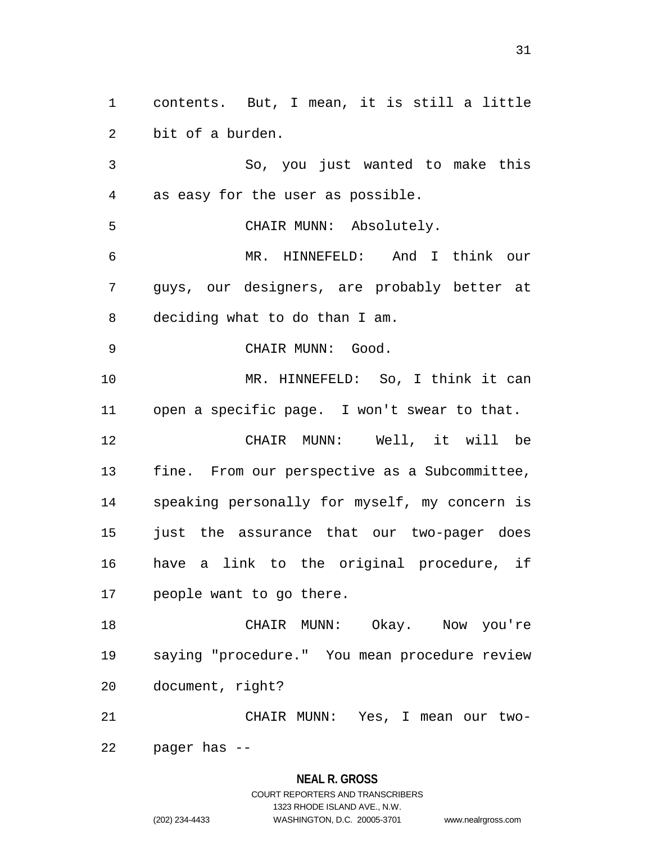contents. But, I mean, it is still a little bit of a burden. So, you just wanted to make this as easy for the user as possible. CHAIR MUNN: Absolutely. MR. HINNEFELD: And I think our guys, our designers, are probably better at deciding what to do than I am. 9 CHAIR MUNN: Good. MR. HINNEFELD: So, I think it can open a specific page. I won't swear to that. CHAIR MUNN: Well, it will be fine. From our perspective as a Subcommittee, speaking personally for myself, my concern is just the assurance that our two-pager does have a link to the original procedure, if people want to go there. CHAIR MUNN: Okay. Now you're saying "procedure." You mean procedure review document, right? CHAIR MUNN: Yes, I mean our two-

pager has --

#### **NEAL R. GROSS**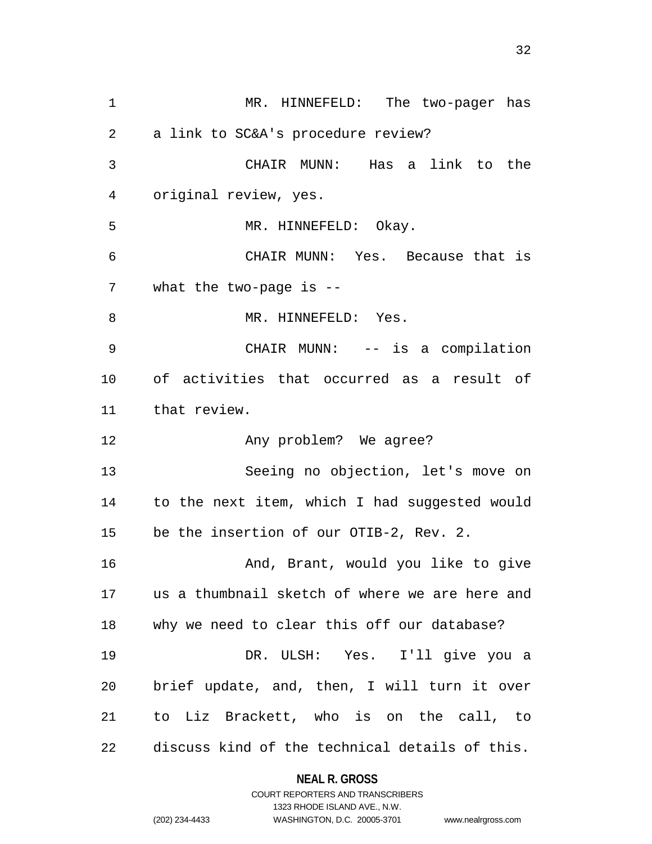MR. HINNEFELD: The two-pager has a link to SC&A's procedure review? CHAIR MUNN: Has a link to the original review, yes. MR. HINNEFELD: Okay. CHAIR MUNN: Yes. Because that is what the two-page is -- 8 MR. HINNEFELD: Yes. CHAIR MUNN: -- is a compilation of activities that occurred as a result of that review. 12 Any problem? We agree? Seeing no objection, let's move on to the next item, which I had suggested would be the insertion of our OTIB-2, Rev. 2. 16 And, Brant, would you like to give us a thumbnail sketch of where we are here and why we need to clear this off our database? DR. ULSH: Yes. I'll give you a brief update, and, then, I will turn it over to Liz Brackett, who is on the call, to discuss kind of the technical details of this.

# **NEAL R. GROSS** COURT REPORTERS AND TRANSCRIBERS

1323 RHODE ISLAND AVE., N.W.

(202) 234-4433 WASHINGTON, D.C. 20005-3701 www.nealrgross.com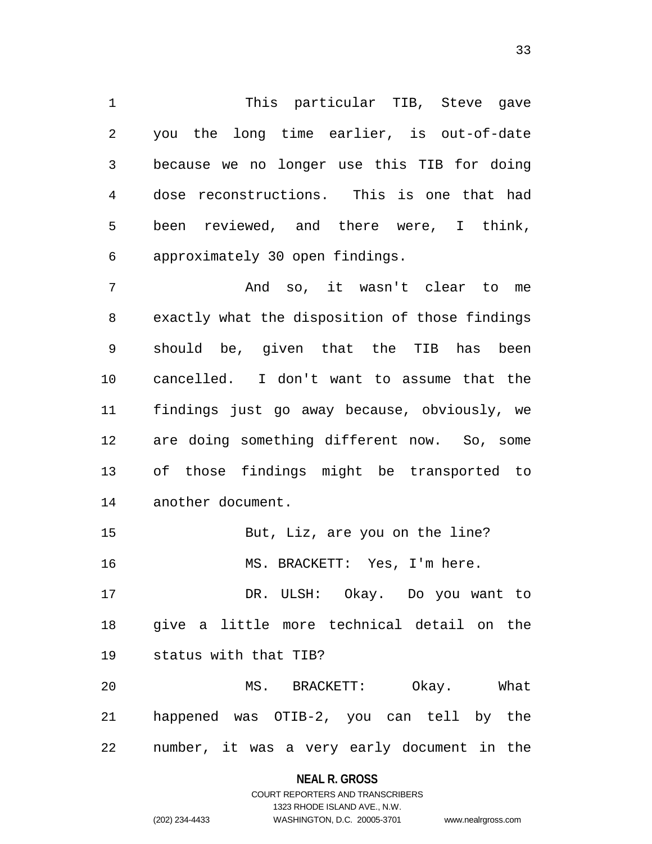This particular TIB, Steve gave you the long time earlier, is out-of-date because we no longer use this TIB for doing dose reconstructions. This is one that had been reviewed, and there were, I think, approximately 30 open findings.

 And so, it wasn't clear to me exactly what the disposition of those findings should be, given that the TIB has been cancelled. I don't want to assume that the findings just go away because, obviously, we are doing something different now. So, some of those findings might be transported to another document.

 But, Liz, are you on the line? 16 MS. BRACKETT: Yes, I'm here.

 DR. ULSH: Okay. Do you want to give a little more technical detail on the status with that TIB?

 MS. BRACKETT: Okay. What happened was OTIB-2, you can tell by the number, it was a very early document in the

**NEAL R. GROSS**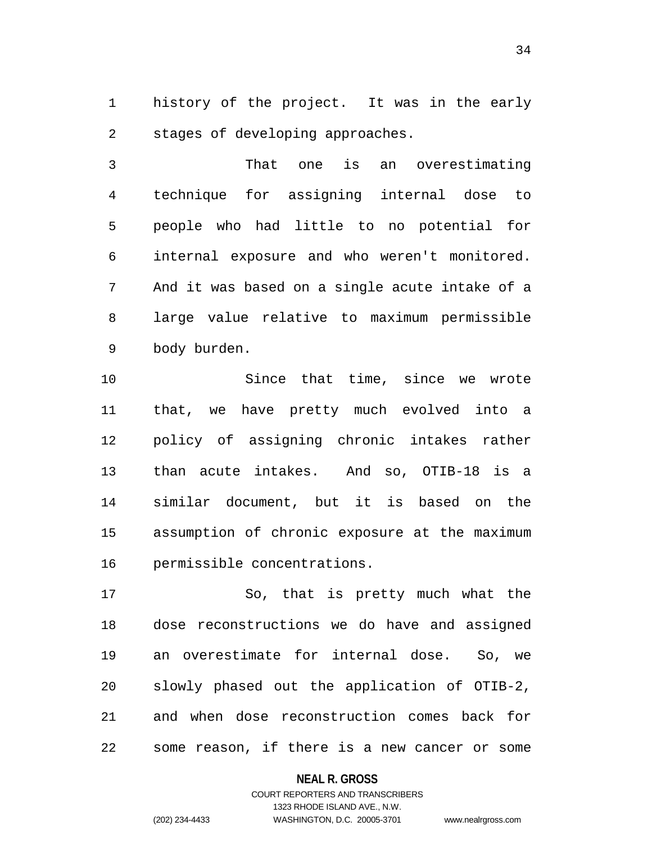history of the project. It was in the early stages of developing approaches.

 That one is an overestimating technique for assigning internal dose to people who had little to no potential for internal exposure and who weren't monitored. And it was based on a single acute intake of a large value relative to maximum permissible body burden.

 Since that time, since we wrote that, we have pretty much evolved into a policy of assigning chronic intakes rather than acute intakes. And so, OTIB-18 is a similar document, but it is based on the assumption of chronic exposure at the maximum permissible concentrations.

 So, that is pretty much what the dose reconstructions we do have and assigned an overestimate for internal dose. So, we slowly phased out the application of OTIB-2, and when dose reconstruction comes back for some reason, if there is a new cancer or some

#### **NEAL R. GROSS**

# COURT REPORTERS AND TRANSCRIBERS 1323 RHODE ISLAND AVE., N.W. (202) 234-4433 WASHINGTON, D.C. 20005-3701 www.nealrgross.com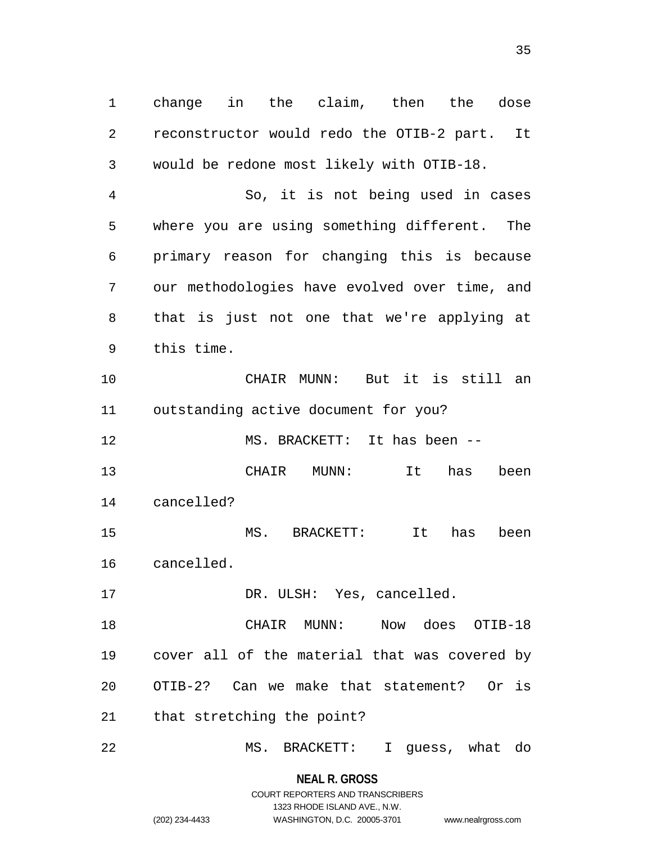change in the claim, then the dose reconstructor would redo the OTIB-2 part. It would be redone most likely with OTIB-18.

 So, it is not being used in cases where you are using something different. The primary reason for changing this is because our methodologies have evolved over time, and that is just not one that we're applying at this time.

 CHAIR MUNN: But it is still an outstanding active document for you?

MS. BRACKETT: It has been --

 CHAIR MUNN: It has been cancelled?

 MS. BRACKETT: It has been cancelled.

17 DR. ULSH: Yes, cancelled.

 CHAIR MUNN: Now does OTIB-18 cover all of the material that was covered by OTIB-2? Can we make that statement? Or is that stretching the point?

MS. BRACKETT: I guess, what do

**NEAL R. GROSS** COURT REPORTERS AND TRANSCRIBERS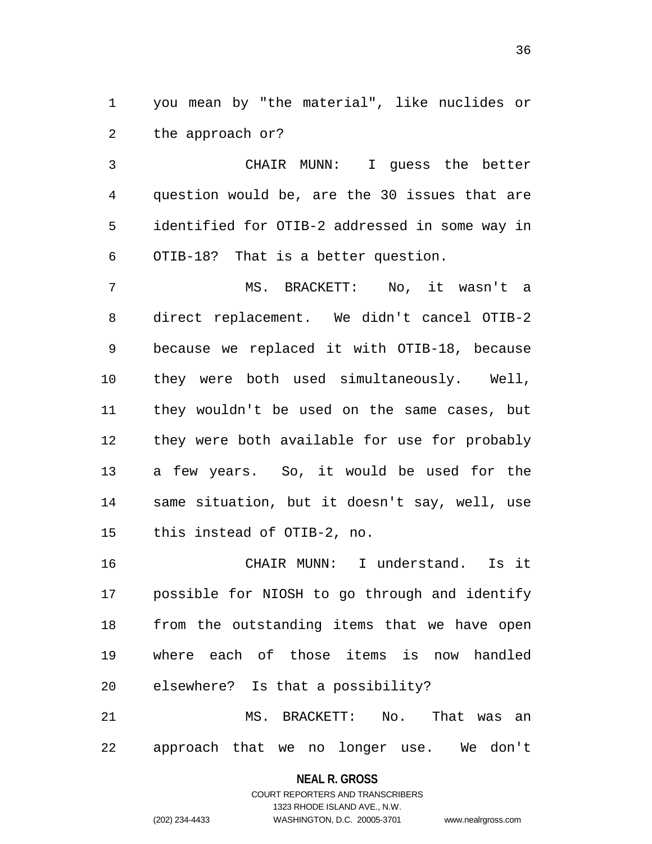you mean by "the material", like nuclides or the approach or?

 CHAIR MUNN: I guess the better question would be, are the 30 issues that are identified for OTIB-2 addressed in some way in OTIB-18? That is a better question.

 MS. BRACKETT: No, it wasn't a direct replacement. We didn't cancel OTIB-2 because we replaced it with OTIB-18, because they were both used simultaneously. Well, they wouldn't be used on the same cases, but they were both available for use for probably a few years. So, it would be used for the same situation, but it doesn't say, well, use this instead of OTIB-2, no.

 CHAIR MUNN: I understand. Is it possible for NIOSH to go through and identify from the outstanding items that we have open where each of those items is now handled elsewhere? Is that a possibility?

 MS. BRACKETT: No. That was an approach that we no longer use. We don't

#### **NEAL R. GROSS**

# COURT REPORTERS AND TRANSCRIBERS 1323 RHODE ISLAND AVE., N.W. (202) 234-4433 WASHINGTON, D.C. 20005-3701 www.nealrgross.com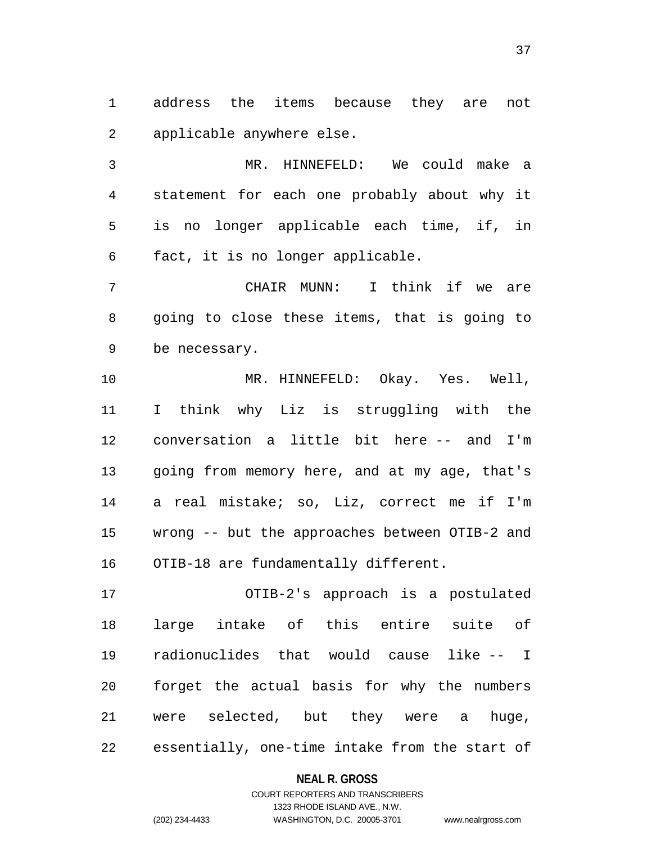address the items because they are not applicable anywhere else.

 MR. HINNEFELD: We could make a statement for each one probably about why it is no longer applicable each time, if, in fact, it is no longer applicable.

 CHAIR MUNN: I think if we are going to close these items, that is going to be necessary.

 MR. HINNEFELD: Okay. Yes. Well, I think why Liz is struggling with the conversation a little bit here -- and I'm going from memory here, and at my age, that's a real mistake; so, Liz, correct me if I'm wrong -- but the approaches between OTIB-2 and OTIB-18 are fundamentally different.

 OTIB-2's approach is a postulated large intake of this entire suite of radionuclides that would cause like -- I forget the actual basis for why the numbers were selected, but they were a huge, essentially, one-time intake from the start of

#### **NEAL R. GROSS**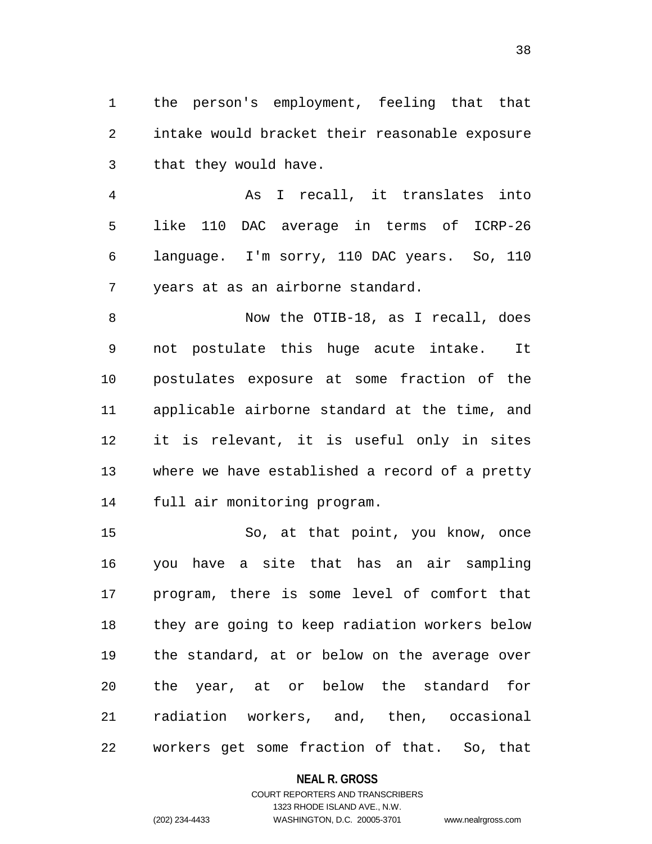the person's employment, feeling that that intake would bracket their reasonable exposure that they would have.

 As I recall, it translates into like 110 DAC average in terms of ICRP-26 language. I'm sorry, 110 DAC years. So, 110 years at as an airborne standard.

 Now the OTIB-18, as I recall, does not postulate this huge acute intake. It postulates exposure at some fraction of the applicable airborne standard at the time, and it is relevant, it is useful only in sites where we have established a record of a pretty full air monitoring program.

 So, at that point, you know, once you have a site that has an air sampling program, there is some level of comfort that they are going to keep radiation workers below the standard, at or below on the average over the year, at or below the standard for radiation workers, and, then, occasional workers get some fraction of that. So, that

#### **NEAL R. GROSS**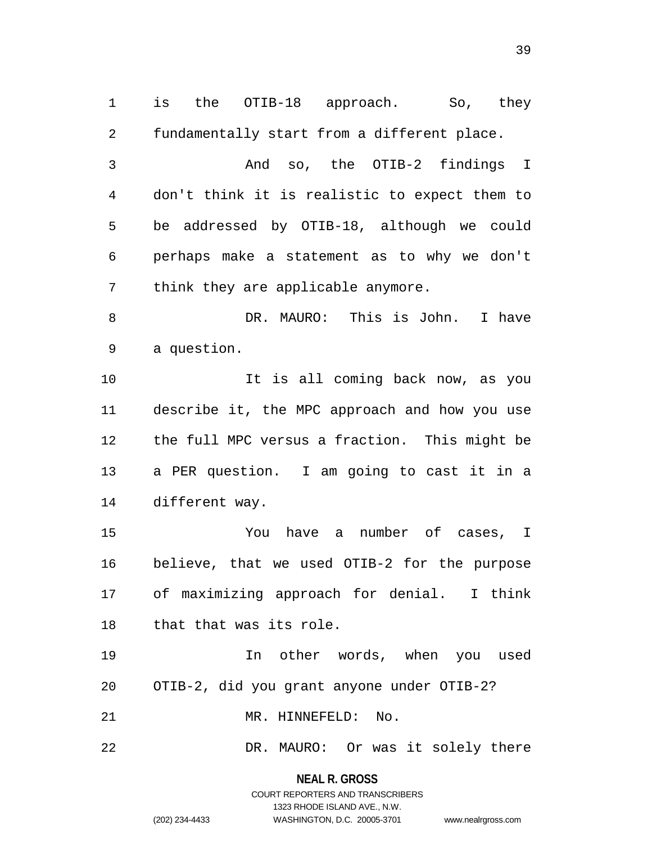is the OTIB-18 approach. So, they fundamentally start from a different place. And so, the OTIB-2 findings I don't think it is realistic to expect them to be addressed by OTIB-18, although we could perhaps make a statement as to why we don't think they are applicable anymore. DR. MAURO: This is John. I have a question. It is all coming back now, as you describe it, the MPC approach and how you use the full MPC versus a fraction. This might be a PER question. I am going to cast it in a different way. You have a number of cases, I believe, that we used OTIB-2 for the purpose of maximizing approach for denial. I think that that was its role. In other words, when you used OTIB-2, did you grant anyone under OTIB-2? MR. HINNEFELD: No. DR. MAURO: Or was it solely there

> **NEAL R. GROSS** COURT REPORTERS AND TRANSCRIBERS 1323 RHODE ISLAND AVE., N.W. (202) 234-4433 WASHINGTON, D.C. 20005-3701 www.nealrgross.com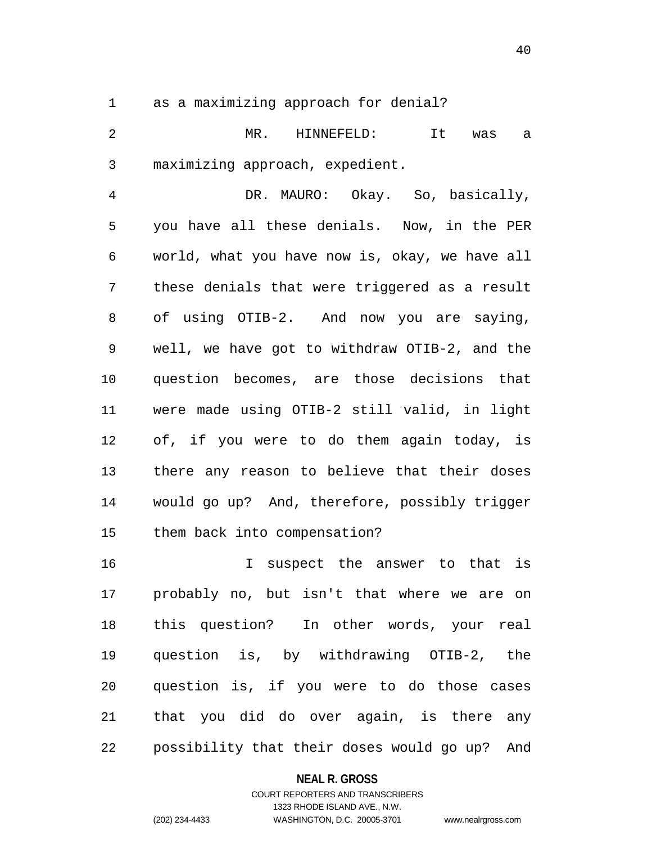as a maximizing approach for denial?

 MR. HINNEFELD: It was a maximizing approach, expedient.

 DR. MAURO: Okay. So, basically, you have all these denials. Now, in the PER world, what you have now is, okay, we have all these denials that were triggered as a result of using OTIB-2. And now you are saying, well, we have got to withdraw OTIB-2, and the question becomes, are those decisions that were made using OTIB-2 still valid, in light of, if you were to do them again today, is there any reason to believe that their doses would go up? And, therefore, possibly trigger them back into compensation?

 I suspect the answer to that is probably no, but isn't that where we are on this question? In other words, your real question is, by withdrawing OTIB-2, the question is, if you were to do those cases that you did do over again, is there any possibility that their doses would go up? And

#### **NEAL R. GROSS**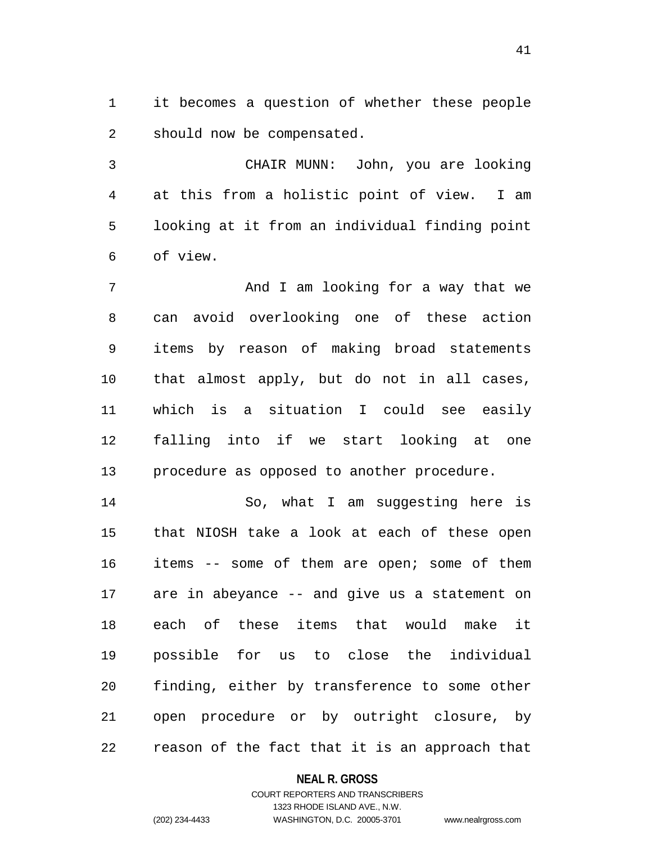it becomes a question of whether these people should now be compensated.

 CHAIR MUNN: John, you are looking at this from a holistic point of view. I am looking at it from an individual finding point of view.

7 And I am looking for a way that we can avoid overlooking one of these action items by reason of making broad statements that almost apply, but do not in all cases, which is a situation I could see easily falling into if we start looking at one procedure as opposed to another procedure.

 So, what I am suggesting here is that NIOSH take a look at each of these open items -- some of them are open; some of them are in abeyance -- and give us a statement on each of these items that would make it possible for us to close the individual finding, either by transference to some other open procedure or by outright closure, by reason of the fact that it is an approach that

#### **NEAL R. GROSS**

# COURT REPORTERS AND TRANSCRIBERS 1323 RHODE ISLAND AVE., N.W. (202) 234-4433 WASHINGTON, D.C. 20005-3701 www.nealrgross.com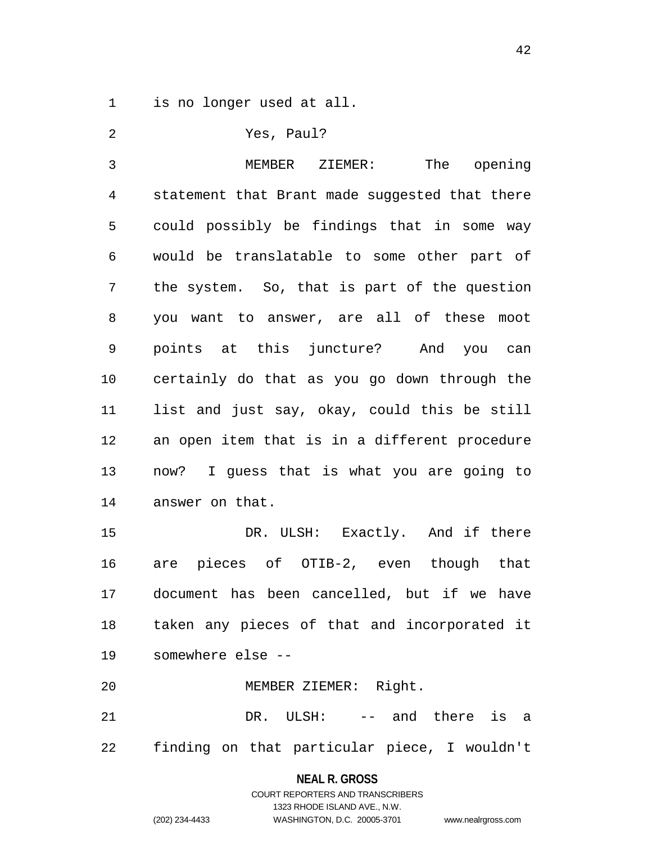is no longer used at all.

 Yes, Paul? MEMBER ZIEMER: The opening statement that Brant made suggested that there could possibly be findings that in some way would be translatable to some other part of the system. So, that is part of the question you want to answer, are all of these moot points at this juncture? And you can certainly do that as you go down through the list and just say, okay, could this be still an open item that is in a different procedure now? I guess that is what you are going to answer on that. 15 DR. ULSH: Exactly. And if there are pieces of OTIB-2, even though that document has been cancelled, but if we have taken any pieces of that and incorporated it somewhere else -- MEMBER ZIEMER: Right. DR. ULSH: -- and there is a

finding on that particular piece, I wouldn't

#### **NEAL R. GROSS**

COURT REPORTERS AND TRANSCRIBERS 1323 RHODE ISLAND AVE., N.W. (202) 234-4433 WASHINGTON, D.C. 20005-3701 www.nealrgross.com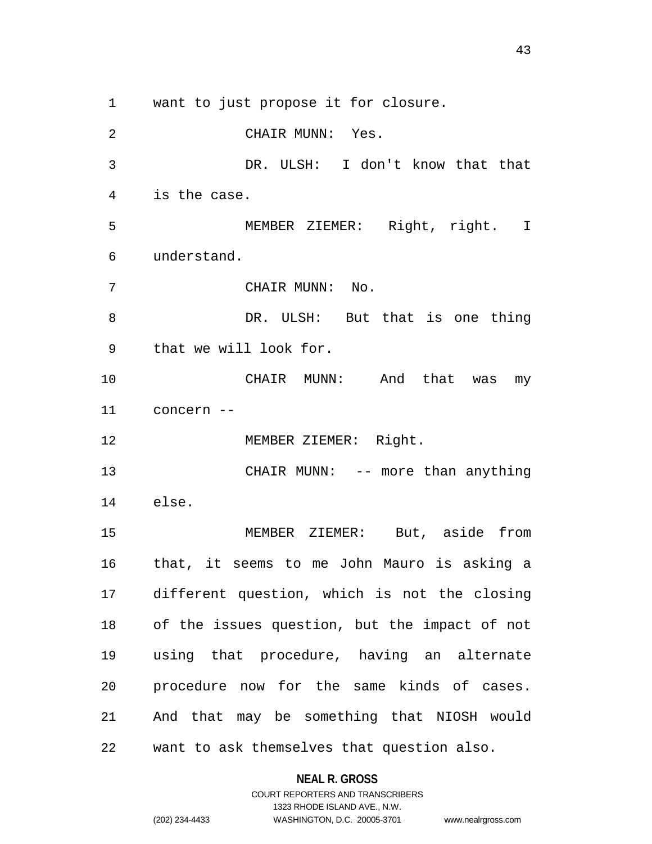want to just propose it for closure.

 CHAIR MUNN: Yes. DR. ULSH: I don't know that that is the case. MEMBER ZIEMER: Right, right. I understand. CHAIR MUNN: No. DR. ULSH: But that is one thing that we will look for. CHAIR MUNN: And that was my concern -- 12 MEMBER ZIEMER: Right. 13 CHAIR MUNN: -- more than anything else. MEMBER ZIEMER: But, aside from that, it seems to me John Mauro is asking a different question, which is not the closing of the issues question, but the impact of not using that procedure, having an alternate procedure now for the same kinds of cases. And that may be something that NIOSH would want to ask themselves that question also.

### **NEAL R. GROSS**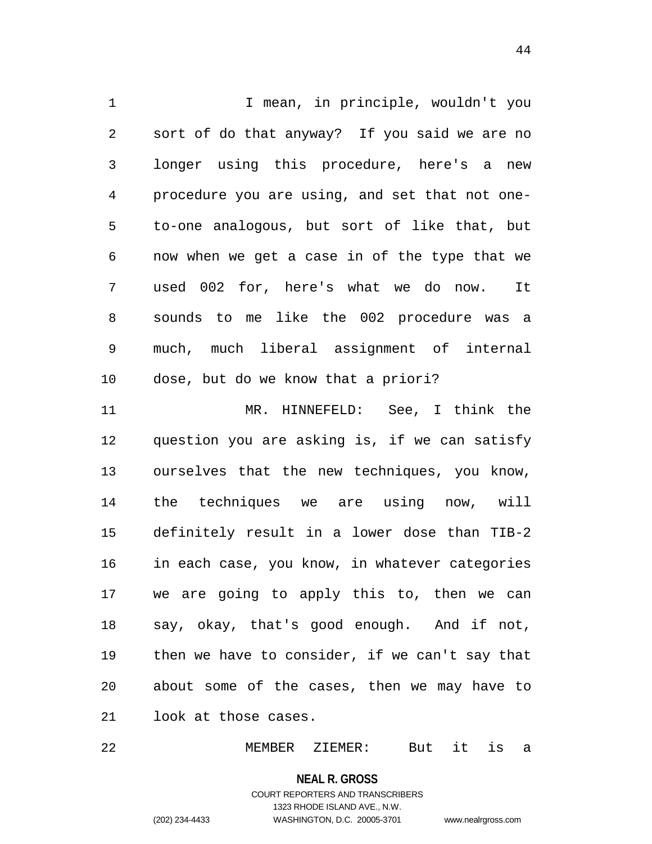1 I mean, in principle, wouldn't you sort of do that anyway? If you said we are no longer using this procedure, here's a new procedure you are using, and set that not one- to-one analogous, but sort of like that, but now when we get a case in of the type that we used 002 for, here's what we do now. It sounds to me like the 002 procedure was a much, much liberal assignment of internal dose, but do we know that a priori? MR. HINNEFELD: See, I think the question you are asking is, if we can satisfy ourselves that the new techniques, you know, the techniques we are using now, will definitely result in a lower dose than TIB-2 in each case, you know, in whatever categories we are going to apply this to, then we can say, okay, that's good enough. And if not, then we have to consider, if we can't say that about some of the cases, then we may have to look at those cases.

MEMBER ZIEMER: But it is a

**NEAL R. GROSS** COURT REPORTERS AND TRANSCRIBERS 1323 RHODE ISLAND AVE., N.W. (202) 234-4433 WASHINGTON, D.C. 20005-3701 www.nealrgross.com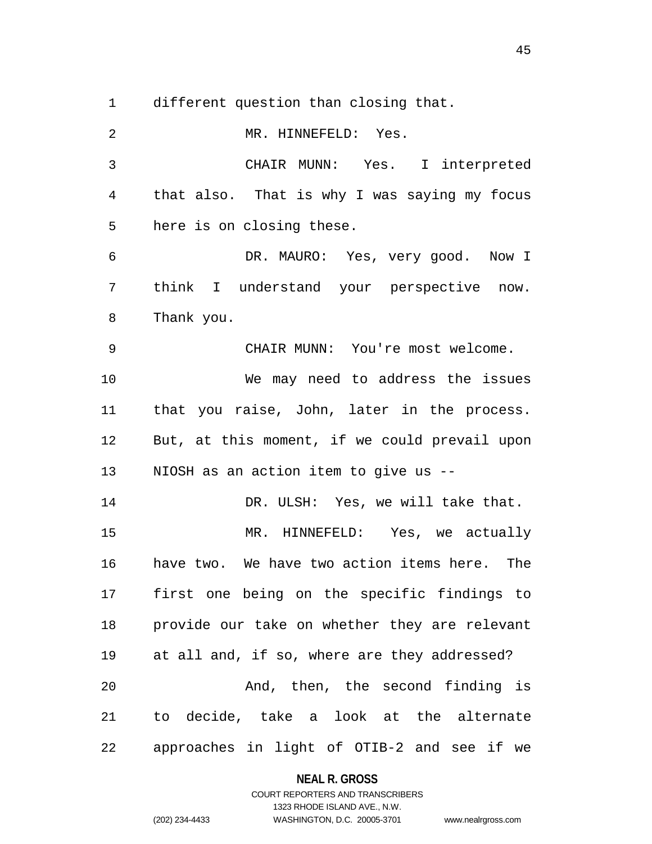different question than closing that.

 MR. HINNEFELD: Yes. CHAIR MUNN: Yes. I interpreted that also. That is why I was saying my focus here is on closing these. DR. MAURO: Yes, very good. Now I think I understand your perspective now. Thank you. CHAIR MUNN: You're most welcome. We may need to address the issues that you raise, John, later in the process. But, at this moment, if we could prevail upon NIOSH as an action item to give us -- DR. ULSH: Yes, we will take that. MR. HINNEFELD: Yes, we actually have two. We have two action items here. The first one being on the specific findings to provide our take on whether they are relevant at all and, if so, where are they addressed? And, then, the second finding is to decide, take a look at the alternate approaches in light of OTIB-2 and see if we

> **NEAL R. GROSS** COURT REPORTERS AND TRANSCRIBERS

> > 1323 RHODE ISLAND AVE., N.W.

(202) 234-4433 WASHINGTON, D.C. 20005-3701 www.nealrgross.com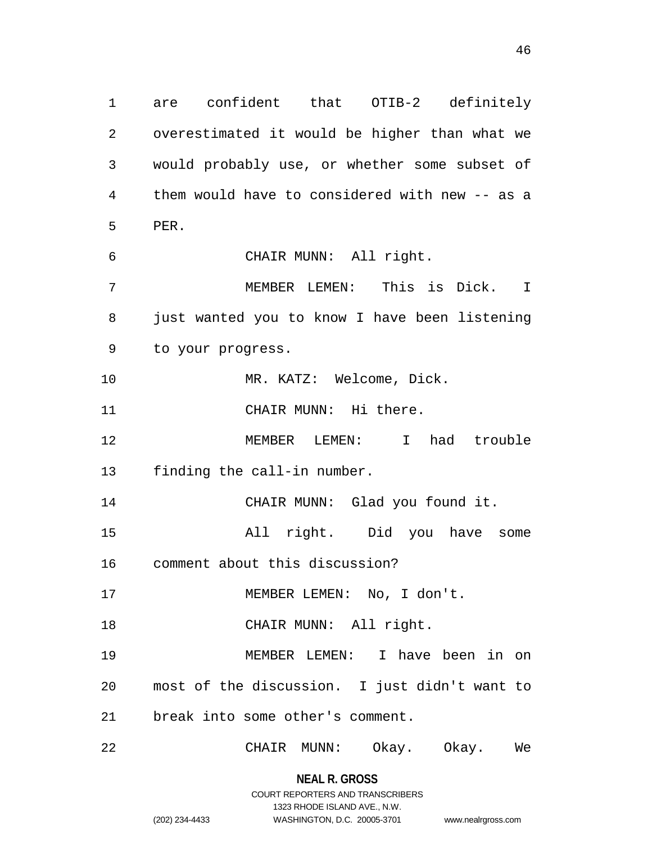are confident that OTIB-2 definitely overestimated it would be higher than what we would probably use, or whether some subset of them would have to considered with new -- as a PER. CHAIR MUNN: All right. MEMBER LEMEN: This is Dick. I just wanted you to know I have been listening to your progress. 10 MR. KATZ: Welcome, Dick. CHAIR MUNN: Hi there. MEMBER LEMEN: I had trouble finding the call-in number. CHAIR MUNN: Glad you found it. All right. Did you have some comment about this discussion? 17 MEMBER LEMEN: No, I don't. 18 CHAIR MUNN: All right. MEMBER LEMEN: I have been in on most of the discussion. I just didn't want to break into some other's comment. CHAIR MUNN: Okay. Okay. We

> **NEAL R. GROSS** COURT REPORTERS AND TRANSCRIBERS

> > 1323 RHODE ISLAND AVE., N.W.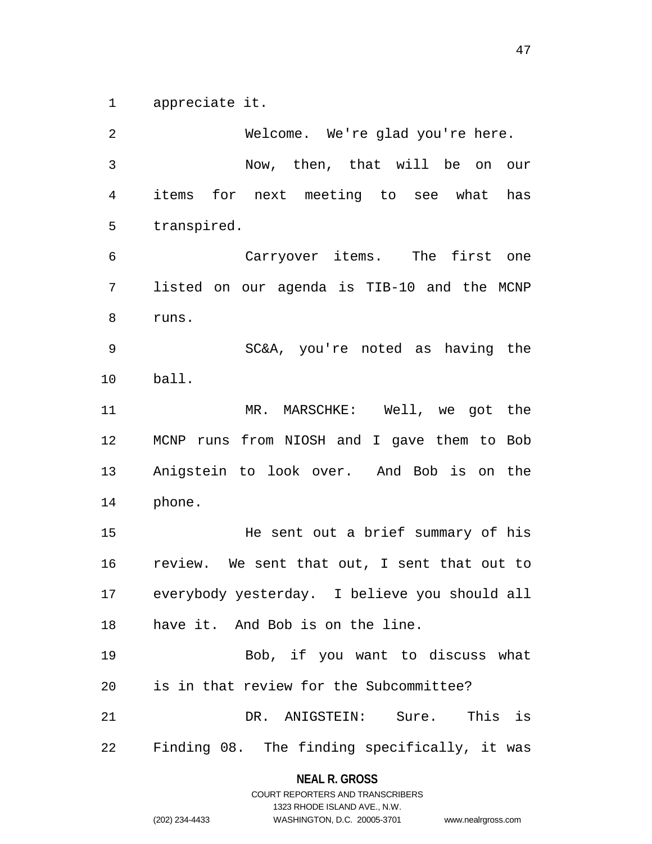appreciate it.

 Welcome. We're glad you're here. Now, then, that will be on our items for next meeting to see what has transpired. Carryover items. The first one listed on our agenda is TIB-10 and the MCNP runs. SC&A, you're noted as having the ball. MR. MARSCHKE: Well, we got the MCNP runs from NIOSH and I gave them to Bob Anigstein to look over. And Bob is on the phone. He sent out a brief summary of his review. We sent that out, I sent that out to everybody yesterday. I believe you should all have it. And Bob is on the line. Bob, if you want to discuss what is in that review for the Subcommittee? DR. ANIGSTEIN: Sure. This is Finding 08. The finding specifically, it was

# **NEAL R. GROSS** COURT REPORTERS AND TRANSCRIBERS

1323 RHODE ISLAND AVE., N.W.

(202) 234-4433 WASHINGTON, D.C. 20005-3701 www.nealrgross.com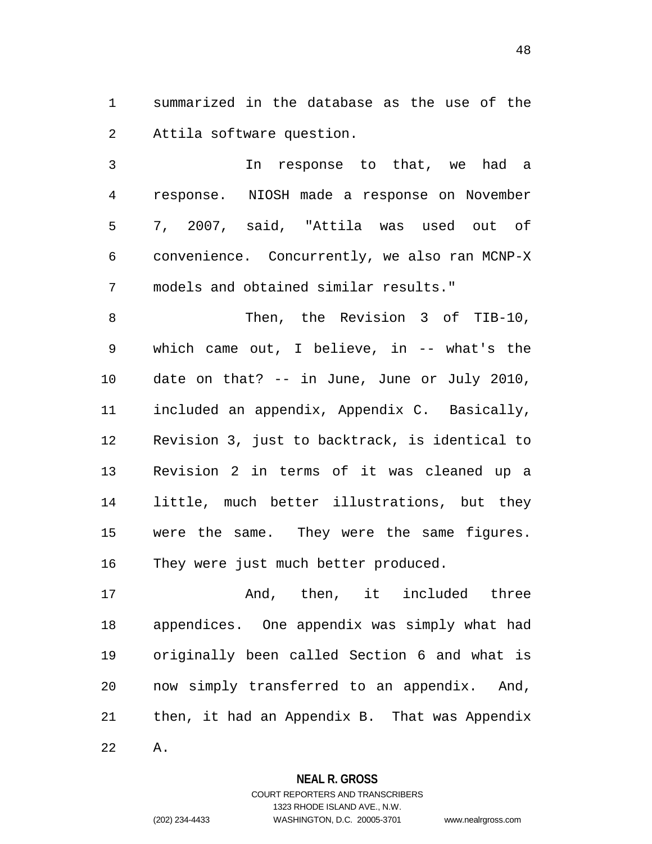summarized in the database as the use of the Attila software question.

 In response to that, we had a response. NIOSH made a response on November 7, 2007, said, "Attila was used out of convenience. Concurrently, we also ran MCNP-X models and obtained similar results."

 Then, the Revision 3 of TIB-10, which came out, I believe, in -- what's the date on that? -- in June, June or July 2010, included an appendix, Appendix C. Basically, Revision 3, just to backtrack, is identical to Revision 2 in terms of it was cleaned up a little, much better illustrations, but they were the same. They were the same figures. They were just much better produced.

 And, then, it included three appendices. One appendix was simply what had originally been called Section 6 and what is now simply transferred to an appendix. And, then, it had an Appendix B. That was Appendix A.

### **NEAL R. GROSS**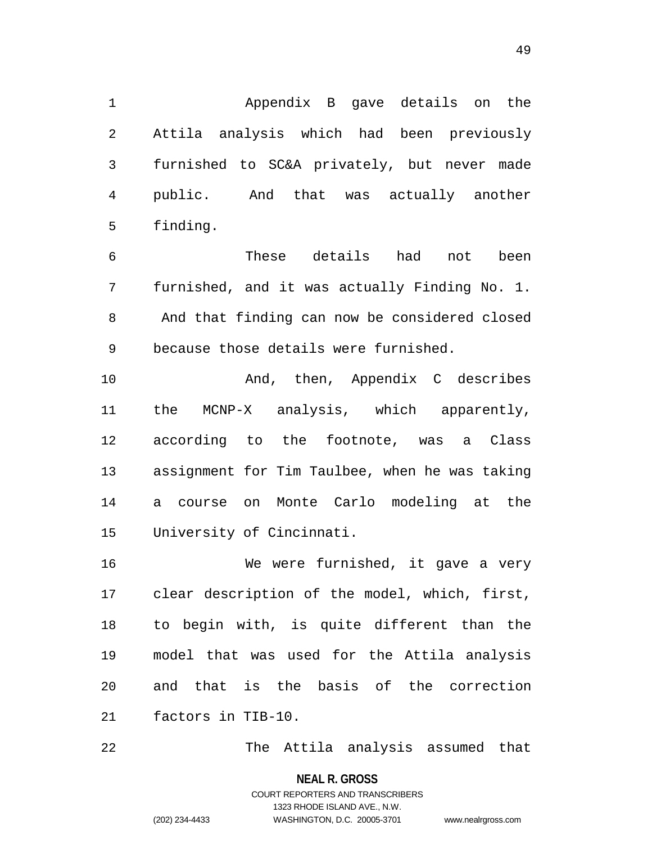Appendix B gave details on the Attila analysis which had been previously furnished to SC&A privately, but never made public. And that was actually another finding.

 These details had not been furnished, and it was actually Finding No. 1. And that finding can now be considered closed because those details were furnished.

 And, then, Appendix C describes the MCNP-X analysis, which apparently, according to the footnote, was a Class assignment for Tim Taulbee, when he was taking a course on Monte Carlo modeling at the University of Cincinnati.

 We were furnished, it gave a very clear description of the model, which, first, to begin with, is quite different than the model that was used for the Attila analysis and that is the basis of the correction factors in TIB-10.

The Attila analysis assumed that

```
49
```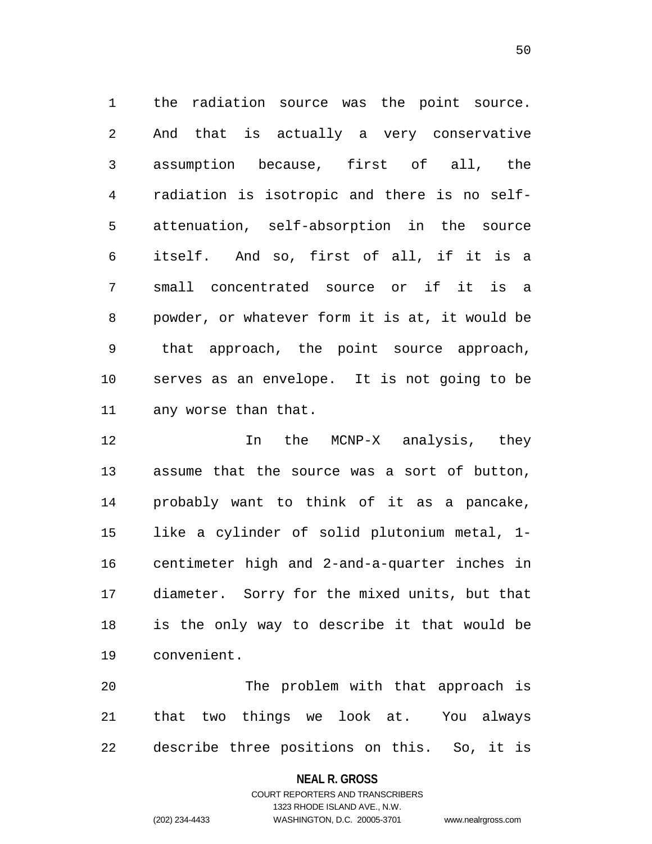the radiation source was the point source. And that is actually a very conservative assumption because, first of all, the radiation is isotropic and there is no self- attenuation, self-absorption in the source itself. And so, first of all, if it is a small concentrated source or if it is a powder, or whatever form it is at, it would be that approach, the point source approach, serves as an envelope. It is not going to be any worse than that.

12 12 In the MCNP-X analysis, they assume that the source was a sort of button, probably want to think of it as a pancake, like a cylinder of solid plutonium metal, 1- centimeter high and 2-and-a-quarter inches in diameter. Sorry for the mixed units, but that is the only way to describe it that would be convenient.

 The problem with that approach is that two things we look at. You always describe three positions on this. So, it is

#### **NEAL R. GROSS**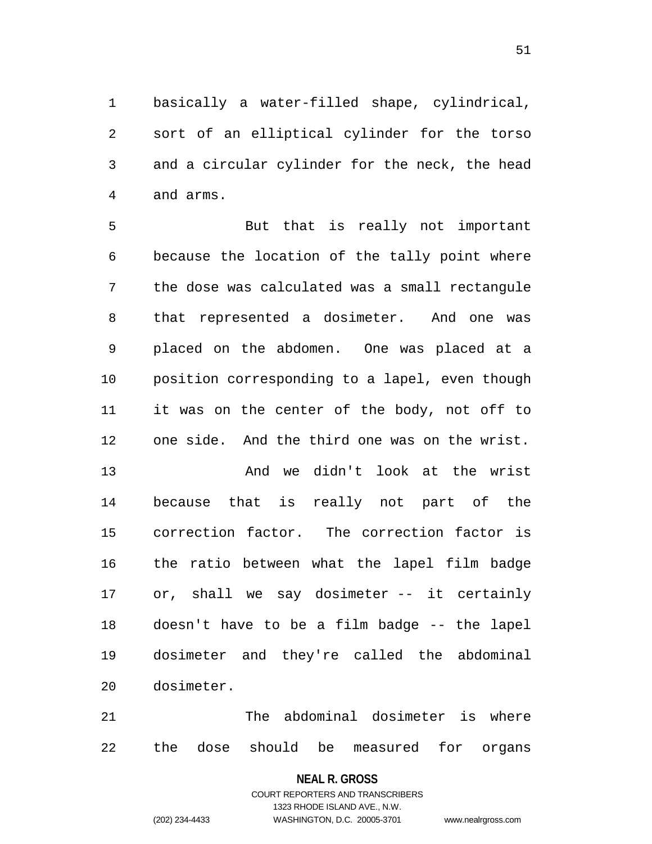basically a water-filled shape, cylindrical, sort of an elliptical cylinder for the torso and a circular cylinder for the neck, the head and arms.

 But that is really not important because the location of the tally point where the dose was calculated was a small rectangule that represented a dosimeter. And one was placed on the abdomen. One was placed at a position corresponding to a lapel, even though it was on the center of the body, not off to one side. And the third one was on the wrist.

 And we didn't look at the wrist because that is really not part of the correction factor. The correction factor is the ratio between what the lapel film badge or, shall we say dosimeter -- it certainly doesn't have to be a film badge -- the lapel dosimeter and they're called the abdominal dosimeter.

 The abdominal dosimeter is where the dose should be measured for organs

#### **NEAL R. GROSS**

# COURT REPORTERS AND TRANSCRIBERS 1323 RHODE ISLAND AVE., N.W. (202) 234-4433 WASHINGTON, D.C. 20005-3701 www.nealrgross.com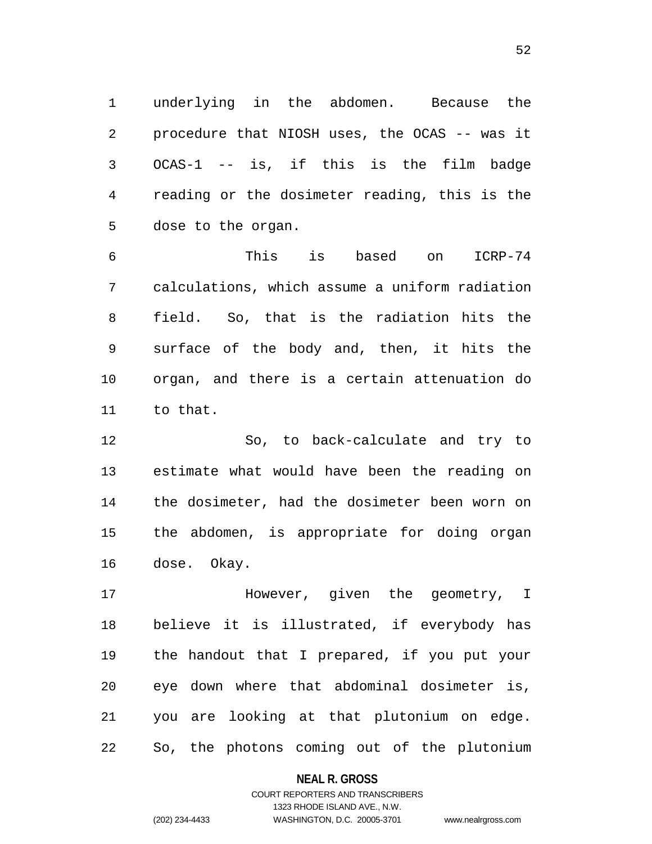underlying in the abdomen. Because the procedure that NIOSH uses, the OCAS -- was it OCAS-1 -- is, if this is the film badge reading or the dosimeter reading, this is the dose to the organ.

 This is based on ICRP-74 calculations, which assume a uniform radiation field. So, that is the radiation hits the surface of the body and, then, it hits the organ, and there is a certain attenuation do to that.

 So, to back-calculate and try to estimate what would have been the reading on the dosimeter, had the dosimeter been worn on the abdomen, is appropriate for doing organ dose. Okay.

 However, given the geometry, I believe it is illustrated, if everybody has the handout that I prepared, if you put your eye down where that abdominal dosimeter is, you are looking at that plutonium on edge. So, the photons coming out of the plutonium

**NEAL R. GROSS**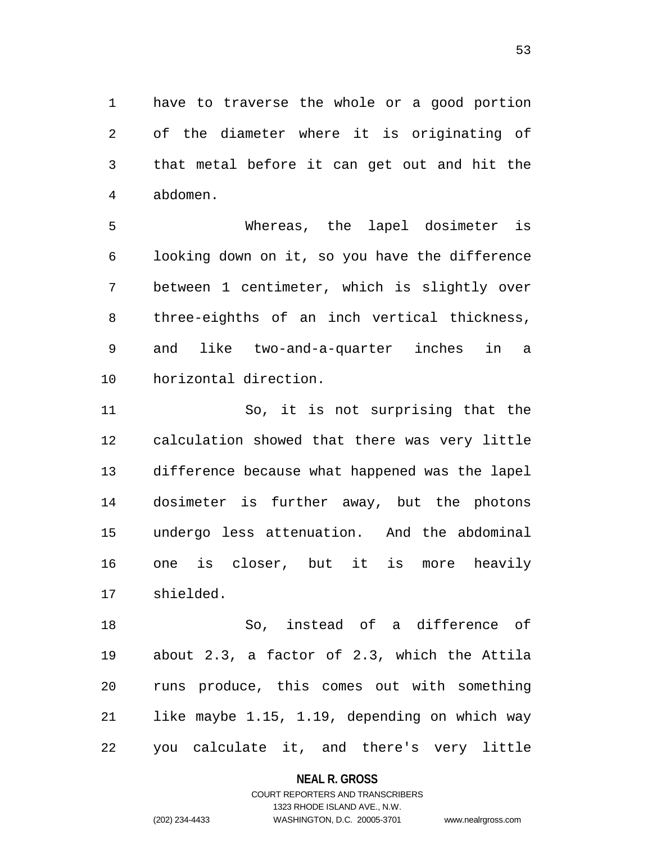have to traverse the whole or a good portion of the diameter where it is originating of that metal before it can get out and hit the abdomen.

 Whereas, the lapel dosimeter is looking down on it, so you have the difference between 1 centimeter, which is slightly over three-eighths of an inch vertical thickness, and like two-and-a-quarter inches in a horizontal direction.

 So, it is not surprising that the calculation showed that there was very little difference because what happened was the lapel dosimeter is further away, but the photons undergo less attenuation. And the abdominal one is closer, but it is more heavily shielded.

 So, instead of a difference of about 2.3, a factor of 2.3, which the Attila runs produce, this comes out with something like maybe 1.15, 1.19, depending on which way you calculate it, and there's very little

**NEAL R. GROSS**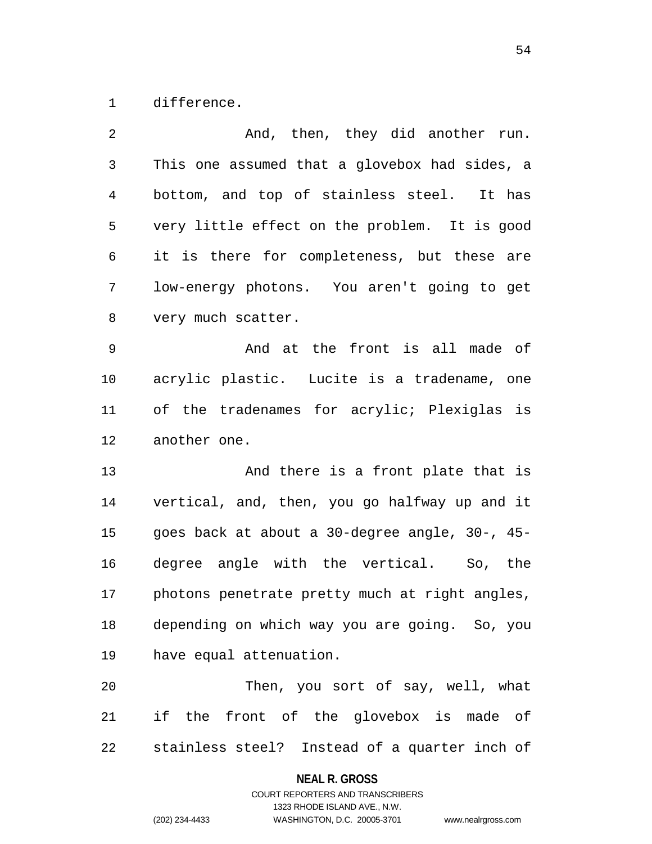difference.

| 2  | And, then, they did another run.               |
|----|------------------------------------------------|
| 3  | This one assumed that a glovebox had sides, a  |
| 4  | bottom, and top of stainless steel. It has     |
| 5  | very little effect on the problem. It is good  |
| 6  | it is there for completeness, but these are    |
| 7  | low-energy photons. You aren't going to get    |
| 8  | very much scatter.                             |
| 9  | And at the front is all made of                |
| 10 | acrylic plastic. Lucite is a tradename, one    |
| 11 | of the tradenames for acrylic; Plexiglas is    |
| 12 | another one.                                   |
| 13 | And there is a front plate that is             |
| 14 | vertical, and, then, you go halfway up and it  |
| 15 | goes back at about a 30-degree angle, 30-, 45- |
| 16 | degree angle with the vertical. So, the        |
| 17 | photons penetrate pretty much at right angles, |
| 18 | depending on which way you are going. So, you  |
| 19 | have equal attenuation.                        |
| 20 | Then, you sort of say, well, what              |
| 21 | if the front of the glovebox is made of        |
| 22 | stainless steel? Instead of a quarter inch of  |

**NEAL R. GROSS**

# COURT REPORTERS AND TRANSCRIBERS 1323 RHODE ISLAND AVE., N.W. (202) 234-4433 WASHINGTON, D.C. 20005-3701 www.nealrgross.com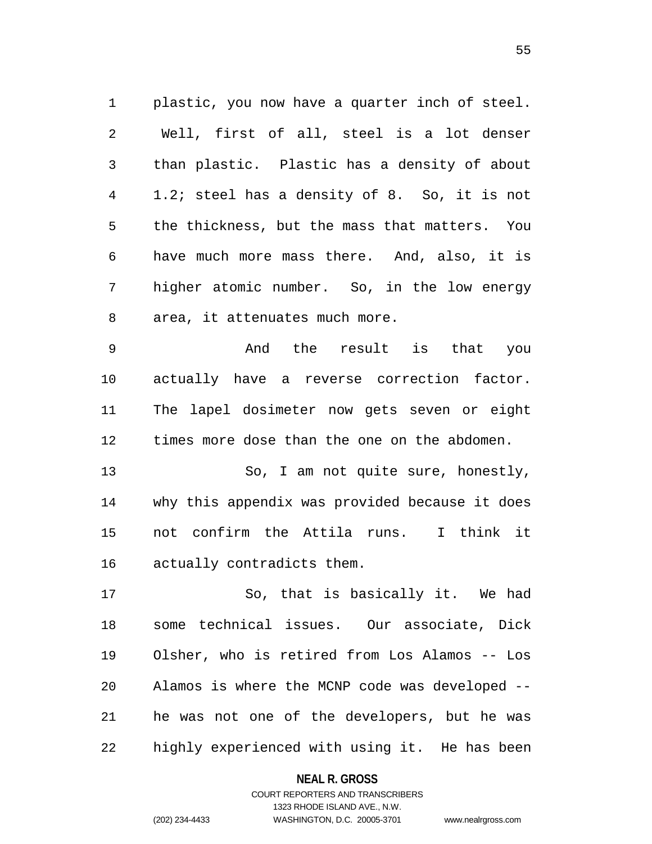plastic, you now have a quarter inch of steel. Well, first of all, steel is a lot denser than plastic. Plastic has a density of about 1.2; steel has a density of 8. So, it is not the thickness, but the mass that matters. You have much more mass there. And, also, it is higher atomic number. So, in the low energy area, it attenuates much more.

 And the result is that you actually have a reverse correction factor. The lapel dosimeter now gets seven or eight times more dose than the one on the abdomen.

13 So, I am not quite sure, honestly, why this appendix was provided because it does not confirm the Attila runs. I think it actually contradicts them.

 So, that is basically it. We had some technical issues. Our associate, Dick Olsher, who is retired from Los Alamos -- Los Alamos is where the MCNP code was developed -- he was not one of the developers, but he was highly experienced with using it. He has been

#### **NEAL R. GROSS**

# COURT REPORTERS AND TRANSCRIBERS 1323 RHODE ISLAND AVE., N.W. (202) 234-4433 WASHINGTON, D.C. 20005-3701 www.nealrgross.com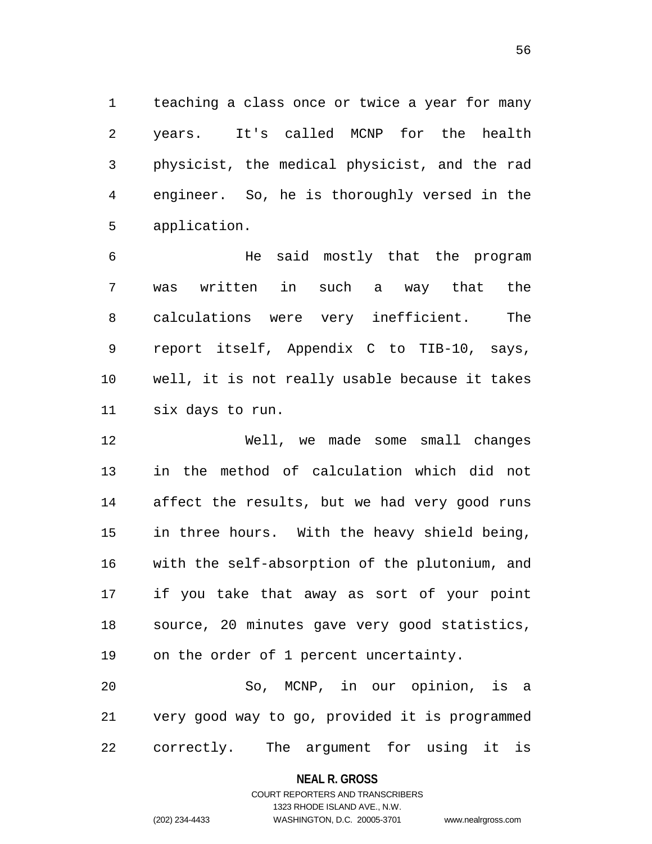teaching a class once or twice a year for many years. It's called MCNP for the health physicist, the medical physicist, and the rad engineer. So, he is thoroughly versed in the application.

 He said mostly that the program was written in such a way that the calculations were very inefficient. The report itself, Appendix C to TIB-10, says, well, it is not really usable because it takes six days to run.

 Well, we made some small changes in the method of calculation which did not affect the results, but we had very good runs in three hours. With the heavy shield being, with the self-absorption of the plutonium, and if you take that away as sort of your point source, 20 minutes gave very good statistics, on the order of 1 percent uncertainty.

 So, MCNP, in our opinion, is a very good way to go, provided it is programmed correctly. The argument for using it is

**NEAL R. GROSS**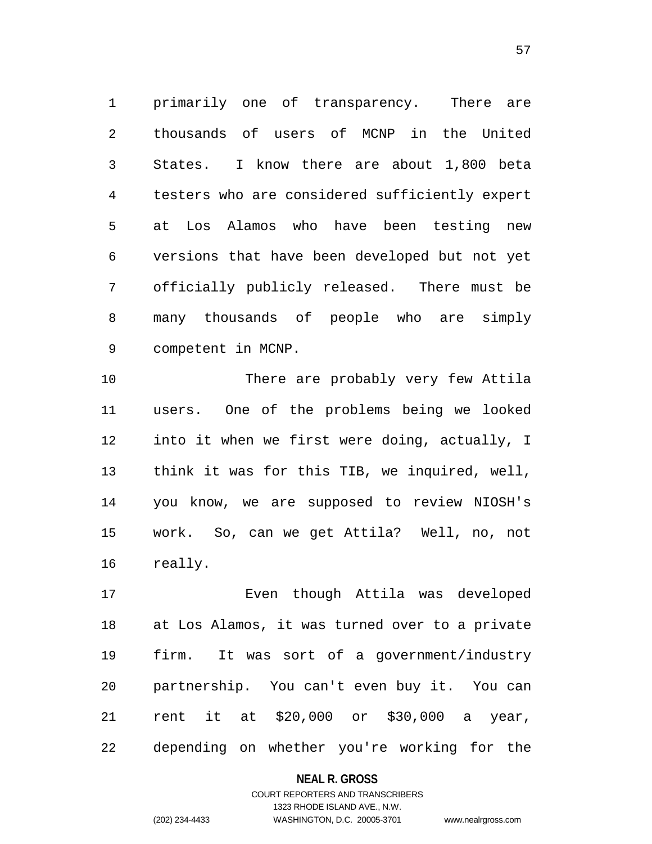primarily one of transparency. There are thousands of users of MCNP in the United States. I know there are about 1,800 beta testers who are considered sufficiently expert at Los Alamos who have been testing new versions that have been developed but not yet officially publicly released. There must be many thousands of people who are simply competent in MCNP.

 There are probably very few Attila users. One of the problems being we looked into it when we first were doing, actually, I think it was for this TIB, we inquired, well, you know, we are supposed to review NIOSH's work. So, can we get Attila? Well, no, not really.

 Even though Attila was developed at Los Alamos, it was turned over to a private firm. It was sort of a government/industry partnership. You can't even buy it. You can rent it at \$20,000 or \$30,000 a year, depending on whether you're working for the

#### **NEAL R. GROSS**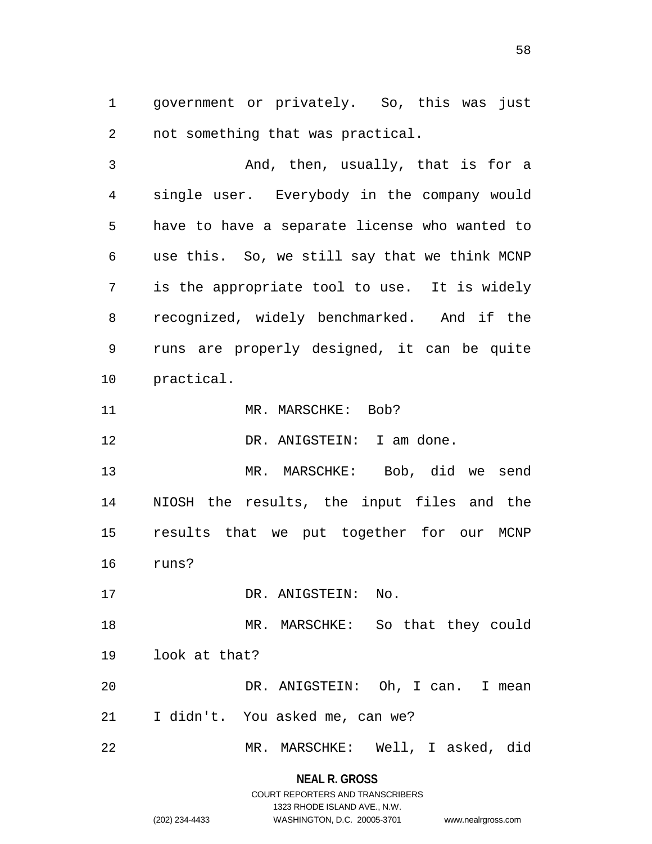government or privately. So, this was just not something that was practical.

 And, then, usually, that is for a single user. Everybody in the company would have to have a separate license who wanted to use this. So, we still say that we think MCNP is the appropriate tool to use. It is widely recognized, widely benchmarked. And if the runs are properly designed, it can be quite practical.

11 MR. MARSCHKE: Bob?

12 DR. ANIGSTEIN: I am done.

 MR. MARSCHKE: Bob, did we send NIOSH the results, the input files and the results that we put together for our MCNP runs?

17 DR. ANIGSTEIN: No.

 MR. MARSCHKE: So that they could look at that? DR. ANIGSTEIN: Oh, I can. I mean

- I didn't. You asked me, can we?
- MR. MARSCHKE: Well, I asked, did

### **NEAL R. GROSS**

# COURT REPORTERS AND TRANSCRIBERS 1323 RHODE ISLAND AVE., N.W. (202) 234-4433 WASHINGTON, D.C. 20005-3701 www.nealrgross.com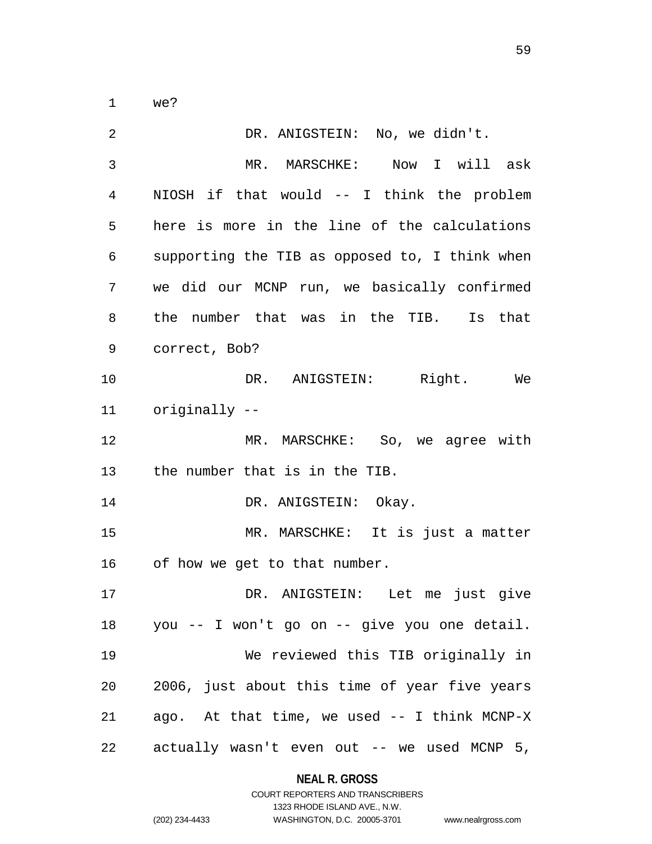we?

| 2  | DR. ANIGSTEIN: No, we didn't.                   |
|----|-------------------------------------------------|
| 3  | MR. MARSCHKE: Now I will ask                    |
| 4  | NIOSH if that would -- I think the problem      |
| 5  | here is more in the line of the calculations    |
| 6  | supporting the TIB as opposed to, I think when  |
| 7  | we did our MCNP run, we basically confirmed     |
| 8  | the number that was in the TIB. Is that         |
| 9  | correct, Bob?                                   |
| 10 | DR. ANIGSTEIN: Right. We                        |
| 11 | originally --                                   |
| 12 | MR. MARSCHKE: So, we agree with                 |
| 13 | the number that is in the TIB.                  |
| 14 | DR. ANIGSTEIN: Okay.                            |
| 15 | MR. MARSCHKE: It is just a matter               |
| 16 | of how we get to that number.                   |
| 17 | DR. ANIGSTEIN: Let me just give                 |
|    | 18 you -- I won't go on -- give you one detail. |
| 19 | We reviewed this TIB originally in              |
| 20 | 2006, just about this time of year five years   |
| 21 | ago. At that time, we used -- I think MCNP-X    |
| 22 | actually wasn't even out -- we used MCNP 5,     |

**NEAL R. GROSS**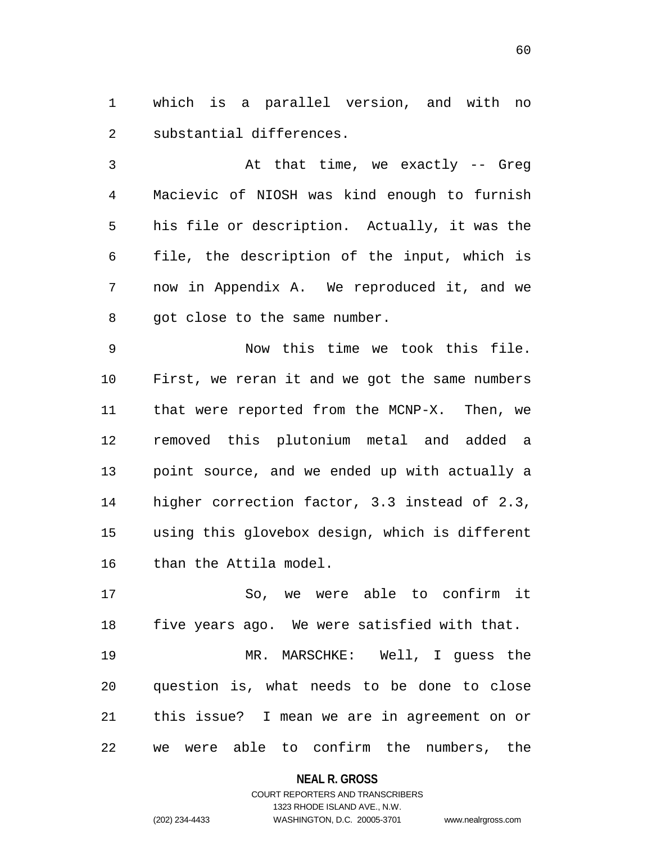which is a parallel version, and with no substantial differences.

 At that time, we exactly -- Greg Macievic of NIOSH was kind enough to furnish his file or description. Actually, it was the file, the description of the input, which is now in Appendix A. We reproduced it, and we 8 got close to the same number.

 Now this time we took this file. First, we reran it and we got the same numbers that were reported from the MCNP-X. Then, we removed this plutonium metal and added a point source, and we ended up with actually a higher correction factor, 3.3 instead of 2.3, using this glovebox design, which is different than the Attila model.

 So, we were able to confirm it five years ago. We were satisfied with that. MR. MARSCHKE: Well, I guess the question is, what needs to be done to close this issue? I mean we are in agreement on or we were able to confirm the numbers, the

**NEAL R. GROSS**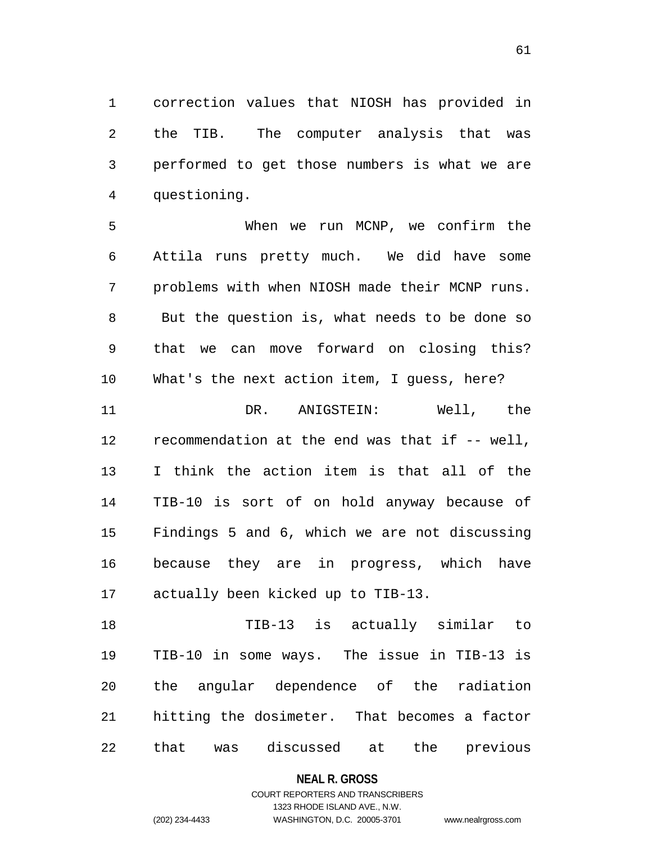correction values that NIOSH has provided in the TIB. The computer analysis that was performed to get those numbers is what we are questioning.

 When we run MCNP, we confirm the Attila runs pretty much. We did have some problems with when NIOSH made their MCNP runs. But the question is, what needs to be done so that we can move forward on closing this? What's the next action item, I guess, here? DR. ANIGSTEIN: Well, the recommendation at the end was that if -- well, I think the action item is that all of the TIB-10 is sort of on hold anyway because of Findings 5 and 6, which we are not discussing because they are in progress, which have actually been kicked up to TIB-13.

 TIB-13 is actually similar to TIB-10 in some ways. The issue in TIB-13 is the angular dependence of the radiation hitting the dosimeter. That becomes a factor that was discussed at the previous

**NEAL R. GROSS**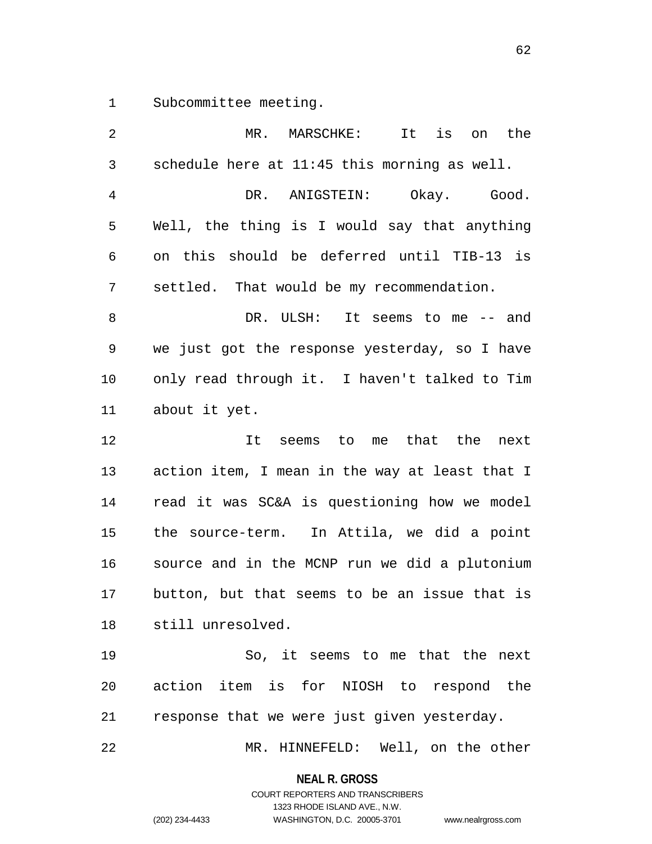Subcommittee meeting.

| 2            | MR.<br>MARSCHKE:<br>It<br>is<br>the<br>on      |
|--------------|------------------------------------------------|
| $\mathsf{3}$ | schedule here at 11:45 this morning as well.   |
| 4            | ANIGSTEIN: Okay. Good.<br>DR.                  |
| 5            | Well, the thing is I would say that anything   |
| 6            | on this should be deferred until TIB-13 is     |
| 7            | settled. That would be my recommendation.      |
| 8            | DR. ULSH:<br>It seems to me -- and             |
| 9            | we just got the response yesterday, so I have  |
| 10           | only read through it. I haven't talked to Tim  |
| 11           | about it yet.                                  |
| 12           | It seems to me that the<br>next                |
| 13           | action item, I mean in the way at least that I |
| 14           | read it was SC&A is questioning how we model   |
| 15           | the source-term. In Attila, we did a point     |
| 16           | source and in the MCNP run we did a plutonium  |
| 17           | button, but that seems to be an issue that is  |
|              | 18 still unresolved.                           |
| 19           | So, it seems to me that the next               |
| 20           | action item is for NIOSH to respond the        |
| 21           | response that we were just given yesterday.    |
| 22           | MR. HINNEFELD: Well, on the other              |

**NEAL R. GROSS**

COURT REPORTERS AND TRANSCRIBERS 1323 RHODE ISLAND AVE., N.W. (202) 234-4433 WASHINGTON, D.C. 20005-3701 www.nealrgross.com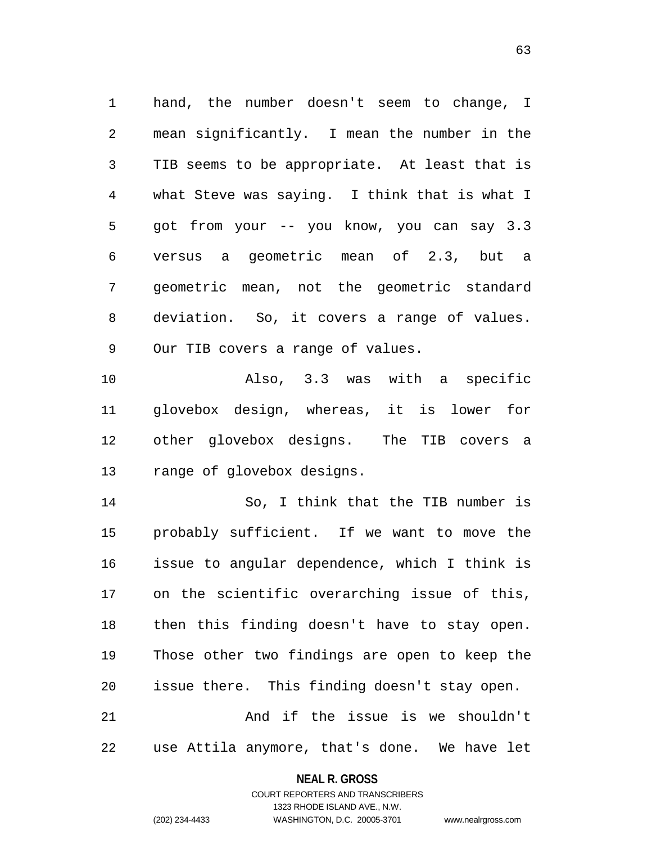hand, the number doesn't seem to change, I mean significantly. I mean the number in the TIB seems to be appropriate. At least that is what Steve was saying. I think that is what I got from your -- you know, you can say 3.3 versus a geometric mean of 2.3, but a geometric mean, not the geometric standard deviation. So, it covers a range of values. Our TIB covers a range of values.

 Also, 3.3 was with a specific glovebox design, whereas, it is lower for other glovebox designs. The TIB covers a range of glovebox designs.

 So, I think that the TIB number is probably sufficient. If we want to move the issue to angular dependence, which I think is on the scientific overarching issue of this, then this finding doesn't have to stay open. Those other two findings are open to keep the issue there. This finding doesn't stay open. And if the issue is we shouldn't

use Attila anymore, that's done. We have let

**NEAL R. GROSS** COURT REPORTERS AND TRANSCRIBERS

1323 RHODE ISLAND AVE., N.W.

(202) 234-4433 WASHINGTON, D.C. 20005-3701 www.nealrgross.com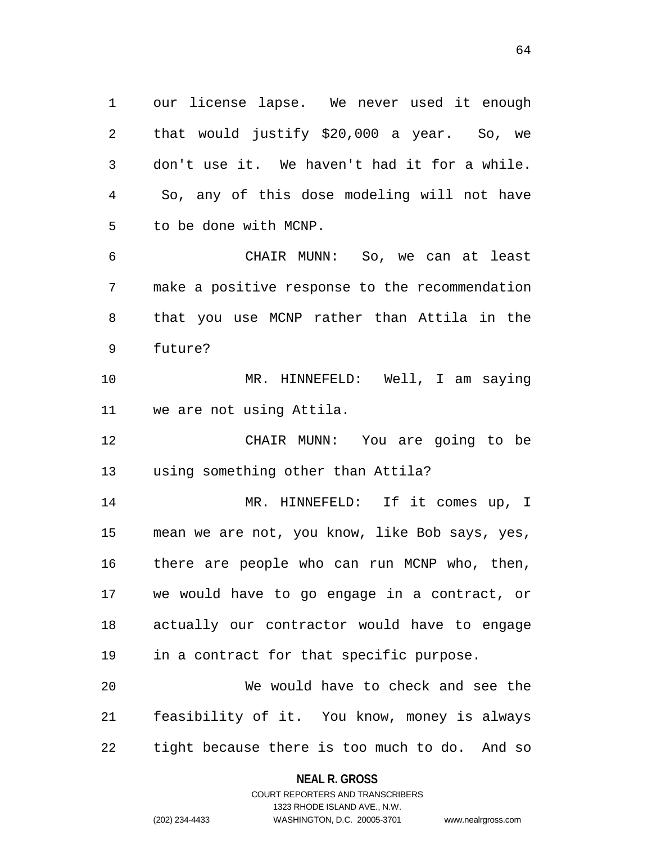our license lapse. We never used it enough that would justify \$20,000 a year. So, we don't use it. We haven't had it for a while. So, any of this dose modeling will not have to be done with MCNP.

 CHAIR MUNN: So, we can at least make a positive response to the recommendation that you use MCNP rather than Attila in the future?

 MR. HINNEFELD: Well, I am saying we are not using Attila.

 CHAIR MUNN: You are going to be using something other than Attila?

 MR. HINNEFELD: If it comes up, I mean we are not, you know, like Bob says, yes, there are people who can run MCNP who, then, we would have to go engage in a contract, or actually our contractor would have to engage in a contract for that specific purpose.

 We would have to check and see the feasibility of it. You know, money is always tight because there is too much to do. And so

> **NEAL R. GROSS** COURT REPORTERS AND TRANSCRIBERS

> > 1323 RHODE ISLAND AVE., N.W.

(202) 234-4433 WASHINGTON, D.C. 20005-3701 www.nealrgross.com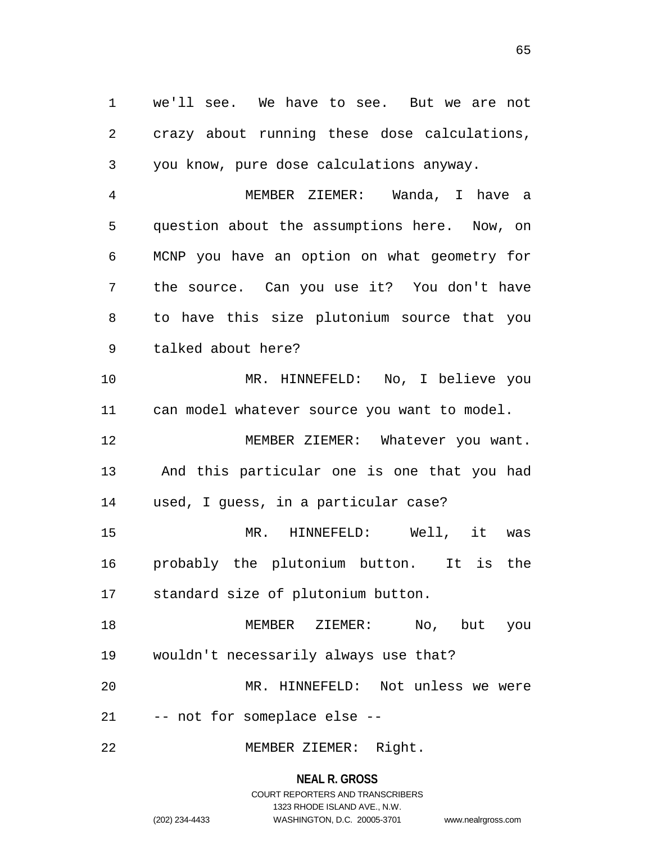we'll see. We have to see. But we are not crazy about running these dose calculations, you know, pure dose calculations anyway.

 MEMBER ZIEMER: Wanda, I have a question about the assumptions here. Now, on MCNP you have an option on what geometry for the source. Can you use it? You don't have to have this size plutonium source that you talked about here?

 MR. HINNEFELD: No, I believe you can model whatever source you want to model. 12 MEMBER ZIEMER: Whatever you want. And this particular one is one that you had used, I guess, in a particular case? MR. HINNEFELD: Well, it was

 probably the plutonium button. It is the standard size of plutonium button.

 MEMBER ZIEMER: No, but you wouldn't necessarily always use that? MR. HINNEFELD: Not unless we were

-- not for someplace else --

MEMBER ZIEMER: Right.

#### **NEAL R. GROSS**

# COURT REPORTERS AND TRANSCRIBERS 1323 RHODE ISLAND AVE., N.W. (202) 234-4433 WASHINGTON, D.C. 20005-3701 www.nealrgross.com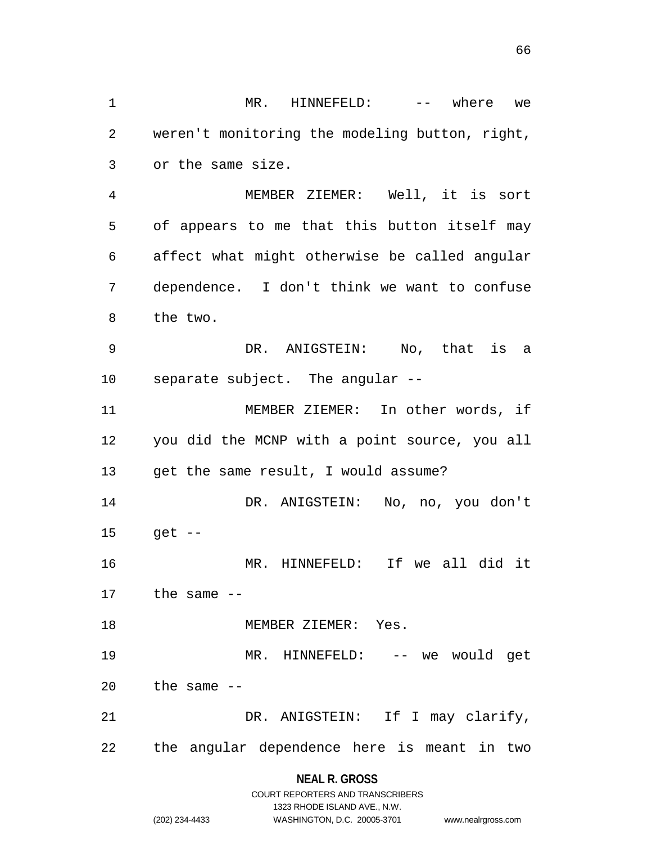MR. HINNEFELD: -- where we weren't monitoring the modeling button, right, or the same size. MEMBER ZIEMER: Well, it is sort of appears to me that this button itself may affect what might otherwise be called angular dependence. I don't think we want to confuse the two. DR. ANIGSTEIN: No, that is a separate subject. The angular -- MEMBER ZIEMER: In other words, if you did the MCNP with a point source, you all get the same result, I would assume? DR. ANIGSTEIN: No, no, you don't get -- MR. HINNEFELD: If we all did it the same -- MEMBER ZIEMER: Yes. MR. HINNEFELD: -- we would get the same  $-$  DR. ANIGSTEIN: If I may clarify, the angular dependence here is meant in two

# **NEAL R. GROSS**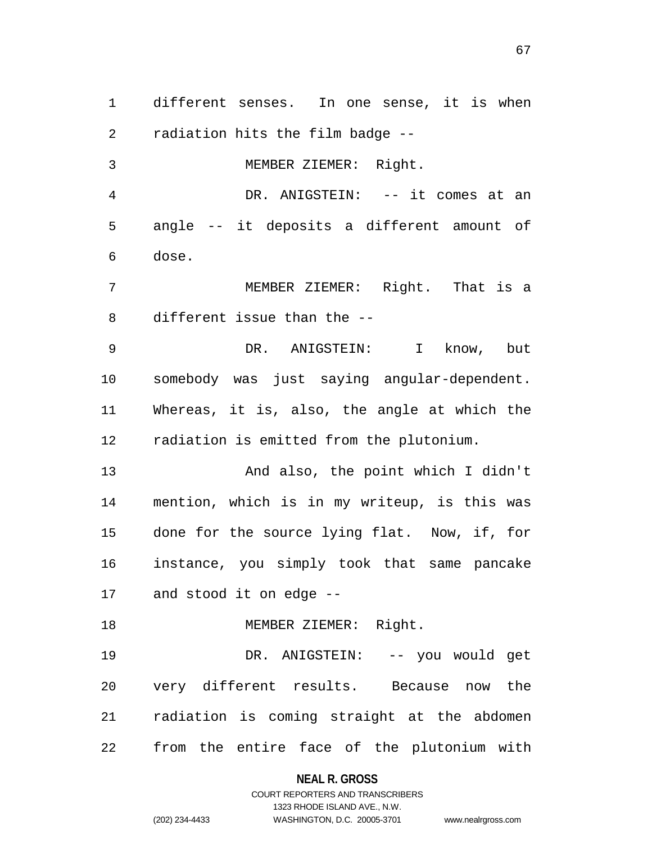different senses. In one sense, it is when radiation hits the film badge --

MEMBER ZIEMER: Right.

 DR. ANIGSTEIN: -- it comes at an angle -- it deposits a different amount of dose.

 MEMBER ZIEMER: Right. That is a different issue than the --

 DR. ANIGSTEIN: I know, but somebody was just saying angular-dependent. Whereas, it is, also, the angle at which the radiation is emitted from the plutonium.

 And also, the point which I didn't mention, which is in my writeup, is this was done for the source lying flat. Now, if, for instance, you simply took that same pancake and stood it on edge --

18 MEMBER ZIEMER: Right.

 DR. ANIGSTEIN: -- you would get very different results. Because now the radiation is coming straight at the abdomen from the entire face of the plutonium with

#### **NEAL R. GROSS**

### COURT REPORTERS AND TRANSCRIBERS 1323 RHODE ISLAND AVE., N.W. (202) 234-4433 WASHINGTON, D.C. 20005-3701 www.nealrgross.com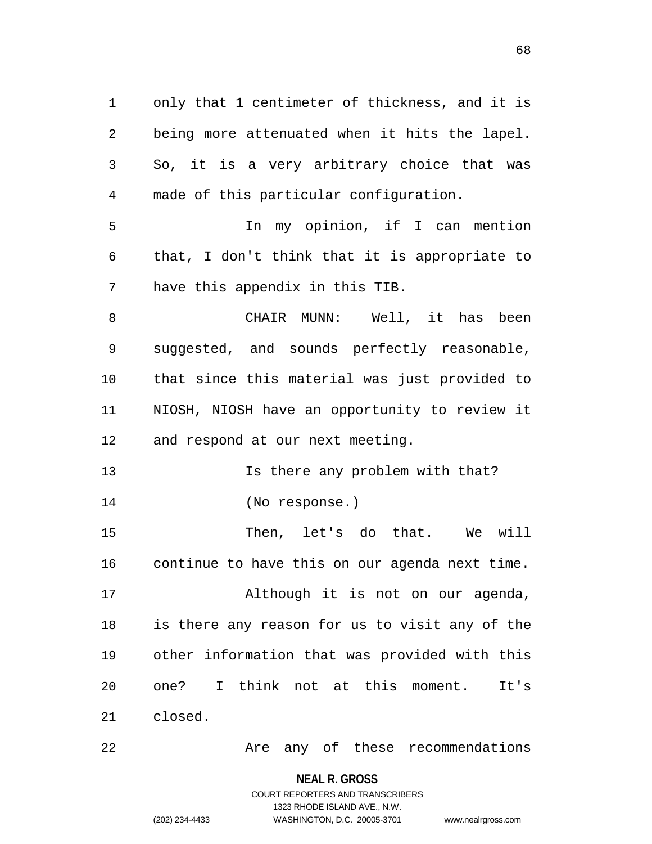only that 1 centimeter of thickness, and it is being more attenuated when it hits the lapel. So, it is a very arbitrary choice that was made of this particular configuration. In my opinion, if I can mention that, I don't think that it is appropriate to have this appendix in this TIB. CHAIR MUNN: Well, it has been suggested, and sounds perfectly reasonable, that since this material was just provided to NIOSH, NIOSH have an opportunity to review it and respond at our next meeting. **Is there any problem with that?**  (No response.) Then, let's do that. We will continue to have this on our agenda next time. Although it is not on our agenda, is there any reason for us to visit any of the other information that was provided with this one? I think not at this moment. It's

closed.

Are any of these recommendations

**NEAL R. GROSS** COURT REPORTERS AND TRANSCRIBERS

1323 RHODE ISLAND AVE., N.W.

(202) 234-4433 WASHINGTON, D.C. 20005-3701 www.nealrgross.com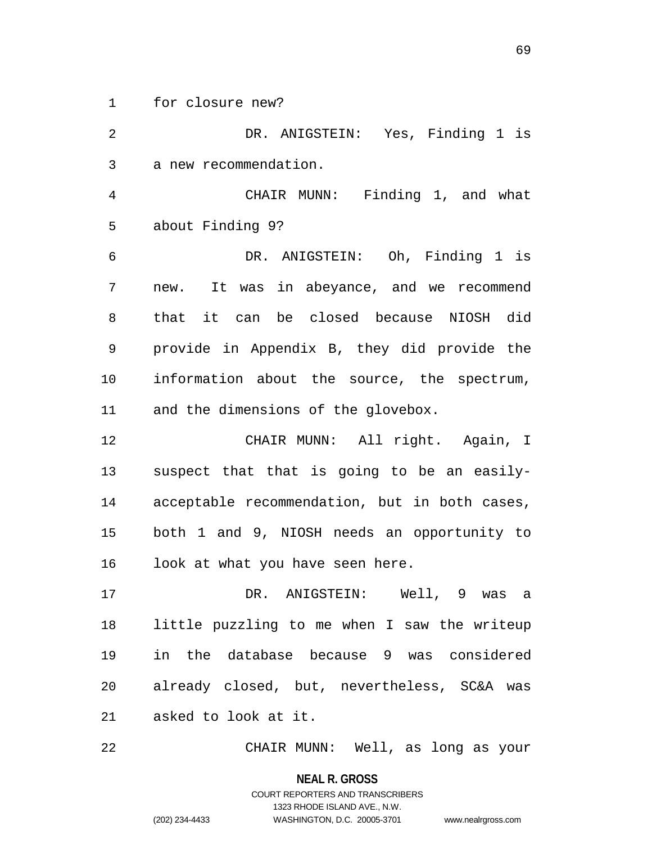for closure new?

 DR. ANIGSTEIN: Yes, Finding 1 is a new recommendation. CHAIR MUNN: Finding 1, and what about Finding 9? DR. ANIGSTEIN: Oh, Finding 1 is new. It was in abeyance, and we recommend that it can be closed because NIOSH did provide in Appendix B, they did provide the information about the source, the spectrum, and the dimensions of the glovebox. CHAIR MUNN: All right. Again, I suspect that that is going to be an easily- acceptable recommendation, but in both cases, both 1 and 9, NIOSH needs an opportunity to 16 look at what you have seen here. DR. ANIGSTEIN: Well, 9 was a little puzzling to me when I saw the writeup in the database because 9 was considered already closed, but, nevertheless, SC&A was asked to look at it.

CHAIR MUNN: Well, as long as your

**NEAL R. GROSS** COURT REPORTERS AND TRANSCRIBERS 1323 RHODE ISLAND AVE., N.W.

(202) 234-4433 WASHINGTON, D.C. 20005-3701 www.nealrgross.com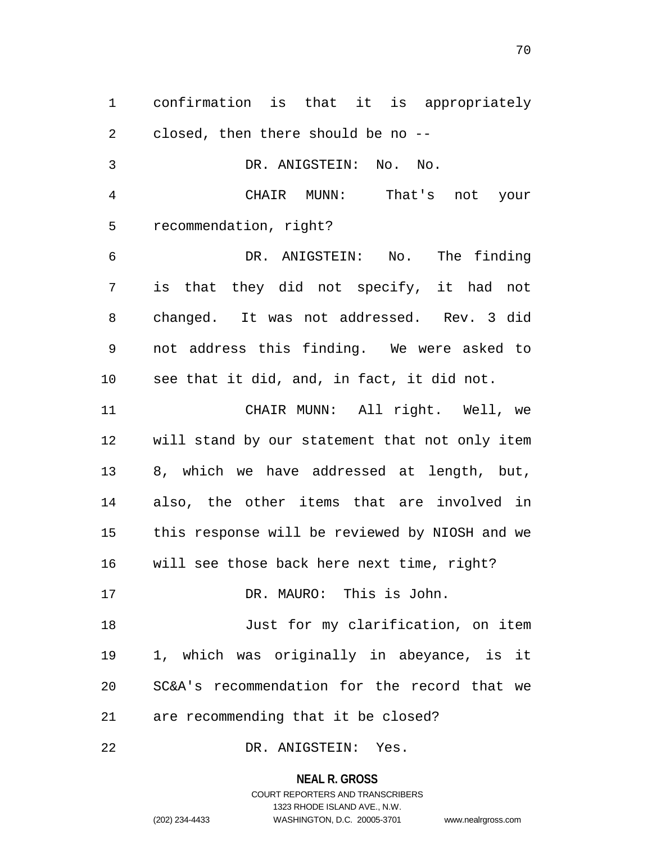confirmation is that it is appropriately closed, then there should be no --

 DR. ANIGSTEIN: No. No. CHAIR MUNN: That's not your recommendation, right? DR. ANIGSTEIN: No. The finding is that they did not specify, it had not changed. It was not addressed. Rev. 3 did not address this finding. We were asked to see that it did, and, in fact, it did not. CHAIR MUNN: All right. Well, we will stand by our statement that not only item 8, which we have addressed at length, but, also, the other items that are involved in this response will be reviewed by NIOSH and we will see those back here next time, right? DR. MAURO: This is John. 18 Just for my clarification, on item 1, which was originally in abeyance, is it SC&A's recommendation for the record that we are recommending that it be closed?

DR. ANIGSTEIN: Yes.

**NEAL R. GROSS**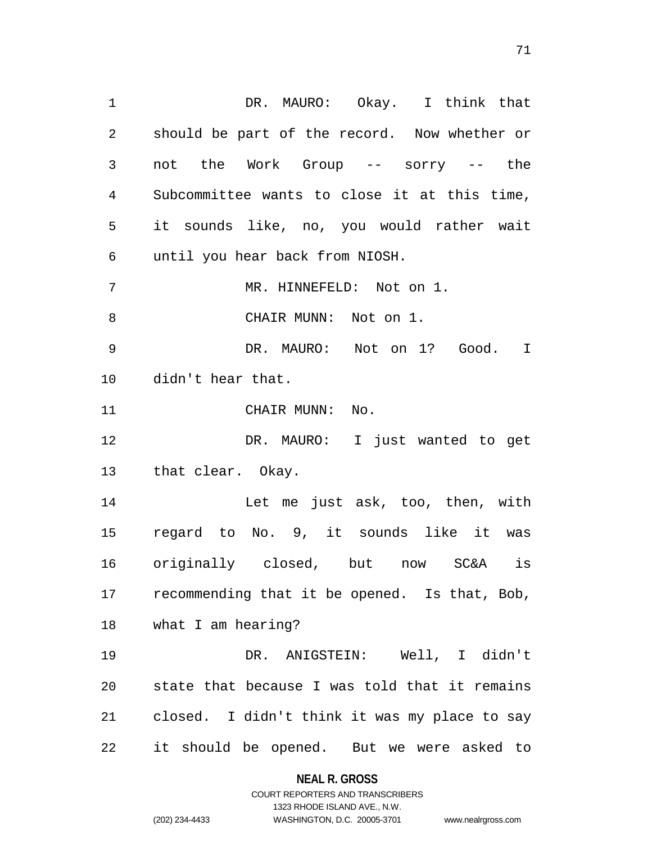DR. MAURO: Okay. I think that should be part of the record. Now whether or not the Work Group -- sorry -- the Subcommittee wants to close it at this time, it sounds like, no, you would rather wait until you hear back from NIOSH. 7 MR. HINNEFELD: Not on 1. CHAIR MUNN: Not on 1. DR. MAURO: Not on 1? Good. I didn't hear that. 11 CHAIR MUNN: No. DR. MAURO: I just wanted to get that clear. Okay. Let me just ask, too, then, with regard to No. 9, it sounds like it was originally closed, but now SC&A is

 recommending that it be opened. Is that, Bob, what I am hearing?

 DR. ANIGSTEIN: Well, I didn't state that because I was told that it remains closed. I didn't think it was my place to say it should be opened. But we were asked to

# **NEAL R. GROSS** COURT REPORTERS AND TRANSCRIBERS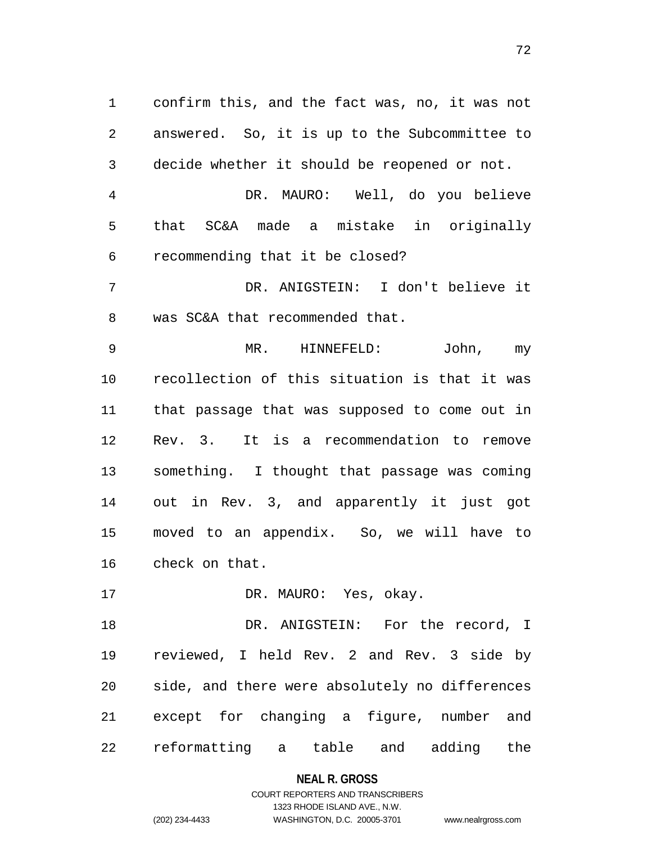confirm this, and the fact was, no, it was not answered. So, it is up to the Subcommittee to decide whether it should be reopened or not.

 DR. MAURO: Well, do you believe that SC&A made a mistake in originally recommending that it be closed?

 DR. ANIGSTEIN: I don't believe it was SC&A that recommended that.

 MR. HINNEFELD: John, my recollection of this situation is that it was that passage that was supposed to come out in Rev. 3. It is a recommendation to remove something. I thought that passage was coming out in Rev. 3, and apparently it just got moved to an appendix. So, we will have to check on that.

17 DR. MAURO: Yes, okay.

 DR. ANIGSTEIN: For the record, I reviewed, I held Rev. 2 and Rev. 3 side by side, and there were absolutely no differences except for changing a figure, number and reformatting a table and adding the

#### **NEAL R. GROSS**

### COURT REPORTERS AND TRANSCRIBERS 1323 RHODE ISLAND AVE., N.W. (202) 234-4433 WASHINGTON, D.C. 20005-3701 www.nealrgross.com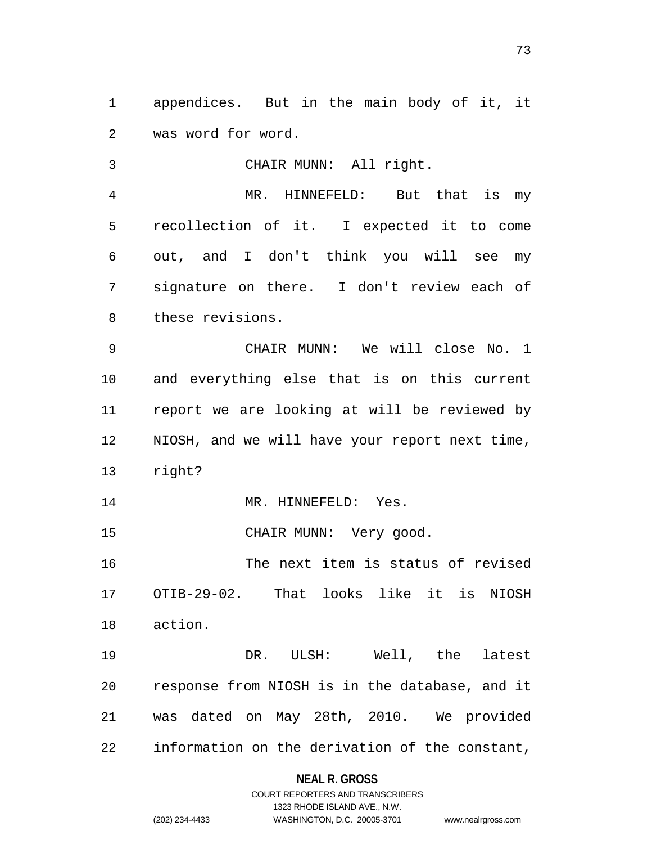appendices. But in the main body of it, it was word for word.

 CHAIR MUNN: All right. MR. HINNEFELD: But that is my recollection of it. I expected it to come out, and I don't think you will see my signature on there. I don't review each of these revisions.

 CHAIR MUNN: We will close No. 1 and everything else that is on this current report we are looking at will be reviewed by NIOSH, and we will have your report next time, right?

14 MR. HINNEFELD: Yes.

15 CHAIR MUNN: Very good.

 The next item is status of revised OTIB-29-02. That looks like it is NIOSH action.

 DR. ULSH: Well, the latest response from NIOSH is in the database, and it was dated on May 28th, 2010. We provided information on the derivation of the constant,

### **NEAL R. GROSS**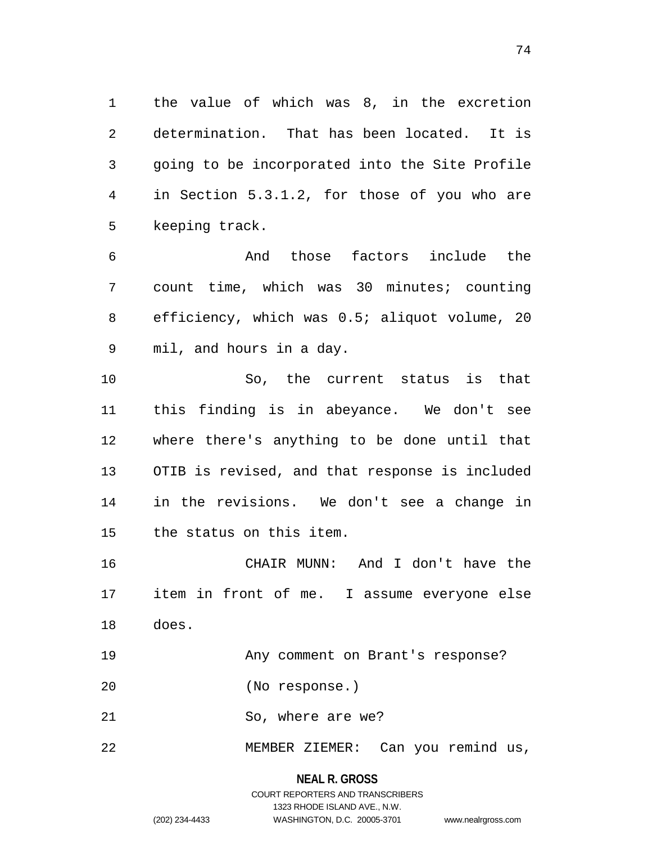the value of which was 8, in the excretion determination. That has been located. It is going to be incorporated into the Site Profile in Section 5.3.1.2, for those of you who are keeping track.

 And those factors include the count time, which was 30 minutes; counting efficiency, which was 0.5; aliquot volume, 20 mil, and hours in a day.

 So, the current status is that this finding is in abeyance. We don't see where there's anything to be done until that OTIB is revised, and that response is included in the revisions. We don't see a change in the status on this item.

 CHAIR MUNN: And I don't have the item in front of me. I assume everyone else does.

Any comment on Brant's response?

(No response.)

21 So, where are we?

MEMBER ZIEMER: Can you remind us,

**NEAL R. GROSS**

COURT REPORTERS AND TRANSCRIBERS 1323 RHODE ISLAND AVE., N.W. (202) 234-4433 WASHINGTON, D.C. 20005-3701 www.nealrgross.com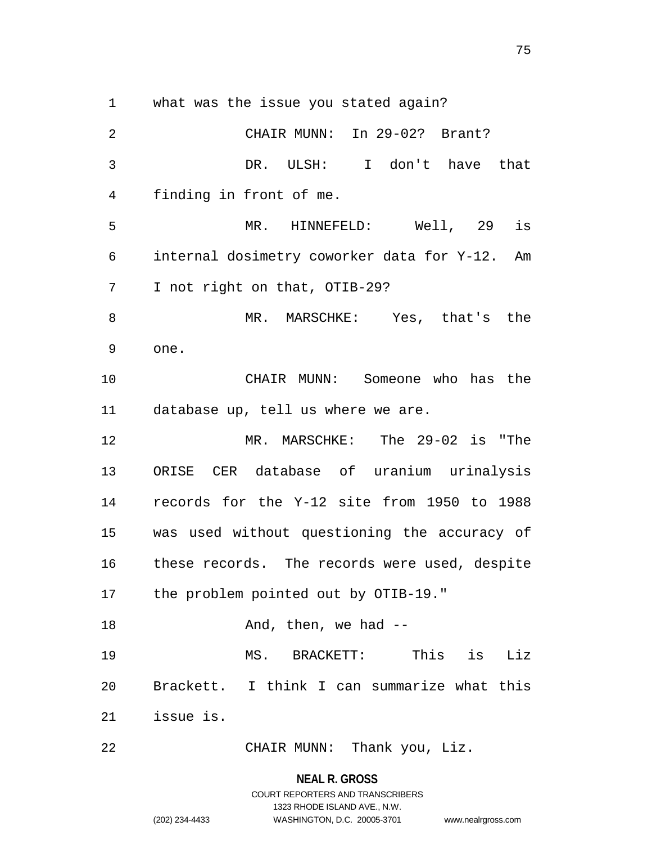what was the issue you stated again?

 CHAIR MUNN: In 29-02? Brant? DR. ULSH: I don't have that finding in front of me. MR. HINNEFELD: Well, 29 is internal dosimetry coworker data for Y-12. Am I not right on that, OTIB-29? MR. MARSCHKE: Yes, that's the one. CHAIR MUNN: Someone who has the database up, tell us where we are. MR. MARSCHKE: The 29-02 is "The ORISE CER database of uranium urinalysis records for the Y-12 site from 1950 to 1988 was used without questioning the accuracy of these records. The records were used, despite the problem pointed out by OTIB-19." 18 And, then, we had -- MS. BRACKETT: This is Liz Brackett. I think I can summarize what this issue is. CHAIR MUNN: Thank you, Liz.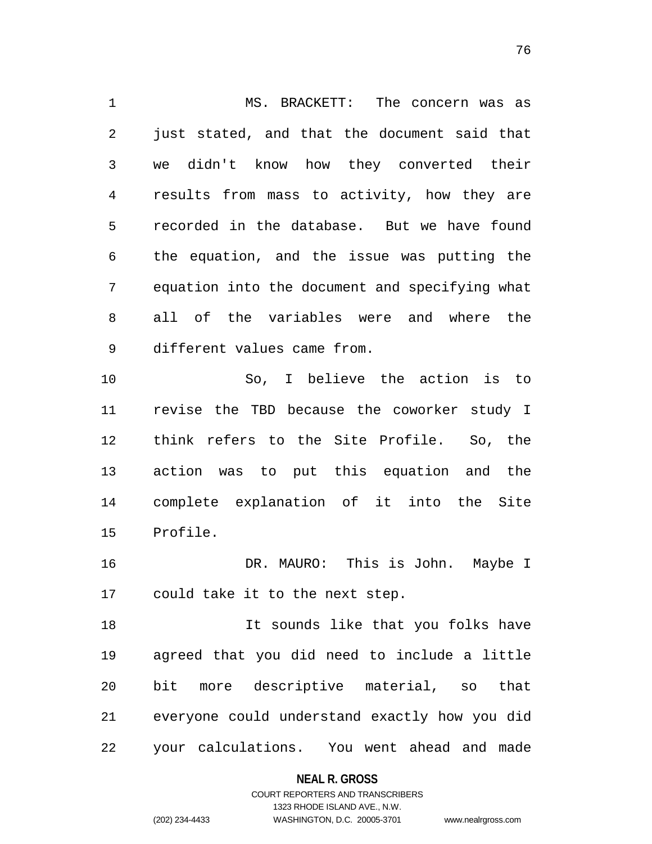MS. BRACKETT: The concern was as just stated, and that the document said that we didn't know how they converted their results from mass to activity, how they are recorded in the database. But we have found the equation, and the issue was putting the equation into the document and specifying what all of the variables were and where the different values came from. So, I believe the action is to revise the TBD because the coworker study I think refers to the Site Profile. So, the action was to put this equation and the

 complete explanation of it into the Site Profile.

16 DR. MAURO: This is John. Maybe I could take it to the next step.

18 18 It sounds like that you folks have agreed that you did need to include a little bit more descriptive material, so that everyone could understand exactly how you did your calculations. You went ahead and made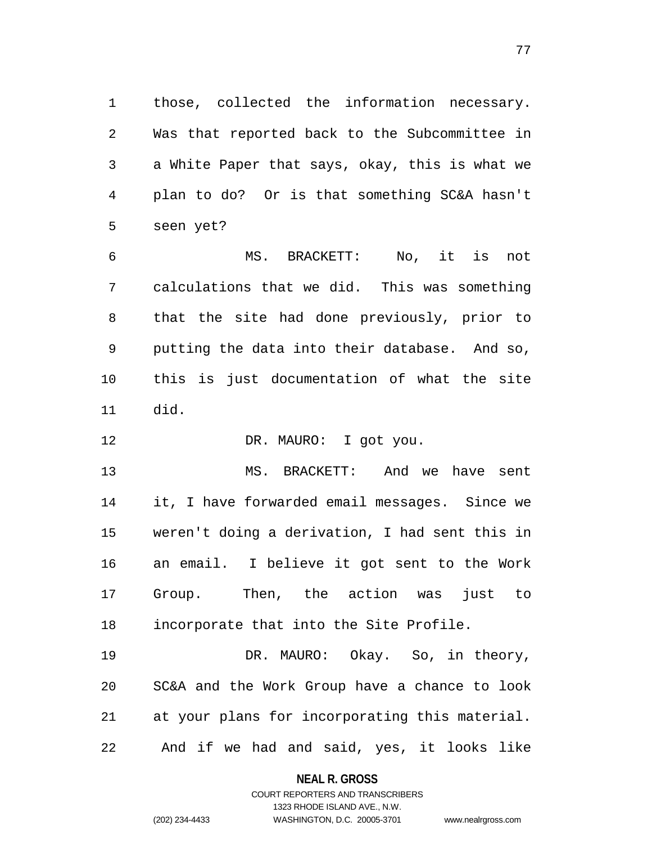those, collected the information necessary. Was that reported back to the Subcommittee in a White Paper that says, okay, this is what we plan to do? Or is that something SC&A hasn't seen yet?

 MS. BRACKETT: No, it is not calculations that we did. This was something that the site had done previously, prior to putting the data into their database. And so, this is just documentation of what the site did.

DR. MAURO: I got you.

 MS. BRACKETT: And we have sent it, I have forwarded email messages. Since we weren't doing a derivation, I had sent this in an email. I believe it got sent to the Work Group. Then, the action was just to incorporate that into the Site Profile.

 DR. MAURO: Okay. So, in theory, SC&A and the Work Group have a chance to look at your plans for incorporating this material. And if we had and said, yes, it looks like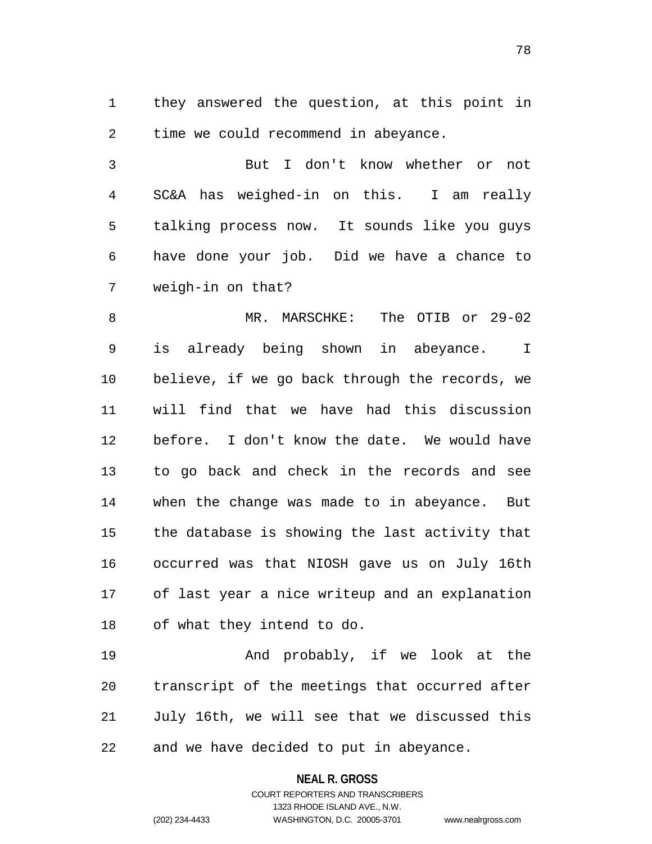they answered the question, at this point in time we could recommend in abeyance.

 But I don't know whether or not SC&A has weighed-in on this. I am really talking process now. It sounds like you guys have done your job. Did we have a chance to weigh-in on that?

 MR. MARSCHKE: The OTIB or 29-02 is already being shown in abeyance. I believe, if we go back through the records, we will find that we have had this discussion before. I don't know the date. We would have to go back and check in the records and see when the change was made to in abeyance. But the database is showing the last activity that occurred was that NIOSH gave us on July 16th of last year a nice writeup and an explanation of what they intend to do.

19 And probably, if we look at the transcript of the meetings that occurred after July 16th, we will see that we discussed this and we have decided to put in abeyance.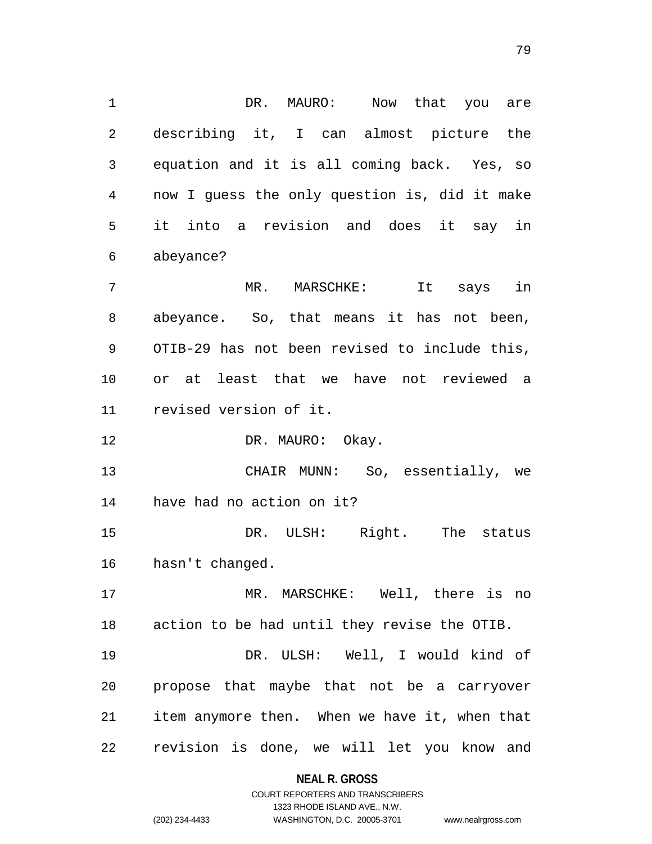1 DR. MAURO: Now that you are describing it, I can almost picture the equation and it is all coming back. Yes, so now I guess the only question is, did it make it into a revision and does it say in abeyance? MR. MARSCHKE: It says in abeyance. So, that means it has not been, OTIB-29 has not been revised to include this, or at least that we have not reviewed a revised version of it. 12 DR. MAURO: Okay. CHAIR MUNN: So, essentially, we have had no action on it? 15 DR. ULSH: Right. The status hasn't changed.

 MR. MARSCHKE: Well, there is no action to be had until they revise the OTIB.

 DR. ULSH: Well, I would kind of propose that maybe that not be a carryover item anymore then. When we have it, when that revision is done, we will let you know and

# **NEAL R. GROSS** COURT REPORTERS AND TRANSCRIBERS

1323 RHODE ISLAND AVE., N.W.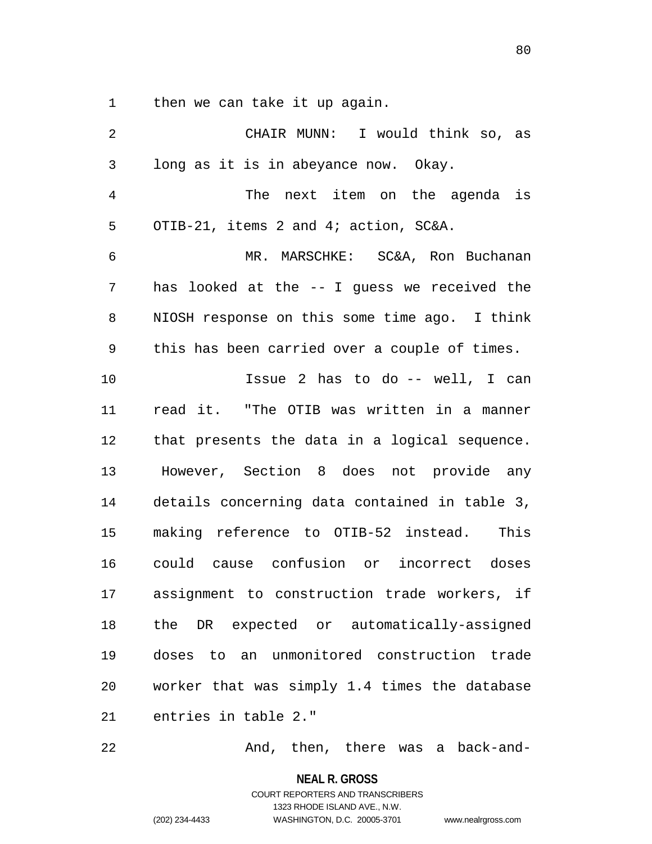then we can take it up again.

| 2  | CHAIR MUNN: I would think so, as              |
|----|-----------------------------------------------|
| 3  | long as it is in abeyance now. Okay.          |
| 4  | The next item on the agenda is                |
| 5  | OTIB-21, items 2 and 4; action, SC&A.         |
| 6  | MR. MARSCHKE: SC&A, Ron Buchanan              |
| 7  | has looked at the -- I guess we received the  |
| 8  | NIOSH response on this some time ago. I think |
| 9  | this has been carried over a couple of times. |
| 10 | Issue 2 has to do -- well, I can              |
| 11 | read it. "The OTIB was written in a manner    |
| 12 | that presents the data in a logical sequence. |
| 13 | However, Section 8 does not provide any       |
| 14 | details concerning data contained in table 3, |
| 15 | making reference to OTIB-52 instead. This     |
| 16 | could cause confusion or incorrect doses      |
| 17 | assignment to construction trade workers, if  |
| 18 | the DR expected or automatically-assigned     |
| 19 | doses to an unmonitored construction trade    |
| 20 | worker that was simply 1.4 times the database |
| 21 | entries in table 2."                          |

And, then, there was a back-and-

**NEAL R. GROSS**

COURT REPORTERS AND TRANSCRIBERS 1323 RHODE ISLAND AVE., N.W. (202) 234-4433 WASHINGTON, D.C. 20005-3701 www.nealrgross.com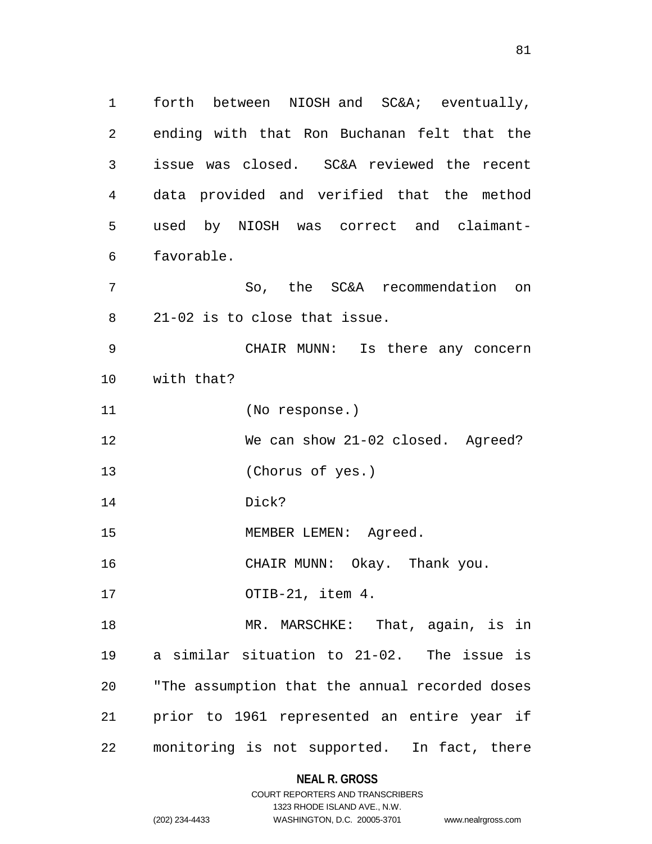forth between NIOSH and SC&A; eventually, ending with that Ron Buchanan felt that the issue was closed. SC&A reviewed the recent data provided and verified that the method used by NIOSH was correct and claimant- favorable. So, the SC&A recommendation on 21-02 is to close that issue. CHAIR MUNN: Is there any concern with that? (No response.)

We can show 21-02 closed. Agreed?

(Chorus of yes.)

Dick?

15 MEMBER LEMEN: Agreed.

16 CHAIR MUNN: Okay. Thank you.

OTIB-21, item 4.

18 MR. MARSCHKE: That, again, is in a similar situation to 21-02. The issue is "The assumption that the annual recorded doses prior to 1961 represented an entire year if monitoring is not supported. In fact, there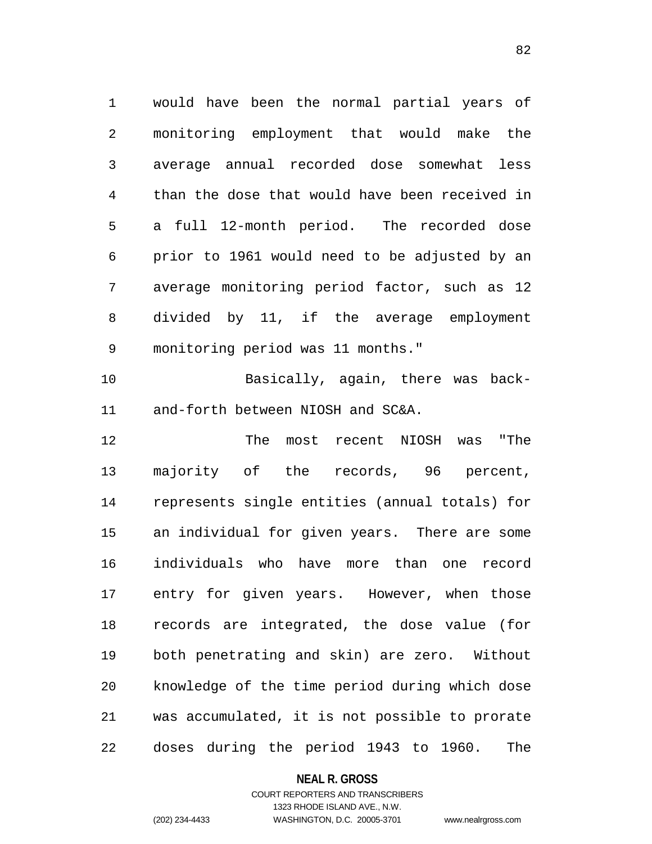would have been the normal partial years of monitoring employment that would make the average annual recorded dose somewhat less than the dose that would have been received in a full 12-month period. The recorded dose prior to 1961 would need to be adjusted by an average monitoring period factor, such as 12 divided by 11, if the average employment monitoring period was 11 months."

 Basically, again, there was back-and-forth between NIOSH and SC&A.

 The most recent NIOSH was "The majority of the records, 96 percent, represents single entities (annual totals) for an individual for given years. There are some individuals who have more than one record entry for given years. However, when those records are integrated, the dose value (for both penetrating and skin) are zero. Without knowledge of the time period during which dose was accumulated, it is not possible to prorate doses during the period 1943 to 1960. The

### **NEAL R. GROSS**

## COURT REPORTERS AND TRANSCRIBERS 1323 RHODE ISLAND AVE., N.W. (202) 234-4433 WASHINGTON, D.C. 20005-3701 www.nealrgross.com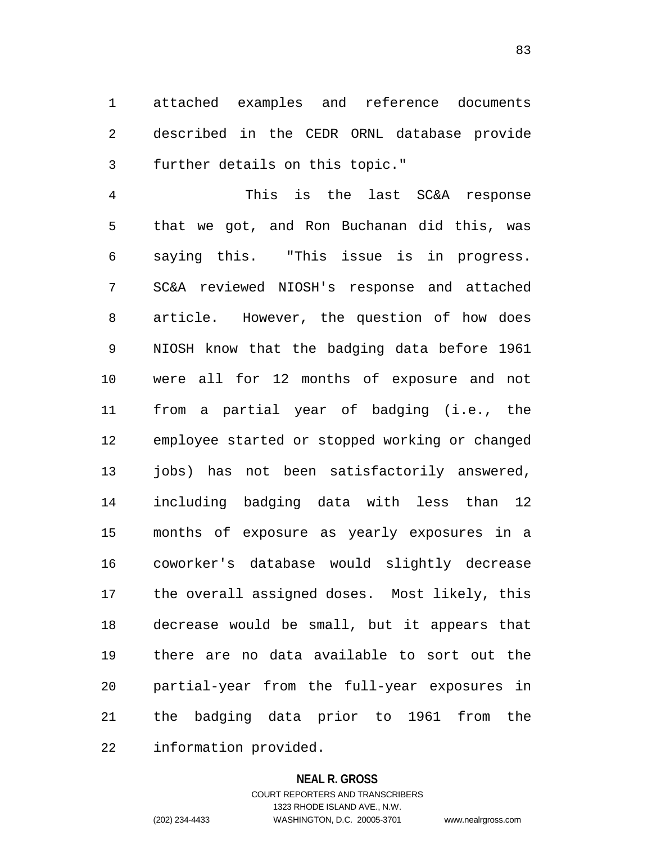attached examples and reference documents described in the CEDR ORNL database provide further details on this topic."

 This is the last SC&A response that we got, and Ron Buchanan did this, was saying this. "This issue is in progress. SC&A reviewed NIOSH's response and attached article. However, the question of how does NIOSH know that the badging data before 1961 were all for 12 months of exposure and not from a partial year of badging (i.e., the employee started or stopped working or changed 13 jobs) has not been satisfactorily answered, including badging data with less than 12 months of exposure as yearly exposures in a coworker's database would slightly decrease the overall assigned doses. Most likely, this decrease would be small, but it appears that there are no data available to sort out the partial-year from the full-year exposures in the badging data prior to 1961 from the information provided.

### **NEAL R. GROSS**

COURT REPORTERS AND TRANSCRIBERS 1323 RHODE ISLAND AVE., N.W. (202) 234-4433 WASHINGTON, D.C. 20005-3701 www.nealrgross.com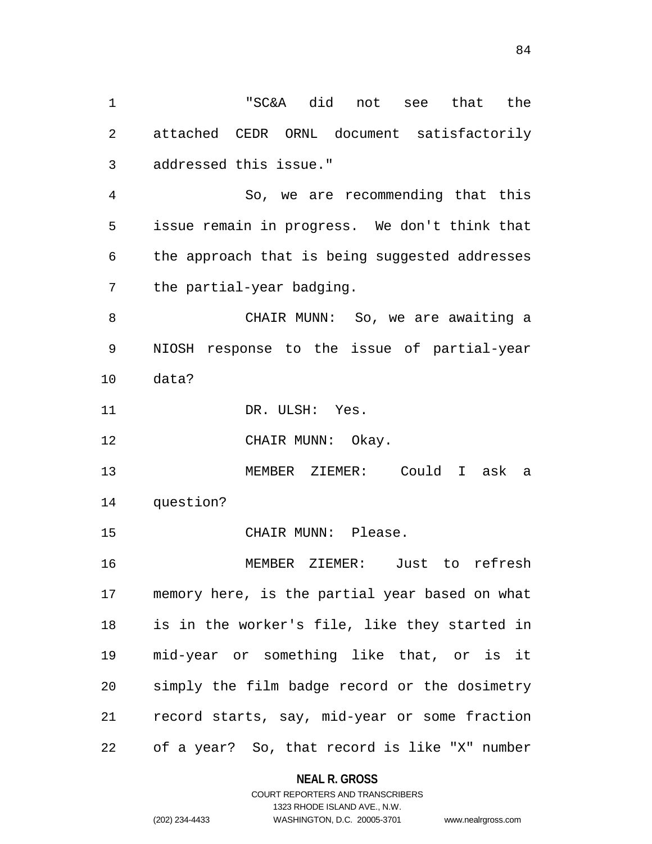"SC&A did not see that the attached CEDR ORNL document satisfactorily addressed this issue." So, we are recommending that this issue remain in progress. We don't think that the approach that is being suggested addresses the partial-year badging. CHAIR MUNN: So, we are awaiting a NIOSH response to the issue of partial-year data? 11 DR. ULSH: Yes. 12 CHAIR MUNN: Okay. MEMBER ZIEMER: Could I ask a question? CHAIR MUNN: Please. MEMBER ZIEMER: Just to refresh memory here, is the partial year based on what is in the worker's file, like they started in mid-year or something like that, or is it simply the film badge record or the dosimetry record starts, say, mid-year or some fraction of a year? So, that record is like "X" number

# **NEAL R. GROSS**

## COURT REPORTERS AND TRANSCRIBERS 1323 RHODE ISLAND AVE., N.W. (202) 234-4433 WASHINGTON, D.C. 20005-3701 www.nealrgross.com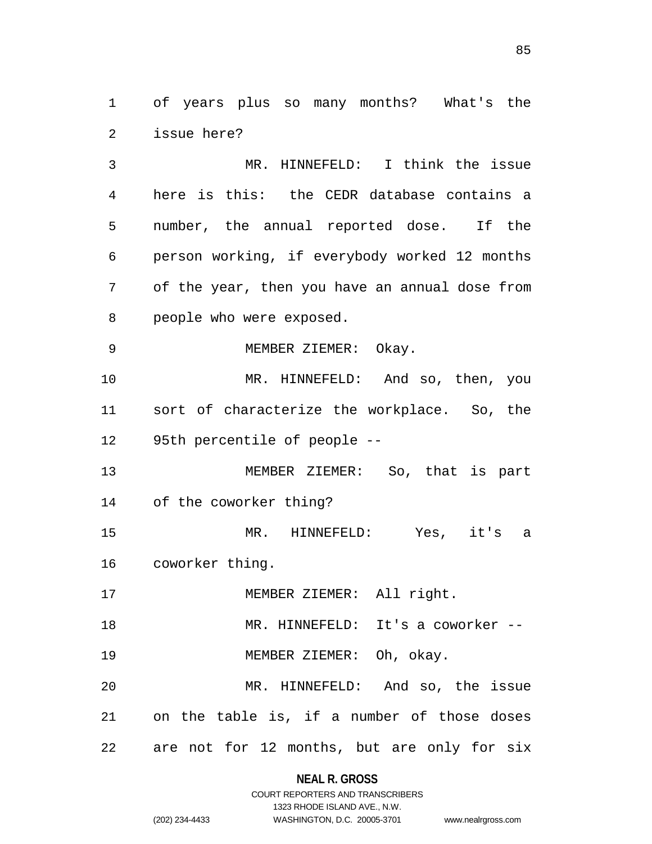of years plus so many months? What's the issue here?

 MR. HINNEFELD: I think the issue here is this: the CEDR database contains a number, the annual reported dose. If the person working, if everybody worked 12 months of the year, then you have an annual dose from people who were exposed.

MEMBER ZIEMER: Okay.

 MR. HINNEFELD: And so, then, you sort of characterize the workplace. So, the 95th percentile of people --

 MEMBER ZIEMER: So, that is part of the coworker thing?

 MR. HINNEFELD: Yes, it's a coworker thing.

17 MEMBER ZIEMER: All right.

18 MR. HINNEFELD: It's a coworker --

MEMBER ZIEMER: Oh, okay.

 MR. HINNEFELD: And so, the issue on the table is, if a number of those doses are not for 12 months, but are only for six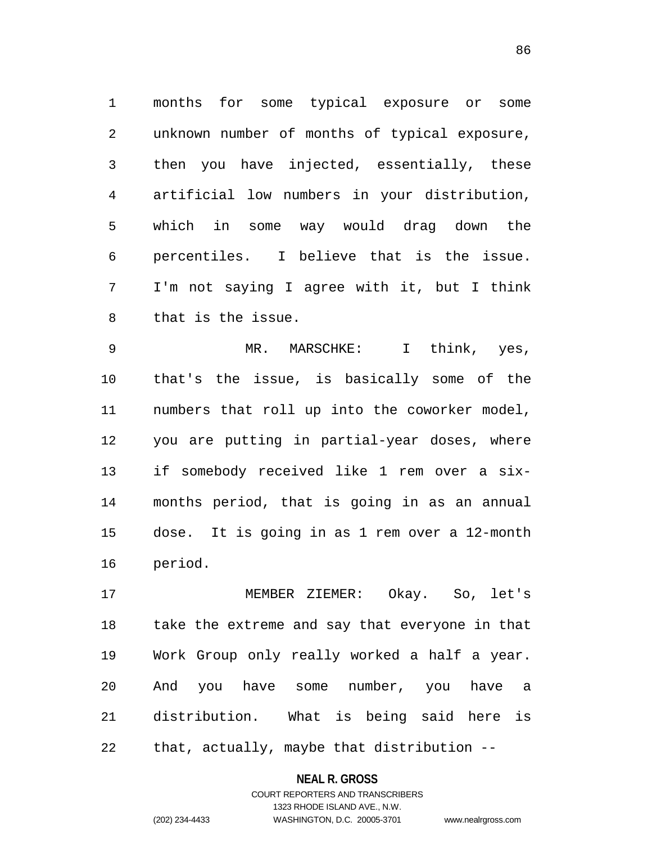months for some typical exposure or some unknown number of months of typical exposure, then you have injected, essentially, these artificial low numbers in your distribution, which in some way would drag down the percentiles. I believe that is the issue. I'm not saying I agree with it, but I think that is the issue.

 MR. MARSCHKE: I think, yes, that's the issue, is basically some of the numbers that roll up into the coworker model, you are putting in partial-year doses, where if somebody received like 1 rem over a six- months period, that is going in as an annual dose. It is going in as 1 rem over a 12-month period.

 MEMBER ZIEMER: Okay. So, let's take the extreme and say that everyone in that Work Group only really worked a half a year. And you have some number, you have a distribution. What is being said here is that, actually, maybe that distribution --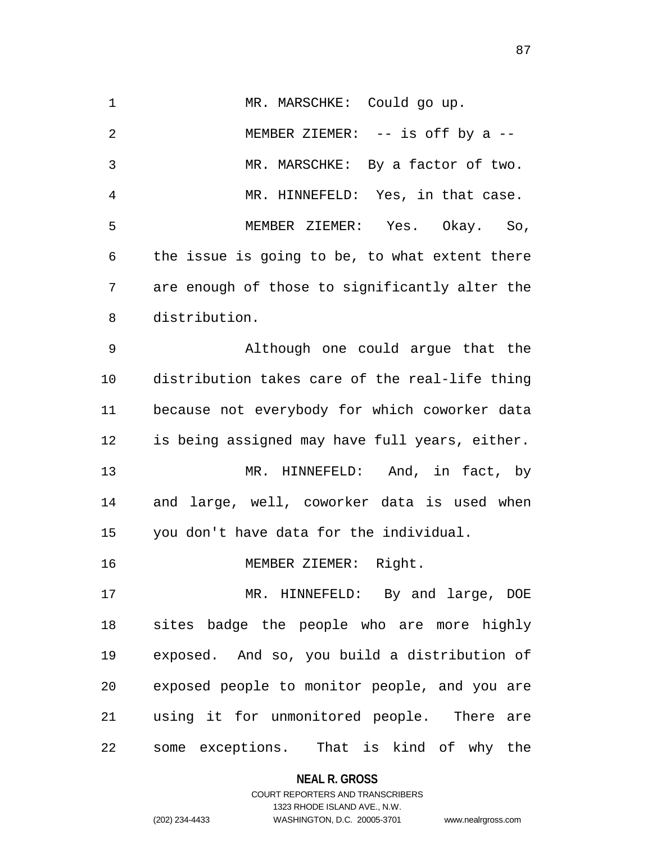1 MR. MARSCHKE: Could go up. MEMBER ZIEMER: -- is off by a -- MR. MARSCHKE: By a factor of two. MR. HINNEFELD: Yes, in that case. MEMBER ZIEMER: Yes. Okay. So, the issue is going to be, to what extent there are enough of those to significantly alter the distribution. Although one could argue that the distribution takes care of the real-life thing

 because not everybody for which coworker data is being assigned may have full years, either. MR. HINNEFELD: And, in fact, by and large, well, coworker data is used when you don't have data for the individual.

MEMBER ZIEMER: Right.

 MR. HINNEFELD: By and large, DOE sites badge the people who are more highly exposed. And so, you build a distribution of exposed people to monitor people, and you are using it for unmonitored people. There are some exceptions. That is kind of why the

**NEAL R. GROSS**

COURT REPORTERS AND TRANSCRIBERS 1323 RHODE ISLAND AVE., N.W. (202) 234-4433 WASHINGTON, D.C. 20005-3701 www.nealrgross.com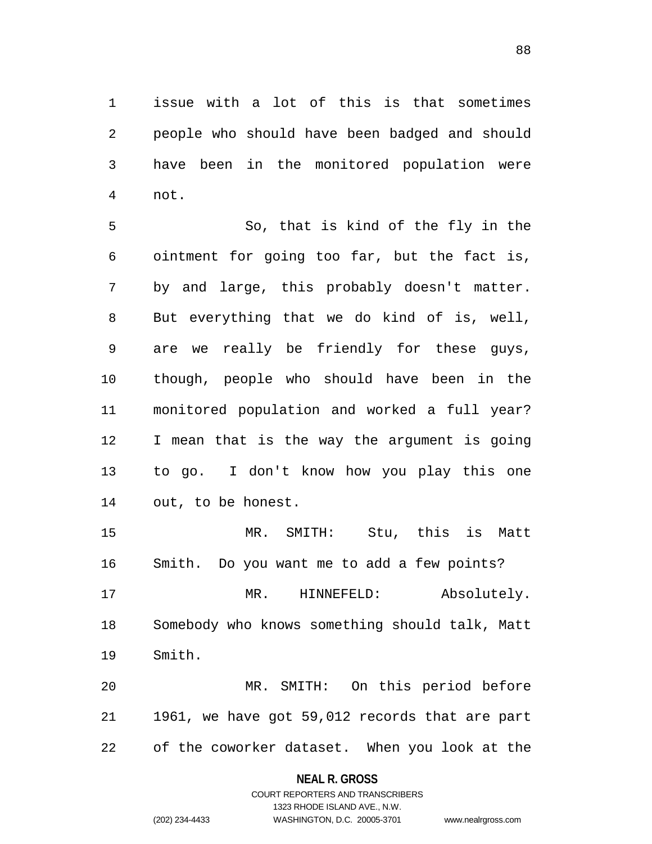issue with a lot of this is that sometimes people who should have been badged and should have been in the monitored population were not.

 So, that is kind of the fly in the ointment for going too far, but the fact is, by and large, this probably doesn't matter. But everything that we do kind of is, well, are we really be friendly for these guys, though, people who should have been in the monitored population and worked a full year? I mean that is the way the argument is going to go. I don't know how you play this one out, to be honest.

 MR. SMITH: Stu, this is Matt Smith. Do you want me to add a few points?

 MR. HINNEFELD: Absolutely. Somebody who knows something should talk, Matt Smith.

 MR. SMITH: On this period before 1961, we have got 59,012 records that are part of the coworker dataset. When you look at the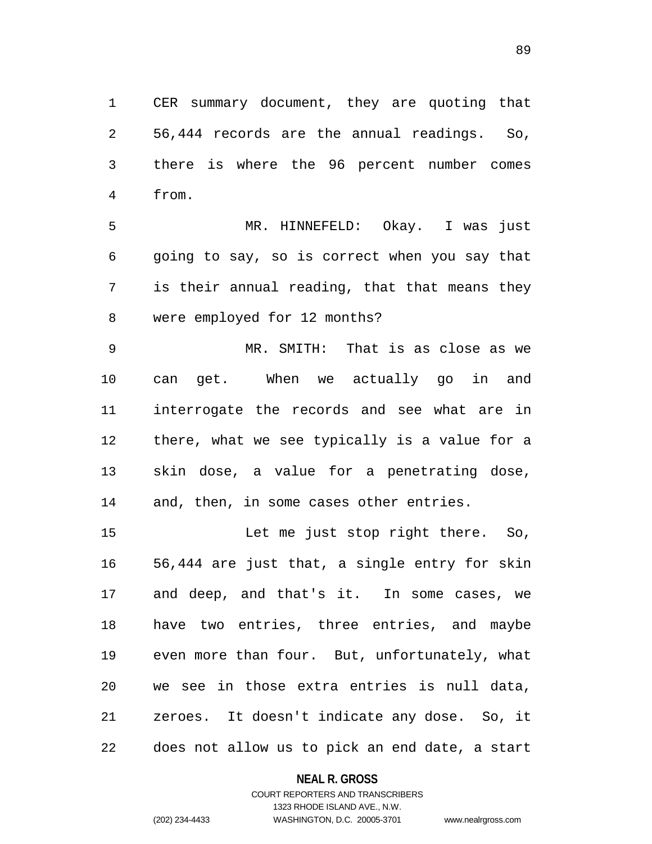CER summary document, they are quoting that 56,444 records are the annual readings. So, there is where the 96 percent number comes from.

 MR. HINNEFELD: Okay. I was just going to say, so is correct when you say that is their annual reading, that that means they were employed for 12 months?

 MR. SMITH: That is as close as we can get. When we actually go in and interrogate the records and see what are in there, what we see typically is a value for a skin dose, a value for a penetrating dose, and, then, in some cases other entries.

 Let me just stop right there. So, 56,444 are just that, a single entry for skin and deep, and that's it. In some cases, we have two entries, three entries, and maybe even more than four. But, unfortunately, what we see in those extra entries is null data, zeroes. It doesn't indicate any dose. So, it does not allow us to pick an end date, a start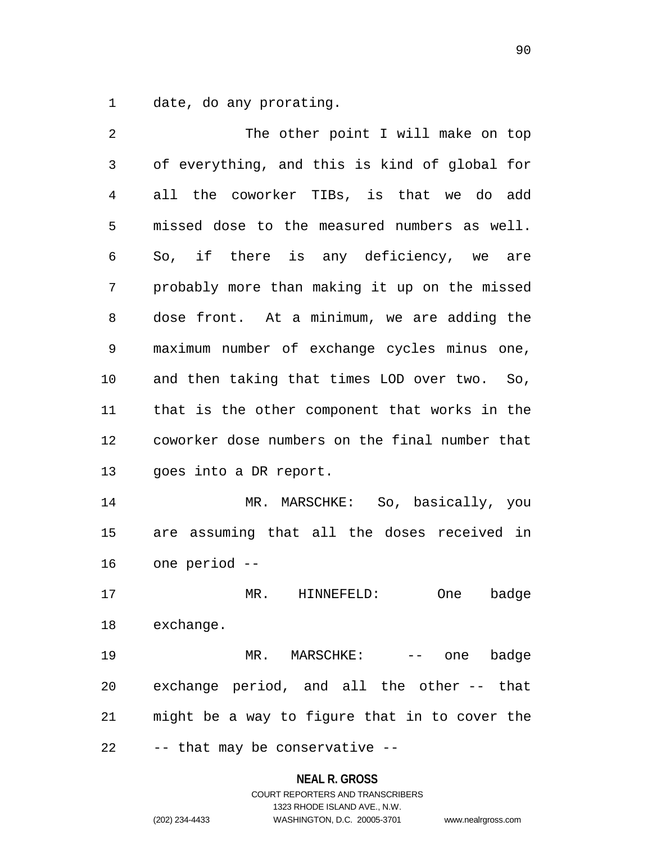date, do any prorating.

2 The other point I will make on top of everything, and this is kind of global for all the coworker TIBs, is that we do add missed dose to the measured numbers as well. So, if there is any deficiency, we are probably more than making it up on the missed dose front. At a minimum, we are adding the maximum number of exchange cycles minus one, and then taking that times LOD over two. So, that is the other component that works in the coworker dose numbers on the final number that goes into a DR report. MR. MARSCHKE: So, basically, you are assuming that all the doses received in one period -- MR. HINNEFELD: One badge exchange. 19 MR. MARSCHKE: -- one badge exchange period, and all the other -- that might be a way to figure that in to cover the -- that may be conservative --

#### **NEAL R. GROSS**

# COURT REPORTERS AND TRANSCRIBERS 1323 RHODE ISLAND AVE., N.W. (202) 234-4433 WASHINGTON, D.C. 20005-3701 www.nealrgross.com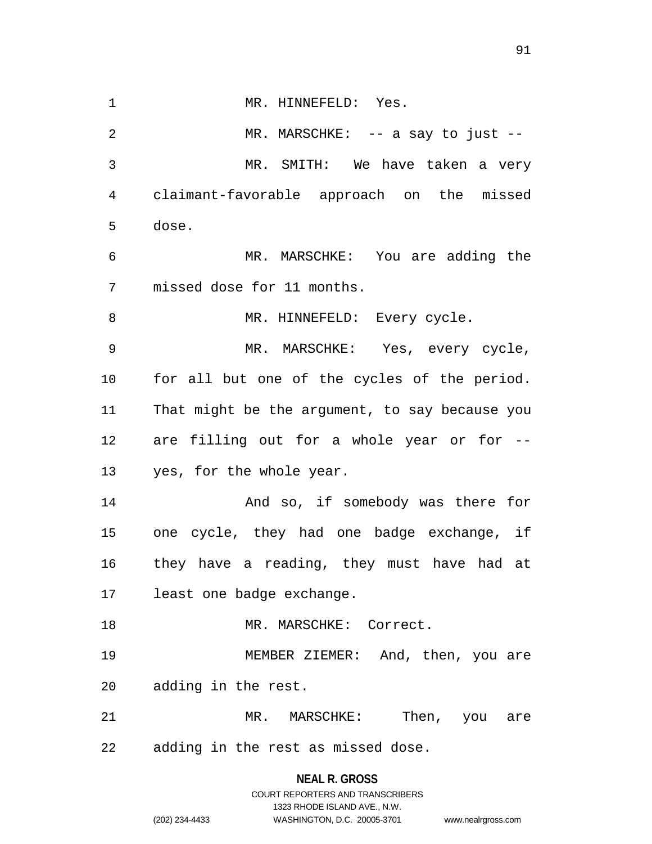1 MR. HINNEFELD: Yes. 2 MR. MARSCHKE: -- a say to just -- MR. SMITH: We have taken a very claimant-favorable approach on the missed dose. MR. MARSCHKE: You are adding the missed dose for 11 months. 8 MR. HINNEFELD: Every cycle. MR. MARSCHKE: Yes, every cycle, for all but one of the cycles of the period. That might be the argument, to say because you are filling out for a whole year or for -- yes, for the whole year. And so, if somebody was there for one cycle, they had one badge exchange, if they have a reading, they must have had at least one badge exchange. 18 MR. MARSCHKE: Correct. MEMBER ZIEMER: And, then, you are adding in the rest. 21 MR. MARSCHKE: Then, you are adding in the rest as missed dose.

1323 RHODE ISLAND AVE., N.W.

(202) 234-4433 WASHINGTON, D.C. 20005-3701 www.nealrgross.com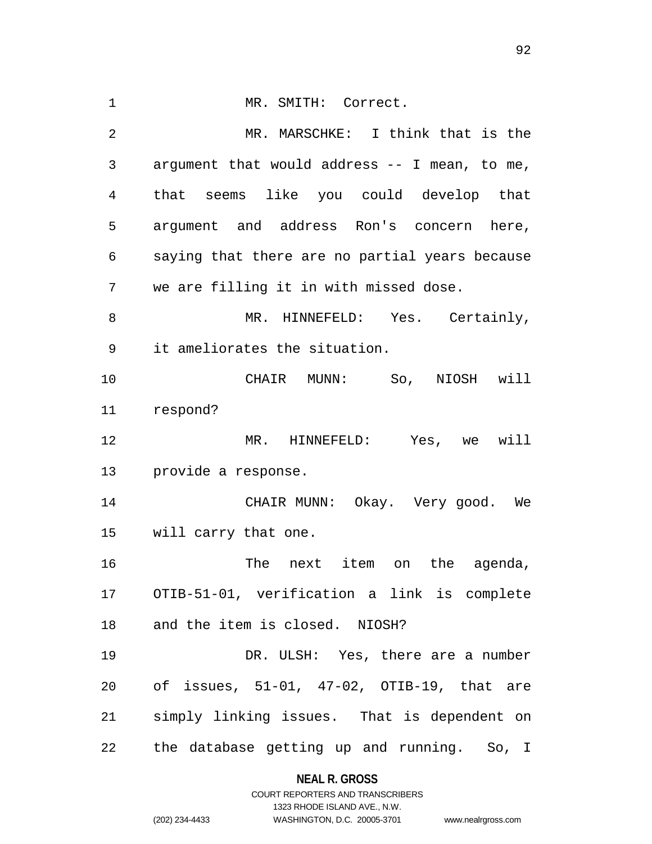1 MR. SMITH: Correct. MR. MARSCHKE: I think that is the argument that would address -- I mean, to me, that seems like you could develop that argument and address Ron's concern here, saying that there are no partial years because we are filling it in with missed dose. 8 MR. HINNEFELD: Yes. Certainly, it ameliorates the situation. CHAIR MUNN: So, NIOSH will respond? MR. HINNEFELD: Yes, we will provide a response. CHAIR MUNN: Okay. Very good. We will carry that one. 16 16 The next item on the agenda, OTIB-51-01, verification a link is complete and the item is closed. NIOSH? DR. ULSH: Yes, there are a number of issues, 51-01, 47-02, OTIB-19, that are simply linking issues. That is dependent on the database getting up and running. So, I

# **NEAL R. GROSS** COURT REPORTERS AND TRANSCRIBERS

1323 RHODE ISLAND AVE., N.W. (202) 234-4433 WASHINGTON, D.C. 20005-3701 www.nealrgross.com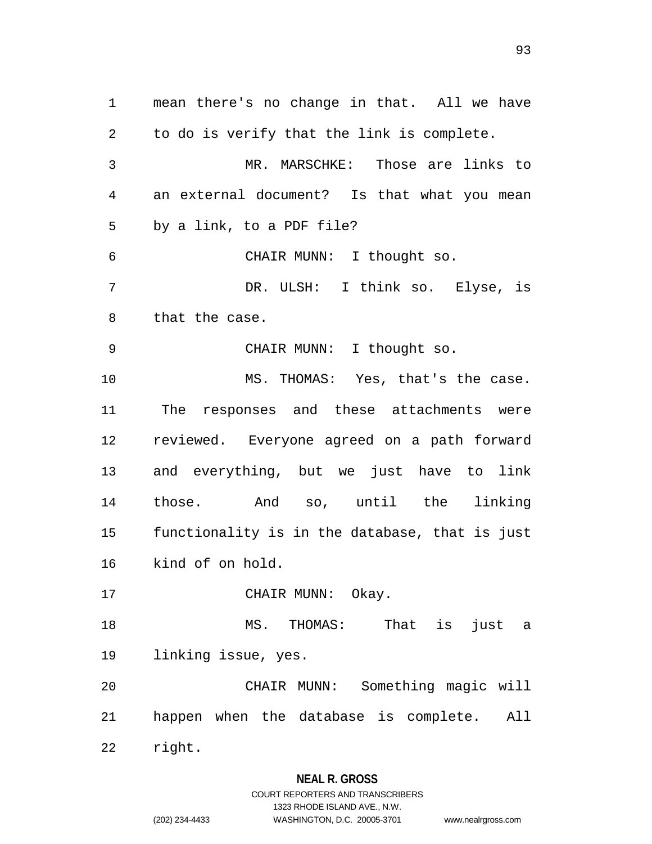mean there's no change in that. All we have to do is verify that the link is complete. MR. MARSCHKE: Those are links to an external document? Is that what you mean by a link, to a PDF file? CHAIR MUNN: I thought so. DR. ULSH: I think so. Elyse, is that the case. 9 CHAIR MUNN: I thought so. MS. THOMAS: Yes, that's the case. The responses and these attachments were reviewed. Everyone agreed on a path forward and everything, but we just have to link those. And so, until the linking functionality is in the database, that is just kind of on hold. 17 CHAIR MUNN: Okay. MS. THOMAS: That is just a linking issue, yes. CHAIR MUNN: Something magic will happen when the database is complete. All right.

## **NEAL R. GROSS**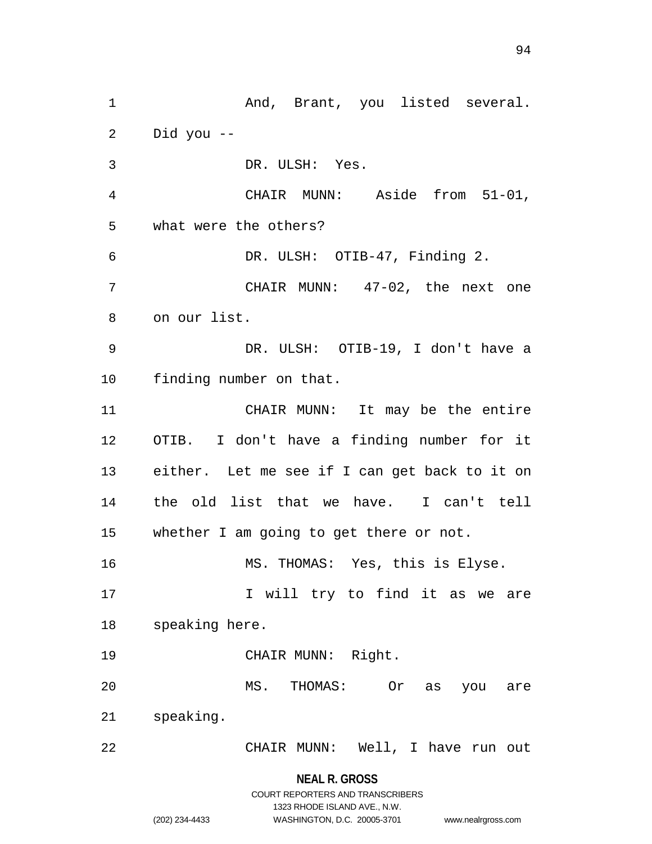1 And, Brant, you listed several. Did you -- DR. ULSH: Yes. CHAIR MUNN: Aside from 51-01, what were the others? DR. ULSH: OTIB-47, Finding 2. CHAIR MUNN: 47-02, the next one on our list. DR. ULSH: OTIB-19, I don't have a finding number on that. CHAIR MUNN: It may be the entire OTIB. I don't have a finding number for it either. Let me see if I can get back to it on the old list that we have. I can't tell whether I am going to get there or not. MS. THOMAS: Yes, this is Elyse. 17 I will try to find it as we are speaking here. CHAIR MUNN: Right. MS. THOMAS: Or as you are speaking. CHAIR MUNN: Well, I have run out

**NEAL R. GROSS**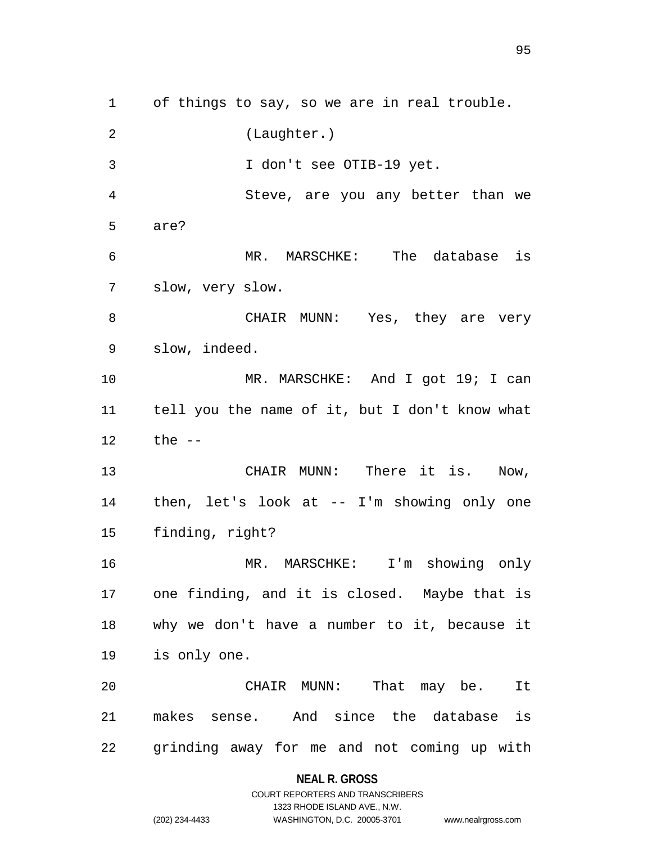of things to say, so we are in real trouble. (Laughter.) I don't see OTIB-19 yet. Steve, are you any better than we are? MR. MARSCHKE: The database is slow, very slow. 8 CHAIR MUNN: Yes, they are very slow, indeed. 10 MR. MARSCHKE: And I got 19; I can tell you the name of it, but I don't know what the -- 13 CHAIR MUNN: There it is. Now, then, let's look at -- I'm showing only one finding, right? MR. MARSCHKE: I'm showing only one finding, and it is closed. Maybe that is why we don't have a number to it, because it is only one. CHAIR MUNN: That may be. It makes sense. And since the database is grinding away for me and not coming up with

### **NEAL R. GROSS**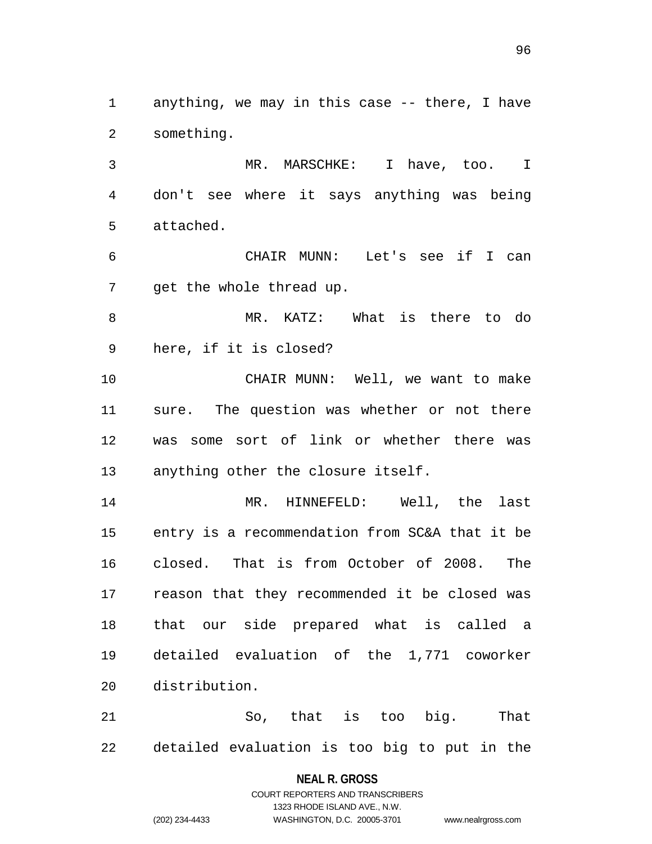anything, we may in this case -- there, I have something.

 MR. MARSCHKE: I have, too. I don't see where it says anything was being attached.

 CHAIR MUNN: Let's see if I can get the whole thread up.

 MR. KATZ: What is there to do here, if it is closed?

 CHAIR MUNN: Well, we want to make sure. The question was whether or not there was some sort of link or whether there was anything other the closure itself.

 MR. HINNEFELD: Well, the last entry is a recommendation from SC&A that it be closed. That is from October of 2008. The reason that they recommended it be closed was that our side prepared what is called a detailed evaluation of the 1,771 coworker distribution.

 So, that is too big. That detailed evaluation is too big to put in the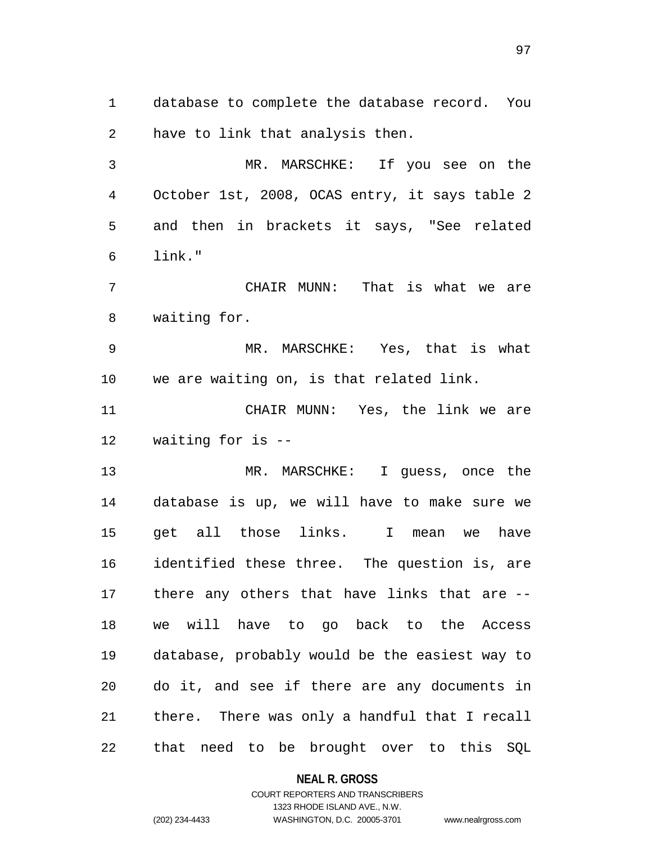database to complete the database record. You have to link that analysis then.

 MR. MARSCHKE: If you see on the October 1st, 2008, OCAS entry, it says table 2 and then in brackets it says, "See related link."

 CHAIR MUNN: That is what we are waiting for.

 MR. MARSCHKE: Yes, that is what we are waiting on, is that related link.

 CHAIR MUNN: Yes, the link we are waiting for is --

 MR. MARSCHKE: I guess, once the database is up, we will have to make sure we get all those links. I mean we have identified these three. The question is, are there any others that have links that are -- we will have to go back to the Access database, probably would be the easiest way to do it, and see if there are any documents in there. There was only a handful that I recall that need to be brought over to this SQL

## **NEAL R. GROSS**

## COURT REPORTERS AND TRANSCRIBERS 1323 RHODE ISLAND AVE., N.W. (202) 234-4433 WASHINGTON, D.C. 20005-3701 www.nealrgross.com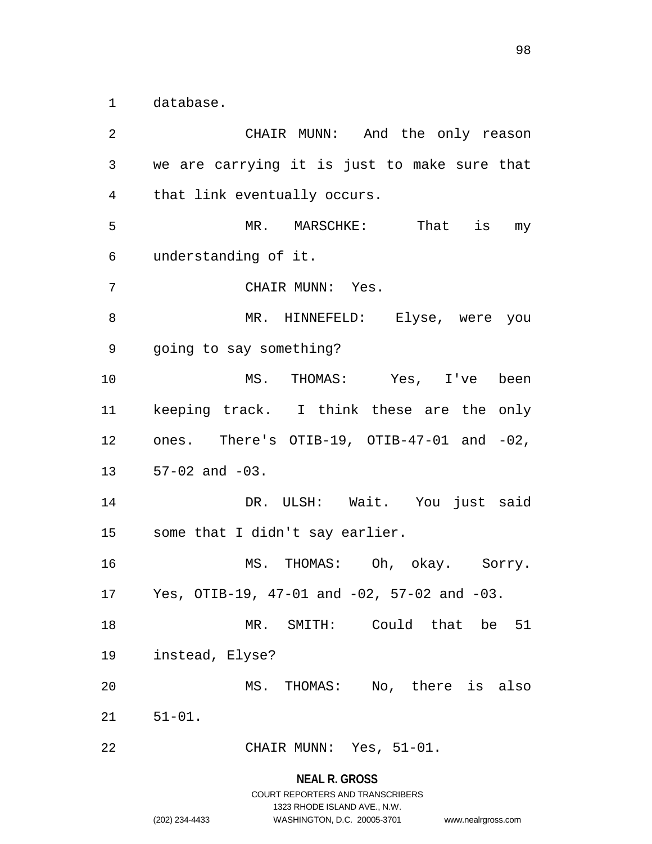database.

 CHAIR MUNN: And the only reason we are carrying it is just to make sure that that link eventually occurs. MR. MARSCHKE: That is my understanding of it. CHAIR MUNN: Yes. 8 MR. HINNEFELD: Elyse, were you going to say something? MS. THOMAS: Yes, I've been keeping track. I think these are the only ones. There's OTIB-19, OTIB-47-01 and -02, 57-02 and -03. DR. ULSH: Wait. You just said some that I didn't say earlier. MS. THOMAS: Oh, okay. Sorry. Yes, OTIB-19, 47-01 and -02, 57-02 and -03. MR. SMITH: Could that be 51 instead, Elyse? MS. THOMAS: No, there is also 51-01. CHAIR MUNN: Yes, 51-01.

**NEAL R. GROSS**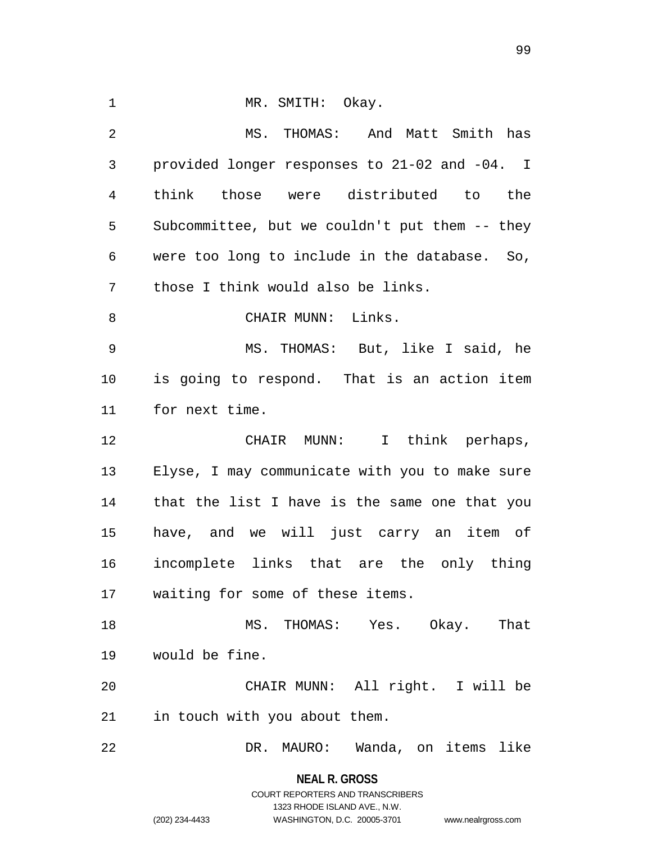| $\mathbf{1}$   | MR. SMITH: Okay.                               |
|----------------|------------------------------------------------|
| $\overline{2}$ | MS. THOMAS: And Matt Smith has                 |
|                |                                                |
| 3              | provided longer responses to 21-02 and -04. I  |
| 4              | think those were distributed to the            |
| 5              | Subcommittee, but we couldn't put them -- they |
| 6              | were too long to include in the database. So,  |
| 7              | those I think would also be links.             |
| 8              | CHAIR MUNN: Links.                             |
| $\overline{9}$ | MS. THOMAS: But, like I said, he               |
| 10             | is going to respond. That is an action item    |
| 11             | for next time.                                 |
| 12             | CHAIR MUNN: I think perhaps,                   |
| 13             | Elyse, I may communicate with you to make sure |
| 14             | that the list I have is the same one that you  |
| 15             | have, and we will just carry an item of        |
| 16             | incomplete links that are the only thing       |
| 17             | waiting for some of these items.               |
| 18             | MS. THOMAS: Yes. Okay.<br>That                 |
| 19             | would be fine.                                 |
| 20             | CHAIR MUNN: All right. I will be               |
| 21             | in touch with you about them.                  |
| 22             | MAURO: Wanda, on items like<br>DR.             |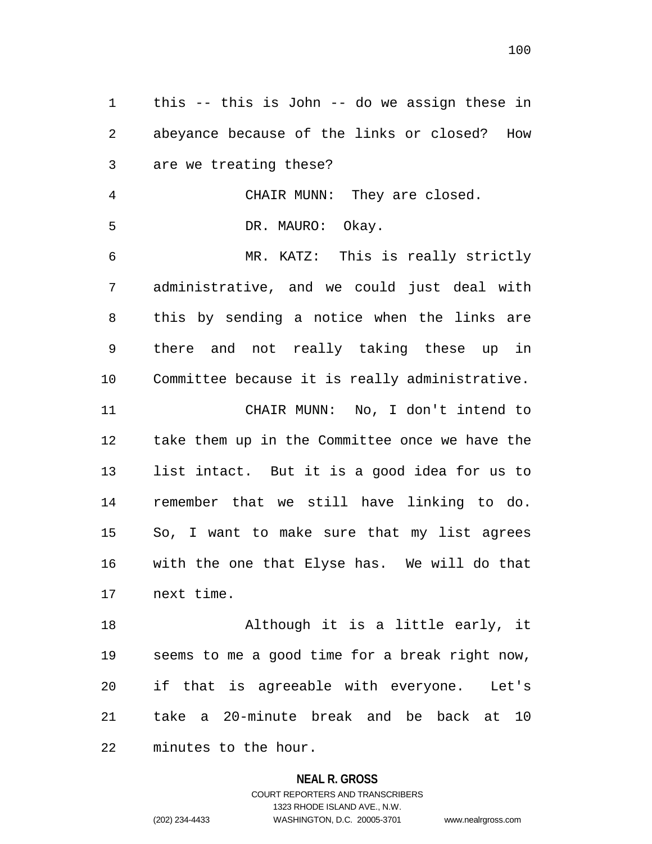this -- this is John -- do we assign these in abeyance because of the links or closed? How are we treating these? CHAIR MUNN: They are closed. DR. MAURO: Okay. MR. KATZ: This is really strictly administrative, and we could just deal with this by sending a notice when the links are there and not really taking these up in Committee because it is really administrative. CHAIR MUNN: No, I don't intend to take them up in the Committee once we have the list intact. But it is a good idea for us to remember that we still have linking to do. So, I want to make sure that my list agrees with the one that Elyse has. We will do that next time. Although it is a little early, it

 seems to me a good time for a break right now, if that is agreeable with everyone. Let's take a 20-minute break and be back at 10 minutes to the hour.

#### **NEAL R. GROSS**

COURT REPORTERS AND TRANSCRIBERS 1323 RHODE ISLAND AVE., N.W. (202) 234-4433 WASHINGTON, D.C. 20005-3701 www.nealrgross.com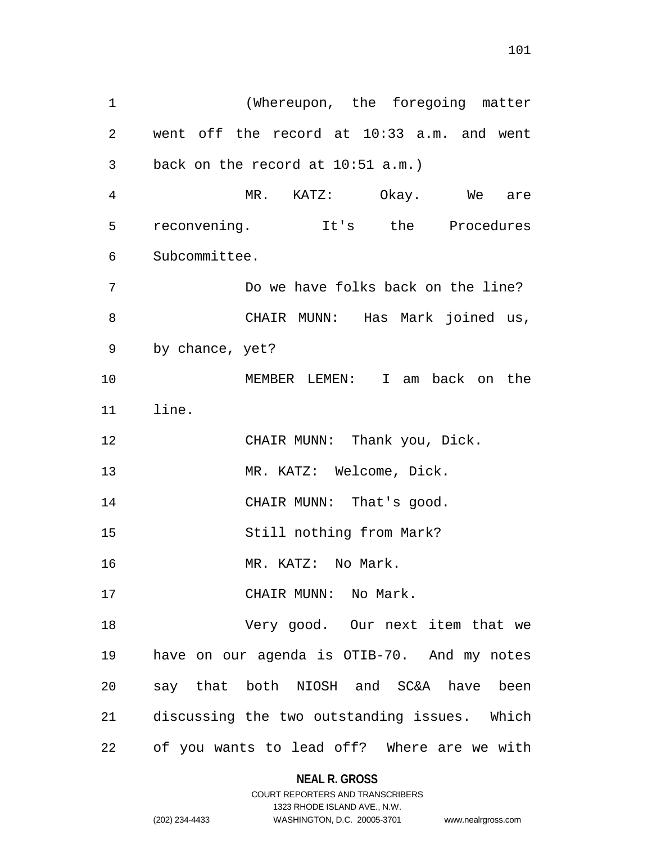(Whereupon, the foregoing matter went off the record at 10:33 a.m. and went back on the record at 10:51 a.m.) MR. KATZ: Okay. We are reconvening. It's the Procedures Subcommittee. Do we have folks back on the line? CHAIR MUNN: Has Mark joined us, by chance, yet? MEMBER LEMEN: I am back on the line. 12 CHAIR MUNN: Thank you, Dick. MR. KATZ: Welcome, Dick. 14 CHAIR MUNN: That's good. Still nothing from Mark? MR. KATZ: No Mark. 17 CHAIR MUNN: No Mark. Very good. Our next item that we have on our agenda is OTIB-70. And my notes say that both NIOSH and SC&A have been discussing the two outstanding issues. Which

of you wants to lead off? Where are we with

**NEAL R. GROSS** COURT REPORTERS AND TRANSCRIBERS

1323 RHODE ISLAND AVE., N.W.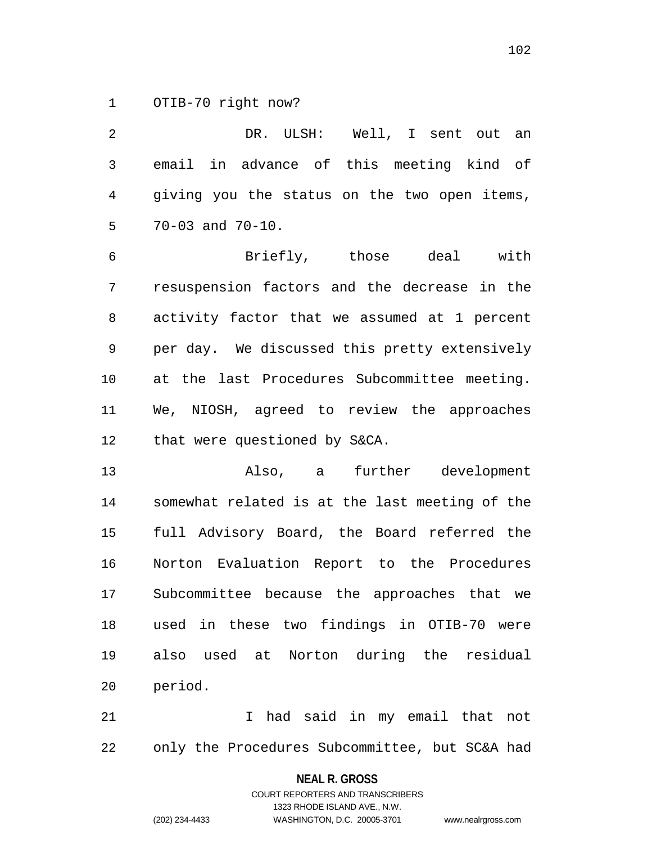OTIB-70 right now?

 DR. ULSH: Well, I sent out an email in advance of this meeting kind of giving you the status on the two open items, 70-03 and 70-10. Briefly, those deal with resuspension factors and the decrease in the activity factor that we assumed at 1 percent per day. We discussed this pretty extensively at the last Procedures Subcommittee meeting. We, NIOSH, agreed to review the approaches that were questioned by S&CA. Also, a further development somewhat related is at the last meeting of the full Advisory Board, the Board referred the Norton Evaluation Report to the Procedures Subcommittee because the approaches that we used in these two findings in OTIB-70 were also used at Norton during the residual

 I had said in my email that not only the Procedures Subcommittee, but SC&A had

> **NEAL R. GROSS** COURT REPORTERS AND TRANSCRIBERS

> > 1323 RHODE ISLAND AVE., N.W.

(202) 234-4433 WASHINGTON, D.C. 20005-3701 www.nealrgross.com

period.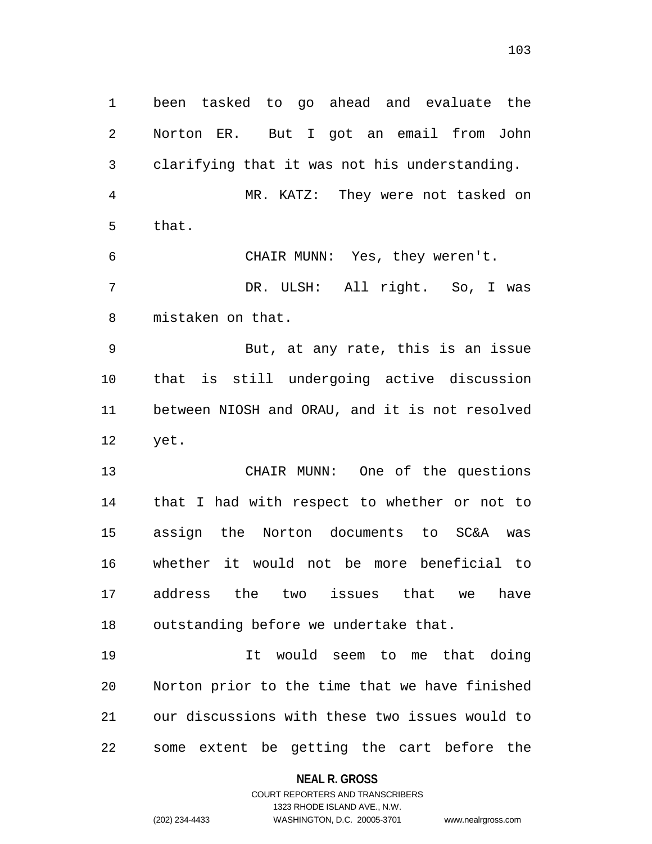been tasked to go ahead and evaluate the Norton ER. But I got an email from John clarifying that it was not his understanding. MR. KATZ: They were not tasked on that. CHAIR MUNN: Yes, they weren't. DR. ULSH: All right. So, I was mistaken on that. But, at any rate, this is an issue that is still undergoing active discussion between NIOSH and ORAU, and it is not resolved yet. CHAIR MUNN: One of the questions that I had with respect to whether or not to assign the Norton documents to SC&A was whether it would not be more beneficial to address the two issues that we have outstanding before we undertake that. It would seem to me that doing Norton prior to the time that we have finished our discussions with these two issues would to

> **NEAL R. GROSS** COURT REPORTERS AND TRANSCRIBERS

some extent be getting the cart before the

1323 RHODE ISLAND AVE., N.W.

(202) 234-4433 WASHINGTON, D.C. 20005-3701 www.nealrgross.com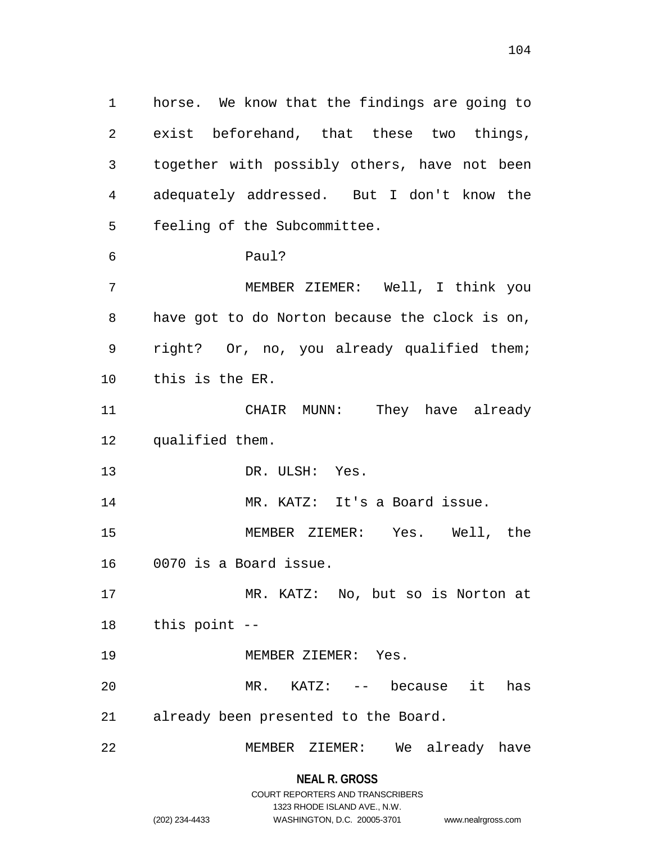horse. We know that the findings are going to exist beforehand, that these two things, together with possibly others, have not been adequately addressed. But I don't know the feeling of the Subcommittee. Paul? MEMBER ZIEMER: Well, I think you have got to do Norton because the clock is on, right? Or, no, you already qualified them; this is the ER. CHAIR MUNN: They have already qualified them. DR. ULSH: Yes. 14 MR. KATZ: It's a Board issue. MEMBER ZIEMER: Yes. Well, the 0070 is a Board issue. MR. KATZ: No, but so is Norton at this point -- 19 MEMBER ZIEMER: Yes. MR. KATZ: -- because it has already been presented to the Board. MEMBER ZIEMER: We already have

# **NEAL R. GROSS** COURT REPORTERS AND TRANSCRIBERS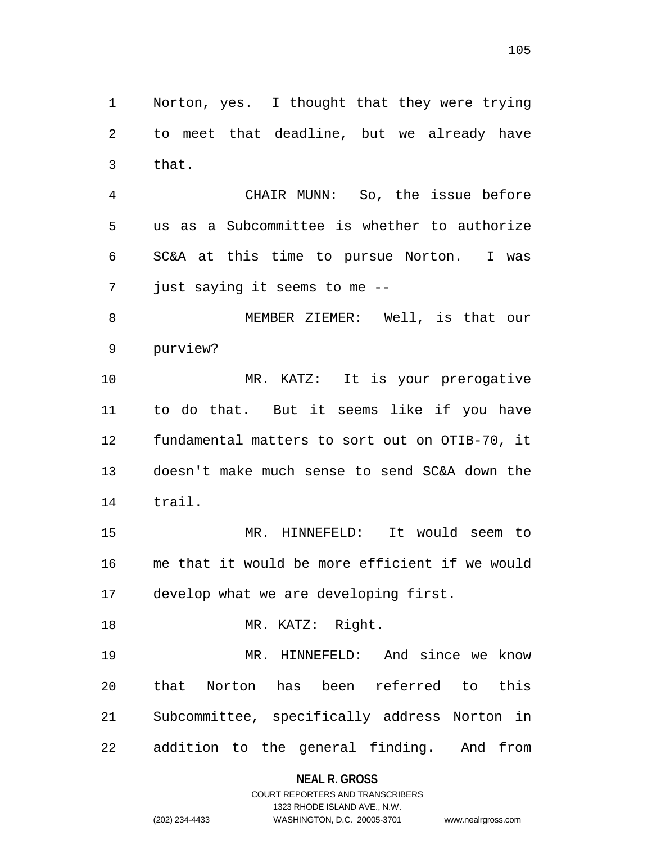Norton, yes. I thought that they were trying to meet that deadline, but we already have that.

 CHAIR MUNN: So, the issue before us as a Subcommittee is whether to authorize SC&A at this time to pursue Norton. I was just saying it seems to me --

 MEMBER ZIEMER: Well, is that our purview?

10 MR. KATZ: It is your prerogative to do that. But it seems like if you have fundamental matters to sort out on OTIB-70, it doesn't make much sense to send SC&A down the trail.

 MR. HINNEFELD: It would seem to me that it would be more efficient if we would develop what we are developing first.

18 MR. KATZ: Right.

 MR. HINNEFELD: And since we know that Norton has been referred to this Subcommittee, specifically address Norton in addition to the general finding. And from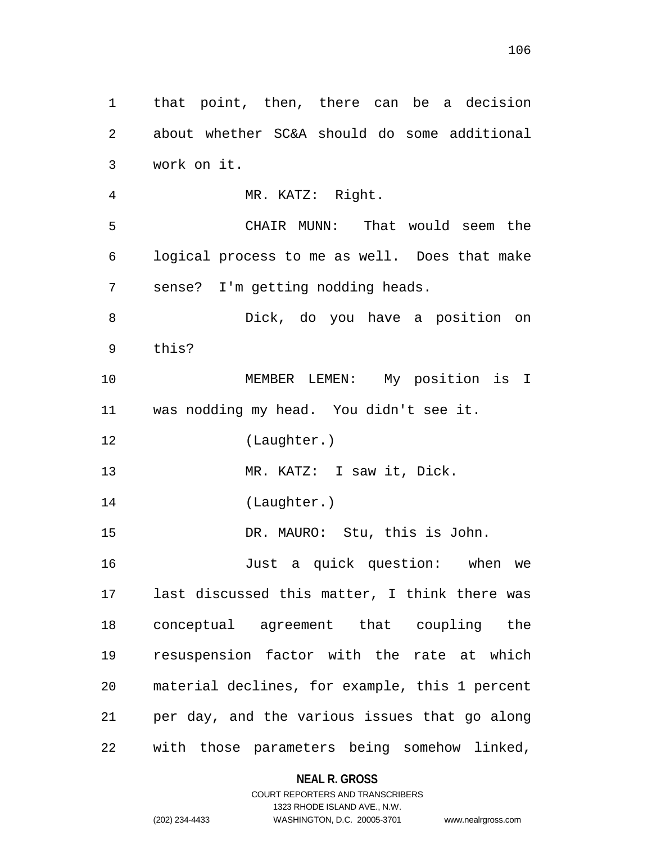that point, then, there can be a decision about whether SC&A should do some additional work on it. MR. KATZ: Right. CHAIR MUNN: That would seem the logical process to me as well. Does that make sense? I'm getting nodding heads. Dick, do you have a position on this? MEMBER LEMEN: My position is I was nodding my head. You didn't see it. (Laughter.) MR. KATZ: I saw it, Dick. (Laughter.) DR. MAURO: Stu, this is John. Just a quick question: when we last discussed this matter, I think there was conceptual agreement that coupling the resuspension factor with the rate at which material declines, for example, this 1 percent per day, and the various issues that go along with those parameters being somehow linked,

## **NEAL R. GROSS**

COURT REPORTERS AND TRANSCRIBERS 1323 RHODE ISLAND AVE., N.W. (202) 234-4433 WASHINGTON, D.C. 20005-3701 www.nealrgross.com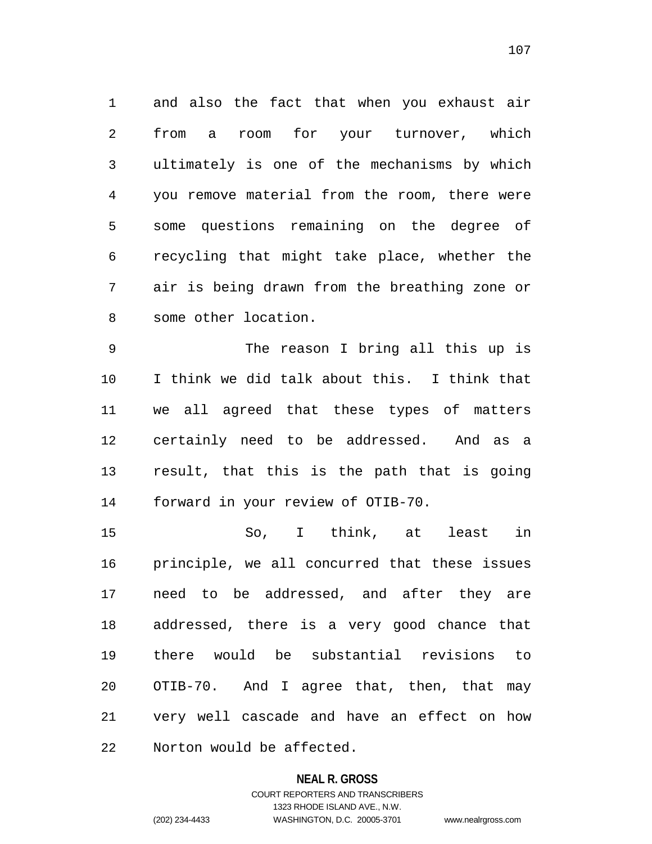and also the fact that when you exhaust air from a room for your turnover, which ultimately is one of the mechanisms by which you remove material from the room, there were some questions remaining on the degree of recycling that might take place, whether the air is being drawn from the breathing zone or some other location.

 The reason I bring all this up is I think we did talk about this. I think that we all agreed that these types of matters certainly need to be addressed. And as a result, that this is the path that is going forward in your review of OTIB-70.

 So, I think, at least in principle, we all concurred that these issues need to be addressed, and after they are addressed, there is a very good chance that there would be substantial revisions to OTIB-70. And I agree that, then, that may very well cascade and have an effect on how Norton would be affected.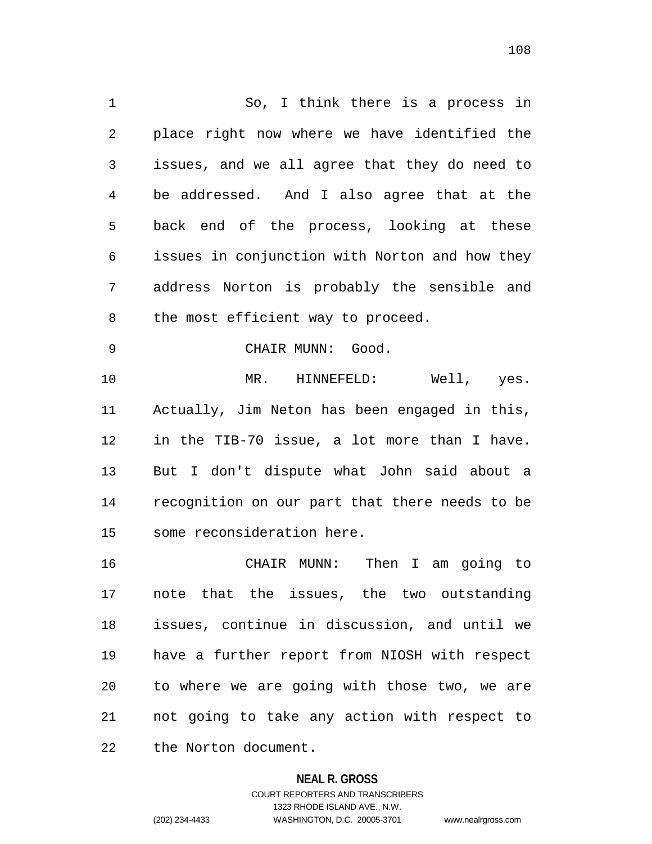So, I think there is a process in place right now where we have identified the issues, and we all agree that they do need to be addressed. And I also agree that at the back end of the process, looking at these issues in conjunction with Norton and how they address Norton is probably the sensible and 8 the most efficient way to proceed. CHAIR MUNN: Good. MR. HINNEFELD: Well, yes. Actually, Jim Neton has been engaged in this, in the TIB-70 issue, a lot more than I have. But I don't dispute what John said about a recognition on our part that there needs to be some reconsideration here. CHAIR MUNN: Then I am going to note that the issues, the two outstanding issues, continue in discussion, and until we

 have a further report from NIOSH with respect to where we are going with those two, we are not going to take any action with respect to the Norton document.

### **NEAL R. GROSS**

COURT REPORTERS AND TRANSCRIBERS 1323 RHODE ISLAND AVE., N.W. (202) 234-4433 WASHINGTON, D.C. 20005-3701 www.nealrgross.com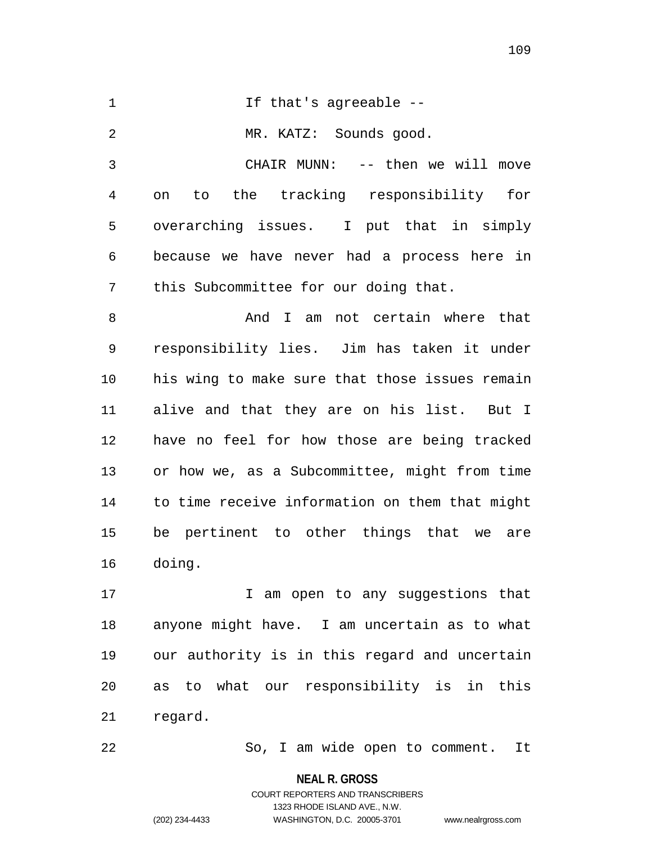1 If that's agreeable -- MR. KATZ: Sounds good. CHAIR MUNN: -- then we will move on to the tracking responsibility for overarching issues. I put that in simply because we have never had a process here in this Subcommittee for our doing that. 8 And I am not certain where that responsibility lies. Jim has taken it under his wing to make sure that those issues remain alive and that they are on his list. But I have no feel for how those are being tracked or how we, as a Subcommittee, might from time to time receive information on them that might be pertinent to other things that we are doing.

17 17 I am open to any suggestions that anyone might have. I am uncertain as to what our authority is in this regard and uncertain as to what our responsibility is in this regard.

So, I am wide open to comment. It

**NEAL R. GROSS** COURT REPORTERS AND TRANSCRIBERS

1323 RHODE ISLAND AVE., N.W.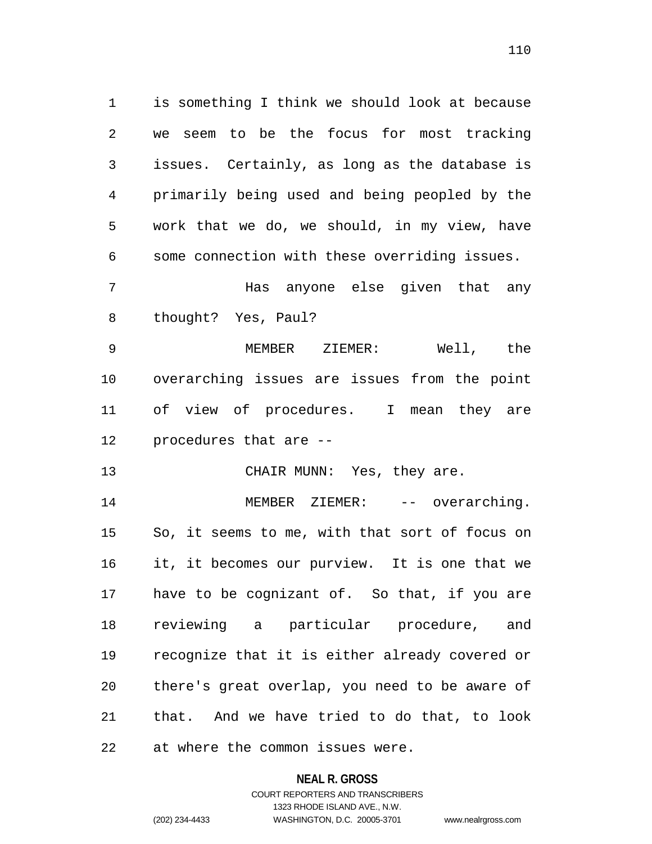is something I think we should look at because we seem to be the focus for most tracking issues. Certainly, as long as the database is primarily being used and being peopled by the work that we do, we should, in my view, have some connection with these overriding issues. Has anyone else given that any

thought? Yes, Paul?

 MEMBER ZIEMER: Well, the overarching issues are issues from the point of view of procedures. I mean they are procedures that are --

13 CHAIR MUNN: Yes, they are.

14 MEMBER ZIEMER: -- overarching. So, it seems to me, with that sort of focus on it, it becomes our purview. It is one that we have to be cognizant of. So that, if you are reviewing a particular procedure, and recognize that it is either already covered or there's great overlap, you need to be aware of that. And we have tried to do that, to look at where the common issues were.

### **NEAL R. GROSS**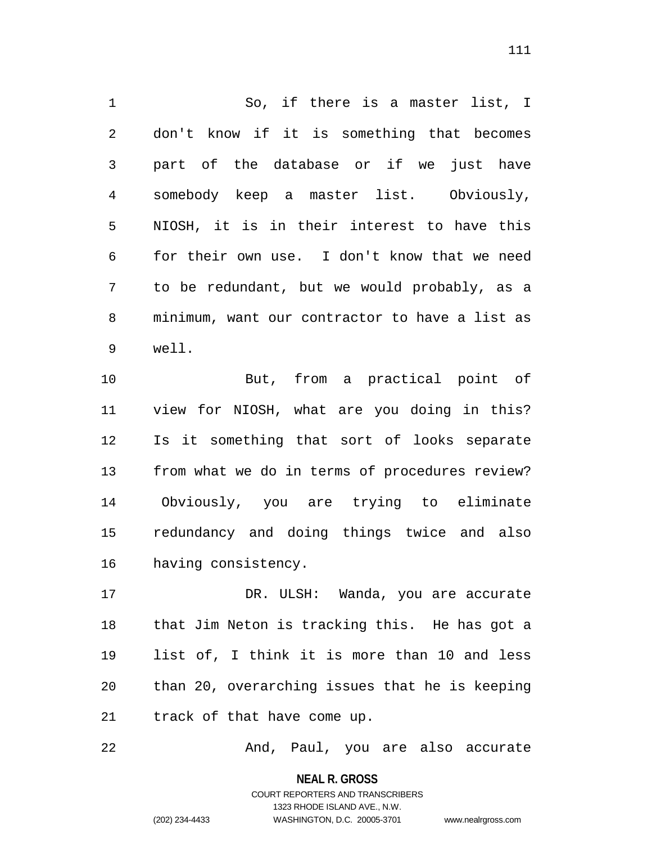So, if there is a master list, I don't know if it is something that becomes part of the database or if we just have somebody keep a master list. Obviously, NIOSH, it is in their interest to have this for their own use. I don't know that we need to be redundant, but we would probably, as a minimum, want our contractor to have a list as well.

 But, from a practical point of view for NIOSH, what are you doing in this? Is it something that sort of looks separate from what we do in terms of procedures review? Obviously, you are trying to eliminate redundancy and doing things twice and also having consistency.

17 DR. ULSH: Wanda, you are accurate that Jim Neton is tracking this. He has got a list of, I think it is more than 10 and less than 20, overarching issues that he is keeping track of that have come up.

And, Paul, you are also accurate

**NEAL R. GROSS** COURT REPORTERS AND TRANSCRIBERS 1323 RHODE ISLAND AVE., N.W.

(202) 234-4433 WASHINGTON, D.C. 20005-3701 www.nealrgross.com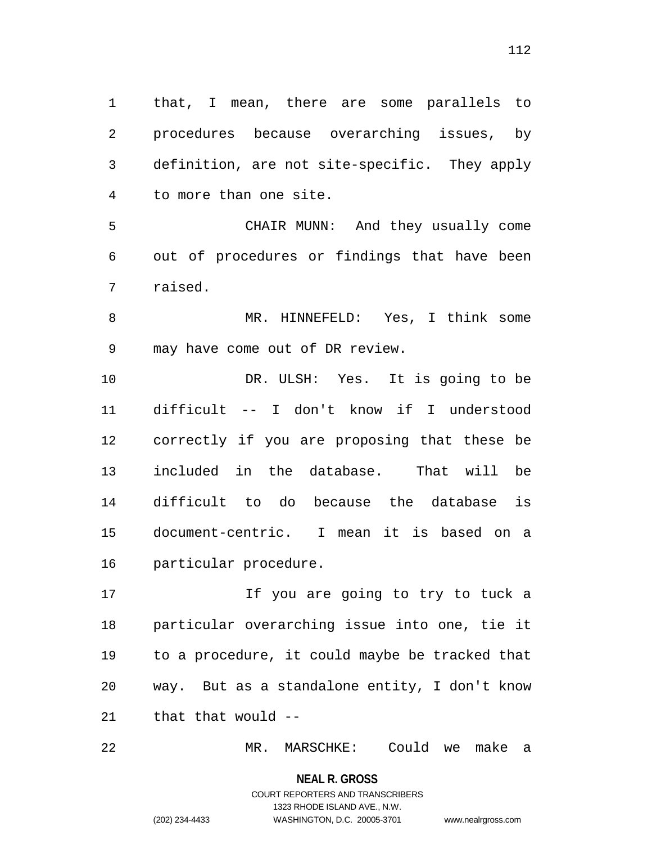that, I mean, there are some parallels to procedures because overarching issues, by definition, are not site-specific. They apply to more than one site.

 CHAIR MUNN: And they usually come out of procedures or findings that have been raised.

 MR. HINNEFELD: Yes, I think some may have come out of DR review.

 DR. ULSH: Yes. It is going to be difficult -- I don't know if I understood correctly if you are proposing that these be included in the database. That will be difficult to do because the database is document-centric. I mean it is based on a particular procedure.

17 17 11 If you are going to try to tuck a particular overarching issue into one, tie it to a procedure, it could maybe be tracked that way. But as a standalone entity, I don't know that that would --

MR. MARSCHKE: Could we make a

**NEAL R. GROSS** COURT REPORTERS AND TRANSCRIBERS

1323 RHODE ISLAND AVE., N.W.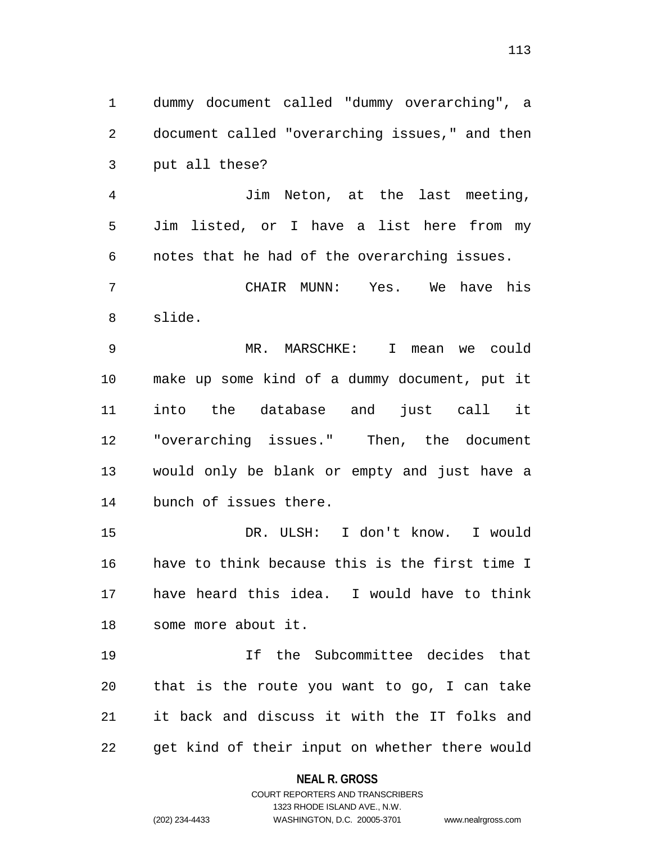dummy document called "dummy overarching", a document called "overarching issues," and then put all these?

 Jim Neton, at the last meeting, Jim listed, or I have a list here from my notes that he had of the overarching issues.

 CHAIR MUNN: Yes. We have his slide.

 MR. MARSCHKE: I mean we could make up some kind of a dummy document, put it into the database and just call it "overarching issues." Then, the document would only be blank or empty and just have a bunch of issues there.

 DR. ULSH: I don't know. I would have to think because this is the first time I have heard this idea. I would have to think some more about it.

 If the Subcommittee decides that that is the route you want to go, I can take it back and discuss it with the IT folks and get kind of their input on whether there would

### **NEAL R. GROSS**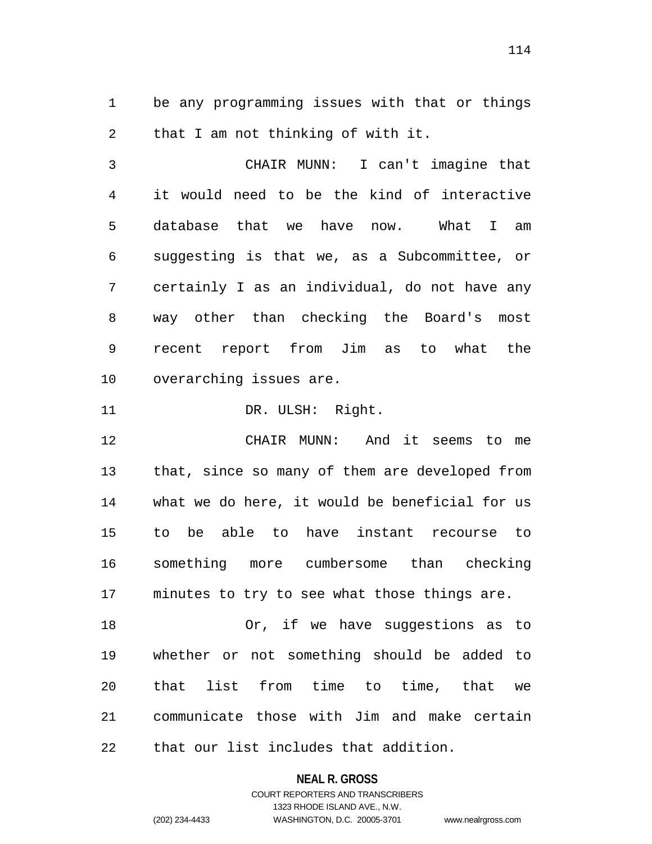be any programming issues with that or things that I am not thinking of with it.

 CHAIR MUNN: I can't imagine that it would need to be the kind of interactive database that we have now. What I am suggesting is that we, as a Subcommittee, or certainly I as an individual, do not have any way other than checking the Board's most recent report from Jim as to what the overarching issues are.

11 DR. ULSH: Right.

 CHAIR MUNN: And it seems to me that, since so many of them are developed from what we do here, it would be beneficial for us to be able to have instant recourse to something more cumbersome than checking minutes to try to see what those things are.

 Or, if we have suggestions as to whether or not something should be added to that list from time to time, that we communicate those with Jim and make certain that our list includes that addition.

> **NEAL R. GROSS** COURT REPORTERS AND TRANSCRIBERS

1323 RHODE ISLAND AVE., N.W. (202) 234-4433 WASHINGTON, D.C. 20005-3701 www.nealrgross.com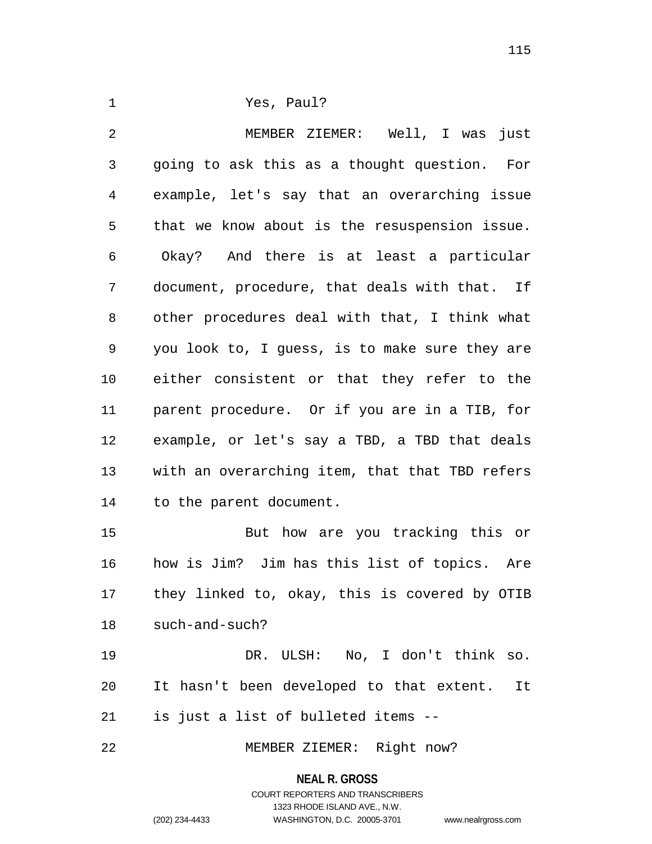Yes, Paul?

 MEMBER ZIEMER: Well, I was just going to ask this as a thought question. For example, let's say that an overarching issue that we know about is the resuspension issue. Okay? And there is at least a particular document, procedure, that deals with that. If other procedures deal with that, I think what you look to, I guess, is to make sure they are either consistent or that they refer to the parent procedure. Or if you are in a TIB, for example, or let's say a TBD, a TBD that deals with an overarching item, that that TBD refers to the parent document.

 But how are you tracking this or how is Jim? Jim has this list of topics. Are they linked to, okay, this is covered by OTIB such-and-such?

 DR. ULSH: No, I don't think so. It hasn't been developed to that extent. It is just a list of bulleted items --

MEMBER ZIEMER: Right now?

**NEAL R. GROSS**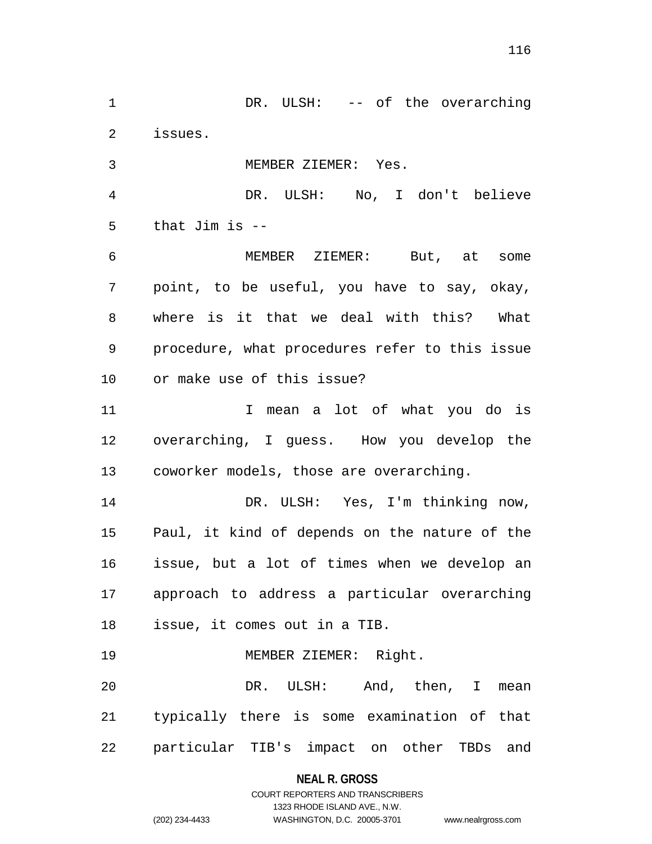DR. ULSH: -- of the overarching issues. MEMBER ZIEMER: Yes.

DR. ULSH: No, I don't believe

that Jim is --

 MEMBER ZIEMER: But, at some point, to be useful, you have to say, okay, where is it that we deal with this? What procedure, what procedures refer to this issue or make use of this issue?

11 1 I mean a lot of what you do is overarching, I guess. How you develop the coworker models, those are overarching.

 DR. ULSH: Yes, I'm thinking now, Paul, it kind of depends on the nature of the issue, but a lot of times when we develop an approach to address a particular overarching issue, it comes out in a TIB.

MEMBER ZIEMER: Right.

 DR. ULSH: And, then, I mean typically there is some examination of that particular TIB's impact on other TBDs and

**NEAL R. GROSS**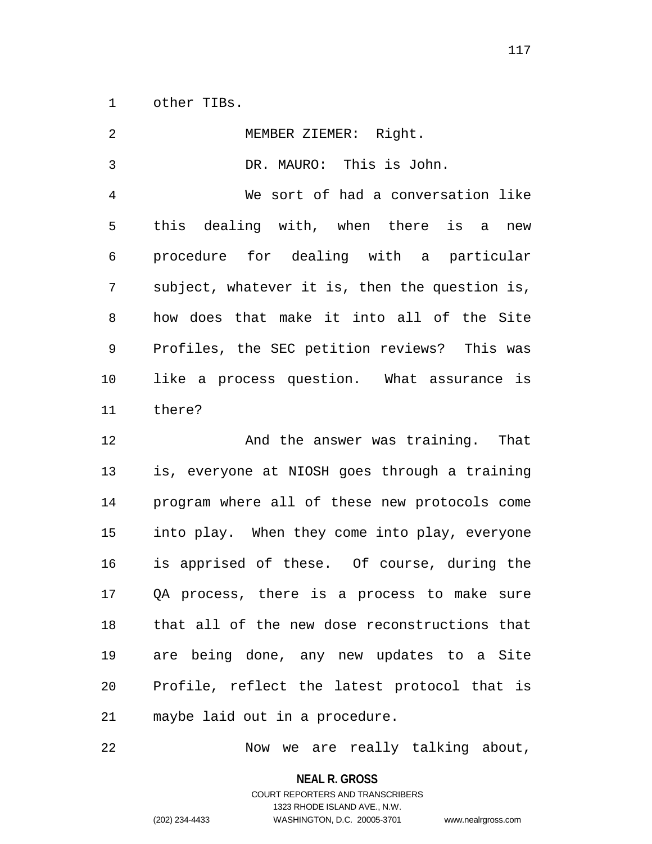other TIBs.

| 2  | MEMBER ZIEMER: Right.                          |
|----|------------------------------------------------|
| 3  | DR. MAURO: This is John.                       |
| 4  | We sort of had a conversation like             |
| 5  | this dealing with, when there is a<br>new      |
| 6  | procedure for dealing with a particular        |
| 7  | subject, whatever it is, then the question is, |
| 8  | how does that make it into all of the Site     |
| 9  | Profiles, the SEC petition reviews? This was   |
| 10 | like a process question. What assurance is     |
| 11 | there?                                         |
|    |                                                |
| 12 | And the answer was training. That              |
| 13 | is, everyone at NIOSH goes through a training  |
| 14 | program where all of these new protocols come  |
| 15 | into play. When they come into play, everyone  |
| 16 | is apprised of these. Of course, during the    |
| 17 | QA process, there is a process to make sure    |
| 18 | that all of the new dose reconstructions that  |
| 19 | are being done, any new updates to a Site      |
| 20 | Profile, reflect the latest protocol that is   |

Now we are really talking about,

**NEAL R. GROSS**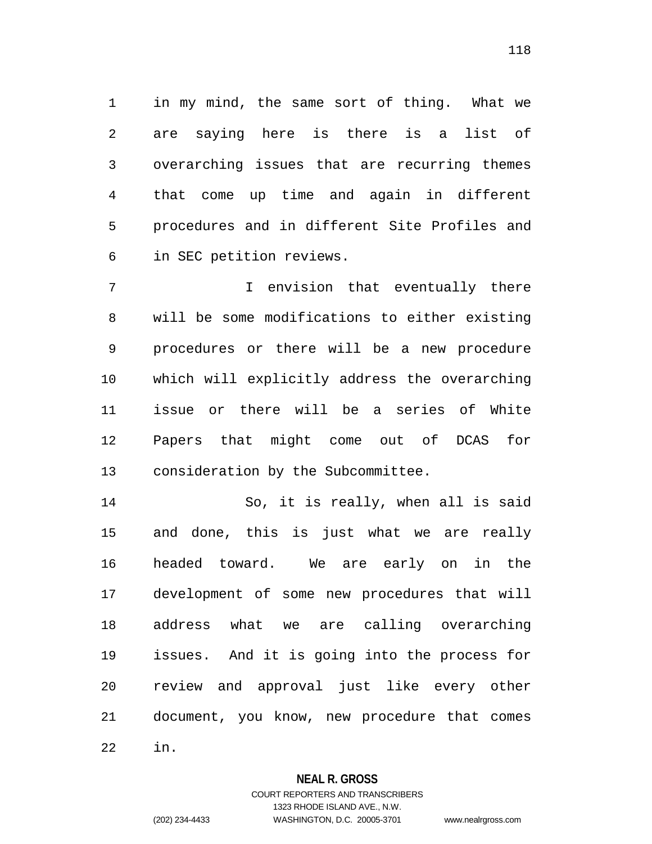in my mind, the same sort of thing. What we are saying here is there is a list of overarching issues that are recurring themes that come up time and again in different procedures and in different Site Profiles and in SEC petition reviews.

 I envision that eventually there will be some modifications to either existing procedures or there will be a new procedure which will explicitly address the overarching issue or there will be a series of White Papers that might come out of DCAS for consideration by the Subcommittee.

 So, it is really, when all is said and done, this is just what we are really headed toward. We are early on in the development of some new procedures that will address what we are calling overarching issues. And it is going into the process for review and approval just like every other document, you know, new procedure that comes in.

### **NEAL R. GROSS**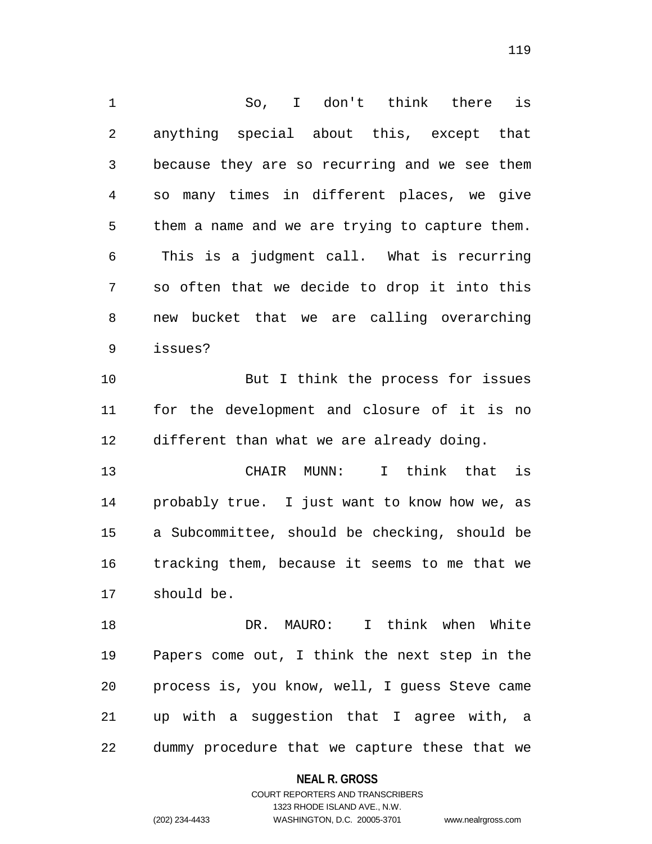So, I don't think there is anything special about this, except that because they are so recurring and we see them so many times in different places, we give them a name and we are trying to capture them. This is a judgment call. What is recurring so often that we decide to drop it into this new bucket that we are calling overarching issues? But I think the process for issues for the development and closure of it is no different than what we are already doing. CHAIR MUNN: I think that is probably true. I just want to know how we, as a Subcommittee, should be checking, should be tracking them, because it seems to me that we should be. DR. MAURO: I think when White Papers come out, I think the next step in the

 process is, you know, well, I guess Steve came up with a suggestion that I agree with, a dummy procedure that we capture these that we

#### **NEAL R. GROSS**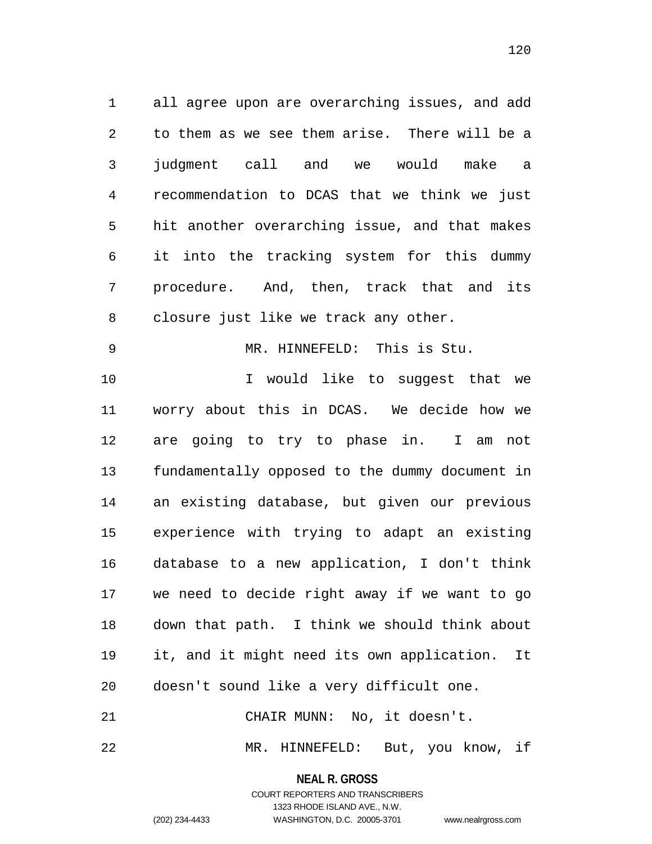all agree upon are overarching issues, and add to them as we see them arise. There will be a judgment call and we would make a recommendation to DCAS that we think we just hit another overarching issue, and that makes it into the tracking system for this dummy procedure. And, then, track that and its closure just like we track any other.

MR. HINNEFELD: This is Stu.

10 10 I would like to suggest that we worry about this in DCAS. We decide how we are going to try to phase in. I am not fundamentally opposed to the dummy document in an existing database, but given our previous experience with trying to adapt an existing database to a new application, I don't think we need to decide right away if we want to go down that path. I think we should think about it, and it might need its own application. It doesn't sound like a very difficult one.

CHAIR MUNN: No, it doesn't.

MR. HINNEFELD: But, you know, if

**NEAL R. GROSS** COURT REPORTERS AND TRANSCRIBERS

1323 RHODE ISLAND AVE., N.W.

(202) 234-4433 WASHINGTON, D.C. 20005-3701 www.nealrgross.com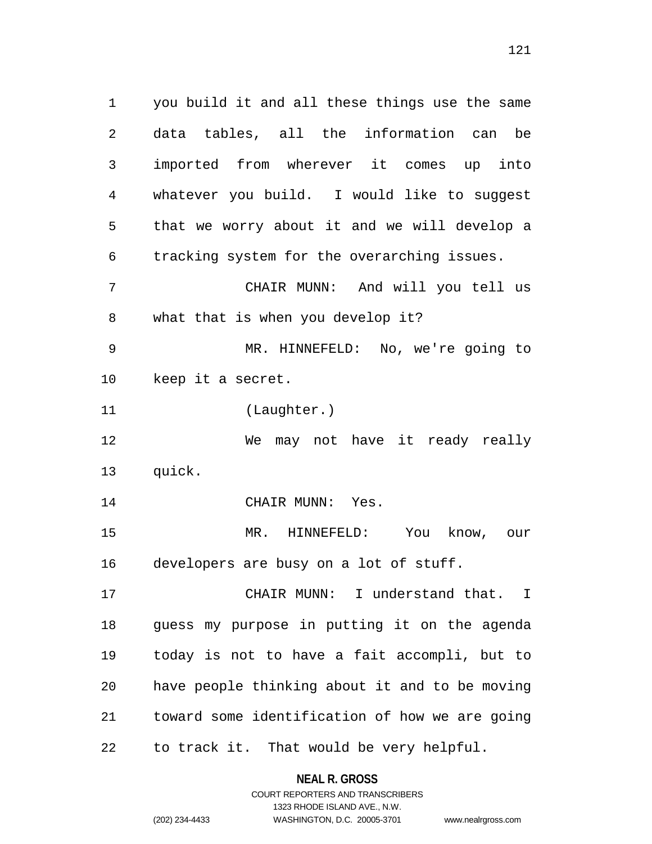you build it and all these things use the same data tables, all the information can be imported from wherever it comes up into whatever you build. I would like to suggest that we worry about it and we will develop a tracking system for the overarching issues. CHAIR MUNN: And will you tell us what that is when you develop it? MR. HINNEFELD: No, we're going to keep it a secret. (Laughter.) We may not have it ready really quick. 14 CHAIR MUNN: Yes. MR. HINNEFELD: You know, our developers are busy on a lot of stuff. CHAIR MUNN: I understand that. I guess my purpose in putting it on the agenda today is not to have a fait accompli, but to have people thinking about it and to be moving toward some identification of how we are going to track it. That would be very helpful.

> **NEAL R. GROSS** COURT REPORTERS AND TRANSCRIBERS

> > 1323 RHODE ISLAND AVE., N.W.

(202) 234-4433 WASHINGTON, D.C. 20005-3701 www.nealrgross.com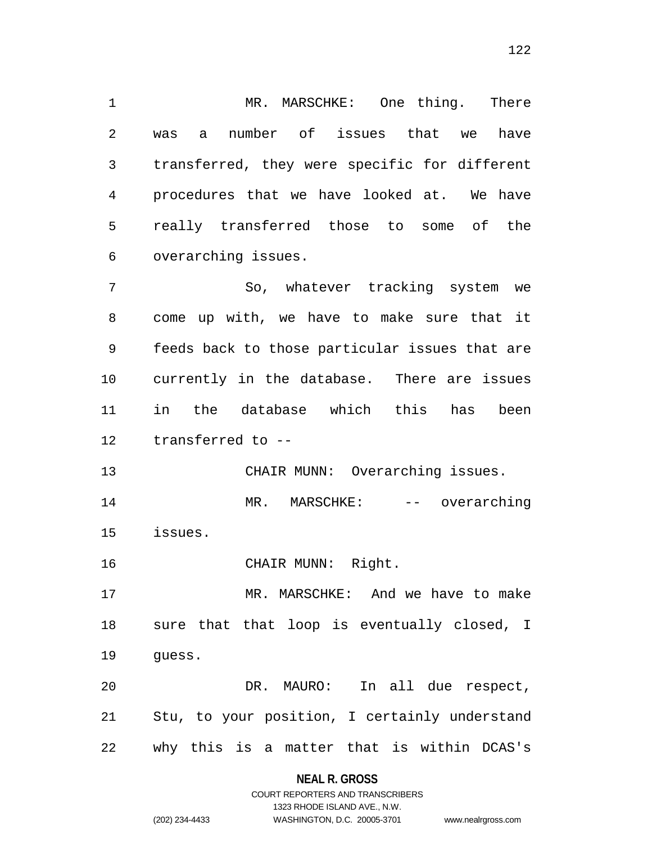MR. MARSCHKE: One thing. There was a number of issues that we have transferred, they were specific for different procedures that we have looked at. We have really transferred those to some of the overarching issues.

 So, whatever tracking system we come up with, we have to make sure that it feeds back to those particular issues that are currently in the database. There are issues in the database which this has been transferred to --

 CHAIR MUNN: Overarching issues. 14 MR. MARSCHKE: -- overarching issues.

CHAIR MUNN: Right.

 MR. MARSCHKE: And we have to make sure that that loop is eventually closed, I guess.

 DR. MAURO: In all due respect, Stu, to your position, I certainly understand why this is a matter that is within DCAS's

#### **NEAL R. GROSS**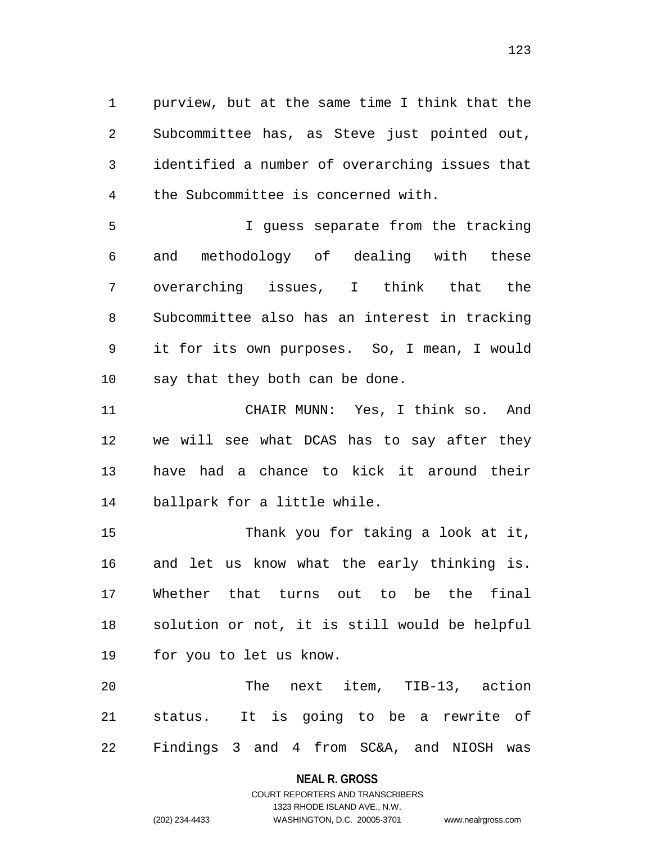purview, but at the same time I think that the Subcommittee has, as Steve just pointed out, identified a number of overarching issues that the Subcommittee is concerned with.

 I guess separate from the tracking and methodology of dealing with these overarching issues, I think that the Subcommittee also has an interest in tracking it for its own purposes. So, I mean, I would say that they both can be done.

 CHAIR MUNN: Yes, I think so. And we will see what DCAS has to say after they have had a chance to kick it around their ballpark for a little while.

 Thank you for taking a look at it, and let us know what the early thinking is. Whether that turns out to be the final solution or not, it is still would be helpful for you to let us know.

 The next item, TIB-13, action status. It is going to be a rewrite of Findings 3 and 4 from SC&A, and NIOSH was

# **NEAL R. GROSS** COURT REPORTERS AND TRANSCRIBERS

```
1323 RHODE ISLAND AVE., N.W.
(202) 234-4433 WASHINGTON, D.C. 20005-3701 www.nealrgross.com
```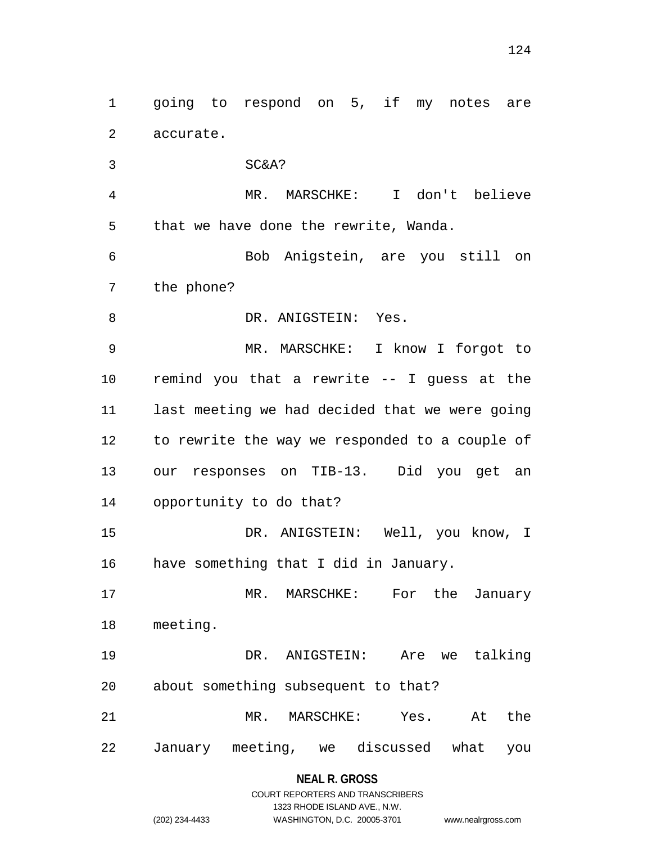going to respond on 5, if my notes are accurate.

 SC&A? MR. MARSCHKE: I don't believe that we have done the rewrite, Wanda. Bob Anigstein, are you still on the phone? 8 DR. ANIGSTEIN: Yes. MR. MARSCHKE: I know I forgot to remind you that a rewrite -- I guess at the last meeting we had decided that we were going to rewrite the way we responded to a couple of our responses on TIB-13. Did you get an opportunity to do that? DR. ANIGSTEIN: Well, you know, I have something that I did in January. MR. MARSCHKE: For the January meeting. DR. ANIGSTEIN: Are we talking about something subsequent to that? MR. MARSCHKE: Yes. At the January meeting, we discussed what you

> COURT REPORTERS AND TRANSCRIBERS 1323 RHODE ISLAND AVE., N.W. (202) 234-4433 WASHINGTON, D.C. 20005-3701 www.nealrgross.com

**NEAL R. GROSS**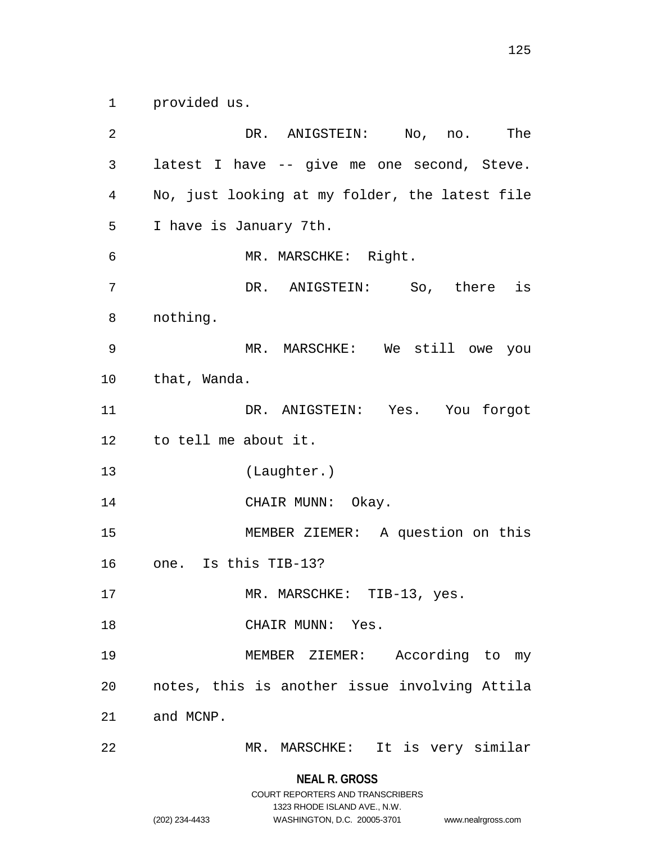provided us.

 DR. ANIGSTEIN: No, no. The latest I have -- give me one second, Steve. No, just looking at my folder, the latest file I have is January 7th. MR. MARSCHKE: Right. DR. ANIGSTEIN: So, there is nothing. MR. MARSCHKE: We still owe you that, Wanda. DR. ANIGSTEIN: Yes. You forgot to tell me about it. (Laughter.) 14 CHAIR MUNN: Okay. MEMBER ZIEMER: A question on this one. Is this TIB-13? 17 MR. MARSCHKE: TIB-13, yes. CHAIR MUNN: Yes. MEMBER ZIEMER: According to my notes, this is another issue involving Attila and MCNP. MR. MARSCHKE: It is very similar

> **NEAL R. GROSS** COURT REPORTERS AND TRANSCRIBERS

> > 1323 RHODE ISLAND AVE., N.W.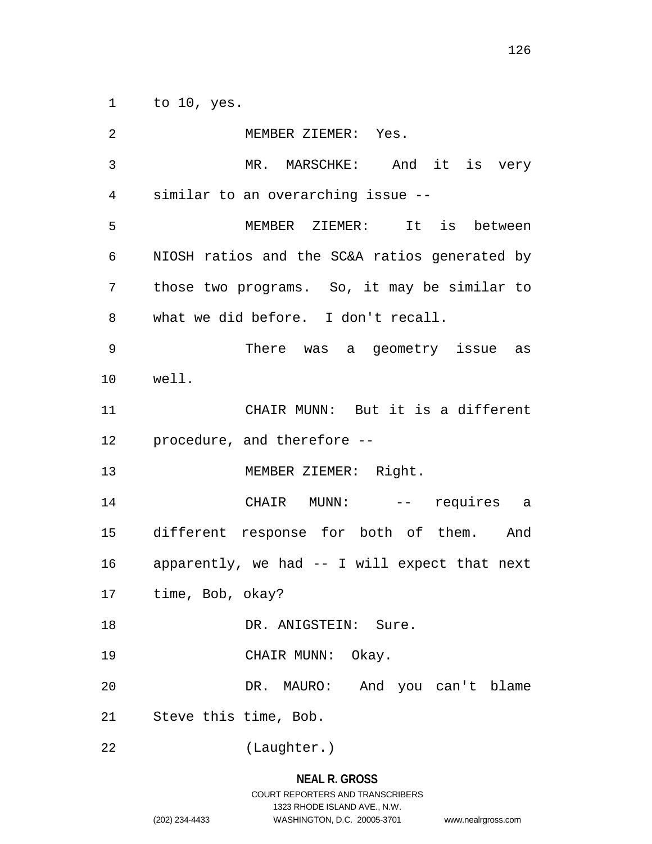to 10, yes.

 MEMBER ZIEMER: Yes. MR. MARSCHKE: And it is very similar to an overarching issue -- MEMBER ZIEMER: It is between NIOSH ratios and the SC&A ratios generated by those two programs. So, it may be similar to what we did before. I don't recall. There was a geometry issue as well. CHAIR MUNN: But it is a different procedure, and therefore -- 13 MEMBER ZIEMER: Right. CHAIR MUNN: -- requires a different response for both of them. And apparently, we had -- I will expect that next time, Bob, okay? 18 DR. ANIGSTEIN: Sure. 19 CHAIR MUNN: Okay. DR. MAURO: And you can't blame Steve this time, Bob. (Laughter.)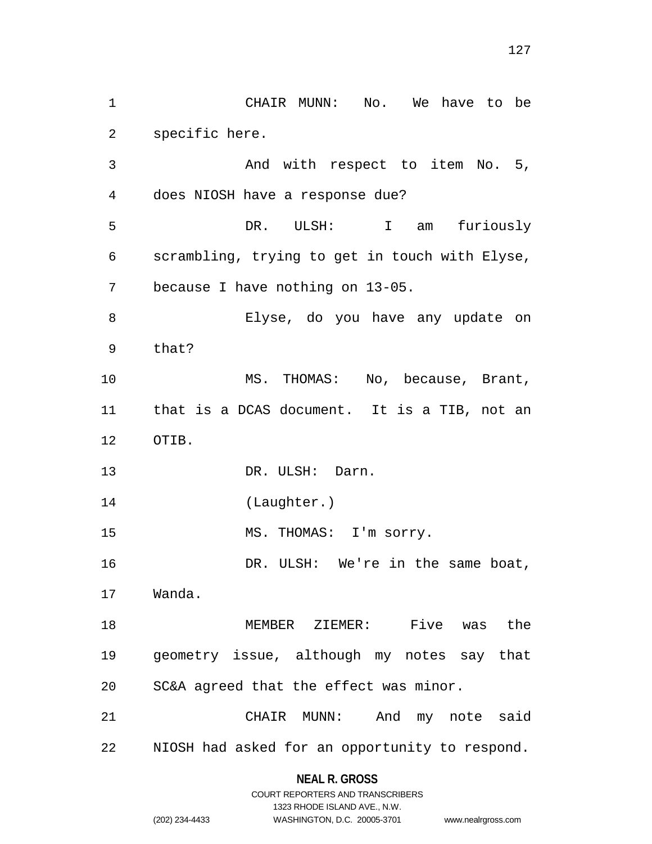CHAIR MUNN: No. We have to be specific here. And with respect to item No. 5, does NIOSH have a response due? DR. ULSH: I am furiously scrambling, trying to get in touch with Elyse, because I have nothing on 13-05. Elyse, do you have any update on that? 10 MS. THOMAS: No, because, Brant, that is a DCAS document. It is a TIB, not an OTIB. 13 DR. ULSH: Darn. (Laughter.) 15 MS. THOMAS: I'm sorry. DR. ULSH: We're in the same boat, Wanda. MEMBER ZIEMER: Five was the geometry issue, although my notes say that SC&A agreed that the effect was minor. CHAIR MUNN: And my note said NIOSH had asked for an opportunity to respond.

**NEAL R. GROSS**

|                | COURT REPORTERS AND TRANSCRIBERS |                    |
|----------------|----------------------------------|--------------------|
|                | 1323 RHODE ISLAND AVE., N.W.     |                    |
| (202) 234-4433 | WASHINGTON, D.C. 20005-3701      | www.nealrgross.com |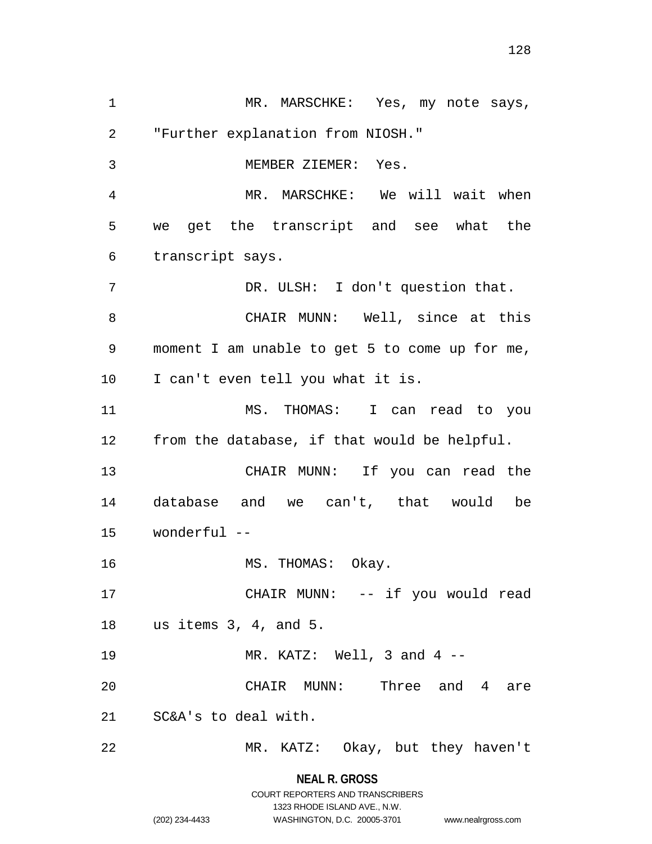1 MR. MARSCHKE: Yes, my note says, "Further explanation from NIOSH." MEMBER ZIEMER: Yes. MR. MARSCHKE: We will wait when we get the transcript and see what the transcript says. DR. ULSH: I don't question that. CHAIR MUNN: Well, since at this moment I am unable to get 5 to come up for me, I can't even tell you what it is. MS. THOMAS: I can read to you from the database, if that would be helpful. CHAIR MUNN: If you can read the database and we can't, that would be wonderful -- 16 MS. THOMAS: Okay. CHAIR MUNN: -- if you would read us items 3, 4, and 5. MR. KATZ: Well, 3 and 4 -- CHAIR MUNN: Three and 4 are SC&A's to deal with. MR. KATZ: Okay, but they haven't

**NEAL R. GROSS**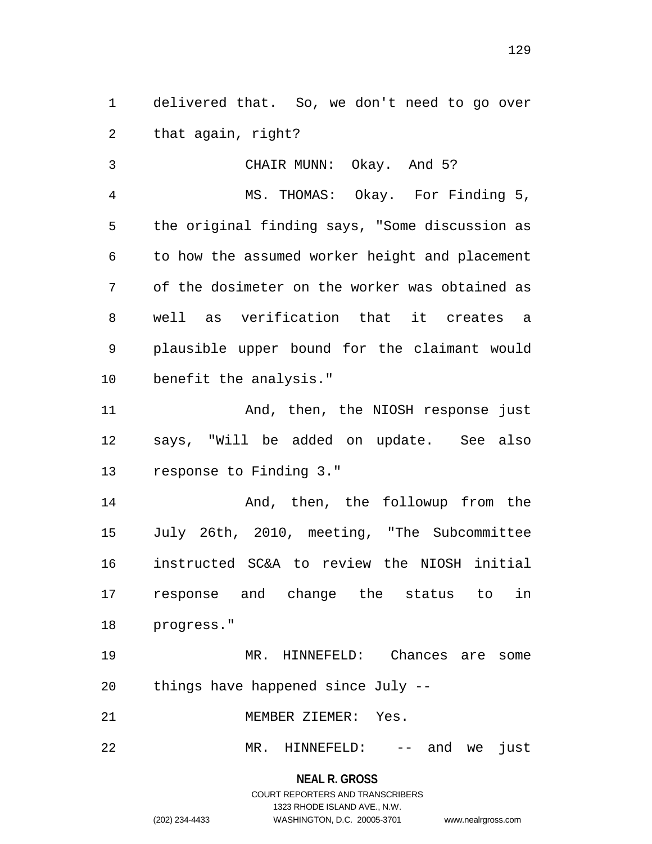delivered that. So, we don't need to go over that again, right?

 CHAIR MUNN: Okay. And 5? MS. THOMAS: Okay. For Finding 5, the original finding says, "Some discussion as to how the assumed worker height and placement of the dosimeter on the worker was obtained as well as verification that it creates a plausible upper bound for the claimant would benefit the analysis."

11 And, then, the NIOSH response just says, "Will be added on update. See also response to Finding 3."

14 And, then, the followup from the July 26th, 2010, meeting, "The Subcommittee instructed SC&A to review the NIOSH initial response and change the status to in progress."

 MR. HINNEFELD: Chances are some things have happened since July --

MEMBER ZIEMER: Yes.

MR. HINNEFELD: -- and we just

**NEAL R. GROSS**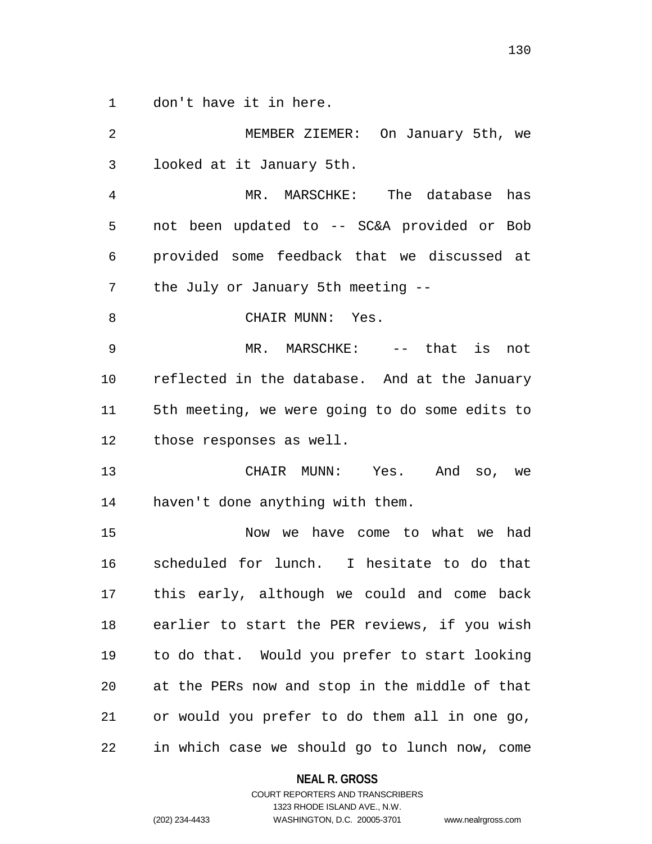don't have it in here.

| 2              | MEMBER ZIEMER: On January 5th, we              |
|----------------|------------------------------------------------|
| 3              | looked at it January 5th.                      |
| $\overline{4}$ | MR. MARSCHKE: The database has                 |
| 5              | not been updated to -- SC&A provided or Bob    |
| 6              | provided some feedback that we discussed at    |
| 7              | the July or January 5th meeting --             |
| 8              | CHAIR MUNN: Yes.                               |
| $\mathsf 9$    | MR. MARSCHKE: -- that is not                   |
| 10             | reflected in the database. And at the January  |
| 11             | 5th meeting, we were going to do some edits to |
| 12             | those responses as well.                       |
| 13             | CHAIR MUNN: Yes. And so, we                    |
| 14             | haven't done anything with them.               |
| 15             | Now we have come to what we had                |
| 16             | scheduled for lunch. I hesitate to do that     |
| 17             | this early, although we could and come back    |
| 18             | earlier to start the PER reviews, if you wish  |
| 19             | to do that. Would you prefer to start looking  |
| 20             | at the PERs now and stop in the middle of that |
| 21             | or would you prefer to do them all in one go,  |
| 22             | in which case we should go to lunch now, come  |

# **NEAL R. GROSS**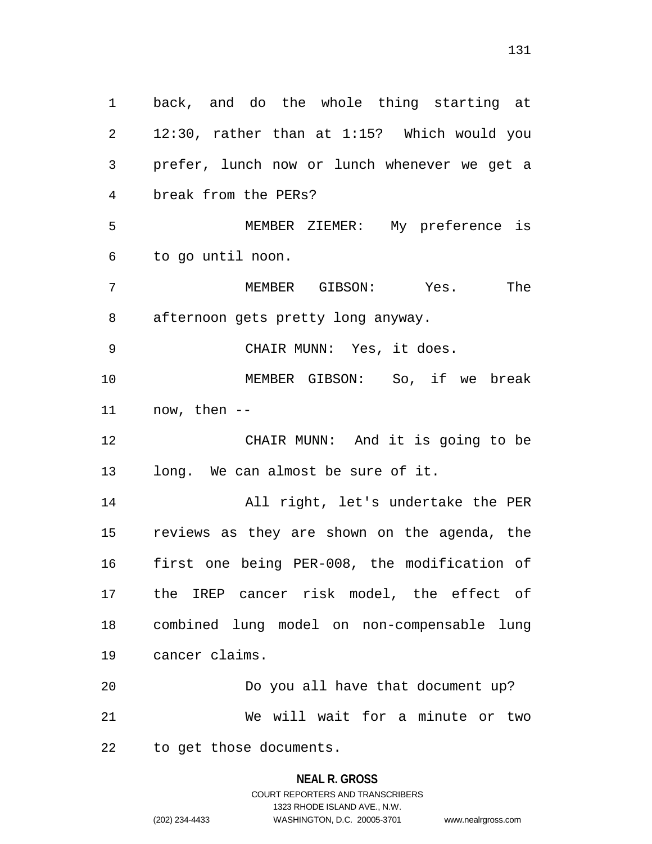back, and do the whole thing starting at 12:30, rather than at 1:15? Which would you prefer, lunch now or lunch whenever we get a break from the PERs? MEMBER ZIEMER: My preference is to go until noon. MEMBER GIBSON: Yes. The afternoon gets pretty long anyway. CHAIR MUNN: Yes, it does. MEMBER GIBSON: So, if we break now, then -- CHAIR MUNN: And it is going to be long. We can almost be sure of it. All right, let's undertake the PER reviews as they are shown on the agenda, the first one being PER-008, the modification of the IREP cancer risk model, the effect of combined lung model on non-compensable lung cancer claims. Do you all have that document up? We will wait for a minute or two to get those documents.

#### **NEAL R. GROSS**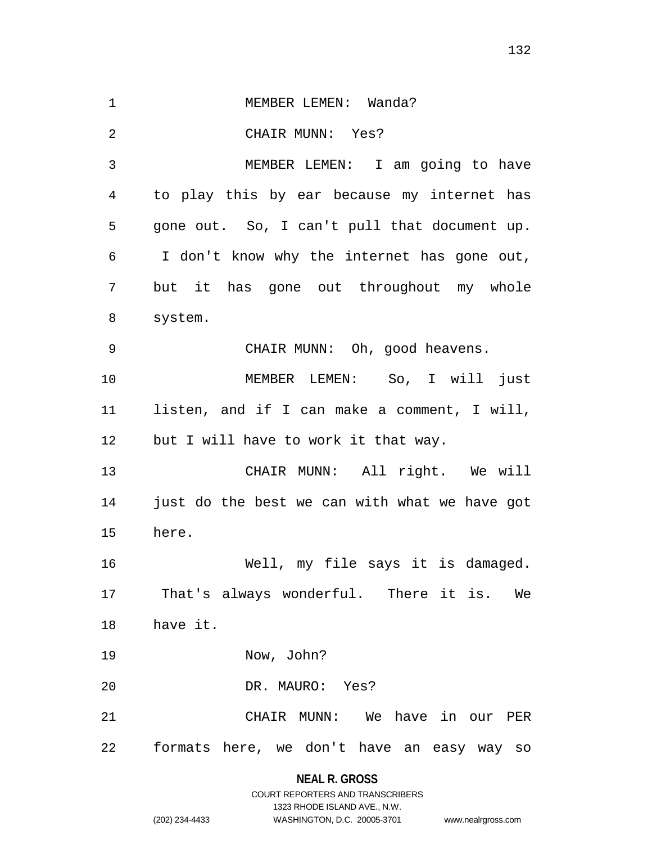1 MEMBER LEMEN: Wanda? CHAIR MUNN: Yes? MEMBER LEMEN: I am going to have to play this by ear because my internet has gone out. So, I can't pull that document up. I don't know why the internet has gone out, but it has gone out throughout my whole system. CHAIR MUNN: Oh, good heavens. MEMBER LEMEN: So, I will just listen, and if I can make a comment, I will, but I will have to work it that way. CHAIR MUNN: All right. We will just do the best we can with what we have got here. Well, my file says it is damaged. That's always wonderful. There it is. We have it. Now, John? DR. MAURO: Yes? CHAIR MUNN: We have in our PER formats here, we don't have an easy way so

### **NEAL R. GROSS**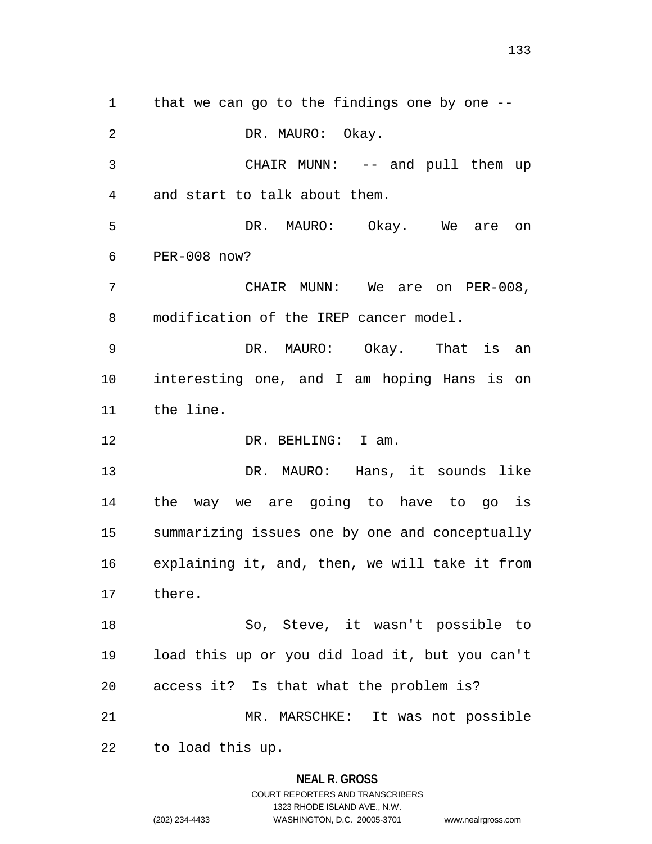1 that we can go to the findings one by one --2 DR. MAURO: Okay. CHAIR MUNN: -- and pull them up and start to talk about them. DR. MAURO: Okay. We are on PER-008 now? CHAIR MUNN: We are on PER-008, modification of the IREP cancer model. DR. MAURO: Okay. That is an interesting one, and I am hoping Hans is on the line. 12 DR. BEHLING: I am. DR. MAURO: Hans, it sounds like the way we are going to have to go is summarizing issues one by one and conceptually explaining it, and, then, we will take it from there. So, Steve, it wasn't possible to load this up or you did load it, but you can't access it? Is that what the problem is? MR. MARSCHKE: It was not possible to load this up.

#### **NEAL R. GROSS**

COURT REPORTERS AND TRANSCRIBERS 1323 RHODE ISLAND AVE., N.W. (202) 234-4433 WASHINGTON, D.C. 20005-3701 www.nealrgross.com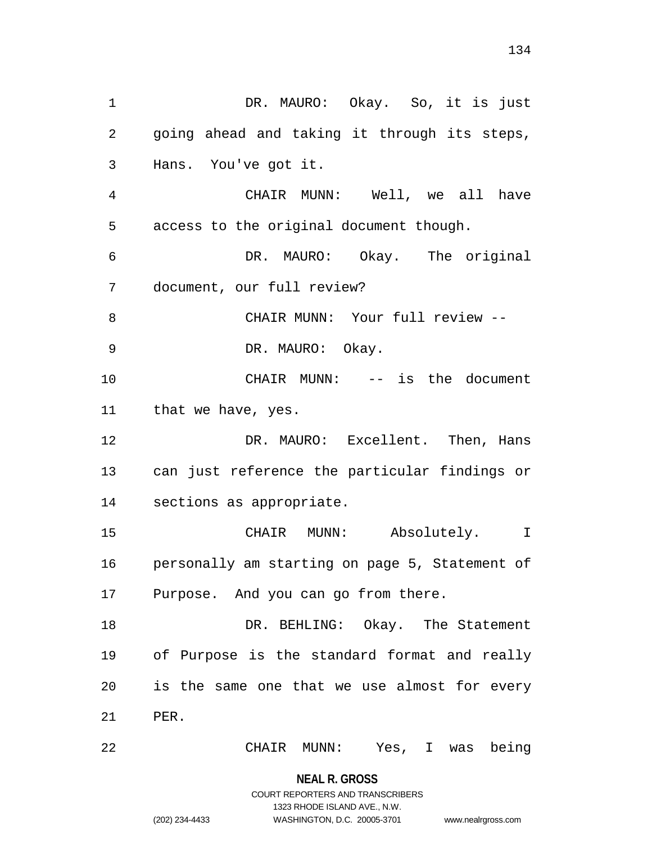1 DR. MAURO: Okay. So, it is just going ahead and taking it through its steps, Hans. You've got it. CHAIR MUNN: Well, we all have access to the original document though. DR. MAURO: Okay. The original document, our full review? 8 CHAIR MUNN: Your full review --DR. MAURO: Okay.

 CHAIR MUNN: -- is the document that we have, yes.

 DR. MAURO: Excellent. Then, Hans can just reference the particular findings or sections as appropriate.

 CHAIR MUNN: Absolutely. I personally am starting on page 5, Statement of Purpose. And you can go from there.

 DR. BEHLING: Okay. The Statement of Purpose is the standard format and really is the same one that we use almost for every PER.

CHAIR MUNN: Yes, I was being

**NEAL R. GROSS** COURT REPORTERS AND TRANSCRIBERS

1323 RHODE ISLAND AVE., N.W.

(202) 234-4433 WASHINGTON, D.C. 20005-3701 www.nealrgross.com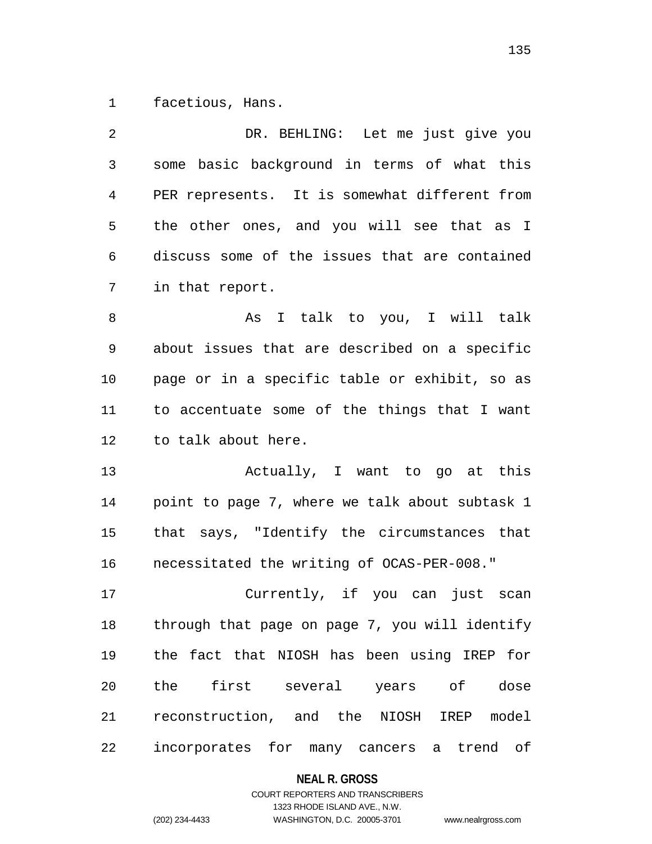facetious, Hans.

 DR. BEHLING: Let me just give you some basic background in terms of what this PER represents. It is somewhat different from the other ones, and you will see that as I discuss some of the issues that are contained in that report. 8 As I talk to you, I will talk about issues that are described on a specific page or in a specific table or exhibit, so as to accentuate some of the things that I want to talk about here. Actually, I want to go at this point to page 7, where we talk about subtask 1 that says, "Identify the circumstances that necessitated the writing of OCAS-PER-008." Currently, if you can just scan through that page on page 7, you will identify the fact that NIOSH has been using IREP for the first several years of dose reconstruction, and the NIOSH IREP model

incorporates for many cancers a trend of

**NEAL R. GROSS**

COURT REPORTERS AND TRANSCRIBERS 1323 RHODE ISLAND AVE., N.W. (202) 234-4433 WASHINGTON, D.C. 20005-3701 www.nealrgross.com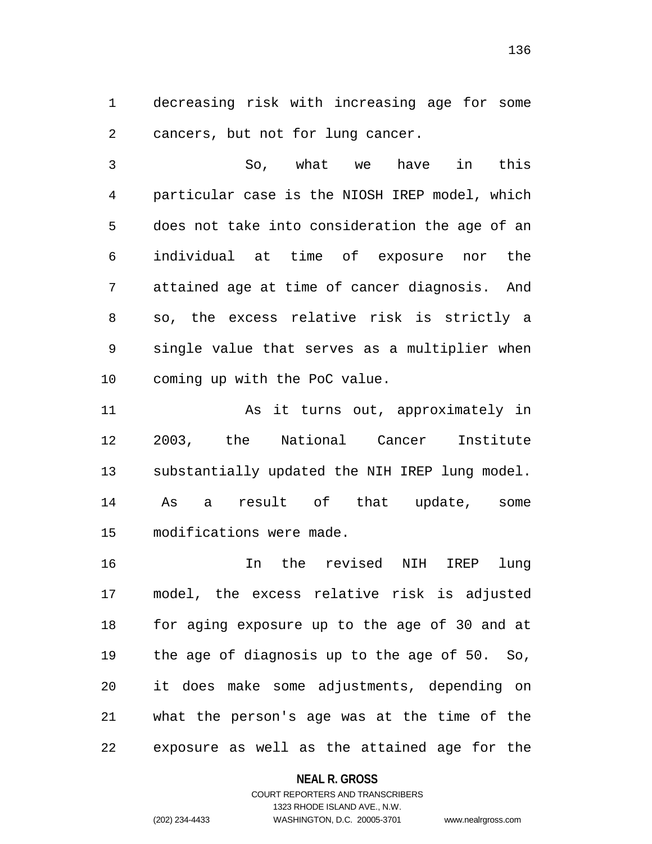decreasing risk with increasing age for some cancers, but not for lung cancer.

 So, what we have in this particular case is the NIOSH IREP model, which does not take into consideration the age of an individual at time of exposure nor the attained age at time of cancer diagnosis. And so, the excess relative risk is strictly a single value that serves as a multiplier when coming up with the PoC value.

11 As it turns out, approximately in 2003, the National Cancer Institute substantially updated the NIH IREP lung model. As a result of that update, some modifications were made.

 In the revised NIH IREP lung model, the excess relative risk is adjusted for aging exposure up to the age of 30 and at the age of diagnosis up to the age of 50. So, it does make some adjustments, depending on what the person's age was at the time of the exposure as well as the attained age for the

#### **NEAL R. GROSS**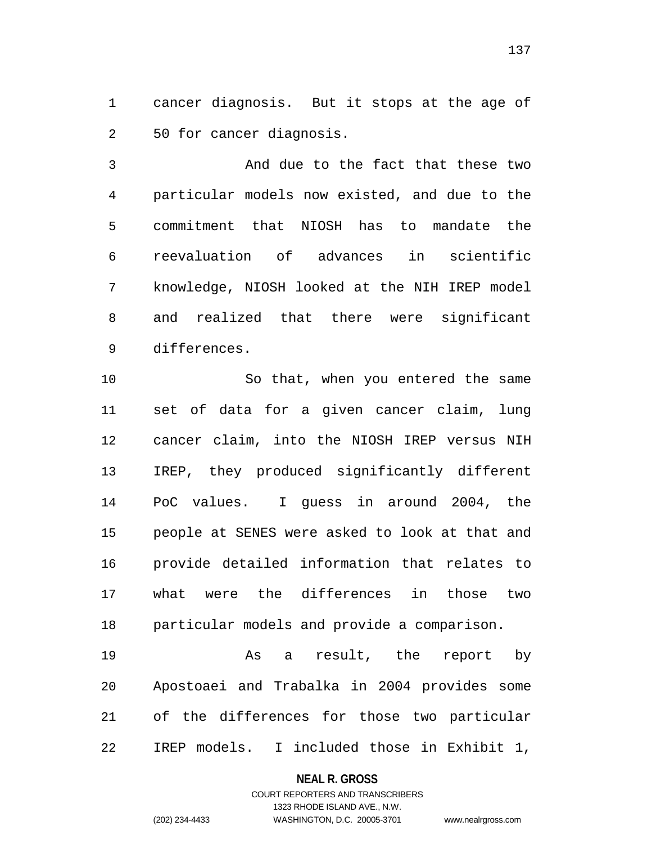cancer diagnosis. But it stops at the age of 50 for cancer diagnosis.

 And due to the fact that these two particular models now existed, and due to the commitment that NIOSH has to mandate the reevaluation of advances in scientific knowledge, NIOSH looked at the NIH IREP model and realized that there were significant differences.

10 So that, when you entered the same set of data for a given cancer claim, lung cancer claim, into the NIOSH IREP versus NIH IREP, they produced significantly different PoC values. I guess in around 2004, the people at SENES were asked to look at that and provide detailed information that relates to what were the differences in those two particular models and provide a comparison.

 As a result, the report by Apostoaei and Trabalka in 2004 provides some of the differences for those two particular IREP models. I included those in Exhibit 1,

#### **NEAL R. GROSS**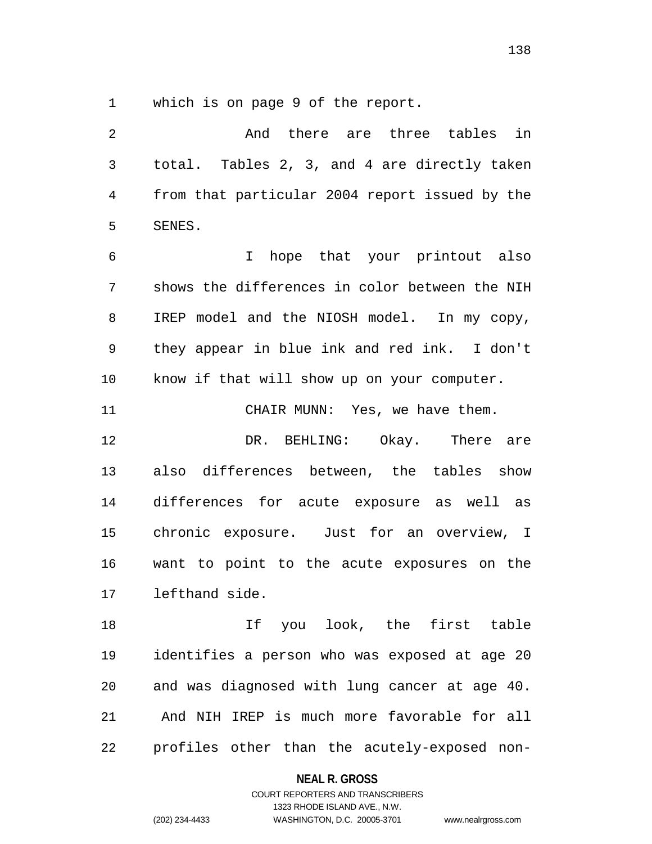which is on page 9 of the report.

| $\overline{2}$ | And there are three tables in                  |
|----------------|------------------------------------------------|
| 3              | total. Tables 2, 3, and 4 are directly taken   |
| 4              | from that particular 2004 report issued by the |
| 5              | SENES.                                         |
| 6              | I hope that your printout also                 |
| 7              | shows the differences in color between the NIH |
| 8              | IREP model and the NIOSH model. In my copy,    |
| 9              | they appear in blue ink and red ink. I don't   |
| 10             | know if that will show up on your computer.    |
| 11             | CHAIR MUNN: Yes, we have them.                 |
| 12             | DR. BEHLING: Okay. There are                   |
| 13             | also differences between, the tables show      |
| 14             | differences for acute exposure as well as      |
| 15             | chronic exposure. Just for an overview, I      |
| 16             | want to point to the acute exposures on the    |
| 17             | lefthand side.                                 |
| 18             | If you look, the first table                   |
| 19             | identifies a person who was exposed at age 20  |
| 20             | and was diagnosed with lung cancer at age 40.  |
| 21             | And NIH IREP is much more favorable for all    |
| 22             | profiles other than the acutely-exposed non-   |

# **NEAL R. GROSS**

# COURT REPORTERS AND TRANSCRIBERS 1323 RHODE ISLAND AVE., N.W. (202) 234-4433 WASHINGTON, D.C. 20005-3701 www.nealrgross.com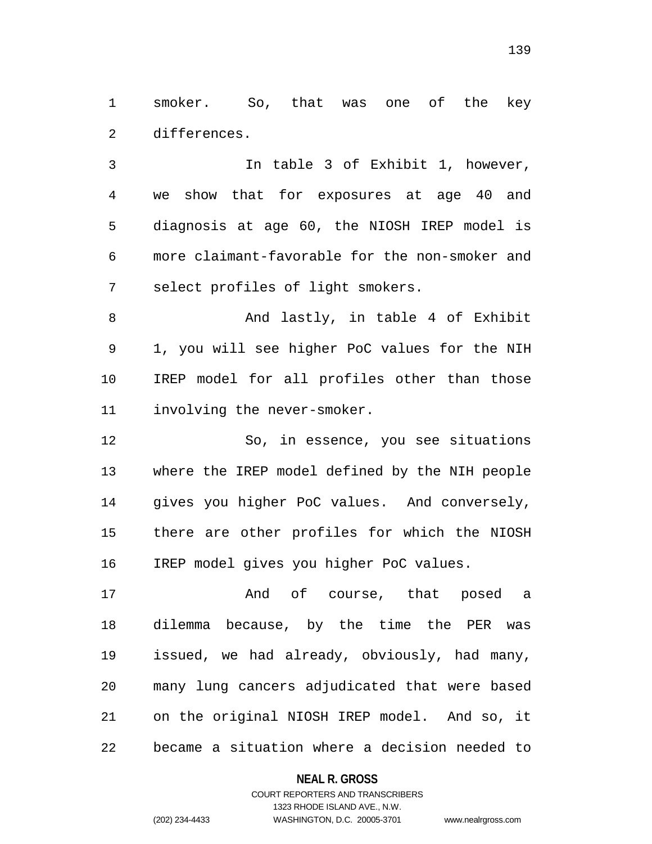smoker. So, that was one of the key differences.

 In table 3 of Exhibit 1, however, we show that for exposures at age 40 and diagnosis at age 60, the NIOSH IREP model is more claimant-favorable for the non-smoker and select profiles of light smokers.

 And lastly, in table 4 of Exhibit 1, you will see higher PoC values for the NIH IREP model for all profiles other than those involving the never-smoker.

 So, in essence, you see situations where the IREP model defined by the NIH people gives you higher PoC values. And conversely, there are other profiles for which the NIOSH IREP model gives you higher PoC values.

17 and of course, that posed a dilemma because, by the time the PER was issued, we had already, obviously, had many, many lung cancers adjudicated that were based on the original NIOSH IREP model. And so, it became a situation where a decision needed to

### **NEAL R. GROSS**

## COURT REPORTERS AND TRANSCRIBERS 1323 RHODE ISLAND AVE., N.W. (202) 234-4433 WASHINGTON, D.C. 20005-3701 www.nealrgross.com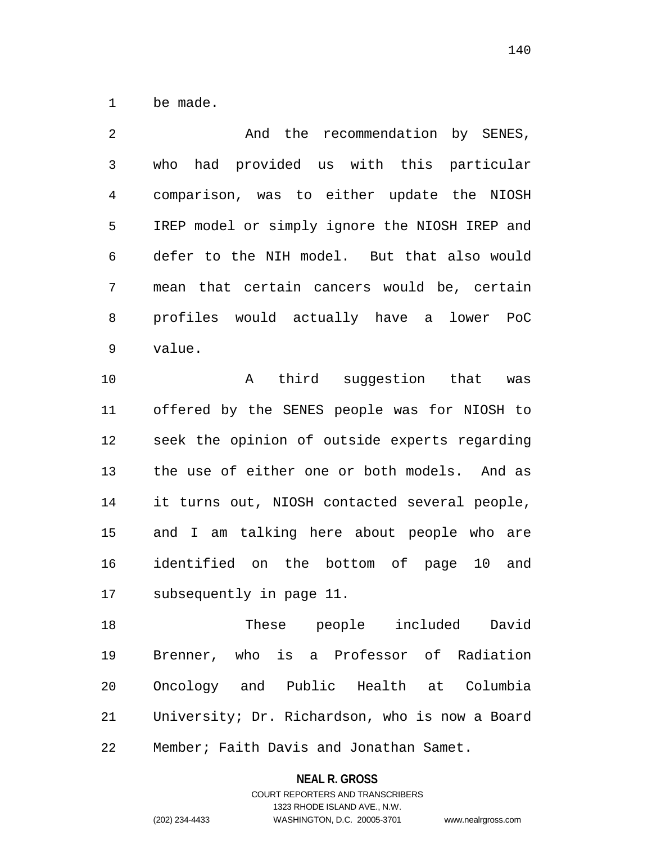be made.

| 2 | And the recommendation by SENES,               |
|---|------------------------------------------------|
| 3 | who had provided us with this particular       |
| 4 | comparison, was to either update the NIOSH     |
| 5 | IREP model or simply ignore the NIOSH IREP and |
| 6 | defer to the NIH model. But that also would    |
| 7 | mean that certain cancers would be, certain    |
| 8 | profiles would actually have a lower PoC       |
| 9 | value.                                         |

10 A third suggestion that was offered by the SENES people was for NIOSH to seek the opinion of outside experts regarding the use of either one or both models. And as it turns out, NIOSH contacted several people, and I am talking here about people who are identified on the bottom of page 10 and subsequently in page 11.

 These people included David Brenner, who is a Professor of Radiation Oncology and Public Health at Columbia University; Dr. Richardson, who is now a Board Member; Faith Davis and Jonathan Samet.

#### **NEAL R. GROSS**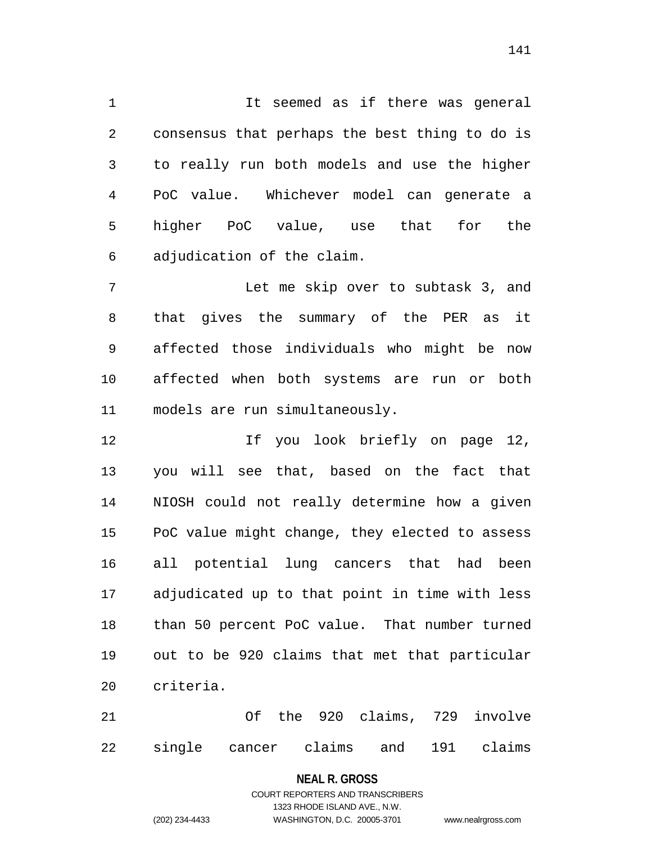It seemed as if there was general consensus that perhaps the best thing to do is to really run both models and use the higher PoC value. Whichever model can generate a higher PoC value, use that for the adjudication of the claim.

 Let me skip over to subtask 3, and that gives the summary of the PER as it affected those individuals who might be now affected when both systems are run or both models are run simultaneously.

 If you look briefly on page 12, you will see that, based on the fact that NIOSH could not really determine how a given PoC value might change, they elected to assess all potential lung cancers that had been adjudicated up to that point in time with less than 50 percent PoC value. That number turned out to be 920 claims that met that particular criteria.

 Of the 920 claims, 729 involve single cancer claims and 191 claims

#### **NEAL R. GROSS**

### COURT REPORTERS AND TRANSCRIBERS 1323 RHODE ISLAND AVE., N.W. (202) 234-4433 WASHINGTON, D.C. 20005-3701 www.nealrgross.com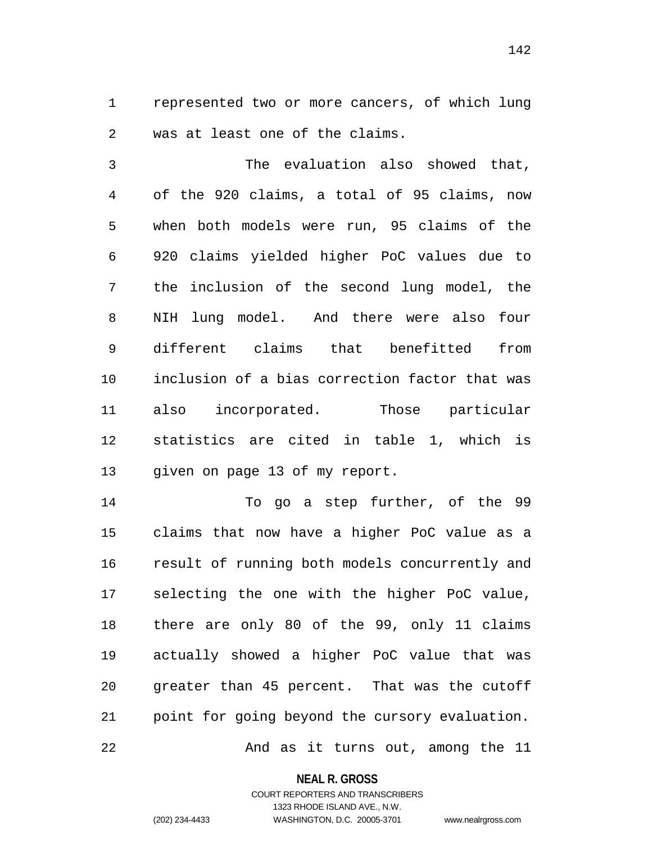represented two or more cancers, of which lung was at least one of the claims.

 The evaluation also showed that, of the 920 claims, a total of 95 claims, now when both models were run, 95 claims of the 920 claims yielded higher PoC values due to the inclusion of the second lung model, the NIH lung model. And there were also four different claims that benefitted from inclusion of a bias correction factor that was also incorporated. Those particular statistics are cited in table 1, which is given on page 13 of my report.

 To go a step further, of the 99 claims that now have a higher PoC value as a result of running both models concurrently and selecting the one with the higher PoC value, there are only 80 of the 99, only 11 claims actually showed a higher PoC value that was greater than 45 percent. That was the cutoff point for going beyond the cursory evaluation. 22 And as it turns out, among the 11

**NEAL R. GROSS**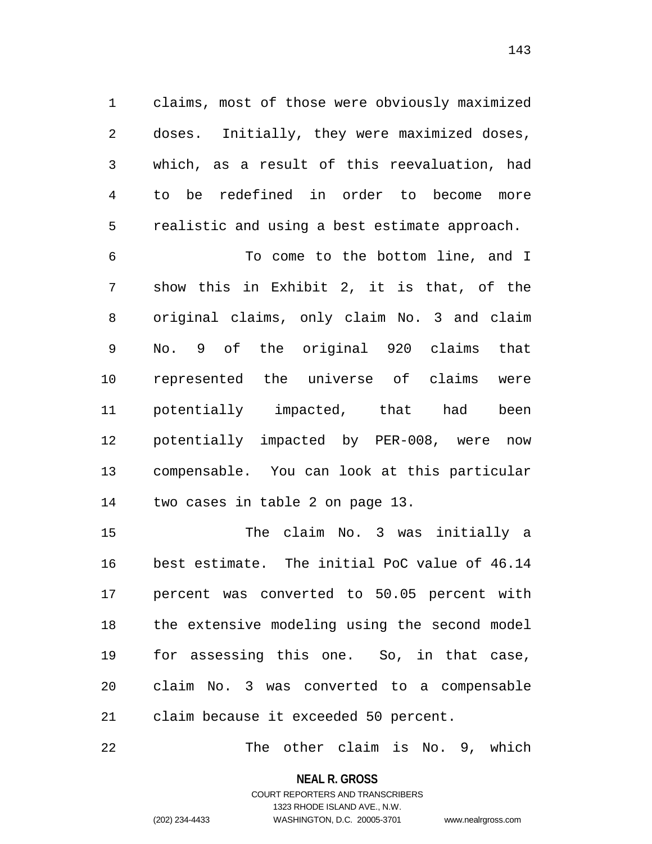claims, most of those were obviously maximized doses. Initially, they were maximized doses, which, as a result of this reevaluation, had to be redefined in order to become more realistic and using a best estimate approach.

 To come to the bottom line, and I show this in Exhibit 2, it is that, of the original claims, only claim No. 3 and claim No. 9 of the original 920 claims that represented the universe of claims were potentially impacted, that had been potentially impacted by PER-008, were now compensable. You can look at this particular two cases in table 2 on page 13.

 The claim No. 3 was initially a best estimate. The initial PoC value of 46.14 percent was converted to 50.05 percent with the extensive modeling using the second model for assessing this one. So, in that case, claim No. 3 was converted to a compensable claim because it exceeded 50 percent.

The other claim is No. 9, which

#### **NEAL R. GROSS**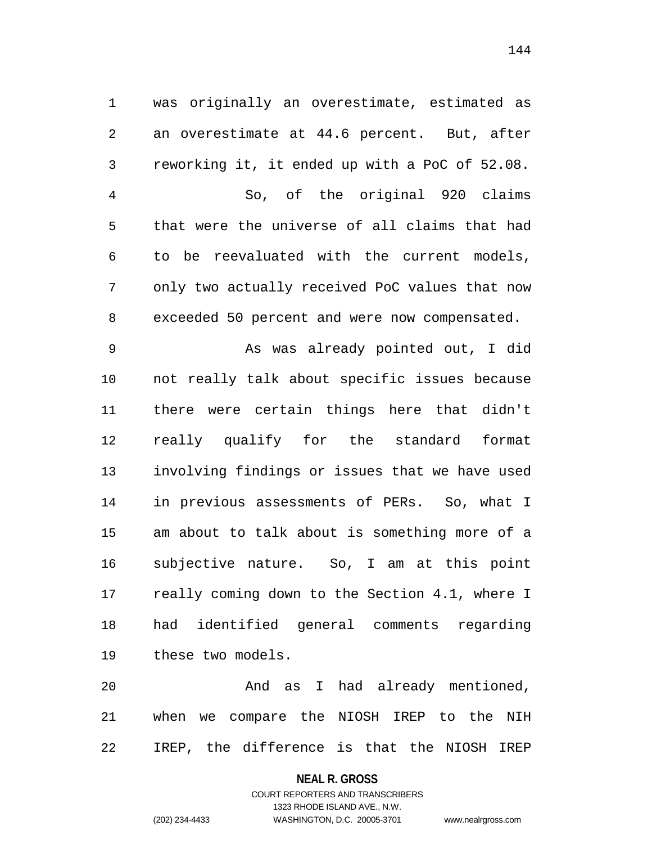was originally an overestimate, estimated as an overestimate at 44.6 percent. But, after reworking it, it ended up with a PoC of 52.08. So, of the original 920 claims that were the universe of all claims that had to be reevaluated with the current models, only two actually received PoC values that now exceeded 50 percent and were now compensated. As was already pointed out, I did not really talk about specific issues because there were certain things here that didn't really qualify for the standard format involving findings or issues that we have used in previous assessments of PERs. So, what I am about to talk about is something more of a subjective nature. So, I am at this point really coming down to the Section 4.1, where I had identified general comments regarding these two models.

 And as I had already mentioned, when we compare the NIOSH IREP to the NIH IREP, the difference is that the NIOSH IREP

#### **NEAL R. GROSS**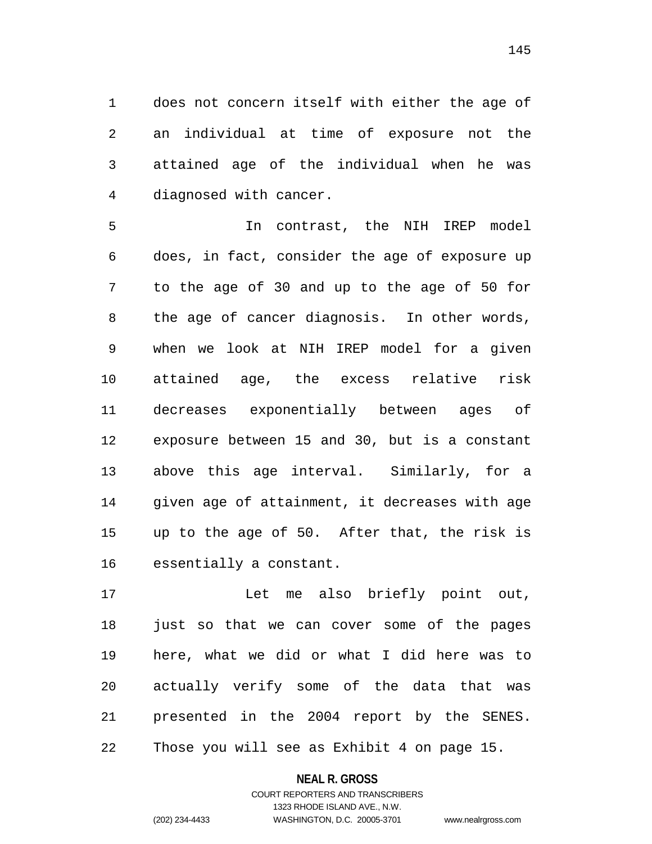does not concern itself with either the age of an individual at time of exposure not the attained age of the individual when he was diagnosed with cancer.

 In contrast, the NIH IREP model does, in fact, consider the age of exposure up to the age of 30 and up to the age of 50 for the age of cancer diagnosis. In other words, when we look at NIH IREP model for a given attained age, the excess relative risk decreases exponentially between ages of exposure between 15 and 30, but is a constant above this age interval. Similarly, for a given age of attainment, it decreases with age up to the age of 50. After that, the risk is essentially a constant.

 Let me also briefly point out, just so that we can cover some of the pages here, what we did or what I did here was to actually verify some of the data that was presented in the 2004 report by the SENES. Those you will see as Exhibit 4 on page 15.

#### **NEAL R. GROSS**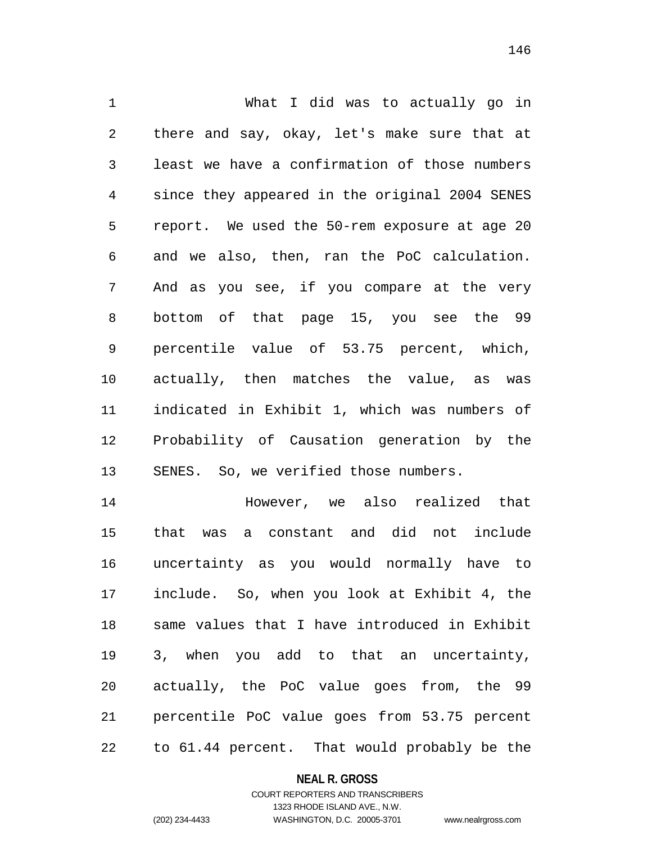What I did was to actually go in there and say, okay, let's make sure that at least we have a confirmation of those numbers since they appeared in the original 2004 SENES report. We used the 50-rem exposure at age 20 and we also, then, ran the PoC calculation. And as you see, if you compare at the very bottom of that page 15, you see the 99 percentile value of 53.75 percent, which, actually, then matches the value, as was indicated in Exhibit 1, which was numbers of Probability of Causation generation by the SENES. So, we verified those numbers.

 However, we also realized that that was a constant and did not include uncertainty as you would normally have to include. So, when you look at Exhibit 4, the same values that I have introduced in Exhibit 3, when you add to that an uncertainty, actually, the PoC value goes from, the 99 percentile PoC value goes from 53.75 percent to 61.44 percent. That would probably be the

**NEAL R. GROSS**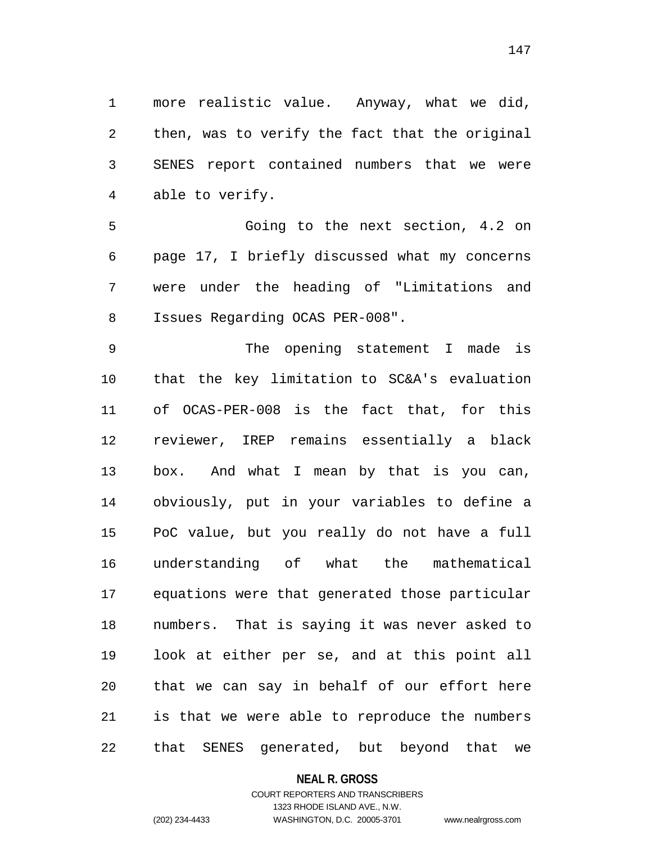more realistic value. Anyway, what we did, then, was to verify the fact that the original SENES report contained numbers that we were able to verify.

 Going to the next section, 4.2 on page 17, I briefly discussed what my concerns were under the heading of "Limitations and Issues Regarding OCAS PER-008".

 The opening statement I made is that the key limitation to SC&A's evaluation of OCAS-PER-008 is the fact that, for this reviewer, IREP remains essentially a black box. And what I mean by that is you can, obviously, put in your variables to define a PoC value, but you really do not have a full understanding of what the mathematical equations were that generated those particular numbers. That is saying it was never asked to look at either per se, and at this point all that we can say in behalf of our effort here is that we were able to reproduce the numbers that SENES generated, but beyond that we

#### **NEAL R. GROSS**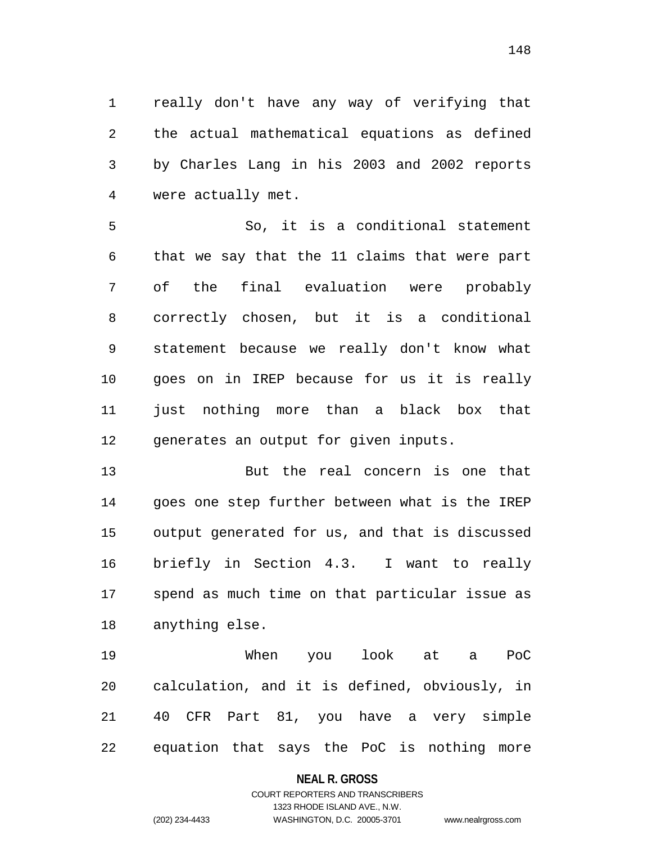really don't have any way of verifying that the actual mathematical equations as defined by Charles Lang in his 2003 and 2002 reports were actually met.

 So, it is a conditional statement that we say that the 11 claims that were part of the final evaluation were probably correctly chosen, but it is a conditional statement because we really don't know what goes on in IREP because for us it is really just nothing more than a black box that generates an output for given inputs.

 But the real concern is one that goes one step further between what is the IREP output generated for us, and that is discussed briefly in Section 4.3. I want to really spend as much time on that particular issue as anything else.

 When you look at a PoC calculation, and it is defined, obviously, in 40 CFR Part 81, you have a very simple equation that says the PoC is nothing more

### **NEAL R. GROSS**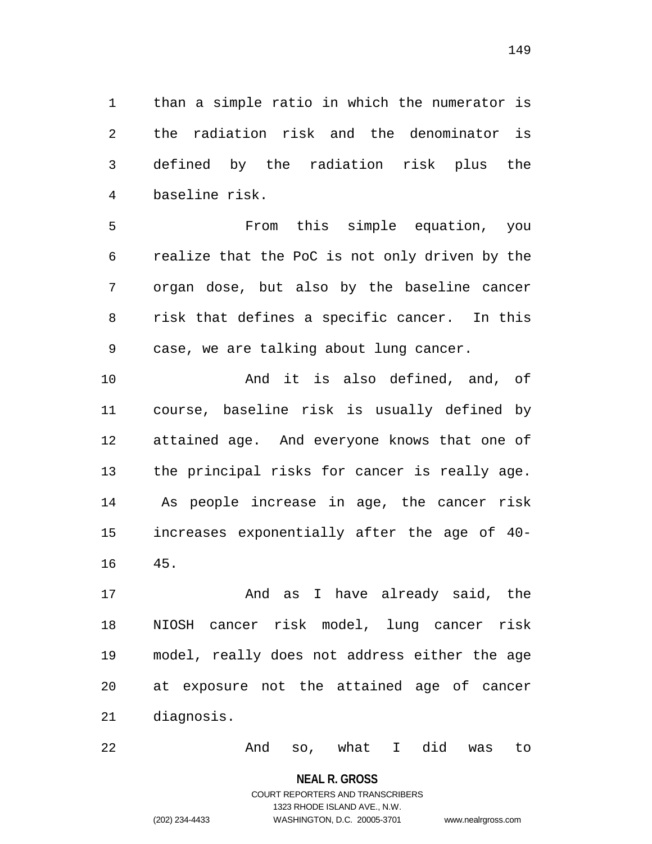than a simple ratio in which the numerator is the radiation risk and the denominator is defined by the radiation risk plus the baseline risk.

 From this simple equation, you realize that the PoC is not only driven by the organ dose, but also by the baseline cancer risk that defines a specific cancer. In this case, we are talking about lung cancer.

 And it is also defined, and, of course, baseline risk is usually defined by attained age. And everyone knows that one of the principal risks for cancer is really age. As people increase in age, the cancer risk increases exponentially after the age of 40- 45.

 And as I have already said, the NIOSH cancer risk model, lung cancer risk model, really does not address either the age at exposure not the attained age of cancer diagnosis.

And so, what I did was to

#### **NEAL R. GROSS**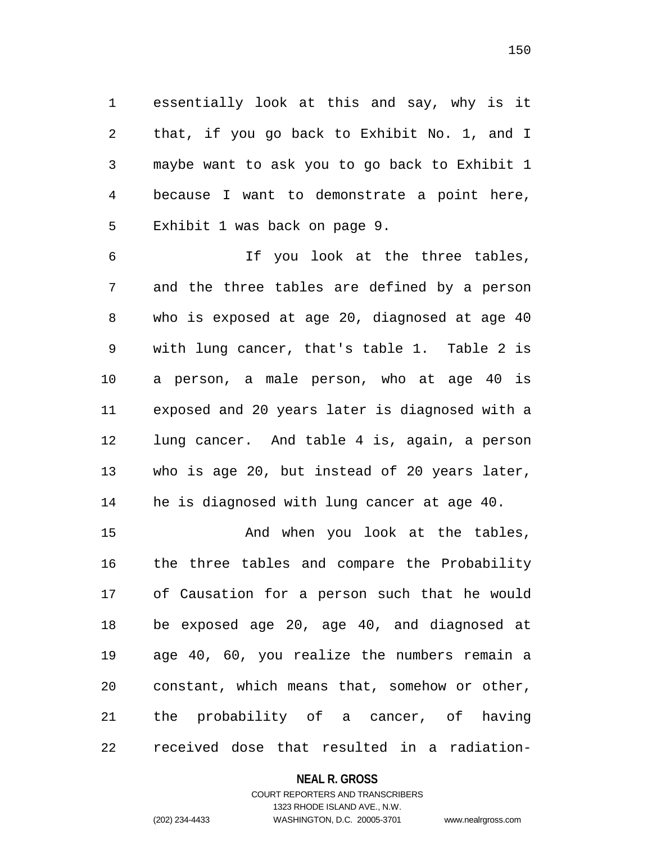essentially look at this and say, why is it that, if you go back to Exhibit No. 1, and I maybe want to ask you to go back to Exhibit 1 because I want to demonstrate a point here, Exhibit 1 was back on page 9.

 If you look at the three tables, and the three tables are defined by a person who is exposed at age 20, diagnosed at age 40 with lung cancer, that's table 1. Table 2 is a person, a male person, who at age 40 is exposed and 20 years later is diagnosed with a lung cancer. And table 4 is, again, a person who is age 20, but instead of 20 years later, he is diagnosed with lung cancer at age 40.

15 And when you look at the tables, the three tables and compare the Probability of Causation for a person such that he would be exposed age 20, age 40, and diagnosed at age 40, 60, you realize the numbers remain a constant, which means that, somehow or other, the probability of a cancer, of having received dose that resulted in a radiation-

### **NEAL R. GROSS**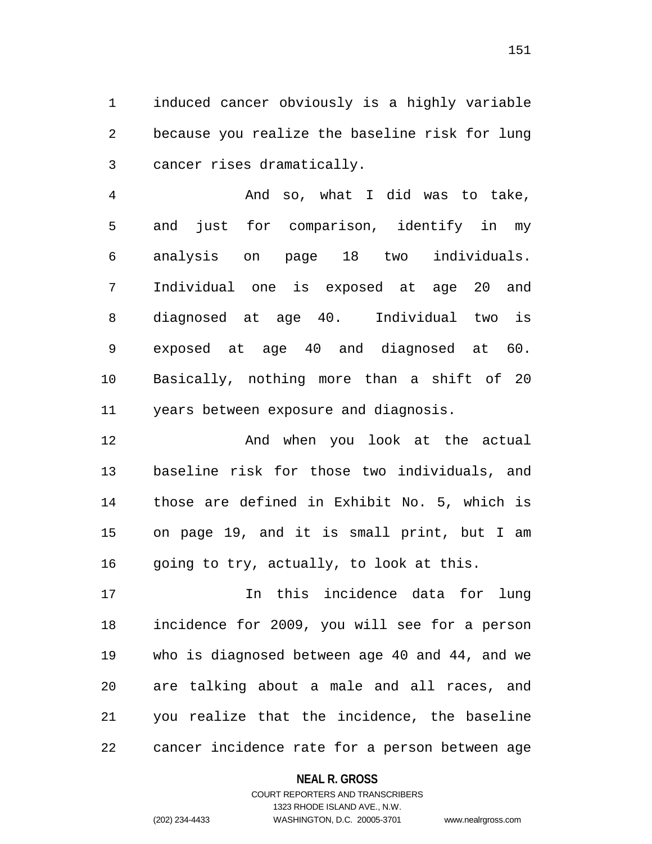induced cancer obviously is a highly variable because you realize the baseline risk for lung cancer rises dramatically.

 And so, what I did was to take, and just for comparison, identify in my analysis on page 18 two individuals. Individual one is exposed at age 20 and diagnosed at age 40. Individual two is exposed at age 40 and diagnosed at 60. Basically, nothing more than a shift of 20 years between exposure and diagnosis.

12 And when you look at the actual baseline risk for those two individuals, and those are defined in Exhibit No. 5, which is on page 19, and it is small print, but I am 16 going to try, actually, to look at this.

 In this incidence data for lung incidence for 2009, you will see for a person who is diagnosed between age 40 and 44, and we are talking about a male and all races, and you realize that the incidence, the baseline cancer incidence rate for a person between age

### **NEAL R. GROSS**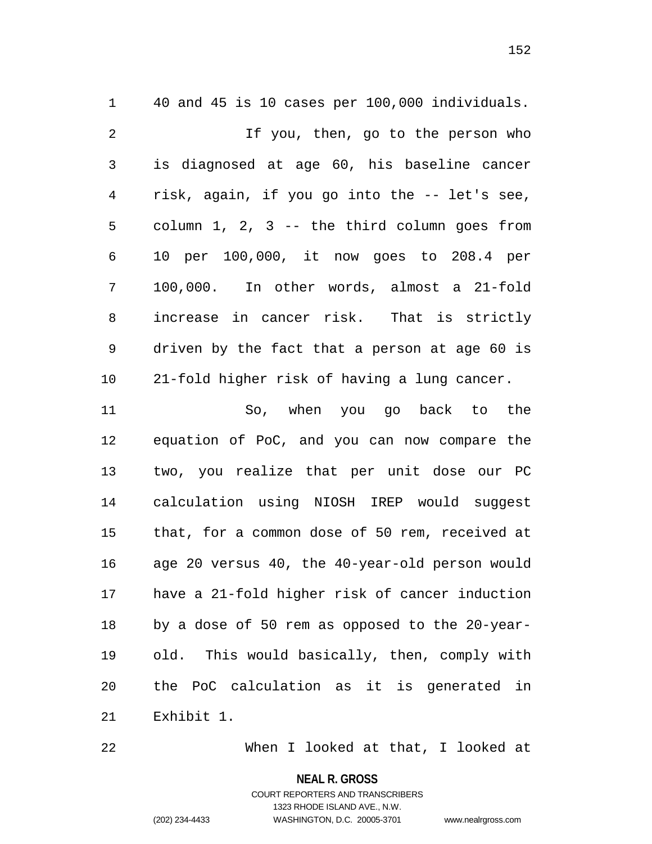40 and 45 is 10 cases per 100,000 individuals. If you, then, go to the person who is diagnosed at age 60, his baseline cancer risk, again, if you go into the -- let's see, column 1, 2, 3 -- the third column goes from 10 per 100,000, it now goes to 208.4 per 100,000. In other words, almost a 21-fold increase in cancer risk. That is strictly driven by the fact that a person at age 60 is 21-fold higher risk of having a lung cancer. So, when you go back to the equation of PoC, and you can now compare the two, you realize that per unit dose our PC calculation using NIOSH IREP would suggest that, for a common dose of 50 rem, received at age 20 versus 40, the 40-year-old person would

 have a 21-fold higher risk of cancer induction by a dose of 50 rem as opposed to the 20-year- old. This would basically, then, comply with the PoC calculation as it is generated in

Exhibit 1.

When I looked at that, I looked at

**NEAL R. GROSS**

COURT REPORTERS AND TRANSCRIBERS 1323 RHODE ISLAND AVE., N.W. (202) 234-4433 WASHINGTON, D.C. 20005-3701 www.nealrgross.com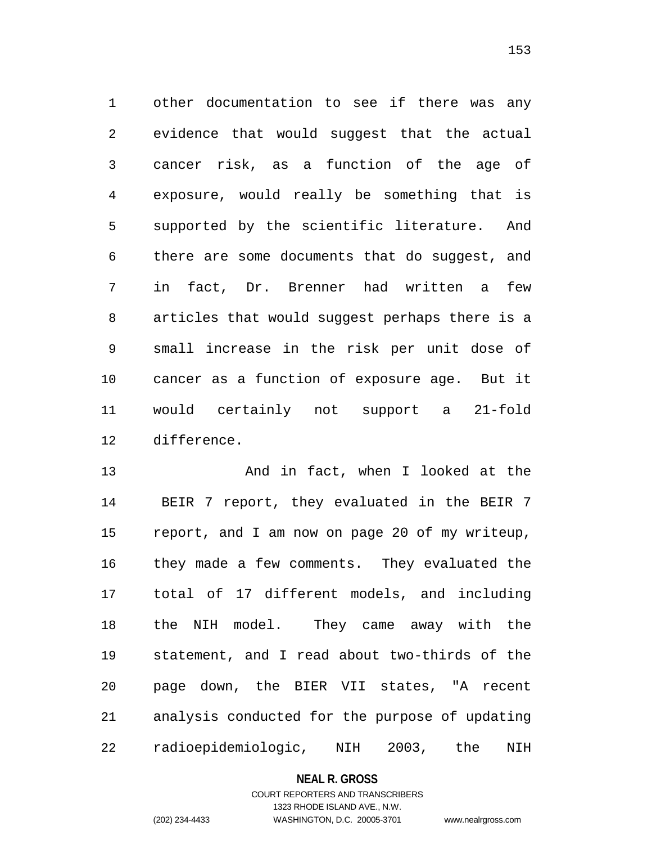other documentation to see if there was any evidence that would suggest that the actual cancer risk, as a function of the age of exposure, would really be something that is supported by the scientific literature. And there are some documents that do suggest, and in fact, Dr. Brenner had written a few articles that would suggest perhaps there is a small increase in the risk per unit dose of cancer as a function of exposure age. But it would certainly not support a 21-fold difference.

 And in fact, when I looked at the BEIR 7 report, they evaluated in the BEIR 7 report, and I am now on page 20 of my writeup, they made a few comments. They evaluated the total of 17 different models, and including the NIH model. They came away with the statement, and I read about two-thirds of the page down, the BIER VII states, "A recent analysis conducted for the purpose of updating radioepidemiologic, NIH 2003, the NIH

### **NEAL R. GROSS**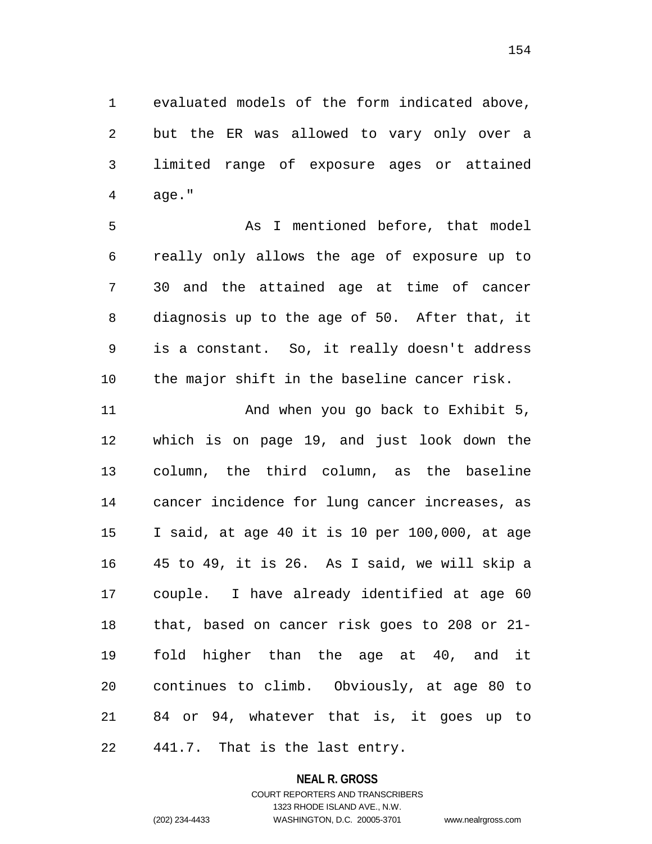evaluated models of the form indicated above, but the ER was allowed to vary only over a limited range of exposure ages or attained age."

 As I mentioned before, that model really only allows the age of exposure up to 30 and the attained age at time of cancer diagnosis up to the age of 50. After that, it is a constant. So, it really doesn't address the major shift in the baseline cancer risk.

11 And when you go back to Exhibit 5, which is on page 19, and just look down the column, the third column, as the baseline cancer incidence for lung cancer increases, as I said, at age 40 it is 10 per 100,000, at age 45 to 49, it is 26. As I said, we will skip a couple. I have already identified at age 60 that, based on cancer risk goes to 208 or 21- fold higher than the age at 40, and it continues to climb. Obviously, at age 80 to 84 or 94, whatever that is, it goes up to 441.7. That is the last entry.

**NEAL R. GROSS**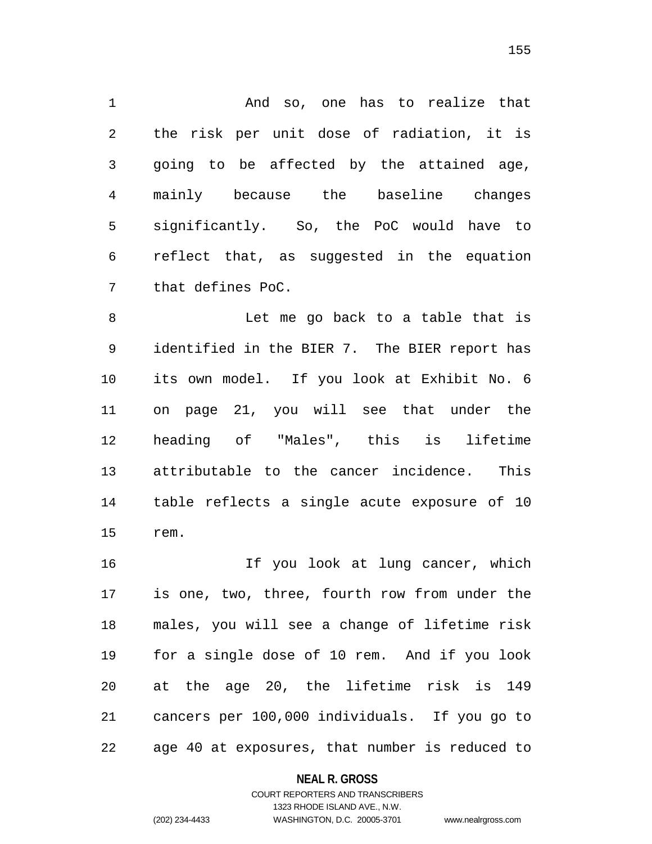And so, one has to realize that the risk per unit dose of radiation, it is going to be affected by the attained age, mainly because the baseline changes significantly. So, the PoC would have to reflect that, as suggested in the equation that defines PoC.

 Let me go back to a table that is identified in the BIER 7. The BIER report has its own model. If you look at Exhibit No. 6 on page 21, you will see that under the heading of "Males", this is lifetime attributable to the cancer incidence. This table reflects a single acute exposure of 10 rem.

 If you look at lung cancer, which is one, two, three, fourth row from under the males, you will see a change of lifetime risk for a single dose of 10 rem. And if you look at the age 20, the lifetime risk is 149 cancers per 100,000 individuals. If you go to age 40 at exposures, that number is reduced to

### **NEAL R. GROSS**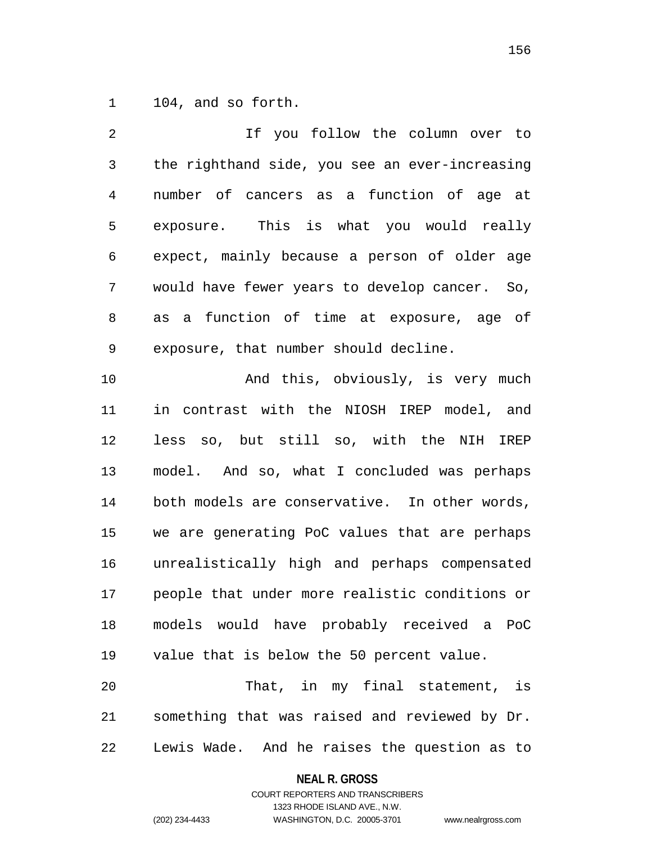104, and so forth.

| 2  | If you follow the column over to               |
|----|------------------------------------------------|
| 3  | the righthand side, you see an ever-increasing |
| 4  | number of cancers as a function of age at      |
| 5  | exposure. This is what you would really        |
| 6  | expect, mainly because a person of older age   |
| 7  | would have fewer years to develop cancer. So,  |
| 8  | as a function of time at exposure, age of      |
| 9  | exposure, that number should decline.          |
| 10 | And this, obviously, is very much              |
| 11 | in contrast with the NIOSH IREP model, and     |
| 12 | less so, but still so, with the NIH<br>IREP    |
| 13 | model. And so, what I concluded was perhaps    |
| 14 | both models are conservative. In other words,  |
| 15 | we are generating PoC values that are perhaps  |
| 16 | unrealistically high and perhaps compensated   |
| 17 | people that under more realistic conditions or |
| 18 | models would have probably received a PoC      |
| 19 | value that is below the 50 percent value.      |
| 20 | That, in my final statement, is                |
| 21 | something that was raised and reviewed by Dr.  |
|    |                                                |

Lewis Wade. And he raises the question as to

# **NEAL R. GROSS**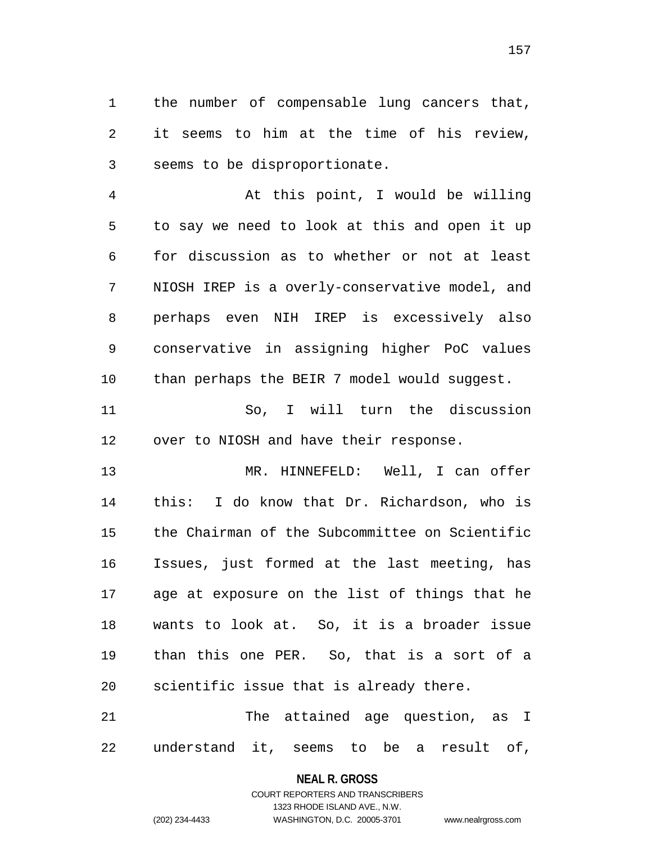the number of compensable lung cancers that, it seems to him at the time of his review, seems to be disproportionate.

 At this point, I would be willing to say we need to look at this and open it up for discussion as to whether or not at least NIOSH IREP is a overly-conservative model, and perhaps even NIH IREP is excessively also conservative in assigning higher PoC values than perhaps the BEIR 7 model would suggest.

 So, I will turn the discussion over to NIOSH and have their response.

 MR. HINNEFELD: Well, I can offer this: I do know that Dr. Richardson, who is the Chairman of the Subcommittee on Scientific Issues, just formed at the last meeting, has age at exposure on the list of things that he wants to look at. So, it is a broader issue than this one PER. So, that is a sort of a scientific issue that is already there.

 The attained age question, as I understand it, seems to be a result of,

## **NEAL R. GROSS** COURT REPORTERS AND TRANSCRIBERS

1323 RHODE ISLAND AVE., N.W. (202) 234-4433 WASHINGTON, D.C. 20005-3701 www.nealrgross.com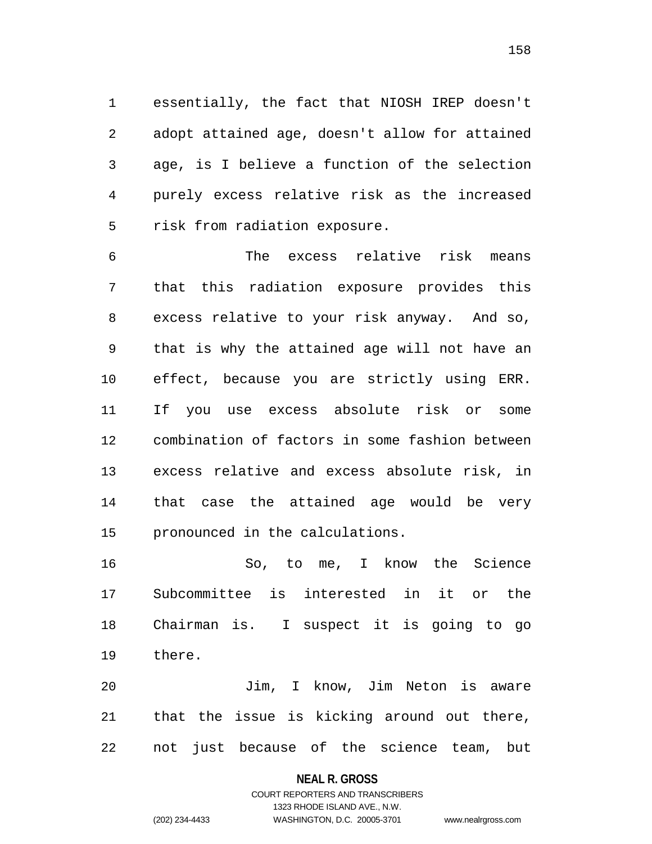essentially, the fact that NIOSH IREP doesn't adopt attained age, doesn't allow for attained age, is I believe a function of the selection purely excess relative risk as the increased risk from radiation exposure.

 The excess relative risk means that this radiation exposure provides this excess relative to your risk anyway. And so, that is why the attained age will not have an effect, because you are strictly using ERR. If you use excess absolute risk or some combination of factors in some fashion between excess relative and excess absolute risk, in that case the attained age would be very pronounced in the calculations.

 So, to me, I know the Science Subcommittee is interested in it or the Chairman is. I suspect it is going to go there.

 Jim, I know, Jim Neton is aware that the issue is kicking around out there, not just because of the science team, but

#### **NEAL R. GROSS**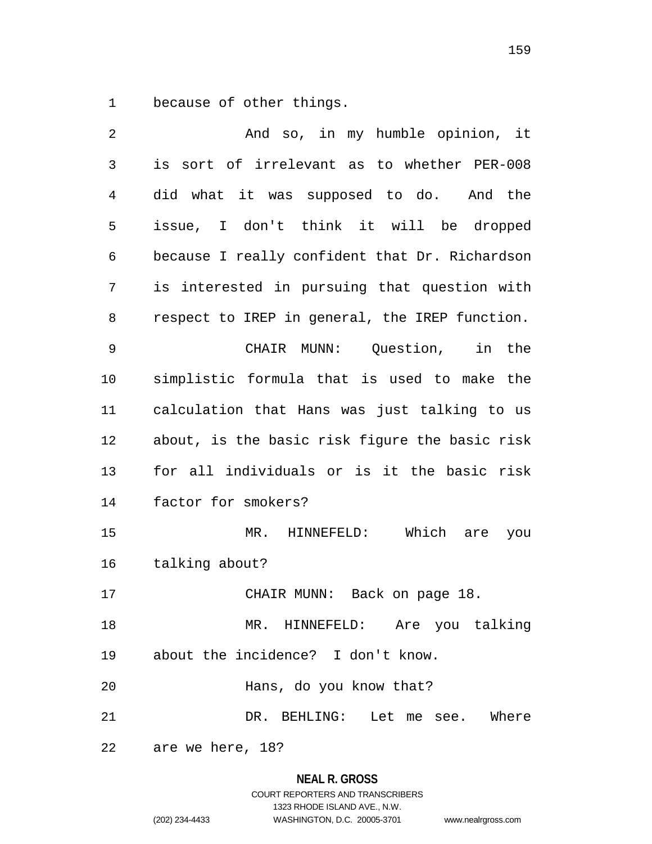because of other things.

| 2              | And so, in my humble opinion, it               |
|----------------|------------------------------------------------|
| $\mathfrak{Z}$ | is sort of irrelevant as to whether PER-008    |
| 4              | did what it was supposed to do. And the        |
| 5              | issue, I don't think it will be dropped        |
| 6              | because I really confident that Dr. Richardson |
| 7              | is interested in pursuing that question with   |
| 8              | respect to IREP in general, the IREP function. |
| 9              | CHAIR MUNN: Question, in the                   |
| 10             | simplistic formula that is used to make the    |
| 11             | calculation that Hans was just talking to us   |
| 12             | about, is the basic risk figure the basic risk |
| 13             | for all individuals or is it the basic risk    |
| 14             | factor for smokers?                            |
| 15             | Which<br>$MR$ .<br>HINNEFELD:<br>are<br>you    |
| 16             | talking about?                                 |
| 17             | CHAIR MUNN: Back on page 18.                   |
| 18             | MR. HINNEFELD: Are you talking                 |
| 19             | about the incidence? I don't know.             |
| 20             | Hans, do you know that?                        |
| 21             | DR. BEHLING: Let me see. Where                 |
| 22             | are we here, 18?                               |

# **NEAL R. GROSS**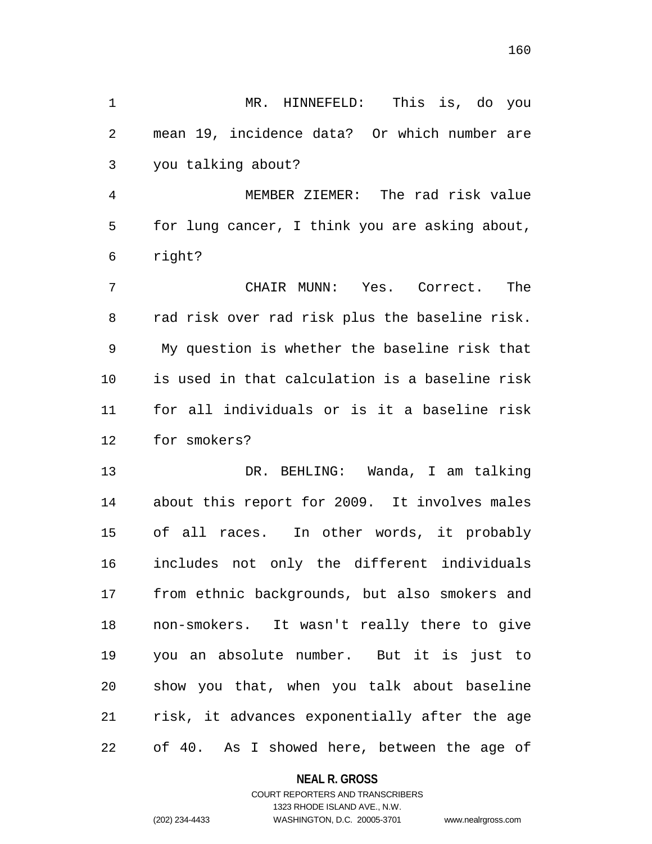MR. HINNEFELD: This is, do you mean 19, incidence data? Or which number are you talking about?

 MEMBER ZIEMER: The rad risk value for lung cancer, I think you are asking about, right?

 CHAIR MUNN: Yes. Correct. The rad risk over rad risk plus the baseline risk. My question is whether the baseline risk that is used in that calculation is a baseline risk for all individuals or is it a baseline risk for smokers?

 DR. BEHLING: Wanda, I am talking about this report for 2009. It involves males of all races. In other words, it probably includes not only the different individuals from ethnic backgrounds, but also smokers and non-smokers. It wasn't really there to give you an absolute number. But it is just to show you that, when you talk about baseline risk, it advances exponentially after the age of 40. As I showed here, between the age of

### **NEAL R. GROSS**

## COURT REPORTERS AND TRANSCRIBERS 1323 RHODE ISLAND AVE., N.W. (202) 234-4433 WASHINGTON, D.C. 20005-3701 www.nealrgross.com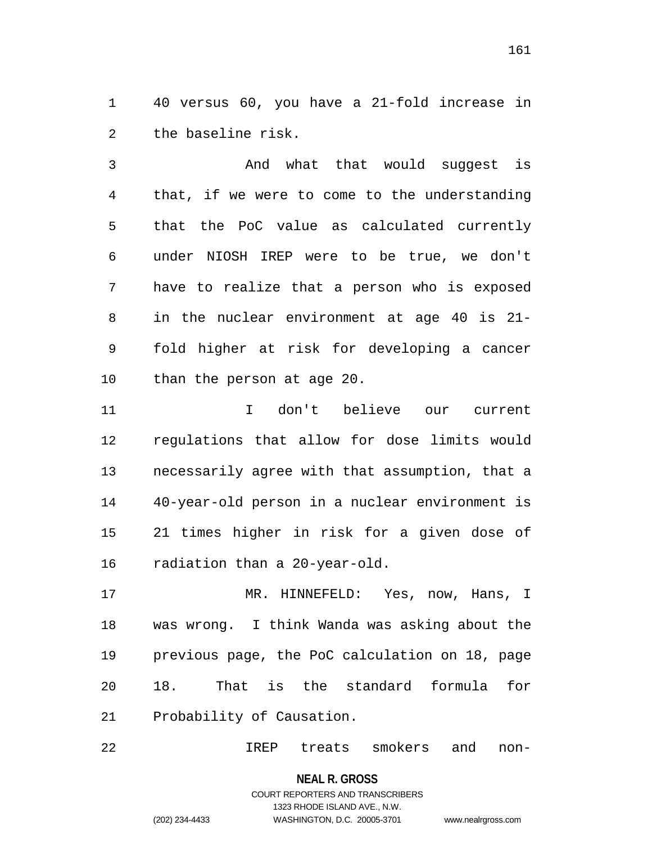40 versus 60, you have a 21-fold increase in the baseline risk.

 And what that would suggest is that, if we were to come to the understanding that the PoC value as calculated currently under NIOSH IREP were to be true, we don't have to realize that a person who is exposed in the nuclear environment at age 40 is 21- fold higher at risk for developing a cancer than the person at age 20.

 I don't believe our current regulations that allow for dose limits would necessarily agree with that assumption, that a 40-year-old person in a nuclear environment is 21 times higher in risk for a given dose of radiation than a 20-year-old.

 MR. HINNEFELD: Yes, now, Hans, I was wrong. I think Wanda was asking about the previous page, the PoC calculation on 18, page 18. That is the standard formula for Probability of Causation.

IREP treats smokers and non-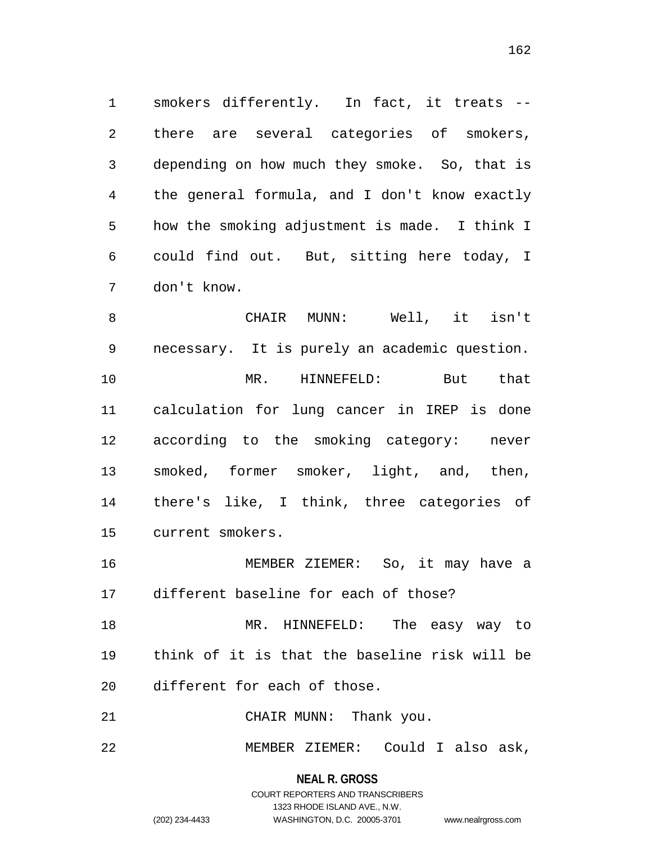smokers differently. In fact, it treats -- there are several categories of smokers, depending on how much they smoke. So, that is the general formula, and I don't know exactly how the smoking adjustment is made. I think I could find out. But, sitting here today, I don't know.

 CHAIR MUNN: Well, it isn't necessary. It is purely an academic question. MR. HINNEFELD: But that calculation for lung cancer in IREP is done according to the smoking category: never smoked, former smoker, light, and, then, there's like, I think, three categories of current smokers.

 MEMBER ZIEMER: So, it may have a different baseline for each of those?

 MR. HINNEFELD: The easy way to think of it is that the baseline risk will be different for each of those.

21 CHAIR MUNN: Thank you.

MEMBER ZIEMER: Could I also ask,

**NEAL R. GROSS** COURT REPORTERS AND TRANSCRIBERS 1323 RHODE ISLAND AVE., N.W. (202) 234-4433 WASHINGTON, D.C. 20005-3701 www.nealrgross.com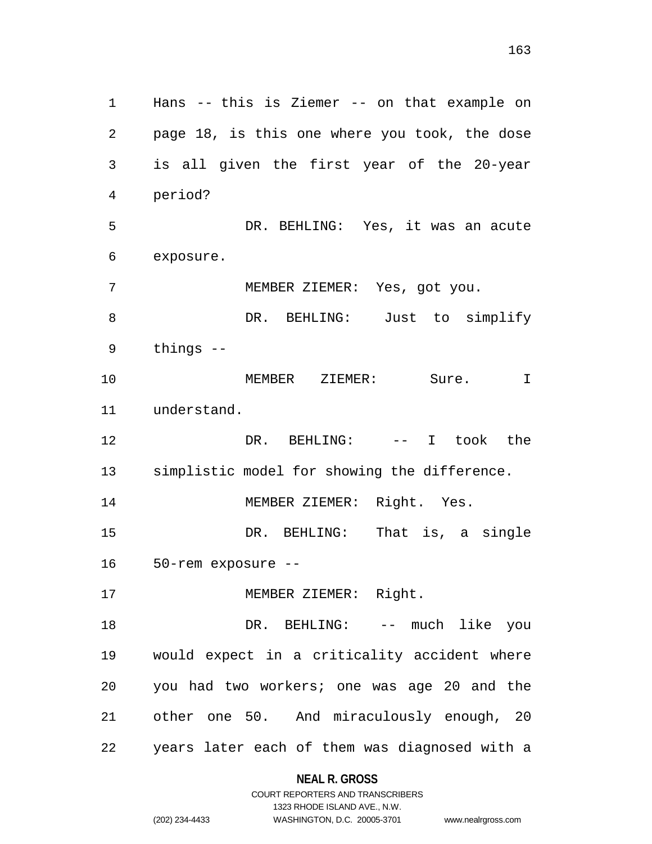Hans -- this is Ziemer -- on that example on page 18, is this one where you took, the dose is all given the first year of the 20-year period? DR. BEHLING: Yes, it was an acute exposure. MEMBER ZIEMER: Yes, got you. 8 DR. BEHLING: Just to simplify things -- MEMBER ZIEMER: Sure. I understand. DR. BEHLING: -- I took the simplistic model for showing the difference. MEMBER ZIEMER: Right. Yes. DR. BEHLING: That is, a single 50-rem exposure -- 17 MEMBER ZIEMER: Right. 18 DR. BEHLING: -- much like you would expect in a criticality accident where you had two workers; one was age 20 and the other one 50. And miraculously enough, 20 years later each of them was diagnosed with a

# **NEAL R. GROSS**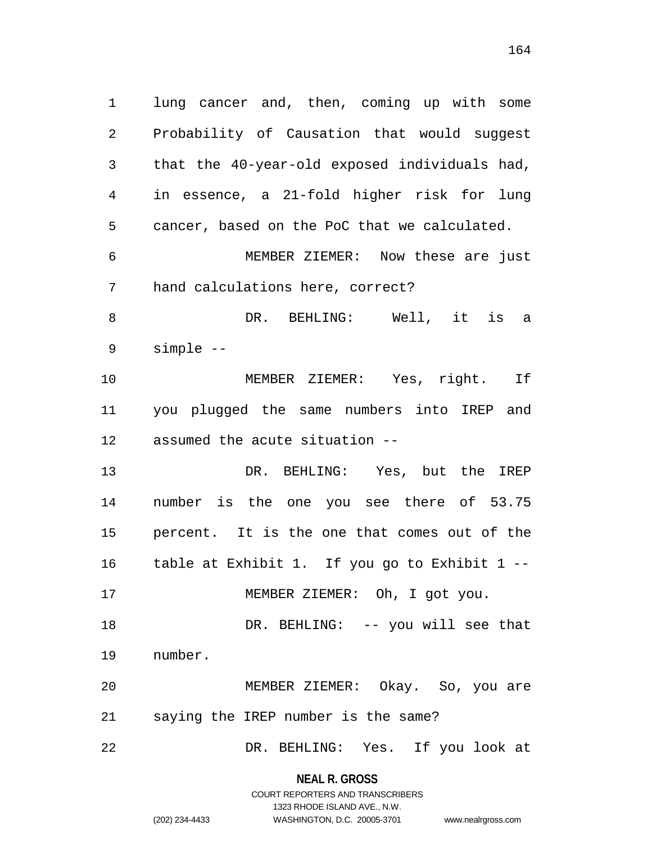lung cancer and, then, coming up with some Probability of Causation that would suggest that the 40-year-old exposed individuals had, in essence, a 21-fold higher risk for lung cancer, based on the PoC that we calculated. MEMBER ZIEMER: Now these are just hand calculations here, correct? DR. BEHLING: Well, it is a simple -- MEMBER ZIEMER: Yes, right. If you plugged the same numbers into IREP and assumed the acute situation -- DR. BEHLING: Yes, but the IREP number is the one you see there of 53.75 percent. It is the one that comes out of the table at Exhibit 1. If you go to Exhibit 1 -- 17 MEMBER ZIEMER: Oh, I got you. 18 DR. BEHLING: -- you will see that number. MEMBER ZIEMER: Okay. So, you are saying the IREP number is the same? DR. BEHLING: Yes. If you look at

> **NEAL R. GROSS** COURT REPORTERS AND TRANSCRIBERS

> > 1323 RHODE ISLAND AVE., N.W.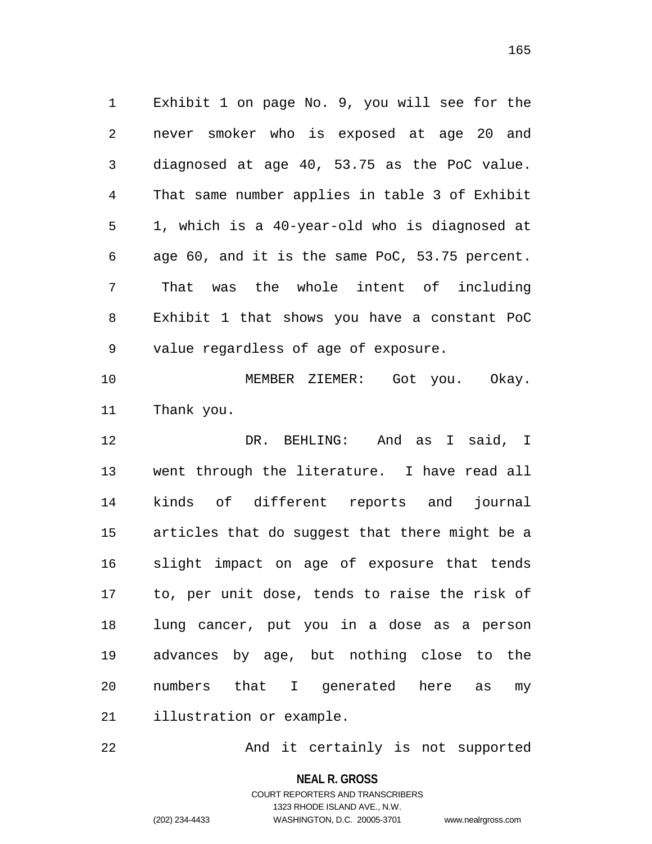Exhibit 1 on page No. 9, you will see for the never smoker who is exposed at age 20 and diagnosed at age 40, 53.75 as the PoC value. That same number applies in table 3 of Exhibit 1, which is a 40-year-old who is diagnosed at age 60, and it is the same PoC, 53.75 percent. That was the whole intent of including Exhibit 1 that shows you have a constant PoC value regardless of age of exposure.

 MEMBER ZIEMER: Got you. Okay. Thank you.

 DR. BEHLING: And as I said, I went through the literature. I have read all kinds of different reports and journal articles that do suggest that there might be a slight impact on age of exposure that tends to, per unit dose, tends to raise the risk of lung cancer, put you in a dose as a person advances by age, but nothing close to the numbers that I generated here as my illustration or example.

And it certainly is not supported

**NEAL R. GROSS**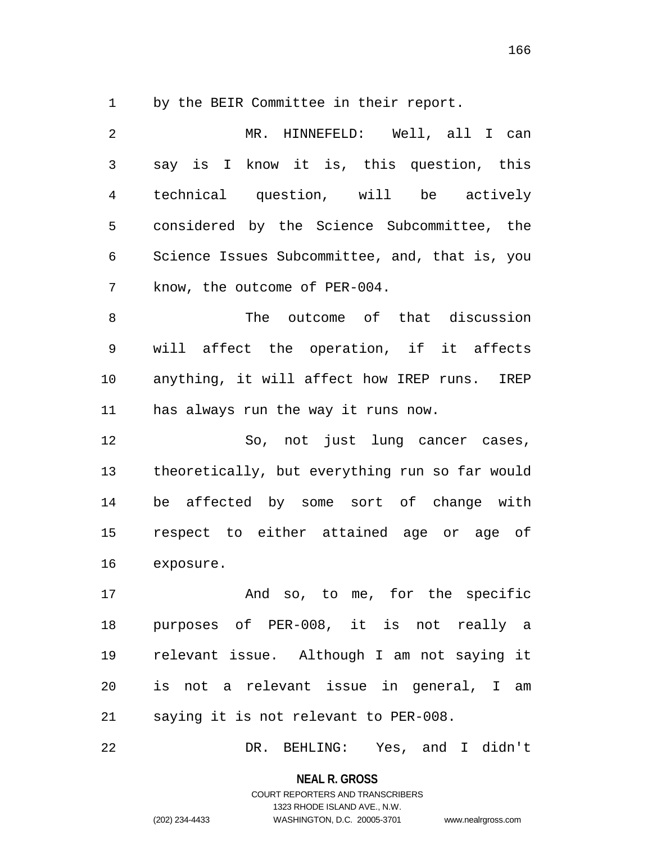by the BEIR Committee in their report.

| 2  | MR. HINNEFELD: Well, all I can                  |
|----|-------------------------------------------------|
| 3  | say is I know it is, this question, this        |
| 4  | technical question, will be actively            |
| 5  | considered by the Science Subcommittee, the     |
| 6  | Science Issues Subcommittee, and, that is, you  |
| 7  | know, the outcome of PER-004.                   |
| 8  | The outcome of that discussion                  |
| 9  | will affect the operation, if it affects        |
| 10 | anything, it will affect how IREP runs.<br>IREP |
| 11 | has always run the way it runs now.             |
| 12 | So, not just lung cancer cases,                 |
| 13 | theoretically, but everything run so far would  |
| 14 | be affected by some sort of change with         |
| 15 | respect to either attained age or age of        |
| 16 | exposure.                                       |
| 17 | And so, to me, for the specific                 |
|    | 18 purposes of PER-008, it is not really a      |
| 19 |                                                 |
|    | relevant issue. Although I am not saying it     |
| 20 | is not a relevant issue in general, I am        |

DR. BEHLING: Yes, and I didn't

**NEAL R. GROSS** COURT REPORTERS AND TRANSCRIBERS

1323 RHODE ISLAND AVE., N.W.

(202) 234-4433 WASHINGTON, D.C. 20005-3701 www.nealrgross.com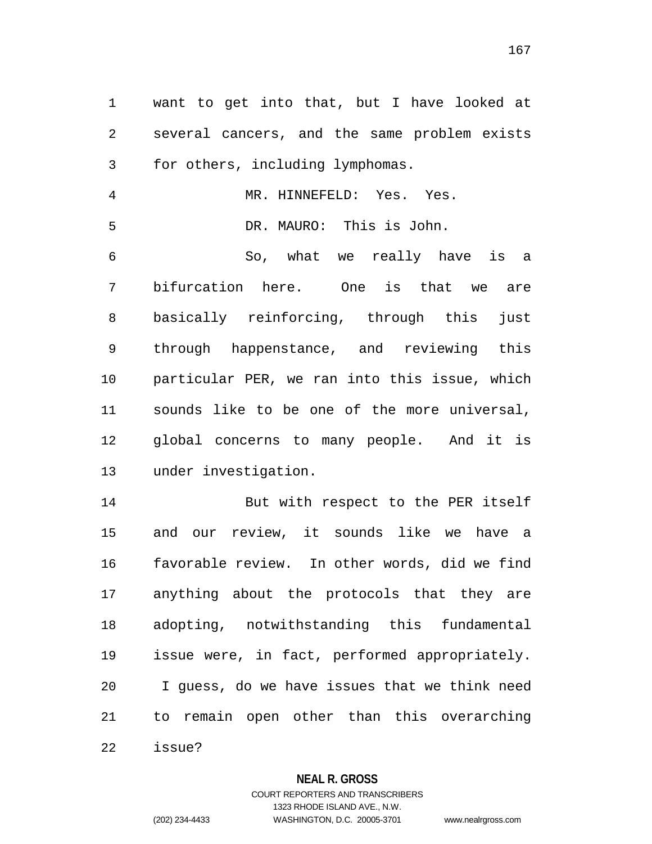want to get into that, but I have looked at several cancers, and the same problem exists for others, including lymphomas.

 MR. HINNEFELD: Yes. Yes. DR. MAURO: This is John.

 So, what we really have is a bifurcation here. One is that we are basically reinforcing, through this just through happenstance, and reviewing this particular PER, we ran into this issue, which sounds like to be one of the more universal, global concerns to many people. And it is under investigation.

 But with respect to the PER itself and our review, it sounds like we have a favorable review. In other words, did we find anything about the protocols that they are adopting, notwithstanding this fundamental issue were, in fact, performed appropriately. I guess, do we have issues that we think need to remain open other than this overarching issue?

**NEAL R. GROSS**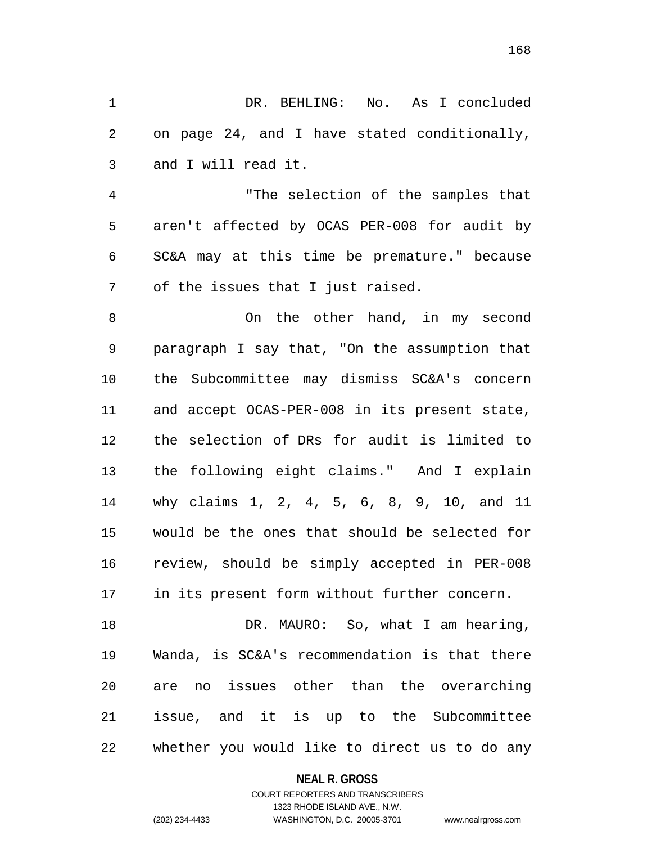DR. BEHLING: No. As I concluded on page 24, and I have stated conditionally, and I will read it.

 "The selection of the samples that aren't affected by OCAS PER-008 for audit by SC&A may at this time be premature." because of the issues that I just raised.

 On the other hand, in my second paragraph I say that, "On the assumption that the Subcommittee may dismiss SC&A's concern and accept OCAS-PER-008 in its present state, the selection of DRs for audit is limited to the following eight claims." And I explain why claims 1, 2, 4, 5, 6, 8, 9, 10, and 11 would be the ones that should be selected for review, should be simply accepted in PER-008 in its present form without further concern.

18 DR. MAURO: So, what I am hearing, Wanda, is SC&A's recommendation is that there are no issues other than the overarching issue, and it is up to the Subcommittee whether you would like to direct us to do any

### **NEAL R. GROSS**

### COURT REPORTERS AND TRANSCRIBERS 1323 RHODE ISLAND AVE., N.W. (202) 234-4433 WASHINGTON, D.C. 20005-3701 www.nealrgross.com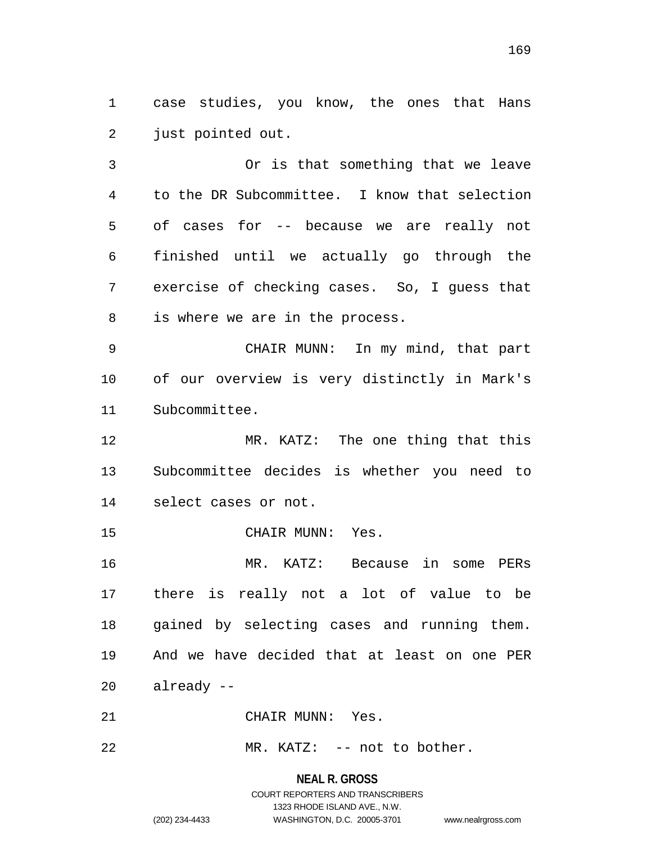case studies, you know, the ones that Hans just pointed out.

 Or is that something that we leave to the DR Subcommittee. I know that selection of cases for -- because we are really not finished until we actually go through the exercise of checking cases. So, I guess that is where we are in the process.

 CHAIR MUNN: In my mind, that part of our overview is very distinctly in Mark's Subcommittee.

 MR. KATZ: The one thing that this Subcommittee decides is whether you need to select cases or not.

CHAIR MUNN: Yes.

 MR. KATZ: Because in some PERs there is really not a lot of value to be gained by selecting cases and running them. And we have decided that at least on one PER already --

CHAIR MUNN: Yes.

22 MR. KATZ: -- not to bother.

### **NEAL R. GROSS**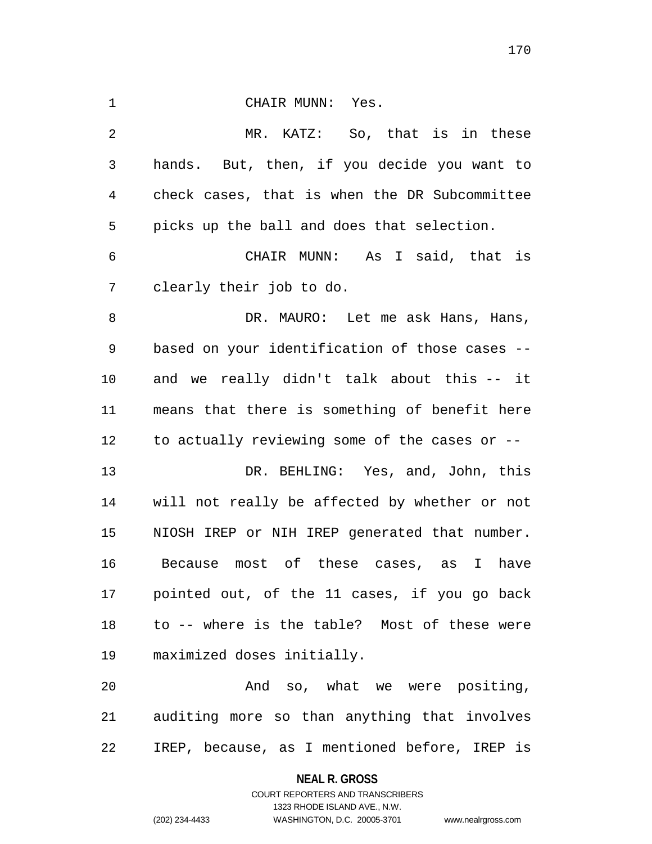| $\mathbf 1$ | CHAIR MUNN: Yes.                               |
|-------------|------------------------------------------------|
| 2           | MR. KATZ: So, that is in these                 |
| 3           | hands. But, then, if you decide you want to    |
| 4           | check cases, that is when the DR Subcommittee  |
| 5           | picks up the ball and does that selection.     |
| 6           | CHAIR MUNN: As I said, that is                 |
| 7           | clearly their job to do.                       |
| 8           | DR. MAURO: Let me ask Hans, Hans,              |
| 9           | based on your identification of those cases -- |
| 10          | and we really didn't talk about this -- it     |
| 11          | means that there is something of benefit here  |
| 12          | to actually reviewing some of the cases or --  |
| 13          | DR. BEHLING: Yes, and, John, this              |
| 14          | will not really be affected by whether or not  |
| 15          | NIOSH IREP or NIH IREP generated that number.  |
| 16          | Because most of these cases, as I<br>have      |
| 17          | pointed out, of the 11 cases, if you go back   |
| 18          | to -- where is the table? Most of these were   |
| 19          | maximized doses initially.                     |
| 20          | And so, what we were positing,                 |
| 21          | auditing more so than anything that involves   |

IREP, because, as I mentioned before, IREP is

**NEAL R. GROSS** COURT REPORTERS AND TRANSCRIBERS

1323 RHODE ISLAND AVE., N.W.

(202) 234-4433 WASHINGTON, D.C. 20005-3701 www.nealrgross.com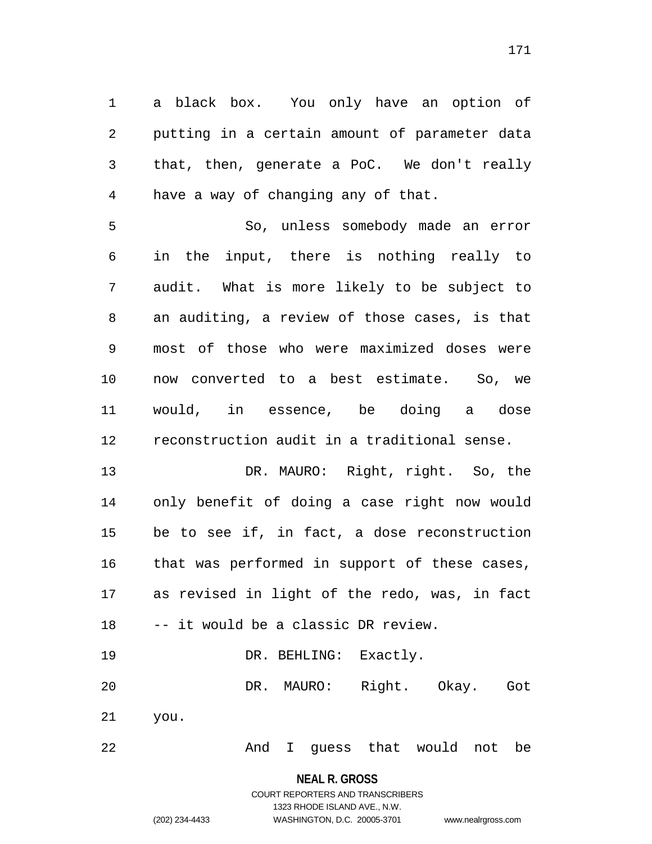a black box. You only have an option of putting in a certain amount of parameter data that, then, generate a PoC. We don't really have a way of changing any of that.

 So, unless somebody made an error in the input, there is nothing really to audit. What is more likely to be subject to an auditing, a review of those cases, is that most of those who were maximized doses were now converted to a best estimate. So, we would, in essence, be doing a dose reconstruction audit in a traditional sense.

 DR. MAURO: Right, right. So, the only benefit of doing a case right now would be to see if, in fact, a dose reconstruction that was performed in support of these cases, as revised in light of the redo, was, in fact -- it would be a classic DR review.

19 DR. BEHLING: Exactly. DR. MAURO: Right. Okay. Got you.

And I guess that would not be

**NEAL R. GROSS** COURT REPORTERS AND TRANSCRIBERS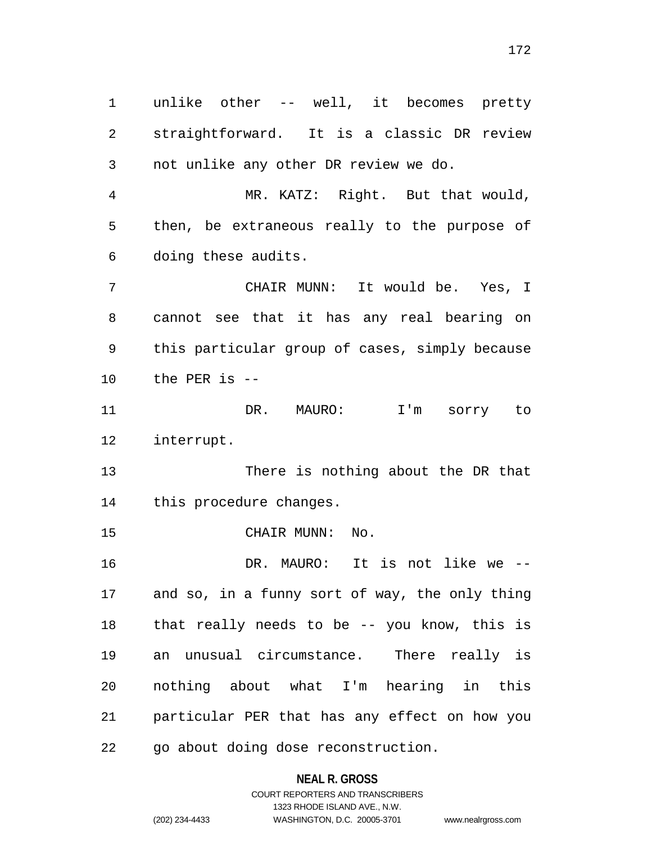unlike other -- well, it becomes pretty straightforward. It is a classic DR review not unlike any other DR review we do.

 MR. KATZ: Right. But that would, then, be extraneous really to the purpose of doing these audits.

 CHAIR MUNN: It would be. Yes, I cannot see that it has any real bearing on this particular group of cases, simply because the PER is --

 DR. MAURO: I'm sorry to interrupt.

 There is nothing about the DR that this procedure changes.

CHAIR MUNN: No.

 DR. MAURO: It is not like we -- and so, in a funny sort of way, the only thing that really needs to be -- you know, this is an unusual circumstance. There really is nothing about what I'm hearing in this particular PER that has any effect on how you go about doing dose reconstruction.

**NEAL R. GROSS**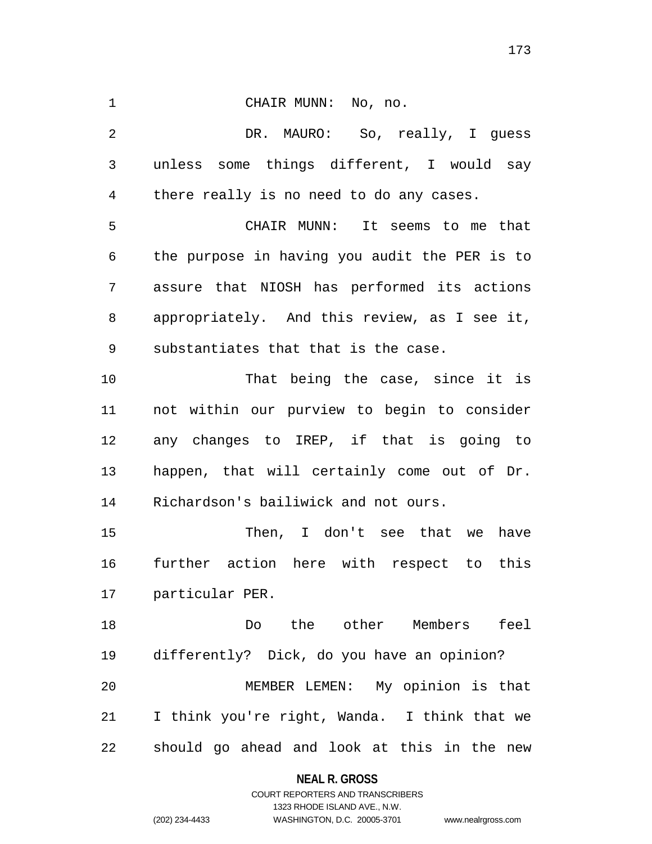CHAIR MUNN: No, no. DR. MAURO: So, really, I guess unless some things different, I would say there really is no need to do any cases. CHAIR MUNN: It seems to me that the purpose in having you audit the PER is to assure that NIOSH has performed its actions appropriately. And this review, as I see it, substantiates that that is the case. 10 That being the case, since it is not within our purview to begin to consider any changes to IREP, if that is going to happen, that will certainly come out of Dr. Richardson's bailiwick and not ours. Then, I don't see that we have further action here with respect to this particular PER. Do the other Members feel differently? Dick, do you have an opinion? MEMBER LEMEN: My opinion is that I think you're right, Wanda. I think that we should go ahead and look at this in the new

**NEAL R. GROSS**

COURT REPORTERS AND TRANSCRIBERS 1323 RHODE ISLAND AVE., N.W. (202) 234-4433 WASHINGTON, D.C. 20005-3701 www.nealrgross.com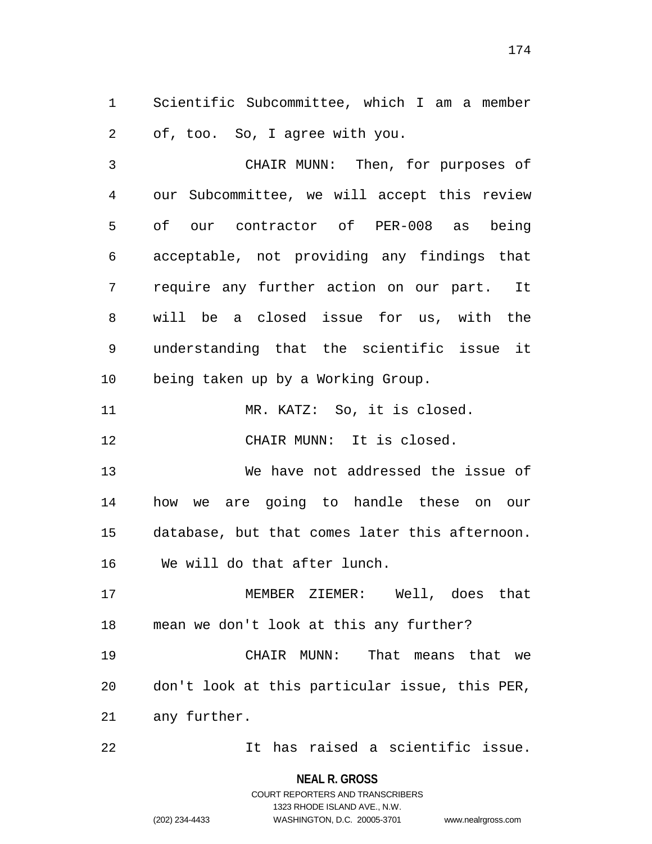Scientific Subcommittee, which I am a member of, too. So, I agree with you.

 CHAIR MUNN: Then, for purposes of our Subcommittee, we will accept this review of our contractor of PER-008 as being acceptable, not providing any findings that require any further action on our part. It will be a closed issue for us, with the understanding that the scientific issue it being taken up by a Working Group.

11 MR. KATZ: So, it is closed.

CHAIR MUNN: It is closed.

 We have not addressed the issue of how we are going to handle these on our database, but that comes later this afternoon. We will do that after lunch.

 MEMBER ZIEMER: Well, does that mean we don't look at this any further?

 CHAIR MUNN: That means that we don't look at this particular issue, this PER, any further.

It has raised a scientific issue.

**NEAL R. GROSS**

COURT REPORTERS AND TRANSCRIBERS 1323 RHODE ISLAND AVE., N.W. (202) 234-4433 WASHINGTON, D.C. 20005-3701 www.nealrgross.com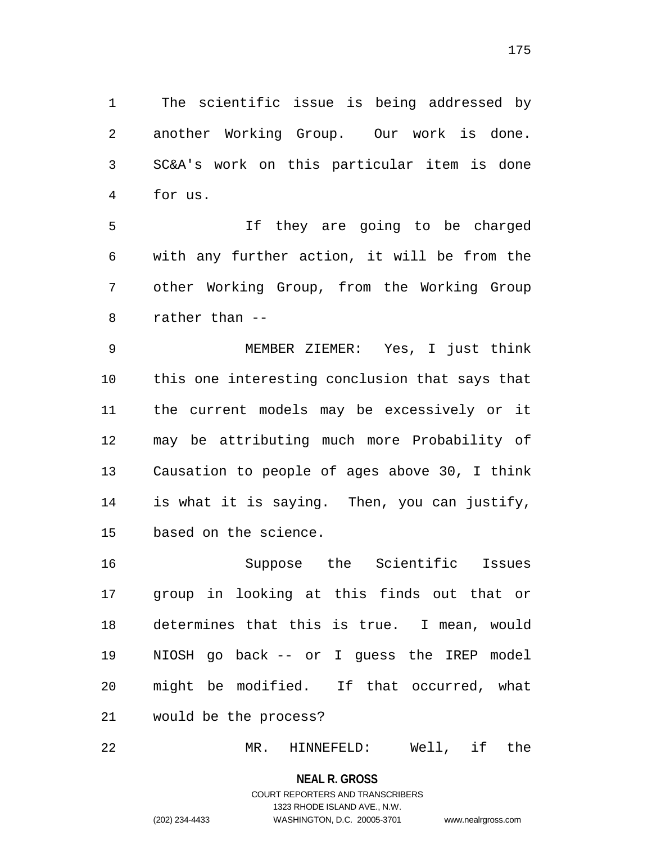The scientific issue is being addressed by another Working Group. Our work is done. SC&A's work on this particular item is done for us.

 If they are going to be charged with any further action, it will be from the other Working Group, from the Working Group rather than --

 MEMBER ZIEMER: Yes, I just think this one interesting conclusion that says that the current models may be excessively or it may be attributing much more Probability of Causation to people of ages above 30, I think is what it is saying. Then, you can justify, based on the science.

 Suppose the Scientific Issues group in looking at this finds out that or determines that this is true. I mean, would NIOSH go back -- or I guess the IREP model might be modified. If that occurred, what would be the process?

MR. HINNEFELD: Well, if the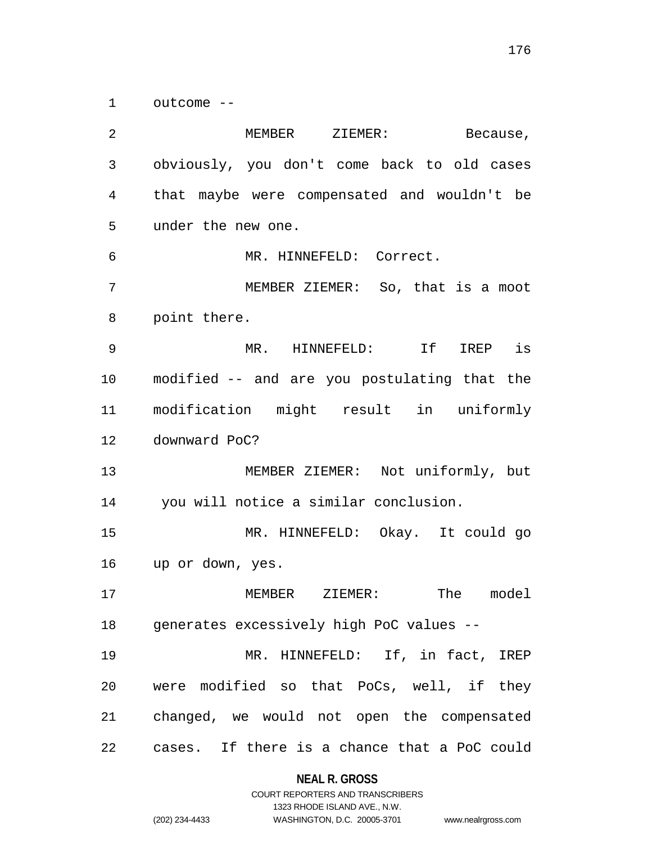outcome --

 MEMBER ZIEMER: Because, obviously, you don't come back to old cases that maybe were compensated and wouldn't be under the new one. MR. HINNEFELD: Correct. MEMBER ZIEMER: So, that is a moot point there. MR. HINNEFELD: If IREP is modified -- and are you postulating that the modification might result in uniformly downward PoC? MEMBER ZIEMER: Not uniformly, but you will notice a similar conclusion. MR. HINNEFELD: Okay. It could go up or down, yes. MEMBER ZIEMER: The model generates excessively high PoC values -- MR. HINNEFELD: If, in fact, IREP were modified so that PoCs, well, if they changed, we would not open the compensated cases. If there is a chance that a PoC could

#### **NEAL R. GROSS**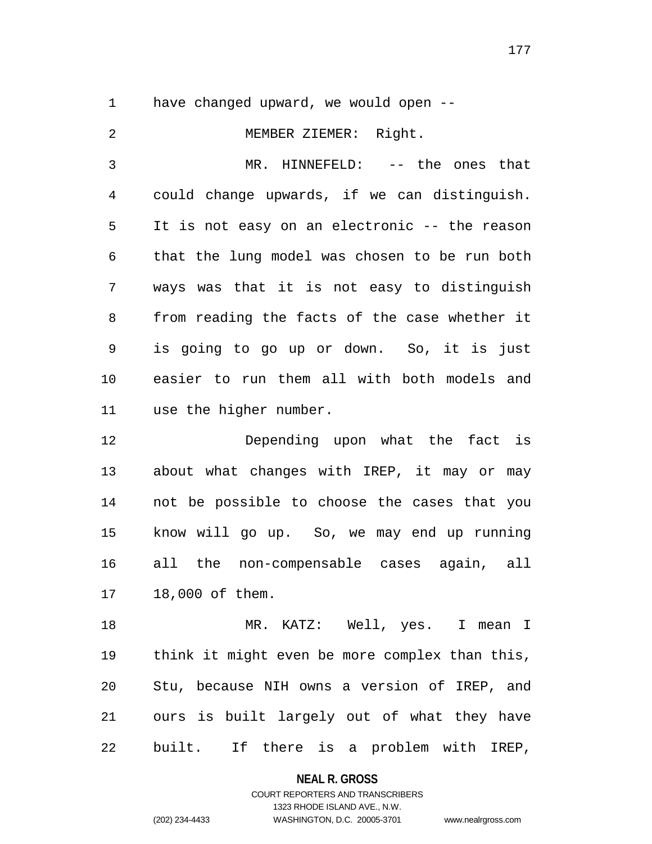have changed upward, we would open --

 MEMBER ZIEMER: Right. MR. HINNEFELD: -- the ones that could change upwards, if we can distinguish. It is not easy on an electronic -- the reason that the lung model was chosen to be run both ways was that it is not easy to distinguish from reading the facts of the case whether it is going to go up or down. So, it is just easier to run them all with both models and use the higher number. Depending upon what the fact is about what changes with IREP, it may or may not be possible to choose the cases that you know will go up. So, we may end up running

 all the non-compensable cases again, all 18,000 of them.

18 MR. KATZ: Well, yes. I mean I think it might even be more complex than this, Stu, because NIH owns a version of IREP, and ours is built largely out of what they have built. If there is a problem with IREP,

**NEAL R. GROSS**

COURT REPORTERS AND TRANSCRIBERS 1323 RHODE ISLAND AVE., N.W. (202) 234-4433 WASHINGTON, D.C. 20005-3701 www.nealrgross.com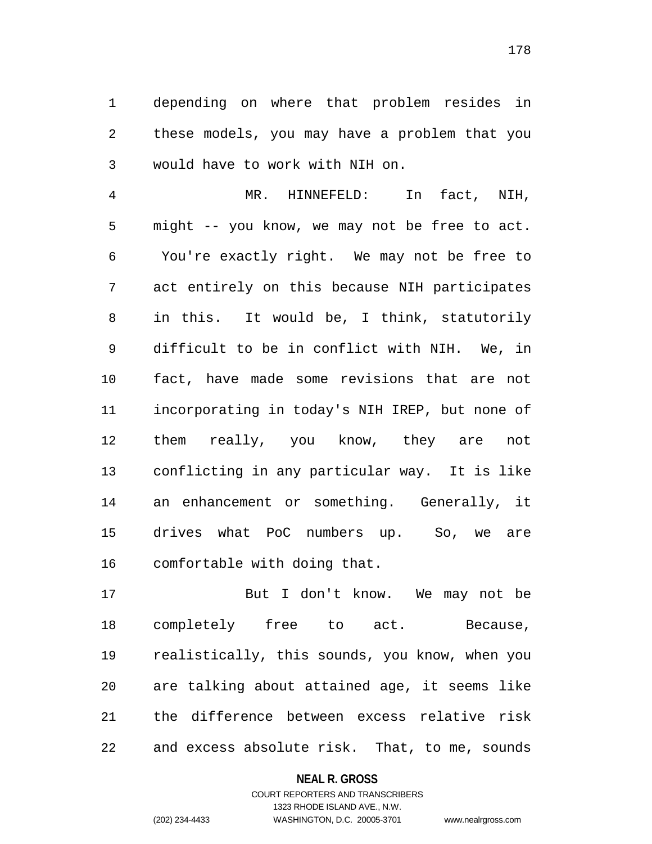depending on where that problem resides in these models, you may have a problem that you would have to work with NIH on.

 MR. HINNEFELD: In fact, NIH, might -- you know, we may not be free to act. You're exactly right. We may not be free to act entirely on this because NIH participates in this. It would be, I think, statutorily difficult to be in conflict with NIH. We, in fact, have made some revisions that are not incorporating in today's NIH IREP, but none of them really, you know, they are not conflicting in any particular way. It is like an enhancement or something. Generally, it drives what PoC numbers up. So, we are comfortable with doing that.

 But I don't know. We may not be completely free to act. Because, realistically, this sounds, you know, when you are talking about attained age, it seems like the difference between excess relative risk and excess absolute risk. That, to me, sounds

### **NEAL R. GROSS**

COURT REPORTERS AND TRANSCRIBERS 1323 RHODE ISLAND AVE., N.W. (202) 234-4433 WASHINGTON, D.C. 20005-3701 www.nealrgross.com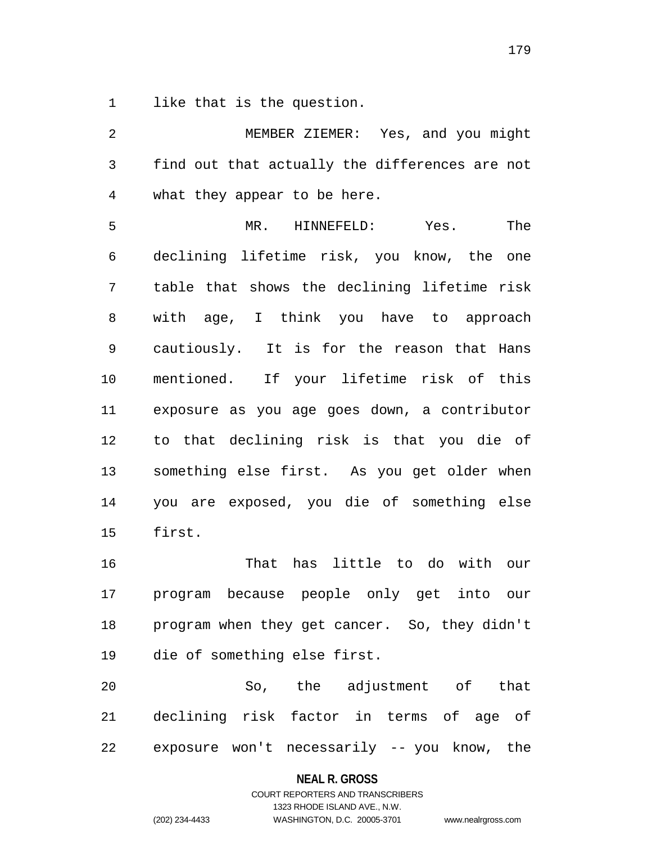like that is the question.

 MEMBER ZIEMER: Yes, and you might find out that actually the differences are not what they appear to be here. MR. HINNEFELD: Yes. The declining lifetime risk, you know, the one table that shows the declining lifetime risk with age, I think you have to approach cautiously. It is for the reason that Hans mentioned. If your lifetime risk of this exposure as you age goes down, a contributor to that declining risk is that you die of something else first. As you get older when you are exposed, you die of something else first. That has little to do with our program because people only get into our program when they get cancer. So, they didn't die of something else first. So, the adjustment of that declining risk factor in terms of age of

exposure won't necessarily -- you know, the

**NEAL R. GROSS**

# COURT REPORTERS AND TRANSCRIBERS 1323 RHODE ISLAND AVE., N.W. (202) 234-4433 WASHINGTON, D.C. 20005-3701 www.nealrgross.com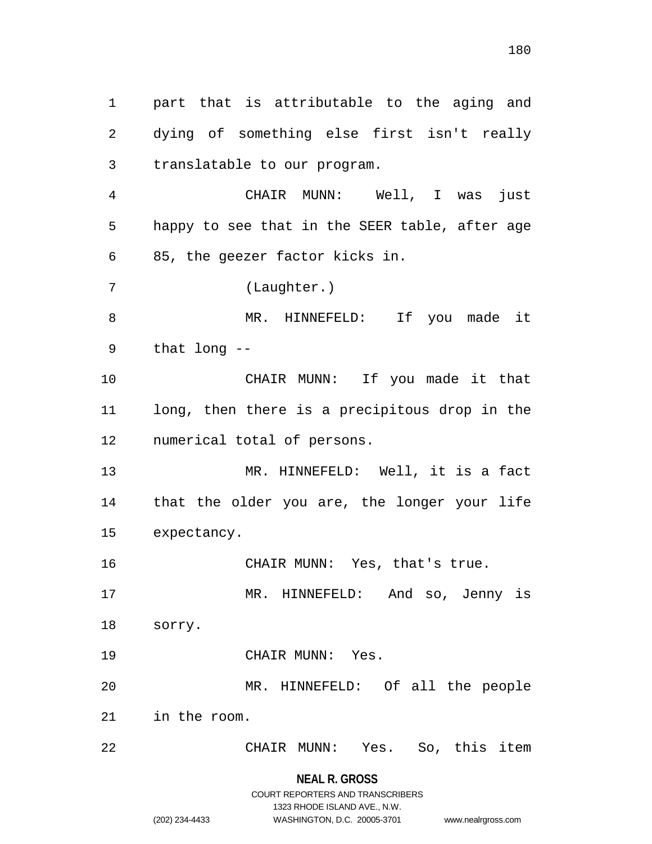part that is attributable to the aging and dying of something else first isn't really translatable to our program. CHAIR MUNN: Well, I was just happy to see that in the SEER table, after age 85, the geezer factor kicks in. (Laughter.) 8 MR. HINNEFELD: If you made it that long -- CHAIR MUNN: If you made it that long, then there is a precipitous drop in the numerical total of persons. MR. HINNEFELD: Well, it is a fact that the older you are, the longer your life expectancy. CHAIR MUNN: Yes, that's true. MR. HINNEFELD: And so, Jenny is sorry. CHAIR MUNN: Yes. MR. HINNEFELD: Of all the people in the room. CHAIR MUNN: Yes. So, this item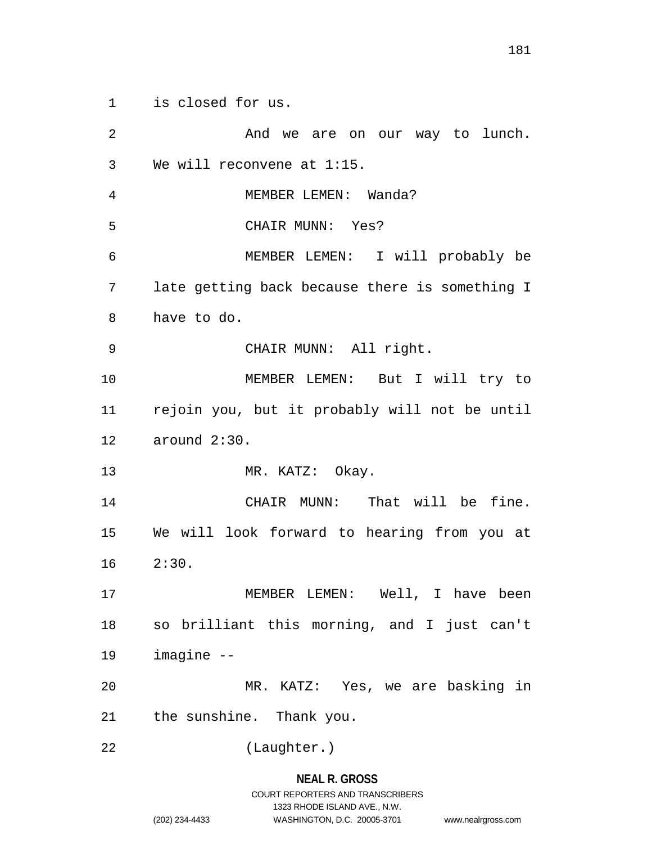is closed for us.

 And we are on our way to lunch. We will reconvene at 1:15. MEMBER LEMEN: Wanda? CHAIR MUNN: Yes? MEMBER LEMEN: I will probably be late getting back because there is something I have to do. CHAIR MUNN: All right. MEMBER LEMEN: But I will try to rejoin you, but it probably will not be until around 2:30. 13 MR. KATZ: Okay. CHAIR MUNN: That will be fine. We will look forward to hearing from you at 2:30. MEMBER LEMEN: Well, I have been so brilliant this morning, and I just can't imagine -- MR. KATZ: Yes, we are basking in the sunshine. Thank you. (Laughter.)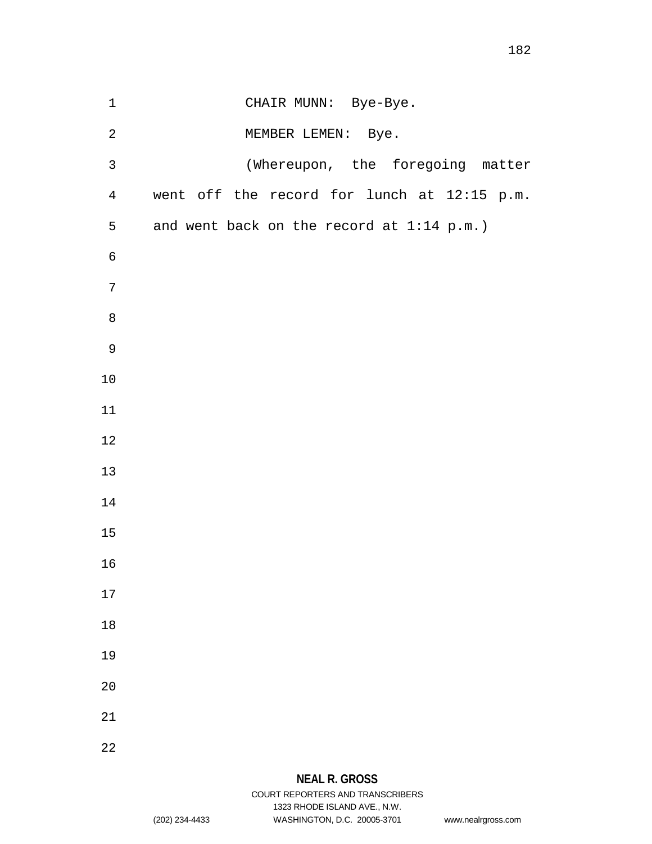| $1\,$          | CHAIR MUNN: Bye-Bye.                        |
|----------------|---------------------------------------------|
| $\sqrt{2}$     | MEMBER LEMEN: Bye.                          |
| $\mathsf{3}$   | (Whereupon, the foregoing matter            |
| $\overline{4}$ | went off the record for lunch at 12:15 p.m. |
| 5              | and went back on the record at 1:14 p.m.)   |
| $\epsilon$     |                                             |
| 7              |                                             |
| $\,8\,$        |                                             |
| $\mathsf 9$    |                                             |
| 10             |                                             |
| $11$           |                                             |
| $12$           |                                             |
| $13$           |                                             |
| 14             |                                             |
| $15$           |                                             |
| 16             |                                             |
| $17\,$         |                                             |
| $1\,8$         |                                             |
| 19             |                                             |
| $20$           |                                             |
| $21\,$         |                                             |
| 22             |                                             |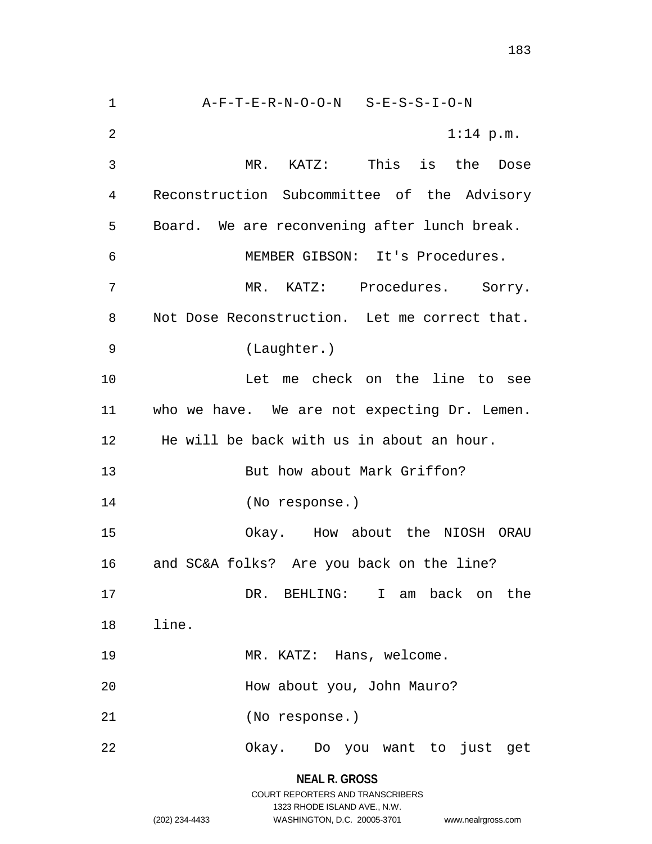A-F-T-E-R-N-O-O-N S-E-S-S-I-O-N 1:14 p.m. MR. KATZ: This is the Dose Reconstruction Subcommittee of the Advisory Board. We are reconvening after lunch break. MEMBER GIBSON: It's Procedures. MR. KATZ: Procedures. Sorry. Not Dose Reconstruction. Let me correct that. (Laughter.) Let me check on the line to see who we have. We are not expecting Dr. Lemen. He will be back with us in about an hour. 13 But how about Mark Griffon? (No response.) Okay. How about the NIOSH ORAU and SC&A folks? Are you back on the line? DR. BEHLING: I am back on the line. 19 MR. KATZ: Hans, welcome. How about you, John Mauro? (No response.) Okay. Do you want to just get

> **NEAL R. GROSS** COURT REPORTERS AND TRANSCRIBERS 1323 RHODE ISLAND AVE., N.W. (202) 234-4433 WASHINGTON, D.C. 20005-3701 www.nealrgross.com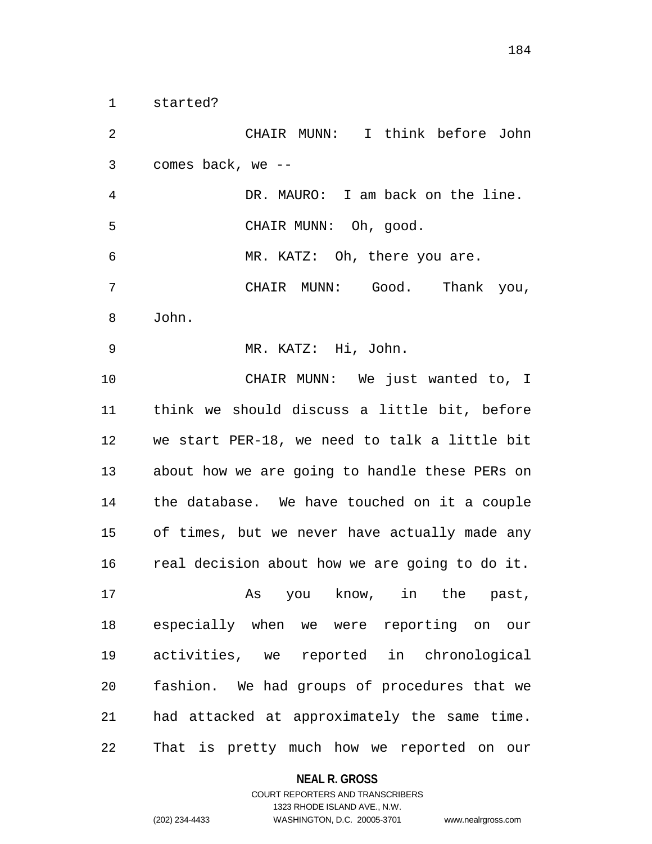started?

 CHAIR MUNN: I think before John comes back, we -- DR. MAURO: I am back on the line. CHAIR MUNN: Oh, good. MR. KATZ: Oh, there you are. CHAIR MUNN: Good. Thank you, John. MR. KATZ: Hi, John. CHAIR MUNN: We just wanted to, I think we should discuss a little bit, before we start PER-18, we need to talk a little bit about how we are going to handle these PERs on the database. We have touched on it a couple of times, but we never have actually made any real decision about how we are going to do it. As you know, in the past, especially when we were reporting on our activities, we reported in chronological fashion. We had groups of procedures that we had attacked at approximately the same time. That is pretty much how we reported on our

#### **NEAL R. GROSS**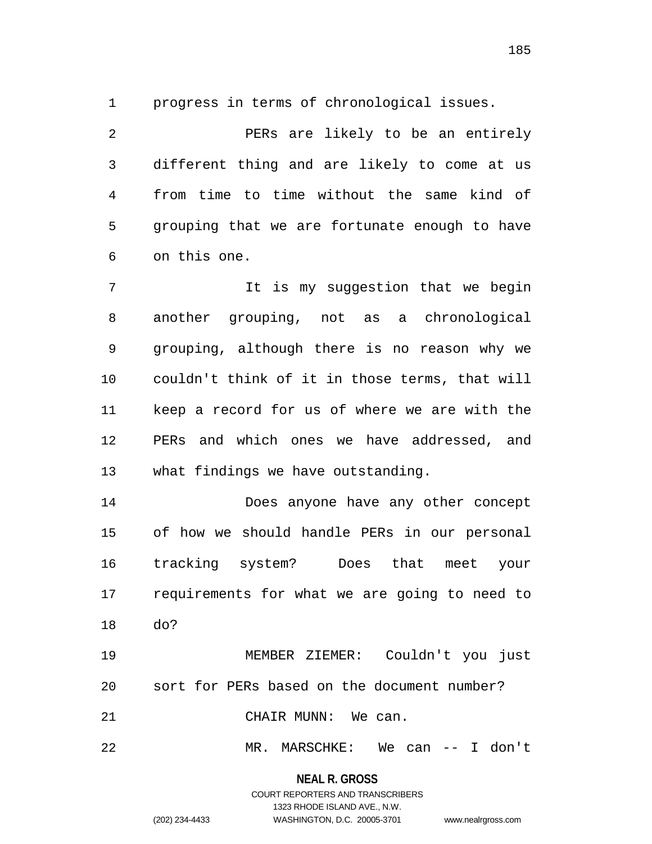progress in terms of chronological issues.

 PERs are likely to be an entirely different thing and are likely to come at us from time to time without the same kind of grouping that we are fortunate enough to have on this one.

 It is my suggestion that we begin another grouping, not as a chronological grouping, although there is no reason why we couldn't think of it in those terms, that will keep a record for us of where we are with the PERs and which ones we have addressed, and what findings we have outstanding.

 Does anyone have any other concept of how we should handle PERs in our personal tracking system? Does that meet your requirements for what we are going to need to do?

 MEMBER ZIEMER: Couldn't you just sort for PERs based on the document number? 21 CHAIR MUNN: We can.

MR. MARSCHKE: We can -- I don't

**NEAL R. GROSS** COURT REPORTERS AND TRANSCRIBERS

1323 RHODE ISLAND AVE., N.W.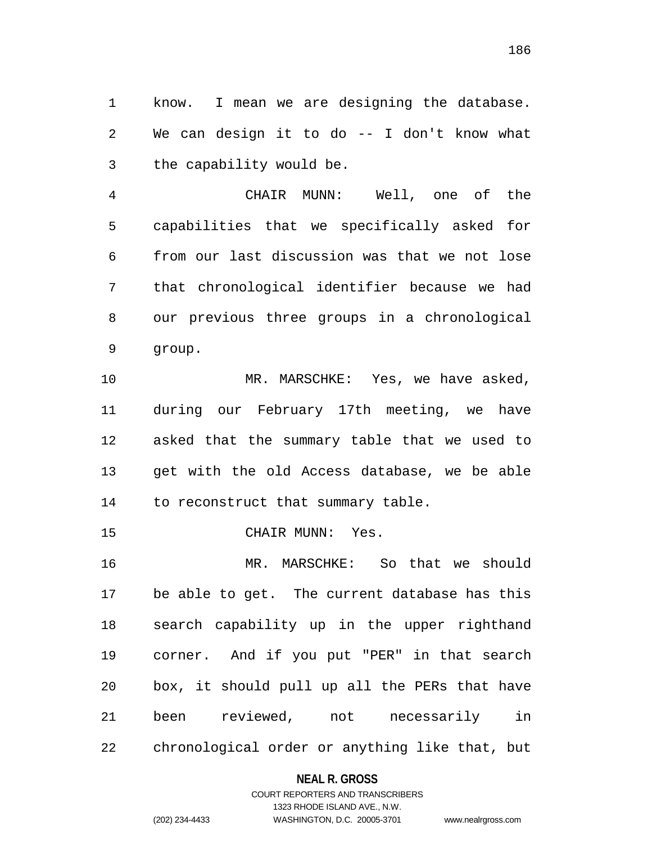know. I mean we are designing the database. We can design it to do -- I don't know what the capability would be.

 CHAIR MUNN: Well, one of the capabilities that we specifically asked for from our last discussion was that we not lose that chronological identifier because we had our previous three groups in a chronological group.

10 MR. MARSCHKE: Yes, we have asked, during our February 17th meeting, we have asked that the summary table that we used to get with the old Access database, we be able to reconstruct that summary table.

15 CHAIR MUNN: Yes.

 MR. MARSCHKE: So that we should be able to get. The current database has this search capability up in the upper righthand corner. And if you put "PER" in that search box, it should pull up all the PERs that have been reviewed, not necessarily in chronological order or anything like that, but

#### **NEAL R. GROSS**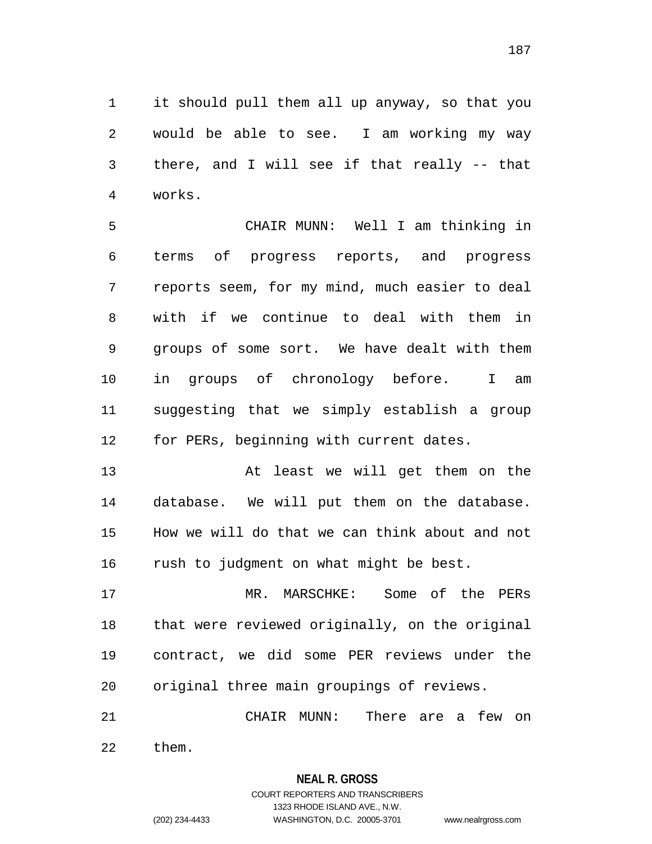it should pull them all up anyway, so that you would be able to see. I am working my way there, and I will see if that really -- that works.

 CHAIR MUNN: Well I am thinking in terms of progress reports, and progress reports seem, for my mind, much easier to deal with if we continue to deal with them in groups of some sort. We have dealt with them in groups of chronology before. I am suggesting that we simply establish a group for PERs, beginning with current dates.

 At least we will get them on the database. We will put them on the database. How we will do that we can think about and not rush to judgment on what might be best.

 MR. MARSCHKE: Some of the PERs that were reviewed originally, on the original contract, we did some PER reviews under the original three main groupings of reviews.

 CHAIR MUNN: There are a few on them.

> **NEAL R. GROSS** COURT REPORTERS AND TRANSCRIBERS

> > 1323 RHODE ISLAND AVE., N.W.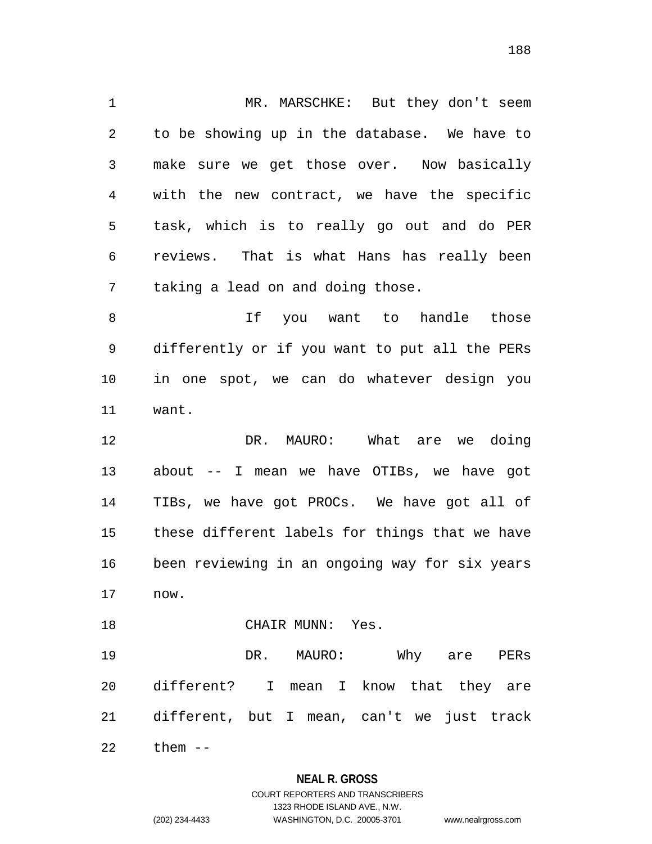MR. MARSCHKE: But they don't seem to be showing up in the database. We have to make sure we get those over. Now basically with the new contract, we have the specific task, which is to really go out and do PER reviews. That is what Hans has really been taking a lead on and doing those.

8 and 11 you want to handle those differently or if you want to put all the PERs in one spot, we can do whatever design you want.

 DR. MAURO: What are we doing about -- I mean we have OTIBs, we have got TIBs, we have got PROCs. We have got all of these different labels for things that we have been reviewing in an ongoing way for six years now.

CHAIR MUNN: Yes.

 DR. MAURO: Why are PERs different? I mean I know that they are different, but I mean, can't we just track

them --

## **NEAL R. GROSS**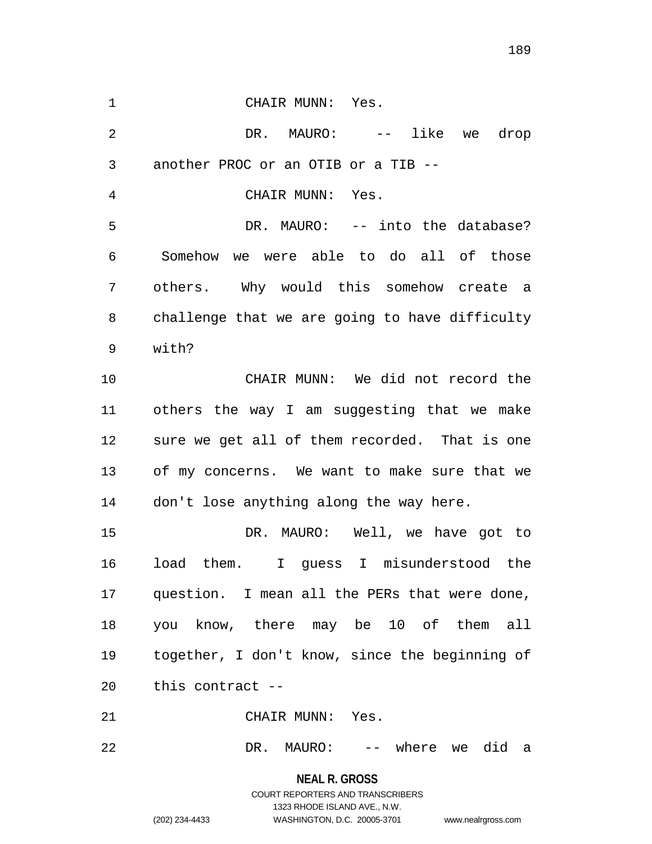1 CHAIR MUNN: Yes. 2 DR. MAURO: -- like we drop another PROC or an OTIB or a TIB -- CHAIR MUNN: Yes. DR. MAURO: -- into the database? Somehow we were able to do all of those others. Why would this somehow create a challenge that we are going to have difficulty with? CHAIR MUNN: We did not record the others the way I am suggesting that we make sure we get all of them recorded. That is one of my concerns. We want to make sure that we don't lose anything along the way here. DR. MAURO: Well, we have got to load them. I guess I misunderstood the question. I mean all the PERs that were done, you know, there may be 10 of them all together, I don't know, since the beginning of this contract -- CHAIR MUNN: Yes.

DR. MAURO: -- where we did a

**NEAL R. GROSS** COURT REPORTERS AND TRANSCRIBERS 1323 RHODE ISLAND AVE., N.W. (202) 234-4433 WASHINGTON, D.C. 20005-3701 www.nealrgross.com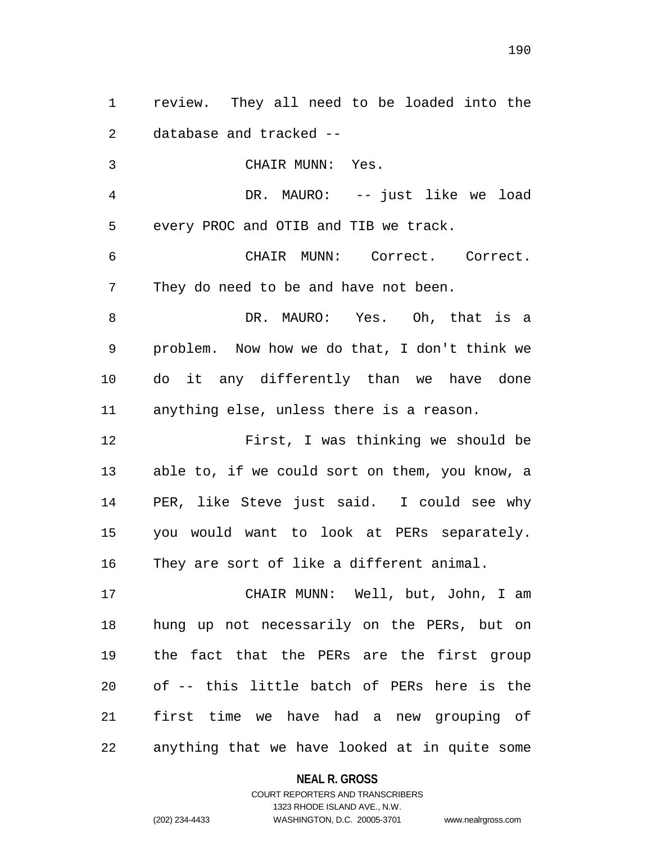review. They all need to be loaded into the database and tracked --

 CHAIR MUNN: Yes. DR. MAURO: -- just like we load every PROC and OTIB and TIB we track. CHAIR MUNN: Correct. Correct. They do need to be and have not been. DR. MAURO: Yes. Oh, that is a problem. Now how we do that, I don't think we do it any differently than we have done anything else, unless there is a reason.

 First, I was thinking we should be able to, if we could sort on them, you know, a PER, like Steve just said. I could see why you would want to look at PERs separately. They are sort of like a different animal.

 CHAIR MUNN: Well, but, John, I am hung up not necessarily on the PERs, but on the fact that the PERs are the first group of -- this little batch of PERs here is the first time we have had a new grouping of anything that we have looked at in quite some

**NEAL R. GROSS**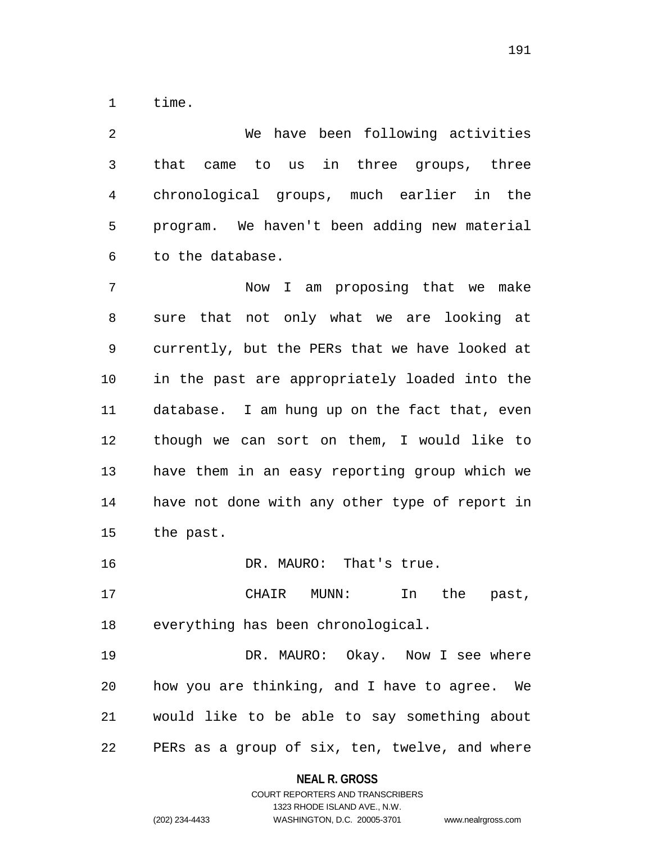time.

 We have been following activities that came to us in three groups, three chronological groups, much earlier in the program. We haven't been adding new material to the database.

 Now I am proposing that we make sure that not only what we are looking at currently, but the PERs that we have looked at in the past are appropriately loaded into the database. I am hung up on the fact that, even though we can sort on them, I would like to have them in an easy reporting group which we have not done with any other type of report in the past.

16 DR. MAURO: That's true.

 CHAIR MUNN: In the past, everything has been chronological.

19 DR. MAURO: Okay. Now I see where how you are thinking, and I have to agree. We would like to be able to say something about PERs as a group of six, ten, twelve, and where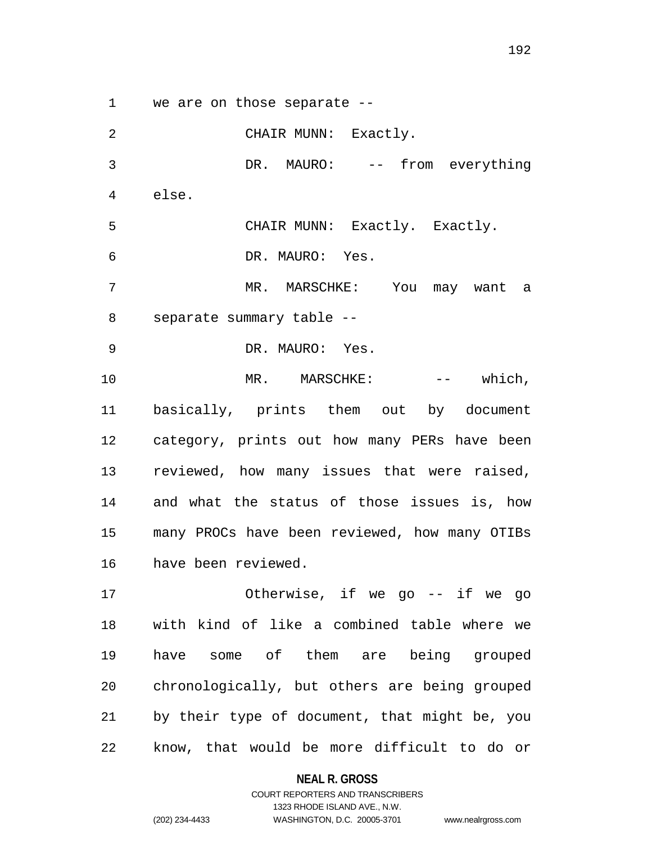we are on those separate --

 CHAIR MUNN: Exactly. DR. MAURO: -- from everything else. CHAIR MUNN: Exactly. Exactly. DR. MAURO: Yes. MR. MARSCHKE: You may want a separate summary table -- DR. MAURO: Yes. 10 MR. MARSCHKE: -- which, basically, prints them out by document category, prints out how many PERs have been reviewed, how many issues that were raised, and what the status of those issues is, how many PROCs have been reviewed, how many OTIBs have been reviewed. Otherwise, if we go -- if we go with kind of like a combined table where we have some of them are being grouped chronologically, but others are being grouped by their type of document, that might be, you know, that would be more difficult to do or

#### **NEAL R. GROSS**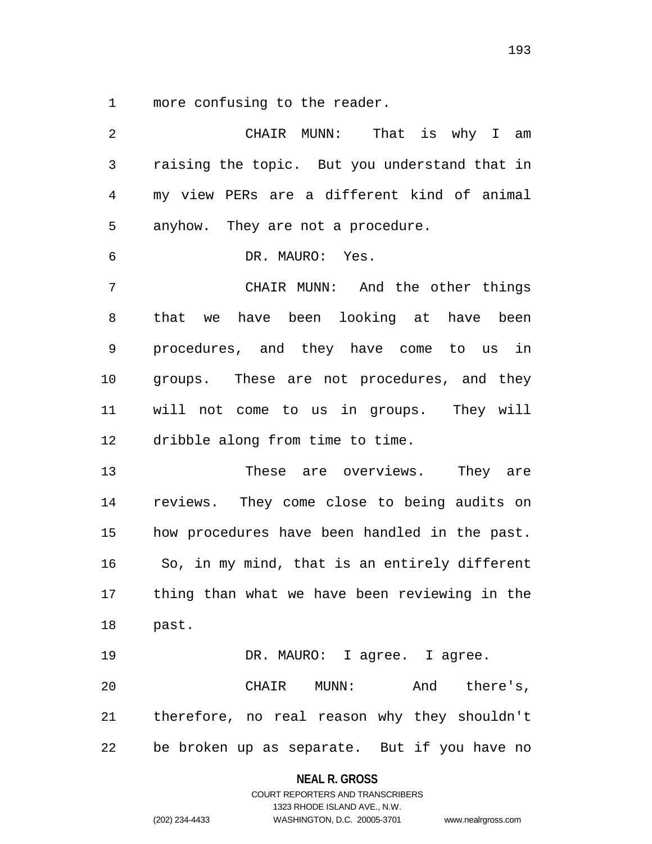more confusing to the reader.

 CHAIR MUNN: That is why I am raising the topic. But you understand that in my view PERs are a different kind of animal anyhow. They are not a procedure. DR. MAURO: Yes. CHAIR MUNN: And the other things that we have been looking at have been procedures, and they have come to us in groups. These are not procedures, and they will not come to us in groups. They will dribble along from time to time. These are overviews. They are reviews. They come close to being audits on how procedures have been handled in the past. So, in my mind, that is an entirely different thing than what we have been reviewing in the past. 19 DR. MAURO: I agree. I agree. CHAIR MUNN: And there's, therefore, no real reason why they shouldn't be broken up as separate. But if you have no

**NEAL R. GROSS**

COURT REPORTERS AND TRANSCRIBERS 1323 RHODE ISLAND AVE., N.W. (202) 234-4433 WASHINGTON, D.C. 20005-3701 www.nealrgross.com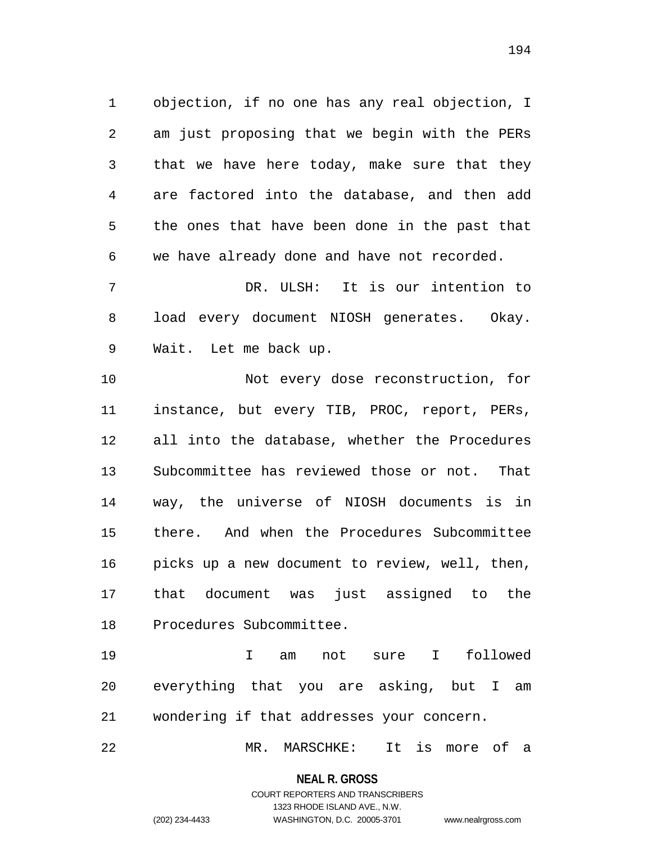objection, if no one has any real objection, I am just proposing that we begin with the PERs that we have here today, make sure that they are factored into the database, and then add the ones that have been done in the past that we have already done and have not recorded.

 DR. ULSH: It is our intention to load every document NIOSH generates. Okay. Wait. Let me back up.

 Not every dose reconstruction, for instance, but every TIB, PROC, report, PERs, all into the database, whether the Procedures Subcommittee has reviewed those or not. That way, the universe of NIOSH documents is in there. And when the Procedures Subcommittee picks up a new document to review, well, then, that document was just assigned to the Procedures Subcommittee.

 I am not sure I followed everything that you are asking, but I am wondering if that addresses your concern.

MR. MARSCHKE: It is more of a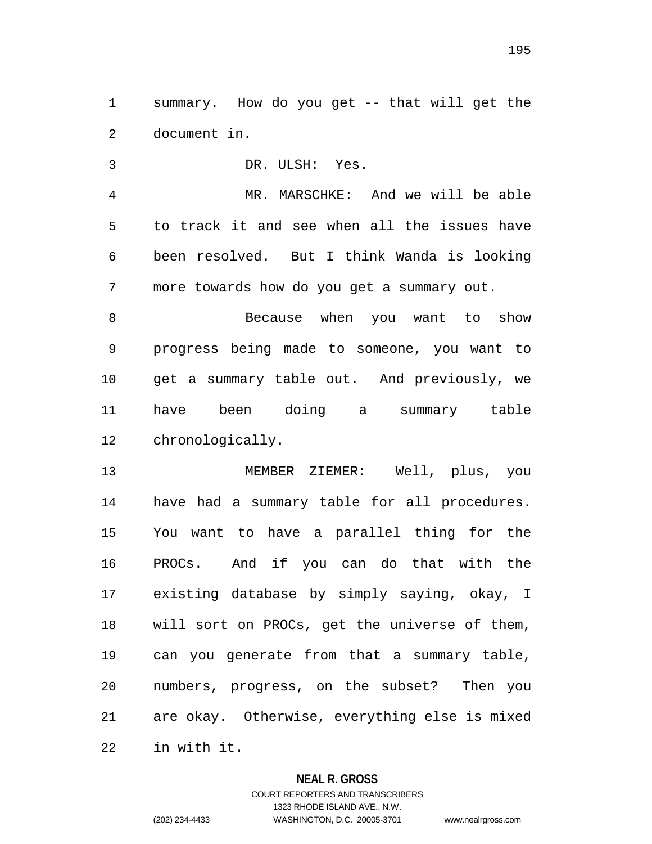summary. How do you get -- that will get the document in.

 DR. ULSH: Yes. MR. MARSCHKE: And we will be able to track it and see when all the issues have been resolved. But I think Wanda is looking more towards how do you get a summary out. Because when you want to show progress being made to someone, you want to get a summary table out. And previously, we have been doing a summary table chronologically.

 MEMBER ZIEMER: Well, plus, you have had a summary table for all procedures. You want to have a parallel thing for the PROCs. And if you can do that with the existing database by simply saying, okay, I will sort on PROCs, get the universe of them, can you generate from that a summary table, numbers, progress, on the subset? Then you are okay. Otherwise, everything else is mixed in with it.

## **NEAL R. GROSS**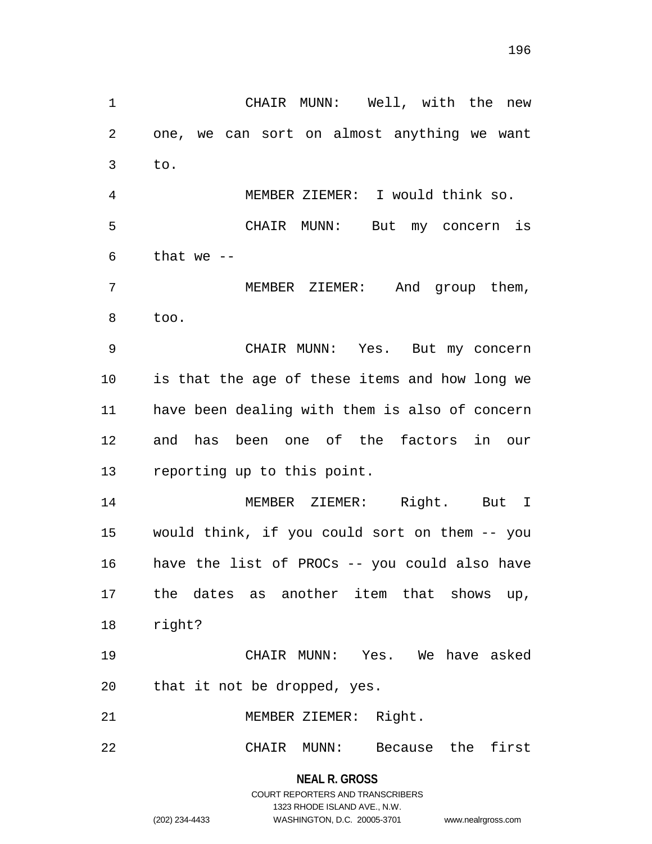to. MEMBER ZIEMER: I would think so. CHAIR MUNN: But my concern is that we  $-$  MEMBER ZIEMER: And group them, too. CHAIR MUNN: Yes. But my concern is that the age of these items and how long we have been dealing with them is also of concern and has been one of the factors in our reporting up to this point. MEMBER ZIEMER: Right. But I would think, if you could sort on them -- you have the list of PROCs -- you could also have the dates as another item that shows up, right? CHAIR MUNN: Yes. We have asked that it not be dropped, yes.

CHAIR MUNN: Well, with the new

one, we can sort on almost anything we want

MEMBER ZIEMER: Right.

CHAIR MUNN: Because the first

**NEAL R. GROSS** COURT REPORTERS AND TRANSCRIBERS 1323 RHODE ISLAND AVE., N.W. (202) 234-4433 WASHINGTON, D.C. 20005-3701 www.nealrgross.com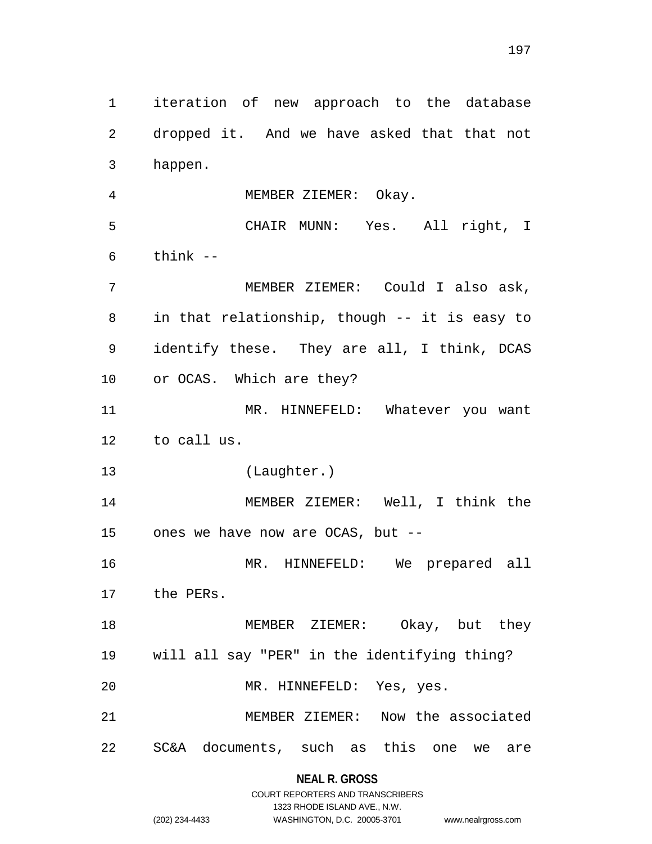iteration of new approach to the database dropped it. And we have asked that that not happen. MEMBER ZIEMER: Okay. CHAIR MUNN: Yes. All right, I think  $-$  MEMBER ZIEMER: Could I also ask, in that relationship, though -- it is easy to identify these. They are all, I think, DCAS or OCAS. Which are they? MR. HINNEFELD: Whatever you want to call us. (Laughter.) MEMBER ZIEMER: Well, I think the ones we have now are OCAS, but -- MR. HINNEFELD: We prepared all the PERs. 18 MEMBER ZIEMER: Okay, but they will all say "PER" in the identifying thing? MR. HINNEFELD: Yes, yes. MEMBER ZIEMER: Now the associated SC&A documents, such as this one we are

**NEAL R. GROSS**

|                | COURT REPORTERS AND TRANSCRIBERS |                    |
|----------------|----------------------------------|--------------------|
|                | 1323 RHODE ISLAND AVE N.W.       |                    |
| (202) 234-4433 | WASHINGTON, D.C. 20005-3701      | www.nealrgross.com |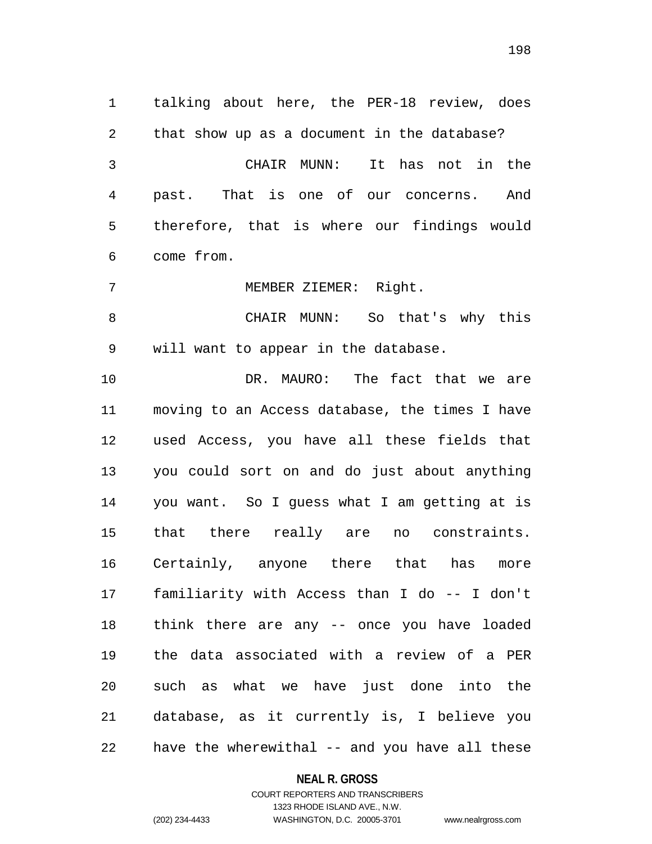talking about here, the PER-18 review, does that show up as a document in the database? CHAIR MUNN: It has not in the past. That is one of our concerns. And therefore, that is where our findings would come from. MEMBER ZIEMER: Right. CHAIR MUNN: So that's why this will want to appear in the database. DR. MAURO: The fact that we are moving to an Access database, the times I have used Access, you have all these fields that you could sort on and do just about anything you want. So I guess what I am getting at is that there really are no constraints. Certainly, anyone there that has more familiarity with Access than I do -- I don't think there are any -- once you have loaded the data associated with a review of a PER such as what we have just done into the database, as it currently is, I believe you

# have the wherewithal -- and you have all these

#### **NEAL R. GROSS**

COURT REPORTERS AND TRANSCRIBERS 1323 RHODE ISLAND AVE., N.W. (202) 234-4433 WASHINGTON, D.C. 20005-3701 www.nealrgross.com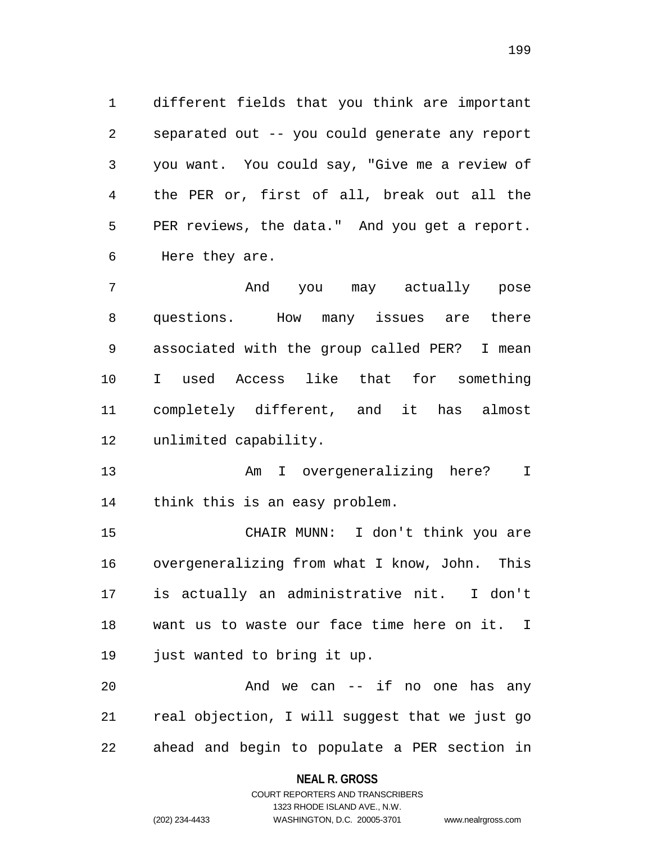different fields that you think are important separated out -- you could generate any report you want. You could say, "Give me a review of the PER or, first of all, break out all the PER reviews, the data." And you get a report. Here they are.

 And you may actually pose questions. How many issues are there associated with the group called PER? I mean I used Access like that for something completely different, and it has almost unlimited capability.

 Am I overgeneralizing here? I think this is an easy problem.

 CHAIR MUNN: I don't think you are overgeneralizing from what I know, John. This is actually an administrative nit. I don't want us to waste our face time here on it. I just wanted to bring it up.

 And we can -- if no one has any real objection, I will suggest that we just go ahead and begin to populate a PER section in

> **NEAL R. GROSS** COURT REPORTERS AND TRANSCRIBERS

> > 1323 RHODE ISLAND AVE., N.W.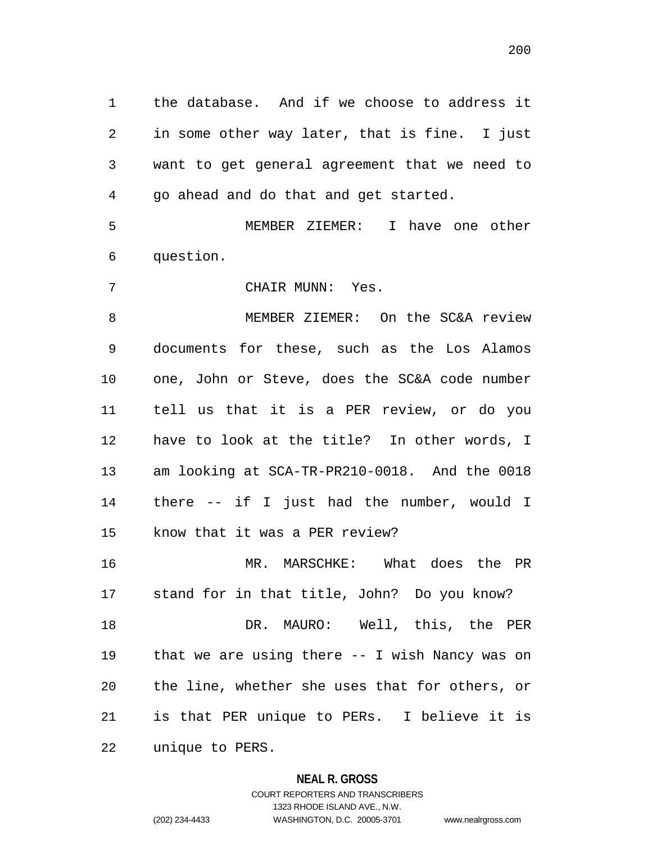the database. And if we choose to address it in some other way later, that is fine. I just want to get general agreement that we need to go ahead and do that and get started.

 MEMBER ZIEMER: I have one other question.

CHAIR MUNN: Yes.

 MEMBER ZIEMER: On the SC&A review documents for these, such as the Los Alamos one, John or Steve, does the SC&A code number tell us that it is a PER review, or do you have to look at the title? In other words, I am looking at SCA-TR-PR210-0018. And the 0018 there -- if I just had the number, would I know that it was a PER review?

 MR. MARSCHKE: What does the PR stand for in that title, John? Do you know? DR. MAURO: Well, this, the PER

 that we are using there -- I wish Nancy was on the line, whether she uses that for others, or is that PER unique to PERs. I believe it is unique to PERS.

## **NEAL R. GROSS**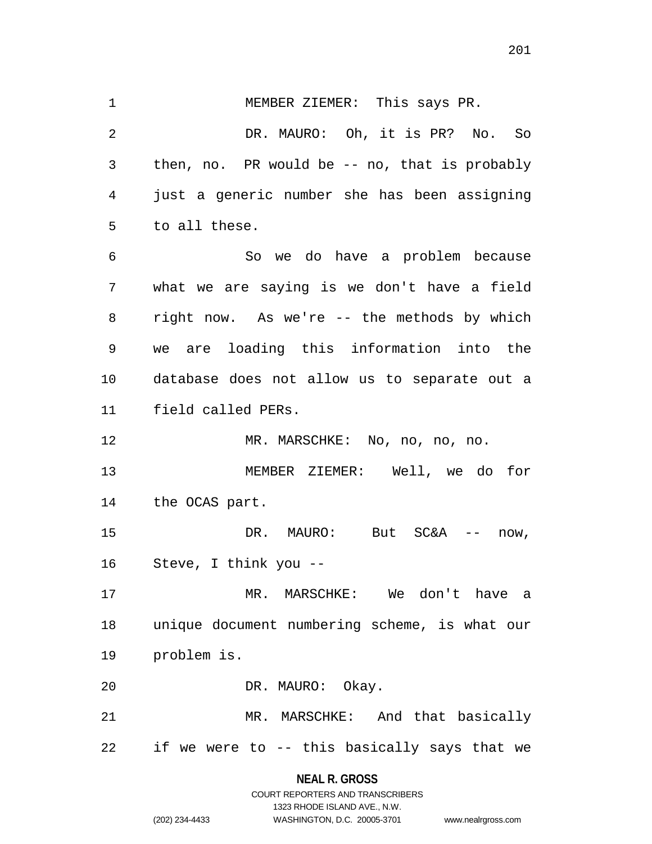MEMBER ZIEMER: This says PR. DR. MAURO: Oh, it is PR? No. So then, no. PR would be -- no, that is probably just a generic number she has been assigning to all these. So we do have a problem because what we are saying is we don't have a field right now. As we're -- the methods by which we are loading this information into the database does not allow us to separate out a field called PERs. MR. MARSCHKE: No, no, no, no. MEMBER ZIEMER: Well, we do for the OCAS part. DR. MAURO: But SC&A -- now, Steve, I think you -- MR. MARSCHKE: We don't have a unique document numbering scheme, is what our problem is. DR. MAURO: Okay. MR. MARSCHKE: And that basically if we were to -- this basically says that we

#### **NEAL R. GROSS**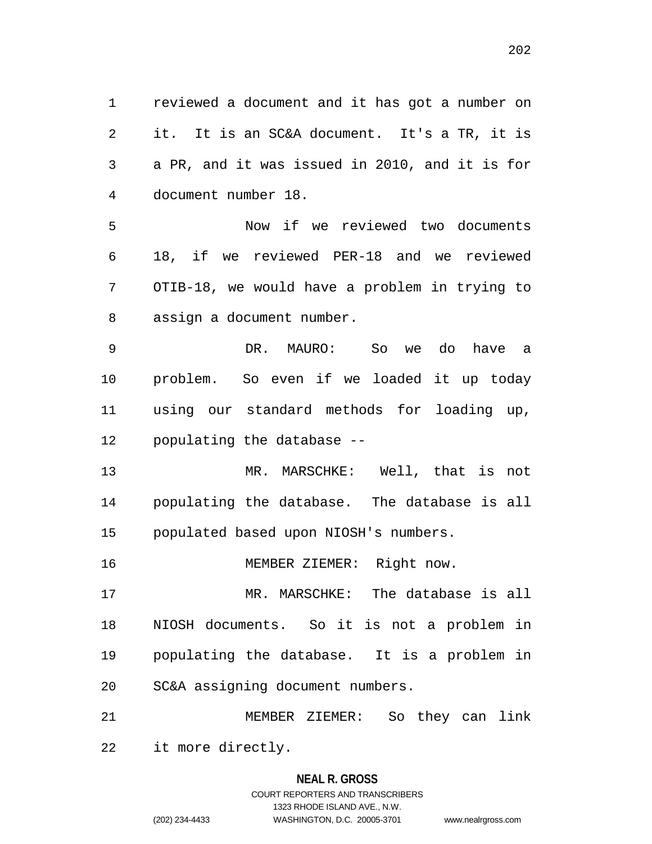reviewed a document and it has got a number on it. It is an SC&A document. It's a TR, it is a PR, and it was issued in 2010, and it is for document number 18.

 Now if we reviewed two documents 18, if we reviewed PER-18 and we reviewed OTIB-18, we would have a problem in trying to assign a document number.

 DR. MAURO: So we do have a problem. So even if we loaded it up today using our standard methods for loading up, populating the database --

 MR. MARSCHKE: Well, that is not populating the database. The database is all populated based upon NIOSH's numbers.

MEMBER ZIEMER: Right now.

 MR. MARSCHKE: The database is all NIOSH documents. So it is not a problem in populating the database. It is a problem in SC&A assigning document numbers.

 MEMBER ZIEMER: So they can link it more directly.

# **NEAL R. GROSS** COURT REPORTERS AND TRANSCRIBERS

1323 RHODE ISLAND AVE., N.W.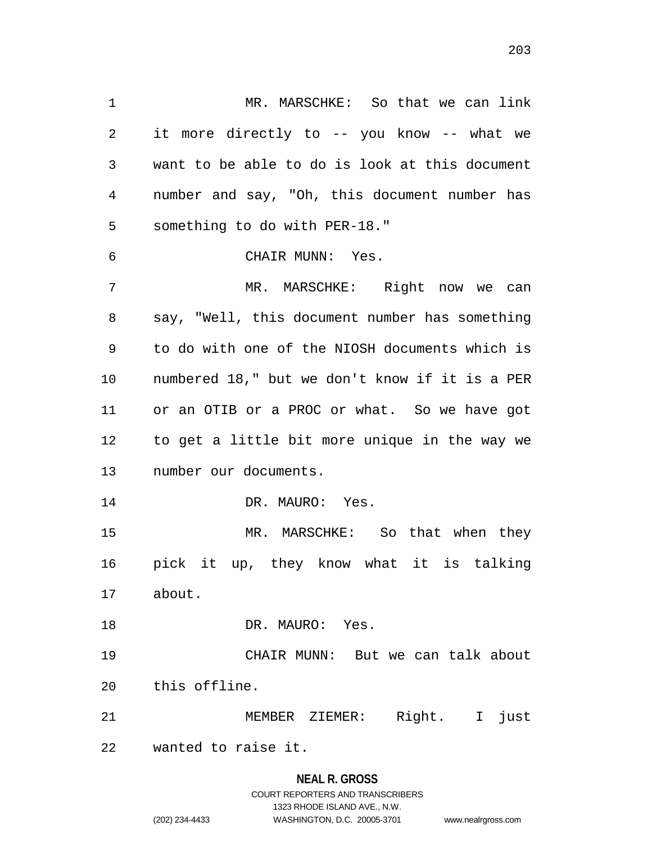1 MR. MARSCHKE: So that we can link it more directly to -- you know -- what we want to be able to do is look at this document number and say, "Oh, this document number has something to do with PER-18." CHAIR MUNN: Yes. MR. MARSCHKE: Right now we can say, "Well, this document number has something to do with one of the NIOSH documents which is numbered 18," but we don't know if it is a PER or an OTIB or a PROC or what. So we have got to get a little bit more unique in the way we number our documents. 14 DR. MAURO: Yes. MR. MARSCHKE: So that when they pick it up, they know what it is talking about. 18 DR. MAURO: Yes. CHAIR MUNN: But we can talk about this offline. MEMBER ZIEMER: Right. I just wanted to raise it.

> **NEAL R. GROSS** COURT REPORTERS AND TRANSCRIBERS 1323 RHODE ISLAND AVE., N.W. (202) 234-4433 WASHINGTON, D.C. 20005-3701 www.nealrgross.com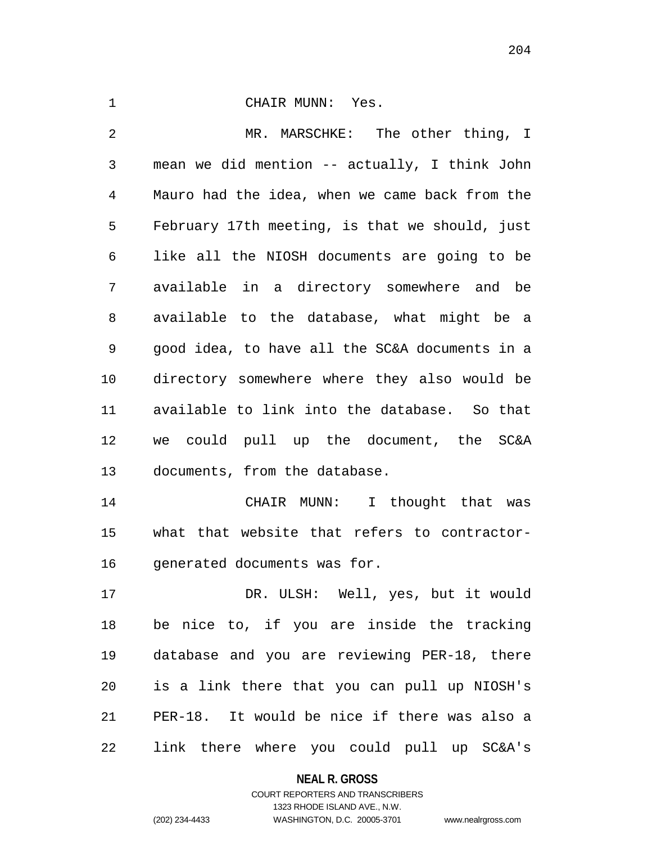| 1  | CHAIR MUNN: Yes.                               |
|----|------------------------------------------------|
| 2  | MR. MARSCHKE: The other thing, I               |
| 3  | mean we did mention -- actually, I think John  |
| 4  | Mauro had the idea, when we came back from the |
| 5  | February 17th meeting, is that we should, just |
| 6  | like all the NIOSH documents are going to be   |
| 7  | available in a directory somewhere and be      |
| 8  | available to the database, what might be a     |
| 9  | good idea, to have all the SC&A documents in a |
| 10 | directory somewhere where they also would be   |
| 11 | available to link into the database. So that   |
| 12 | we could pull up the document, the SC&A        |
| 13 | documents, from the database.                  |
| 14 | CHAIR MUNN: I thought that was                 |
| 15 | what that website that refers to contractor-   |
| 16 | generated documents was for.                   |

 DR. ULSH: Well, yes, but it would be nice to, if you are inside the tracking database and you are reviewing PER-18, there is a link there that you can pull up NIOSH's PER-18. It would be nice if there was also a link there where you could pull up SC&A's

**NEAL R. GROSS**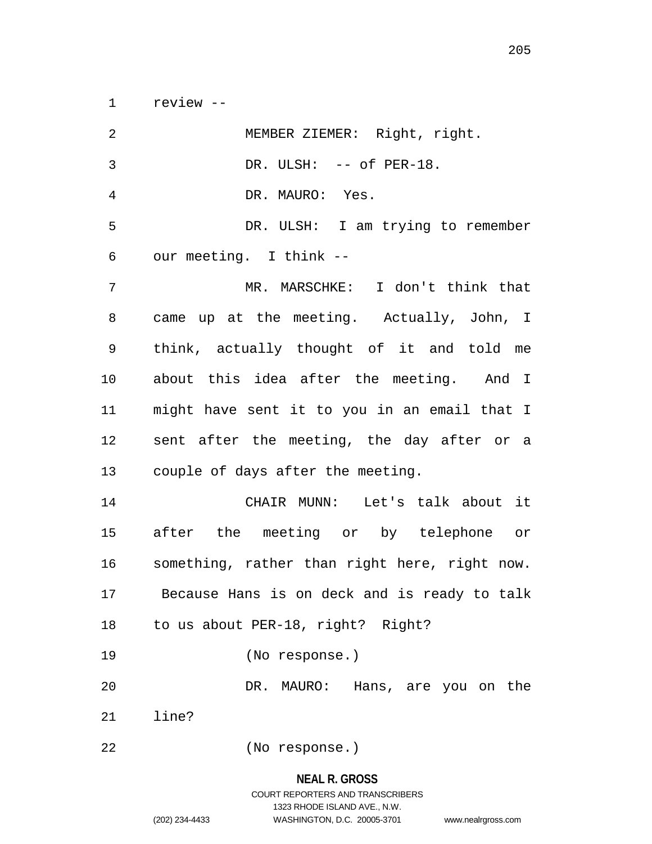review --

| 2              | MEMBER ZIEMER: Right, right.                  |
|----------------|-----------------------------------------------|
| $\mathfrak{Z}$ | DR. ULSH: -- of PER-18.                       |
| 4              | DR. MAURO: Yes.                               |
| 5              | DR. ULSH: I am trying to remember             |
| 6              | our meeting. I think --                       |
| 7              | MR. MARSCHKE: I don't think that              |
| 8              | came up at the meeting. Actually, John, I     |
| 9              | think, actually thought of it and told me     |
| 10             | about this idea after the meeting. And I      |
| 11             | might have sent it to you in an email that I  |
| 12             | sent after the meeting, the day after or a    |
| 13             | couple of days after the meeting.             |
| 14             | CHAIR MUNN: Let's talk about it               |
| 15             | after the meeting or by telephone or          |
| 16             | something, rather than right here, right now. |
| 17             | Because Hans is on deck and is ready to talk  |
| 18             | to us about PER-18, right? Right?             |
| 19             | (No response.)                                |
| 20             | DR. MAURO: Hans, are you on the               |
| 21             | line?                                         |
| 22             | (No response.)                                |

**NEAL R. GROSS** COURT REPORTERS AND TRANSCRIBERS 1323 RHODE ISLAND AVE., N.W.

(202) 234-4433 WASHINGTON, D.C. 20005-3701 www.nealrgross.com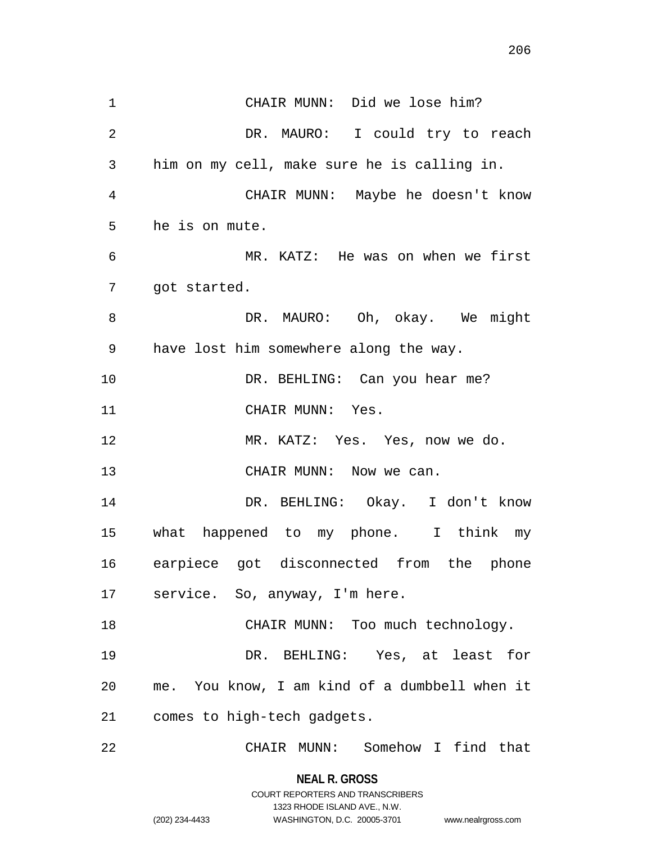CHAIR MUNN: Did we lose him? DR. MAURO: I could try to reach him on my cell, make sure he is calling in. CHAIR MUNN: Maybe he doesn't know MR. KATZ: He was on when we first

got started.

he is on mute.

8 DR. MAURO: Oh, okay. We might have lost him somewhere along the way.

10 DR. BEHLING: Can you hear me? 11 CHAIR MUNN: Yes.

MR. KATZ: Yes. Yes, now we do.

13 CHAIR MUNN: Now we can.

 DR. BEHLING: Okay. I don't know what happened to my phone. I think my earpiece got disconnected from the phone service. So, anyway, I'm here.

18 CHAIR MUNN: Too much technology. DR. BEHLING: Yes, at least for me. You know, I am kind of a dumbbell when it comes to high-tech gadgets.

CHAIR MUNN: Somehow I find that

**NEAL R. GROSS** COURT REPORTERS AND TRANSCRIBERS

1323 RHODE ISLAND AVE., N.W.

(202) 234-4433 WASHINGTON, D.C. 20005-3701 www.nealrgross.com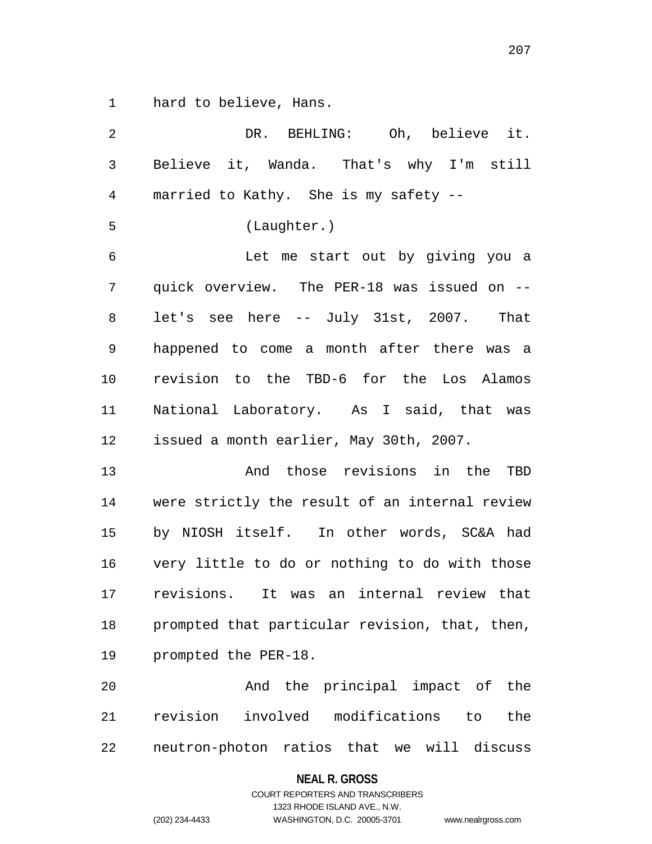hard to believe, Hans.

| 2              | DR. BEHLING: Oh, believe it.                   |
|----------------|------------------------------------------------|
| $\mathbf{3}$   | Believe it, Wanda. That's why I'm still        |
| $\overline{4}$ | married to Kathy. She is my safety --          |
| 5              | (Laughter.)                                    |
| $\epsilon$     | Let me start out by giving you a               |
| 7              | quick overview. The PER-18 was issued on --    |
| 8              | let's see here -- July 31st, 2007. That        |
| $\mathsf 9$    | happened to come a month after there was a     |
| 10             | revision to the TBD-6 for the Los Alamos       |
| 11             | National Laboratory. As I said, that was       |
| 12             | issued a month earlier, May 30th, 2007.        |
| 13             | And those revisions in the TBD                 |
| 14             | were strictly the result of an internal review |
| 15             | by NIOSH itself. In other words, SC&A had      |
| 16             | very little to do or nothing to do with those  |
| 17             | revisions.<br>It was an internal review that   |
| 18             | prompted that particular revision, that, then, |
| 19             | prompted the PER-18.                           |
| 20             | And the principal impact of the                |
| 21             | revision involved modifications to<br>the      |
| 22             | neutron-photon ratios that we will discuss     |

# **NEAL R. GROSS**

# COURT REPORTERS AND TRANSCRIBERS 1323 RHODE ISLAND AVE., N.W. (202) 234-4433 WASHINGTON, D.C. 20005-3701 www.nealrgross.com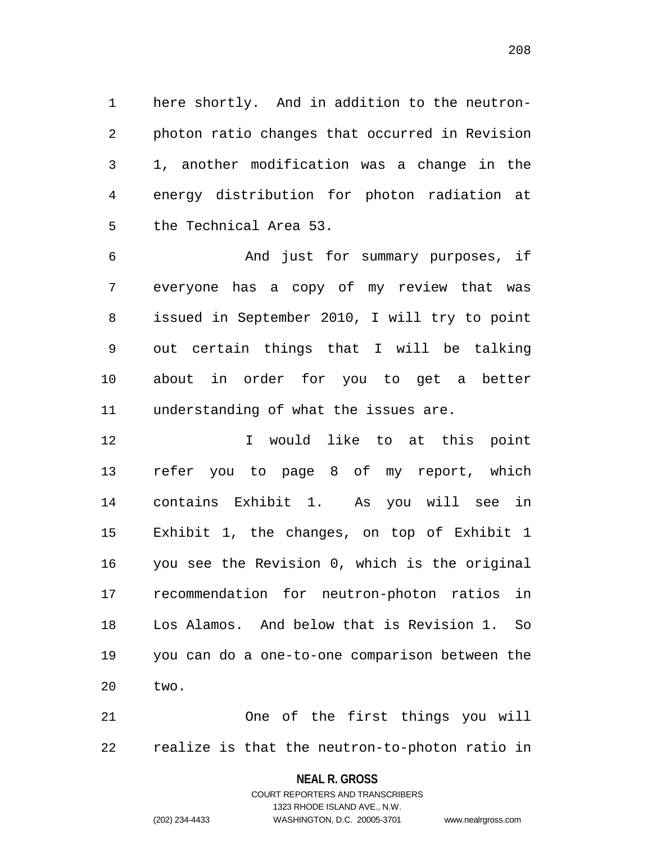here shortly. And in addition to the neutron- photon ratio changes that occurred in Revision 1, another modification was a change in the energy distribution for photon radiation at the Technical Area 53.

 And just for summary purposes, if everyone has a copy of my review that was issued in September 2010, I will try to point out certain things that I will be talking about in order for you to get a better understanding of what the issues are.

 I would like to at this point refer you to page 8 of my report, which contains Exhibit 1. As you will see in Exhibit 1, the changes, on top of Exhibit 1 you see the Revision 0, which is the original recommendation for neutron-photon ratios in Los Alamos. And below that is Revision 1. So you can do a one-to-one comparison between the two.

 One of the first things you will realize is that the neutron-to-photon ratio in

#### **NEAL R. GROSS**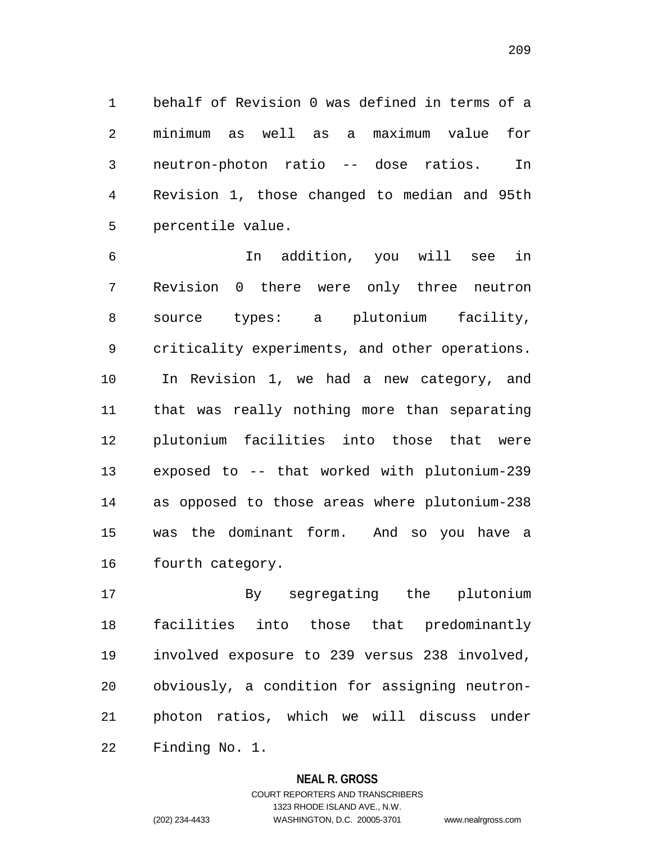behalf of Revision 0 was defined in terms of a minimum as well as a maximum value for neutron-photon ratio -- dose ratios. In Revision 1, those changed to median and 95th percentile value.

 In addition, you will see in Revision 0 there were only three neutron source types: a plutonium facility, criticality experiments, and other operations. In Revision 1, we had a new category, and that was really nothing more than separating plutonium facilities into those that were exposed to -- that worked with plutonium-239 as opposed to those areas where plutonium-238 was the dominant form. And so you have a fourth category.

 By segregating the plutonium facilities into those that predominantly involved exposure to 239 versus 238 involved, obviously, a condition for assigning neutron- photon ratios, which we will discuss under Finding No. 1.

## **NEAL R. GROSS**

COURT REPORTERS AND TRANSCRIBERS 1323 RHODE ISLAND AVE., N.W. (202) 234-4433 WASHINGTON, D.C. 20005-3701 www.nealrgross.com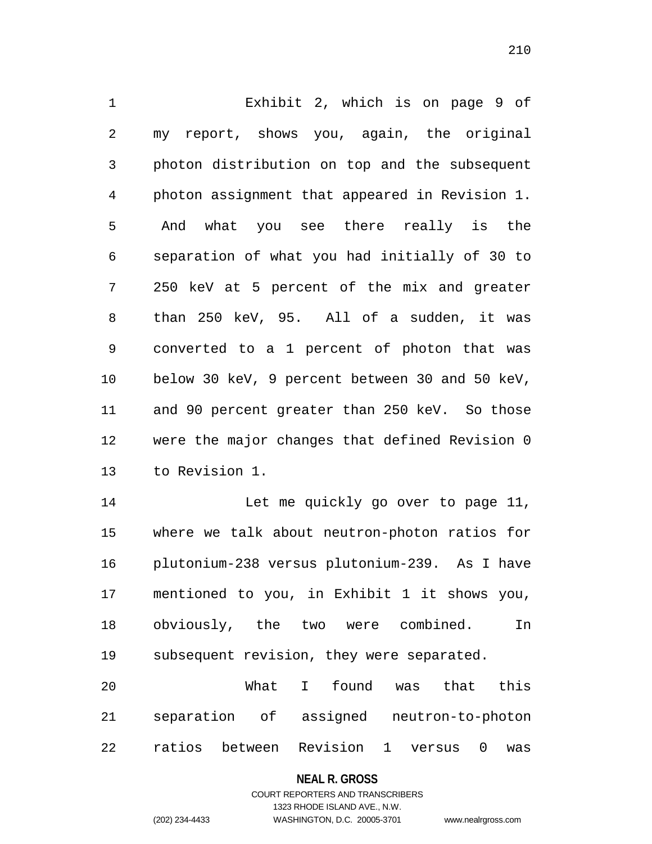Exhibit 2, which is on page 9 of my report, shows you, again, the original photon distribution on top and the subsequent photon assignment that appeared in Revision 1. And what you see there really is the separation of what you had initially of 30 to 250 keV at 5 percent of the mix and greater than 250 keV, 95. All of a sudden, it was converted to a 1 percent of photon that was below 30 keV, 9 percent between 30 and 50 keV, and 90 percent greater than 250 keV. So those were the major changes that defined Revision 0 to Revision 1.

14 Let me quickly go over to page 11, where we talk about neutron-photon ratios for plutonium-238 versus plutonium-239. As I have mentioned to you, in Exhibit 1 it shows you, obviously, the two were combined. In subsequent revision, they were separated.

 What I found was that this separation of assigned neutron-to-photon ratios between Revision 1 versus 0 was

#### **NEAL R. GROSS**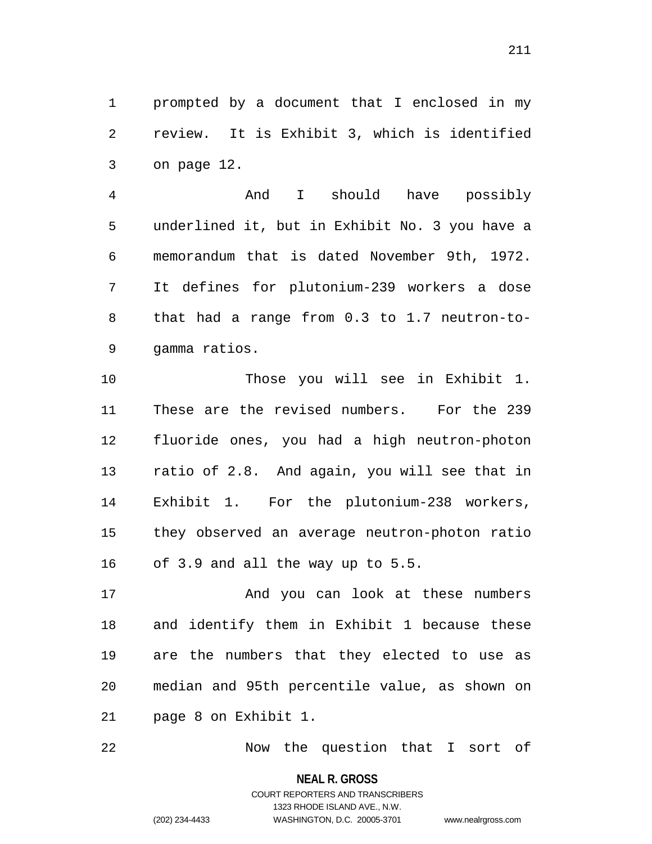prompted by a document that I enclosed in my review. It is Exhibit 3, which is identified on page 12.

 And I should have possibly underlined it, but in Exhibit No. 3 you have a memorandum that is dated November 9th, 1972. It defines for plutonium-239 workers a dose that had a range from 0.3 to 1.7 neutron-to-gamma ratios.

 Those you will see in Exhibit 1. These are the revised numbers. For the 239 fluoride ones, you had a high neutron-photon ratio of 2.8. And again, you will see that in Exhibit 1. For the plutonium-238 workers, they observed an average neutron-photon ratio of 3.9 and all the way up to 5.5.

 And you can look at these numbers and identify them in Exhibit 1 because these are the numbers that they elected to use as median and 95th percentile value, as shown on page 8 on Exhibit 1.

Now the question that I sort of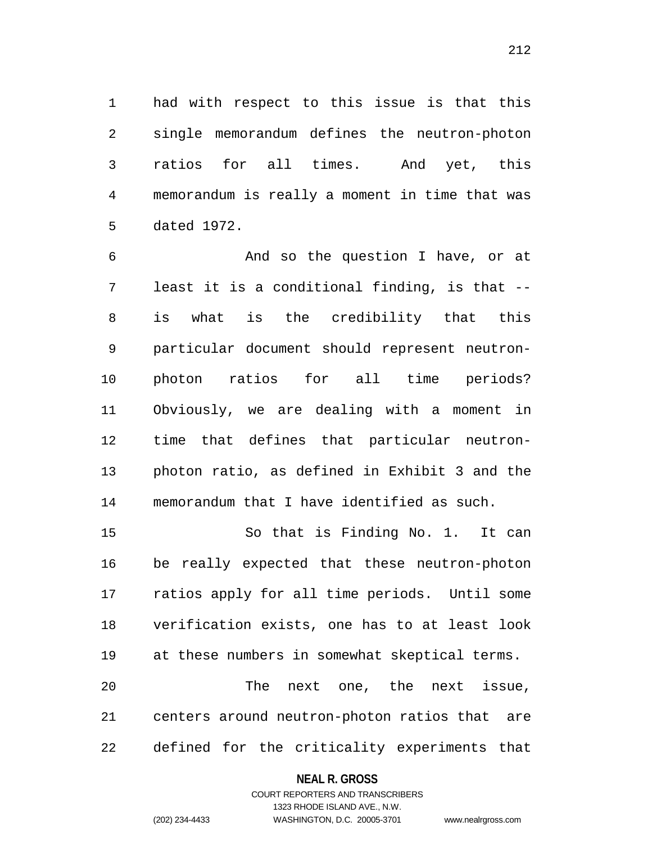had with respect to this issue is that this single memorandum defines the neutron-photon ratios for all times. And yet, this memorandum is really a moment in time that was dated 1972.

 And so the question I have, or at least it is a conditional finding, is that -- is what is the credibility that this particular document should represent neutron- photon ratios for all time periods? Obviously, we are dealing with a moment in time that defines that particular neutron- photon ratio, as defined in Exhibit 3 and the memorandum that I have identified as such.

 So that is Finding No. 1. It can be really expected that these neutron-photon ratios apply for all time periods. Until some verification exists, one has to at least look at these numbers in somewhat skeptical terms. The next one, the next issue, centers around neutron-photon ratios that are defined for the criticality experiments that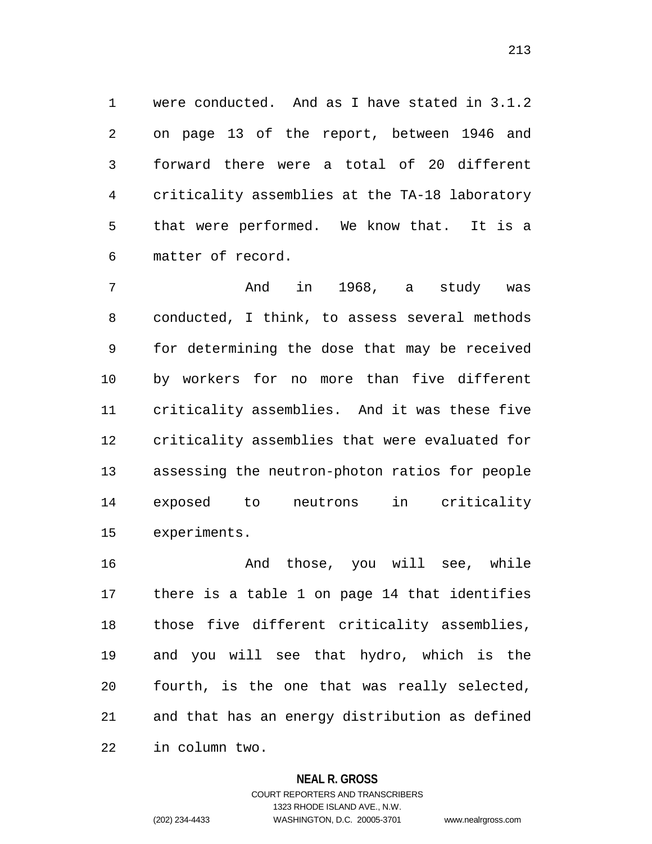were conducted. And as I have stated in 3.1.2 on page 13 of the report, between 1946 and forward there were a total of 20 different criticality assemblies at the TA-18 laboratory that were performed. We know that. It is a matter of record.

 And in 1968, a study was conducted, I think, to assess several methods for determining the dose that may be received by workers for no more than five different criticality assemblies. And it was these five criticality assemblies that were evaluated for assessing the neutron-photon ratios for people exposed to neutrons in criticality experiments.

 And those, you will see, while there is a table 1 on page 14 that identifies those five different criticality assemblies, and you will see that hydro, which is the fourth, is the one that was really selected, and that has an energy distribution as defined in column two.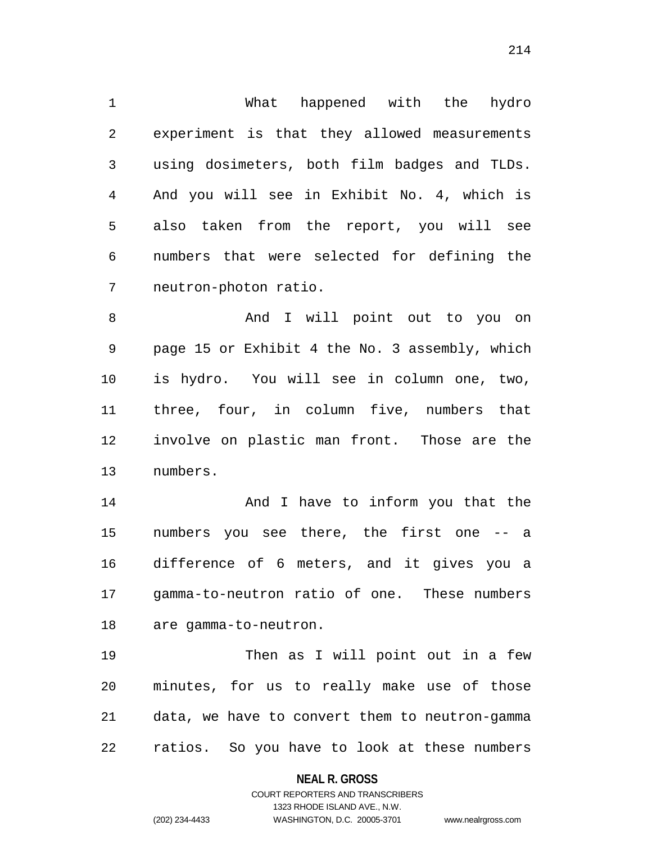What happened with the hydro experiment is that they allowed measurements using dosimeters, both film badges and TLDs. And you will see in Exhibit No. 4, which is also taken from the report, you will see numbers that were selected for defining the neutron-photon ratio.

8 And I will point out to you on page 15 or Exhibit 4 the No. 3 assembly, which is hydro. You will see in column one, two, three, four, in column five, numbers that involve on plastic man front. Those are the numbers.

**And I have to inform you that the**  numbers you see there, the first one -- a difference of 6 meters, and it gives you a gamma-to-neutron ratio of one. These numbers are gamma-to-neutron.

19 Then as I will point out in a few minutes, for us to really make use of those data, we have to convert them to neutron-gamma ratios. So you have to look at these numbers

**NEAL R. GROSS**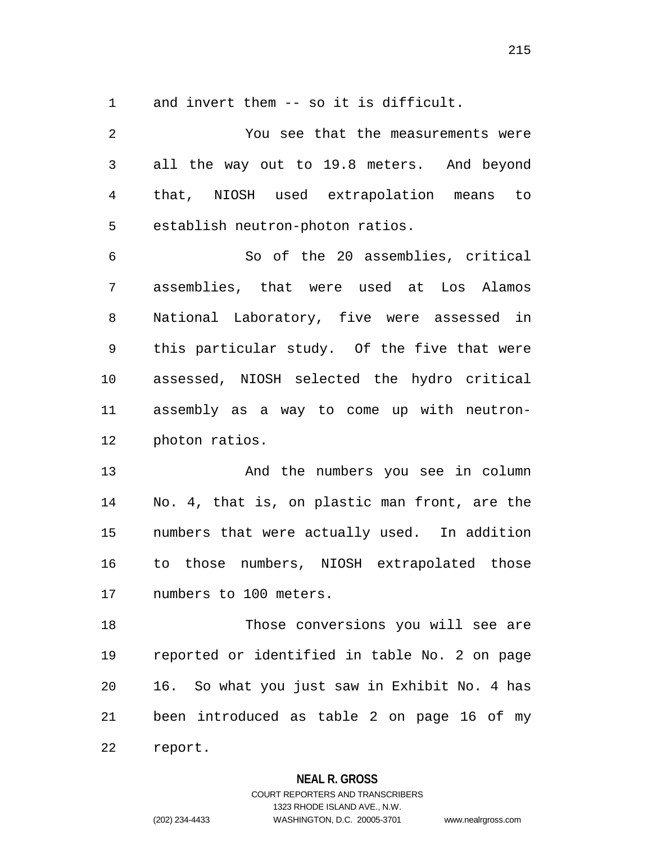and invert them -- so it is difficult.

 You see that the measurements were all the way out to 19.8 meters. And beyond that, NIOSH used extrapolation means to establish neutron-photon ratios. So of the 20 assemblies, critical assemblies, that were used at Los Alamos National Laboratory, five were assessed in this particular study. Of the five that were assessed, NIOSH selected the hydro critical assembly as a way to come up with neutron- photon ratios. And the numbers you see in column No. 4, that is, on plastic man front, are the numbers that were actually used. In addition to those numbers, NIOSH extrapolated those numbers to 100 meters. Those conversions you will see are reported or identified in table No. 2 on page 16. So what you just saw in Exhibit No. 4 has been introduced as table 2 on page 16 of my report.

#### **NEAL R. GROSS**

COURT REPORTERS AND TRANSCRIBERS 1323 RHODE ISLAND AVE., N.W. (202) 234-4433 WASHINGTON, D.C. 20005-3701 www.nealrgross.com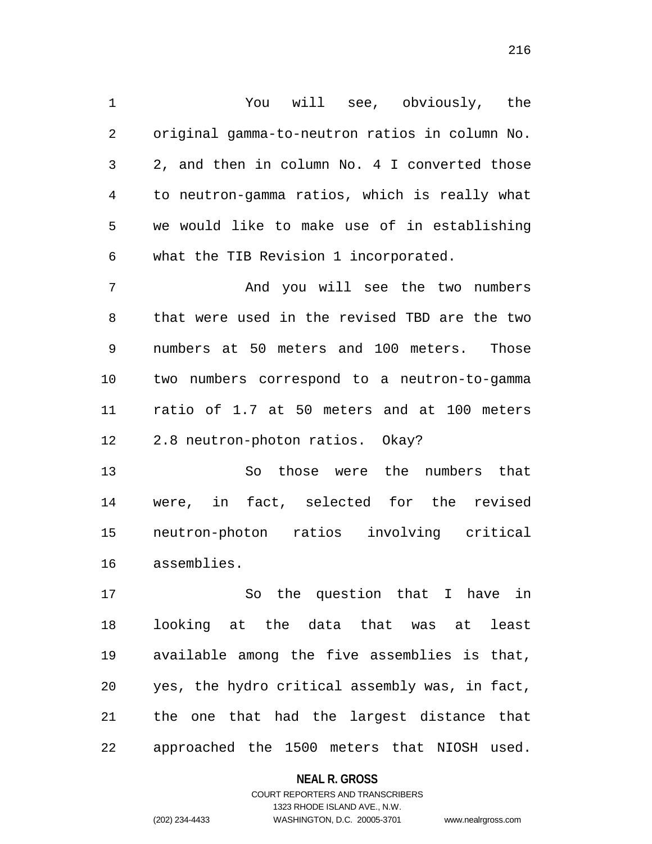You will see, obviously, the original gamma-to-neutron ratios in column No. 2, and then in column No. 4 I converted those to neutron-gamma ratios, which is really what we would like to make use of in establishing what the TIB Revision 1 incorporated.

 And you will see the two numbers that were used in the revised TBD are the two numbers at 50 meters and 100 meters. Those two numbers correspond to a neutron-to-gamma ratio of 1.7 at 50 meters and at 100 meters 2.8 neutron-photon ratios. Okay?

 So those were the numbers that were, in fact, selected for the revised neutron-photon ratios involving critical assemblies.

 So the question that I have in looking at the data that was at least available among the five assemblies is that, yes, the hydro critical assembly was, in fact, the one that had the largest distance that approached the 1500 meters that NIOSH used.

#### **NEAL R. GROSS**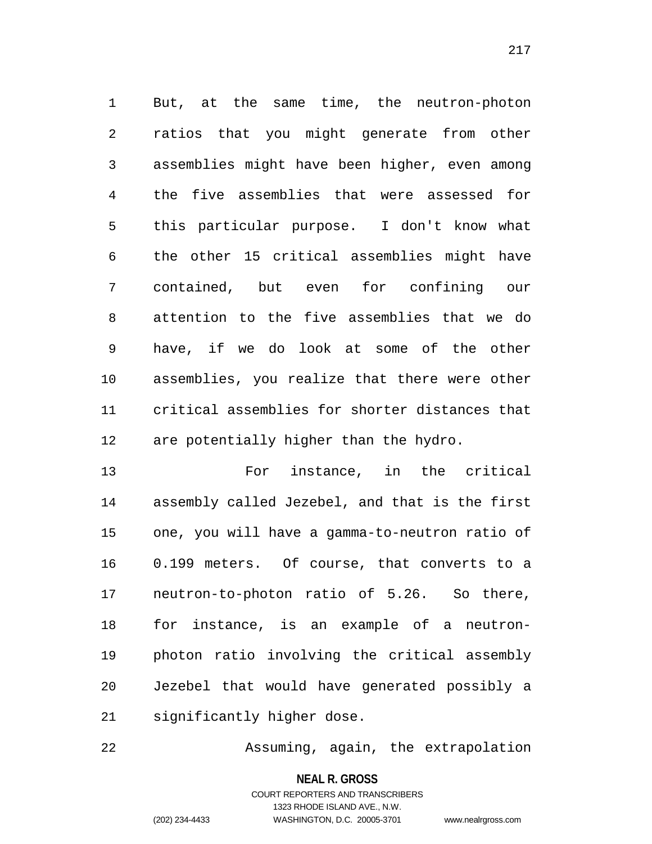But, at the same time, the neutron-photon ratios that you might generate from other assemblies might have been higher, even among the five assemblies that were assessed for this particular purpose. I don't know what the other 15 critical assemblies might have contained, but even for confining our attention to the five assemblies that we do have, if we do look at some of the other assemblies, you realize that there were other critical assemblies for shorter distances that are potentially higher than the hydro.

 For instance, in the critical assembly called Jezebel, and that is the first one, you will have a gamma-to-neutron ratio of 0.199 meters. Of course, that converts to a neutron-to-photon ratio of 5.26. So there, for instance, is an example of a neutron- photon ratio involving the critical assembly Jezebel that would have generated possibly a significantly higher dose.

Assuming, again, the extrapolation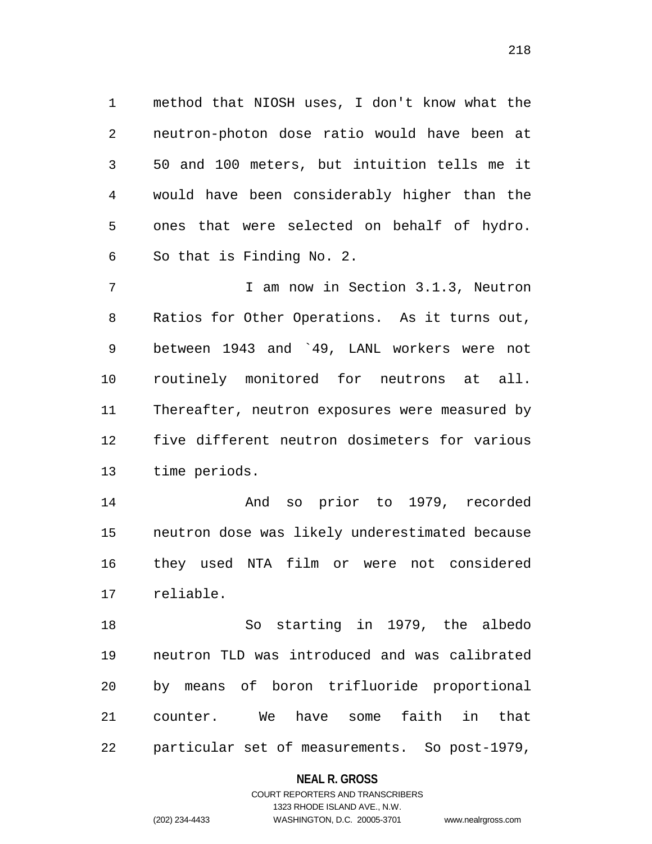method that NIOSH uses, I don't know what the neutron-photon dose ratio would have been at 50 and 100 meters, but intuition tells me it would have been considerably higher than the ones that were selected on behalf of hydro. So that is Finding No. 2.

7 1 I am now in Section 3.1.3, Neutron Ratios for Other Operations. As it turns out, between 1943 and `49, LANL workers were not routinely monitored for neutrons at all. Thereafter, neutron exposures were measured by five different neutron dosimeters for various time periods.

 And so prior to 1979, recorded neutron dose was likely underestimated because they used NTA film or were not considered reliable.

 So starting in 1979, the albedo neutron TLD was introduced and was calibrated by means of boron trifluoride proportional counter. We have some faith in that particular set of measurements. So post-1979,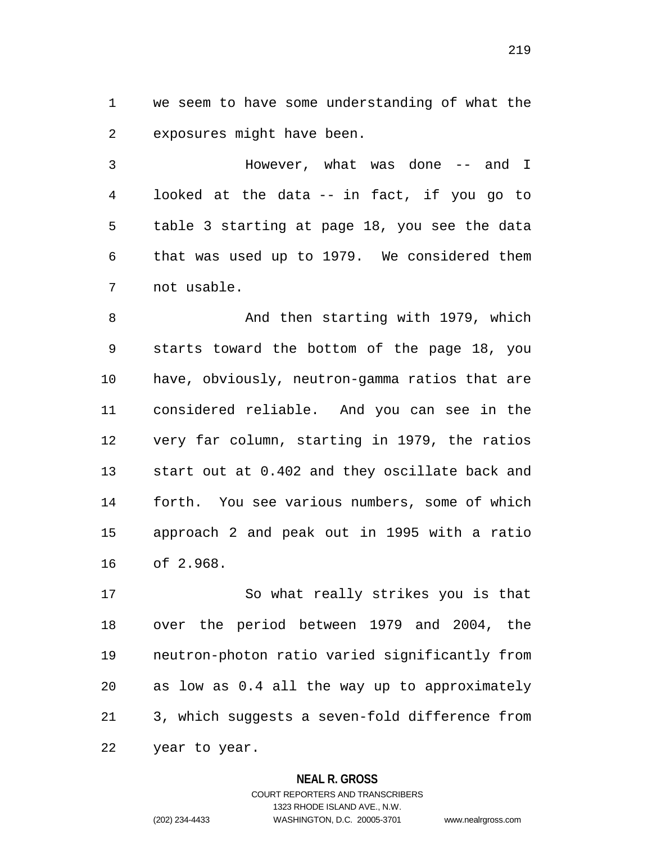we seem to have some understanding of what the exposures might have been.

 However, what was done -- and I looked at the data -- in fact, if you go to table 3 starting at page 18, you see the data that was used up to 1979. We considered them not usable.

 And then starting with 1979, which starts toward the bottom of the page 18, you have, obviously, neutron-gamma ratios that are considered reliable. And you can see in the very far column, starting in 1979, the ratios start out at 0.402 and they oscillate back and forth. You see various numbers, some of which approach 2 and peak out in 1995 with a ratio of 2.968.

 So what really strikes you is that over the period between 1979 and 2004, the neutron-photon ratio varied significantly from as low as 0.4 all the way up to approximately 3, which suggests a seven-fold difference from year to year.

### **NEAL R. GROSS**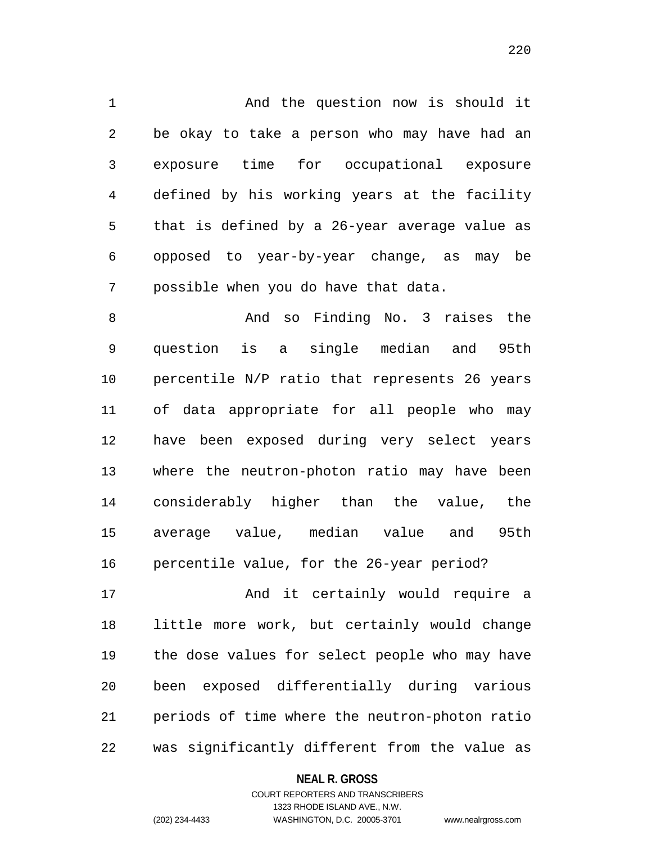And the question now is should it be okay to take a person who may have had an exposure time for occupational exposure defined by his working years at the facility that is defined by a 26-year average value as opposed to year-by-year change, as may be possible when you do have that data.

8 And so Finding No. 3 raises the question is a single median and 95th percentile N/P ratio that represents 26 years of data appropriate for all people who may have been exposed during very select years where the neutron-photon ratio may have been considerably higher than the value, the average value, median value and 95th percentile value, for the 26-year period?

 And it certainly would require a little more work, but certainly would change the dose values for select people who may have been exposed differentially during various periods of time where the neutron-photon ratio was significantly different from the value as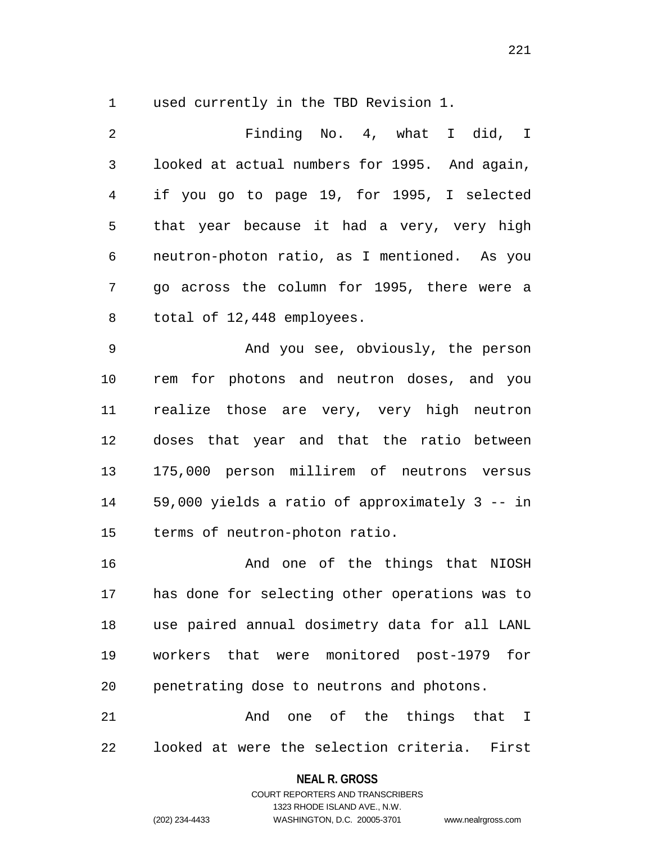used currently in the TBD Revision 1.

 Finding No. 4, what I did, I looked at actual numbers for 1995. And again, if you go to page 19, for 1995, I selected that year because it had a very, very high neutron-photon ratio, as I mentioned. As you go across the column for 1995, there were a total of 12,448 employees. And you see, obviously, the person

 rem for photons and neutron doses, and you realize those are very, very high neutron doses that year and that the ratio between 175,000 person millirem of neutrons versus 59,000 yields a ratio of approximately 3 -- in terms of neutron-photon ratio.

 And one of the things that NIOSH has done for selecting other operations was to use paired annual dosimetry data for all LANL workers that were monitored post-1979 for penetrating dose to neutrons and photons.

21 and one of the things that I looked at were the selection criteria. First

## **NEAL R. GROSS** COURT REPORTERS AND TRANSCRIBERS

1323 RHODE ISLAND AVE., N.W.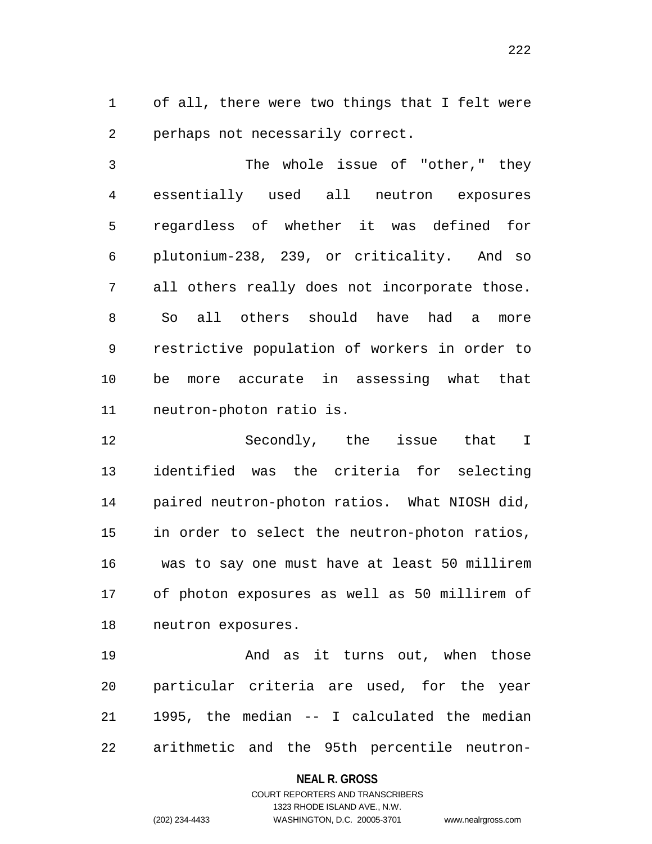of all, there were two things that I felt were perhaps not necessarily correct.

 The whole issue of "other," they essentially used all neutron exposures regardless of whether it was defined for plutonium-238, 239, or criticality. And so all others really does not incorporate those. So all others should have had a more restrictive population of workers in order to be more accurate in assessing what that neutron-photon ratio is.

 Secondly, the issue that I identified was the criteria for selecting paired neutron-photon ratios. What NIOSH did, in order to select the neutron-photon ratios, was to say one must have at least 50 millirem of photon exposures as well as 50 millirem of neutron exposures.

19 And as it turns out, when those particular criteria are used, for the year 1995, the median -- I calculated the median arithmetic and the 95th percentile neutron-

#### **NEAL R. GROSS**

# COURT REPORTERS AND TRANSCRIBERS 1323 RHODE ISLAND AVE., N.W. (202) 234-4433 WASHINGTON, D.C. 20005-3701 www.nealrgross.com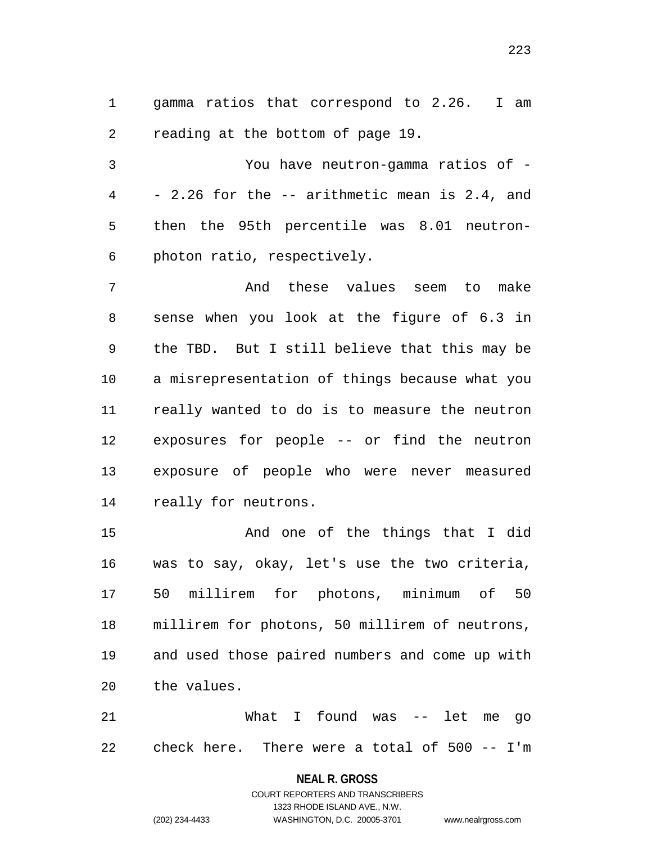gamma ratios that correspond to 2.26. I am reading at the bottom of page 19.

 You have neutron-gamma ratios of - - 2.26 for the -- arithmetic mean is 2.4, and then the 95th percentile was 8.01 neutron-photon ratio, respectively.

 And these values seem to make sense when you look at the figure of 6.3 in the TBD. But I still believe that this may be a misrepresentation of things because what you really wanted to do is to measure the neutron exposures for people -- or find the neutron exposure of people who were never measured really for neutrons.

 And one of the things that I did was to say, okay, let's use the two criteria, 50 millirem for photons, minimum of 50 millirem for photons, 50 millirem of neutrons, and used those paired numbers and come up with the values.

 What I found was -- let me go check here. There were a total of 500 -- I'm

#### **NEAL R. GROSS**

COURT REPORTERS AND TRANSCRIBERS 1323 RHODE ISLAND AVE., N.W. (202) 234-4433 WASHINGTON, D.C. 20005-3701 www.nealrgross.com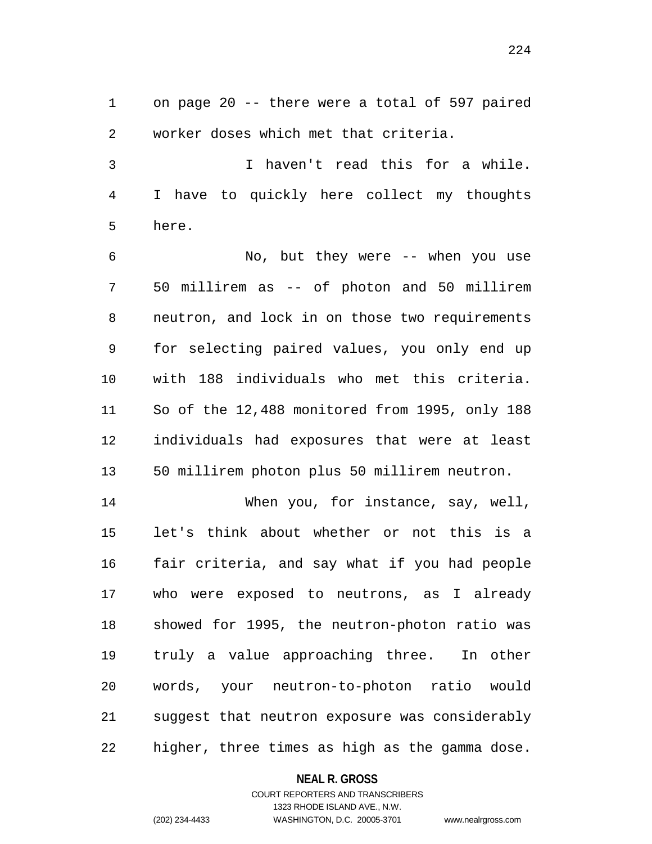on page 20 -- there were a total of 597 paired worker doses which met that criteria.

 I haven't read this for a while. I have to quickly here collect my thoughts here.

 No, but they were -- when you use 50 millirem as -- of photon and 50 millirem neutron, and lock in on those two requirements for selecting paired values, you only end up with 188 individuals who met this criteria. So of the 12,488 monitored from 1995, only 188 individuals had exposures that were at least 50 millirem photon plus 50 millirem neutron.

 When you, for instance, say, well, let's think about whether or not this is a fair criteria, and say what if you had people who were exposed to neutrons, as I already showed for 1995, the neutron-photon ratio was truly a value approaching three. In other words, your neutron-to-photon ratio would suggest that neutron exposure was considerably higher, three times as high as the gamma dose.

#### **NEAL R. GROSS**

## COURT REPORTERS AND TRANSCRIBERS 1323 RHODE ISLAND AVE., N.W. (202) 234-4433 WASHINGTON, D.C. 20005-3701 www.nealrgross.com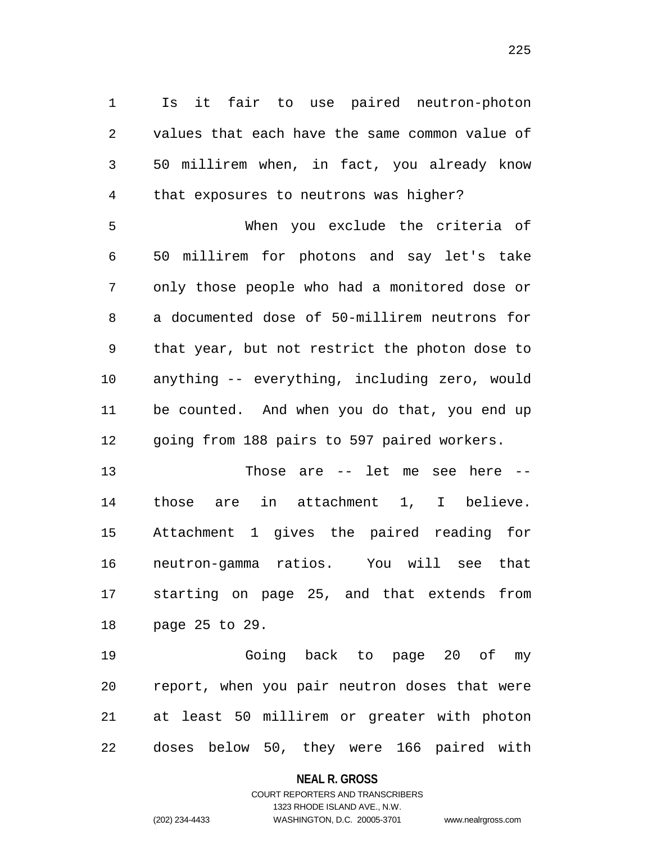Is it fair to use paired neutron-photon values that each have the same common value of 50 millirem when, in fact, you already know that exposures to neutrons was higher? When you exclude the criteria of 50 millirem for photons and say let's take only those people who had a monitored dose or a documented dose of 50-millirem neutrons for that year, but not restrict the photon dose to anything -- everything, including zero, would be counted. And when you do that, you end up

going from 188 pairs to 597 paired workers.

 Those are -- let me see here -- those are in attachment 1, I believe. Attachment 1 gives the paired reading for neutron-gamma ratios. You will see that starting on page 25, and that extends from page 25 to 29.

 Going back to page 20 of my report, when you pair neutron doses that were at least 50 millirem or greater with photon doses below 50, they were 166 paired with

#### **NEAL R. GROSS**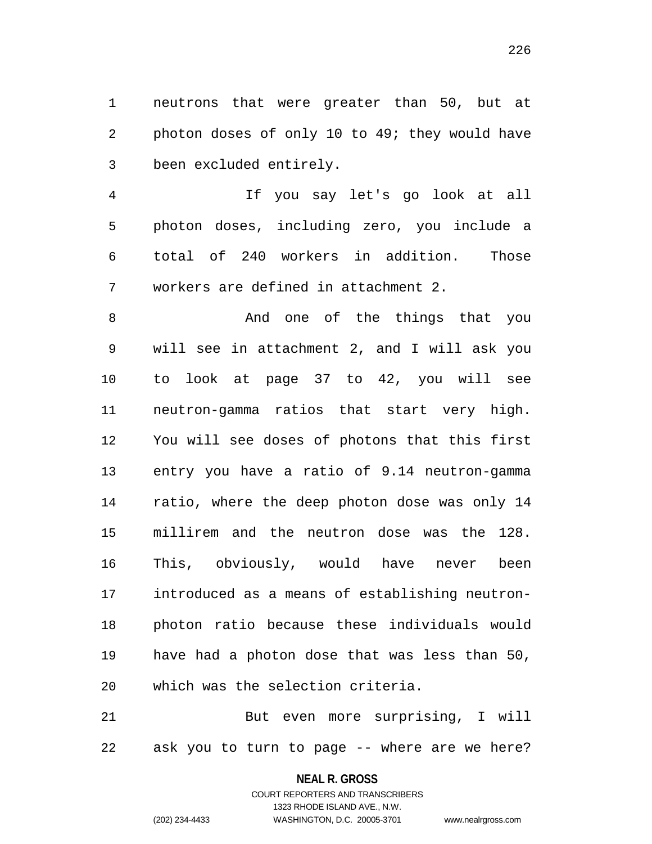neutrons that were greater than 50, but at photon doses of only 10 to 49; they would have been excluded entirely.

 If you say let's go look at all photon doses, including zero, you include a total of 240 workers in addition. Those workers are defined in attachment 2.

 And one of the things that you will see in attachment 2, and I will ask you to look at page 37 to 42, you will see neutron-gamma ratios that start very high. You will see doses of photons that this first entry you have a ratio of 9.14 neutron-gamma ratio, where the deep photon dose was only 14 millirem and the neutron dose was the 128. This, obviously, would have never been introduced as a means of establishing neutron- photon ratio because these individuals would have had a photon dose that was less than 50, which was the selection criteria.

 But even more surprising, I will ask you to turn to page -- where are we here?

#### **NEAL R. GROSS**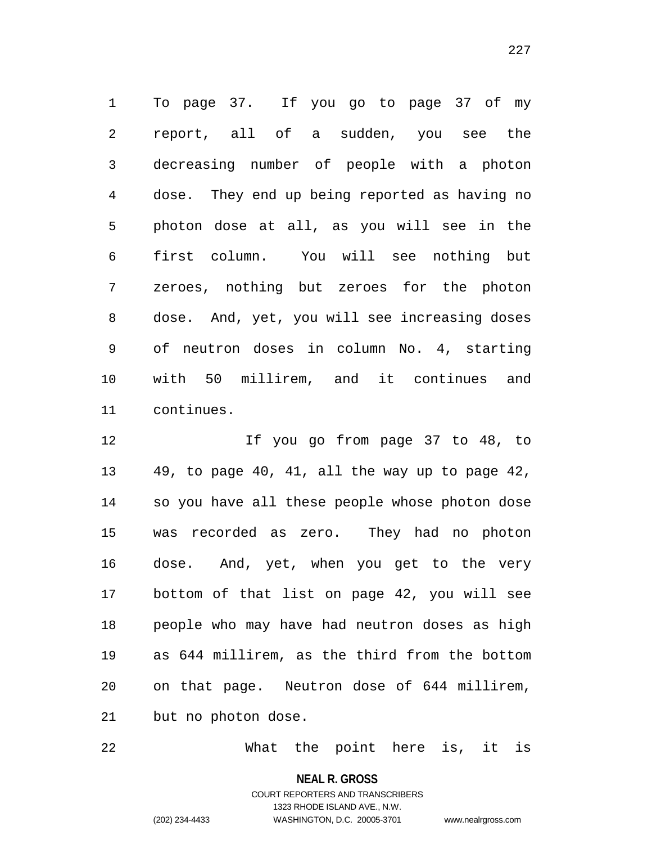To page 37. If you go to page 37 of my report, all of a sudden, you see the decreasing number of people with a photon dose. They end up being reported as having no photon dose at all, as you will see in the first column. You will see nothing but zeroes, nothing but zeroes for the photon dose. And, yet, you will see increasing doses of neutron doses in column No. 4, starting with 50 millirem, and it continues and continues.

 If you go from page 37 to 48, to 49, to page 40, 41, all the way up to page 42, so you have all these people whose photon dose was recorded as zero. They had no photon dose. And, yet, when you get to the very bottom of that list on page 42, you will see people who may have had neutron doses as high as 644 millirem, as the third from the bottom on that page. Neutron dose of 644 millirem, but no photon dose.

What the point here is, it is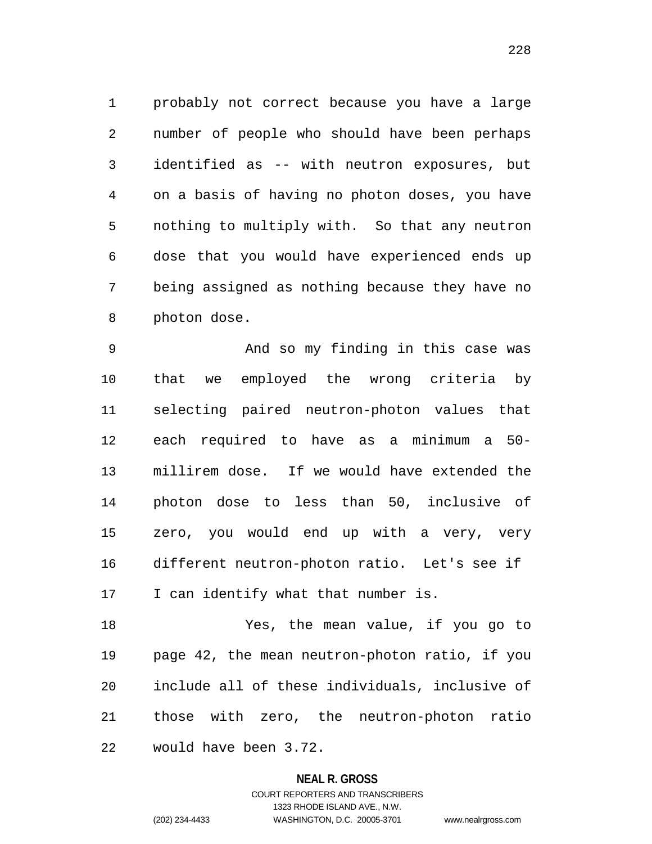probably not correct because you have a large number of people who should have been perhaps identified as -- with neutron exposures, but on a basis of having no photon doses, you have nothing to multiply with. So that any neutron dose that you would have experienced ends up being assigned as nothing because they have no photon dose.

 And so my finding in this case was that we employed the wrong criteria by selecting paired neutron-photon values that each required to have as a minimum a 50- millirem dose. If we would have extended the photon dose to less than 50, inclusive of zero, you would end up with a very, very different neutron-photon ratio. Let's see if I can identify what that number is.

 Yes, the mean value, if you go to page 42, the mean neutron-photon ratio, if you include all of these individuals, inclusive of those with zero, the neutron-photon ratio would have been 3.72.

### **NEAL R. GROSS**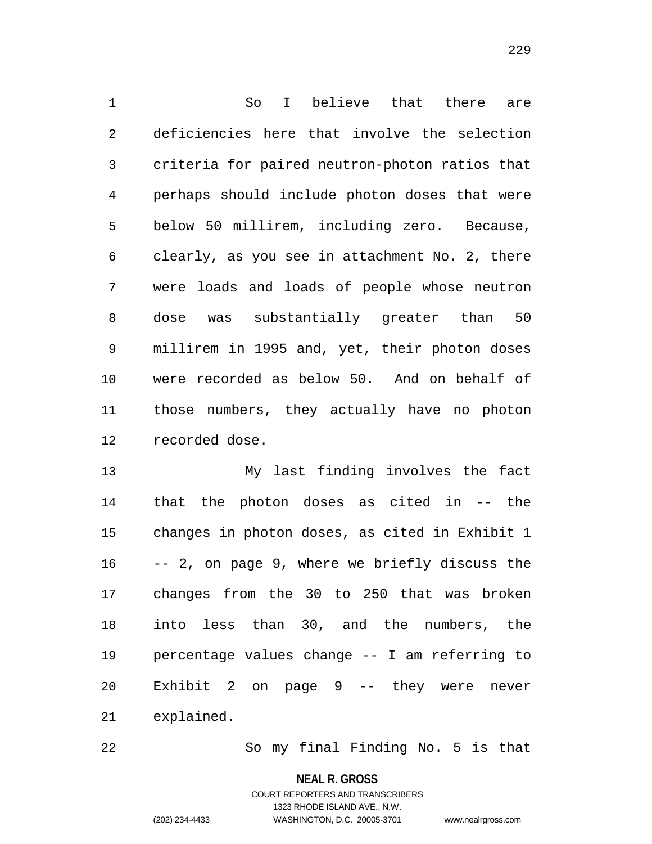So I believe that there are deficiencies here that involve the selection criteria for paired neutron-photon ratios that perhaps should include photon doses that were below 50 millirem, including zero. Because, clearly, as you see in attachment No. 2, there were loads and loads of people whose neutron dose was substantially greater than 50 millirem in 1995 and, yet, their photon doses were recorded as below 50. And on behalf of those numbers, they actually have no photon recorded dose.

 My last finding involves the fact that the photon doses as cited in -- the changes in photon doses, as cited in Exhibit 1 -- 2, on page 9, where we briefly discuss the changes from the 30 to 250 that was broken into less than 30, and the numbers, the percentage values change -- I am referring to Exhibit 2 on page 9 -- they were never explained.

So my final Finding No. 5 is that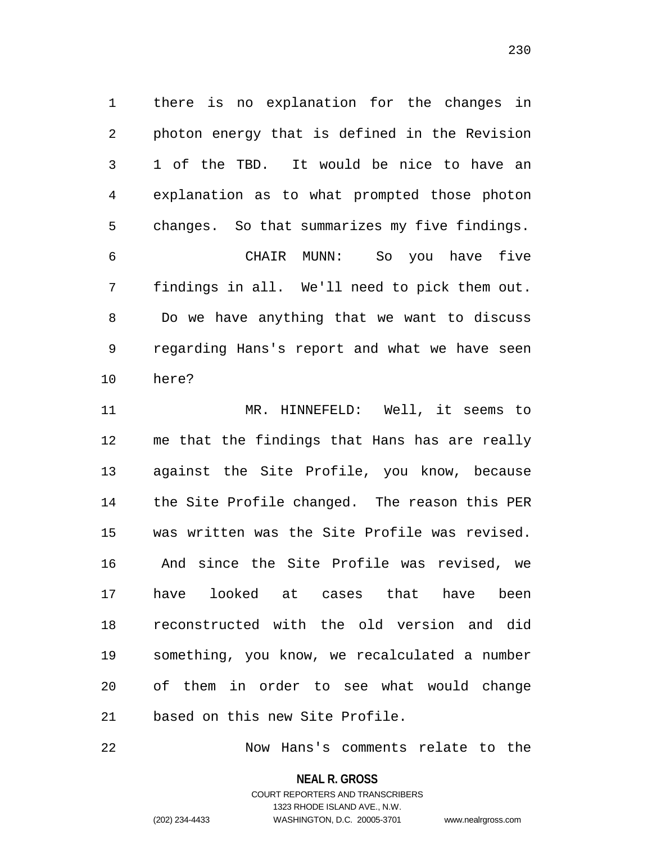there is no explanation for the changes in photon energy that is defined in the Revision 1 of the TBD. It would be nice to have an explanation as to what prompted those photon changes. So that summarizes my five findings. CHAIR MUNN: So you have five findings in all. We'll need to pick them out. Do we have anything that we want to discuss regarding Hans's report and what we have seen

here?

 MR. HINNEFELD: Well, it seems to me that the findings that Hans has are really against the Site Profile, you know, because the Site Profile changed. The reason this PER was written was the Site Profile was revised. And since the Site Profile was revised, we have looked at cases that have been reconstructed with the old version and did something, you know, we recalculated a number of them in order to see what would change based on this new Site Profile.

Now Hans's comments relate to the

**NEAL R. GROSS**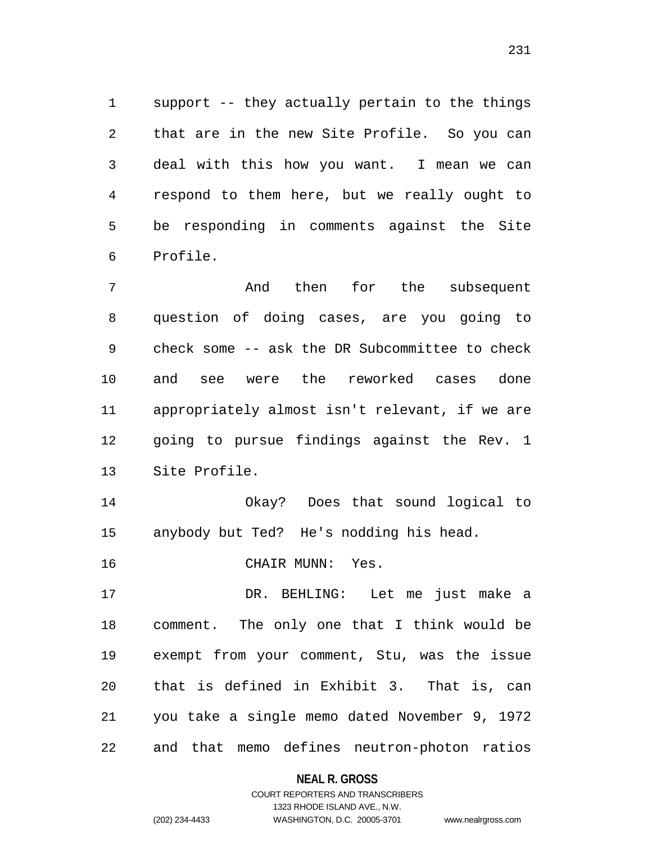support -- they actually pertain to the things that are in the new Site Profile. So you can deal with this how you want. I mean we can respond to them here, but we really ought to be responding in comments against the Site Profile.

 And then for the subsequent question of doing cases, are you going to check some -- ask the DR Subcommittee to check and see were the reworked cases done appropriately almost isn't relevant, if we are going to pursue findings against the Rev. 1 Site Profile.

 Okay? Does that sound logical to anybody but Ted? He's nodding his head.

CHAIR MUNN: Yes.

 DR. BEHLING: Let me just make a comment. The only one that I think would be exempt from your comment, Stu, was the issue that is defined in Exhibit 3. That is, can you take a single memo dated November 9, 1972 and that memo defines neutron-photon ratios

**NEAL R. GROSS**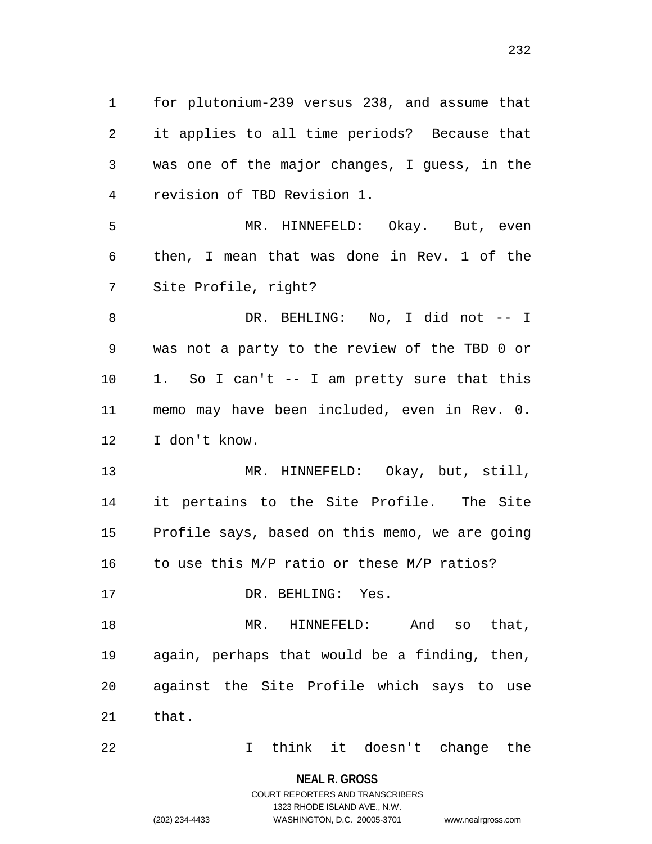for plutonium-239 versus 238, and assume that it applies to all time periods? Because that was one of the major changes, I guess, in the revision of TBD Revision 1.

 MR. HINNEFELD: Okay. But, even then, I mean that was done in Rev. 1 of the Site Profile, right?

 DR. BEHLING: No, I did not -- I was not a party to the review of the TBD 0 or 1. So I can't -- I am pretty sure that this memo may have been included, even in Rev. 0. I don't know.

 MR. HINNEFELD: Okay, but, still, it pertains to the Site Profile. The Site Profile says, based on this memo, we are going 16 to use this M/P ratio or these M/P ratios?

17 DR. BEHLING: Yes.

 MR. HINNEFELD: And so that, again, perhaps that would be a finding, then, against the Site Profile which says to use that.

I think it doesn't change the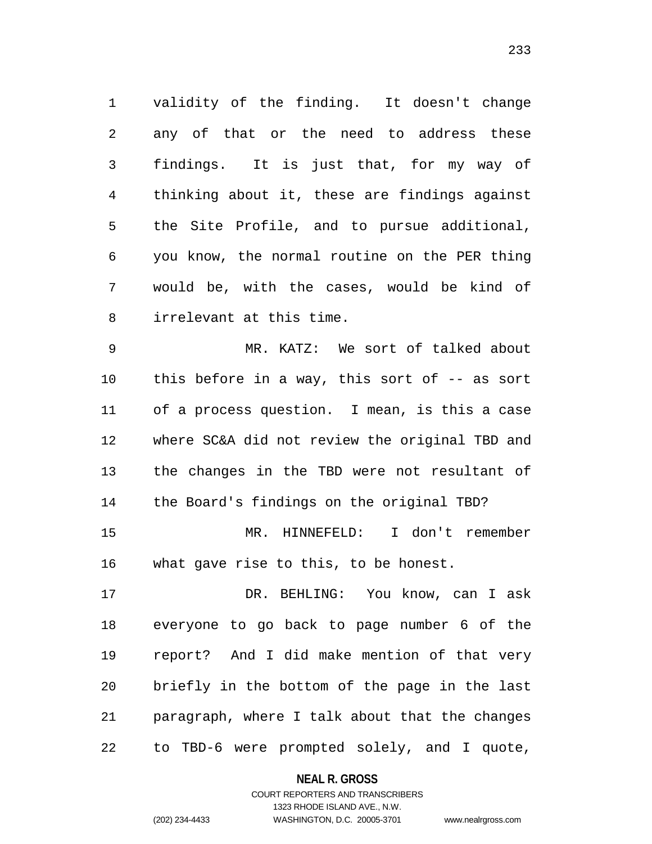validity of the finding. It doesn't change any of that or the need to address these findings. It is just that, for my way of thinking about it, these are findings against the Site Profile, and to pursue additional, you know, the normal routine on the PER thing would be, with the cases, would be kind of irrelevant at this time.

 MR. KATZ: We sort of talked about this before in a way, this sort of -- as sort of a process question. I mean, is this a case where SC&A did not review the original TBD and the changes in the TBD were not resultant of the Board's findings on the original TBD? MR. HINNEFELD: I don't remember

what gave rise to this, to be honest.

 DR. BEHLING: You know, can I ask everyone to go back to page number 6 of the report? And I did make mention of that very briefly in the bottom of the page in the last paragraph, where I talk about that the changes to TBD-6 were prompted solely, and I quote,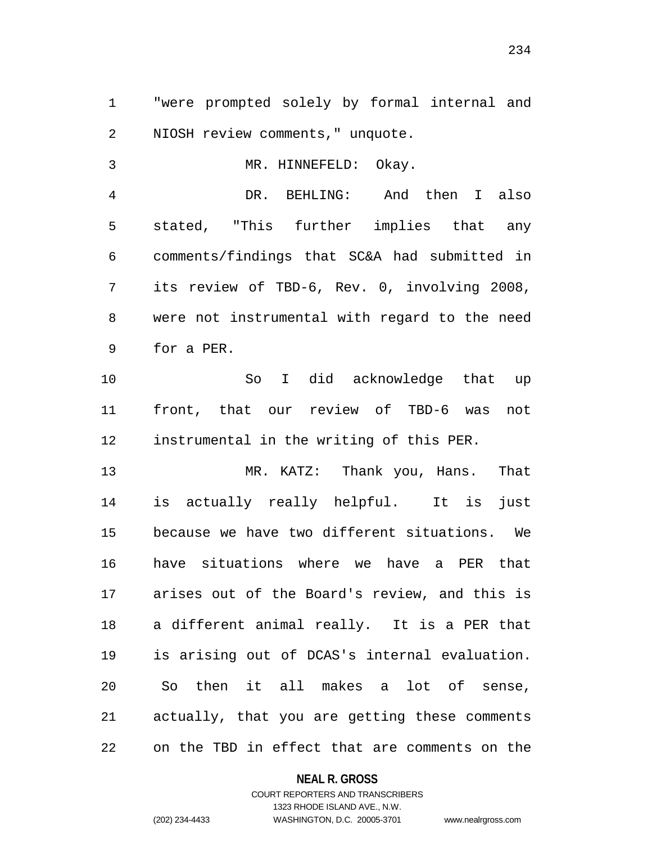"were prompted solely by formal internal and NIOSH review comments," unquote.

 MR. HINNEFELD: Okay. DR. BEHLING: And then I also stated, "This further implies that any comments/findings that SC&A had submitted in its review of TBD-6, Rev. 0, involving 2008, were not instrumental with regard to the need for a PER.

 So I did acknowledge that up front, that our review of TBD-6 was not instrumental in the writing of this PER.

 MR. KATZ: Thank you, Hans. That is actually really helpful. It is just because we have two different situations. We have situations where we have a PER that arises out of the Board's review, and this is a different animal really. It is a PER that is arising out of DCAS's internal evaluation. So then it all makes a lot of sense, actually, that you are getting these comments on the TBD in effect that are comments on the

**NEAL R. GROSS**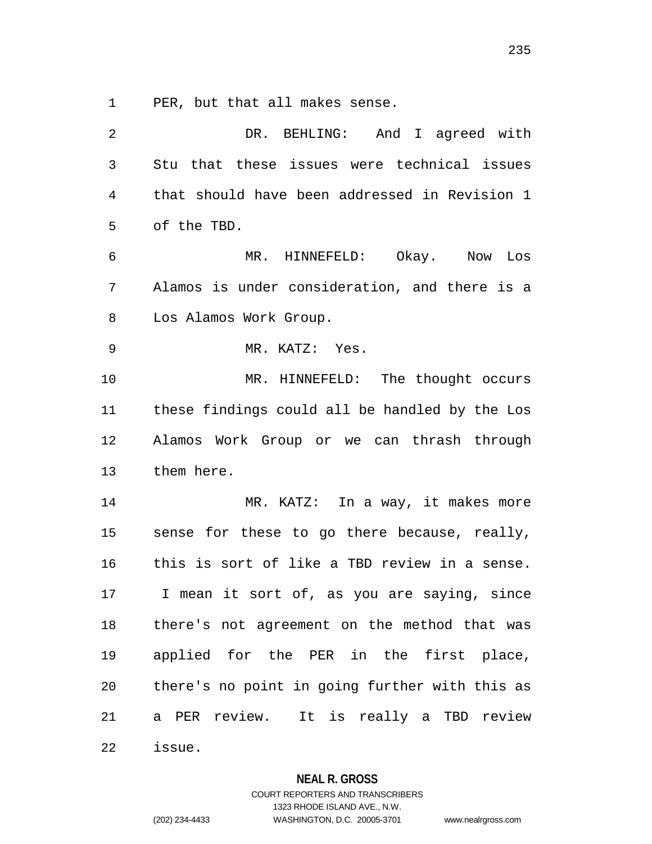PER, but that all makes sense.

| 2              | DR. BEHLING: And I agreed with                 |
|----------------|------------------------------------------------|
| $\mathfrak{Z}$ | Stu that these issues were technical issues    |
| 4              | that should have been addressed in Revision 1  |
| 5              | of the TBD.                                    |
| 6              | MR. HINNEFELD: Okay. Now Los                   |
| 7              | Alamos is under consideration, and there is a  |
| 8              | Los Alamos Work Group.                         |
| 9              | MR. KATZ: Yes.                                 |
| 10             | MR. HINNEFELD: The thought occurs              |
| 11             | these findings could all be handled by the Los |
| 12             | Alamos Work Group or we can thrash through     |
| 13             | them here.                                     |
| 14             | MR. KATZ: In a way, it makes more              |
| 15             | sense for these to go there because, really,   |
| 16             | this is sort of like a TBD review in a sense.  |
| 17             | I mean it sort of, as you are saying, since    |
| 18             | there's not agreement on the method that was   |
| 19             | applied for the PER in the first place,        |
| 20             | there's no point in going further with this as |
| 21             | a PER review. It is really a TBD review        |
| 22             | issue.                                         |

**NEAL R. GROSS**

COURT REPORTERS AND TRANSCRIBERS 1323 RHODE ISLAND AVE., N.W. (202) 234-4433 WASHINGTON, D.C. 20005-3701 www.nealrgross.com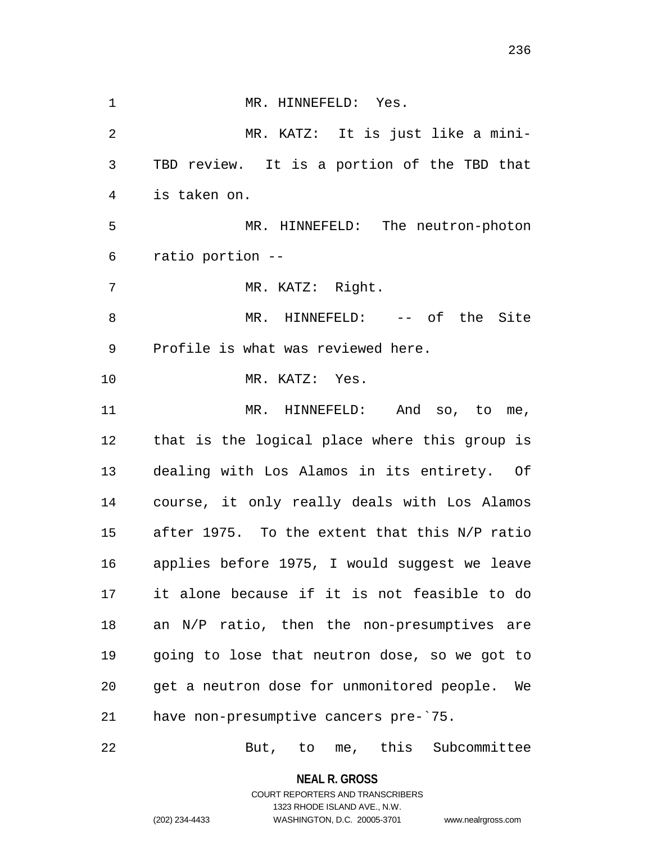1 MR. HINNEFELD: Yes. MR. KATZ: It is just like a mini- TBD review. It is a portion of the TBD that is taken on. MR. HINNEFELD: The neutron-photon ratio portion -- MR. KATZ: Right. 8 MR. HINNEFELD: -- of the Site Profile is what was reviewed here. MR. KATZ: Yes. 11 MR. HINNEFELD: And so, to me, that is the logical place where this group is dealing with Los Alamos in its entirety. Of course, it only really deals with Los Alamos after 1975. To the extent that this N/P ratio applies before 1975, I would suggest we leave it alone because if it is not feasible to do an N/P ratio, then the non-presumptives are going to lose that neutron dose, so we got to get a neutron dose for unmonitored people. We have non-presumptive cancers pre-`75.

But, to me, this Subcommittee

**NEAL R. GROSS** COURT REPORTERS AND TRANSCRIBERS

1323 RHODE ISLAND AVE., N.W.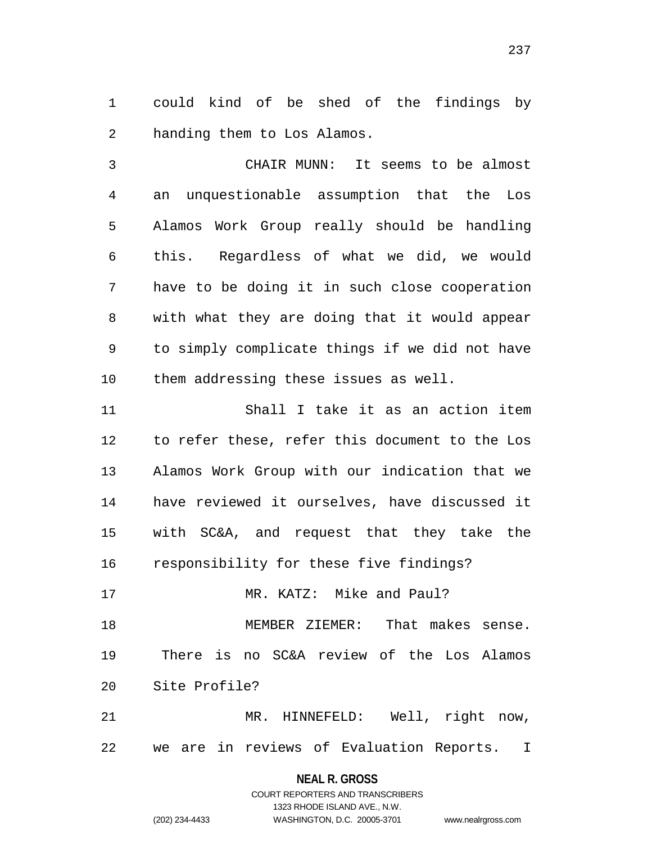could kind of be shed of the findings by handing them to Los Alamos.

 CHAIR MUNN: It seems to be almost an unquestionable assumption that the Los Alamos Work Group really should be handling this. Regardless of what we did, we would have to be doing it in such close cooperation with what they are doing that it would appear to simply complicate things if we did not have them addressing these issues as well.

 Shall I take it as an action item to refer these, refer this document to the Los Alamos Work Group with our indication that we have reviewed it ourselves, have discussed it with SC&A, and request that they take the responsibility for these five findings?

 MR. KATZ: Mike and Paul? MEMBER ZIEMER: That makes sense. There is no SC&A review of the Los Alamos Site Profile?

 MR. HINNEFELD: Well, right now, we are in reviews of Evaluation Reports. I

#### **NEAL R. GROSS**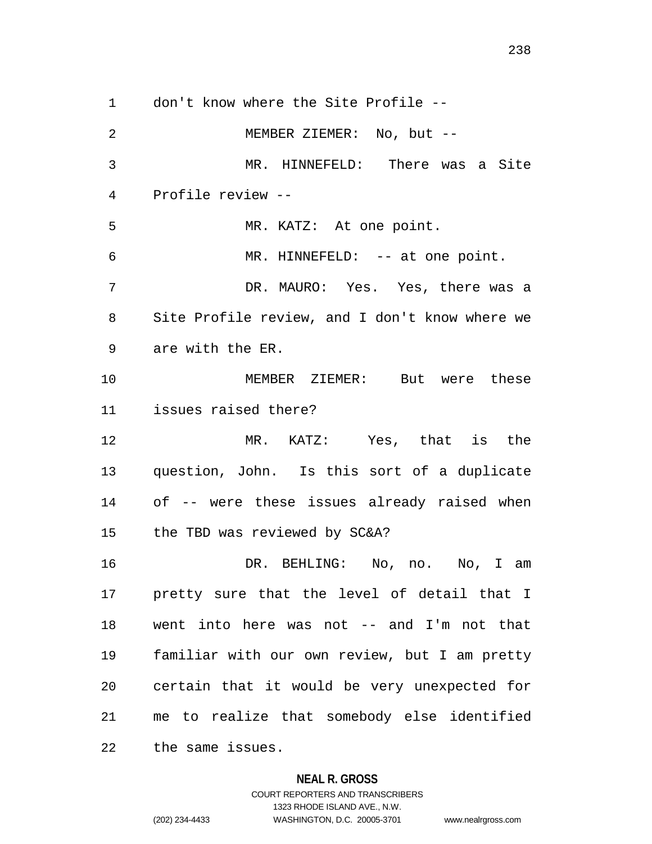don't know where the Site Profile -- 2 MEMBER ZIEMER: No, but -- MR. HINNEFELD: There was a Site Profile review -- MR. KATZ: At one point. MR. HINNEFELD: -- at one point. DR. MAURO: Yes. Yes, there was a Site Profile review, and I don't know where we are with the ER. MEMBER ZIEMER: But were these issues raised there? MR. KATZ: Yes, that is the question, John. Is this sort of a duplicate of -- were these issues already raised when the TBD was reviewed by SC&A? DR. BEHLING: No, no. No, I am pretty sure that the level of detail that I went into here was not -- and I'm not that familiar with our own review, but I am pretty certain that it would be very unexpected for me to realize that somebody else identified the same issues.

### **NEAL R. GROSS**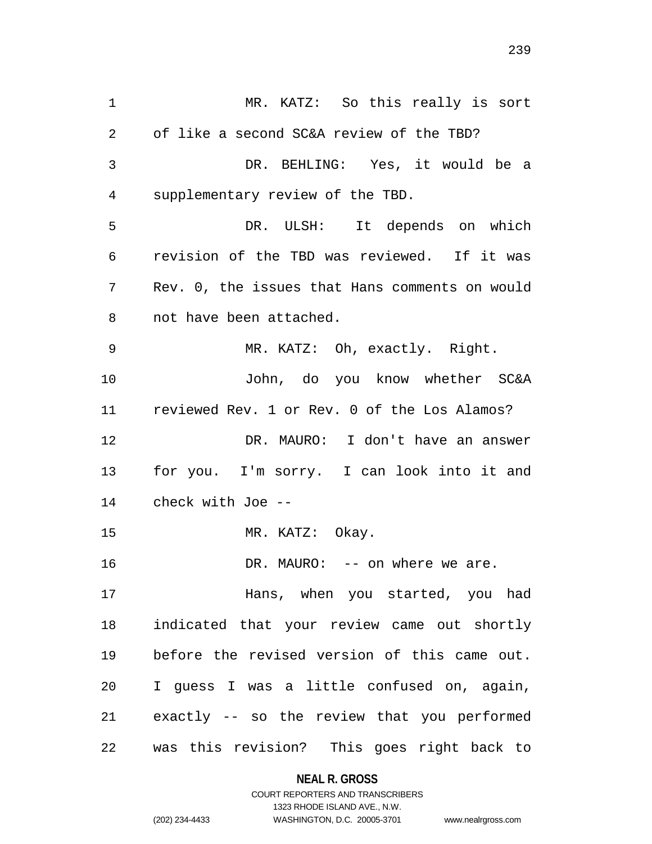MR. KATZ: So this really is sort of like a second SC&A review of the TBD? DR. BEHLING: Yes, it would be a supplementary review of the TBD. DR. ULSH: It depends on which revision of the TBD was reviewed. If it was Rev. 0, the issues that Hans comments on would not have been attached. MR. KATZ: Oh, exactly. Right. John, do you know whether SC&A reviewed Rev. 1 or Rev. 0 of the Los Alamos? DR. MAURO: I don't have an answer for you. I'm sorry. I can look into it and check with Joe -- 15 MR. KATZ: Okay. 16 DR. MAURO: -- on where we are. Hans, when you started, you had indicated that your review came out shortly before the revised version of this came out. I guess I was a little confused on, again, exactly -- so the review that you performed was this revision? This goes right back to

**NEAL R. GROSS**

COURT REPORTERS AND TRANSCRIBERS 1323 RHODE ISLAND AVE., N.W. (202) 234-4433 WASHINGTON, D.C. 20005-3701 www.nealrgross.com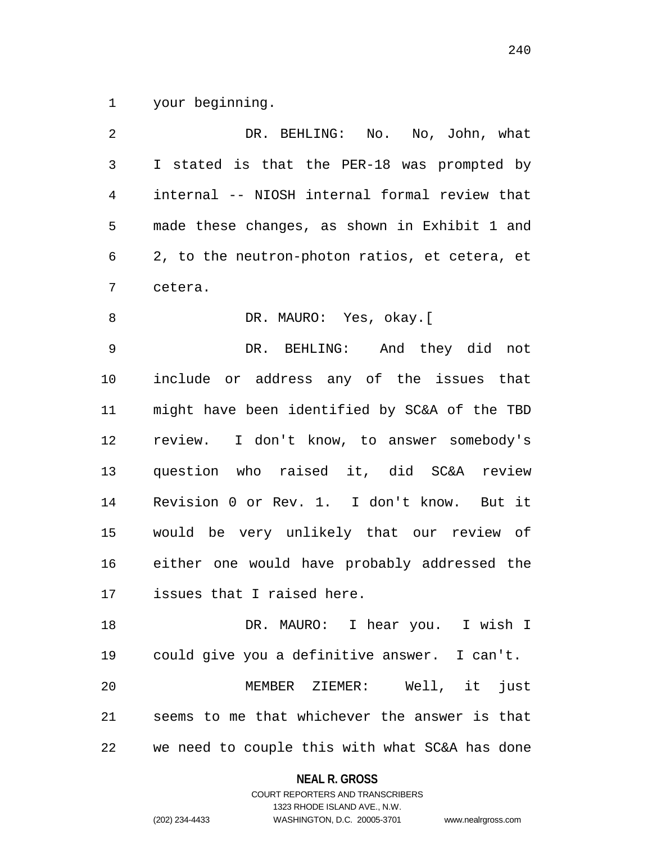your beginning.

| 2  | DR. BEHLING: No. No, John, what                |
|----|------------------------------------------------|
| 3  | I stated is that the PER-18 was prompted by    |
| 4  | internal -- NIOSH internal formal review that  |
| 5  | made these changes, as shown in Exhibit 1 and  |
| 6  | 2, to the neutron-photon ratios, et cetera, et |
| 7  | cetera.                                        |
| 8  | DR. MAURO: Yes, okay. [                        |
| 9  | DR. BEHLING: And they did not                  |
| 10 | include or address any of the issues that      |
| 11 | might have been identified by SC&A of the TBD  |
| 12 | review. I don't know, to answer somebody's     |
| 13 | question who raised it, did SC&A review        |
| 14 | Revision 0 or Rev. 1. I don't know. But it     |
| 15 | would be very unlikely that our review of      |
| 16 | either one would have probably addressed the   |
| 17 | issues that I raised here.                     |
| 18 | DR. MAURO: I hear you. I wish I                |
| 19 | could give you a definitive answer. I can't.   |
| 20 | MEMBER ZIEMER: Well, it just                   |
| 21 | seems to me that whichever the answer is that  |
| 22 | we need to couple this with what SC&A has done |

**NEAL R. GROSS**

COURT REPORTERS AND TRANSCRIBERS 1323 RHODE ISLAND AVE., N.W. (202) 234-4433 WASHINGTON, D.C. 20005-3701 www.nealrgross.com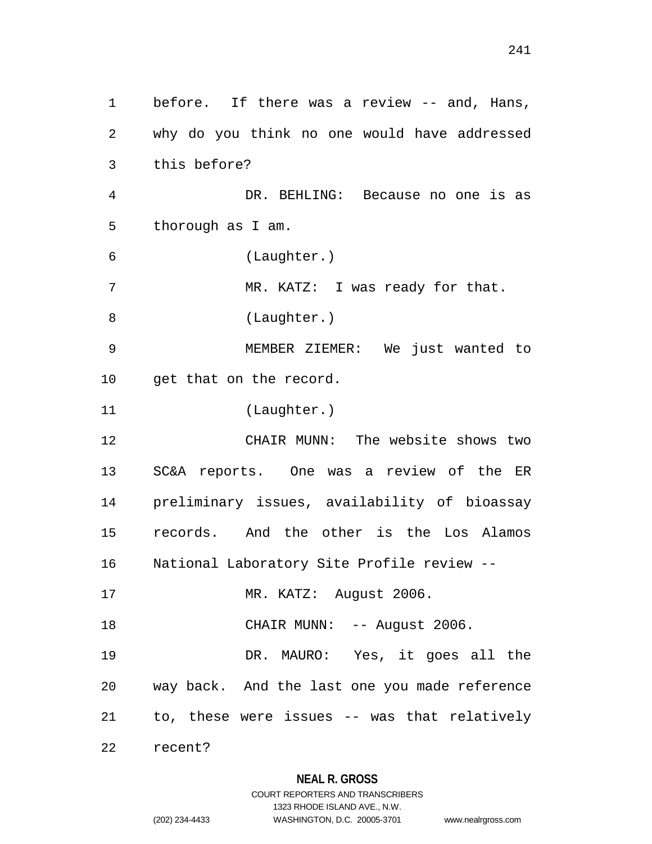before. If there was a review -- and, Hans, why do you think no one would have addressed this before? DR. BEHLING: Because no one is as thorough as I am. (Laughter.) 7 MR. KATZ: I was ready for that. 8 (Laughter.) MEMBER ZIEMER: We just wanted to get that on the record. (Laughter.) CHAIR MUNN: The website shows two SC&A reports. One was a review of the ER preliminary issues, availability of bioassay records. And the other is the Los Alamos National Laboratory Site Profile review -- MR. KATZ: August 2006. 18 CHAIR MUNN: -- August 2006. DR. MAURO: Yes, it goes all the way back. And the last one you made reference to, these were issues -- was that relatively recent?

**NEAL R. GROSS**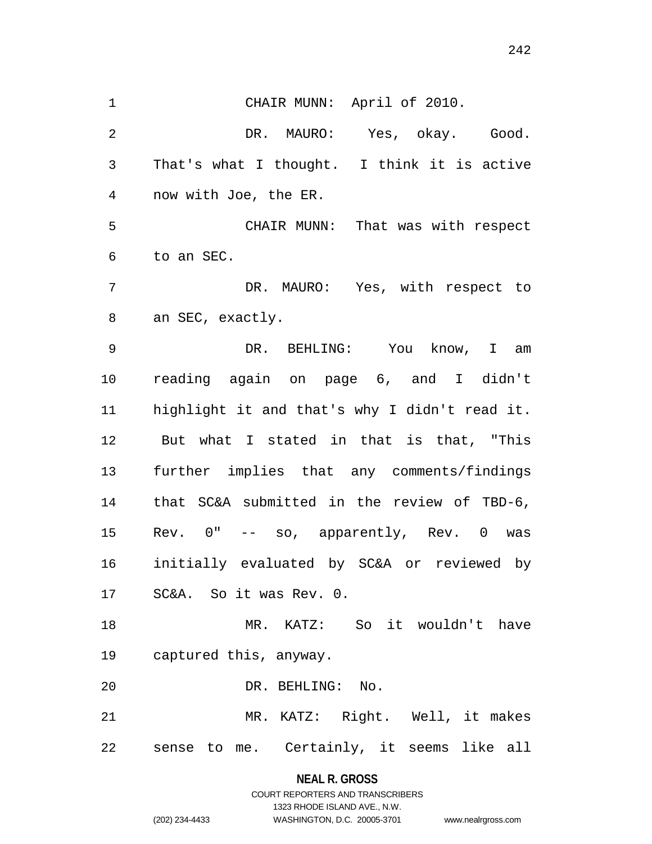CHAIR MUNN: April of 2010. DR. MAURO: Yes, okay. Good. That's what I thought. I think it is active now with Joe, the ER. CHAIR MUNN: That was with respect to an SEC. DR. MAURO: Yes, with respect to an SEC, exactly. DR. BEHLING: You know, I am reading again on page 6, and I didn't highlight it and that's why I didn't read it. But what I stated in that is that, "This further implies that any comments/findings that SC&A submitted in the review of TBD-6, Rev. 0" -- so, apparently, Rev. 0 was initially evaluated by SC&A or reviewed by SC&A. So it was Rev. 0. MR. KATZ: So it wouldn't have captured this, anyway. DR. BEHLING: No. MR. KATZ: Right. Well, it makes sense to me. Certainly, it seems like all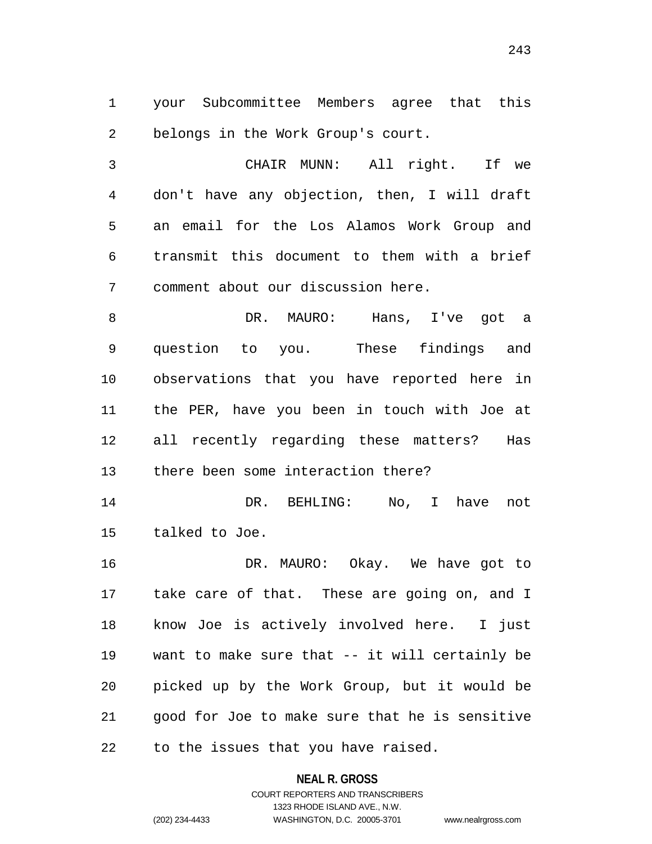your Subcommittee Members agree that this belongs in the Work Group's court.

 CHAIR MUNN: All right. If we don't have any objection, then, I will draft an email for the Los Alamos Work Group and transmit this document to them with a brief comment about our discussion here.

 DR. MAURO: Hans, I've got a question to you. These findings and observations that you have reported here in the PER, have you been in touch with Joe at all recently regarding these matters? Has there been some interaction there?

 DR. BEHLING: No, I have not talked to Joe.

 DR. MAURO: Okay. We have got to take care of that. These are going on, and I know Joe is actively involved here. I just want to make sure that -- it will certainly be picked up by the Work Group, but it would be good for Joe to make sure that he is sensitive to the issues that you have raised.

**NEAL R. GROSS**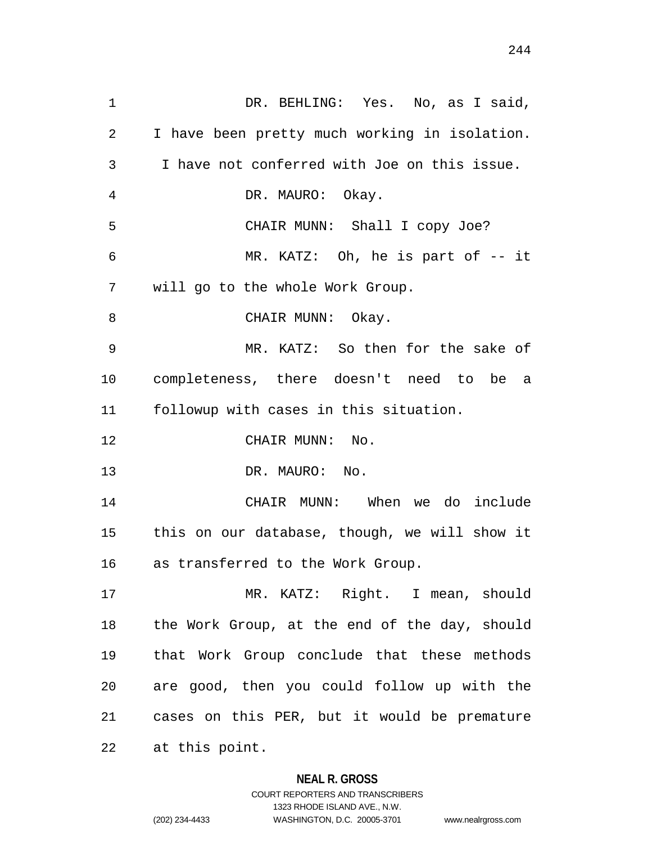1 DR. BEHLING: Yes. No, as I said, I have been pretty much working in isolation. I have not conferred with Joe on this issue. DR. MAURO: Okay. CHAIR MUNN: Shall I copy Joe? MR. KATZ: Oh, he is part of -- it will go to the whole Work Group. 8 CHAIR MUNN: Okay. MR. KATZ: So then for the sake of completeness, there doesn't need to be a followup with cases in this situation. CHAIR MUNN: No. DR. MAURO: No. CHAIR MUNN: When we do include this on our database, though, we will show it as transferred to the Work Group. MR. KATZ: Right. I mean, should the Work Group, at the end of the day, should that Work Group conclude that these methods are good, then you could follow up with the cases on this PER, but it would be premature at this point.

### **NEAL R. GROSS**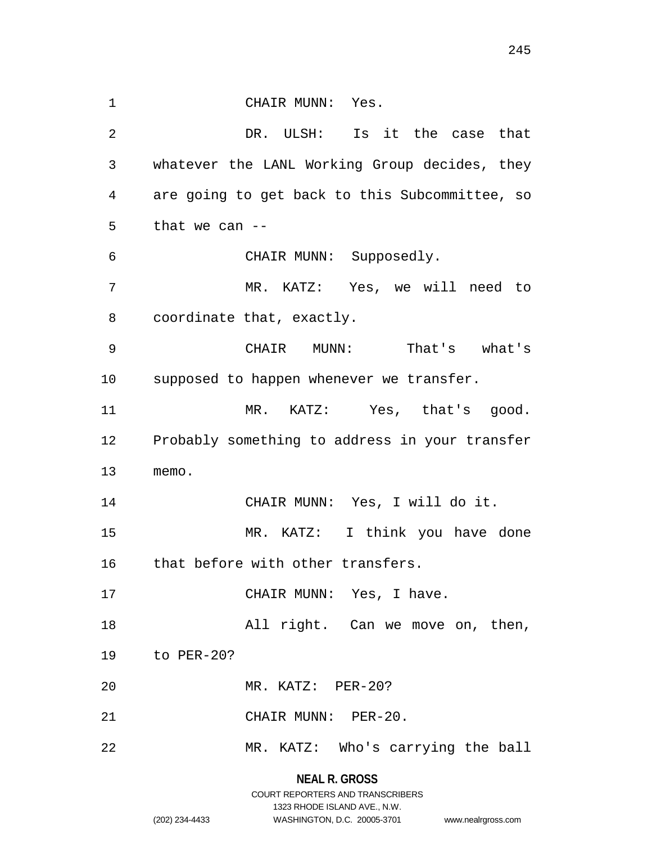1 CHAIR MUNN: Yes. DR. ULSH: Is it the case that whatever the LANL Working Group decides, they are going to get back to this Subcommittee, so that we can -- CHAIR MUNN: Supposedly. MR. KATZ: Yes, we will need to coordinate that, exactly. CHAIR MUNN: That's what's supposed to happen whenever we transfer. MR. KATZ: Yes, that's good. Probably something to address in your transfer memo. CHAIR MUNN: Yes, I will do it. MR. KATZ: I think you have done 16 that before with other transfers. 17 CHAIR MUNN: Yes, I have. All right. Can we move on, then, to PER-20? MR. KATZ: PER-20? CHAIR MUNN: PER-20. MR. KATZ: Who's carrying the ball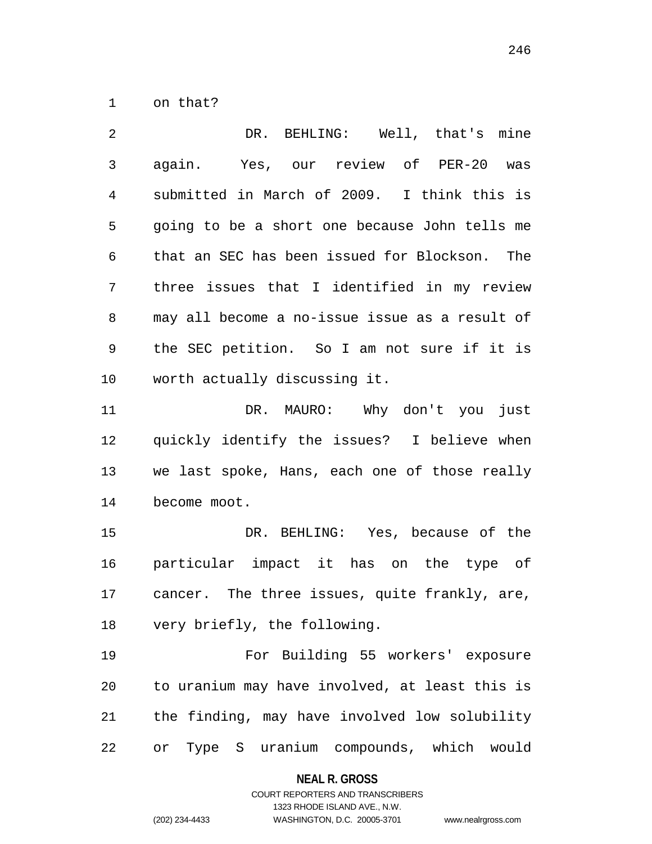on that?

 DR. BEHLING: Well, that's mine again. Yes, our review of PER-20 was submitted in March of 2009. I think this is going to be a short one because John tells me that an SEC has been issued for Blockson. The three issues that I identified in my review may all become a no-issue issue as a result of the SEC petition. So I am not sure if it is worth actually discussing it.

 DR. MAURO: Why don't you just quickly identify the issues? I believe when we last spoke, Hans, each one of those really become moot.

 DR. BEHLING: Yes, because of the particular impact it has on the type of cancer. The three issues, quite frankly, are, very briefly, the following.

 For Building 55 workers' exposure to uranium may have involved, at least this is the finding, may have involved low solubility or Type S uranium compounds, which would

#### **NEAL R. GROSS**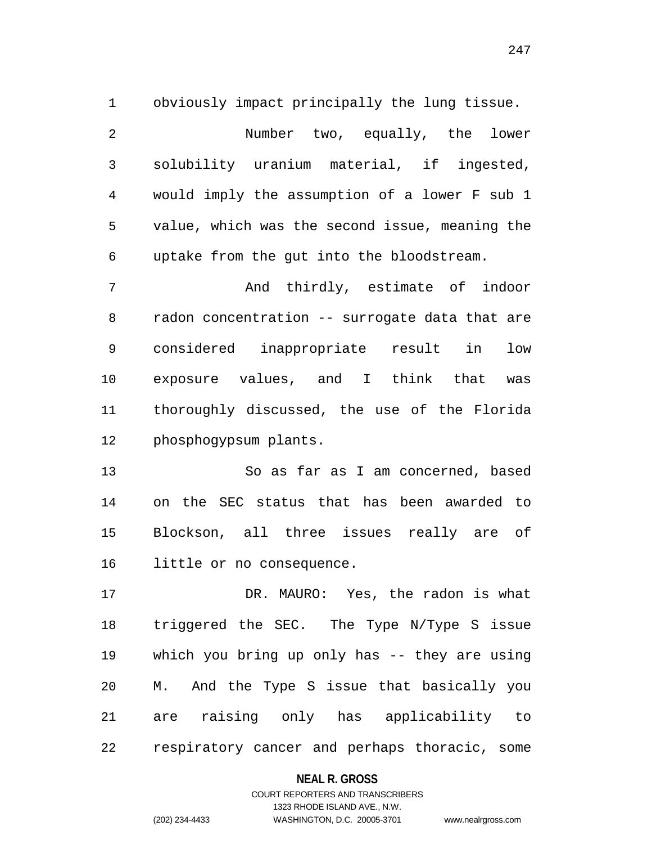obviously impact principally the lung tissue. Number two, equally, the lower solubility uranium material, if ingested, would imply the assumption of a lower F sub 1 value, which was the second issue, meaning the uptake from the gut into the bloodstream. And thirdly, estimate of indoor

 radon concentration -- surrogate data that are considered inappropriate result in low exposure values, and I think that was thoroughly discussed, the use of the Florida phosphogypsum plants.

 So as far as I am concerned, based on the SEC status that has been awarded to Blockson, all three issues really are of little or no consequence.

 DR. MAURO: Yes, the radon is what triggered the SEC. The Type N/Type S issue which you bring up only has -- they are using M. And the Type S issue that basically you are raising only has applicability to respiratory cancer and perhaps thoracic, some

#### **NEAL R. GROSS**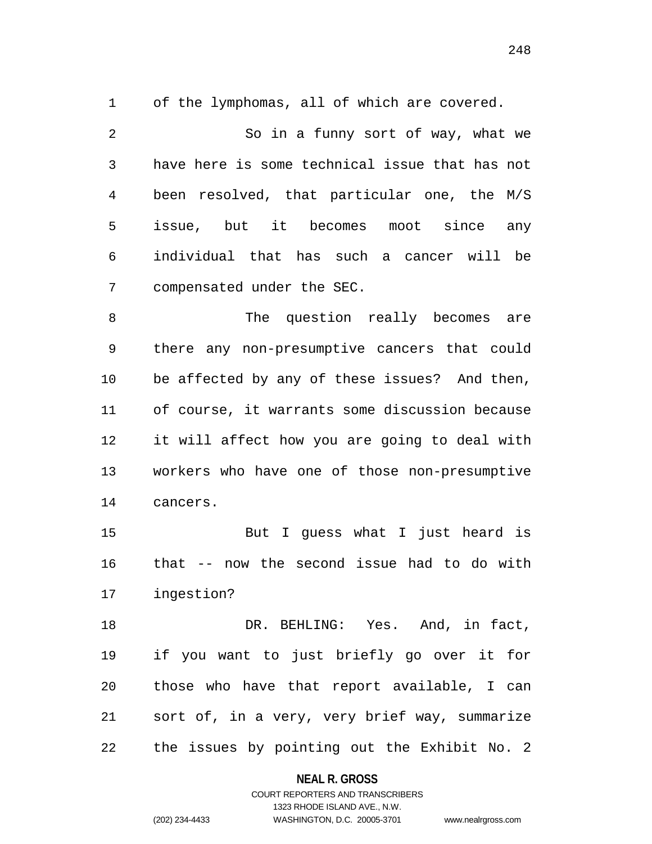of the lymphomas, all of which are covered.

 So in a funny sort of way, what we have here is some technical issue that has not been resolved, that particular one, the M/S issue, but it becomes moot since any individual that has such a cancer will be compensated under the SEC.

8 The question really becomes are there any non-presumptive cancers that could be affected by any of these issues? And then, of course, it warrants some discussion because it will affect how you are going to deal with workers who have one of those non-presumptive cancers.

 But I guess what I just heard is that -- now the second issue had to do with ingestion?

 DR. BEHLING: Yes. And, in fact, if you want to just briefly go over it for those who have that report available, I can sort of, in a very, very brief way, summarize the issues by pointing out the Exhibit No. 2

#### **NEAL R. GROSS**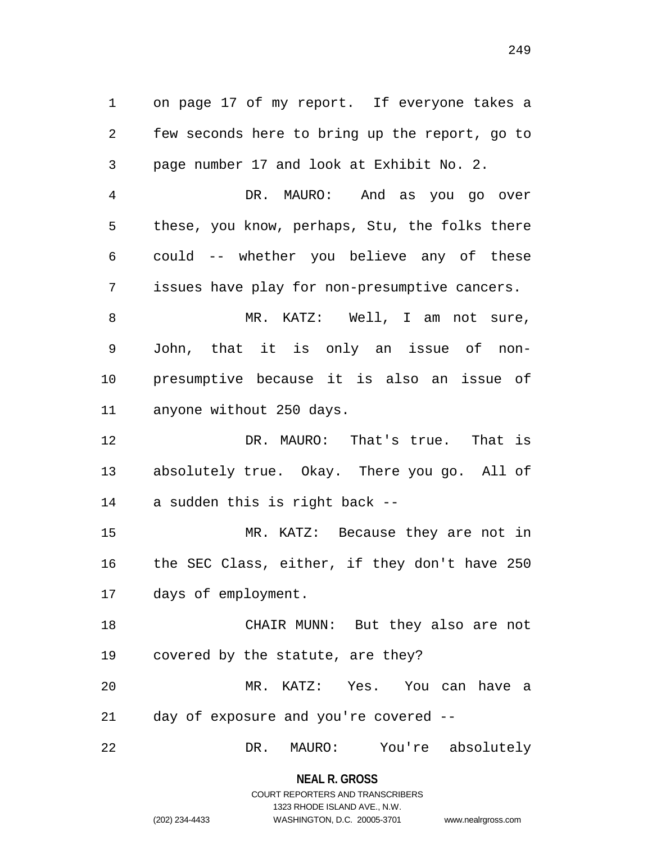on page 17 of my report. If everyone takes a few seconds here to bring up the report, go to page number 17 and look at Exhibit No. 2.

 DR. MAURO: And as you go over these, you know, perhaps, Stu, the folks there could -- whether you believe any of these issues have play for non-presumptive cancers.

8 MR. KATZ: Well, I am not sure, John, that it is only an issue of non- presumptive because it is also an issue of anyone without 250 days.

 DR. MAURO: That's true. That is absolutely true. Okay. There you go. All of a sudden this is right back --

 MR. KATZ: Because they are not in the SEC Class, either, if they don't have 250 days of employment.

 CHAIR MUNN: But they also are not covered by the statute, are they? MR. KATZ: Yes. You can have a

day of exposure and you're covered --

DR. MAURO: You're absolutely

**NEAL R. GROSS**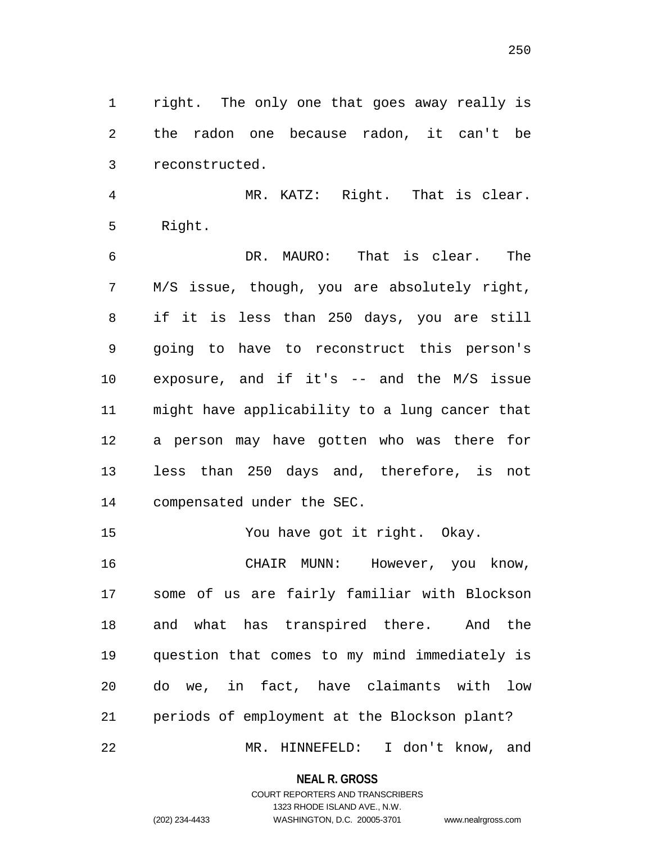right. The only one that goes away really is the radon one because radon, it can't be reconstructed.

 MR. KATZ: Right. That is clear. Right.

 DR. MAURO: That is clear. The M/S issue, though, you are absolutely right, if it is less than 250 days, you are still going to have to reconstruct this person's exposure, and if it's -- and the M/S issue might have applicability to a lung cancer that a person may have gotten who was there for less than 250 days and, therefore, is not compensated under the SEC.

You have got it right. Okay.

 CHAIR MUNN: However, you know, some of us are fairly familiar with Blockson and what has transpired there. And the question that comes to my mind immediately is do we, in fact, have claimants with low periods of employment at the Blockson plant? MR. HINNEFELD: I don't know, and

**NEAL R. GROSS**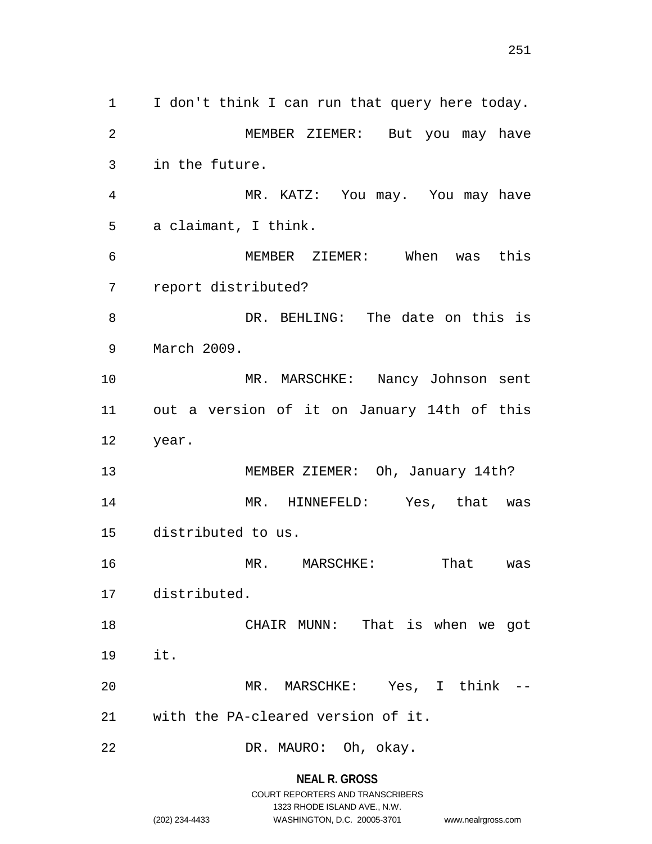I don't think I can run that query here today. MEMBER ZIEMER: But you may have in the future. MR. KATZ: You may. You may have a claimant, I think. MEMBER ZIEMER: When was this report distributed? DR. BEHLING: The date on this is March 2009. MR. MARSCHKE: Nancy Johnson sent out a version of it on January 14th of this year. MEMBER ZIEMER: Oh, January 14th? MR. HINNEFELD: Yes, that was distributed to us. 16 MR. MARSCHKE: That was distributed. CHAIR MUNN: That is when we got it. MR. MARSCHKE: Yes, I think -- with the PA-cleared version of it. DR. MAURO: Oh, okay.

**NEAL R. GROSS**

# COURT REPORTERS AND TRANSCRIBERS 1323 RHODE ISLAND AVE., N.W. (202) 234-4433 WASHINGTON, D.C. 20005-3701 www.nealrgross.com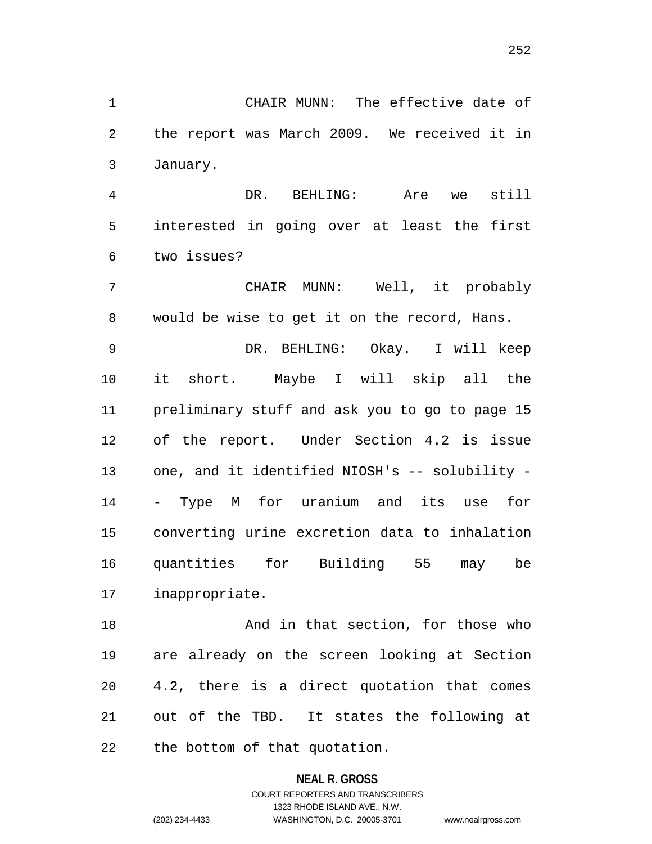CHAIR MUNN: The effective date of the report was March 2009. We received it in January.

 DR. BEHLING: Are we still interested in going over at least the first two issues?

 CHAIR MUNN: Well, it probably would be wise to get it on the record, Hans.

 DR. BEHLING: Okay. I will keep it short. Maybe I will skip all the preliminary stuff and ask you to go to page 15 of the report. Under Section 4.2 is issue one, and it identified NIOSH's -- solubility - - Type M for uranium and its use for converting urine excretion data to inhalation quantities for Building 55 may be inappropriate.

18 And in that section, for those who are already on the screen looking at Section 4.2, there is a direct quotation that comes out of the TBD. It states the following at the bottom of that quotation.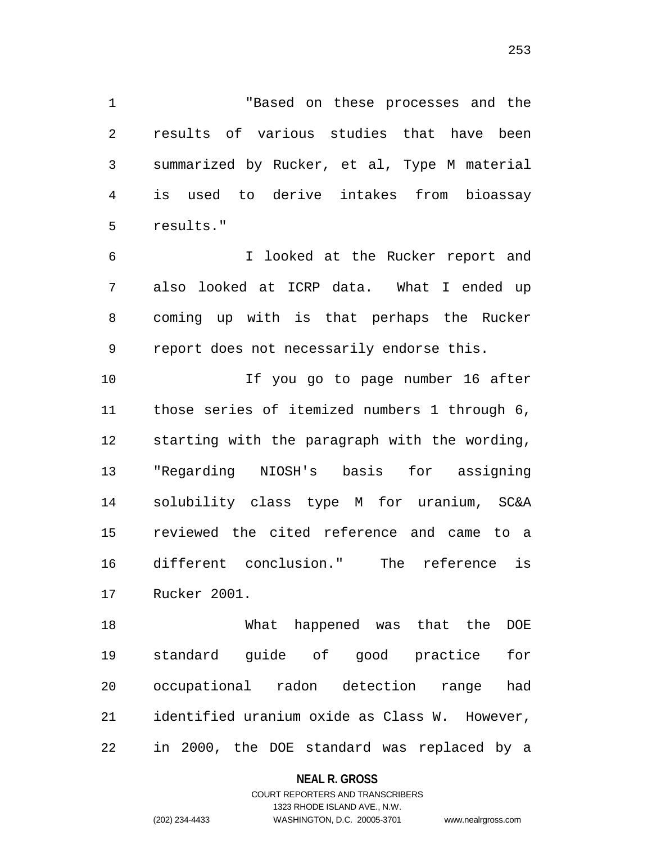"Based on these processes and the results of various studies that have been summarized by Rucker, et al, Type M material is used to derive intakes from bioassay results."

 I looked at the Rucker report and also looked at ICRP data. What I ended up coming up with is that perhaps the Rucker report does not necessarily endorse this.

 If you go to page number 16 after those series of itemized numbers 1 through 6, starting with the paragraph with the wording, "Regarding NIOSH's basis for assigning solubility class type M for uranium, SC&A reviewed the cited reference and came to a different conclusion." The reference is Rucker 2001.

 What happened was that the DOE standard guide of good practice for occupational radon detection range had identified uranium oxide as Class W. However, in 2000, the DOE standard was replaced by a

## **NEAL R. GROSS**

# COURT REPORTERS AND TRANSCRIBERS 1323 RHODE ISLAND AVE., N.W. (202) 234-4433 WASHINGTON, D.C. 20005-3701 www.nealrgross.com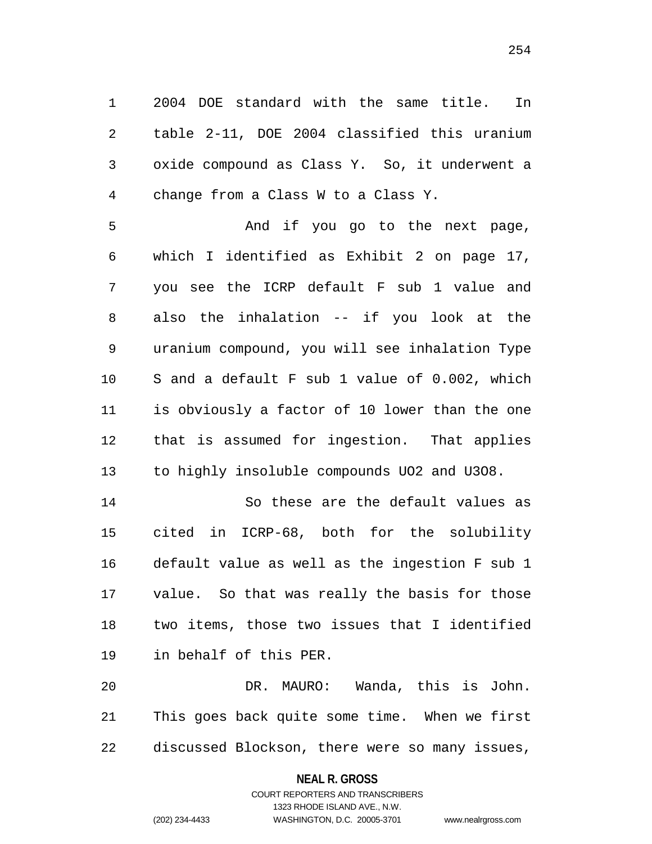2004 DOE standard with the same title. In table 2-11, DOE 2004 classified this uranium oxide compound as Class Y. So, it underwent a change from a Class W to a Class Y.

 And if you go to the next page, which I identified as Exhibit 2 on page 17, you see the ICRP default F sub 1 value and also the inhalation -- if you look at the uranium compound, you will see inhalation Type S and a default F sub 1 value of 0.002, which is obviously a factor of 10 lower than the one that is assumed for ingestion. That applies to highly insoluble compounds UO2 and U3O8.

 So these are the default values as cited in ICRP-68, both for the solubility default value as well as the ingestion F sub 1 value. So that was really the basis for those two items, those two issues that I identified in behalf of this PER.

 DR. MAURO: Wanda, this is John. This goes back quite some time. When we first discussed Blockson, there were so many issues,

> **NEAL R. GROSS** COURT REPORTERS AND TRANSCRIBERS

> > 1323 RHODE ISLAND AVE., N.W.

(202) 234-4433 WASHINGTON, D.C. 20005-3701 www.nealrgross.com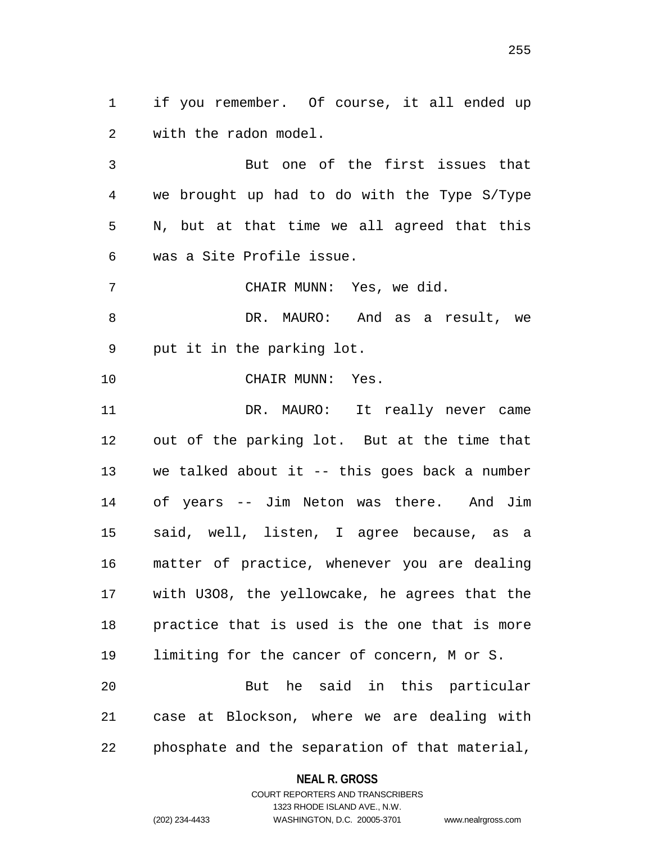if you remember. Of course, it all ended up with the radon model.

 But one of the first issues that we brought up had to do with the Type S/Type N, but at that time we all agreed that this was a Site Profile issue.

CHAIR MUNN: Yes, we did.

8 DR. MAURO: And as a result, we put it in the parking lot.

CHAIR MUNN: Yes.

 DR. MAURO: It really never came out of the parking lot. But at the time that we talked about it -- this goes back a number of years -- Jim Neton was there. And Jim said, well, listen, I agree because, as a matter of practice, whenever you are dealing with U3O8, the yellowcake, he agrees that the practice that is used is the one that is more limiting for the cancer of concern, M or S. But he said in this particular case at Blockson, where we are dealing with

phosphate and the separation of that material,

**NEAL R. GROSS**

COURT REPORTERS AND TRANSCRIBERS 1323 RHODE ISLAND AVE., N.W. (202) 234-4433 WASHINGTON, D.C. 20005-3701 www.nealrgross.com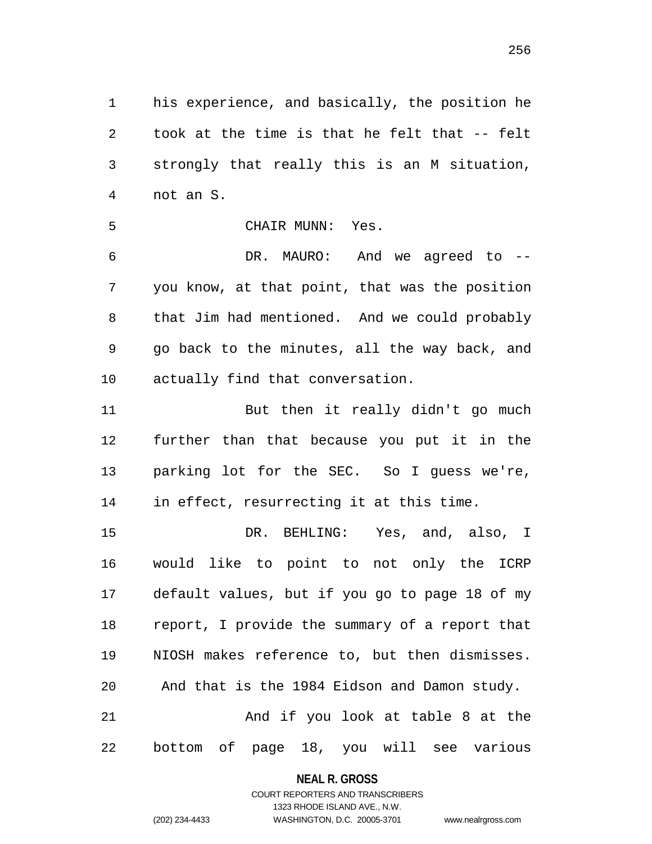his experience, and basically, the position he took at the time is that he felt that -- felt strongly that really this is an M situation, not an S.

CHAIR MUNN: Yes.

 DR. MAURO: And we agreed to -- you know, at that point, that was the position that Jim had mentioned. And we could probably go back to the minutes, all the way back, and actually find that conversation.

11 But then it really didn't go much further than that because you put it in the parking lot for the SEC. So I guess we're, in effect, resurrecting it at this time.

 DR. BEHLING: Yes, and, also, I would like to point to not only the ICRP default values, but if you go to page 18 of my report, I provide the summary of a report that NIOSH makes reference to, but then dismisses. And that is the 1984 Eidson and Damon study. And if you look at table 8 at the

bottom of page 18, you will see various

## **NEAL R. GROSS**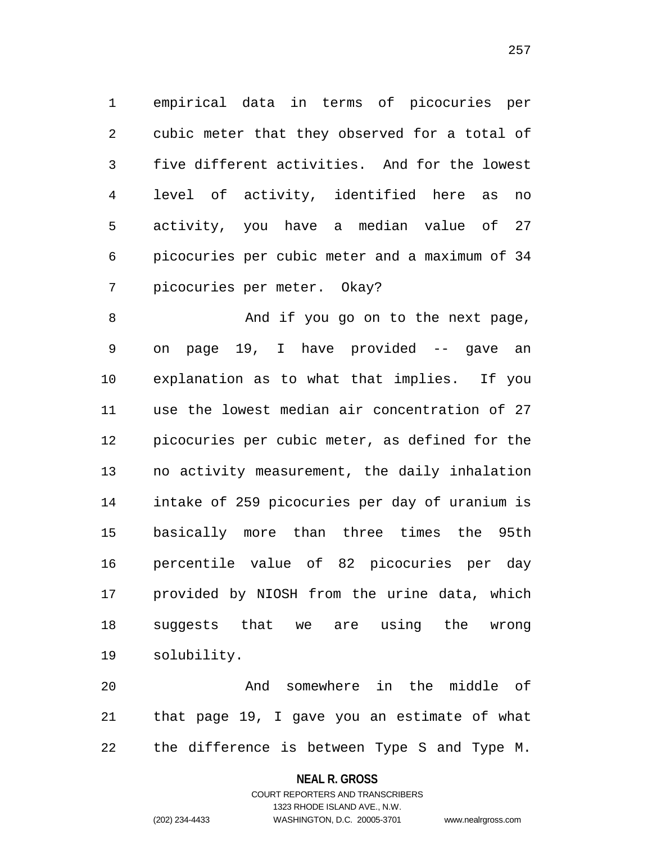empirical data in terms of picocuries per cubic meter that they observed for a total of five different activities. And for the lowest level of activity, identified here as no activity, you have a median value of 27 picocuries per cubic meter and a maximum of 34 picocuries per meter. Okay?

8 And if you go on to the next page, on page 19, I have provided -- gave an explanation as to what that implies. If you use the lowest median air concentration of 27 picocuries per cubic meter, as defined for the no activity measurement, the daily inhalation intake of 259 picocuries per day of uranium is basically more than three times the 95th percentile value of 82 picocuries per day provided by NIOSH from the urine data, which suggests that we are using the wrong solubility.

 And somewhere in the middle of that page 19, I gave you an estimate of what the difference is between Type S and Type M.

## **NEAL R. GROSS**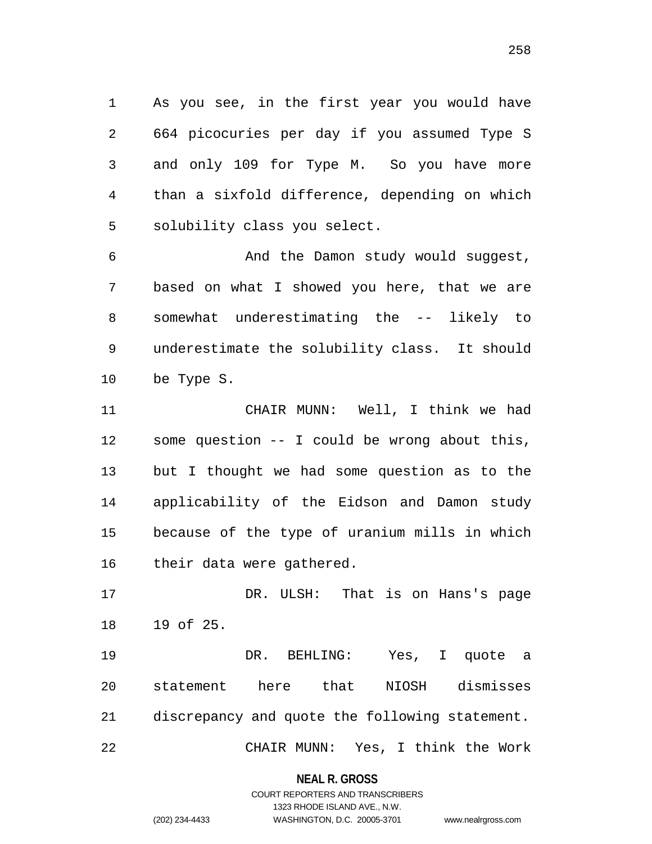As you see, in the first year you would have 664 picocuries per day if you assumed Type S and only 109 for Type M. So you have more than a sixfold difference, depending on which solubility class you select.

 And the Damon study would suggest, based on what I showed you here, that we are somewhat underestimating the -- likely to underestimate the solubility class. It should be Type S.

 CHAIR MUNN: Well, I think we had some question -- I could be wrong about this, but I thought we had some question as to the applicability of the Eidson and Damon study because of the type of uranium mills in which their data were gathered.

 DR. ULSH: That is on Hans's page 19 of 25.

 DR. BEHLING: Yes, I quote a statement here that NIOSH dismisses discrepancy and quote the following statement. CHAIR MUNN: Yes, I think the Work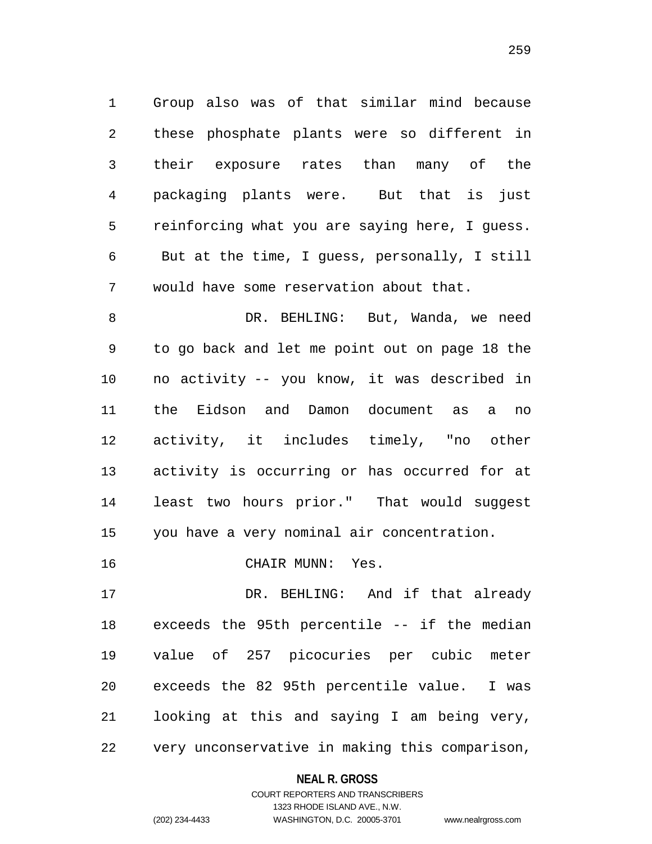Group also was of that similar mind because these phosphate plants were so different in their exposure rates than many of the packaging plants were. But that is just reinforcing what you are saying here, I guess. But at the time, I guess, personally, I still would have some reservation about that.

 DR. BEHLING: But, Wanda, we need to go back and let me point out on page 18 the no activity -- you know, it was described in the Eidson and Damon document as a no activity, it includes timely, "no other activity is occurring or has occurred for at least two hours prior." That would suggest you have a very nominal air concentration.

CHAIR MUNN: Yes.

 DR. BEHLING: And if that already exceeds the 95th percentile -- if the median value of 257 picocuries per cubic meter exceeds the 82 95th percentile value. I was looking at this and saying I am being very, very unconservative in making this comparison,

## **NEAL R. GROSS**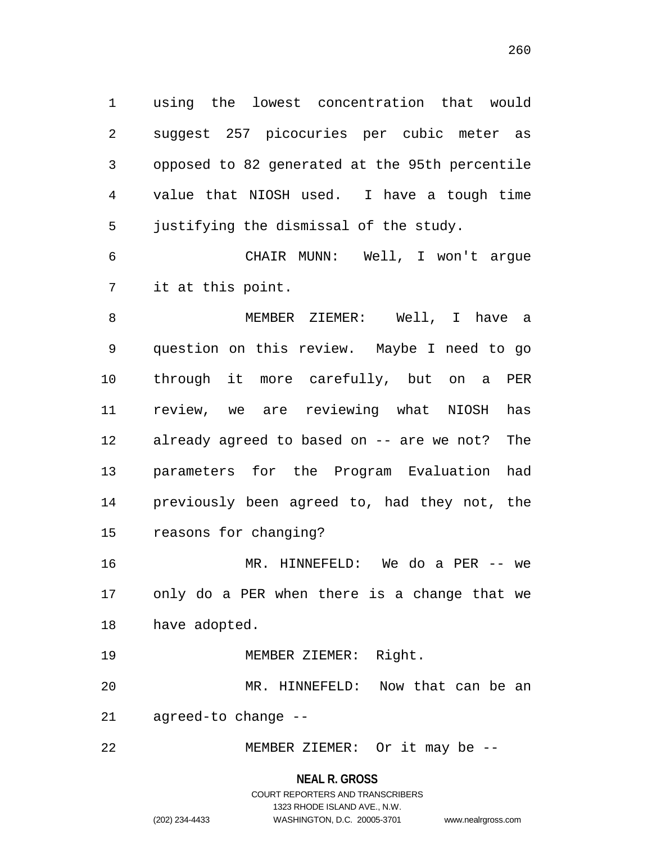using the lowest concentration that would suggest 257 picocuries per cubic meter as opposed to 82 generated at the 95th percentile value that NIOSH used. I have a tough time justifying the dismissal of the study.

 CHAIR MUNN: Well, I won't argue it at this point.

 MEMBER ZIEMER: Well, I have a question on this review. Maybe I need to go through it more carefully, but on a PER review, we are reviewing what NIOSH has already agreed to based on -- are we not? The parameters for the Program Evaluation had previously been agreed to, had they not, the reasons for changing?

 MR. HINNEFELD: We do a PER -- we only do a PER when there is a change that we have adopted.

MEMBER ZIEMER: Right.

 MR. HINNEFELD: Now that can be an agreed-to change --

MEMBER ZIEMER: Or it may be --

## **NEAL R. GROSS**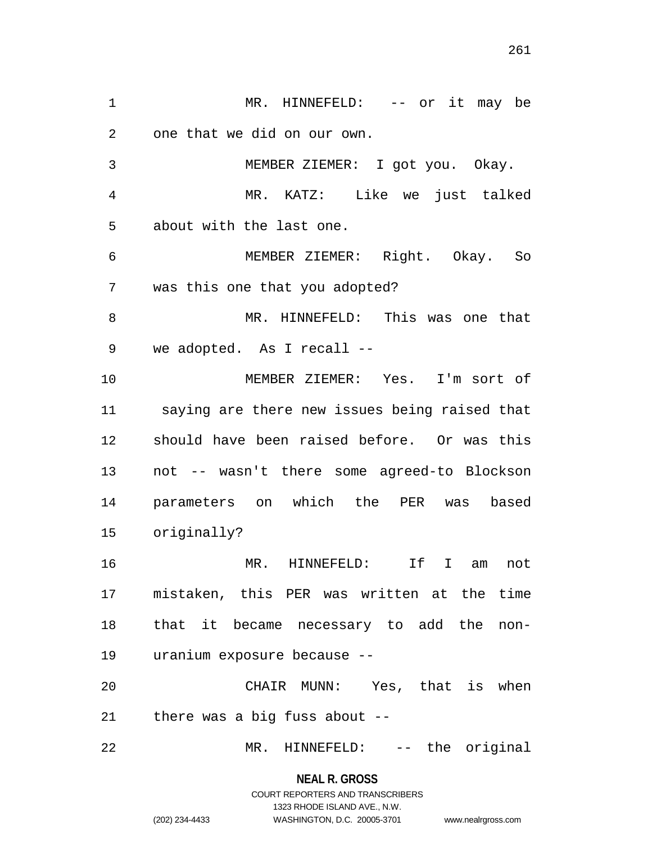MR. HINNEFELD: -- or it may be one that we did on our own. MEMBER ZIEMER: I got you. Okay. MR. KATZ: Like we just talked about with the last one. MEMBER ZIEMER: Right. Okay. So was this one that you adopted? MR. HINNEFELD: This was one that we adopted. As I recall -- MEMBER ZIEMER: Yes. I'm sort of saying are there new issues being raised that should have been raised before. Or was this not -- wasn't there some agreed-to Blockson parameters on which the PER was based originally? MR. HINNEFELD: If I am not mistaken, this PER was written at the time that it became necessary to add the non- uranium exposure because -- CHAIR MUNN: Yes, that is when there was a big fuss about -- MR. HINNEFELD: -- the original

**NEAL R. GROSS**

# COURT REPORTERS AND TRANSCRIBERS 1323 RHODE ISLAND AVE., N.W. (202) 234-4433 WASHINGTON, D.C. 20005-3701 www.nealrgross.com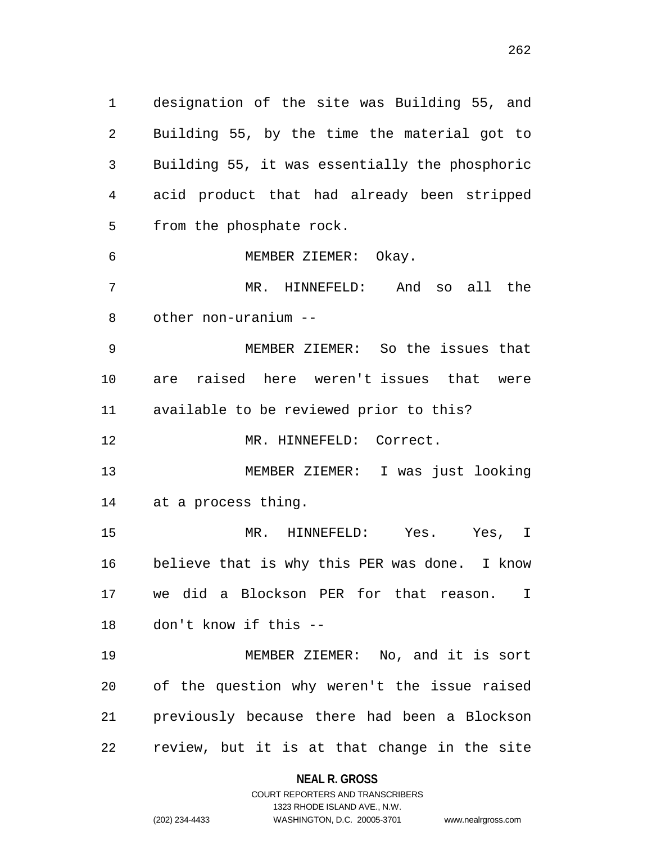designation of the site was Building 55, and Building 55, by the time the material got to Building 55, it was essentially the phosphoric acid product that had already been stripped from the phosphate rock. MEMBER ZIEMER: Okay. MR. HINNEFELD: And so all the other non-uranium -- MEMBER ZIEMER: So the issues that are raised here weren't issues that were available to be reviewed prior to this? 12 MR. HINNEFELD: Correct. MEMBER ZIEMER: I was just looking at a process thing. MR. HINNEFELD: Yes. Yes, I believe that is why this PER was done. I know we did a Blockson PER for that reason. I don't know if this -- MEMBER ZIEMER: No, and it is sort of the question why weren't the issue raised previously because there had been a Blockson

> **NEAL R. GROSS** COURT REPORTERS AND TRANSCRIBERS

review, but it is at that change in the site

1323 RHODE ISLAND AVE., N.W.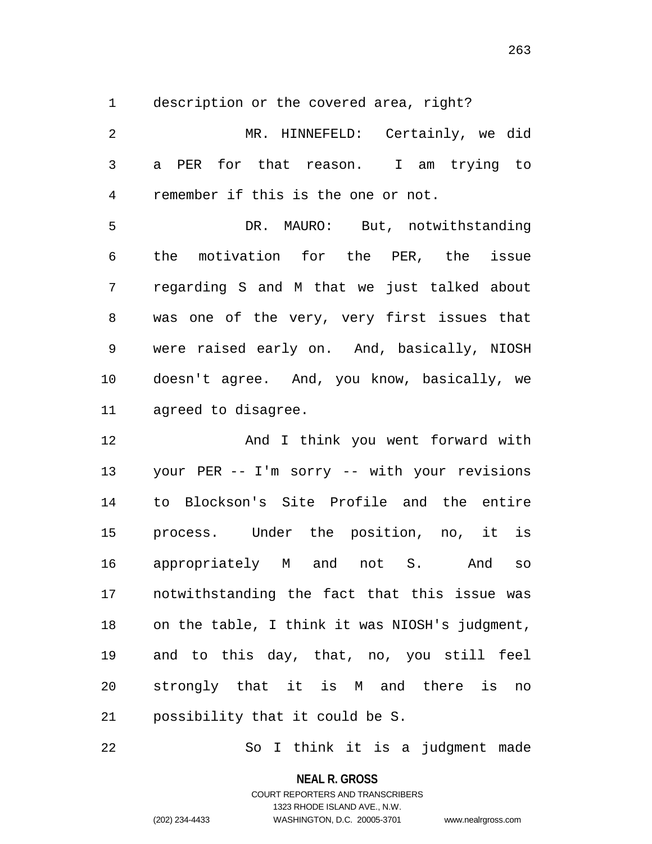description or the covered area, right?

 MR. HINNEFELD: Certainly, we did a PER for that reason. I am trying to remember if this is the one or not. DR. MAURO: But, notwithstanding the motivation for the PER, the issue regarding S and M that we just talked about was one of the very, very first issues that were raised early on. And, basically, NIOSH doesn't agree. And, you know, basically, we agreed to disagree. And I think you went forward with

 your PER -- I'm sorry -- with your revisions to Blockson's Site Profile and the entire process. Under the position, no, it is appropriately M and not S. And so notwithstanding the fact that this issue was on the table, I think it was NIOSH's judgment, and to this day, that, no, you still feel strongly that it is M and there is no possibility that it could be S.

So I think it is a judgment made

**NEAL R. GROSS**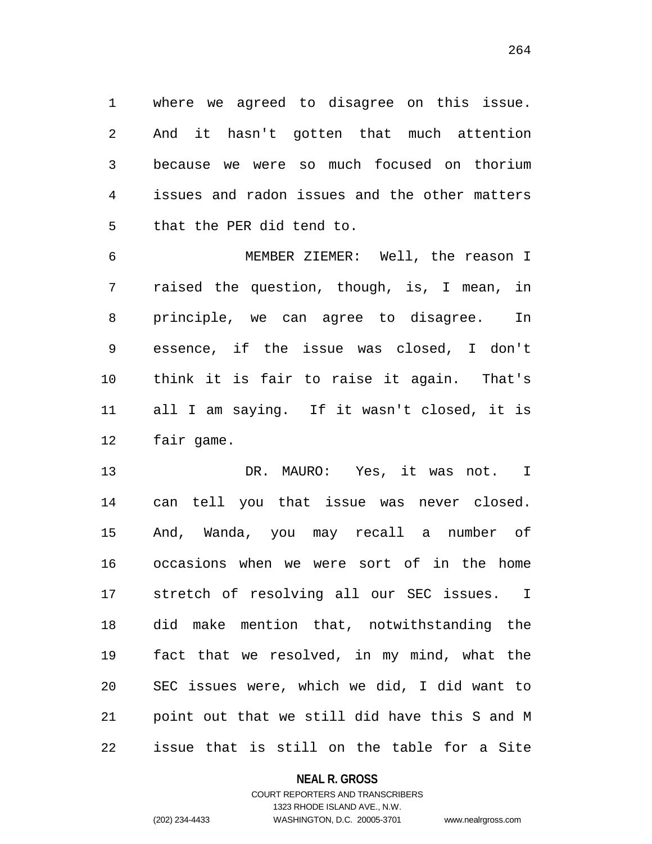where we agreed to disagree on this issue. And it hasn't gotten that much attention because we were so much focused on thorium issues and radon issues and the other matters that the PER did tend to.

 MEMBER ZIEMER: Well, the reason I raised the question, though, is, I mean, in principle, we can agree to disagree. In essence, if the issue was closed, I don't think it is fair to raise it again. That's all I am saying. If it wasn't closed, it is fair game.

 DR. MAURO: Yes, it was not. I can tell you that issue was never closed. And, Wanda, you may recall a number of occasions when we were sort of in the home stretch of resolving all our SEC issues. I did make mention that, notwithstanding the fact that we resolved, in my mind, what the SEC issues were, which we did, I did want to point out that we still did have this S and M issue that is still on the table for a Site

**NEAL R. GROSS**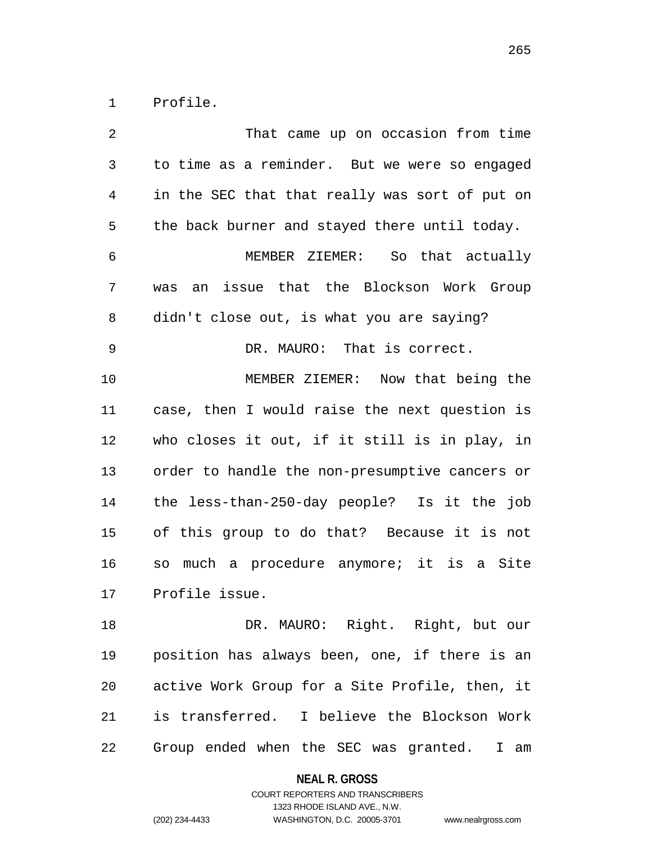Profile.

| $\sqrt{2}$ | That came up on occasion from time             |
|------------|------------------------------------------------|
| 3          | to time as a reminder. But we were so engaged  |
| 4          | in the SEC that that really was sort of put on |
| 5          | the back burner and stayed there until today.  |
| 6          | MEMBER ZIEMER: So that actually                |
| 7          | an issue that the Blockson Work Group<br>was   |
| 8          | didn't close out, is what you are saying?      |
| 9          | DR. MAURO: That is correct.                    |
| 10         | MEMBER ZIEMER: Now that being the              |
| 11         | case, then I would raise the next question is  |
| 12         | who closes it out, if it still is in play, in  |
| 13         | order to handle the non-presumptive cancers or |
| 14         | the less-than-250-day people? Is it the job    |
| 15         | of this group to do that? Because it is not    |
| 16         | so much a procedure anymore; it is a Site      |
| 17         | Profile issue.                                 |
| 18         | DR. MAURO: Right. Right, but our               |
| 19         | position has always been, one, if there is an  |
| 20         | active Work Group for a Site Profile, then, it |
| 21         | is transferred. I believe the Blockson Work    |
| 22         | Group ended when the SEC was granted.<br>I am  |

**NEAL R. GROSS**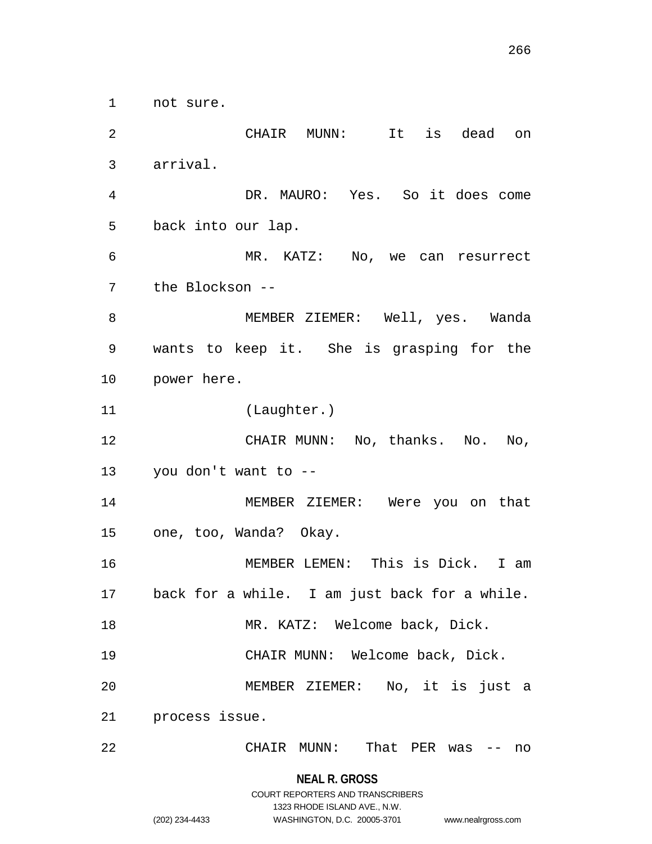not sure.

 CHAIR MUNN: It is dead on arrival. DR. MAURO: Yes. So it does come back into our lap. MR. KATZ: No, we can resurrect the Blockson -- MEMBER ZIEMER: Well, yes. Wanda wants to keep it. She is grasping for the power here. (Laughter.) CHAIR MUNN: No, thanks. No. No, you don't want to -- MEMBER ZIEMER: Were you on that one, too, Wanda? Okay. MEMBER LEMEN: This is Dick. I am back for a while. I am just back for a while. 18 MR. KATZ: Welcome back, Dick. CHAIR MUNN: Welcome back, Dick. MEMBER ZIEMER: No, it is just a process issue. CHAIR MUNN: That PER was -- no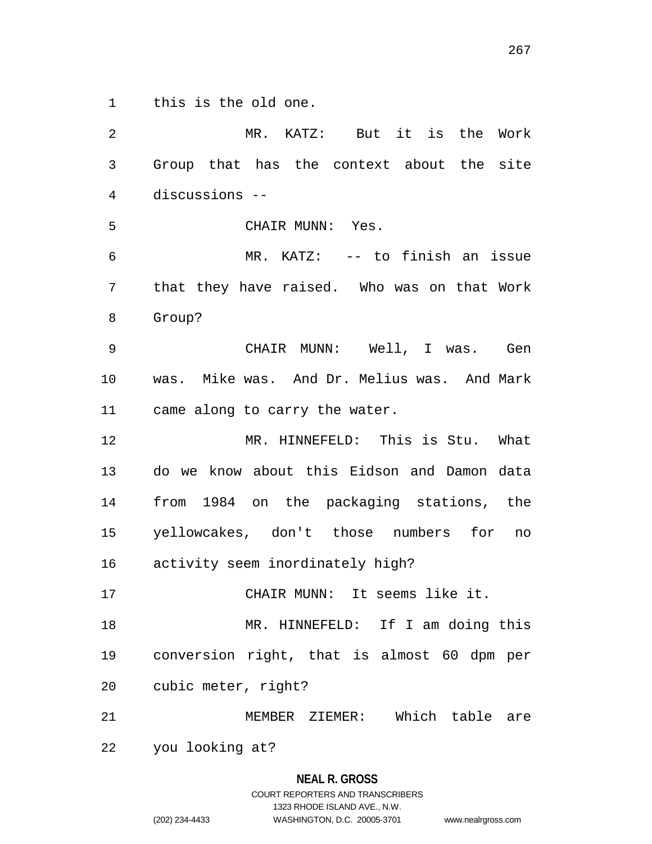this is the old one.

 MR. KATZ: But it is the Work Group that has the context about the site discussions -- CHAIR MUNN: Yes. MR. KATZ: -- to finish an issue that they have raised. Who was on that Work Group? CHAIR MUNN: Well, I was. Gen was. Mike was. And Dr. Melius was. And Mark came along to carry the water. MR. HINNEFELD: This is Stu. What do we know about this Eidson and Damon data from 1984 on the packaging stations, the yellowcakes, don't those numbers for no activity seem inordinately high? CHAIR MUNN: It seems like it. MR. HINNEFELD: If I am doing this conversion right, that is almost 60 dpm per cubic meter, right? MEMBER ZIEMER: Which table are you looking at?

## **NEAL R. GROSS**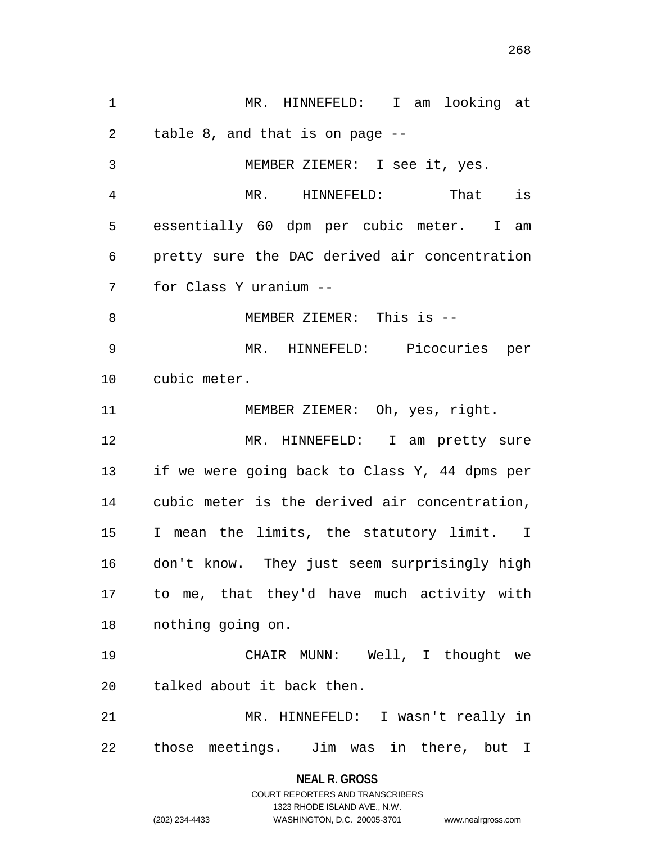MR. HINNEFELD: I am looking at table 8, and that is on page -- MEMBER ZIEMER: I see it, yes. MR. HINNEFELD: That is essentially 60 dpm per cubic meter. I am pretty sure the DAC derived air concentration for Class Y uranium -- MEMBER ZIEMER: This is -- MR. HINNEFELD: Picocuries per cubic meter. 11 MEMBER ZIEMER: Oh, yes, right. MR. HINNEFELD: I am pretty sure if we were going back to Class Y, 44 dpms per cubic meter is the derived air concentration, I mean the limits, the statutory limit. I don't know. They just seem surprisingly high to me, that they'd have much activity with nothing going on. CHAIR MUNN: Well, I thought we talked about it back then. MR. HINNEFELD: I wasn't really in those meetings. Jim was in there, but I

> **NEAL R. GROSS** COURT REPORTERS AND TRANSCRIBERS

> > 1323 RHODE ISLAND AVE., N.W.

(202) 234-4433 WASHINGTON, D.C. 20005-3701 www.nealrgross.com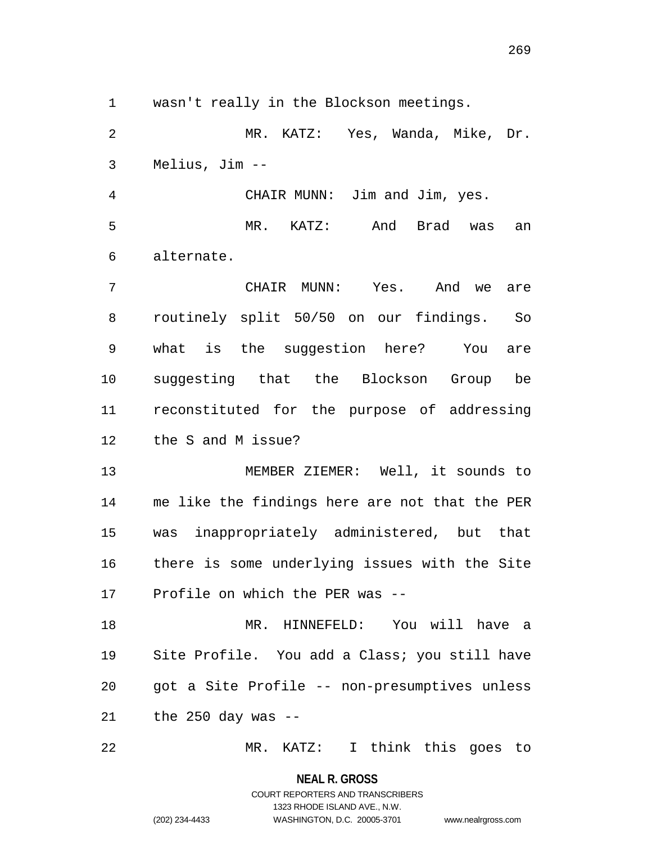wasn't really in the Blockson meetings.

 MR. KATZ: Yes, Wanda, Mike, Dr. Melius, Jim --

 CHAIR MUNN: Jim and Jim, yes. MR. KATZ: And Brad was an alternate.

 CHAIR MUNN: Yes. And we are routinely split 50/50 on our findings. So what is the suggestion here? You are suggesting that the Blockson Group be reconstituted for the purpose of addressing the S and M issue?

 MEMBER ZIEMER: Well, it sounds to me like the findings here are not that the PER was inappropriately administered, but that there is some underlying issues with the Site Profile on which the PER was --

 MR. HINNEFELD: You will have a Site Profile. You add a Class; you still have got a Site Profile -- non-presumptives unless the 250 day was --

MR. KATZ: I think this goes to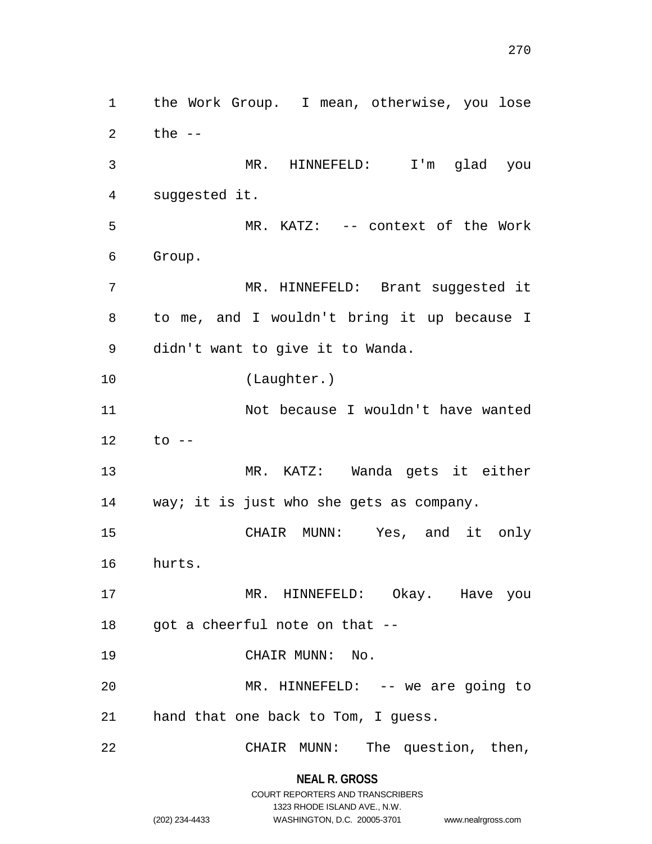the Work Group. I mean, otherwise, you lose the -- MR. HINNEFELD: I'm glad you suggested it. MR. KATZ: -- context of the Work Group. MR. HINNEFELD: Brant suggested it to me, and I wouldn't bring it up because I didn't want to give it to Wanda. (Laughter.) Not because I wouldn't have wanted to -- MR. KATZ: Wanda gets it either 14 way; it is just who she gets as company. CHAIR MUNN: Yes, and it only hurts. MR. HINNEFELD: Okay. Have you got a cheerful note on that -- 19 CHAIR MUNN: No. MR. HINNEFELD: -- we are going to hand that one back to Tom, I guess. CHAIR MUNN: The question, then,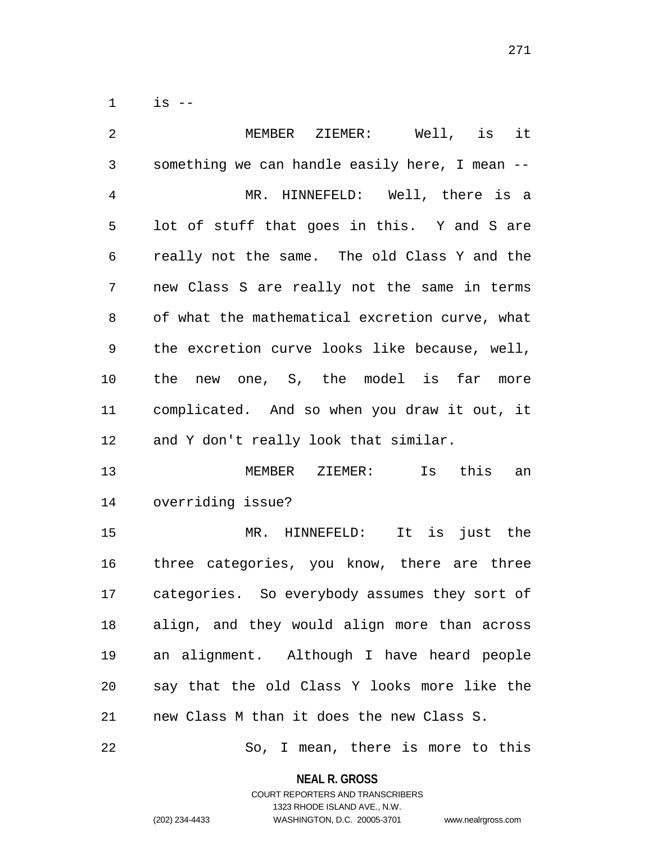is --

| 2              | MEMBER ZIEMER: Well, is it                     |
|----------------|------------------------------------------------|
| $\mathfrak{Z}$ | something we can handle easily here, I mean -- |
| $\overline{4}$ | MR. HINNEFELD: Well, there is a                |
| 5              | lot of stuff that goes in this. Y and S are    |
| 6              | really not the same. The old Class Y and the   |
| 7              | new Class S are really not the same in terms   |
| 8              | of what the mathematical excretion curve, what |
| 9              | the excretion curve looks like because, well,  |
| 10             | new one, S, the model is far more<br>the       |
| 11             | complicated. And so when you draw it out, it   |
| 12             | and Y don't really look that similar.          |
| 13             | MEMBER ZIEMER: Is this<br>an                   |
| 14             | overriding issue?                              |
| 15             | MR. HINNEFELD: It is just the                  |
| 16             | three categories, you know, there are three    |
| 17             | categories. So everybody assumes they sort of  |
| 18             | align, and they would align more than across   |
| 19             | an alignment. Although I have heard people     |
| 20             | say that the old Class Y looks more like the   |
| 21             | new Class M than it does the new Class S.      |

So, I mean, there is more to this

**NEAL R. GROSS** COURT REPORTERS AND TRANSCRIBERS

1323 RHODE ISLAND AVE., N.W.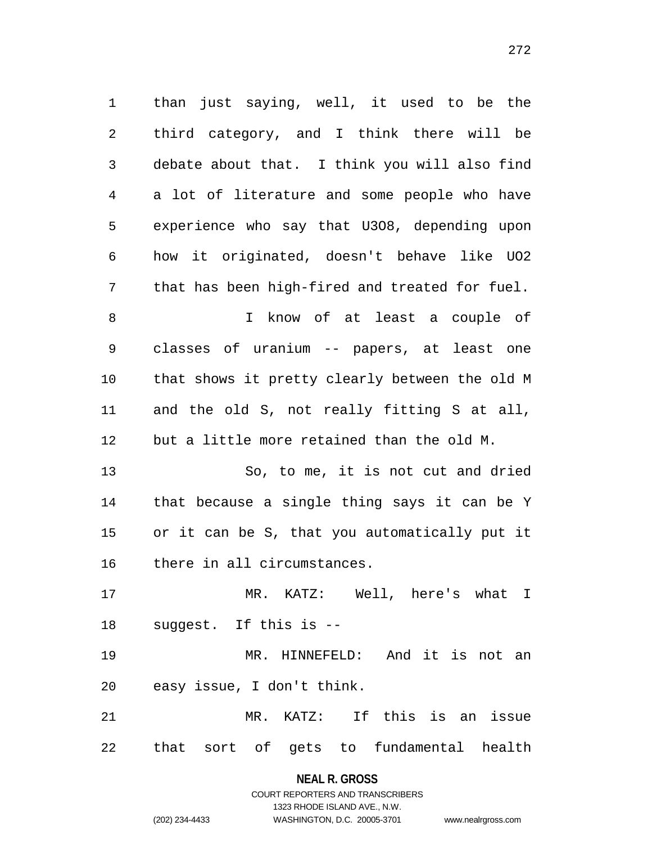than just saying, well, it used to be the third category, and I think there will be debate about that. I think you will also find a lot of literature and some people who have experience who say that U3O8, depending upon how it originated, doesn't behave like UO2 that has been high-fired and treated for fuel. I know of at least a couple of classes of uranium -- papers, at least one that shows it pretty clearly between the old M and the old S, not really fitting S at all, but a little more retained than the old M. So, to me, it is not cut and dried that because a single thing says it can be Y or it can be S, that you automatically put it there in all circumstances. MR. KATZ: Well, here's what I suggest. If this is -- MR. HINNEFELD: And it is not an easy issue, I don't think. MR. KATZ: If this is an issue

that sort of gets to fundamental health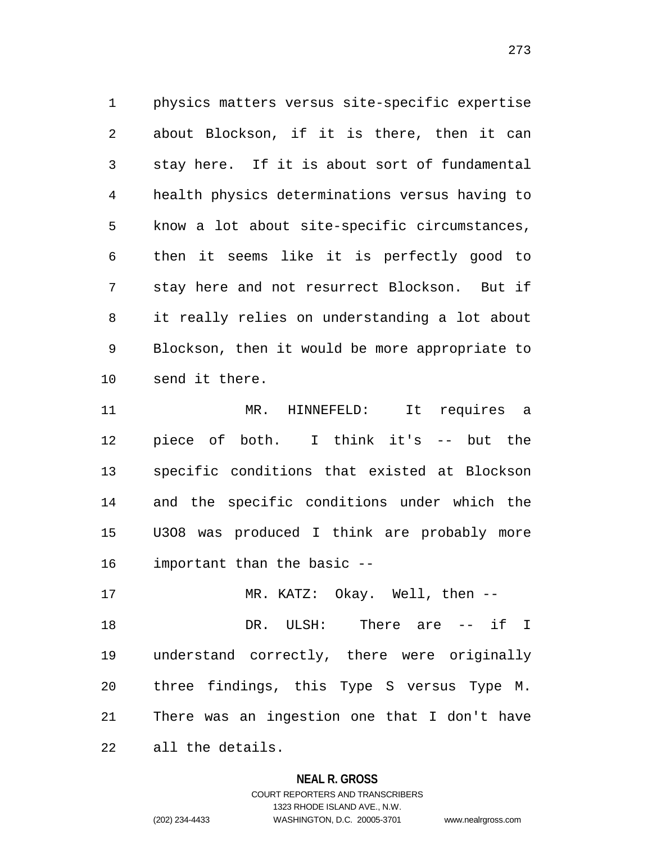physics matters versus site-specific expertise about Blockson, if it is there, then it can stay here. If it is about sort of fundamental health physics determinations versus having to know a lot about site-specific circumstances, then it seems like it is perfectly good to stay here and not resurrect Blockson. But if it really relies on understanding a lot about Blockson, then it would be more appropriate to send it there.

 MR. HINNEFELD: It requires a piece of both. I think it's -- but the specific conditions that existed at Blockson and the specific conditions under which the U3O8 was produced I think are probably more important than the basic --

 DR. ULSH: There are -- if I understand correctly, there were originally three findings, this Type S versus Type M. There was an ingestion one that I don't have all the details.

MR. KATZ: Okay. Well, then --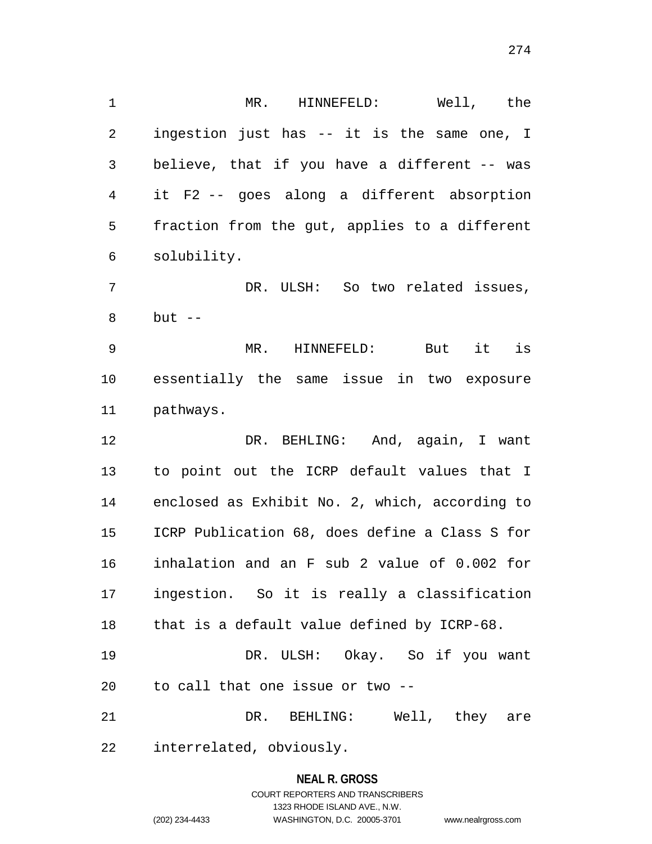MR. HINNEFELD: Well, the ingestion just has -- it is the same one, I believe, that if you have a different -- was it F2 -- goes along a different absorption fraction from the gut, applies to a different solubility.

 DR. ULSH: So two related issues, but --

 MR. HINNEFELD: But it is essentially the same issue in two exposure pathways.

 DR. BEHLING: And, again, I want to point out the ICRP default values that I enclosed as Exhibit No. 2, which, according to ICRP Publication 68, does define a Class S for inhalation and an F sub 2 value of 0.002 for ingestion. So it is really a classification that is a default value defined by ICRP-68.

 DR. ULSH: Okay. So if you want to call that one issue or two --

 DR. BEHLING: Well, they are interrelated, obviously.

# **NEAL R. GROSS** COURT REPORTERS AND TRANSCRIBERS 1323 RHODE ISLAND AVE., N.W.

(202) 234-4433 WASHINGTON, D.C. 20005-3701 www.nealrgross.com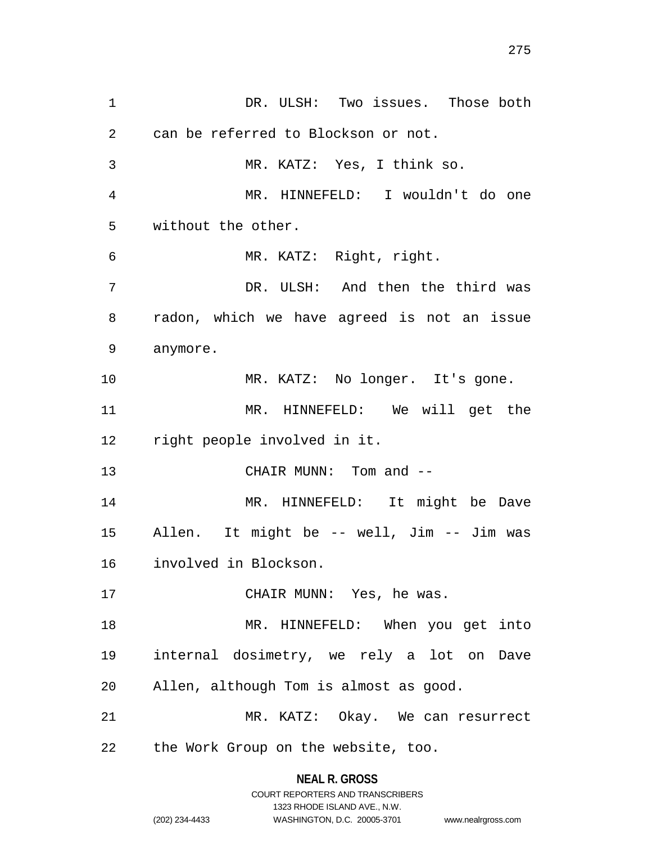DR. ULSH: Two issues. Those both can be referred to Blockson or not. MR. KATZ: Yes, I think so. MR. HINNEFELD: I wouldn't do one without the other. MR. KATZ: Right, right. DR. ULSH: And then the third was radon, which we have agreed is not an issue anymore. MR. KATZ: No longer. It's gone. MR. HINNEFELD: We will get the right people involved in it. 13 CHAIR MUNN: Tom and -- MR. HINNEFELD: It might be Dave Allen. It might be -- well, Jim -- Jim was involved in Blockson. 17 CHAIR MUNN: Yes, he was. MR. HINNEFELD: When you get into internal dosimetry, we rely a lot on Dave Allen, although Tom is almost as good. MR. KATZ: Okay. We can resurrect the Work Group on the website, too.

> **NEAL R. GROSS** COURT REPORTERS AND TRANSCRIBERS

> > 1323 RHODE ISLAND AVE., N.W.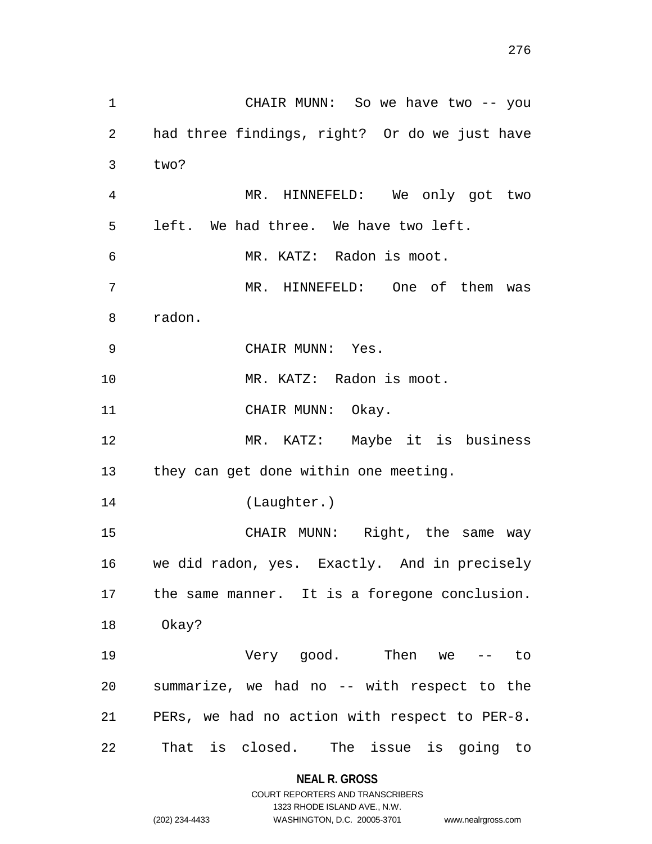| $\mathbf 1$    | CHAIR MUNN: So we have two -- you               |
|----------------|-------------------------------------------------|
| $\overline{2}$ | had three findings, right? Or do we just have   |
| 3              | two?                                            |
| 4              | MR. HINNEFELD: We only got two                  |
| 5              | left. We had three. We have two left.           |
| 6              | MR. KATZ: Radon is moot.                        |
| 7              | MR. HINNEFELD: One of them was                  |
| 8              | radon.                                          |
| $\mathsf 9$    | CHAIR MUNN: Yes.                                |
| 10             | MR. KATZ: Radon is moot.                        |
| 11             | CHAIR MUNN: Okay.                               |
| 12             | MR. KATZ: Maybe it is business                  |
|                | 13 they can get done within one meeting.        |
| 14             | (Laughter.)                                     |
| 15             | CHAIR MUNN: Right, the same way                 |
|                | 16 we did radon, yes. Exactly. And in precisely |
| 17             | the same manner. It is a foregone conclusion.   |
| 18             | Okay?                                           |
| 19             | Very good. Then we -- to                        |
| 20             | summarize, we had no -- with respect to the     |
| 21             | PERs, we had no action with respect to PER-8.   |
| 22             | That is closed. The issue is going to           |

# **NEAL R. GROSS**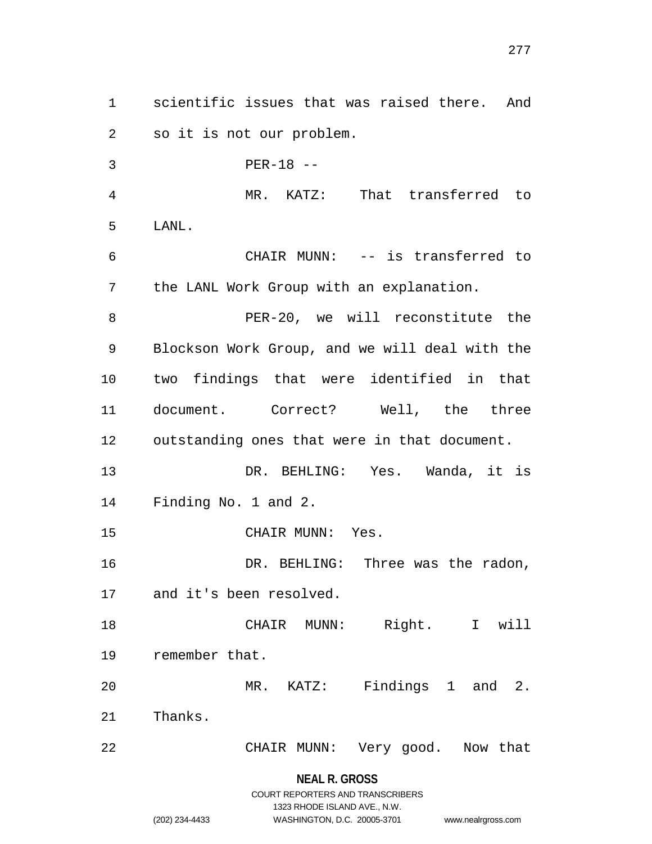scientific issues that was raised there. And so it is not our problem. PER-18 -- MR. KATZ: That transferred to LANL. CHAIR MUNN: -- is transferred to the LANL Work Group with an explanation. PER-20, we will reconstitute the Blockson Work Group, and we will deal with the two findings that were identified in that document. Correct? Well, the three outstanding ones that were in that document. DR. BEHLING: Yes. Wanda, it is Finding No. 1 and 2. CHAIR MUNN: Yes. DR. BEHLING: Three was the radon, and it's been resolved. CHAIR MUNN: Right. I will remember that. MR. KATZ: Findings 1 and 2. Thanks. CHAIR MUNN: Very good. Now that

> **NEAL R. GROSS** COURT REPORTERS AND TRANSCRIBERS

> > 1323 RHODE ISLAND AVE., N.W.

(202) 234-4433 WASHINGTON, D.C. 20005-3701 www.nealrgross.com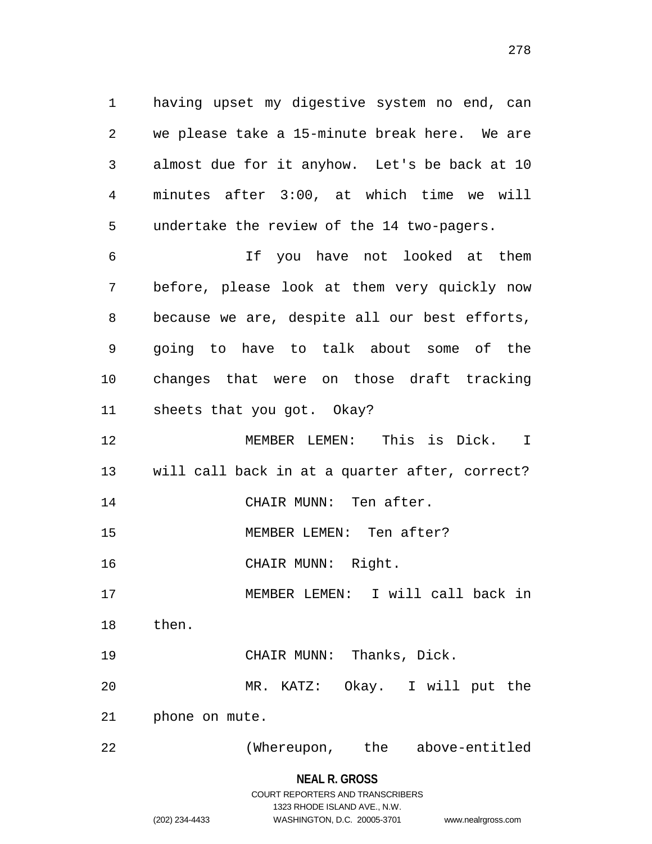having upset my digestive system no end, can we please take a 15-minute break here. We are almost due for it anyhow. Let's be back at 10 minutes after 3:00, at which time we will undertake the review of the 14 two-pagers.

 If you have not looked at them before, please look at them very quickly now because we are, despite all our best efforts, going to have to talk about some of the changes that were on those draft tracking sheets that you got. Okay?

 MEMBER LEMEN: This is Dick. I will call back in at a quarter after, correct? 14 CHAIR MUNN: Ten after.

MEMBER LEMEN: Ten after?

CHAIR MUNN: Right.

MEMBER LEMEN: I will call back in

then.

 CHAIR MUNN: Thanks, Dick. MR. KATZ: Okay. I will put the

phone on mute.

(Whereupon, the above-entitled

**NEAL R. GROSS** COURT REPORTERS AND TRANSCRIBERS 1323 RHODE ISLAND AVE., N.W.

(202) 234-4433 WASHINGTON, D.C. 20005-3701 www.nealrgross.com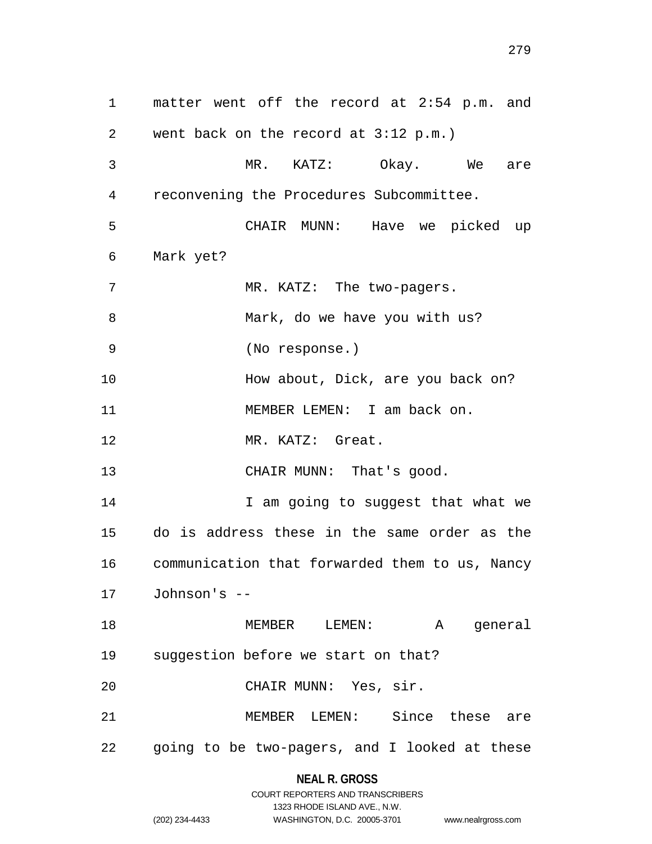matter went off the record at 2:54 p.m. and went back on the record at 3:12 p.m.) MR. KATZ: Okay. We are reconvening the Procedures Subcommittee. CHAIR MUNN: Have we picked up Mark yet? 7 MR. KATZ: The two-pagers. 8 Mark, do we have you with us? (No response.) 10 How about, Dick, are you back on? 11 MEMBER LEMEN: I am back on. MR. KATZ: Great. 13 CHAIR MUNN: That's good. **I** am going to suggest that what we do is address these in the same order as the communication that forwarded them to us, Nancy Johnson's -- MEMBER LEMEN: A general suggestion before we start on that? CHAIR MUNN: Yes, sir. MEMBER LEMEN: Since these are going to be two-pagers, and I looked at these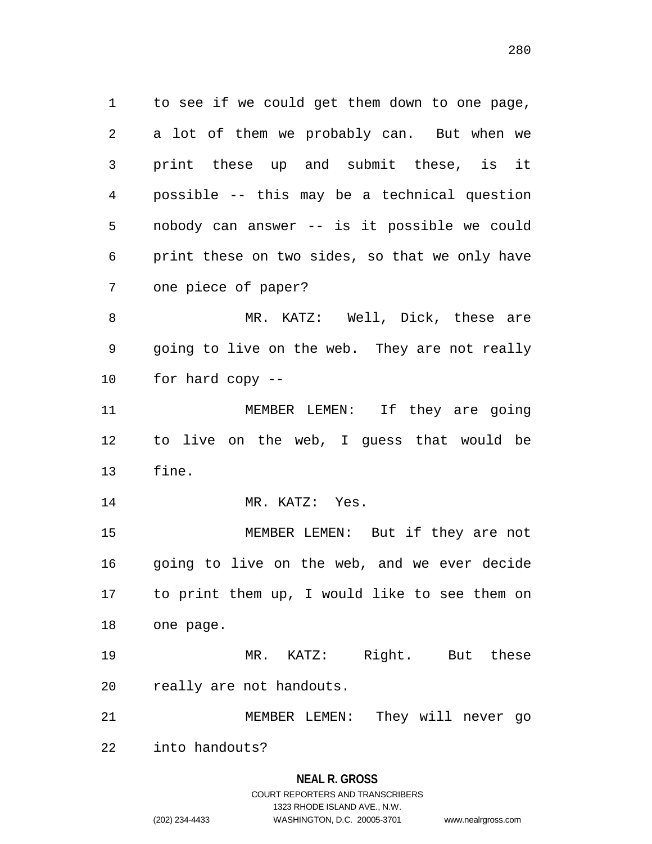to see if we could get them down to one page, a lot of them we probably can. But when we print these up and submit these, is it possible -- this may be a technical question nobody can answer -- is it possible we could print these on two sides, so that we only have one piece of paper? MR. KATZ: Well, Dick, these are

 going to live on the web. They are not really for hard copy --

11 MEMBER LEMEN: If they are going to live on the web, I guess that would be fine.

14 MR. KATZ: Yes.

 MEMBER LEMEN: But if they are not going to live on the web, and we ever decide to print them up, I would like to see them on one page.

 MR. KATZ: Right. But these really are not handouts.

MEMBER LEMEN: They will never go

into handouts?

#### **NEAL R. GROSS**

# COURT REPORTERS AND TRANSCRIBERS 1323 RHODE ISLAND AVE., N.W. (202) 234-4433 WASHINGTON, D.C. 20005-3701 www.nealrgross.com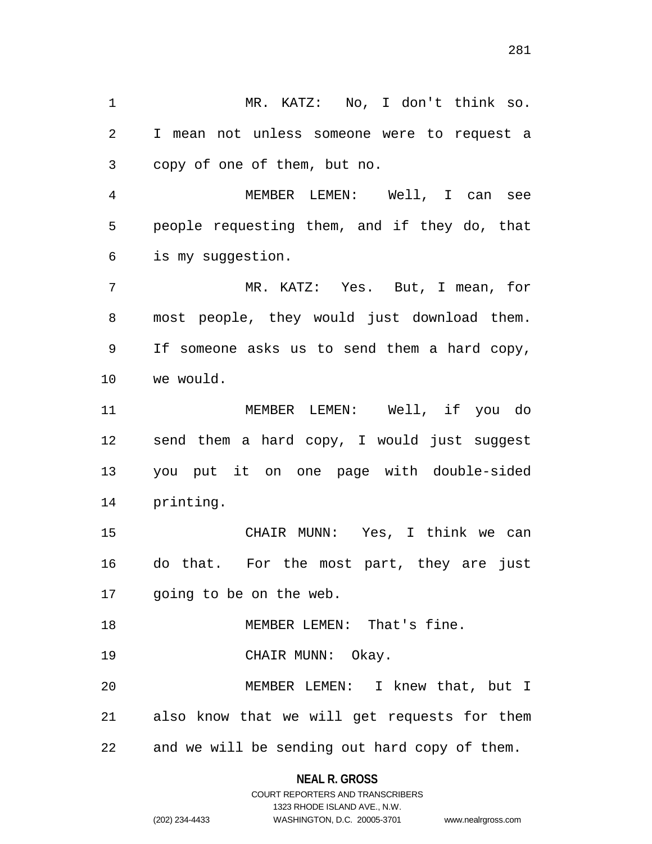I mean not unless someone were to request a copy of one of them, but no. MEMBER LEMEN: Well, I can see people requesting them, and if they do, that is my suggestion. MR. KATZ: Yes. But, I mean, for most people, they would just download them. If someone asks us to send them a hard copy, we would. MEMBER LEMEN: Well, if you do send them a hard copy, I would just suggest you put it on one page with double-sided printing. CHAIR MUNN: Yes, I think we can do that. For the most part, they are just going to be on the web. 18 MEMBER LEMEN: That's fine. 19 CHAIR MUNN: Okay.

MR. KATZ: No, I don't think so.

 MEMBER LEMEN: I knew that, but I also know that we will get requests for them and we will be sending out hard copy of them.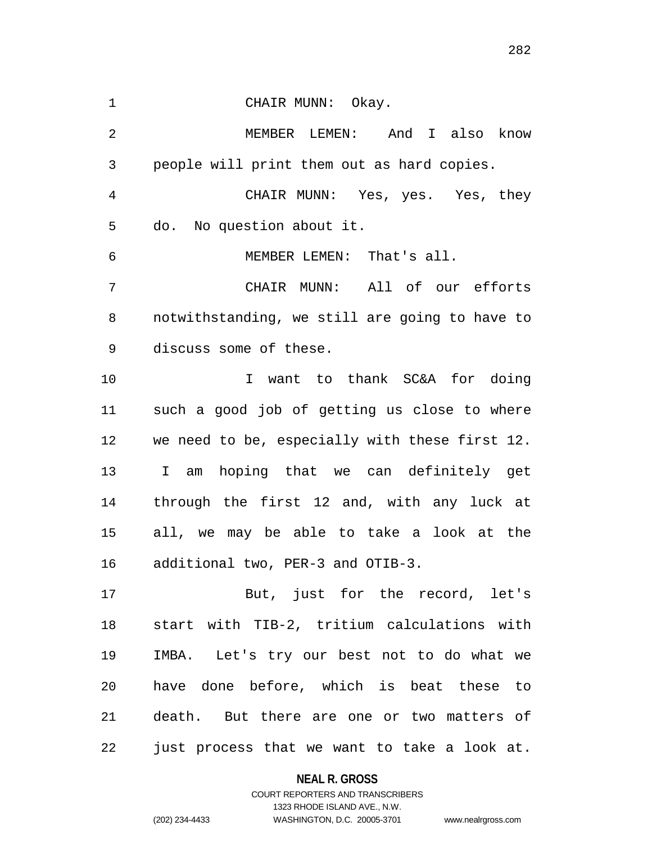1 CHAIR MUNN: Okay. MEMBER LEMEN: And I also know people will print them out as hard copies. CHAIR MUNN: Yes, yes. Yes, they do. No question about it. MEMBER LEMEN: That's all. CHAIR MUNN: All of our efforts notwithstanding, we still are going to have to discuss some of these. I want to thank SC&A for doing such a good job of getting us close to where we need to be, especially with these first 12. I am hoping that we can definitely get through the first 12 and, with any luck at all, we may be able to take a look at the additional two, PER-3 and OTIB-3. But, just for the record, let's start with TIB-2, tritium calculations with IMBA. Let's try our best not to do what we have done before, which is beat these to death. But there are one or two matters of

just process that we want to take a look at.

**NEAL R. GROSS** COURT REPORTERS AND TRANSCRIBERS

1323 RHODE ISLAND AVE., N.W.

(202) 234-4433 WASHINGTON, D.C. 20005-3701 www.nealrgross.com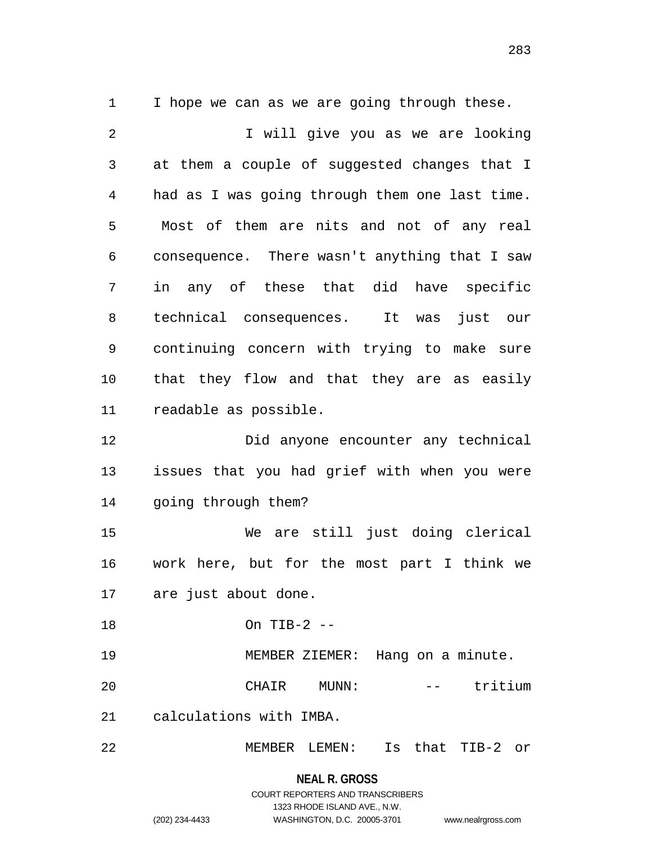I hope we can as we are going through these.

2 1 I will give you as we are looking at them a couple of suggested changes that I had as I was going through them one last time. Most of them are nits and not of any real consequence. There wasn't anything that I saw in any of these that did have specific technical consequences. It was just our continuing concern with trying to make sure that they flow and that they are as easily readable as possible. Did anyone encounter any technical issues that you had grief with when you were going through them? We are still just doing clerical work here, but for the most part I think we are just about done. On TIB-2 -- MEMBER ZIEMER: Hang on a minute. 20 CHAIR MUNN: -- tritium calculations with IMBA. MEMBER LEMEN: Is that TIB-2 or

> **NEAL R. GROSS** COURT REPORTERS AND TRANSCRIBERS 1323 RHODE ISLAND AVE., N.W. (202) 234-4433 WASHINGTON, D.C. 20005-3701 www.nealrgross.com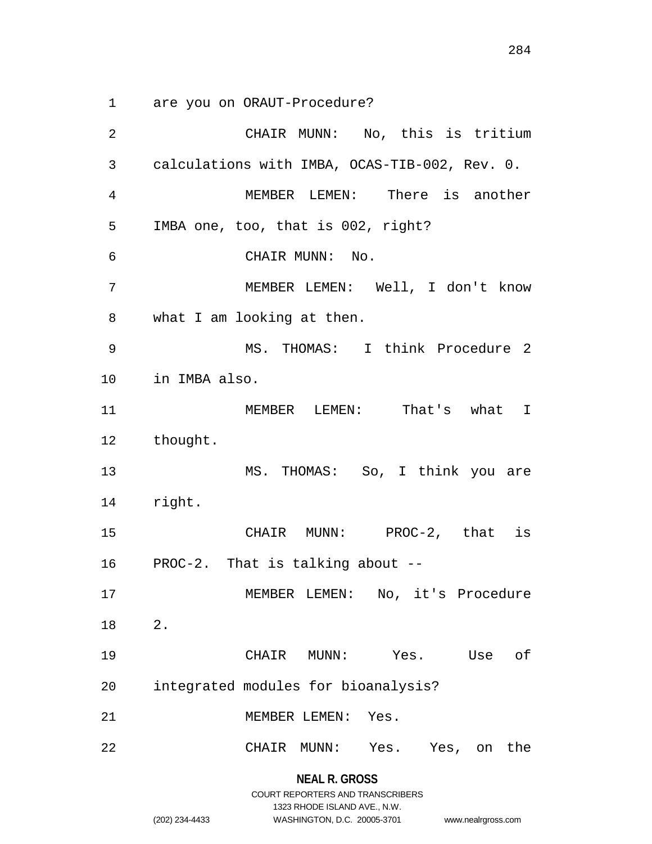are you on ORAUT-Procedure?

**NEAL R. GROSS** CHAIR MUNN: No, this is tritium calculations with IMBA, OCAS-TIB-002, Rev. 0. MEMBER LEMEN: There is another IMBA one, too, that is 002, right? CHAIR MUNN: No. MEMBER LEMEN: Well, I don't know what I am looking at then. MS. THOMAS: I think Procedure 2 in IMBA also. MEMBER LEMEN: That's what I thought. MS. THOMAS: So, I think you are right. CHAIR MUNN: PROC-2, that is PROC-2. That is talking about -- MEMBER LEMEN: No, it's Procedure 2. CHAIR MUNN: Yes. Use of integrated modules for bioanalysis? MEMBER LEMEN: Yes. CHAIR MUNN: Yes. Yes, on the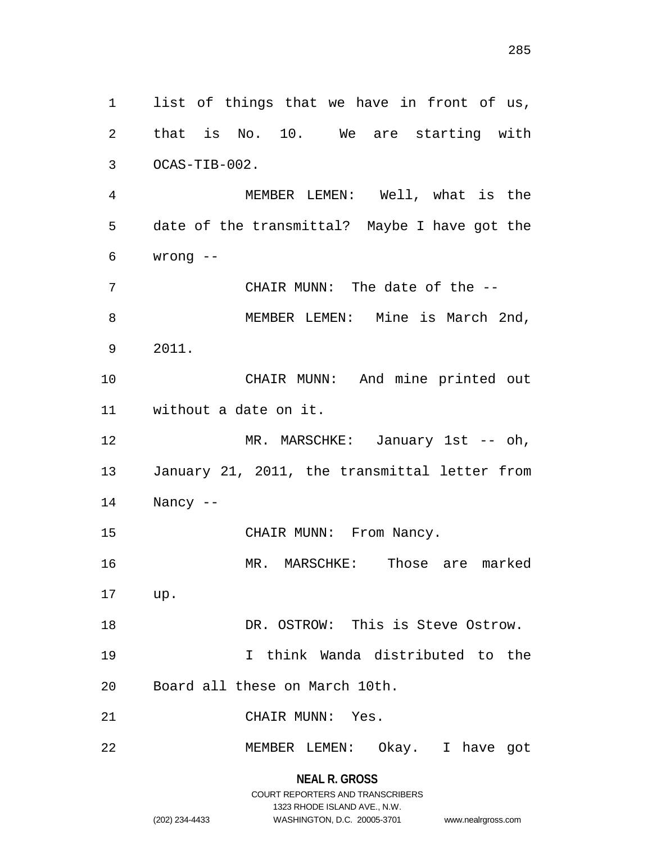list of things that we have in front of us, that is No. 10. We are starting with OCAS-TIB-002. MEMBER LEMEN: Well, what is the date of the transmittal? Maybe I have got the wrong -- CHAIR MUNN: The date of the -- 8 MEMBER LEMEN: Mine is March 2nd, 2011. CHAIR MUNN: And mine printed out without a date on it. 12 MR. MARSCHKE: January 1st -- oh, January 21, 2011, the transmittal letter from Nancy -- 15 CHAIR MUNN: From Nancy. MR. MARSCHKE: Those are marked up. DR. OSTROW: This is Steve Ostrow. I think Wanda distributed to the Board all these on March 10th. CHAIR MUNN: Yes. MEMBER LEMEN: Okay. I have got

> **NEAL R. GROSS** COURT REPORTERS AND TRANSCRIBERS 1323 RHODE ISLAND AVE., N.W. (202) 234-4433 WASHINGTON, D.C. 20005-3701 www.nealrgross.com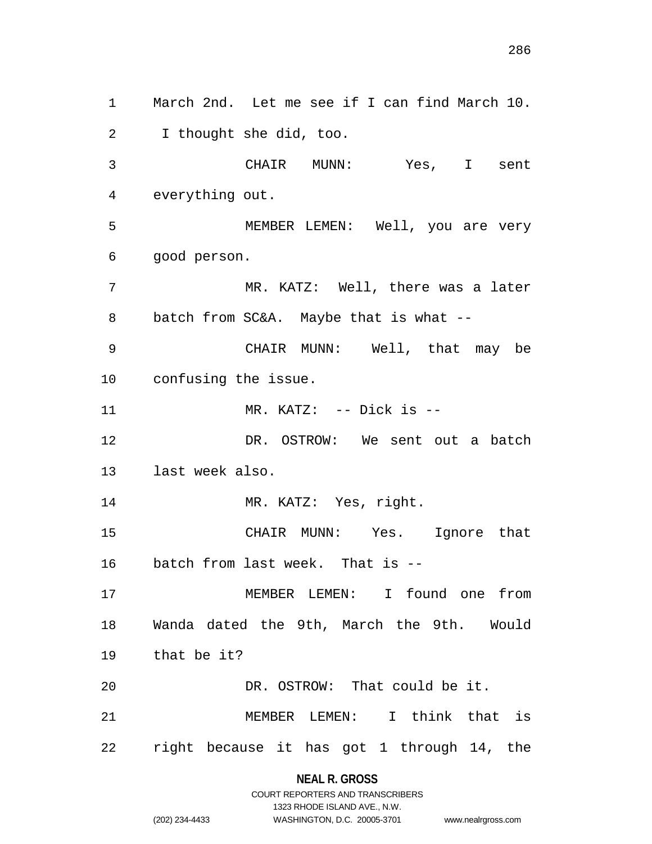March 2nd. Let me see if I can find March 10. I thought she did, too. CHAIR MUNN: Yes, I sent everything out. MEMBER LEMEN: Well, you are very good person. MR. KATZ: Well, there was a later batch from SC&A. Maybe that is what -- CHAIR MUNN: Well, that may be confusing the issue. 11 MR. KATZ: -- Dick is -- DR. OSTROW: We sent out a batch last week also. 14 MR. KATZ: Yes, right. CHAIR MUNN: Yes. Ignore that batch from last week. That is -- MEMBER LEMEN: I found one from Wanda dated the 9th, March the 9th. Would that be it? DR. OSTROW: That could be it. MEMBER LEMEN: I think that is right because it has got 1 through 14, the

# **NEAL R. GROSS** COURT REPORTERS AND TRANSCRIBERS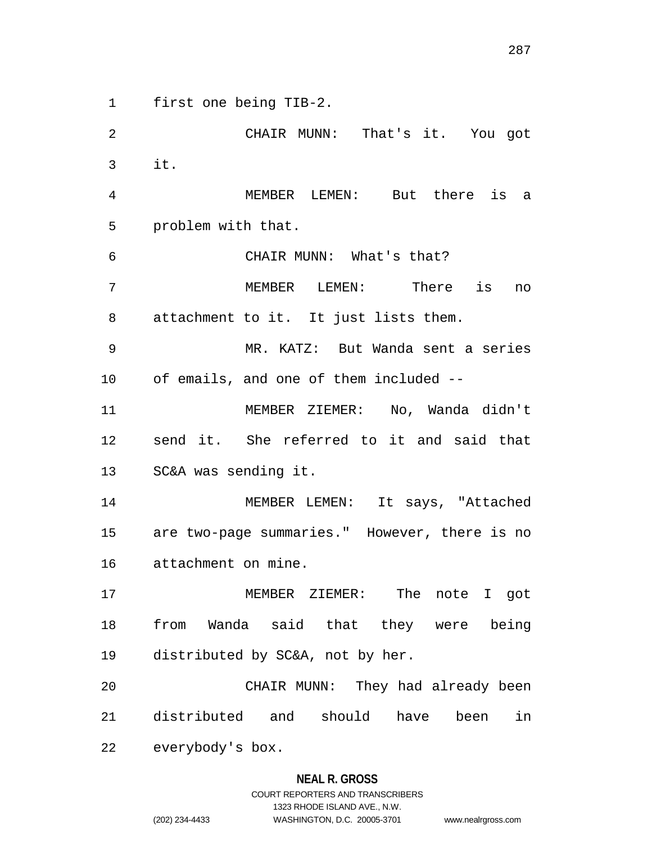first one being TIB-2.

 CHAIR MUNN: That's it. You got it. MEMBER LEMEN: But there is a problem with that. CHAIR MUNN: What's that? MEMBER LEMEN: There is no attachment to it. It just lists them. MR. KATZ: But Wanda sent a series of emails, and one of them included -- MEMBER ZIEMER: No, Wanda didn't send it. She referred to it and said that SC&A was sending it. MEMBER LEMEN: It says, "Attached are two-page summaries." However, there is no attachment on mine. MEMBER ZIEMER: The note I got from Wanda said that they were being distributed by SC&A, not by her. CHAIR MUNN: They had already been distributed and should have been in everybody's box.

# **NEAL R. GROSS**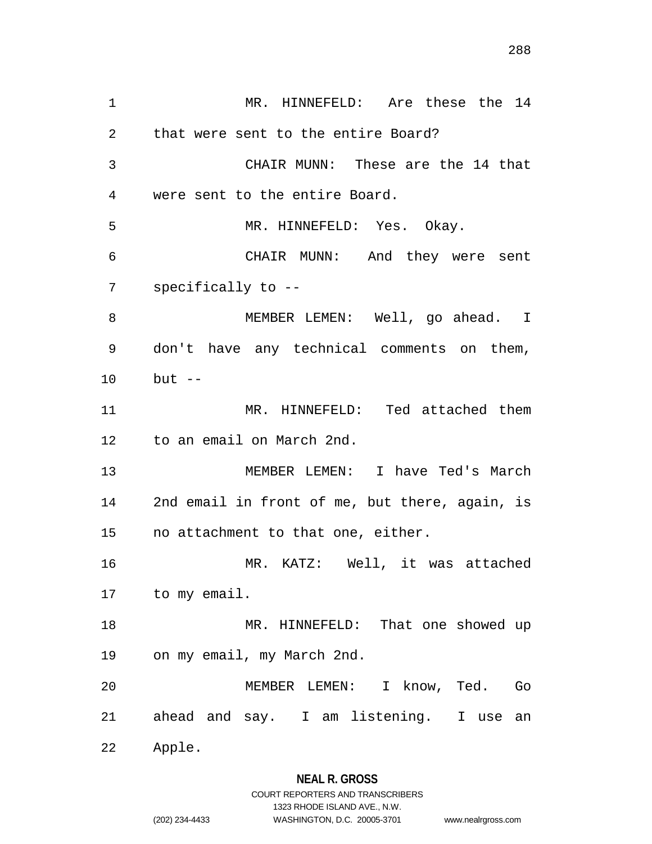MR. HINNEFELD: Are these the 14 that were sent to the entire Board? CHAIR MUNN: These are the 14 that were sent to the entire Board. MR. HINNEFELD: Yes. Okay. CHAIR MUNN: And they were sent specifically to -- 8 MEMBER LEMEN: Well, go ahead. I don't have any technical comments on them, but -- MR. HINNEFELD: Ted attached them to an email on March 2nd. MEMBER LEMEN: I have Ted's March 2nd email in front of me, but there, again, is no attachment to that one, either. MR. KATZ: Well, it was attached to my email. 18 MR. HINNEFELD: That one showed up on my email, my March 2nd. MEMBER LEMEN: I know, Ted. Go ahead and say. I am listening. I use an Apple.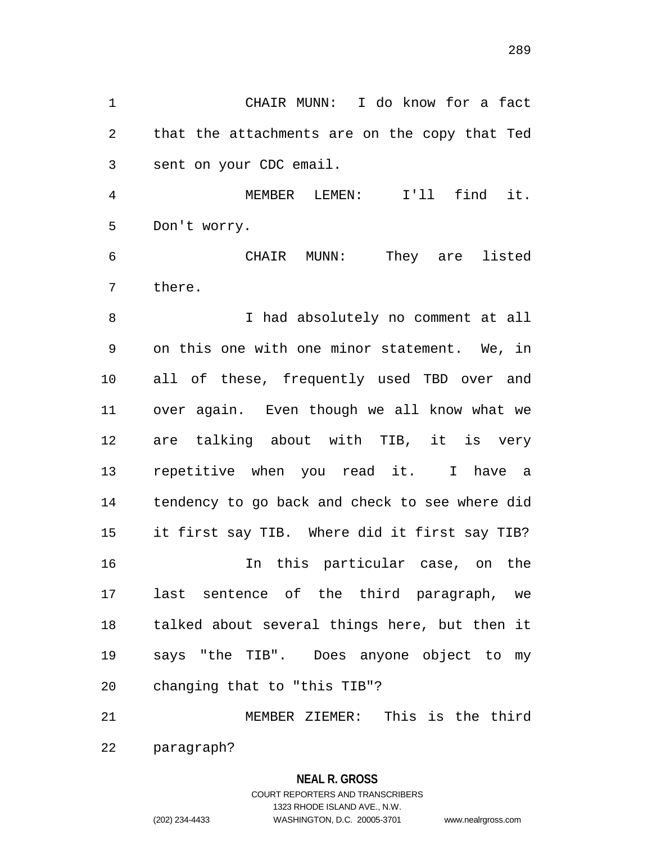CHAIR MUNN: I do know for a fact that the attachments are on the copy that Ted sent on your CDC email.

 MEMBER LEMEN: I'll find it. Don't worry.

 CHAIR MUNN: They are listed there.

8 I had absolutely no comment at all on this one with one minor statement. We, in all of these, frequently used TBD over and over again. Even though we all know what we are talking about with TIB, it is very repetitive when you read it. I have a tendency to go back and check to see where did it first say TIB. Where did it first say TIB? In this particular case, on the last sentence of the third paragraph, we talked about several things here, but then it says "the TIB". Does anyone object to my changing that to "this TIB"?

 MEMBER ZIEMER: This is the third paragraph?

# **NEAL R. GROSS** COURT REPORTERS AND TRANSCRIBERS 1323 RHODE ISLAND AVE., N.W. (202) 234-4433 WASHINGTON, D.C. 20005-3701 www.nealrgross.com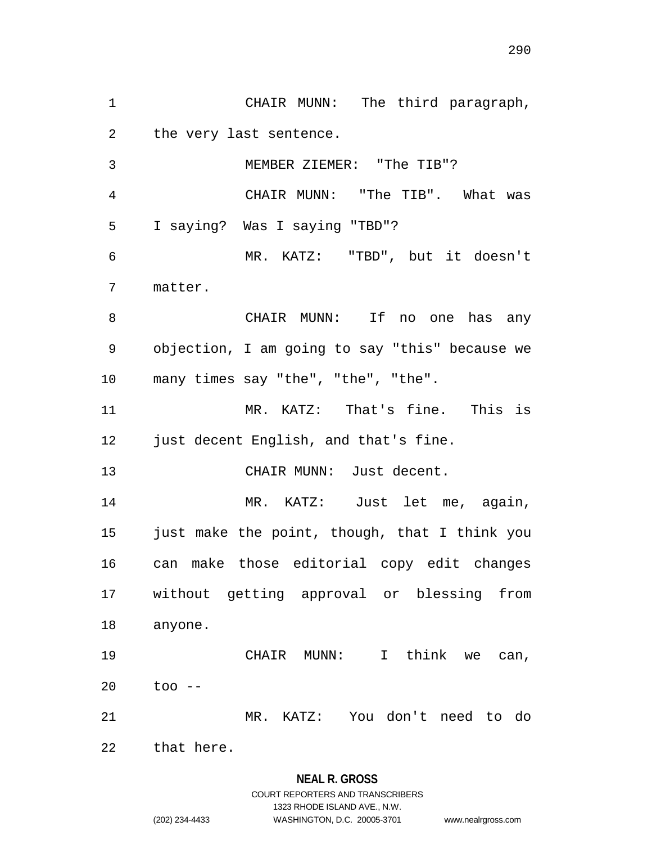CHAIR MUNN: The third paragraph, the very last sentence. MEMBER ZIEMER: "The TIB"? CHAIR MUNN: "The TIB". What was I saying? Was I saying "TBD"? MR. KATZ: "TBD", but it doesn't matter. CHAIR MUNN: If no one has any objection, I am going to say "this" because we many times say "the", "the", "the". MR. KATZ: That's fine. This is just decent English, and that's fine. CHAIR MUNN: Just decent. MR. KATZ: Just let me, again, just make the point, though, that I think you can make those editorial copy edit changes without getting approval or blessing from anyone. CHAIR MUNN: I think we can, too -- MR. KATZ: You don't need to do that here.

1323 RHODE ISLAND AVE., N.W.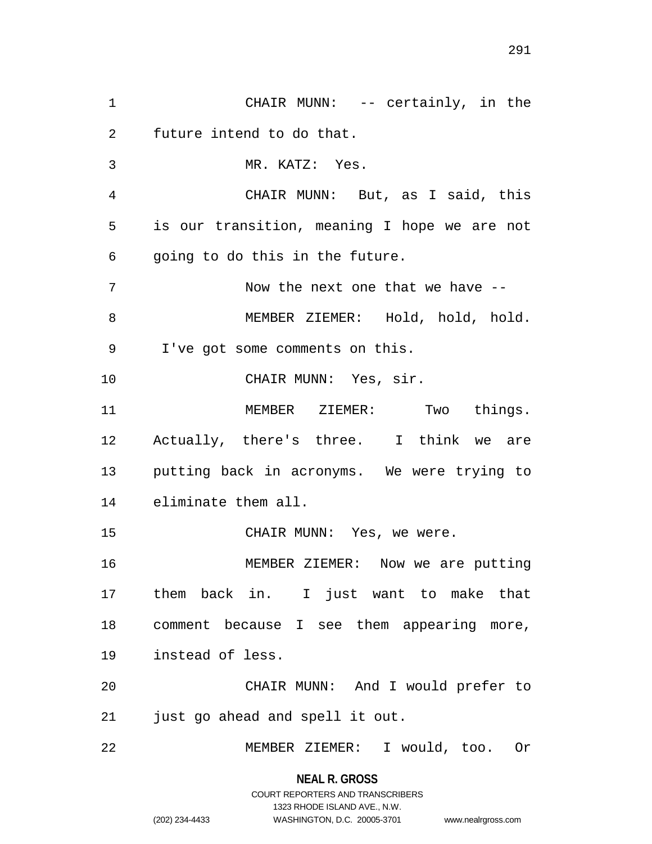CHAIR MUNN: -- certainly, in the future intend to do that. MR. KATZ: Yes. CHAIR MUNN: But, as I said, this is our transition, meaning I hope we are not going to do this in the future. 7 Now the next one that we have -- MEMBER ZIEMER: Hold, hold, hold. I've got some comments on this. CHAIR MUNN: Yes, sir. MEMBER ZIEMER: Two things. Actually, there's three. I think we are putting back in acronyms. We were trying to eliminate them all. CHAIR MUNN: Yes, we were. MEMBER ZIEMER: Now we are putting them back in. I just want to make that comment because I see them appearing more, instead of less. CHAIR MUNN: And I would prefer to just go ahead and spell it out. MEMBER ZIEMER: I would, too. Or

> **NEAL R. GROSS** COURT REPORTERS AND TRANSCRIBERS

> > 1323 RHODE ISLAND AVE., N.W.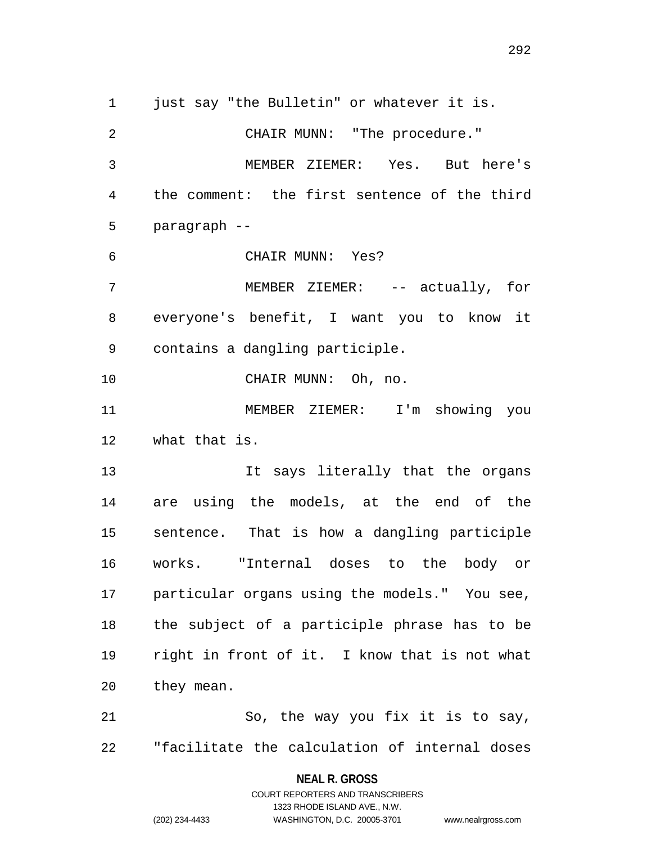1 just say "the Bulletin" or whatever it is. CHAIR MUNN: "The procedure." MEMBER ZIEMER: Yes. But here's the comment: the first sentence of the third paragraph -- CHAIR MUNN: Yes? MEMBER ZIEMER: -- actually, for everyone's benefit, I want you to know it contains a dangling participle. CHAIR MUNN: Oh, no. MEMBER ZIEMER: I'm showing you what that is. 13 13 It says literally that the organs are using the models, at the end of the sentence. That is how a dangling participle works. "Internal doses to the body or particular organs using the models." You see, the subject of a participle phrase has to be right in front of it. I know that is not what they mean. So, the way you fix it is to say,

"facilitate the calculation of internal doses

**NEAL R. GROSS** COURT REPORTERS AND TRANSCRIBERS

1323 RHODE ISLAND AVE., N.W.

(202) 234-4433 WASHINGTON, D.C. 20005-3701 www.nealrgross.com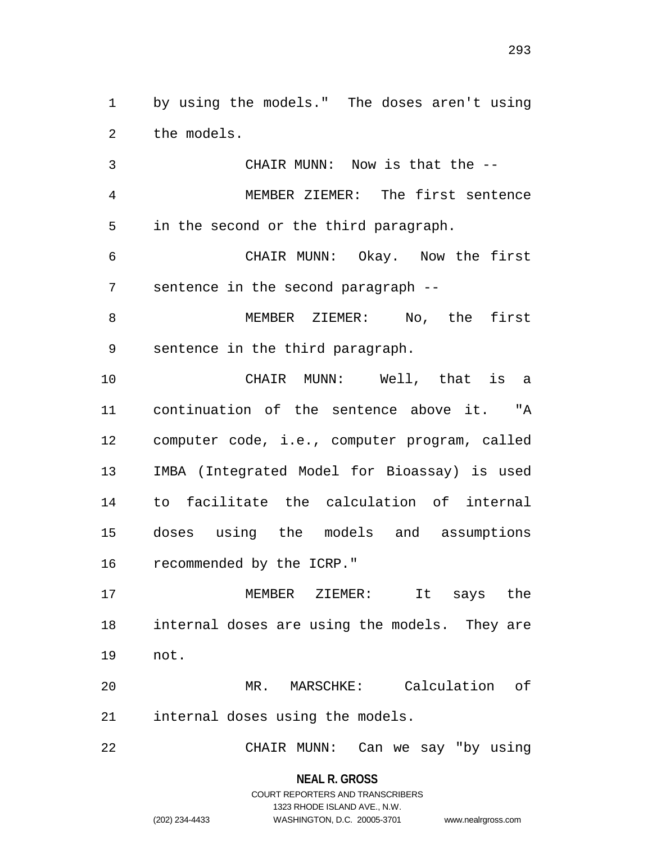by using the models." The doses aren't using the models.

 CHAIR MUNN: Now is that the -- MEMBER ZIEMER: The first sentence in the second or the third paragraph.

 CHAIR MUNN: Okay. Now the first sentence in the second paragraph --

8 MEMBER ZIEMER: No, the first sentence in the third paragraph.

 CHAIR MUNN: Well, that is a continuation of the sentence above it. "A computer code, i.e., computer program, called IMBA (Integrated Model for Bioassay) is used to facilitate the calculation of internal doses using the models and assumptions recommended by the ICRP."

 MEMBER ZIEMER: It says the internal doses are using the models. They are not.

 MR. MARSCHKE: Calculation of internal doses using the models.

CHAIR MUNN: Can we say "by using

**NEAL R. GROSS**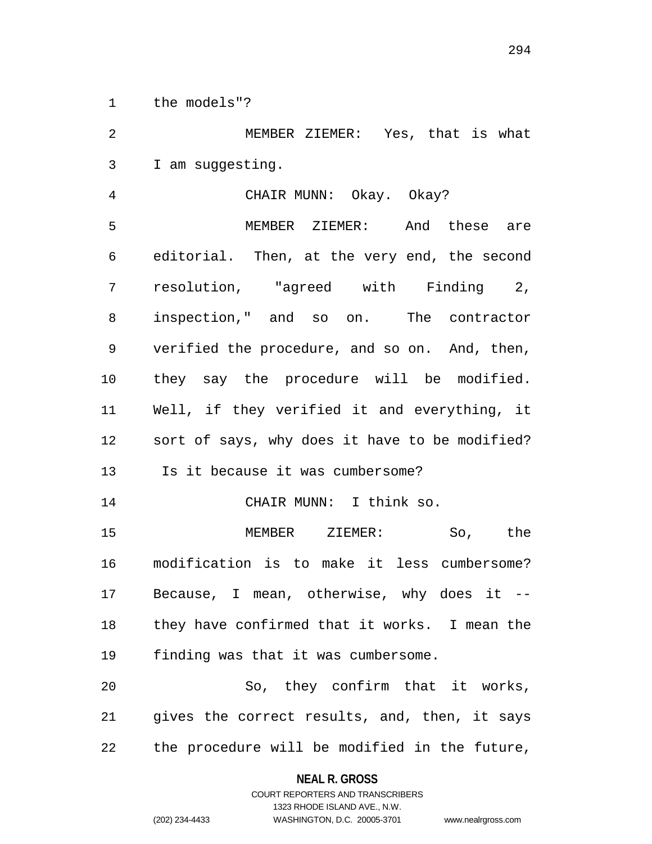the models"?

 MEMBER ZIEMER: Yes, that is what I am suggesting.

 CHAIR MUNN: Okay. Okay? MEMBER ZIEMER: And these are editorial. Then, at the very end, the second resolution, "agreed with Finding 2, inspection," and so on. The contractor verified the procedure, and so on. And, then, they say the procedure will be modified. Well, if they verified it and everything, it sort of says, why does it have to be modified? Is it because it was cumbersome? CHAIR MUNN: I think so. MEMBER ZIEMER: So, the modification is to make it less cumbersome? Because, I mean, otherwise, why does it -- they have confirmed that it works. I mean the finding was that it was cumbersome. So, they confirm that it works,

 gives the correct results, and, then, it says the procedure will be modified in the future,

## **NEAL R. GROSS**

COURT REPORTERS AND TRANSCRIBERS 1323 RHODE ISLAND AVE., N.W. (202) 234-4433 WASHINGTON, D.C. 20005-3701 www.nealrgross.com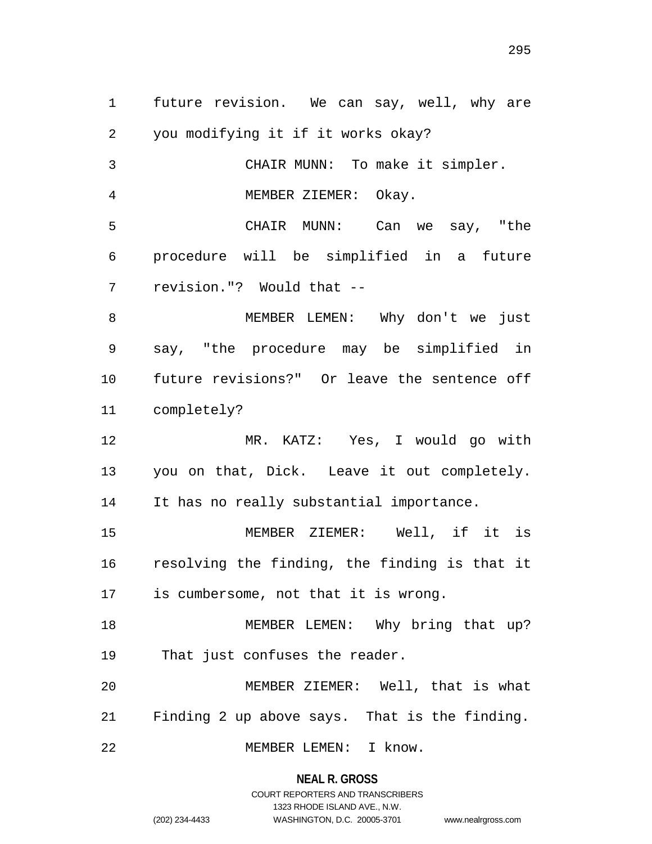future revision. We can say, well, why are you modifying it if it works okay? CHAIR MUNN: To make it simpler. MEMBER ZIEMER: Okay. CHAIR MUNN: Can we say, "the procedure will be simplified in a future revision."? Would that -- MEMBER LEMEN: Why don't we just say, "the procedure may be simplified in future revisions?" Or leave the sentence off completely? MR. KATZ: Yes, I would go with you on that, Dick. Leave it out completely. It has no really substantial importance. MEMBER ZIEMER: Well, if it is resolving the finding, the finding is that it is cumbersome, not that it is wrong. 18 MEMBER LEMEN: Why bring that up? That just confuses the reader. MEMBER ZIEMER: Well, that is what Finding 2 up above says. That is the finding. MEMBER LEMEN: I know.

**NEAL R. GROSS**

COURT REPORTERS AND TRANSCRIBERS 1323 RHODE ISLAND AVE., N.W. (202) 234-4433 WASHINGTON, D.C. 20005-3701 www.nealrgross.com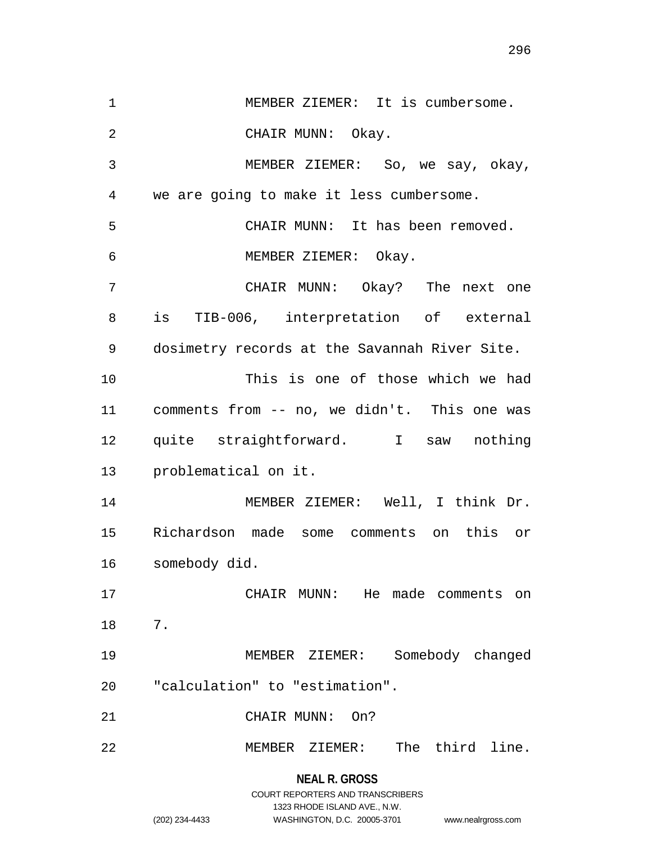MEMBER ZIEMER: It is cumbersome. 2 CHAIR MUNN: Okay. MEMBER ZIEMER: So, we say, okay, we are going to make it less cumbersome. CHAIR MUNN: It has been removed. MEMBER ZIEMER: Okay. CHAIR MUNN: Okay? The next one is TIB-006, interpretation of external dosimetry records at the Savannah River Site. This is one of those which we had comments from -- no, we didn't. This one was quite straightforward. I saw nothing problematical on it. MEMBER ZIEMER: Well, I think Dr. Richardson made some comments on this or somebody did. CHAIR MUNN: He made comments on 7. MEMBER ZIEMER: Somebody changed "calculation" to "estimation". CHAIR MUNN: On? MEMBER ZIEMER: The third line.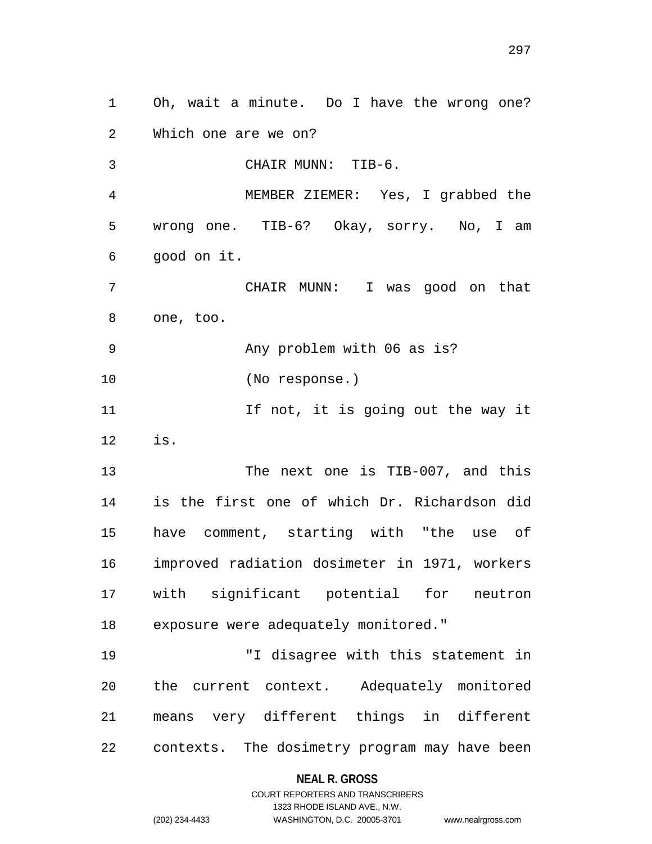Oh, wait a minute. Do I have the wrong one? Which one are we on? CHAIR MUNN: TIB-6. MEMBER ZIEMER: Yes, I grabbed the wrong one. TIB-6? Okay, sorry. No, I am good on it. CHAIR MUNN: I was good on that one, too. Any problem with 06 as is? (No response.) 11 11 If not, it is going out the way it is. 13 The next one is TIB-007, and this is the first one of which Dr. Richardson did have comment, starting with "the use of improved radiation dosimeter in 1971, workers with significant potential for neutron exposure were adequately monitored." "I disagree with this statement in the current context. Adequately monitored means very different things in different contexts. The dosimetry program may have been

## **NEAL R. GROSS**

COURT REPORTERS AND TRANSCRIBERS 1323 RHODE ISLAND AVE., N.W. (202) 234-4433 WASHINGTON, D.C. 20005-3701 www.nealrgross.com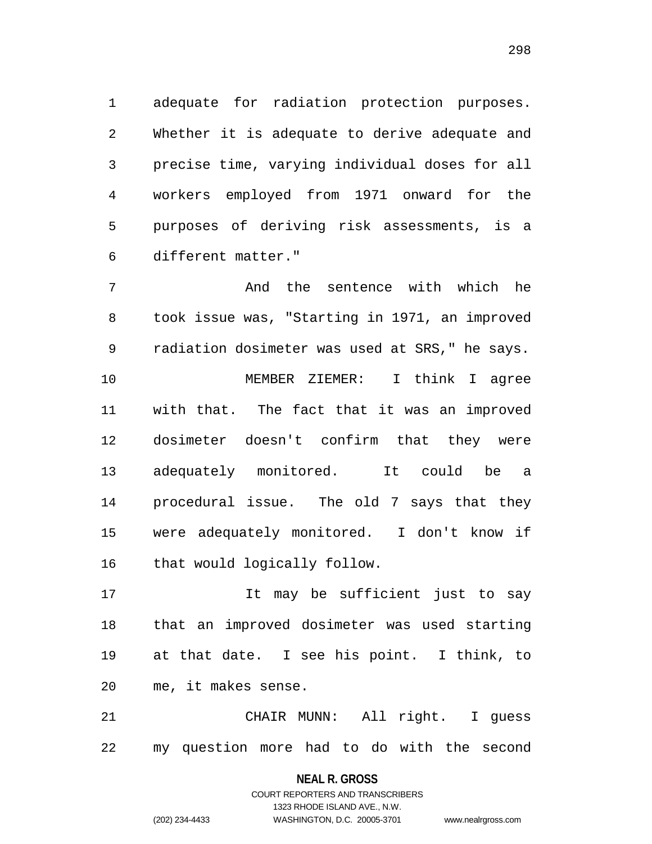adequate for radiation protection purposes. Whether it is adequate to derive adequate and precise time, varying individual doses for all workers employed from 1971 onward for the purposes of deriving risk assessments, is a different matter."

 And the sentence with which he took issue was, "Starting in 1971, an improved radiation dosimeter was used at SRS," he says. MEMBER ZIEMER: I think I agree with that. The fact that it was an improved dosimeter doesn't confirm that they were adequately monitored. It could be a procedural issue. The old 7 says that they were adequately monitored. I don't know if that would logically follow.

 It may be sufficient just to say that an improved dosimeter was used starting at that date. I see his point. I think, to me, it makes sense.

 CHAIR MUNN: All right. I guess my question more had to do with the second

> **NEAL R. GROSS** COURT REPORTERS AND TRANSCRIBERS

1323 RHODE ISLAND AVE., N.W. (202) 234-4433 WASHINGTON, D.C. 20005-3701 www.nealrgross.com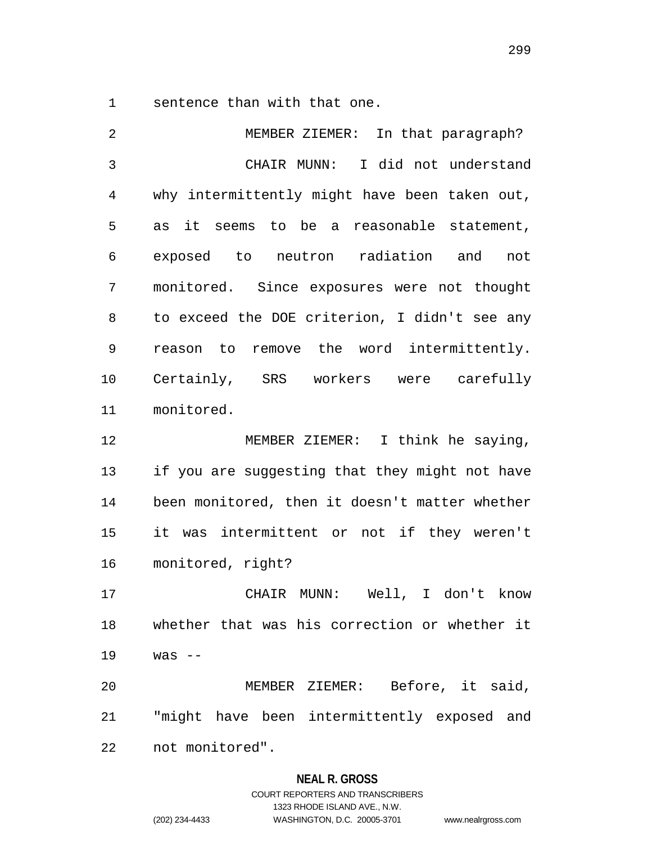sentence than with that one.

 MEMBER ZIEMER: In that paragraph? CHAIR MUNN: I did not understand why intermittently might have been taken out, as it seems to be a reasonable statement, exposed to neutron radiation and not monitored. Since exposures were not thought to exceed the DOE criterion, I didn't see any reason to remove the word intermittently. Certainly, SRS workers were carefully monitored. MEMBER ZIEMER: I think he saying, if you are suggesting that they might not have been monitored, then it doesn't matter whether it was intermittent or not if they weren't monitored, right? CHAIR MUNN: Well, I don't know whether that was his correction or whether it was -- MEMBER ZIEMER: Before, it said, "might have been intermittently exposed and not monitored".

## **NEAL R. GROSS**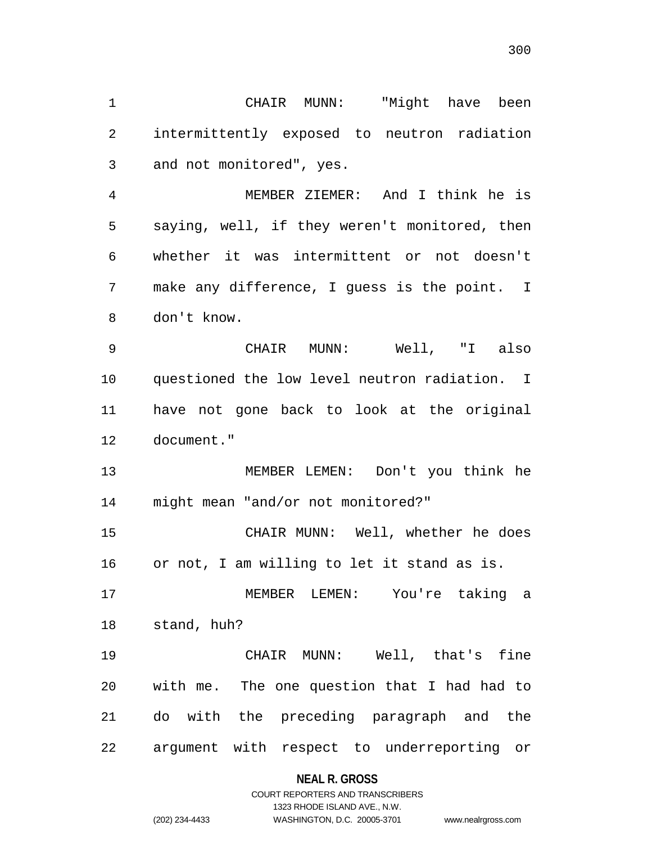CHAIR MUNN: "Might have been intermittently exposed to neutron radiation and not monitored", yes. MEMBER ZIEMER: And I think he is saying, well, if they weren't monitored, then whether it was intermittent or not doesn't make any difference, I guess is the point. I don't know. CHAIR MUNN: Well, "I also questioned the low level neutron radiation. I have not gone back to look at the original document." MEMBER LEMEN: Don't you think he might mean "and/or not monitored?" CHAIR MUNN: Well, whether he does or not, I am willing to let it stand as is. MEMBER LEMEN: You're taking a stand, huh? CHAIR MUNN: Well, that's fine with me. The one question that I had had to do with the preceding paragraph and the argument with respect to underreporting or

### **NEAL R. GROSS**

## COURT REPORTERS AND TRANSCRIBERS 1323 RHODE ISLAND AVE., N.W. (202) 234-4433 WASHINGTON, D.C. 20005-3701 www.nealrgross.com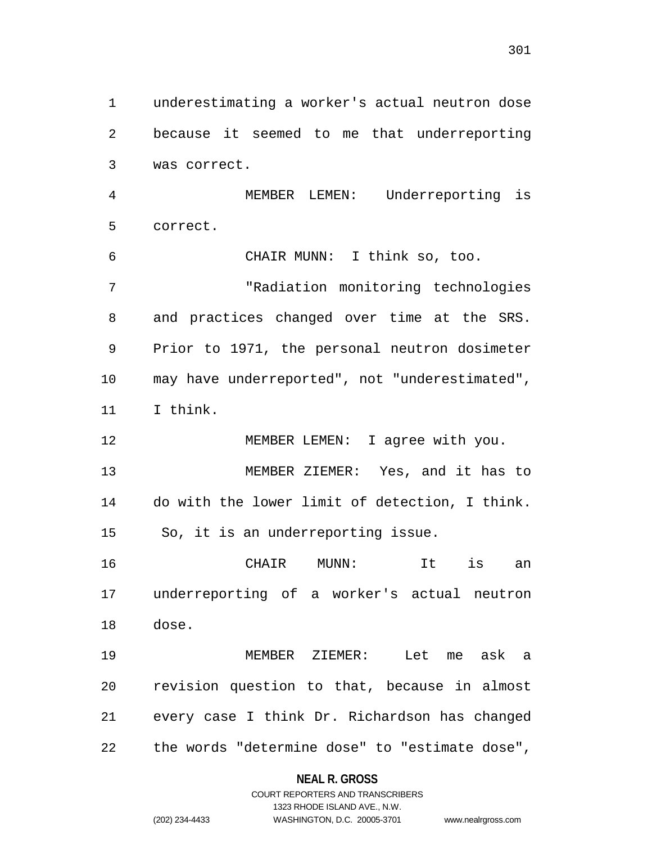underestimating a worker's actual neutron dose because it seemed to me that underreporting was correct.

 MEMBER LEMEN: Underreporting is correct.

 CHAIR MUNN: I think so, too. "Radiation monitoring technologies and practices changed over time at the SRS. Prior to 1971, the personal neutron dosimeter may have underreported", not "underestimated", I think.

 MEMBER LEMEN: I agree with you. MEMBER ZIEMER: Yes, and it has to do with the lower limit of detection, I think. So, it is an underreporting issue.

 CHAIR MUNN: It is an underreporting of a worker's actual neutron dose.

 MEMBER ZIEMER: Let me ask a revision question to that, because in almost every case I think Dr. Richardson has changed the words "determine dose" to "estimate dose",

## **NEAL R. GROSS**

## COURT REPORTERS AND TRANSCRIBERS 1323 RHODE ISLAND AVE., N.W. (202) 234-4433 WASHINGTON, D.C. 20005-3701 www.nealrgross.com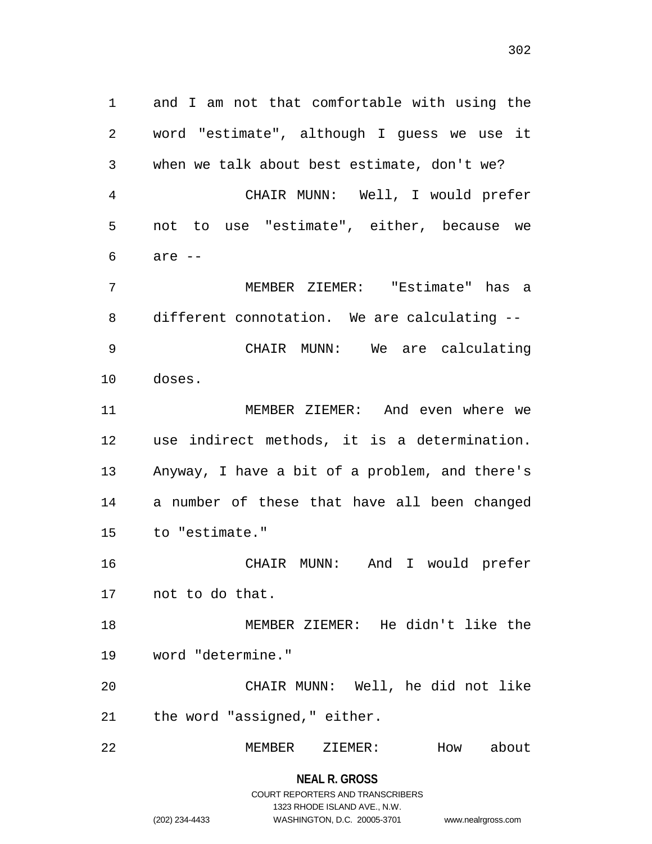and I am not that comfortable with using the word "estimate", although I guess we use it when we talk about best estimate, don't we? CHAIR MUNN: Well, I would prefer not to use "estimate", either, because we are  $-$  MEMBER ZIEMER: "Estimate" has a different connotation. We are calculating -- CHAIR MUNN: We are calculating doses. MEMBER ZIEMER: And even where we use indirect methods, it is a determination. Anyway, I have a bit of a problem, and there's a number of these that have all been changed to "estimate." CHAIR MUNN: And I would prefer not to do that. MEMBER ZIEMER: He didn't like the word "determine." CHAIR MUNN: Well, he did not like the word "assigned," either. MEMBER ZIEMER: How about

**NEAL R. GROSS**

# COURT REPORTERS AND TRANSCRIBERS 1323 RHODE ISLAND AVE., N.W. (202) 234-4433 WASHINGTON, D.C. 20005-3701 www.nealrgross.com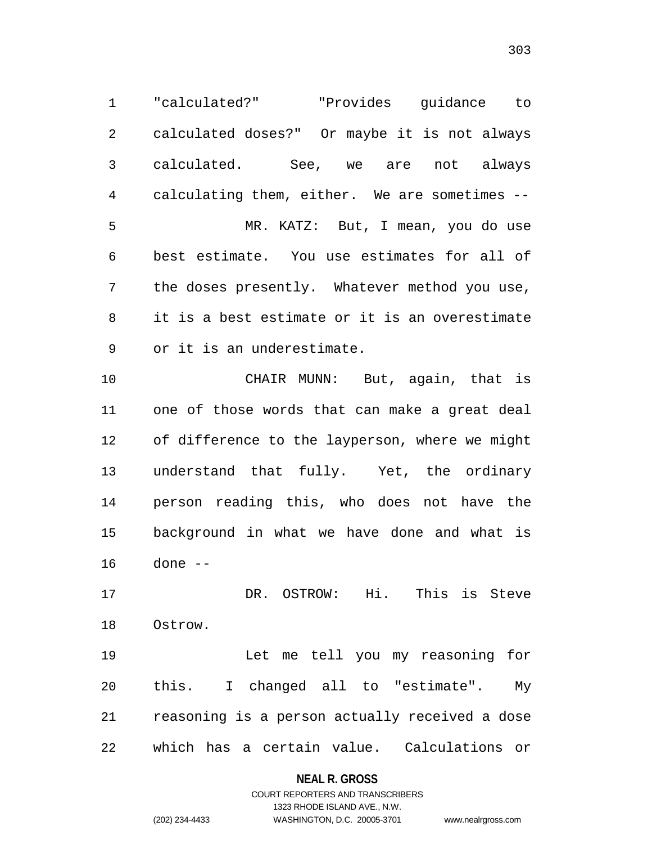"calculated?" "Provides guidance to calculated doses?" Or maybe it is not always calculated. See, we are not always calculating them, either. We are sometimes -- MR. KATZ: But, I mean, you do use best estimate. You use estimates for all of the doses presently. Whatever method you use, it is a best estimate or it is an overestimate or it is an underestimate.

 CHAIR MUNN: But, again, that is one of those words that can make a great deal of difference to the layperson, where we might understand that fully. Yet, the ordinary person reading this, who does not have the background in what we have done and what is done --

 DR. OSTROW: Hi. This is Steve Ostrow.

 Let me tell you my reasoning for this. I changed all to "estimate". My reasoning is a person actually received a dose which has a certain value. Calculations or

## **NEAL R. GROSS**

## COURT REPORTERS AND TRANSCRIBERS 1323 RHODE ISLAND AVE., N.W. (202) 234-4433 WASHINGTON, D.C. 20005-3701 www.nealrgross.com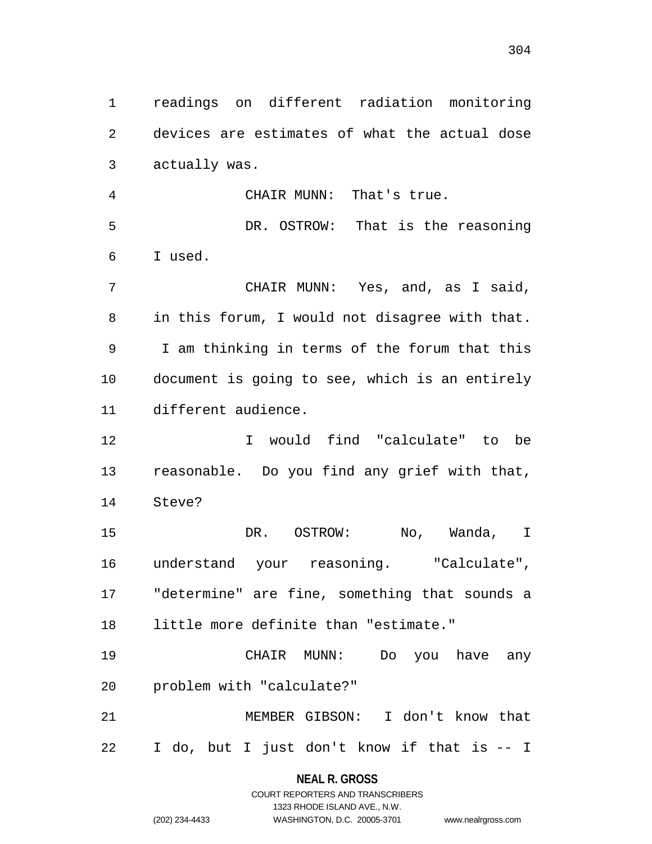readings on different radiation monitoring devices are estimates of what the actual dose actually was.

 CHAIR MUNN: That's true. DR. OSTROW: That is the reasoning I used.

 CHAIR MUNN: Yes, and, as I said, in this forum, I would not disagree with that. I am thinking in terms of the forum that this document is going to see, which is an entirely different audience.

 I would find "calculate" to be reasonable. Do you find any grief with that, Steve?

 DR. OSTROW: No, Wanda, I understand your reasoning. "Calculate", "determine" are fine, something that sounds a little more definite than "estimate."

 CHAIR MUNN: Do you have any problem with "calculate?"

 MEMBER GIBSON: I don't know that I do, but I just don't know if that is -- I

> **NEAL R. GROSS** COURT REPORTERS AND TRANSCRIBERS

> > 1323 RHODE ISLAND AVE., N.W.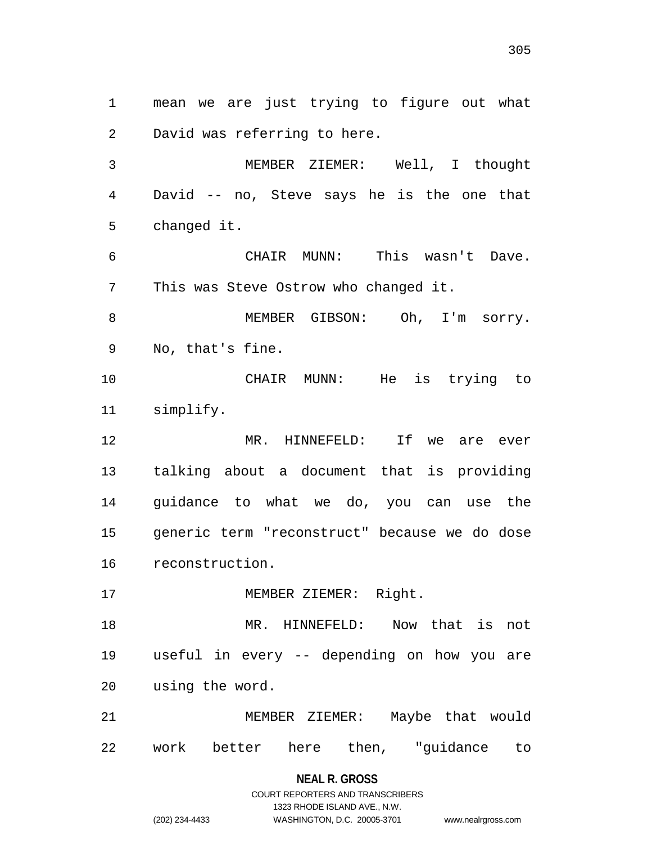mean we are just trying to figure out what David was referring to here. MEMBER ZIEMER: Well, I thought David -- no, Steve says he is the one that changed it. CHAIR MUNN: This wasn't Dave. This was Steve Ostrow who changed it. MEMBER GIBSON: Oh, I'm sorry. No, that's fine. CHAIR MUNN: He is trying to simplify. MR. HINNEFELD: If we are ever talking about a document that is providing guidance to what we do, you can use the generic term "reconstruct" because we do dose reconstruction. 17 MEMBER ZIEMER: Right. MR. HINNEFELD: Now that is not useful in every -- depending on how you are using the word. MEMBER ZIEMER: Maybe that would work better here then, "guidance to

### **NEAL R. GROSS**

COURT REPORTERS AND TRANSCRIBERS 1323 RHODE ISLAND AVE., N.W. (202) 234-4433 WASHINGTON, D.C. 20005-3701 www.nealrgross.com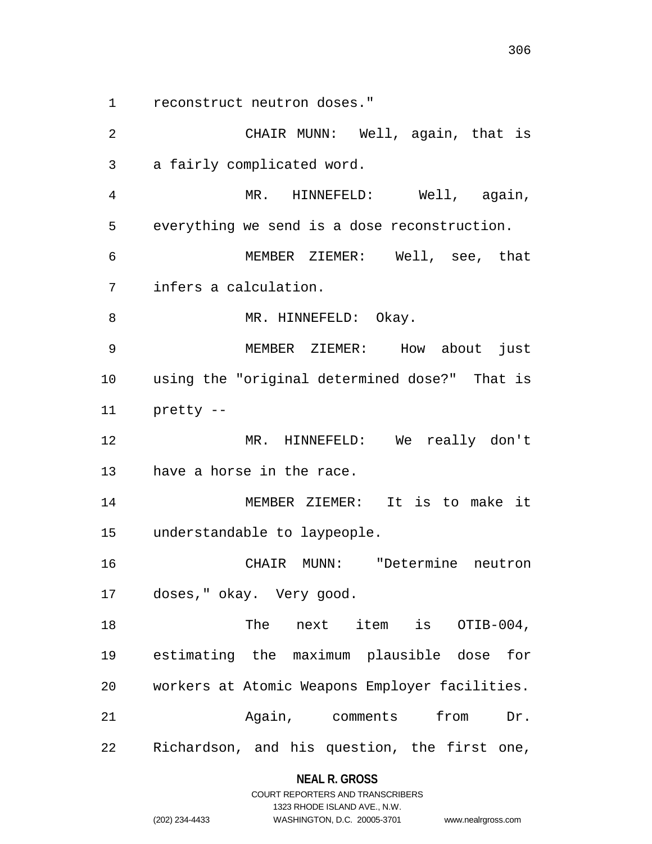reconstruct neutron doses."

 CHAIR MUNN: Well, again, that is a fairly complicated word. MR. HINNEFELD: Well, again, everything we send is a dose reconstruction. MEMBER ZIEMER: Well, see, that infers a calculation. 8 MR. HINNEFELD: Okay. MEMBER ZIEMER: How about just using the "original determined dose?" That is pretty -- MR. HINNEFELD: We really don't have a horse in the race. MEMBER ZIEMER: It is to make it understandable to laypeople. CHAIR MUNN: "Determine neutron doses," okay. Very good. 18 The next item is OTIB-004, estimating the maximum plausible dose for workers at Atomic Weapons Employer facilities. Again, comments from Dr. Richardson, and his question, the first one,

## **NEAL R. GROSS**

|                | COURT REPORTERS AND TRANSCRIBERS |                    |
|----------------|----------------------------------|--------------------|
|                | 1323 RHODE ISLAND AVE N.W.       |                    |
| (202) 234-4433 | WASHINGTON, D.C. 20005-3701      | www.nealrgross.com |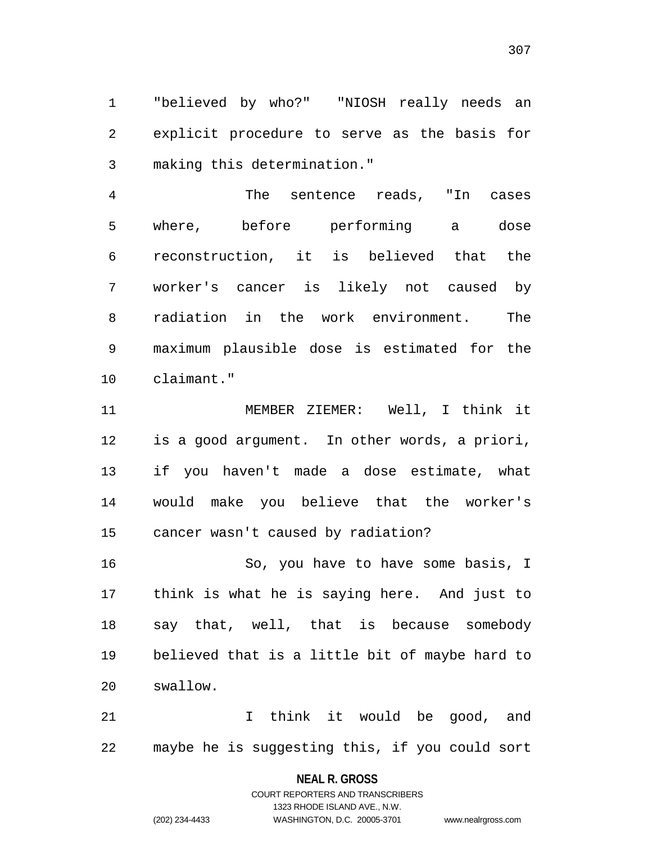"believed by who?" "NIOSH really needs an explicit procedure to serve as the basis for making this determination."

 The sentence reads, "In cases where, before performing a dose reconstruction, it is believed that the worker's cancer is likely not caused by radiation in the work environment. The maximum plausible dose is estimated for the claimant."

 MEMBER ZIEMER: Well, I think it is a good argument. In other words, a priori, if you haven't made a dose estimate, what would make you believe that the worker's cancer wasn't caused by radiation?

 So, you have to have some basis, I think is what he is saying here. And just to say that, well, that is because somebody believed that is a little bit of maybe hard to swallow.

21 1 I think it would be good, and maybe he is suggesting this, if you could sort

## **NEAL R. GROSS**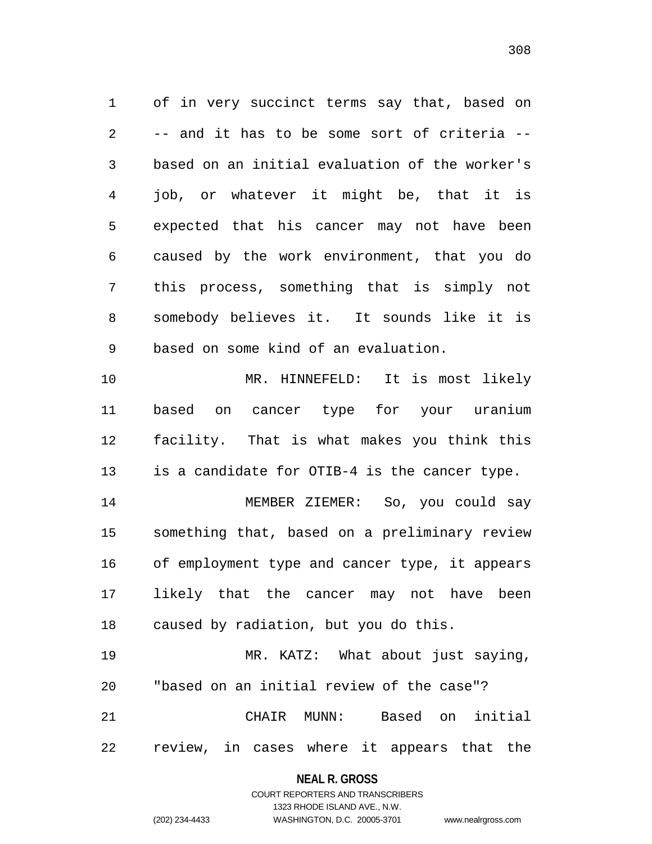of in very succinct terms say that, based on -- and it has to be some sort of criteria -- based on an initial evaluation of the worker's job, or whatever it might be, that it is expected that his cancer may not have been caused by the work environment, that you do this process, something that is simply not somebody believes it. It sounds like it is based on some kind of an evaluation.

 MR. HINNEFELD: It is most likely based on cancer type for your uranium facility. That is what makes you think this is a candidate for OTIB-4 is the cancer type.

 MEMBER ZIEMER: So, you could say something that, based on a preliminary review of employment type and cancer type, it appears likely that the cancer may not have been caused by radiation, but you do this.

 MR. KATZ: What about just saying, "based on an initial review of the case"? CHAIR MUNN: Based on initial review, in cases where it appears that the

## **NEAL R. GROSS** COURT REPORTERS AND TRANSCRIBERS

1323 RHODE ISLAND AVE., N.W.

(202) 234-4433 WASHINGTON, D.C. 20005-3701 www.nealrgross.com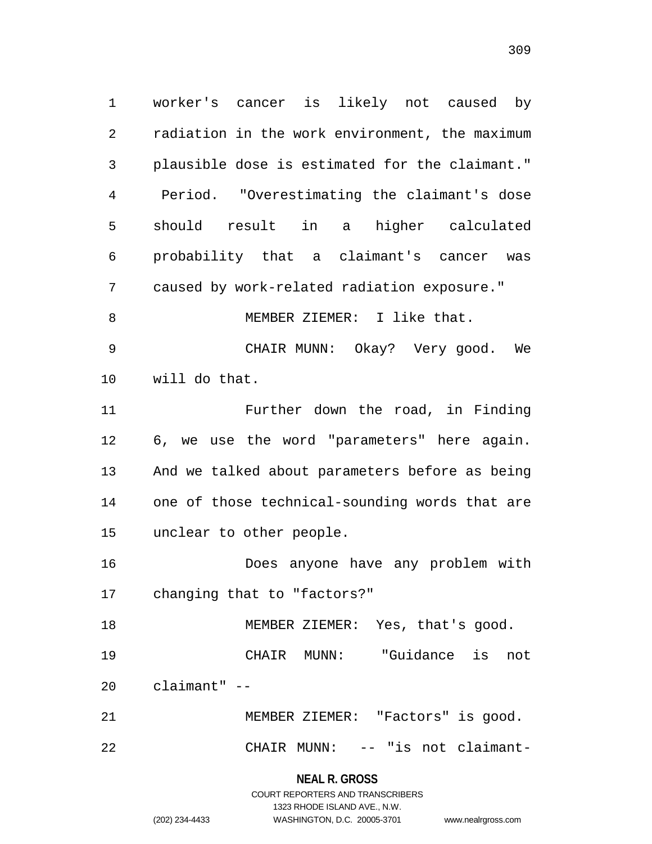worker's cancer is likely not caused by radiation in the work environment, the maximum plausible dose is estimated for the claimant." Period. "Overestimating the claimant's dose should result in a higher calculated probability that a claimant's cancer was caused by work-related radiation exposure." 8 MEMBER ZIEMER: I like that. CHAIR MUNN: Okay? Very good. We will do that. Further down the road, in Finding 6, we use the word "parameters" here again. And we talked about parameters before as being one of those technical-sounding words that are unclear to other people. Does anyone have any problem with changing that to "factors?" MEMBER ZIEMER: Yes, that's good. CHAIR MUNN: "Guidance is not claimant" -- MEMBER ZIEMER: "Factors" is good. CHAIR MUNN: -- "is not claimant-

**NEAL R. GROSS**

COURT REPORTERS AND TRANSCRIBERS 1323 RHODE ISLAND AVE., N.W. (202) 234-4433 WASHINGTON, D.C. 20005-3701 www.nealrgross.com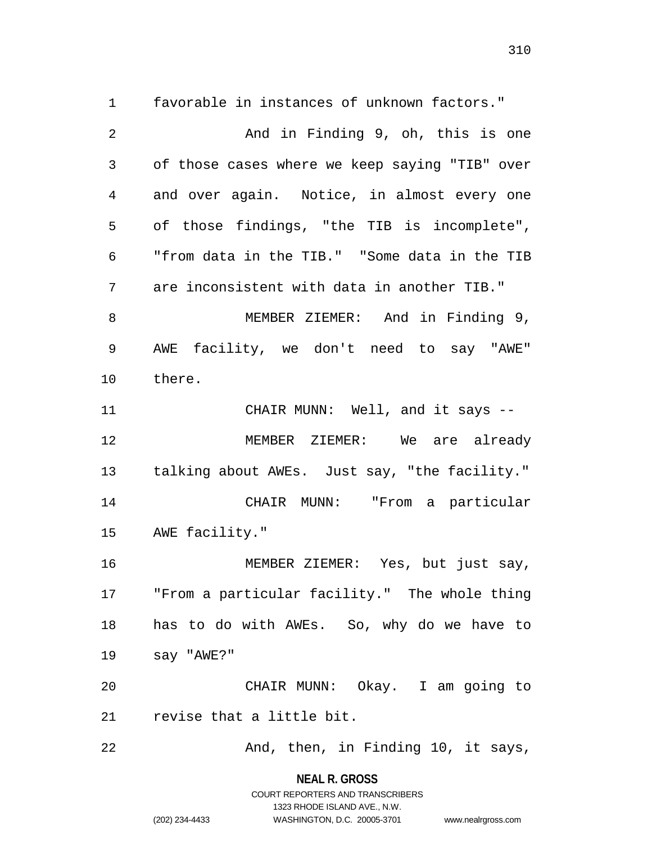favorable in instances of unknown factors."

 And in Finding 9, oh, this is one of those cases where we keep saying "TIB" over and over again. Notice, in almost every one of those findings, "the TIB is incomplete", "from data in the TIB." "Some data in the TIB are inconsistent with data in another TIB." MEMBER ZIEMER: And in Finding 9, AWE facility, we don't need to say "AWE" there. CHAIR MUNN: Well, and it says -- MEMBER ZIEMER: We are already talking about AWEs. Just say, "the facility." CHAIR MUNN: "From a particular AWE facility." MEMBER ZIEMER: Yes, but just say, "From a particular facility." The whole thing has to do with AWEs. So, why do we have to say "AWE?" CHAIR MUNN: Okay. I am going to revise that a little bit. 22 And, then, in Finding 10, it says,

**NEAL R. GROSS**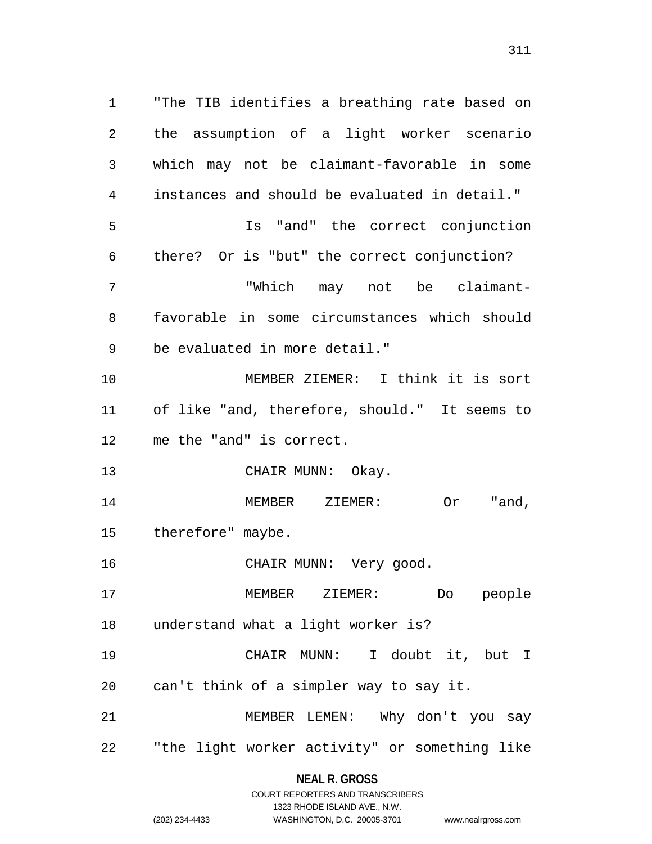"The TIB identifies a breathing rate based on the assumption of a light worker scenario which may not be claimant-favorable in some instances and should be evaluated in detail." Is "and" the correct conjunction there? Or is "but" the correct conjunction? "Which may not be claimant- favorable in some circumstances which should be evaluated in more detail." MEMBER ZIEMER: I think it is sort of like "and, therefore, should." It seems to me the "and" is correct. 13 CHAIR MUNN: Okay. MEMBER ZIEMER: Or "and, therefore" maybe. CHAIR MUNN: Very good. MEMBER ZIEMER: Do people understand what a light worker is? CHAIR MUNN: I doubt it, but I can't think of a simpler way to say it. MEMBER LEMEN: Why don't you say "the light worker activity" or something like

**NEAL R. GROSS**

www.nealrgross.com

|                | COURT REPORTERS AND TRANSCRIBERS |
|----------------|----------------------------------|
|                | 1323 RHODE ISLAND AVE., N.W.     |
| (202) 234-4433 | WASHINGTON, D.C. 20005-3701      |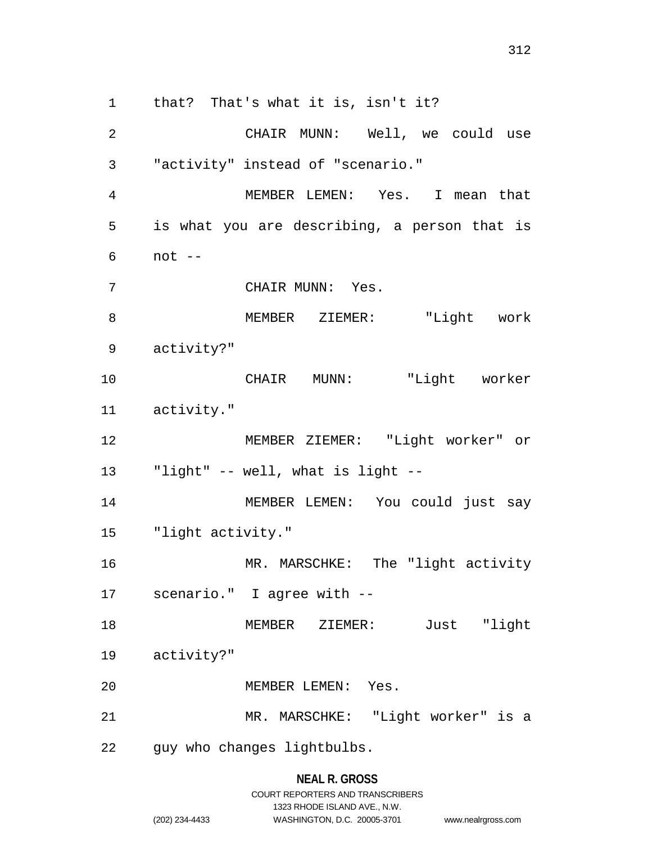that? That's what it is, isn't it? CHAIR MUNN: Well, we could use "activity" instead of "scenario." MEMBER LEMEN: Yes. I mean that is what you are describing, a person that is not -- CHAIR MUNN: Yes. MEMBER ZIEMER: "Light work activity?" CHAIR MUNN: "Light worker activity." MEMBER ZIEMER: "Light worker" or "light" -- well, what is light -- MEMBER LEMEN: You could just say

"light activity."

16 MR. MARSCHKE: The "light activity scenario." I agree with --

 MEMBER ZIEMER: Just "light activity?"

MEMBER LEMEN: Yes.

MR. MARSCHKE: "Light worker" is a

guy who changes lightbulbs.

**NEAL R. GROSS**

## COURT REPORTERS AND TRANSCRIBERS 1323 RHODE ISLAND AVE., N.W. (202) 234-4433 WASHINGTON, D.C. 20005-3701 www.nealrgross.com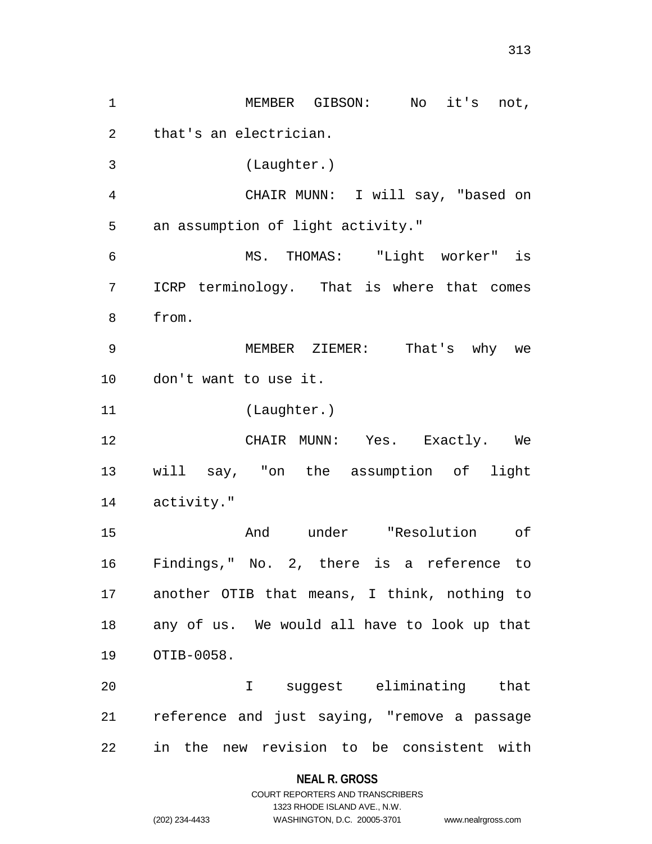MEMBER GIBSON: No it's not, that's an electrician. (Laughter.) CHAIR MUNN: I will say, "based on an assumption of light activity." MS. THOMAS: "Light worker" is ICRP terminology. That is where that comes from. MEMBER ZIEMER: That's why we don't want to use it. (Laughter.) CHAIR MUNN: Yes. Exactly. We will say, "on the assumption of light activity." And under "Resolution of Findings," No. 2, there is a reference to another OTIB that means, I think, nothing to any of us. We would all have to look up that OTIB-0058. I suggest eliminating that reference and just saying, "remove a passage in the new revision to be consistent with

### **NEAL R. GROSS**

## COURT REPORTERS AND TRANSCRIBERS 1323 RHODE ISLAND AVE., N.W. (202) 234-4433 WASHINGTON, D.C. 20005-3701 www.nealrgross.com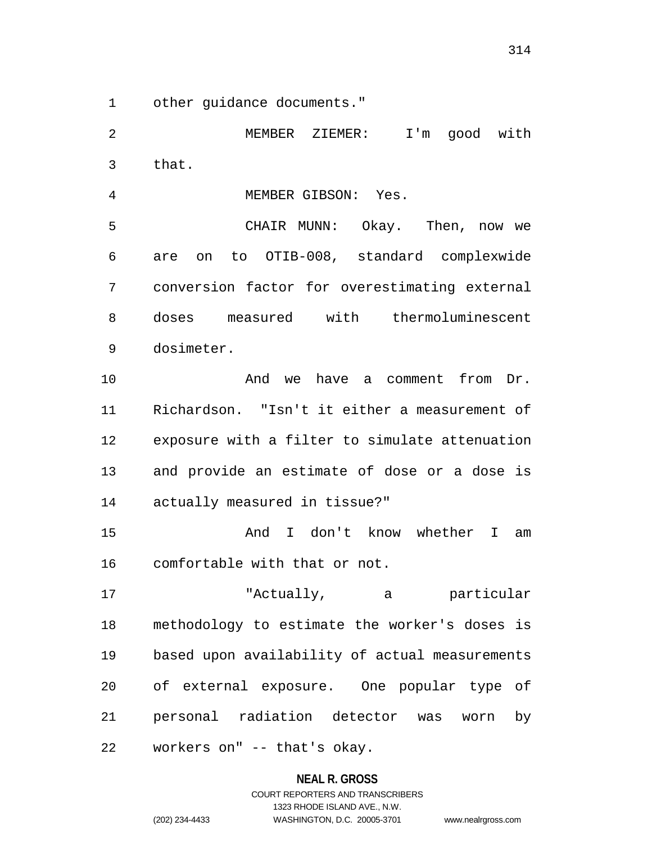other guidance documents."

 MEMBER ZIEMER: I'm good with that. MEMBER GIBSON: Yes. CHAIR MUNN: Okay. Then, now we are on to OTIB-008, standard complexwide conversion factor for overestimating external doses measured with thermoluminescent dosimeter. And we have a comment from Dr. Richardson. "Isn't it either a measurement of exposure with a filter to simulate attenuation and provide an estimate of dose or a dose is actually measured in tissue?" And I don't know whether I am comfortable with that or not. "Actually, a particular methodology to estimate the worker's doses is based upon availability of actual measurements of external exposure. One popular type of personal radiation detector was worn by workers on" -- that's okay.

#### **NEAL R. GROSS**

COURT REPORTERS AND TRANSCRIBERS 1323 RHODE ISLAND AVE., N.W. (202) 234-4433 WASHINGTON, D.C. 20005-3701 www.nealrgross.com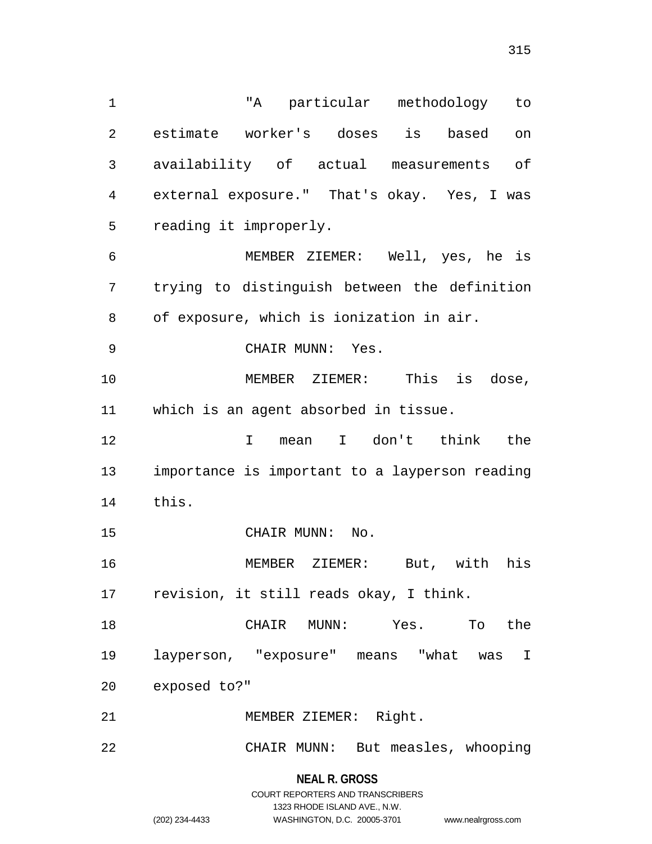"A particular methodology to estimate worker's doses is based on availability of actual measurements of external exposure." That's okay. Yes, I was reading it improperly. MEMBER ZIEMER: Well, yes, he is trying to distinguish between the definition of exposure, which is ionization in air. CHAIR MUNN: Yes. MEMBER ZIEMER: This is dose, which is an agent absorbed in tissue. I mean I don't think the importance is important to a layperson reading this. 15 CHAIR MUNN: No. MEMBER ZIEMER: But, with his revision, it still reads okay, I think. CHAIR MUNN: Yes. To the layperson, "exposure" means "what was I exposed to?" MEMBER ZIEMER: Right. CHAIR MUNN: But measles, whooping

> **NEAL R. GROSS** COURT REPORTERS AND TRANSCRIBERS 1323 RHODE ISLAND AVE., N.W.

(202) 234-4433 WASHINGTON, D.C. 20005-3701 www.nealrgross.com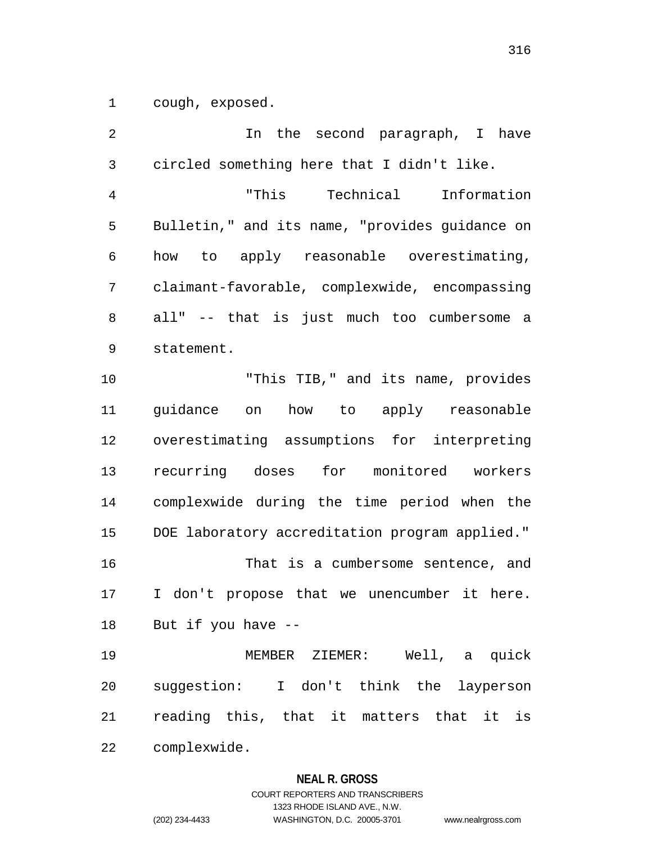cough, exposed.

 In the second paragraph, I have circled something here that I didn't like. "This Technical Information Bulletin," and its name, "provides guidance on how to apply reasonable overestimating, claimant-favorable, complexwide, encompassing all" -- that is just much too cumbersome a statement. "This TIB," and its name, provides guidance on how to apply reasonable overestimating assumptions for interpreting recurring doses for monitored workers complexwide during the time period when the DOE laboratory accreditation program applied." That is a cumbersome sentence, and I don't propose that we unencumber it here. But if you have -- MEMBER ZIEMER: Well, a quick suggestion: I don't think the layperson reading this, that it matters that it is complexwide.

## **NEAL R. GROSS**

# COURT REPORTERS AND TRANSCRIBERS 1323 RHODE ISLAND AVE., N.W. (202) 234-4433 WASHINGTON, D.C. 20005-3701 www.nealrgross.com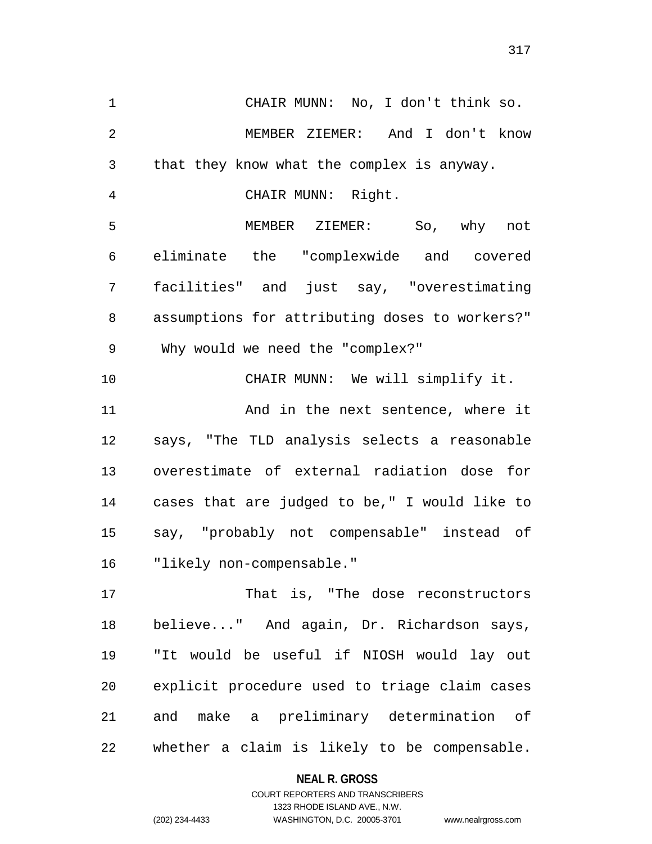CHAIR MUNN: No, I don't think so. MEMBER ZIEMER: And I don't know that they know what the complex is anyway. CHAIR MUNN: Right. MEMBER ZIEMER: So, why not eliminate the "complexwide and covered facilities" and just say, "overestimating assumptions for attributing doses to workers?" Why would we need the "complex?" CHAIR MUNN: We will simplify it. And in the next sentence, where it says, "The TLD analysis selects a reasonable overestimate of external radiation dose for cases that are judged to be," I would like to say, "probably not compensable" instead of "likely non-compensable." That is, "The dose reconstructors

 believe..." And again, Dr. Richardson says, "It would be useful if NIOSH would lay out explicit procedure used to triage claim cases and make a preliminary determination of whether a claim is likely to be compensable.

## **NEAL R. GROSS**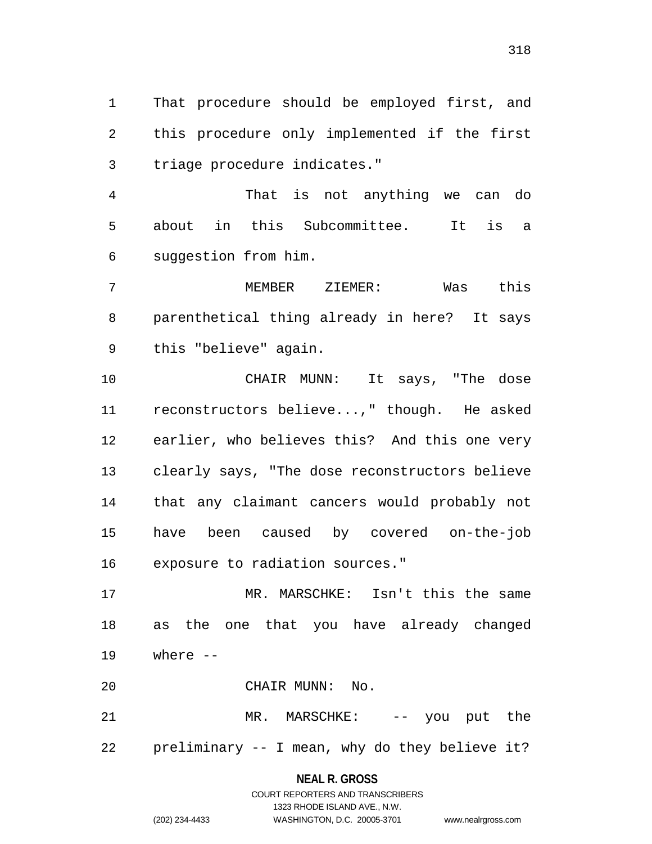That procedure should be employed first, and this procedure only implemented if the first triage procedure indicates."

 That is not anything we can do about in this Subcommittee. It is a suggestion from him.

 MEMBER ZIEMER: Was this parenthetical thing already in here? It says this "believe" again.

 CHAIR MUNN: It says, "The dose reconstructors believe...," though. He asked earlier, who believes this? And this one very clearly says, "The dose reconstructors believe that any claimant cancers would probably not have been caused by covered on-the-job exposure to radiation sources."

 MR. MARSCHKE: Isn't this the same as the one that you have already changed where --

CHAIR MUNN: No.

 MR. MARSCHKE: -- you put the preliminary -- I mean, why do they believe it?

### **NEAL R. GROSS**

# COURT REPORTERS AND TRANSCRIBERS 1323 RHODE ISLAND AVE., N.W. (202) 234-4433 WASHINGTON, D.C. 20005-3701 www.nealrgross.com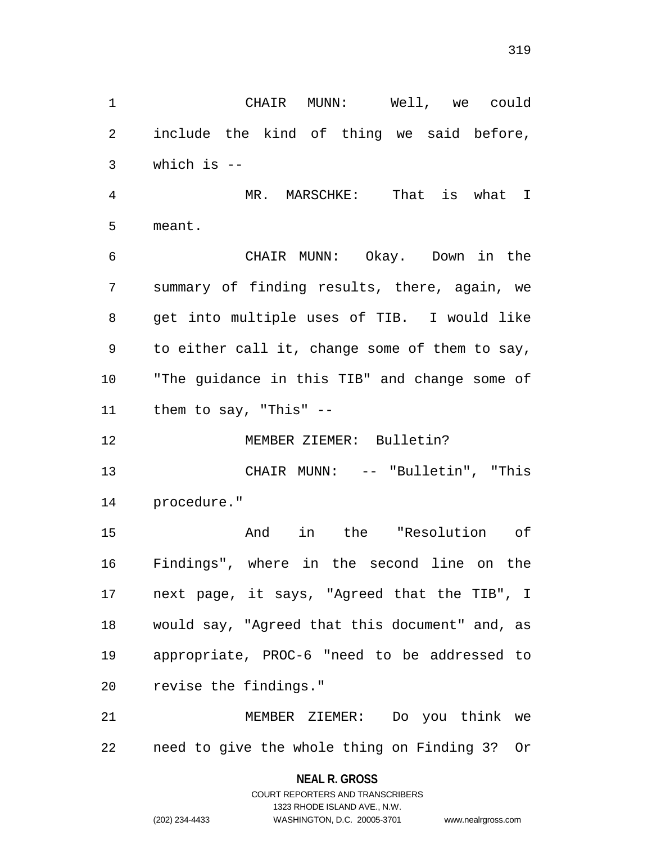include the kind of thing we said before, which is -- MR. MARSCHKE: That is what I meant. CHAIR MUNN: Okay. Down in the summary of finding results, there, again, we get into multiple uses of TIB. I would like to either call it, change some of them to say, "The guidance in this TIB" and change some of them to say, "This" -- MEMBER ZIEMER: Bulletin? CHAIR MUNN: -- "Bulletin", "This procedure." And in the "Resolution of

CHAIR MUNN: Well, we could

 Findings", where in the second line on the next page, it says, "Agreed that the TIB", I would say, "Agreed that this document" and, as appropriate, PROC-6 "need to be addressed to revise the findings."

 MEMBER ZIEMER: Do you think we need to give the whole thing on Finding 3? Or

# **NEAL R. GROSS** COURT REPORTERS AND TRANSCRIBERS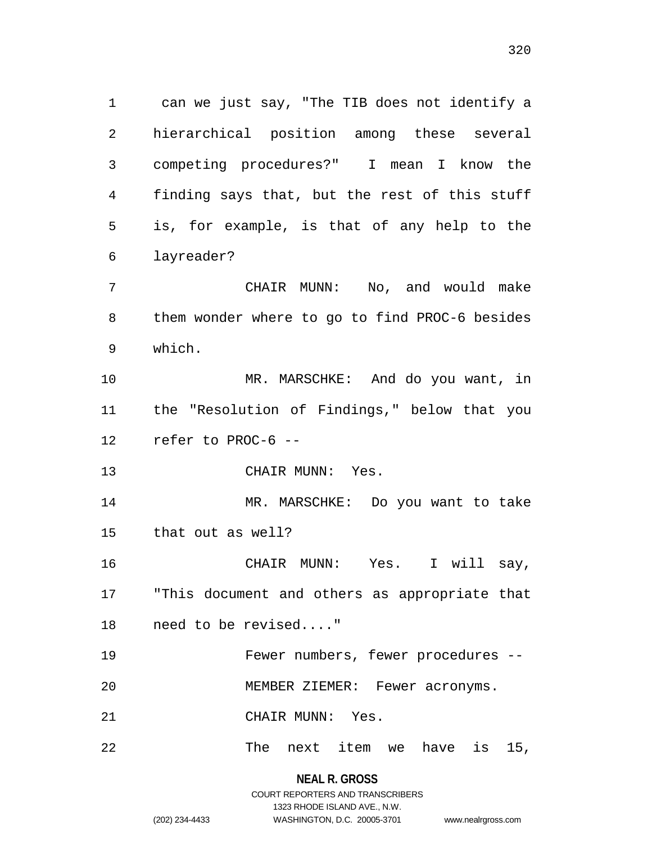can we just say, "The TIB does not identify a hierarchical position among these several competing procedures?" I mean I know the finding says that, but the rest of this stuff is, for example, is that of any help to the layreader? CHAIR MUNN: No, and would make them wonder where to go to find PROC-6 besides which. MR. MARSCHKE: And do you want, in the "Resolution of Findings," below that you refer to PROC-6 -- CHAIR MUNN: Yes. MR. MARSCHKE: Do you want to take that out as well? CHAIR MUNN: Yes. I will say, "This document and others as appropriate that need to be revised...." Fewer numbers, fewer procedures -- MEMBER ZIEMER: Fewer acronyms. CHAIR MUNN: Yes. The next item we have is 15,

> COURT REPORTERS AND TRANSCRIBERS 1323 RHODE ISLAND AVE., N.W. (202) 234-4433 WASHINGTON, D.C. 20005-3701 www.nealrgross.com

**NEAL R. GROSS**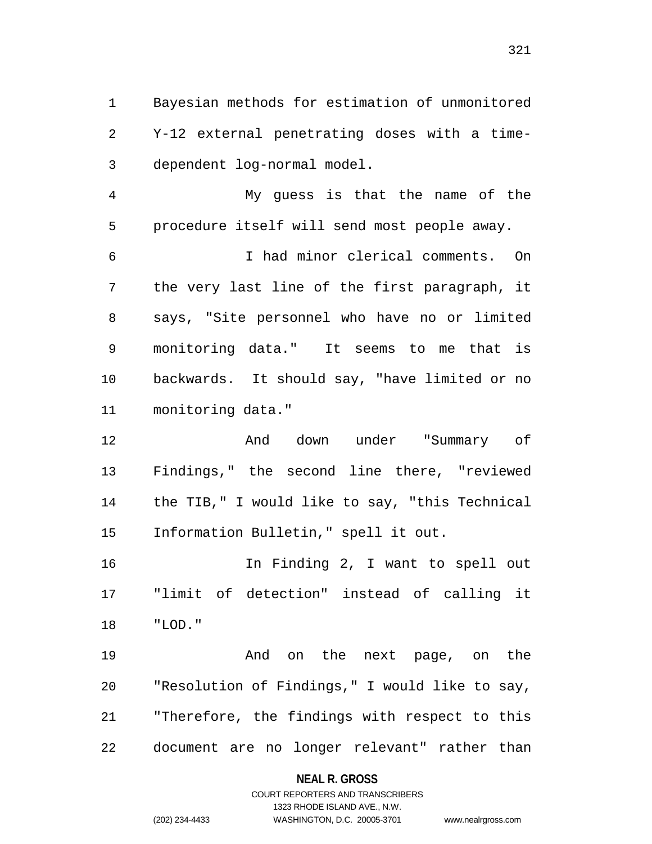Bayesian methods for estimation of unmonitored Y-12 external penetrating doses with a time-dependent log-normal model.

 My guess is that the name of the procedure itself will send most people away.

 I had minor clerical comments. On the very last line of the first paragraph, it says, "Site personnel who have no or limited monitoring data." It seems to me that is backwards. It should say, "have limited or no monitoring data."

 And down under "Summary of Findings," the second line there, "reviewed the TIB," I would like to say, "this Technical Information Bulletin," spell it out.

 In Finding 2, I want to spell out "limit of detection" instead of calling it "LOD."

 And on the next page, on the "Resolution of Findings," I would like to say, "Therefore, the findings with respect to this document are no longer relevant" rather than

## **NEAL R. GROSS**

# COURT REPORTERS AND TRANSCRIBERS 1323 RHODE ISLAND AVE., N.W. (202) 234-4433 WASHINGTON, D.C. 20005-3701 www.nealrgross.com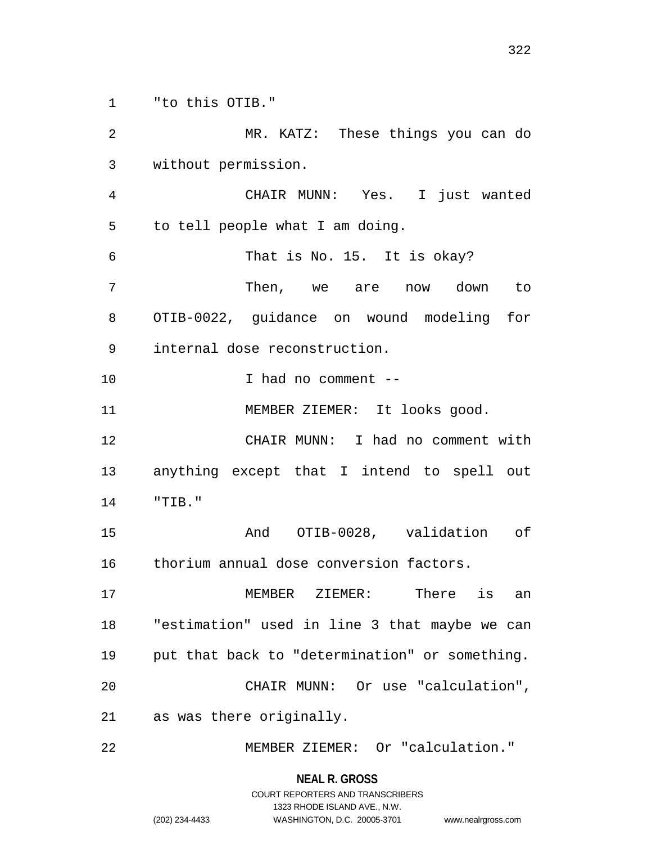"to this OTIB."

 MR. KATZ: These things you can do without permission. CHAIR MUNN: Yes. I just wanted to tell people what I am doing. That is No. 15. It is okay? Then, we are now down to OTIB-0022, guidance on wound modeling for internal dose reconstruction. I had no comment -- 11 MEMBER ZIEMER: It looks good. CHAIR MUNN: I had no comment with anything except that I intend to spell out "TIB." And OTIB-0028, validation of thorium annual dose conversion factors. MEMBER ZIEMER: There is an "estimation" used in line 3 that maybe we can put that back to "determination" or something. CHAIR MUNN: Or use "calculation", as was there originally. MEMBER ZIEMER: Or "calculation."

> **NEAL R. GROSS** COURT REPORTERS AND TRANSCRIBERS

> > 1323 RHODE ISLAND AVE., N.W.

(202) 234-4433 WASHINGTON, D.C. 20005-3701 www.nealrgross.com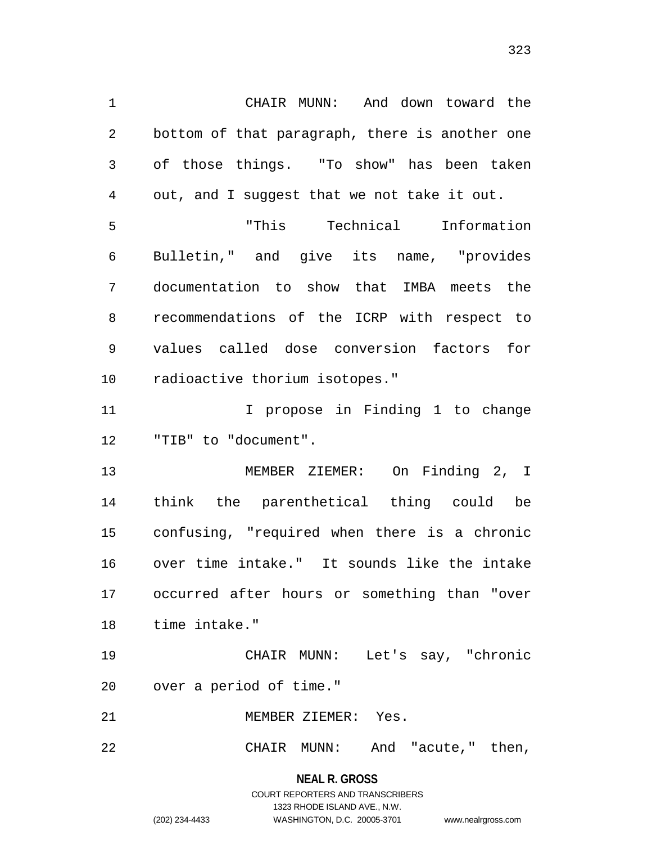CHAIR MUNN: And down toward the bottom of that paragraph, there is another one of those things. "To show" has been taken out, and I suggest that we not take it out. "This Technical Information Bulletin," and give its name, "provides documentation to show that IMBA meets the recommendations of the ICRP with respect to values called dose conversion factors for radioactive thorium isotopes." 11 11 I propose in Finding 1 to change "TIB" to "document". MEMBER ZIEMER: On Finding 2, I

 think the parenthetical thing could be confusing, "required when there is a chronic over time intake." It sounds like the intake occurred after hours or something than "over time intake."

 CHAIR MUNN: Let's say, "chronic over a period of time."

MEMBER ZIEMER: Yes.

CHAIR MUNN: And "acute," then,

**NEAL R. GROSS** COURT REPORTERS AND TRANSCRIBERS 1323 RHODE ISLAND AVE., N.W. (202) 234-4433 WASHINGTON, D.C. 20005-3701 www.nealrgross.com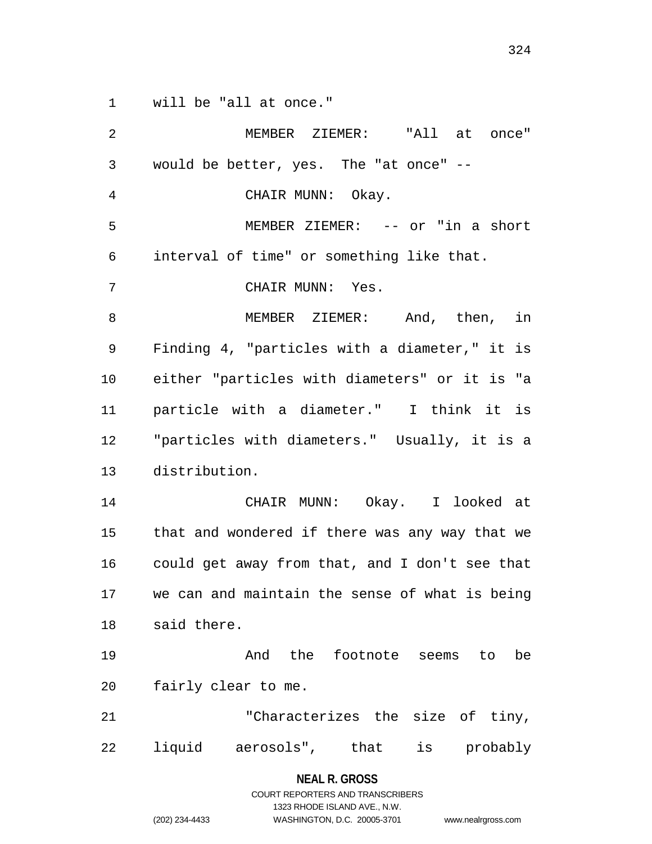will be "all at once."

| $\overline{2}$ | MEMBER ZIEMER: "All at once"                   |
|----------------|------------------------------------------------|
| 3              | would be better, yes. The "at once" --         |
| 4              | CHAIR MUNN: Okay.                              |
| 5              | MEMBER ZIEMER: -- or "in a short               |
| 6              | interval of time" or something like that.      |
| 7              | CHAIR MUNN: Yes.                               |
| 8              | MEMBER ZIEMER: And, then, in                   |
| 9              | Finding 4, "particles with a diameter," it is  |
| 10             | either "particles with diameters" or it is "a  |
| 11             | particle with a diameter." I think it is       |
| 12             | "particles with diameters." Usually, it is a   |
| 13             | distribution.                                  |
| 14             | CHAIR MUNN: Okay. I looked at                  |
| 15             | that and wondered if there was any way that we |
| 16             | could get away from that, and I don't see that |
| 17             | we can and maintain the sense of what is being |
| 18             | said there.                                    |
| 19             | And the footnote seems to<br>be                |
| 20             | fairly clear to me.                            |
| 21             | "Characterizes the size of tiny,               |
| 22             | is probably<br>liquid aerosols", that          |

**NEAL R. GROSS** COURT REPORTERS AND TRANSCRIBERS 1323 RHODE ISLAND AVE., N.W. (202) 234-4433 WASHINGTON, D.C. 20005-3701 www.nealrgross.com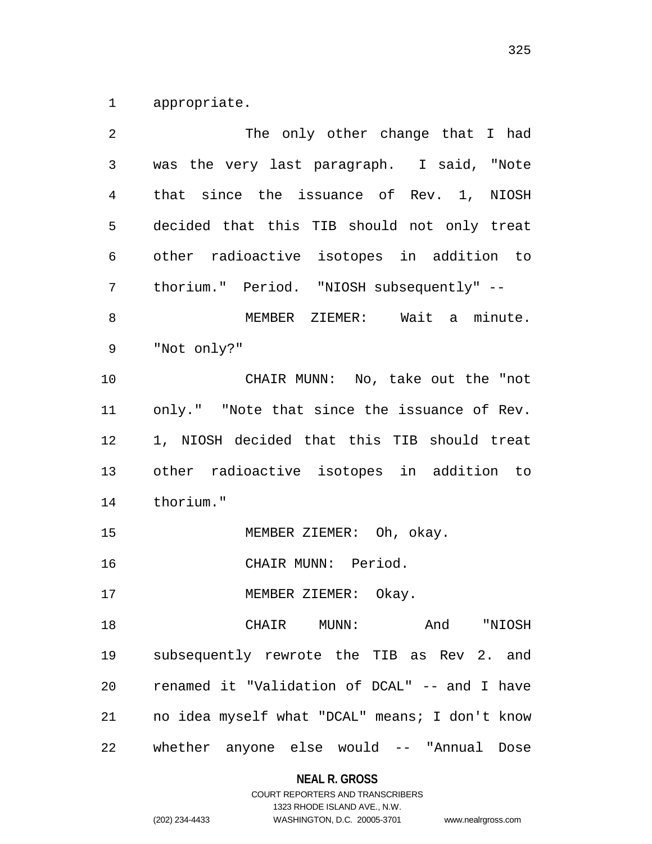appropriate.

| $\overline{2}$ | The only other change that I had               |
|----------------|------------------------------------------------|
| $\mathfrak{Z}$ | was the very last paragraph. I said, "Note     |
| $\overline{4}$ | that since the issuance of Rev. 1, NIOSH       |
| 5              | decided that this TIB should not only treat    |
| 6              | other radioactive isotopes in addition to      |
| 7              | thorium." Period. "NIOSH subsequently" --      |
| 8              | MEMBER ZIEMER: Wait a minute.                  |
| 9              | "Not only?"                                    |
| 10             | CHAIR MUNN: No, take out the "not              |
| 11             | only." "Note that since the issuance of Rev.   |
| 12             | 1, NIOSH decided that this TIB should treat    |
| 13             | other radioactive isotopes in addition to      |
| 14             | thorium."                                      |
| 15             | MEMBER ZIEMER: Oh, okay.                       |
| 16             | CHAIR MUNN: Period.                            |
| 17             | MEMBER ZIEMER: Okay.                           |
| 18             | CHAIR MUNN: And "NIOSH                         |
| 19             | subsequently rewrote the TIB as Rev 2. and     |
| 20             | renamed it "Validation of DCAL" -- and I have  |
| 21             | no idea myself what "DCAL" means; I don't know |
| 22             | whether anyone else would -- "Annual<br>Dose   |

**NEAL R. GROSS**

## COURT REPORTERS AND TRANSCRIBERS 1323 RHODE ISLAND AVE., N.W. (202) 234-4433 WASHINGTON, D.C. 20005-3701 www.nealrgross.com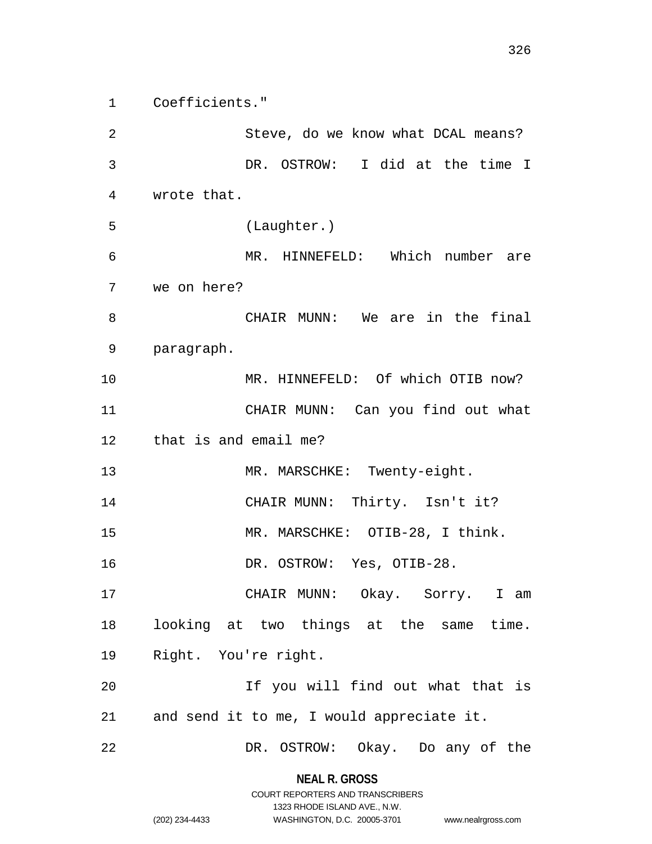Coefficients."

 Steve, do we know what DCAL means? DR. OSTROW: I did at the time I wrote that. (Laughter.) MR. HINNEFELD: Which number are we on here? CHAIR MUNN: We are in the final paragraph. MR. HINNEFELD: Of which OTIB now? CHAIR MUNN: Can you find out what that is and email me? 13 MR. MARSCHKE: Twenty-eight. 14 CHAIR MUNN: Thirty. Isn't it? MR. MARSCHKE: OTIB-28, I think. DR. OSTROW: Yes, OTIB-28. CHAIR MUNN: Okay. Sorry. I am looking at two things at the same time. Right. You're right. If you will find out what that is and send it to me, I would appreciate it. DR. OSTROW: Okay. Do any of the

> **NEAL R. GROSS** COURT REPORTERS AND TRANSCRIBERS

> > 1323 RHODE ISLAND AVE., N.W.

(202) 234-4433 WASHINGTON, D.C. 20005-3701 www.nealrgross.com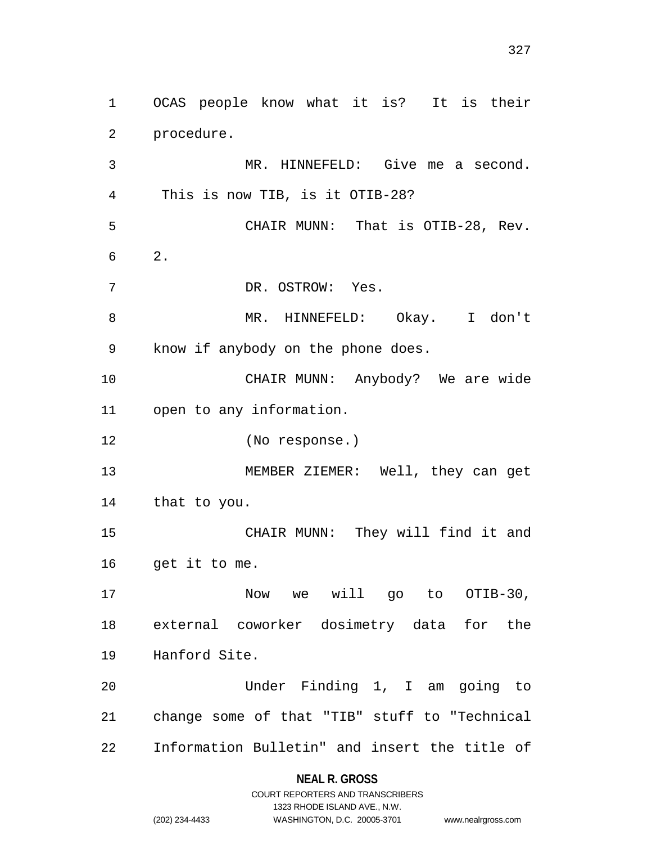OCAS people know what it is? It is their procedure. MR. HINNEFELD: Give me a second. This is now TIB, is it OTIB-28? CHAIR MUNN: That is OTIB-28, Rev. 2. DR. OSTROW: Yes. MR. HINNEFELD: Okay. I don't know if anybody on the phone does. CHAIR MUNN: Anybody? We are wide open to any information. (No response.) MEMBER ZIEMER: Well, they can get that to you. CHAIR MUNN: They will find it and get it to me. Now we will go to OTIB-30, external coworker dosimetry data for the Hanford Site. Under Finding 1, I am going to change some of that "TIB" stuff to "Technical Information Bulletin" and insert the title of

### **NEAL R. GROSS**

COURT REPORTERS AND TRANSCRIBERS 1323 RHODE ISLAND AVE., N.W. (202) 234-4433 WASHINGTON, D.C. 20005-3701 www.nealrgross.com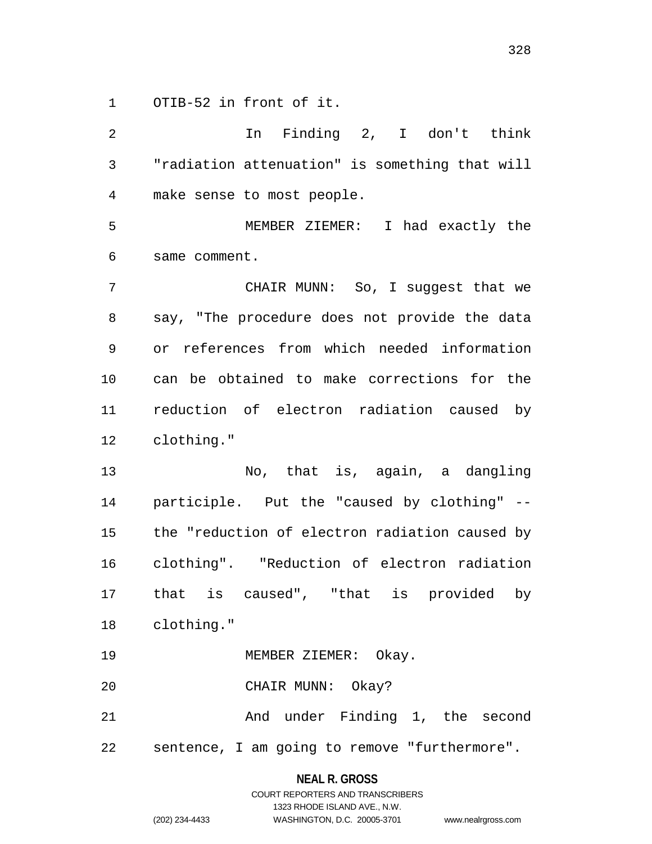OTIB-52 in front of it.

 In Finding 2, I don't think "radiation attenuation" is something that will make sense to most people. MEMBER ZIEMER: I had exactly the same comment. CHAIR MUNN: So, I suggest that we say, "The procedure does not provide the data or references from which needed information can be obtained to make corrections for the reduction of electron radiation caused by clothing." No, that is, again, a dangling participle. Put the "caused by clothing" -- the "reduction of electron radiation caused by clothing". "Reduction of electron radiation that is caused", "that is provided by clothing." MEMBER ZIEMER: Okay. CHAIR MUNN: Okay? And under Finding 1, the second sentence, I am going to remove "furthermore".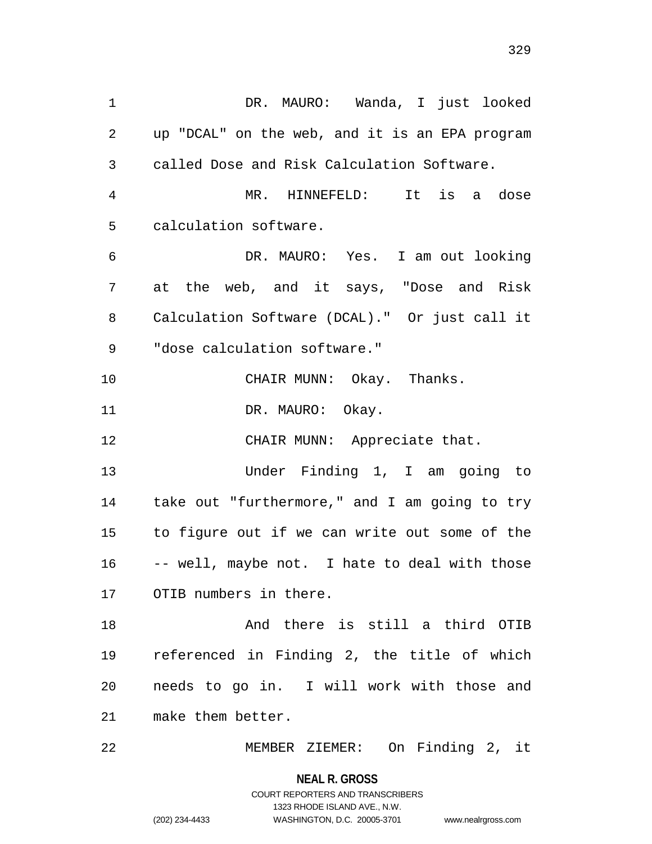DR. MAURO: Wanda, I just looked up "DCAL" on the web, and it is an EPA program called Dose and Risk Calculation Software. MR. HINNEFELD: It is a dose calculation software. DR. MAURO: Yes. I am out looking at the web, and it says, "Dose and Risk Calculation Software (DCAL)." Or just call it "dose calculation software." CHAIR MUNN: Okay. Thanks. 11 DR. MAURO: Okay. 12 CHAIR MUNN: Appreciate that. Under Finding 1, I am going to take out "furthermore," and I am going to try to figure out if we can write out some of the -- well, maybe not. I hate to deal with those OTIB numbers in there. And there is still a third OTIB referenced in Finding 2, the title of which needs to go in. I will work with those and make them better.

MEMBER ZIEMER: On Finding 2, it

**NEAL R. GROSS** COURT REPORTERS AND TRANSCRIBERS

1323 RHODE ISLAND AVE., N.W.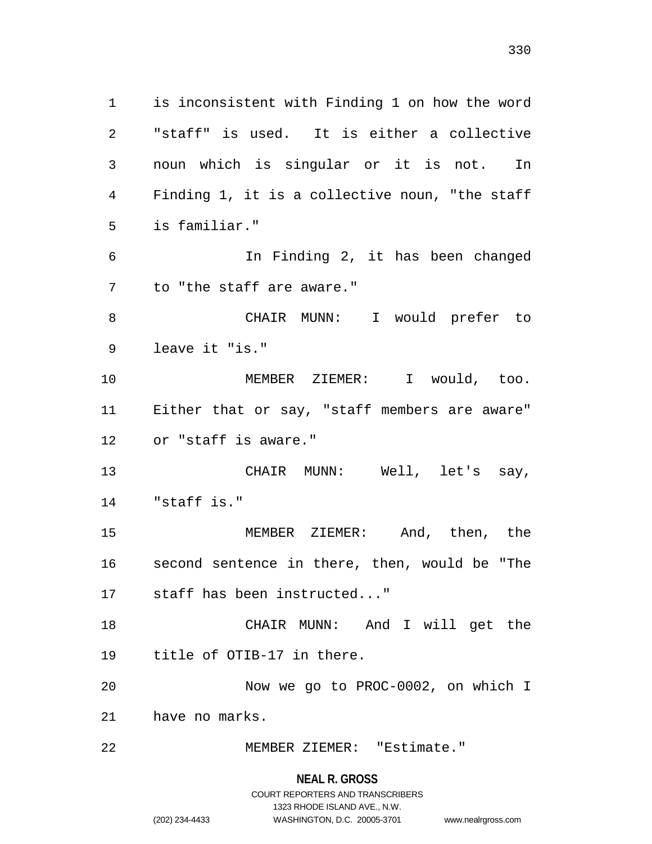is inconsistent with Finding 1 on how the word "staff" is used. It is either a collective noun which is singular or it is not. In Finding 1, it is a collective noun, "the staff is familiar." In Finding 2, it has been changed to "the staff are aware." CHAIR MUNN: I would prefer to leave it "is." MEMBER ZIEMER: I would, too. Either that or say, "staff members are aware" or "staff is aware." CHAIR MUNN: Well, let's say, "staff is." MEMBER ZIEMER: And, then, the second sentence in there, then, would be "The staff has been instructed..." CHAIR MUNN: And I will get the title of OTIB-17 in there. Now we go to PROC-0002, on which I have no marks. MEMBER ZIEMER: "Estimate."

> **NEAL R. GROSS** COURT REPORTERS AND TRANSCRIBERS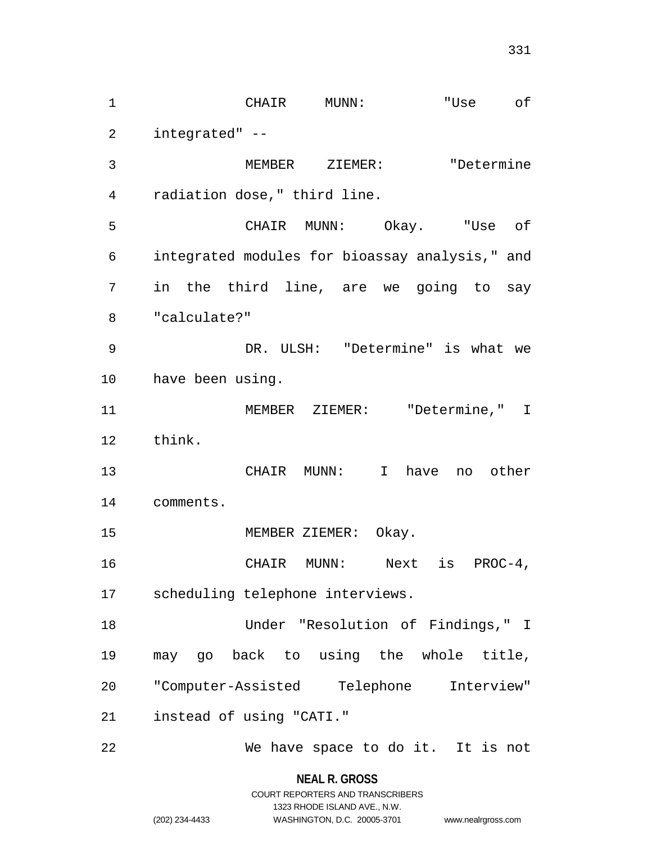CHAIR MUNN: "Use of integrated" -- MEMBER ZIEMER: "Determine radiation dose," third line. CHAIR MUNN: Okay. "Use of integrated modules for bioassay analysis," and in the third line, are we going to say "calculate?" DR. ULSH: "Determine" is what we have been using. MEMBER ZIEMER: "Determine," I think. CHAIR MUNN: I have no other comments. MEMBER ZIEMER: Okay. CHAIR MUNN: Next is PROC-4, scheduling telephone interviews. Under "Resolution of Findings," I may go back to using the whole title, "Computer-Assisted Telephone Interview" instead of using "CATI." We have space to do it. It is not

> **NEAL R. GROSS** COURT REPORTERS AND TRANSCRIBERS

> > 1323 RHODE ISLAND AVE., N.W.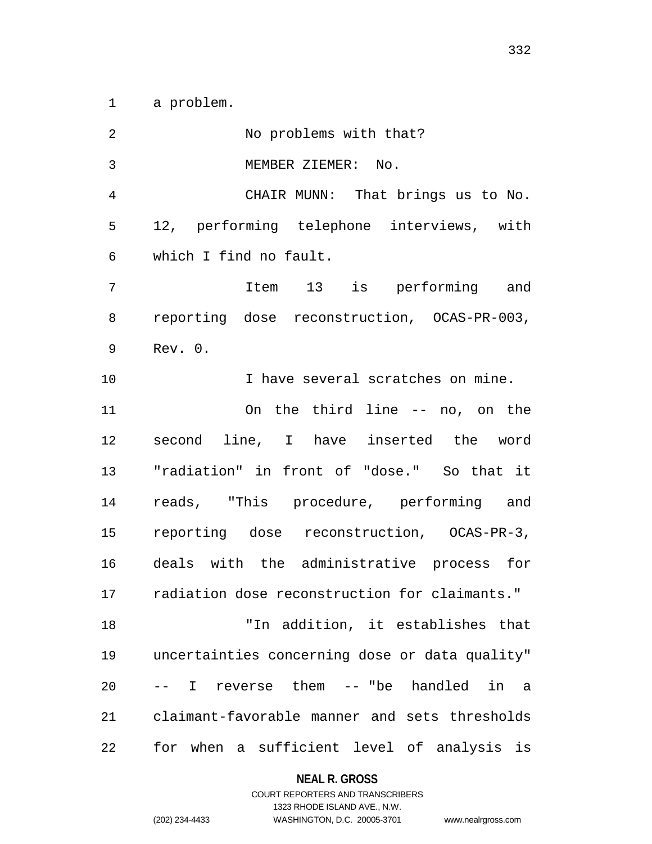a problem.

| $\overline{2}$ | No problems with that?                         |
|----------------|------------------------------------------------|
| 3              | MEMBER ZIEMER: No.                             |
| 4              | CHAIR MUNN: That brings us to No.              |
| 5              | 12, performing telephone interviews, with      |
| 6              | which I find no fault.                         |
| 7              | Item 13 is performing and                      |
| 8              | reporting dose reconstruction, OCAS-PR-003,    |
| 9              | Rev. 0.                                        |
| 10             | I have several scratches on mine.              |
| 11             | On the third line -- no, on the                |
| 12             | second line, I have inserted the word          |
| 13             | "radiation" in front of "dose." So that it     |
| 14             | reads, "This procedure, performing and         |
| 15             | reporting dose reconstruction, OCAS-PR-3,      |
| 16             | deals with the administrative process for      |
| 17             | radiation dose reconstruction for claimants."  |
| 18             | "In addition, it establishes that              |
| 19             | uncertainties concerning dose or data quality" |
| 20             | -- I reverse them -- "be handled in a          |
| 21             | claimant-favorable manner and sets thresholds  |
| 22             | for when a sufficient level of analysis is     |

**NEAL R. GROSS**

# COURT REPORTERS AND TRANSCRIBERS 1323 RHODE ISLAND AVE., N.W. (202) 234-4433 WASHINGTON, D.C. 20005-3701 www.nealrgross.com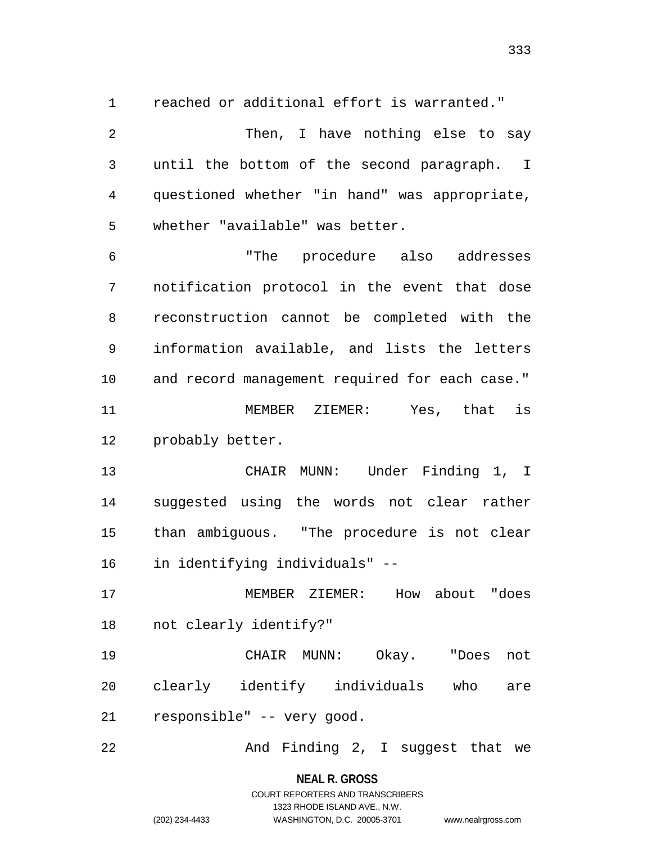reached or additional effort is warranted."

2 Then, I have nothing else to say until the bottom of the second paragraph. I questioned whether "in hand" was appropriate, whether "available" was better. "The procedure also addresses notification protocol in the event that dose reconstruction cannot be completed with the information available, and lists the letters and record management required for each case." MEMBER ZIEMER: Yes, that is probably better. CHAIR MUNN: Under Finding 1, I suggested using the words not clear rather than ambiguous. "The procedure is not clear in identifying individuals" -- MEMBER ZIEMER: How about "does not clearly identify?" CHAIR MUNN: Okay. "Does not clearly identify individuals who are responsible" -- very good. 22 And Finding 2, I suggest that we

**NEAL R. GROSS**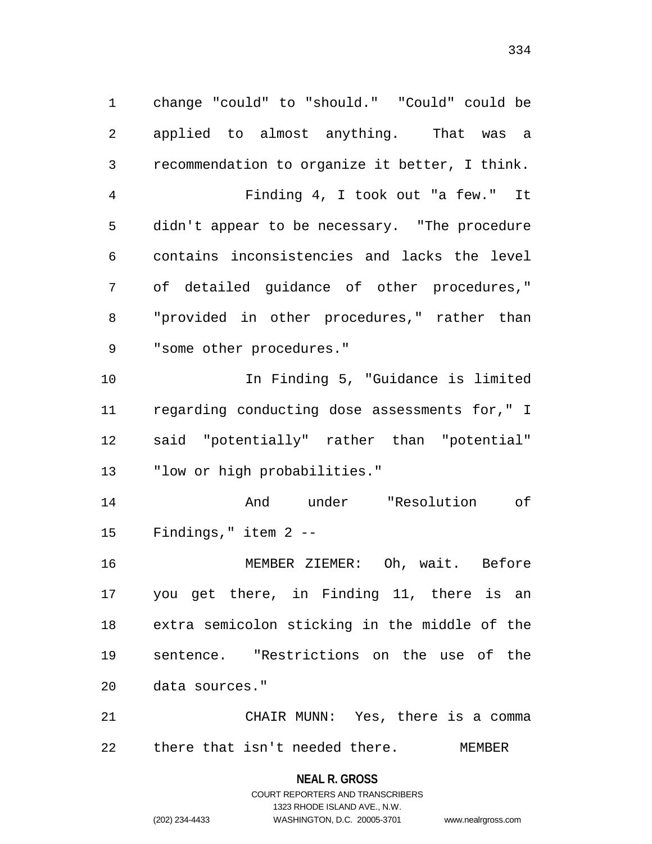change "could" to "should." "Could" could be applied to almost anything. That was a recommendation to organize it better, I think. Finding 4, I took out "a few." It didn't appear to be necessary. "The procedure contains inconsistencies and lacks the level of detailed guidance of other procedures," "provided in other procedures," rather than "some other procedures." In Finding 5, "Guidance is limited regarding conducting dose assessments for," I said "potentially" rather than "potential" "low or high probabilities." And under "Resolution of Findings," item 2 -- MEMBER ZIEMER: Oh, wait. Before you get there, in Finding 11, there is an extra semicolon sticking in the middle of the sentence. "Restrictions on the use of the data sources." CHAIR MUNN: Yes, there is a comma

there that isn't needed there. MEMBER

**NEAL R. GROSS** COURT REPORTERS AND TRANSCRIBERS

1323 RHODE ISLAND AVE., N.W.

(202) 234-4433 WASHINGTON, D.C. 20005-3701 www.nealrgross.com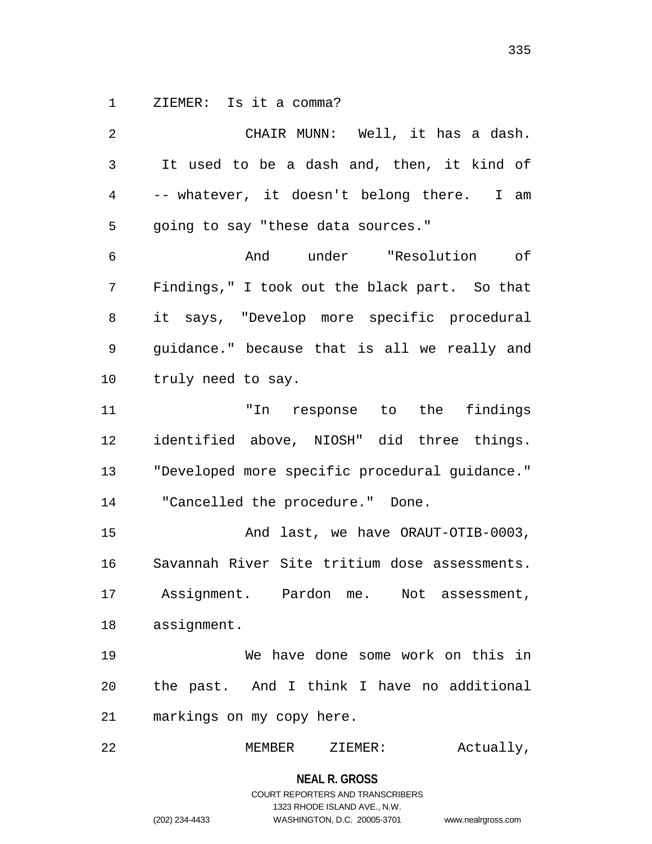ZIEMER: Is it a comma?

 CHAIR MUNN: Well, it has a dash. It used to be a dash and, then, it kind of -- whatever, it doesn't belong there. I am going to say "these data sources." And under "Resolution of Findings," I took out the black part. So that it says, "Develop more specific procedural guidance." because that is all we really and truly need to say. "In response to the findings identified above, NIOSH" did three things. "Developed more specific procedural guidance." "Cancelled the procedure." Done. And last, we have ORAUT-OTIB-0003, Savannah River Site tritium dose assessments. Assignment. Pardon me. Not assessment, assignment. We have done some work on this in the past. And I think I have no additional markings on my copy here.

MEMBER ZIEMER: Actually,

# **NEAL R. GROSS** COURT REPORTERS AND TRANSCRIBERS 1323 RHODE ISLAND AVE., N.W. (202) 234-4433 WASHINGTON, D.C. 20005-3701 www.nealrgross.com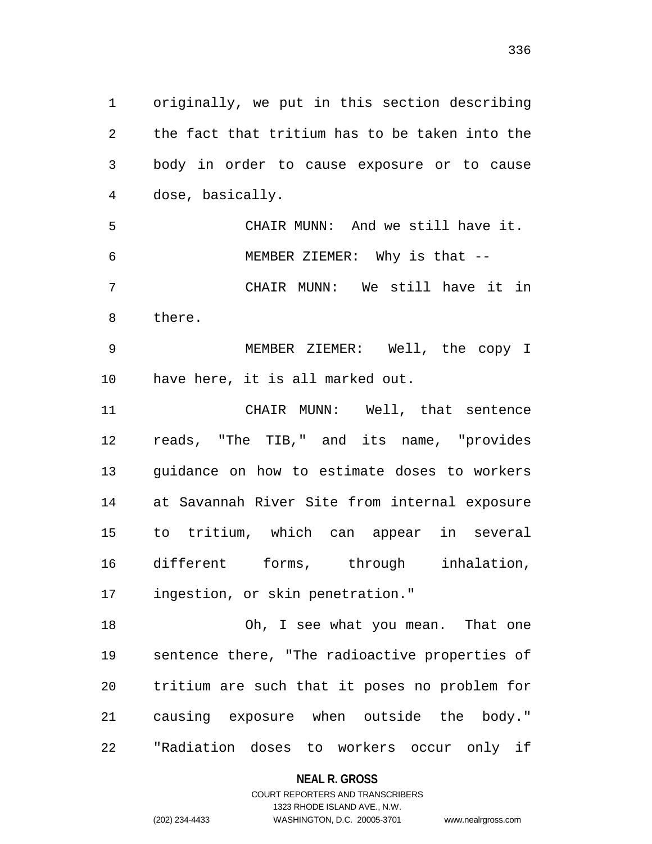originally, we put in this section describing the fact that tritium has to be taken into the body in order to cause exposure or to cause dose, basically. CHAIR MUNN: And we still have it. MEMBER ZIEMER: Why is that -- CHAIR MUNN: We still have it in there. MEMBER ZIEMER: Well, the copy I have here, it is all marked out. CHAIR MUNN: Well, that sentence reads, "The TIB," and its name, "provides guidance on how to estimate doses to workers at Savannah River Site from internal exposure to tritium, which can appear in several different forms, through inhalation, ingestion, or skin penetration." Oh, I see what you mean. That one sentence there, "The radioactive properties of tritium are such that it poses no problem for causing exposure when outside the body."

> **NEAL R. GROSS** COURT REPORTERS AND TRANSCRIBERS

"Radiation doses to workers occur only if

1323 RHODE ISLAND AVE., N.W. (202) 234-4433 WASHINGTON, D.C. 20005-3701 www.nealrgross.com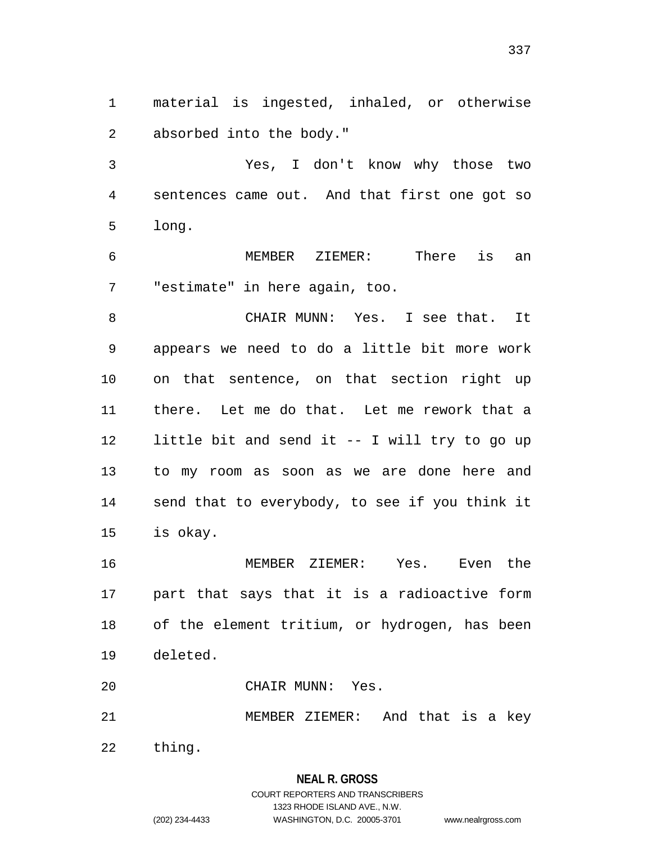material is ingested, inhaled, or otherwise absorbed into the body."

 Yes, I don't know why those two sentences came out. And that first one got so long.

 MEMBER ZIEMER: There is an "estimate" in here again, too.

 CHAIR MUNN: Yes. I see that. It appears we need to do a little bit more work on that sentence, on that section right up there. Let me do that. Let me rework that a little bit and send it -- I will try to go up to my room as soon as we are done here and send that to everybody, to see if you think it is okay.

 MEMBER ZIEMER: Yes. Even the part that says that it is a radioactive form of the element tritium, or hydrogen, has been deleted.

CHAIR MUNN: Yes.

MEMBER ZIEMER: And that is a key

thing.

## **NEAL R. GROSS** COURT REPORTERS AND TRANSCRIBERS 1323 RHODE ISLAND AVE., N.W. (202) 234-4433 WASHINGTON, D.C. 20005-3701 www.nealrgross.com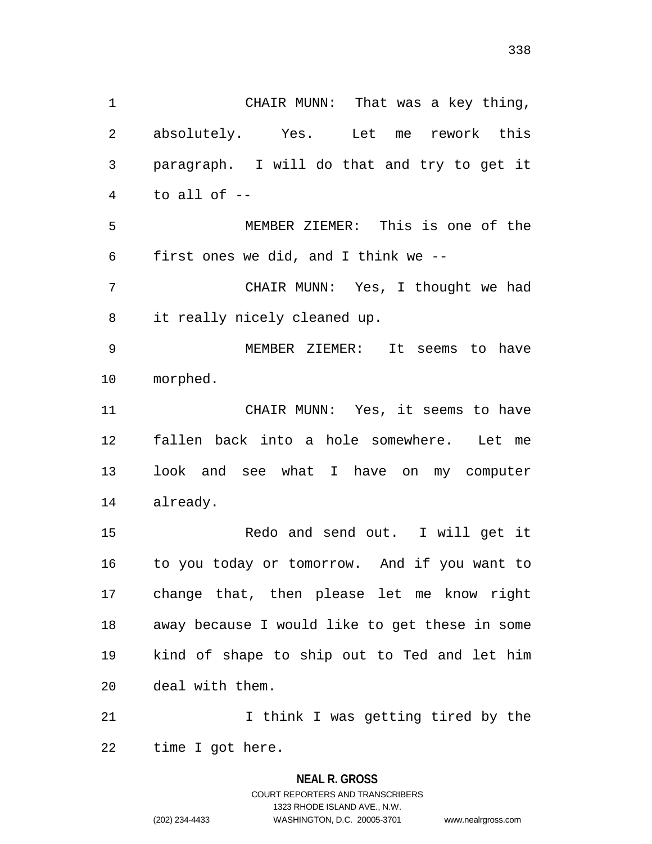CHAIR MUNN: That was a key thing, absolutely. Yes. Let me rework this paragraph. I will do that and try to get it to all of -- MEMBER ZIEMER: This is one of the first ones we did, and I think we -- CHAIR MUNN: Yes, I thought we had it really nicely cleaned up. MEMBER ZIEMER: It seems to have morphed. CHAIR MUNN: Yes, it seems to have fallen back into a hole somewhere. Let me look and see what I have on my computer already. Redo and send out. I will get it to you today or tomorrow. And if you want to change that, then please let me know right away because I would like to get these in some kind of shape to ship out to Ted and let him deal with them. 21 1 I think I was getting tired by the

time I got here.

## **NEAL R. GROSS** COURT REPORTERS AND TRANSCRIBERS 1323 RHODE ISLAND AVE., N.W. (202) 234-4433 WASHINGTON, D.C. 20005-3701 www.nealrgross.com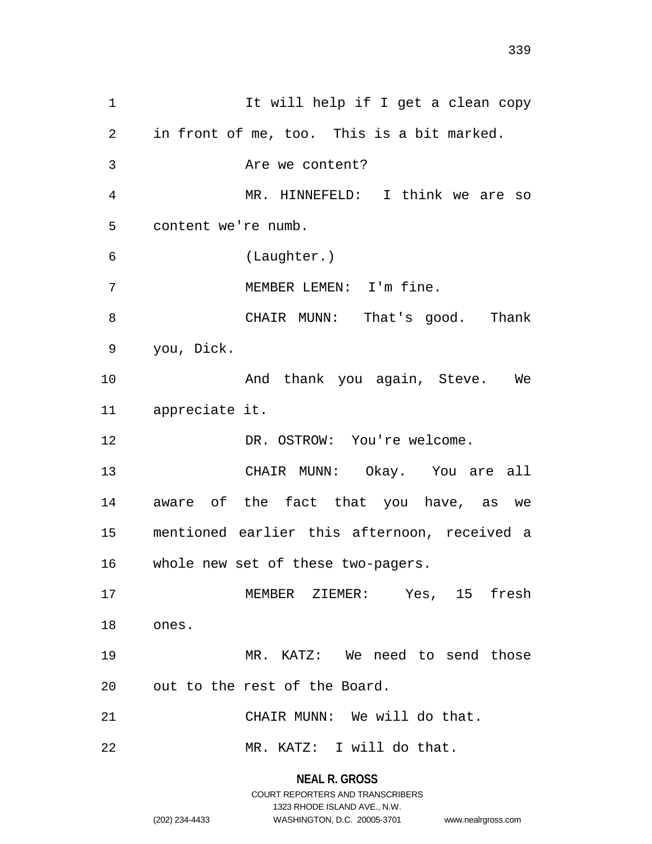1 It will help if I get a clean copy in front of me, too. This is a bit marked. Are we content? MR. HINNEFELD: I think we are so content we're numb. (Laughter.) MEMBER LEMEN: I'm fine. CHAIR MUNN: That's good. Thank you, Dick. 10 And thank you again, Steve. We appreciate it. DR. OSTROW: You're welcome. CHAIR MUNN: Okay. You are all aware of the fact that you have, as we mentioned earlier this afternoon, received a whole new set of these two-pagers. MEMBER ZIEMER: Yes, 15 fresh ones. MR. KATZ: We need to send those out to the rest of the Board. CHAIR MUNN: We will do that. MR. KATZ: I will do that.

## **NEAL R. GROSS** COURT REPORTERS AND TRANSCRIBERS 1323 RHODE ISLAND AVE., N.W. (202) 234-4433 WASHINGTON, D.C. 20005-3701 www.nealrgross.com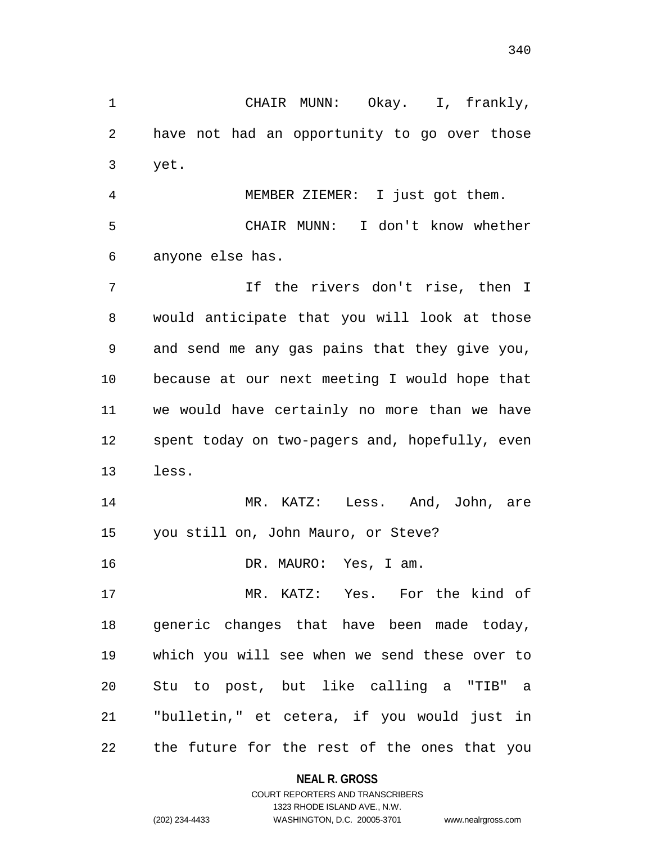CHAIR MUNN: Okay. I, frankly, have not had an opportunity to go over those yet.

 MEMBER ZIEMER: I just got them. CHAIR MUNN: I don't know whether anyone else has.

 If the rivers don't rise, then I would anticipate that you will look at those and send me any gas pains that they give you, because at our next meeting I would hope that we would have certainly no more than we have spent today on two-pagers and, hopefully, even less.

 MR. KATZ: Less. And, John, are you still on, John Mauro, or Steve?

DR. MAURO: Yes, I am.

 MR. KATZ: Yes. For the kind of generic changes that have been made today, which you will see when we send these over to Stu to post, but like calling a "TIB" a "bulletin," et cetera, if you would just in the future for the rest of the ones that you

**NEAL R. GROSS**

```
COURT REPORTERS AND TRANSCRIBERS
                     1323 RHODE ISLAND AVE., N.W.
(202) 234-4433 WASHINGTON, D.C. 20005-3701 www.nealrgross.com
```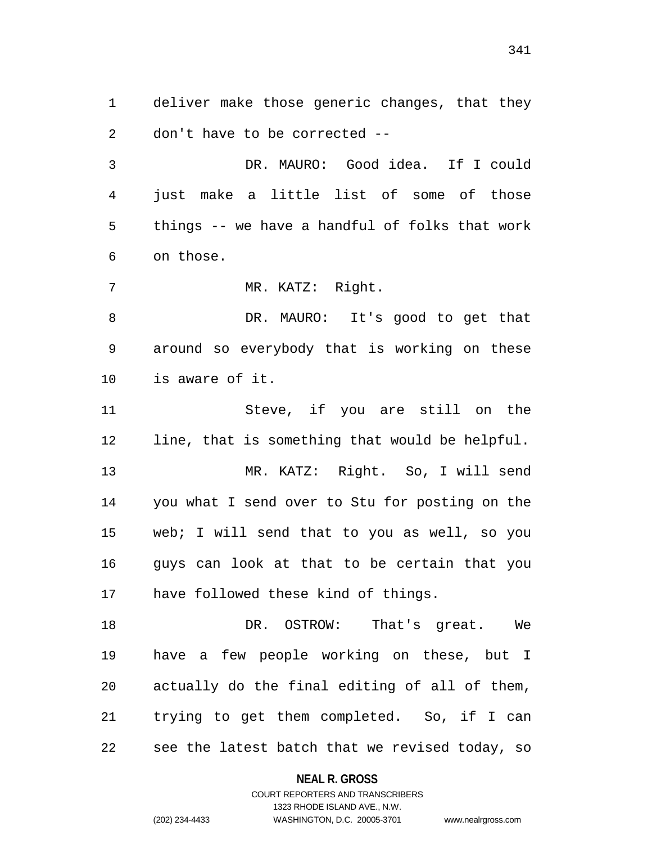deliver make those generic changes, that they don't have to be corrected --

 DR. MAURO: Good idea. If I could just make a little list of some of those things -- we have a handful of folks that work on those.

7 MR. KATZ: Right.

 DR. MAURO: It's good to get that around so everybody that is working on these is aware of it.

 Steve, if you are still on the line, that is something that would be helpful.

 MR. KATZ: Right. So, I will send you what I send over to Stu for posting on the web; I will send that to you as well, so you guys can look at that to be certain that you have followed these kind of things.

 DR. OSTROW: That's great. We have a few people working on these, but I actually do the final editing of all of them, trying to get them completed. So, if I can see the latest batch that we revised today, so

### **NEAL R. GROSS**

### COURT REPORTERS AND TRANSCRIBERS 1323 RHODE ISLAND AVE., N.W. (202) 234-4433 WASHINGTON, D.C. 20005-3701 www.nealrgross.com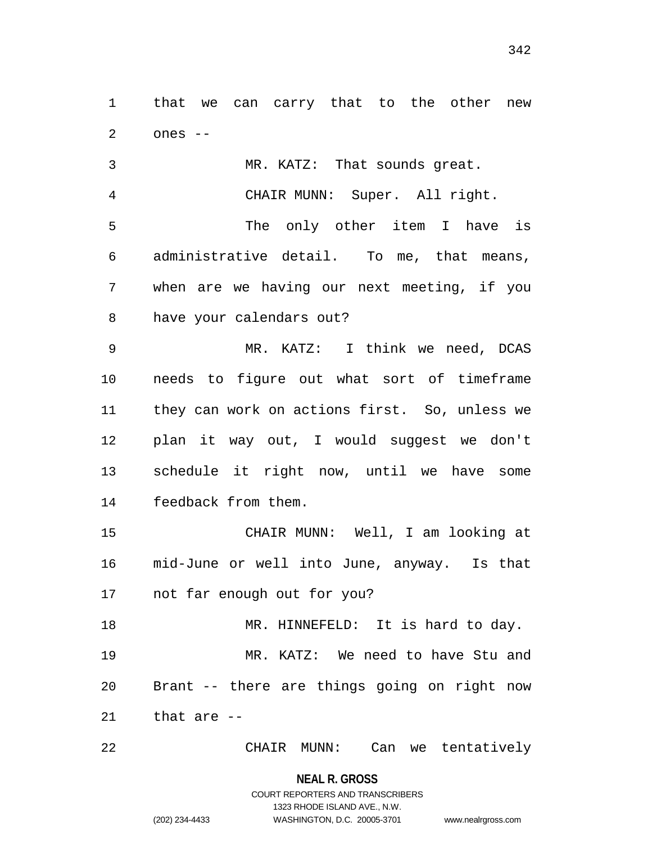that we can carry that to the other new ones --

 MR. KATZ: That sounds great. CHAIR MUNN: Super. All right. The only other item I have is administrative detail. To me, that means, when are we having our next meeting, if you have your calendars out?

 MR. KATZ: I think we need, DCAS needs to figure out what sort of timeframe they can work on actions first. So, unless we plan it way out, I would suggest we don't schedule it right now, until we have some feedback from them.

 CHAIR MUNN: Well, I am looking at mid-June or well into June, anyway. Is that not far enough out for you?

18 MR. HINNEFELD: It is hard to day. MR. KATZ: We need to have Stu and Brant -- there are things going on right now that are --

CHAIR MUNN: Can we tentatively

**NEAL R. GROSS**

### COURT REPORTERS AND TRANSCRIBERS 1323 RHODE ISLAND AVE., N.W. (202) 234-4433 WASHINGTON, D.C. 20005-3701 www.nealrgross.com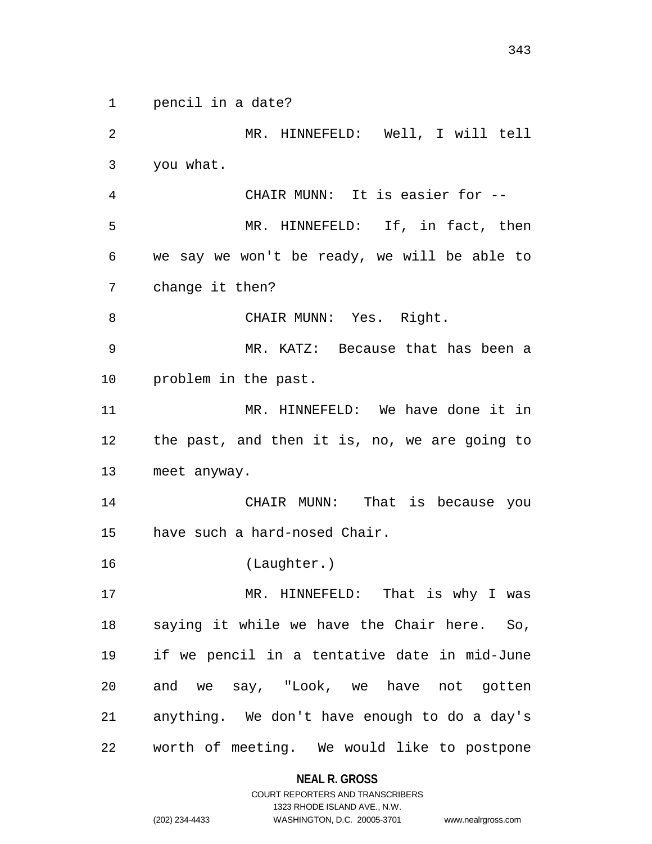pencil in a date?

 MR. HINNEFELD: Well, I will tell you what. CHAIR MUNN: It is easier for -- MR. HINNEFELD: If, in fact, then we say we won't be ready, we will be able to change it then? CHAIR MUNN: Yes. Right. MR. KATZ: Because that has been a problem in the past. MR. HINNEFELD: We have done it in the past, and then it is, no, we are going to meet anyway. CHAIR MUNN: That is because you have such a hard-nosed Chair. (Laughter.) MR. HINNEFELD: That is why I was saying it while we have the Chair here. So, if we pencil in a tentative date in mid-June and we say, "Look, we have not gotten anything. We don't have enough to do a day's worth of meeting. We would like to postpone

**NEAL R. GROSS**

COURT REPORTERS AND TRANSCRIBERS 1323 RHODE ISLAND AVE., N.W. (202) 234-4433 WASHINGTON, D.C. 20005-3701 www.nealrgross.com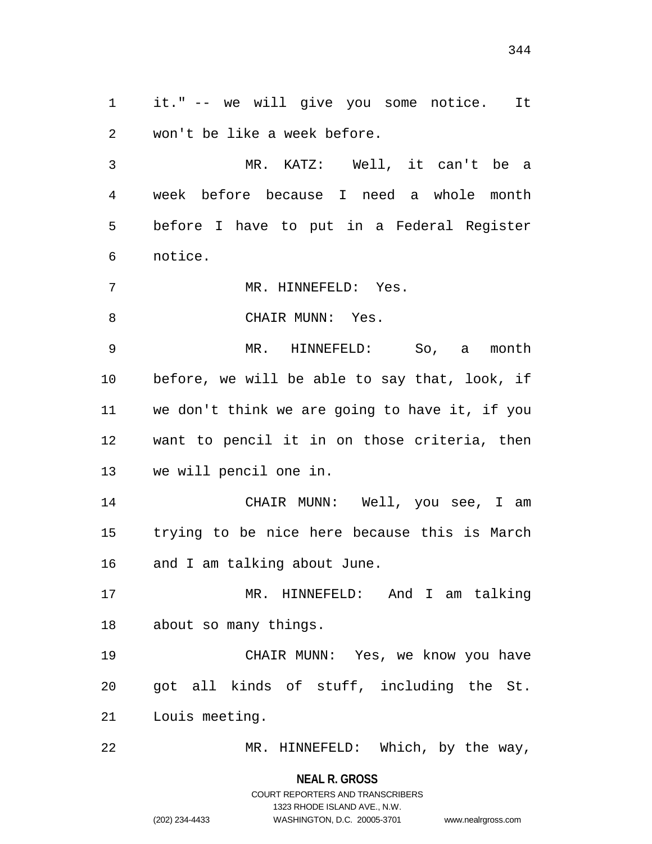it." -- we will give you some notice. It won't be like a week before.

 MR. KATZ: Well, it can't be a week before because I need a whole month before I have to put in a Federal Register notice.

MR. HINNEFELD: Yes.

8 CHAIR MUNN: Yes.

 MR. HINNEFELD: So, a month before, we will be able to say that, look, if we don't think we are going to have it, if you want to pencil it in on those criteria, then we will pencil one in.

 CHAIR MUNN: Well, you see, I am trying to be nice here because this is March and I am talking about June.

 MR. HINNEFELD: And I am talking about so many things.

 CHAIR MUNN: Yes, we know you have got all kinds of stuff, including the St. Louis meeting.

MR. HINNEFELD: Which, by the way,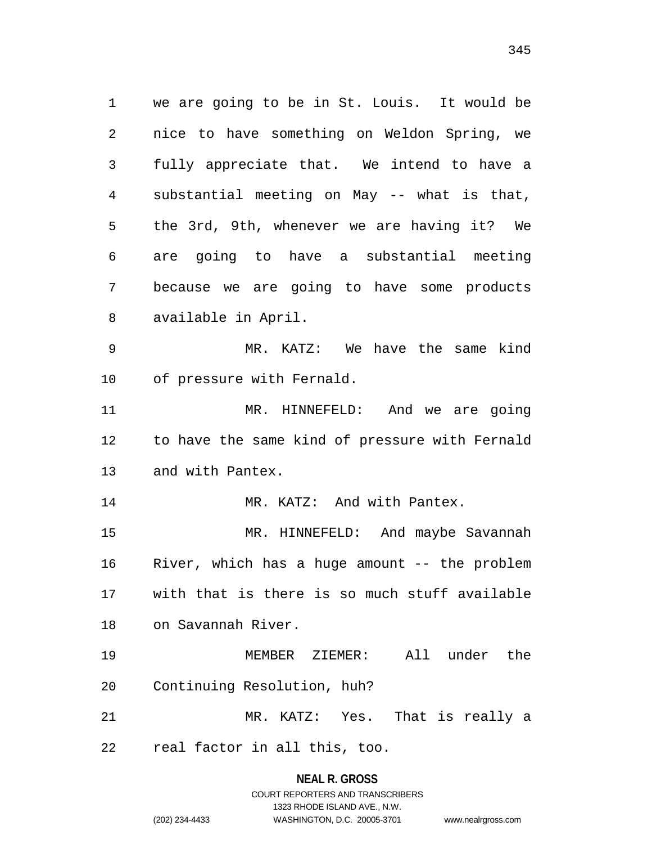we are going to be in St. Louis. It would be nice to have something on Weldon Spring, we fully appreciate that. We intend to have a substantial meeting on May -- what is that, the 3rd, 9th, whenever we are having it? We are going to have a substantial meeting because we are going to have some products available in April. MR. KATZ: We have the same kind of pressure with Fernald. MR. HINNEFELD: And we are going to have the same kind of pressure with Fernald and with Pantex. 14 MR. KATZ: And with Pantex. MR. HINNEFELD: And maybe Savannah River, which has a huge amount -- the problem with that is there is so much stuff available on Savannah River. MEMBER ZIEMER: All under the Continuing Resolution, huh?

MR. KATZ: Yes. That is really a

real factor in all this, too.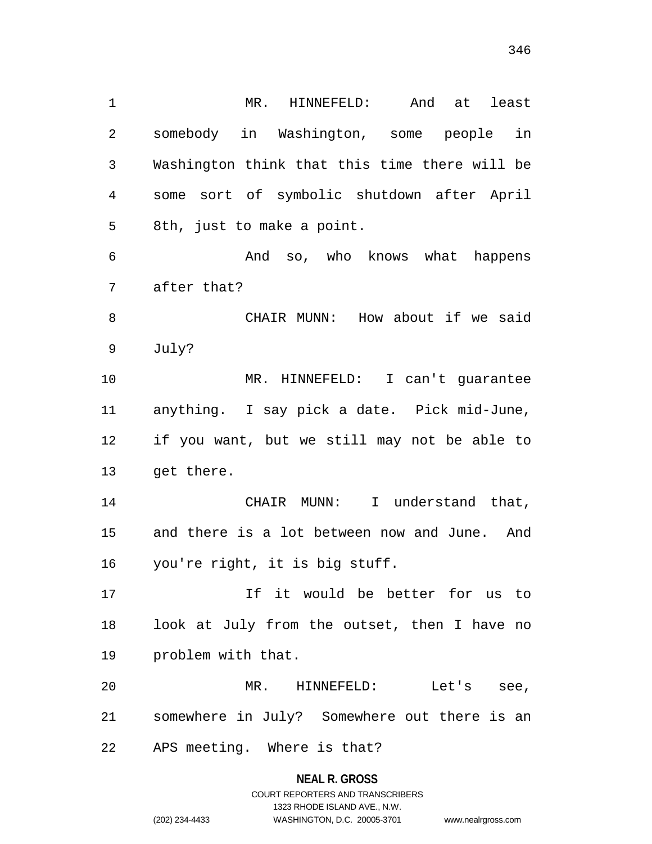MR. HINNEFELD: And at least somebody in Washington, some people in Washington think that this time there will be some sort of symbolic shutdown after April 8th, just to make a point. And so, who knows what happens after that? CHAIR MUNN: How about if we said July? MR. HINNEFELD: I can't guarantee anything. I say pick a date. Pick mid-June, if you want, but we still may not be able to get there. CHAIR MUNN: I understand that, and there is a lot between now and June. And you're right, it is big stuff. If it would be better for us to look at July from the outset, then I have no problem with that. MR. HINNEFELD: Let's see, somewhere in July? Somewhere out there is an APS meeting. Where is that?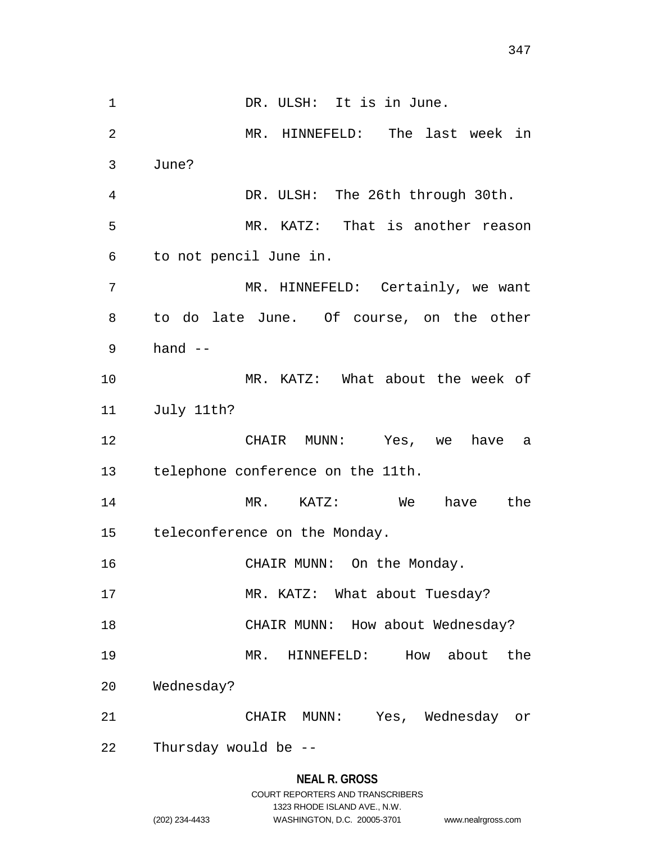1 DR. ULSH: It is in June. MR. HINNEFELD: The last week in June? DR. ULSH: The 26th through 30th. MR. KATZ: That is another reason to not pencil June in. MR. HINNEFELD: Certainly, we want to do late June. Of course, on the other hand -- MR. KATZ: What about the week of July 11th? CHAIR MUNN: Yes, we have a telephone conference on the 11th. MR. KATZ: We have the teleconference on the Monday. 16 CHAIR MUNN: On the Monday. 17 MR. KATZ: What about Tuesday? 18 CHAIR MUNN: How about Wednesday? MR. HINNEFELD: How about the Wednesday? CHAIR MUNN: Yes, Wednesday or Thursday would be --

# **NEAL R. GROSS** COURT REPORTERS AND TRANSCRIBERS 1323 RHODE ISLAND AVE., N.W. (202) 234-4433 WASHINGTON, D.C. 20005-3701 www.nealrgross.com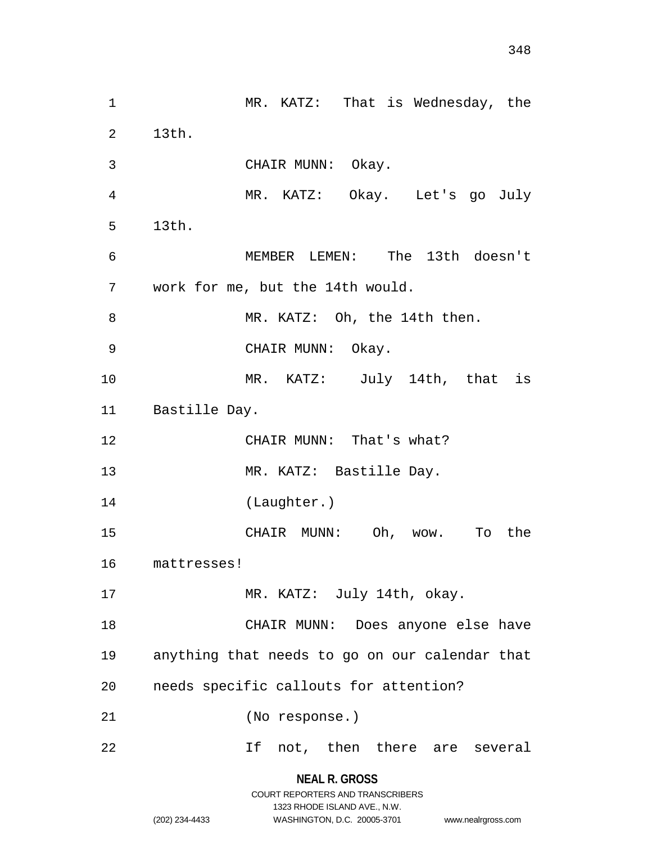MR. KATZ: That is Wednesday, the 13th. CHAIR MUNN: Okay. MR. KATZ: Okay. Let's go July 13th. MEMBER LEMEN: The 13th doesn't work for me, but the 14th would. 8 MR. KATZ: Oh, the 14th then. CHAIR MUNN: Okay. MR. KATZ: July 14th, that is Bastille Day. CHAIR MUNN: That's what? MR. KATZ: Bastille Day. (Laughter.) CHAIR MUNN: Oh, wow. To the mattresses! 17 MR. KATZ: July 14th, okay. CHAIR MUNN: Does anyone else have anything that needs to go on our calendar that needs specific callouts for attention? (No response.) If not, then there are several

### **NEAL R. GROSS** COURT REPORTERS AND TRANSCRIBERS

1323 RHODE ISLAND AVE., N.W.